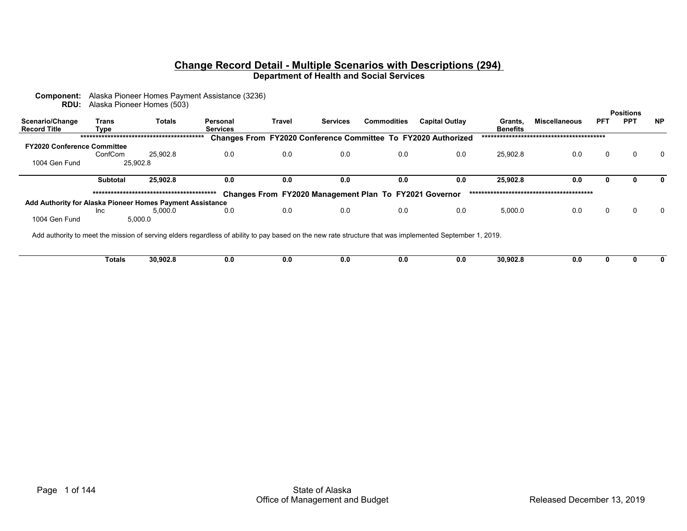# **Change Record Detail - Multiple Scenarios with Descriptions (294)**

**Department of Health and Social Services**

|                                        |               | <b>RDU:</b> Alaska Pioneer Homes (503)                                                                                                                   |                             |        |                                                                      |                    |                       |                            |                      |            | <b>Positions</b> |           |
|----------------------------------------|---------------|----------------------------------------------------------------------------------------------------------------------------------------------------------|-----------------------------|--------|----------------------------------------------------------------------|--------------------|-----------------------|----------------------------|----------------------|------------|------------------|-----------|
| Scenario/Change<br><b>Record Title</b> | Trans<br>Type | <b>Totals</b>                                                                                                                                            | Personal<br><b>Services</b> | Travel | <b>Services</b>                                                      | <b>Commodities</b> | <b>Capital Outlay</b> | Grants,<br><b>Benefits</b> | <b>Miscellaneous</b> | <b>PFT</b> | <b>PPT</b>       | <b>NP</b> |
|                                        |               |                                                                                                                                                          |                             |        | <b>Changes From FY2020 Conference Committee To FY2020 Authorized</b> |                    |                       |                            |                      |            |                  |           |
| <b>FY2020 Conference Committee</b>     |               |                                                                                                                                                          |                             |        |                                                                      |                    |                       |                            |                      |            |                  |           |
|                                        | ConfCom       | 25.902.8                                                                                                                                                 | 0.0                         | 0.0    | 0.0                                                                  | 0.0                | 0.0                   | 25.902.8                   | 0.0                  | 0          | 0                |           |
| 1004 Gen Fund                          |               | 25.902.8                                                                                                                                                 |                             |        |                                                                      |                    |                       |                            |                      |            |                  |           |
|                                        | Subtotal      | 25,902.8                                                                                                                                                 | 0.0                         | 0.0    | 0.0                                                                  | 0.0                | 0.0                   | 25.902.8                   | 0.0                  |            |                  |           |
|                                        |               |                                                                                                                                                          |                             |        | Changes From FY2020 Management Plan To FY2021 Governor               |                    |                       |                            |                      |            |                  |           |
|                                        |               | Add Authority for Alaska Pioneer Homes Payment Assistance                                                                                                |                             |        |                                                                      |                    |                       |                            |                      |            |                  |           |
|                                        | <b>Inc</b>    | 5.000.0                                                                                                                                                  | 0.0                         | 0.0    | 0.0                                                                  | 0.0                | 0.0                   | 5,000.0                    | 0.0                  | 0          | 0                |           |
| 1004 Gen Fund                          |               | 5,000.0                                                                                                                                                  |                             |        |                                                                      |                    |                       |                            |                      |            |                  |           |
|                                        |               | Add authority to meet the mission of serving elders regardless of ability to pay based on the new rate structure that was implemented September 1, 2019. |                             |        |                                                                      |                    |                       |                            |                      |            |                  |           |

 **Totals 30,902.8 0.0 0.0 0.0 0.0 0.0 30,902.8 0.0000**

**Component:** Alaska Pioneer Homes Payment Assistance (3236)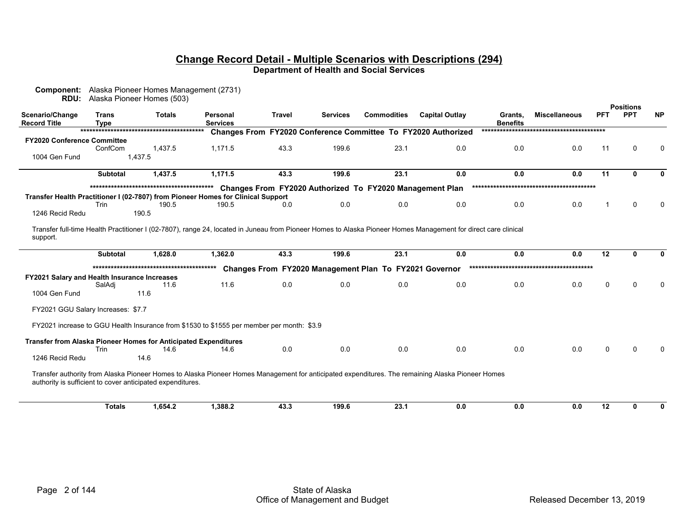| RDU:                                                            |                             | <b>Component:</b> Alaska Pioneer Homes Management (2731)<br>Alaska Pioneer Homes (503) |                                                                                           |               |                 |                                                          |                                                                                                                                                                       |                            |                      |          |                                |           |
|-----------------------------------------------------------------|-----------------------------|----------------------------------------------------------------------------------------|-------------------------------------------------------------------------------------------|---------------|-----------------|----------------------------------------------------------|-----------------------------------------------------------------------------------------------------------------------------------------------------------------------|----------------------------|----------------------|----------|--------------------------------|-----------|
| Scenario/Change<br><b>Record Title</b>                          | <b>Trans</b><br><b>Type</b> | <b>Totals</b>                                                                          | Personal<br><b>Services</b>                                                               | <b>Travel</b> | <b>Services</b> | <b>Commodities</b>                                       | <b>Capital Outlay</b>                                                                                                                                                 | Grants.<br><b>Benefits</b> | <b>Miscellaneous</b> | PFT      | <b>Positions</b><br><b>PPT</b> | <b>NP</b> |
|                                                                 |                             |                                                                                        |                                                                                           |               |                 |                                                          | Changes From FY2020 Conference Committee To FY2020 Authorized                                                                                                         |                            |                      |          |                                |           |
| <b>FY2020 Conference Committee</b><br>1004 Gen Fund             | ConfCom                     | 1.437.5<br>1,437.5                                                                     | 1.171.5                                                                                   | 43.3          | 199.6           | 23.1                                                     | 0.0                                                                                                                                                                   | 0.0                        | 0.0                  | 11       | 0                              | 0         |
|                                                                 |                             |                                                                                        |                                                                                           |               |                 |                                                          |                                                                                                                                                                       |                            |                      |          |                                |           |
|                                                                 | <b>Subtotal</b>             | 1,437.5                                                                                | 1,171.5                                                                                   | 43.3          | 199.6           | 23.1                                                     | 0.0                                                                                                                                                                   | 0.0                        | 0.0                  | 11       |                                | O         |
|                                                                 |                             |                                                                                        |                                                                                           |               |                 | Changes From FY2020 Authorized To FY2020 Management Plan |                                                                                                                                                                       |                            |                      |          |                                |           |
|                                                                 |                             |                                                                                        | Transfer Health Practitioner I (02-7807) from Pioneer Homes for Clinical Support          |               |                 |                                                          |                                                                                                                                                                       |                            |                      |          |                                |           |
|                                                                 | <b>Trin</b>                 | 190.5                                                                                  | 190.5                                                                                     | 0.0           | 0.0             | 0.0                                                      | 0.0                                                                                                                                                                   | 0.0                        | 0.0                  |          | $\Omega$                       | $\Omega$  |
| 1246 Recid Redu                                                 |                             | 190.5                                                                                  |                                                                                           |               |                 |                                                          |                                                                                                                                                                       |                            |                      |          |                                |           |
| support.                                                        | <b>Subtotal</b>             | 1,628.0                                                                                | 1,362.0                                                                                   | 43.3          | 199.6           | 23.1                                                     | Transfer full-time Health Practitioner I (02-7807), range 24, located in Juneau from Pioneer Homes to Alaska Pioneer Homes Management for direct care clinical<br>0.0 | 0.0                        | 0.0                  | 12       |                                | ŋ         |
|                                                                 |                             |                                                                                        |                                                                                           |               |                 |                                                          |                                                                                                                                                                       |                            |                      |          |                                |           |
|                                                                 |                             |                                                                                        |                                                                                           |               |                 | Changes From FY2020 Management Plan To FY2021 Governor   |                                                                                                                                                                       |                            |                      |          |                                |           |
| <b>FY2021 Salary and Health Insurance Increases</b>             | SalAdj                      | 11.6                                                                                   | 11.6                                                                                      | 0.0           | 0.0             | 0.0                                                      | 0.0                                                                                                                                                                   | 0.0                        | 0.0                  | $\Omega$ | <sup>0</sup>                   | $\Omega$  |
| 1004 Gen Fund                                                   |                             | 11.6                                                                                   |                                                                                           |               |                 |                                                          |                                                                                                                                                                       |                            |                      |          |                                |           |
| FY2021 GGU Salary Increases: \$7.7                              |                             |                                                                                        |                                                                                           |               |                 |                                                          |                                                                                                                                                                       |                            |                      |          |                                |           |
|                                                                 |                             |                                                                                        | FY2021 increase to GGU Health Insurance from \$1530 to \$1555 per member per month: \$3.9 |               |                 |                                                          |                                                                                                                                                                       |                            |                      |          |                                |           |
| Transfer from Alaska Pioneer Homes for Anticipated Expenditures |                             |                                                                                        |                                                                                           |               |                 |                                                          |                                                                                                                                                                       |                            |                      |          |                                |           |
|                                                                 | Trin                        | 14.6                                                                                   | 14.6                                                                                      | 0.0           | 0.0             | 0.0                                                      | 0.0                                                                                                                                                                   | 0.0                        | 0.0                  | $\Omega$ |                                |           |
| 1246 Recid Redu                                                 |                             | 14.6                                                                                   |                                                                                           |               |                 |                                                          |                                                                                                                                                                       |                            |                      |          |                                |           |
|                                                                 |                             | authority is sufficient to cover anticipated expenditures.                             |                                                                                           |               |                 |                                                          | Transfer authority from Alaska Pioneer Homes to Alaska Pioneer Homes Management for anticipated expenditures. The remaining Alaska Pioneer Homes                      |                            |                      |          |                                |           |
|                                                                 | <b>Totals</b>               | 1,654.2                                                                                | 1,388.2                                                                                   | 43.3          | 199.6           | 23.1                                                     | 0.0                                                                                                                                                                   | 0.0                        | 0.0                  | 12       | n                              | 0         |
|                                                                 |                             |                                                                                        |                                                                                           |               |                 |                                                          |                                                                                                                                                                       |                            |                      |          |                                |           |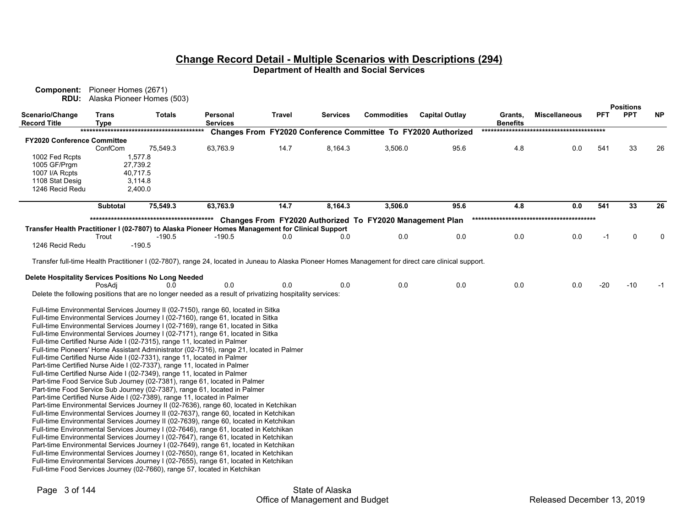| <b>Component:</b> Pioneer Homes (2671)<br>RDU:                                                   |                 | Alaska Pioneer Homes (503) |                                                                                                                                                                              |        |          |                                                          |                                                                                                                                                      |                            |                      |            |                                |           |
|--------------------------------------------------------------------------------------------------|-----------------|----------------------------|------------------------------------------------------------------------------------------------------------------------------------------------------------------------------|--------|----------|----------------------------------------------------------|------------------------------------------------------------------------------------------------------------------------------------------------------|----------------------------|----------------------|------------|--------------------------------|-----------|
| Scenario/Change<br><b>Record Title</b>                                                           | Trans<br>Type   | <b>Totals</b>              | Personal<br><b>Services</b>                                                                                                                                                  | Travel | Services | <b>Commodities</b>                                       | <b>Capital Outlay</b>                                                                                                                                | Grants,<br><b>Benefits</b> | <b>Miscellaneous</b> | <b>PFT</b> | <b>Positions</b><br><b>PPT</b> | <b>NP</b> |
|                                                                                                  |                 |                            |                                                                                                                                                                              |        |          |                                                          | Changes From FY2020 Conference Committee To FY2020 Authorized                                                                                        |                            |                      |            |                                |           |
| <b>FY2020 Conference Committee</b>                                                               |                 |                            |                                                                                                                                                                              |        |          |                                                          |                                                                                                                                                      |                            |                      |            |                                |           |
|                                                                                                  | ConfCom         | 75,549.3                   | 63,763.9                                                                                                                                                                     | 14.7   | 8,164.3  | 3,506.0                                                  | 95.6                                                                                                                                                 | 4.8                        | 0.0                  | 541        | 33                             | 26        |
| 1002 Fed Rcpts                                                                                   |                 | 1,577.8                    |                                                                                                                                                                              |        |          |                                                          |                                                                                                                                                      |                            |                      |            |                                |           |
| 1005 GF/Prgm<br>1007 I/A Rcpts                                                                   |                 | 27,739.2<br>40,717.5       |                                                                                                                                                                              |        |          |                                                          |                                                                                                                                                      |                            |                      |            |                                |           |
| 1108 Stat Desig                                                                                  |                 | 3,114.8                    |                                                                                                                                                                              |        |          |                                                          |                                                                                                                                                      |                            |                      |            |                                |           |
| 1246 Recid Redu                                                                                  |                 | 2,400.0                    |                                                                                                                                                                              |        |          |                                                          |                                                                                                                                                      |                            |                      |            |                                |           |
|                                                                                                  | <b>Subtotal</b> | 75,549.3                   | 63,763.9                                                                                                                                                                     | 14.7   | 8,164.3  | 3,506.0                                                  | 95.6                                                                                                                                                 | 4.8                        | 0.0                  | 541        | 33                             | 26        |
|                                                                                                  |                 |                            |                                                                                                                                                                              |        |          |                                                          |                                                                                                                                                      |                            |                      |            |                                |           |
|                                                                                                  |                 |                            |                                                                                                                                                                              |        |          | Changes From FY2020 Authorized To FY2020 Management Plan |                                                                                                                                                      |                            |                      |            |                                |           |
| Transfer Health Practitioner I (02-7807) to Alaska Pioneer Homes Management for Clinical Support | Trout           | $-190.5$                   | -190.5                                                                                                                                                                       | 0.0    | 0.0      | 0.0                                                      | 0.0                                                                                                                                                  | 0.0                        | 0.0                  | -1         | $\mathbf 0$                    | 0         |
| 1246 Recid Redu                                                                                  |                 | $-190.5$                   |                                                                                                                                                                              |        |          |                                                          |                                                                                                                                                      |                            |                      |            |                                |           |
|                                                                                                  |                 |                            |                                                                                                                                                                              |        |          |                                                          | Transfer full-time Health Practitioner I (02-7807), range 24, located in Juneau to Alaska Pioneer Homes Management for direct care clinical support. |                            |                      |            |                                |           |
|                                                                                                  |                 |                            |                                                                                                                                                                              |        |          |                                                          |                                                                                                                                                      |                            |                      |            |                                |           |
| Delete Hospitality Services Positions No Long Needed                                             |                 |                            |                                                                                                                                                                              |        |          |                                                          |                                                                                                                                                      |                            |                      |            |                                |           |
|                                                                                                  | PosAdi          | 0.0                        | 0.0                                                                                                                                                                          | 0.0    | 0.0      | 0.0                                                      | 0.0                                                                                                                                                  | 0.0                        | 0.0                  | $-20$      | $-10$                          | -1        |
|                                                                                                  |                 |                            | Delete the following positions that are no longer needed as a result of privatizing hospitality services:                                                                    |        |          |                                                          |                                                                                                                                                      |                            |                      |            |                                |           |
|                                                                                                  |                 |                            | Full-time Environmental Services Journey II (02-7150), range 60, located in Sitka                                                                                            |        |          |                                                          |                                                                                                                                                      |                            |                      |            |                                |           |
|                                                                                                  |                 |                            | Full-time Environmental Services Journey I (02-7160), range 61, located in Sitka                                                                                             |        |          |                                                          |                                                                                                                                                      |                            |                      |            |                                |           |
|                                                                                                  |                 |                            | Full-time Environmental Services Journey I (02-7169), range 61, located in Sitka                                                                                             |        |          |                                                          |                                                                                                                                                      |                            |                      |            |                                |           |
|                                                                                                  |                 |                            | Full-time Environmental Services Journey I (02-7171), range 61, located in Sitka                                                                                             |        |          |                                                          |                                                                                                                                                      |                            |                      |            |                                |           |
|                                                                                                  |                 |                            | Full-time Certified Nurse Aide I (02-7315), range 11, located in Palmer                                                                                                      |        |          |                                                          |                                                                                                                                                      |                            |                      |            |                                |           |
|                                                                                                  |                 |                            | Full-time Pioneers' Home Assistant Administrator (02-7316), range 21, located in Palmer                                                                                      |        |          |                                                          |                                                                                                                                                      |                            |                      |            |                                |           |
|                                                                                                  |                 |                            | Full-time Certified Nurse Aide I (02-7331), range 11, located in Palmer<br>Part-time Certified Nurse Aide I (02-7337), range 11, located in Palmer                           |        |          |                                                          |                                                                                                                                                      |                            |                      |            |                                |           |
|                                                                                                  |                 |                            | Full-time Certified Nurse Aide I (02-7349), range 11, located in Palmer                                                                                                      |        |          |                                                          |                                                                                                                                                      |                            |                      |            |                                |           |
|                                                                                                  |                 |                            | Part-time Food Service Sub Journey (02-7381), range 61, located in Palmer                                                                                                    |        |          |                                                          |                                                                                                                                                      |                            |                      |            |                                |           |
|                                                                                                  |                 |                            | Part-time Food Service Sub Journey (02-7387), range 61, located in Palmer                                                                                                    |        |          |                                                          |                                                                                                                                                      |                            |                      |            |                                |           |
|                                                                                                  |                 |                            | Part-time Certified Nurse Aide I (02-7389), range 11, located in Palmer                                                                                                      |        |          |                                                          |                                                                                                                                                      |                            |                      |            |                                |           |
|                                                                                                  |                 |                            | Part-time Environmental Services Journey II (02-7636), range 60, located in Ketchikan                                                                                        |        |          |                                                          |                                                                                                                                                      |                            |                      |            |                                |           |
|                                                                                                  |                 |                            | Full-time Environmental Services Journey II (02-7637), range 60, located in Ketchikan                                                                                        |        |          |                                                          |                                                                                                                                                      |                            |                      |            |                                |           |
|                                                                                                  |                 |                            | Full-time Environmental Services Journey II (02-7639), range 60, located in Ketchikan                                                                                        |        |          |                                                          |                                                                                                                                                      |                            |                      |            |                                |           |
|                                                                                                  |                 |                            | Full-time Environmental Services Journey I (02-7646), range 61, located in Ketchikan                                                                                         |        |          |                                                          |                                                                                                                                                      |                            |                      |            |                                |           |
|                                                                                                  |                 |                            | Full-time Environmental Services Journey I (02-7647), range 61, located in Ketchikan<br>Part-time Environmental Services Journey I (02-7649), range 61, located in Ketchikan |        |          |                                                          |                                                                                                                                                      |                            |                      |            |                                |           |
|                                                                                                  |                 |                            | Full-time Environmental Services Journey I (02-7650), range 61, located in Ketchikan                                                                                         |        |          |                                                          |                                                                                                                                                      |                            |                      |            |                                |           |
|                                                                                                  |                 |                            | Full-time Environmental Services Journey I (02-7655), range 61, located in Ketchikan                                                                                         |        |          |                                                          |                                                                                                                                                      |                            |                      |            |                                |           |
|                                                                                                  |                 |                            | Full-time Food Services Journey (02-7660), range 57, located in Ketchikan                                                                                                    |        |          |                                                          |                                                                                                                                                      |                            |                      |            |                                |           |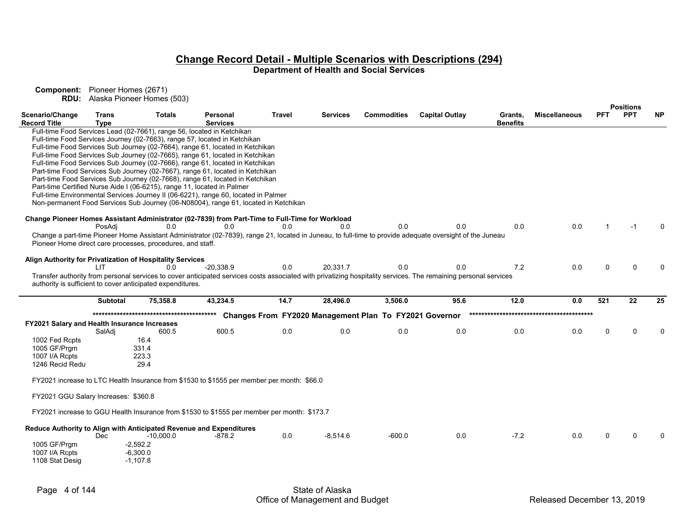|                                                            |                             |               |                                                                                                                                                                 |               |                 |                                                        |                       |                            |                      |            | <b>Positions</b> |           |
|------------------------------------------------------------|-----------------------------|---------------|-----------------------------------------------------------------------------------------------------------------------------------------------------------------|---------------|-----------------|--------------------------------------------------------|-----------------------|----------------------------|----------------------|------------|------------------|-----------|
| Scenario/Change<br><b>Record Title</b>                     | <b>Trans</b><br><b>Type</b> | <b>Totals</b> | Personal<br><b>Services</b>                                                                                                                                     | <b>Travel</b> | <b>Services</b> | <b>Commodities</b>                                     | <b>Capital Outlay</b> | Grants.<br><b>Benefits</b> | <b>Miscellaneous</b> | <b>PFT</b> | <b>PPT</b>       | <b>NP</b> |
|                                                            |                             |               | Full-time Food Services Lead (02-7661), range 56, located in Ketchikan                                                                                          |               |                 |                                                        |                       |                            |                      |            |                  |           |
|                                                            |                             |               |                                                                                                                                                                 |               |                 |                                                        |                       |                            |                      |            |                  |           |
|                                                            |                             |               | Full-time Food Services Journey (02-7663), range 57, located in Ketchikan                                                                                       |               |                 |                                                        |                       |                            |                      |            |                  |           |
|                                                            |                             |               | Full-time Food Services Sub Journey (02-7664), range 61, located in Ketchikan                                                                                   |               |                 |                                                        |                       |                            |                      |            |                  |           |
|                                                            |                             |               | Full-time Food Services Sub Journey (02-7665), range 61, located in Ketchikan                                                                                   |               |                 |                                                        |                       |                            |                      |            |                  |           |
|                                                            |                             |               | Full-time Food Services Sub Journey (02-7666), range 61, located in Ketchikan                                                                                   |               |                 |                                                        |                       |                            |                      |            |                  |           |
|                                                            |                             |               | Part-time Food Services Sub Journey (02-7667), range 61, located in Ketchikan                                                                                   |               |                 |                                                        |                       |                            |                      |            |                  |           |
|                                                            |                             |               | Part-time Food Services Sub Journey (02-7668), range 61, located in Ketchikan                                                                                   |               |                 |                                                        |                       |                            |                      |            |                  |           |
|                                                            |                             |               | Part-time Certified Nurse Aide I (06-6215), range 11, located in Palmer                                                                                         |               |                 |                                                        |                       |                            |                      |            |                  |           |
|                                                            |                             |               | Full-time Environmental Services Journey II (06-6221), range 60, located in Palmer                                                                              |               |                 |                                                        |                       |                            |                      |            |                  |           |
|                                                            |                             |               | Non-permanent Food Services Sub Journey (06-N08004), range 61, located in Ketchikan                                                                             |               |                 |                                                        |                       |                            |                      |            |                  |           |
|                                                            |                             |               |                                                                                                                                                                 |               |                 |                                                        |                       |                            |                      |            |                  |           |
|                                                            |                             |               | Change Pioneer Homes Assistant Administrator (02-7839) from Part-Time to Full-Time for Workload                                                                 |               |                 |                                                        |                       |                            |                      |            |                  |           |
|                                                            |                             | 0.0           |                                                                                                                                                                 |               | 0.0             | 0.0                                                    | 0.0                   | 0.0                        | 0.0                  |            | $-1$             |           |
|                                                            | PosAdi                      |               | 0.0                                                                                                                                                             | 0.0           |                 |                                                        |                       |                            |                      |            |                  |           |
|                                                            |                             |               | Change a part-time Pioneer Home Assistant Administrator (02-7839), range 21, located in Juneau, to full-time to provide adequate oversight of the Juneau        |               |                 |                                                        |                       |                            |                      |            |                  |           |
| Pioneer Home direct care processes, procedures, and staff. |                             |               |                                                                                                                                                                 |               |                 |                                                        |                       |                            |                      |            |                  |           |
|                                                            |                             |               |                                                                                                                                                                 |               |                 |                                                        |                       |                            |                      |            |                  |           |
| Align Authority for Privatization of Hospitality Services  |                             |               |                                                                                                                                                                 |               |                 |                                                        |                       |                            |                      |            |                  |           |
|                                                            | I IT                        | 0.0           | -20,338.9                                                                                                                                                       | 0.0           | 20.331.7        | 0.0                                                    | 0.0                   | 7.2                        | 0.0                  | $\Omega$   | $\Omega$         | n         |
|                                                            |                             |               | Transfer authority from personal services to cover anticipated services costs associated with privatizing hospitality services. The remaining personal services |               |                 |                                                        |                       |                            |                      |            |                  |           |
| authority is sufficient to cover anticipated expenditures. |                             |               |                                                                                                                                                                 |               |                 |                                                        |                       |                            |                      |            |                  |           |
|                                                            |                             |               |                                                                                                                                                                 |               |                 |                                                        |                       |                            |                      |            |                  |           |
|                                                            | <b>Subtotal</b>             | 75,358.8      | 43,234.5                                                                                                                                                        | 14.7          | 28,496.0        | 3,506.0                                                | 95.6                  | 12.0                       | 0.0                  | 521        | 22               | 25        |
|                                                            |                             |               |                                                                                                                                                                 |               |                 |                                                        |                       |                            |                      |            |                  |           |
|                                                            |                             |               |                                                                                                                                                                 |               |                 | Changes From FY2020 Management Plan To FY2021 Governor |                       |                            |                      |            |                  |           |
| FY2021 Salary and Health Insurance Increases               |                             |               |                                                                                                                                                                 |               |                 |                                                        |                       |                            |                      |            |                  |           |
|                                                            | SalAdj                      | 600.5         | 600.5                                                                                                                                                           | 0.0           | 0.0             | 0.0                                                    | 0.0                   | 0.0                        | 0.0                  | $\Omega$   | U                | $\Omega$  |
| 1002 Fed Rcpts                                             |                             | 16.4          |                                                                                                                                                                 |               |                 |                                                        |                       |                            |                      |            |                  |           |
| 1005 GF/Prgm                                               |                             | 331.4         |                                                                                                                                                                 |               |                 |                                                        |                       |                            |                      |            |                  |           |
| 1007 I/A Rcpts                                             |                             |               |                                                                                                                                                                 |               |                 |                                                        |                       |                            |                      |            |                  |           |
|                                                            |                             | 223.3         |                                                                                                                                                                 |               |                 |                                                        |                       |                            |                      |            |                  |           |
| 1246 Recid Redu                                            |                             | 29.4          |                                                                                                                                                                 |               |                 |                                                        |                       |                            |                      |            |                  |           |
|                                                            |                             |               |                                                                                                                                                                 |               |                 |                                                        |                       |                            |                      |            |                  |           |
|                                                            |                             |               | FY2021 increase to LTC Health Insurance from \$1530 to \$1555 per member per month: \$66.0                                                                      |               |                 |                                                        |                       |                            |                      |            |                  |           |
|                                                            |                             |               |                                                                                                                                                                 |               |                 |                                                        |                       |                            |                      |            |                  |           |
| FY2021 GGU Salary Increases: \$360.8                       |                             |               |                                                                                                                                                                 |               |                 |                                                        |                       |                            |                      |            |                  |           |
|                                                            |                             |               |                                                                                                                                                                 |               |                 |                                                        |                       |                            |                      |            |                  |           |
|                                                            |                             |               | FY2021 increase to GGU Health Insurance from \$1530 to \$1555 per member per month: \$173.7                                                                     |               |                 |                                                        |                       |                            |                      |            |                  |           |
|                                                            |                             |               |                                                                                                                                                                 |               |                 |                                                        |                       |                            |                      |            |                  |           |
|                                                            |                             |               | Reduce Authority to Align with Anticipated Revenue and Expenditures                                                                                             |               |                 |                                                        |                       |                            |                      |            |                  |           |
|                                                            | <b>Dec</b>                  | $-10,000.0$   | $-878.2$                                                                                                                                                        | 0.0           | $-8,514.6$      | $-600.0$                                               | 0.0                   | $-7.2$                     | 0.0                  |            |                  |           |
| 1005 GF/Prgm                                               |                             | $-2,592.2$    |                                                                                                                                                                 |               |                 |                                                        |                       |                            |                      |            |                  |           |
|                                                            |                             |               |                                                                                                                                                                 |               |                 |                                                        |                       |                            |                      |            |                  |           |
| 1007 I/A Rcpts                                             |                             | $-6,300.0$    |                                                                                                                                                                 |               |                 |                                                        |                       |                            |                      |            |                  |           |
| 1108 Stat Desig                                            |                             | $-1.107.8$    |                                                                                                                                                                 |               |                 |                                                        |                       |                            |                      |            |                  |           |
|                                                            |                             |               |                                                                                                                                                                 |               |                 |                                                        |                       |                            |                      |            |                  |           |
|                                                            |                             |               |                                                                                                                                                                 |               |                 |                                                        |                       |                            |                      |            |                  |           |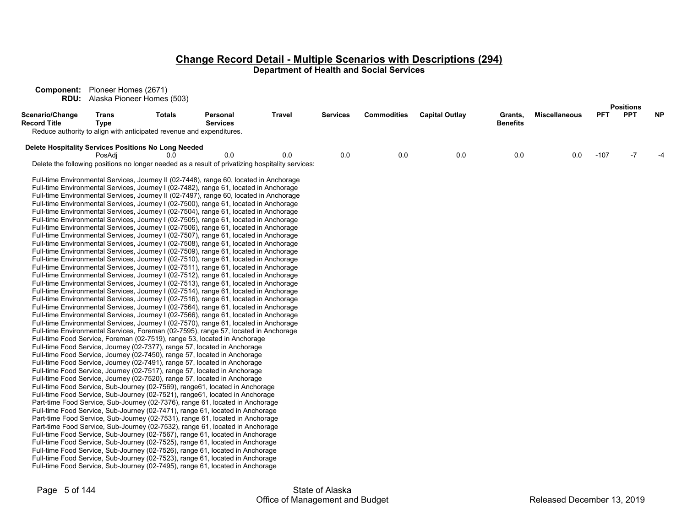**Component:** Pioneer Homes (2671) **RDU:** Alaska Pioneer Homes (503)

**PositionsScenario/Change Record TitleTransType Totals PersonalServicesTravel Services Commodities Capital Outlay Grants, BenefitsMiscellaneous PFT PPT NP**Reduce authority to align with anticipated revenue and expenditures. **Delete Hospitality Services Positions No Long Needed**<br>0.0 0.0 PosAdj 0.0 0.0 0.0 0.0 0.0 0.0 0.0 0.0 -107 -7 -4 Delete the following positions no longer needed as a result of privatizing hospitality services: Full-time Environmental Services, Journey II (02-7448), range 60, located in Anchorage Full-time Environmental Services, Journey I (02-7482), range 61, located in Anchorage Full-time Environmental Services, Journey II (02-7497), range 60, located in Anchorage Full-time Environmental Services, Journey I (02-7500), range 61, located in Anchorage Full-time Environmental Services, Journey I (02-7504), range 61, located in Anchorage Full-time Environmental Services, Journey I (02-7505), range 61, located in Anchorage Full-time Environmental Services, Journey I (02-7506), range 61, located in Anchorage Full-time Environmental Services, Journey I (02-7507), range 61, located in Anchorage Full-time Environmental Services, Journey I (02-7508), range 61, located in Anchorage Full-time Environmental Services, Journey I (02-7509), range 61, located in Anchorage Full-time Environmental Services, Journey I (02-7510), range 61, located in Anchorage Full-time Environmental Services, Journey I (02-7511), range 61, located in Anchorage Full-time Environmental Services, Journey I (02-7512), range 61, located in Anchorage Full-time Environmental Services, Journey I (02-7513), range 61, located in Anchorage Full-time Environmental Services, Journey I (02-7514), range 61, located in Anchorage Full-time Environmental Services, Journey I (02-7516), range 61, located in Anchorage Full-time Environmental Services, Journey I (02-7564), range 61, located in Anchorage Full-time Environmental Services, Journey I (02-7566), range 61, located in Anchorage Full-time Environmental Services, Journey I (02-7570), range 61, located in Anchorage Full-time Environmental Services, Foreman (02-7595), range 57, located in Anchorage Full-time Food Service, Foreman (02-7519), range 53, located in Anchorage Full-time Food Service, Journey (02-7377), range 57, located in Anchorage Full-time Food Service, Journey (02-7450), range 57, located in Anchorage Full-time Food Service, Journey (02-7491), range 57, located in Anchorage Full-time Food Service, Journey (02-7517), range 57, located in Anchorage Full-time Food Service, Journey (02-7520), range 57, located in Anchorage Full-time Food Service, Sub-Journey (02-7569), range61, located in Anchorage Full-time Food Service, Sub-Journey (02-7521), range61, located in Anchorage Part-time Food Service, Sub-Journey (02-7376), range 61, located in Anchorage Full-time Food Service, Sub-Journey (02-7471), range 61, located in Anchorage Part-time Food Service, Sub-Journey (02-7531), range 61, located in Anchorage Part-time Food Service, Sub-Journey (02-7532), range 61, located in Anchorage Full-time Food Service, Sub-Journey (02-7567), range 61, located in Anchorage Full-time Food Service, Sub-Journey (02-7525), range 61, located in Anchorage Full-time Food Service, Sub-Journey (02-7526), range 61, located in Anchorage Full-time Food Service, Sub-Journey (02-7523), range 61, located in Anchorage Full-time Food Service, Sub-Journey (02-7495), range 61, located in Anchorage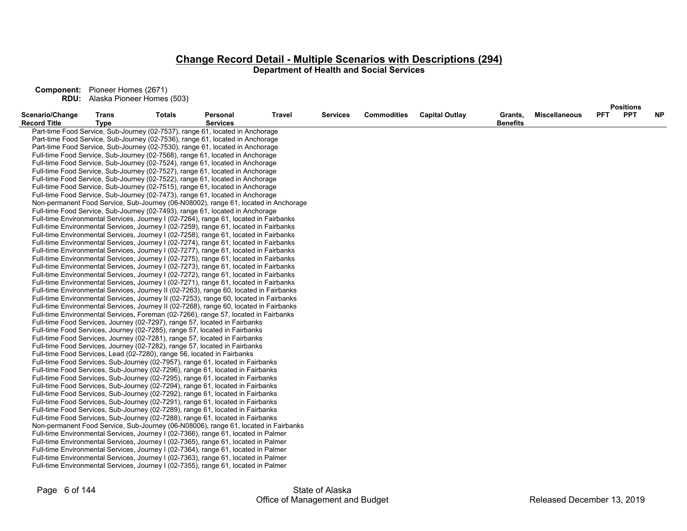|                                        |                             |               |                                                                                        |        |          |                    |                       |                            |                      |            | <b>Positions</b> |           |
|----------------------------------------|-----------------------------|---------------|----------------------------------------------------------------------------------------|--------|----------|--------------------|-----------------------|----------------------------|----------------------|------------|------------------|-----------|
| Scenario/Change<br><b>Record Title</b> | <b>Trans</b><br><b>Type</b> | <b>Totals</b> | Personal<br><b>Services</b>                                                            | Travel | Services | <b>Commodities</b> | <b>Capital Outlay</b> | Grants,<br><b>Benefits</b> | <b>Miscellaneous</b> | <b>PFT</b> | <b>PPT</b>       | <b>NP</b> |
|                                        |                             |               | Part-time Food Service, Sub-Journey (02-7537), range 61, located in Anchorage          |        |          |                    |                       |                            |                      |            |                  |           |
|                                        |                             |               | Part-time Food Service, Sub-Journey (02-7536), range 61, located in Anchorage          |        |          |                    |                       |                            |                      |            |                  |           |
|                                        |                             |               | Part-time Food Service, Sub-Journey (02-7530), range 61, located in Anchorage          |        |          |                    |                       |                            |                      |            |                  |           |
|                                        |                             |               | Full-time Food Service, Sub-Journey (02-7568), range 61, located in Anchorage          |        |          |                    |                       |                            |                      |            |                  |           |
|                                        |                             |               | Full-time Food Service, Sub-Journey (02-7524), range 61, located in Anchorage          |        |          |                    |                       |                            |                      |            |                  |           |
|                                        |                             |               | Full-time Food Service, Sub-Journey (02-7527), range 61, located in Anchorage          |        |          |                    |                       |                            |                      |            |                  |           |
|                                        |                             |               | Full-time Food Service, Sub-Journey (02-7522), range 61, located in Anchorage          |        |          |                    |                       |                            |                      |            |                  |           |
|                                        |                             |               | Full-time Food Service, Sub-Journey (02-7515), range 61, located in Anchorage          |        |          |                    |                       |                            |                      |            |                  |           |
|                                        |                             |               | Full-time Food Service, Sub-Journey (02-7473), range 61, located in Anchorage          |        |          |                    |                       |                            |                      |            |                  |           |
|                                        |                             |               | Non-permanent Food Service, Sub-Journey (06-N08002), range 61, located in Anchorage    |        |          |                    |                       |                            |                      |            |                  |           |
|                                        |                             |               | Full-time Food Service, Sub-Journey (02-7493), range 61, located in Anchorage          |        |          |                    |                       |                            |                      |            |                  |           |
|                                        |                             |               | Full-time Environmental Services, Journey I (02-7264), range 61, located in Fairbanks  |        |          |                    |                       |                            |                      |            |                  |           |
|                                        |                             |               | Full-time Environmental Services, Journey I (02-7259), range 61, located in Fairbanks  |        |          |                    |                       |                            |                      |            |                  |           |
|                                        |                             |               | Full-time Environmental Services, Journey I (02-7258), range 61, located in Fairbanks  |        |          |                    |                       |                            |                      |            |                  |           |
|                                        |                             |               | Full-time Environmental Services, Journey I (02-7274), range 61, located in Fairbanks  |        |          |                    |                       |                            |                      |            |                  |           |
|                                        |                             |               | Full-time Environmental Services, Journey I (02-7277), range 61, located in Fairbanks  |        |          |                    |                       |                            |                      |            |                  |           |
|                                        |                             |               | Full-time Environmental Services, Journey I (02-7275), range 61, located in Fairbanks  |        |          |                    |                       |                            |                      |            |                  |           |
|                                        |                             |               | Full-time Environmental Services, Journey I (02-7273), range 61, located in Fairbanks  |        |          |                    |                       |                            |                      |            |                  |           |
|                                        |                             |               | Full-time Environmental Services, Journey I (02-7272), range 61, located in Fairbanks  |        |          |                    |                       |                            |                      |            |                  |           |
|                                        |                             |               | Full-time Environmental Services, Journey I (02-7271), range 61, located in Fairbanks  |        |          |                    |                       |                            |                      |            |                  |           |
|                                        |                             |               | Full-time Environmental Services, Journey II (02-7263), range 60, located in Fairbanks |        |          |                    |                       |                            |                      |            |                  |           |
|                                        |                             |               | Full-time Environmental Services, Journey II (02-7253), range 60, located in Fairbanks |        |          |                    |                       |                            |                      |            |                  |           |
|                                        |                             |               | Full-time Environmental Services, Journey II (02-7268), range 60, located in Fairbanks |        |          |                    |                       |                            |                      |            |                  |           |
|                                        |                             |               | Full-time Environmental Services, Foreman (02-7266), range 57, located in Fairbanks    |        |          |                    |                       |                            |                      |            |                  |           |
|                                        |                             |               | Full-time Food Services, Journey (02-7297), range 57, located in Fairbanks             |        |          |                    |                       |                            |                      |            |                  |           |
|                                        |                             |               | Full-time Food Services, Journey (02-7285), range 57, located in Fairbanks             |        |          |                    |                       |                            |                      |            |                  |           |
|                                        |                             |               | Full-time Food Services, Journey (02-7281), range 57, located in Fairbanks             |        |          |                    |                       |                            |                      |            |                  |           |
|                                        |                             |               | Full-time Food Services, Journey (02-7282), range 57, located in Fairbanks             |        |          |                    |                       |                            |                      |            |                  |           |
|                                        |                             |               | Full-time Food Services, Lead (02-7280), range 56, located in Fairbanks                |        |          |                    |                       |                            |                      |            |                  |           |
|                                        |                             |               | Full-time Food Services, Sub-Journey (02-7957), range 61, located in Fairbanks         |        |          |                    |                       |                            |                      |            |                  |           |
|                                        |                             |               | Full-time Food Services, Sub-Journey (02-7296), range 61, located in Fairbanks         |        |          |                    |                       |                            |                      |            |                  |           |
|                                        |                             |               | Full-time Food Services, Sub-Journey (02-7295), range 61, located in Fairbanks         |        |          |                    |                       |                            |                      |            |                  |           |
|                                        |                             |               | Full-time Food Services, Sub-Journey (02-7294), range 61, located in Fairbanks         |        |          |                    |                       |                            |                      |            |                  |           |
|                                        |                             |               | Full-time Food Services, Sub-Journey (02-7292), range 61, located in Fairbanks         |        |          |                    |                       |                            |                      |            |                  |           |
|                                        |                             |               | Full-time Food Services, Sub-Journey (02-7291), range 61, located in Fairbanks         |        |          |                    |                       |                            |                      |            |                  |           |
|                                        |                             |               | Full-time Food Services, Sub-Journey (02-7289), range 61, located in Fairbanks         |        |          |                    |                       |                            |                      |            |                  |           |
|                                        |                             |               | Full-time Food Services, Sub-Journey (02-7288), range 61, located in Fairbanks         |        |          |                    |                       |                            |                      |            |                  |           |
|                                        |                             |               | Non-permanent Food Service, Sub-Journey (06-N08006), range 61, located in Fairbanks    |        |          |                    |                       |                            |                      |            |                  |           |
|                                        |                             |               | Full-time Environmental Services, Journey I (02-7366), range 61, located in Palmer     |        |          |                    |                       |                            |                      |            |                  |           |
|                                        |                             |               | Full-time Environmental Services, Journey I (02-7365), range 61, located in Palmer     |        |          |                    |                       |                            |                      |            |                  |           |
|                                        |                             |               | Full-time Environmental Services, Journey I (02-7364), range 61, located in Palmer     |        |          |                    |                       |                            |                      |            |                  |           |
|                                        |                             |               | Full-time Environmental Services, Journey I (02-7363), range 61, located in Palmer     |        |          |                    |                       |                            |                      |            |                  |           |
|                                        |                             |               | Full-time Environmental Services, Journey I (02-7355), range 61, located in Palmer     |        |          |                    |                       |                            |                      |            |                  |           |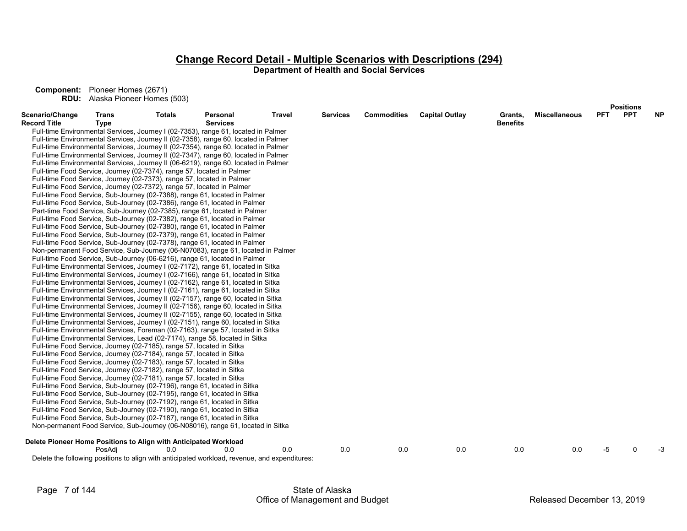|                                                                  |                             |                                                                       |                                                                                               |               |                 |                    |                       |                            |                      |            | <b>Positions</b> |           |
|------------------------------------------------------------------|-----------------------------|-----------------------------------------------------------------------|-----------------------------------------------------------------------------------------------|---------------|-----------------|--------------------|-----------------------|----------------------------|----------------------|------------|------------------|-----------|
| Scenario/Change<br><b>Record Title</b>                           | <b>Trans</b><br><b>Type</b> | <b>Totals</b>                                                         | Personal<br><b>Services</b>                                                                   | <b>Travel</b> | <b>Services</b> | <b>Commodities</b> | <b>Capital Outlay</b> | Grants,<br><b>Benefits</b> | <b>Miscellaneous</b> | <b>PFT</b> | <b>PPT</b>       | <b>NP</b> |
|                                                                  |                             |                                                                       | Full-time Environmental Services, Journey I (02-7353), range 61, located in Palmer            |               |                 |                    |                       |                            |                      |            |                  |           |
|                                                                  |                             |                                                                       | Full-time Environmental Services, Journey II (02-7358), range 60, located in Palmer           |               |                 |                    |                       |                            |                      |            |                  |           |
|                                                                  |                             |                                                                       | Full-time Environmental Services, Journey II (02-7354), range 60, located in Palmer           |               |                 |                    |                       |                            |                      |            |                  |           |
|                                                                  |                             |                                                                       | Full-time Environmental Services, Journey II (02-7347), range 60, located in Palmer           |               |                 |                    |                       |                            |                      |            |                  |           |
|                                                                  |                             |                                                                       | Full-time Environmental Services, Journey II (06-6219), range 60, located in Palmer           |               |                 |                    |                       |                            |                      |            |                  |           |
|                                                                  |                             |                                                                       | Full-time Food Service, Journey (02-7374), range 57, located in Palmer                        |               |                 |                    |                       |                            |                      |            |                  |           |
|                                                                  |                             |                                                                       | Full-time Food Service, Journey (02-7373), range 57, located in Palmer                        |               |                 |                    |                       |                            |                      |            |                  |           |
|                                                                  |                             |                                                                       | Full-time Food Service, Journey (02-7372), range 57, located in Palmer                        |               |                 |                    |                       |                            |                      |            |                  |           |
|                                                                  |                             |                                                                       | Full-time Food Service, Sub-Journey (02-7388), range 61, located in Palmer                    |               |                 |                    |                       |                            |                      |            |                  |           |
|                                                                  |                             |                                                                       | Full-time Food Service, Sub-Journey (02-7386), range 61, located in Palmer                    |               |                 |                    |                       |                            |                      |            |                  |           |
|                                                                  |                             |                                                                       | Part-time Food Service, Sub-Journey (02-7385), range 61, located in Palmer                    |               |                 |                    |                       |                            |                      |            |                  |           |
|                                                                  |                             |                                                                       | Full-time Food Service, Sub-Journey (02-7382), range 61, located in Palmer                    |               |                 |                    |                       |                            |                      |            |                  |           |
|                                                                  |                             |                                                                       | Full-time Food Service, Sub-Journey (02-7380), range 61, located in Palmer                    |               |                 |                    |                       |                            |                      |            |                  |           |
|                                                                  |                             |                                                                       | Full-time Food Service, Sub-Journey (02-7379), range 61, located in Palmer                    |               |                 |                    |                       |                            |                      |            |                  |           |
|                                                                  |                             |                                                                       | Full-time Food Service, Sub-Journey (02-7378), range 61, located in Palmer                    |               |                 |                    |                       |                            |                      |            |                  |           |
|                                                                  |                             |                                                                       | Non-permanent Food Service, Sub-Journey (06-N07083), range 61, located in Palmer              |               |                 |                    |                       |                            |                      |            |                  |           |
|                                                                  |                             |                                                                       | Full-time Food Service, Sub-Journey (06-6216), range 61, located in Palmer                    |               |                 |                    |                       |                            |                      |            |                  |           |
|                                                                  |                             |                                                                       | Full-time Environmental Services, Journey I (02-7172), range 61, located in Sitka             |               |                 |                    |                       |                            |                      |            |                  |           |
|                                                                  |                             |                                                                       | Full-time Environmental Services, Journey I (02-7166), range 61, located in Sitka             |               |                 |                    |                       |                            |                      |            |                  |           |
|                                                                  |                             |                                                                       | Full-time Environmental Services, Journey I (02-7162), range 61, located in Sitka             |               |                 |                    |                       |                            |                      |            |                  |           |
|                                                                  |                             |                                                                       | Full-time Environmental Services, Journey I (02-7161), range 61, located in Sitka             |               |                 |                    |                       |                            |                      |            |                  |           |
|                                                                  |                             |                                                                       | Full-time Environmental Services, Journey II (02-7157), range 60, located in Sitka            |               |                 |                    |                       |                            |                      |            |                  |           |
|                                                                  |                             |                                                                       | Full-time Environmental Services, Journey II (02-7156), range 60, located in Sitka            |               |                 |                    |                       |                            |                      |            |                  |           |
|                                                                  |                             |                                                                       | Full-time Environmental Services, Journey II (02-7155), range 60, located in Sitka            |               |                 |                    |                       |                            |                      |            |                  |           |
|                                                                  |                             |                                                                       | Full-time Environmental Services, Journey I (02-7151), range 60, located in Sitka             |               |                 |                    |                       |                            |                      |            |                  |           |
|                                                                  |                             |                                                                       | Full-time Environmental Services, Foreman (02-7163), range 57, located in Sitka               |               |                 |                    |                       |                            |                      |            |                  |           |
|                                                                  |                             |                                                                       | Full-time Environmental Services, Lead (02-7174), range 58, located in Sitka                  |               |                 |                    |                       |                            |                      |            |                  |           |
|                                                                  |                             | Full-time Food Service, Journey (02-7185), range 57, located in Sitka |                                                                                               |               |                 |                    |                       |                            |                      |            |                  |           |
|                                                                  |                             | Full-time Food Service, Journey (02-7184), range 57, located in Sitka |                                                                                               |               |                 |                    |                       |                            |                      |            |                  |           |
|                                                                  |                             | Full-time Food Service, Journey (02-7183), range 57, located in Sitka |                                                                                               |               |                 |                    |                       |                            |                      |            |                  |           |
|                                                                  |                             | Full-time Food Service, Journey (02-7182), range 57, located in Sitka |                                                                                               |               |                 |                    |                       |                            |                      |            |                  |           |
|                                                                  |                             | Full-time Food Service, Journey (02-7181), range 57, located in Sitka |                                                                                               |               |                 |                    |                       |                            |                      |            |                  |           |
|                                                                  |                             |                                                                       | Full-time Food Service, Sub-Journey (02-7196), range 61, located in Sitka                     |               |                 |                    |                       |                            |                      |            |                  |           |
|                                                                  |                             |                                                                       | Full-time Food Service, Sub-Journey (02-7195), range 61, located in Sitka                     |               |                 |                    |                       |                            |                      |            |                  |           |
|                                                                  |                             |                                                                       | Full-time Food Service, Sub-Journey (02-7192), range 61, located in Sitka                     |               |                 |                    |                       |                            |                      |            |                  |           |
|                                                                  |                             |                                                                       | Full-time Food Service, Sub-Journey (02-7190), range 61, located in Sitka                     |               |                 |                    |                       |                            |                      |            |                  |           |
|                                                                  |                             |                                                                       | Full-time Food Service, Sub-Journey (02-7187), range 61, located in Sitka                     |               |                 |                    |                       |                            |                      |            |                  |           |
|                                                                  |                             |                                                                       | Non-permanent Food Service, Sub-Journey (06-N08016), range 61, located in Sitka               |               |                 |                    |                       |                            |                      |            |                  |           |
| Delete Pioneer Home Positions to Align with Anticipated Workload |                             |                                                                       |                                                                                               |               |                 |                    |                       |                            |                      |            |                  |           |
|                                                                  | PosAdi                      | 0.0                                                                   | 0.0                                                                                           | 0.0           | 0.0             | 0.0                | 0.0                   | 0.0                        | 0.0                  | -5         | U                | -3        |
|                                                                  |                             |                                                                       | Delete the following positions to align with anticipated workload, revenue, and expenditures: |               |                 |                    |                       |                            |                      |            |                  |           |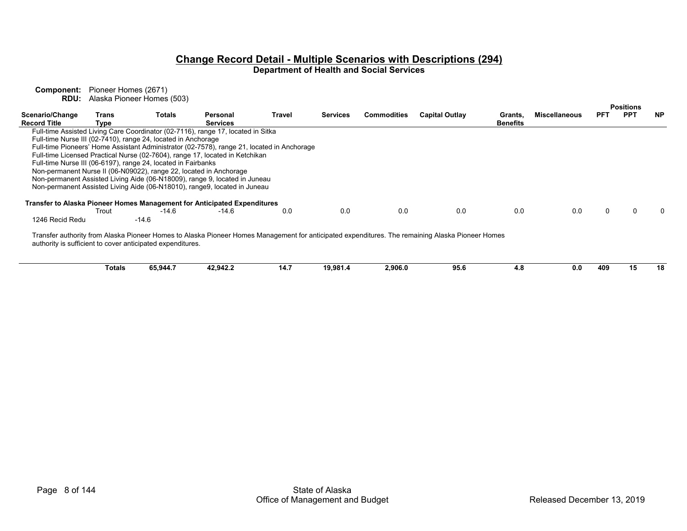|                                        |               |                                                               |                                                                                            |        |                 |                    |                                                                                                                                                  |                 |                      |            | <b>Positions</b> |           |
|----------------------------------------|---------------|---------------------------------------------------------------|--------------------------------------------------------------------------------------------|--------|-----------------|--------------------|--------------------------------------------------------------------------------------------------------------------------------------------------|-----------------|----------------------|------------|------------------|-----------|
| Scenario/Change<br><b>Record Title</b> | Trans         | Totals                                                        | Personal<br><b>Services</b>                                                                | Travel | <b>Services</b> | <b>Commodities</b> | <b>Capital Outlay</b>                                                                                                                            | Grants,         | <b>Miscellaneous</b> | <b>PFT</b> | <b>PPT</b>       | <b>NP</b> |
|                                        | Type          |                                                               |                                                                                            |        |                 |                    |                                                                                                                                                  | <b>Benefits</b> |                      |            |                  |           |
|                                        |               |                                                               | Full-time Assisted Living Care Coordinator (02-7116), range 17, located in Sitka           |        |                 |                    |                                                                                                                                                  |                 |                      |            |                  |           |
|                                        |               | Full-time Nurse III (02-7410), range 24, located in Anchorage |                                                                                            |        |                 |                    |                                                                                                                                                  |                 |                      |            |                  |           |
|                                        |               |                                                               | Full-time Pioneers' Home Assistant Administrator (02-7578), range 21, located in Anchorage |        |                 |                    |                                                                                                                                                  |                 |                      |            |                  |           |
|                                        |               |                                                               | Full-time Licensed Practical Nurse (02-7604), range 17, located in Ketchikan               |        |                 |                    |                                                                                                                                                  |                 |                      |            |                  |           |
|                                        |               | Full-time Nurse III (06-6197), range 24, located in Fairbanks |                                                                                            |        |                 |                    |                                                                                                                                                  |                 |                      |            |                  |           |
|                                        |               |                                                               | Non-permanent Nurse II (06-N09022), range 22, located in Anchorage                         |        |                 |                    |                                                                                                                                                  |                 |                      |            |                  |           |
|                                        |               |                                                               | Non-permanent Assisted Living Aide (06-N18009), range 9, located in Juneau                 |        |                 |                    |                                                                                                                                                  |                 |                      |            |                  |           |
|                                        |               |                                                               | Non-permanent Assisted Living Aide (06-N18010), range9, located in Juneau                  |        |                 |                    |                                                                                                                                                  |                 |                      |            |                  |           |
|                                        |               |                                                               |                                                                                            |        |                 |                    |                                                                                                                                                  |                 |                      |            |                  |           |
|                                        |               |                                                               | Transfer to Alaska Pioneer Homes Management for Anticipated Expenditures                   |        |                 |                    |                                                                                                                                                  |                 |                      |            |                  |           |
|                                        | Trout         | $-14.6$                                                       | $-14.6$                                                                                    | 0.0    | 0.0             | 0.0                | 0.0                                                                                                                                              | 0.0             | 0.0                  | 0          |                  |           |
|                                        |               |                                                               |                                                                                            |        |                 |                    |                                                                                                                                                  |                 |                      |            |                  |           |
| 1246 Recid Redu                        |               | $-14.6$                                                       |                                                                                            |        |                 |                    |                                                                                                                                                  |                 |                      |            |                  |           |
|                                        |               |                                                               |                                                                                            |        |                 |                    |                                                                                                                                                  |                 |                      |            |                  |           |
|                                        |               |                                                               |                                                                                            |        |                 |                    | Transfer authority from Alaska Pioneer Homes to Alaska Pioneer Homes Management for anticipated expenditures. The remaining Alaska Pioneer Homes |                 |                      |            |                  |           |
|                                        |               | authority is sufficient to cover anticipated expenditures.    |                                                                                            |        |                 |                    |                                                                                                                                                  |                 |                      |            |                  |           |
|                                        |               |                                                               |                                                                                            |        |                 |                    |                                                                                                                                                  |                 |                      |            |                  |           |
|                                        |               |                                                               |                                                                                            |        |                 |                    |                                                                                                                                                  |                 |                      |            |                  |           |
|                                        | <b>Totals</b> | 65,944.7                                                      | 42,942.2                                                                                   | 14.7   | 19,981.4        | 2,906.0            | 95.6                                                                                                                                             | 4.8             | 0.0                  | 409        | 15               | 18        |
|                                        |               |                                                               |                                                                                            |        |                 |                    |                                                                                                                                                  |                 |                      |            |                  |           |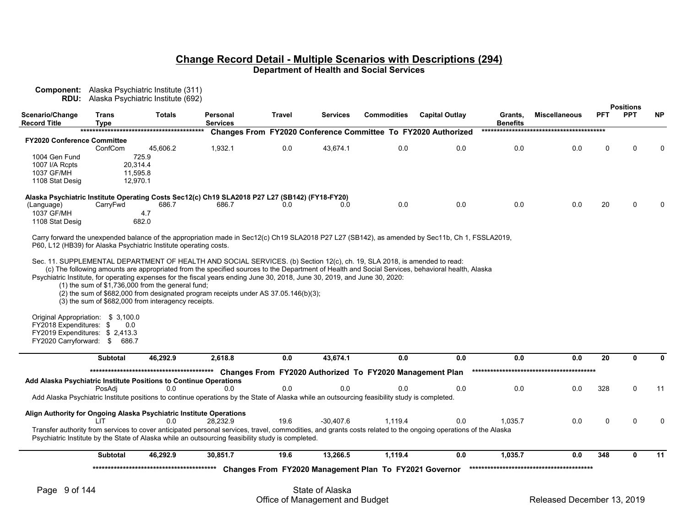**Component:** Alaska Psychiatric Institute (311) **RDU:** Alaska Psychiatric Institute (692)

| Scenario/Change<br>Record Title    | Trans<br>Type | Totals   | Personal<br><b>Services</b>                                                                    | Travel | <b>Services</b> | <b>Commodities</b> | <b>Capital Outlay</b>                                                | Grants,<br><b>Benefits</b> | <b>Miscellaneous</b> | <b>PFT</b> | <b>PPT</b> | <b>NP</b>   |
|------------------------------------|---------------|----------|------------------------------------------------------------------------------------------------|--------|-----------------|--------------------|----------------------------------------------------------------------|----------------------------|----------------------|------------|------------|-------------|
|                                    |               |          |                                                                                                |        |                 |                    | <b>Changes From FY2020 Conference Committee To FY2020 Authorized</b> |                            |                      |            |            |             |
| <b>FY2020 Conference Committee</b> |               |          |                                                                                                |        |                 |                    |                                                                      |                            |                      |            |            |             |
|                                    | ConfCom       | 45,606.2 | 1,932.1                                                                                        | 0.0    | 43.674.1        | 0.0                | 0.0                                                                  | 0.0                        | 0.0                  | 0          | 0          | $\mathbf 0$ |
| 1004 Gen Fund                      |               | 725.9    |                                                                                                |        |                 |                    |                                                                      |                            |                      |            |            |             |
| 1007 I/A Rcpts                     | 20,314.4      |          |                                                                                                |        |                 |                    |                                                                      |                            |                      |            |            |             |
| 1037 GF/MH                         | 11.595.8      |          |                                                                                                |        |                 |                    |                                                                      |                            |                      |            |            |             |
| 1108 Stat Desig                    | 12.970.1      |          |                                                                                                |        |                 |                    |                                                                      |                            |                      |            |            |             |
|                                    |               |          | Alaska Psychiatric Institute Operating Costs Sec12(c) Ch19 SLA2018 P27 L27 (SB142) (FY18-FY20) |        |                 |                    |                                                                      |                            |                      |            |            |             |
| (Language)                         | CarryFwd      | 686.7    | 686.7                                                                                          | 0.0    | 0.0             | 0.0                | 0.0                                                                  | 0.0                        | 0.0                  | 20         | 0          | $\Omega$    |
| 1037 GF/MH                         |               | 4.7      |                                                                                                |        |                 |                    |                                                                      |                            |                      |            |            |             |
| 1108 Stat Desig                    |               | 682.0    |                                                                                                |        |                 |                    |                                                                      |                            |                      |            |            |             |

Carry forward the unexpended balance of the appropriation made in Sec12(c) Ch19 SLA2018 P27 L27 (SB142), as amended by Sec11b, Ch 1, FSSLA2019, P60, L12 (HB39) for Alaska Psychiatric Institute operating costs.

Sec. 11. SUPPLEMENTAL DEPARTMENT OF HEALTH AND SOCIAL SERVICES. (b) Section 12(c), ch. 19, SLA 2018, is amended to read:

(c) The following amounts are appropriated from the specified sources to the Department of Health and Social Services, behavioral health, Alaska

Psychiatric Institute, for operating expenses for the fiscal years ending June 30, 2018, June 30, 2019, and June 30, 2020:

(1) the sum of \$1,736,000 from the general fund;

 $(2)$  the sum of \$682,000 from designated program receipts under AS 37.05.146(b)(3);

(3) the sum of \$682,000 from interagency receipts.

Original Appropriation: \$ 3,100.0 FY2018 Expenditures: \$ 0.0 FY2019 Expenditures: \$ 2,413.3 FY2020 Carryforward: \$ 686.7

|                                                                     | <b>Subtotal</b> | 46.292.9 | 2.618.8                                                                                                                                                        | 0.0  | 43.674.1    | 0.0                                                      | 0.0 | 0.0     | 0.0 | 20  | 0   |
|---------------------------------------------------------------------|-----------------|----------|----------------------------------------------------------------------------------------------------------------------------------------------------------------|------|-------------|----------------------------------------------------------|-----|---------|-----|-----|-----|
|                                                                     |                 |          |                                                                                                                                                                |      |             | Changes From FY2020 Authorized To FY2020 Management Plan |     |         |     |     |     |
| Add Alaska Psychiatric Institute Positions to Continue Operations   |                 |          |                                                                                                                                                                |      |             |                                                          |     |         |     |     |     |
|                                                                     | PosAdi          | 0.0      | 0.0                                                                                                                                                            | 0.0  | 0.0         | 0.0                                                      | 0.0 | 0.0     | 0.0 | 328 | 11  |
|                                                                     |                 |          | Add Alaska Psychiatric Institute positions to continue operations by the State of Alaska while an outsourcing feasibility study is completed.                  |      |             |                                                          |     |         |     |     |     |
| Align Authority for Ongoing Alaska Psychiatric Institute Operations |                 |          |                                                                                                                                                                |      |             |                                                          |     |         |     |     |     |
|                                                                     |                 | 0.0      | 28.232.9                                                                                                                                                       | 19.6 | $-30.407.6$ | 1.119.4                                                  | 0.0 | 1.035.7 | 0.0 |     | 0   |
|                                                                     |                 |          | Transfer authority from services to cover anticipated personal services, travel, commodities, and grants costs related to the ongoing operations of the Alaska |      |             |                                                          |     |         |     |     |     |
|                                                                     |                 |          | Psychiatric Institute by the State of Alaska while an outsourcing feasibility study is completed.                                                              |      |             |                                                          |     |         |     |     |     |
|                                                                     | <b>Subtotal</b> | 46.292.9 | 30.851.7                                                                                                                                                       | 19.6 | 13.266.5    | 1.119.4                                                  | 0.0 | 1.035.7 | 0.0 | 348 | -11 |
|                                                                     |                 |          |                                                                                                                                                                |      |             | Changes From FY2020 Management Plan To FY2021 Governor   |     |         |     |     |     |

**Positions**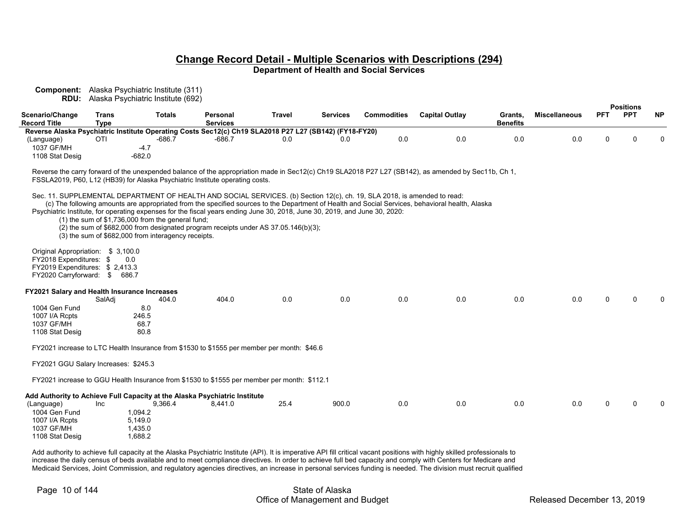**Component:** Alaska Psychiatric Institute (311) **RDU:** Alaska Psychiatric Institute (692)

|                                                     |                             |                                                     |                                                                                                                            |        |                 |                    |                                                                                                                                                     |                            |                      |            | <b>Positions</b> |           |
|-----------------------------------------------------|-----------------------------|-----------------------------------------------------|----------------------------------------------------------------------------------------------------------------------------|--------|-----------------|--------------------|-----------------------------------------------------------------------------------------------------------------------------------------------------|----------------------------|----------------------|------------|------------------|-----------|
| Scenario/Change<br><b>Record Title</b>              | <b>Trans</b><br><b>Type</b> | <b>Totals</b>                                       | Personal<br><b>Services</b>                                                                                                | Travel | <b>Services</b> | <b>Commodities</b> | <b>Capital Outlay</b>                                                                                                                               | Grants,<br><b>Benefits</b> | <b>Miscellaneous</b> | <b>PFT</b> | <b>PPT</b>       | <b>NP</b> |
|                                                     |                             |                                                     | Reverse Alaska Psychiatric Institute Operating Costs Sec12(c) Ch19 SLA2018 P27 L27 (SB142) (FY18-FY20)                     |        |                 |                    |                                                                                                                                                     |                            |                      |            |                  |           |
| (Language)                                          | <b>OTI</b>                  | $-686.7$                                            | $-686.7$                                                                                                                   | 0.0    | 0.0             | 0.0                | 0.0                                                                                                                                                 | 0.0                        | 0.0                  | 0          | ∩                | $\Omega$  |
| 1037 GF/MH                                          |                             | $-4.7$                                              |                                                                                                                            |        |                 |                    |                                                                                                                                                     |                            |                      |            |                  |           |
| 1108 Stat Desig                                     |                             | $-682.0$                                            |                                                                                                                            |        |                 |                    |                                                                                                                                                     |                            |                      |            |                  |           |
|                                                     |                             |                                                     |                                                                                                                            |        |                 |                    | Reverse the carry forward of the unexpended balance of the appropriation made in Sec12(c) Ch19 SLA2018 P27 L27 (SB142), as amended by Sec11b, Ch 1, |                            |                      |            |                  |           |
|                                                     |                             |                                                     | FSSLA2019, P60, L12 (HB39) for Alaska Psychiatric Institute operating costs.                                               |        |                 |                    |                                                                                                                                                     |                            |                      |            |                  |           |
|                                                     |                             |                                                     | Sec. 11. SUPPLEMENTAL DEPARTMENT OF HEALTH AND SOCIAL SERVICES. (b) Section 12(c), ch. 19, SLA 2018, is amended to read:   |        |                 |                    |                                                                                                                                                     |                            |                      |            |                  |           |
|                                                     |                             |                                                     |                                                                                                                            |        |                 |                    | (c) The following amounts are appropriated from the specified sources to the Department of Health and Social Services, behavioral health, Alaska    |                            |                      |            |                  |           |
|                                                     |                             |                                                     | Psychiatric Institute, for operating expenses for the fiscal years ending June 30, 2018, June 30, 2019, and June 30, 2020: |        |                 |                    |                                                                                                                                                     |                            |                      |            |                  |           |
|                                                     |                             | $(1)$ the sum of \$1,736,000 from the general fund; |                                                                                                                            |        |                 |                    |                                                                                                                                                     |                            |                      |            |                  |           |
|                                                     |                             |                                                     | $(2)$ the sum of \$682,000 from designated program receipts under AS 37.05.146(b)(3);                                      |        |                 |                    |                                                                                                                                                     |                            |                      |            |                  |           |
|                                                     |                             | (3) the sum of \$682,000 from interagency receipts. |                                                                                                                            |        |                 |                    |                                                                                                                                                     |                            |                      |            |                  |           |
| Original Appropriation: \$3,100.0                   |                             |                                                     |                                                                                                                            |        |                 |                    |                                                                                                                                                     |                            |                      |            |                  |           |
| FY2018 Expenditures: \$                             |                             | 0.0                                                 |                                                                                                                            |        |                 |                    |                                                                                                                                                     |                            |                      |            |                  |           |
| FY2019 Expenditures: \$2,413.3                      |                             |                                                     |                                                                                                                            |        |                 |                    |                                                                                                                                                     |                            |                      |            |                  |           |
| FY2020 Carryforward: \$ 686.7                       |                             |                                                     |                                                                                                                            |        |                 |                    |                                                                                                                                                     |                            |                      |            |                  |           |
|                                                     |                             |                                                     |                                                                                                                            |        |                 |                    |                                                                                                                                                     |                            |                      |            |                  |           |
| <b>FY2021 Salary and Health Insurance Increases</b> |                             |                                                     |                                                                                                                            |        |                 |                    |                                                                                                                                                     |                            |                      |            |                  |           |
| 1004 Gen Fund                                       | SalAdi                      | 404.0                                               | 404.0                                                                                                                      | 0.0    | 0.0             | 0.0                | 0.0                                                                                                                                                 | 0.0                        | 0.0                  | $\Omega$   |                  |           |
| 1007 I/A Rcpts                                      |                             | 8.0<br>246.5                                        |                                                                                                                            |        |                 |                    |                                                                                                                                                     |                            |                      |            |                  |           |
| 1037 GF/MH                                          |                             | 68.7                                                |                                                                                                                            |        |                 |                    |                                                                                                                                                     |                            |                      |            |                  |           |
| 1108 Stat Desig                                     |                             | 80.8                                                |                                                                                                                            |        |                 |                    |                                                                                                                                                     |                            |                      |            |                  |           |
|                                                     |                             |                                                     |                                                                                                                            |        |                 |                    |                                                                                                                                                     |                            |                      |            |                  |           |
|                                                     |                             |                                                     | FY2021 increase to LTC Health Insurance from \$1530 to \$1555 per member per month: \$46.6                                 |        |                 |                    |                                                                                                                                                     |                            |                      |            |                  |           |
| FY2021 GGU Salary Increases: \$245.3                |                             |                                                     |                                                                                                                            |        |                 |                    |                                                                                                                                                     |                            |                      |            |                  |           |
|                                                     |                             |                                                     |                                                                                                                            |        |                 |                    |                                                                                                                                                     |                            |                      |            |                  |           |
|                                                     |                             |                                                     | FY2021 increase to GGU Health Insurance from \$1530 to \$1555 per member per month: \$112.1                                |        |                 |                    |                                                                                                                                                     |                            |                      |            |                  |           |
|                                                     |                             |                                                     | Add Authority to Achieve Full Capacity at the Alaska Psychiatric Institute                                                 |        |                 |                    |                                                                                                                                                     |                            |                      |            |                  |           |
| (Language)                                          | Inc.                        | 9,366.4                                             | 8,441.0                                                                                                                    | 25.4   | 900.0           | 0.0                | 0.0                                                                                                                                                 | 0.0                        | 0.0                  | 0          |                  |           |
| 1004 Gen Fund                                       |                             | 1,094.2                                             |                                                                                                                            |        |                 |                    |                                                                                                                                                     |                            |                      |            |                  |           |
| 1007 I/A Rcpts                                      |                             | 5,149.0                                             |                                                                                                                            |        |                 |                    |                                                                                                                                                     |                            |                      |            |                  |           |
| 1037 GF/MH                                          |                             | 1,435.0                                             |                                                                                                                            |        |                 |                    |                                                                                                                                                     |                            |                      |            |                  |           |

Add authority to achieve full capacity at the Alaska Psychiatric Institute (API). It is imperative API fill critical vacant positions with highly skilled professionals to increase the daily census of beds available and to meet compliance directives. In order to achieve full bed capacity and comply with Centers for Medicare and Medicaid Services, Joint Commission, and regulatory agencies directives, an increase in personal services funding is needed. The division must recruit qualified

1108 Stat Desig

1037 GF/MH 1,435.0<br>1108 Stat Desig 1.688.2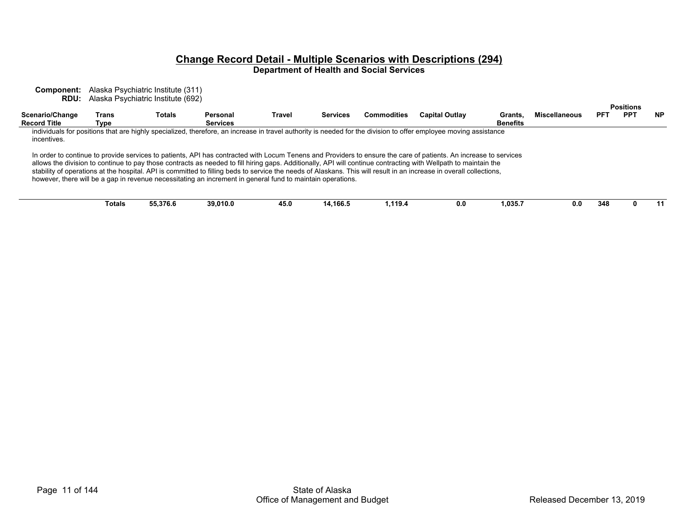**Component:** Alaska Psychiatric Institute (311) **RDU:** Alaska Psychiatric Institute (692)

|                                        |               |          |                                                                                                            |        |                 |                    |                                                                                                                                                                                                                                                                                                                                                                                                                                                                                                            |                            |                      |     | <b>Positions</b> |           |
|----------------------------------------|---------------|----------|------------------------------------------------------------------------------------------------------------|--------|-----------------|--------------------|------------------------------------------------------------------------------------------------------------------------------------------------------------------------------------------------------------------------------------------------------------------------------------------------------------------------------------------------------------------------------------------------------------------------------------------------------------------------------------------------------------|----------------------------|----------------------|-----|------------------|-----------|
| Scenario/Change<br><b>Record Title</b> | Trans<br>Type | Totals   | Personal<br><b>Services</b>                                                                                | Travel | <b>Services</b> | <b>Commodities</b> | <b>Capital Outlay</b>                                                                                                                                                                                                                                                                                                                                                                                                                                                                                      | Grants.<br><b>Benefits</b> | <b>Miscellaneous</b> | PFT | <b>PPT</b>       | <b>NP</b> |
| incentives.                            |               |          |                                                                                                            |        |                 |                    | individuals for positions that are highly specialized, therefore, an increase in travel authority is needed for the division to offer employee moving assistance                                                                                                                                                                                                                                                                                                                                           |                            |                      |     |                  |           |
|                                        |               |          | however, there will be a gap in revenue necessitating an increment in general fund to maintain operations. |        |                 |                    | In order to continue to provide services to patients, API has contracted with Locum Tenens and Providers to ensure the care of patients. An increase to services<br>allows the division to continue to pay those contracts as needed to fill hiring gaps. Additionally, API will continue contracting with Wellpath to maintain the<br>stability of operations at the hospital. API is committed to filling beds to service the needs of Alaskans. This will result in an increase in overall collections, |                            |                      |     |                  |           |
|                                        | Totals        | 55,376.6 | 39.010.0                                                                                                   | 45.0   | 14.166.5        | 1.119.4            | 0.0                                                                                                                                                                                                                                                                                                                                                                                                                                                                                                        | 1.035.7                    | 0.0                  | 348 |                  | -11       |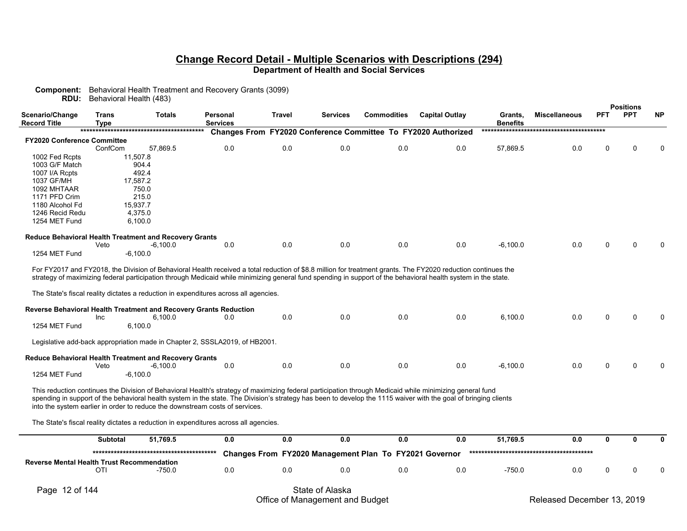**Component:** Behavioral Health Treatment and Recovery Grants (3099) **RDU:** Behavioral Health (483)

|                                                               |                      |               |                                                                                                                                                                                                                                                                                                                             |               |          |                                                        |                                                               |                            |                      |              | <b>Positions</b> |           |
|---------------------------------------------------------------|----------------------|---------------|-----------------------------------------------------------------------------------------------------------------------------------------------------------------------------------------------------------------------------------------------------------------------------------------------------------------------------|---------------|----------|--------------------------------------------------------|---------------------------------------------------------------|----------------------------|----------------------|--------------|------------------|-----------|
| Scenario/Change<br><b>Record Title</b>                        | <b>Trans</b><br>Type | <b>Totals</b> | Personal<br><b>Services</b>                                                                                                                                                                                                                                                                                                 | <b>Travel</b> | Services | <b>Commodities</b>                                     | <b>Capital Outlay</b>                                         | Grants,<br><b>Benefits</b> | <b>Miscellaneous</b> | <b>PFT</b>   | <b>PPT</b>       | <b>NP</b> |
|                                                               |                      |               |                                                                                                                                                                                                                                                                                                                             |               |          |                                                        | Changes From FY2020 Conference Committee To FY2020 Authorized |                            |                      |              |                  |           |
| <b>FY2020 Conference Committee</b>                            |                      |               |                                                                                                                                                                                                                                                                                                                             |               |          |                                                        |                                                               |                            |                      |              |                  |           |
|                                                               | ConfCom              | 57,869.5      | 0.0                                                                                                                                                                                                                                                                                                                         | 0.0           | 0.0      | 0.0                                                    | 0.0                                                           | 57,869.5                   | 0.0                  | 0            | O                |           |
| 1002 Fed Rcpts                                                |                      | 11,507.8      |                                                                                                                                                                                                                                                                                                                             |               |          |                                                        |                                                               |                            |                      |              |                  |           |
| 1003 G/F Match                                                |                      | 904.4         |                                                                                                                                                                                                                                                                                                                             |               |          |                                                        |                                                               |                            |                      |              |                  |           |
| 1007 I/A Rcpts                                                |                      | 492.4         |                                                                                                                                                                                                                                                                                                                             |               |          |                                                        |                                                               |                            |                      |              |                  |           |
| 1037 GF/MH                                                    |                      | 17.587.2      |                                                                                                                                                                                                                                                                                                                             |               |          |                                                        |                                                               |                            |                      |              |                  |           |
| 1092 MHTAAR                                                   |                      | 750.0         |                                                                                                                                                                                                                                                                                                                             |               |          |                                                        |                                                               |                            |                      |              |                  |           |
| 1171 PFD Crim                                                 |                      | 215.0         |                                                                                                                                                                                                                                                                                                                             |               |          |                                                        |                                                               |                            |                      |              |                  |           |
| 1180 Alcohol Fd                                               |                      | 15,937.7      |                                                                                                                                                                                                                                                                                                                             |               |          |                                                        |                                                               |                            |                      |              |                  |           |
| 1246 Recid Redu                                               |                      | 4.375.0       |                                                                                                                                                                                                                                                                                                                             |               |          |                                                        |                                                               |                            |                      |              |                  |           |
| 1254 MET Fund                                                 |                      | 6.100.0       |                                                                                                                                                                                                                                                                                                                             |               |          |                                                        |                                                               |                            |                      |              |                  |           |
| Reduce Behavioral Health Treatment and Recovery Grants        |                      |               |                                                                                                                                                                                                                                                                                                                             |               |          |                                                        |                                                               |                            |                      |              |                  |           |
|                                                               | Veto                 | $-6,100.0$    | 0.0                                                                                                                                                                                                                                                                                                                         | 0.0           | 0.0      | 0.0                                                    | 0.0                                                           | $-6,100.0$                 | 0.0                  | ი            |                  |           |
| 1254 MET Fund                                                 |                      | $-6,100.0$    |                                                                                                                                                                                                                                                                                                                             |               |          |                                                        |                                                               |                            |                      |              |                  |           |
|                                                               |                      |               |                                                                                                                                                                                                                                                                                                                             |               |          |                                                        |                                                               |                            |                      |              |                  |           |
|                                                               |                      |               | For FY2017 and FY2018, the Division of Behavioral Health received a total reduction of \$8.8 million for treatment grants. The FY2020 reduction continues the                                                                                                                                                               |               |          |                                                        |                                                               |                            |                      |              |                  |           |
|                                                               |                      |               | strategy of maximizing federal participation through Medicaid while minimizing general fund spending in support of the behavioral health system in the state.                                                                                                                                                               |               |          |                                                        |                                                               |                            |                      |              |                  |           |
|                                                               |                      |               |                                                                                                                                                                                                                                                                                                                             |               |          |                                                        |                                                               |                            |                      |              |                  |           |
|                                                               |                      |               | The State's fiscal reality dictates a reduction in expenditures across all agencies.                                                                                                                                                                                                                                        |               |          |                                                        |                                                               |                            |                      |              |                  |           |
|                                                               |                      |               |                                                                                                                                                                                                                                                                                                                             |               |          |                                                        |                                                               |                            |                      |              |                  |           |
|                                                               |                      |               | Reverse Behavioral Health Treatment and Recovery Grants Reduction                                                                                                                                                                                                                                                           |               |          |                                                        |                                                               |                            | 0.0                  | U            | n                |           |
|                                                               | Inc                  | 6,100.0       | 0.0                                                                                                                                                                                                                                                                                                                         | 0.0           | 0.0      | 0.0                                                    | 0.0                                                           | 6,100.0                    |                      |              |                  |           |
| 1254 MET Fund                                                 |                      | 6,100.0       |                                                                                                                                                                                                                                                                                                                             |               |          |                                                        |                                                               |                            |                      |              |                  |           |
|                                                               |                      |               | Legislative add-back appropriation made in Chapter 2, SSSLA2019, of HB2001.                                                                                                                                                                                                                                                 |               |          |                                                        |                                                               |                            |                      |              |                  |           |
|                                                               |                      |               |                                                                                                                                                                                                                                                                                                                             |               |          |                                                        |                                                               |                            |                      |              |                  |           |
| <b>Reduce Behavioral Health Treatment and Recovery Grants</b> |                      |               |                                                                                                                                                                                                                                                                                                                             |               |          |                                                        |                                                               |                            |                      |              |                  |           |
|                                                               | Veto                 | $-6,100.0$    | 0.0                                                                                                                                                                                                                                                                                                                         | 0.0           | 0.0      | 0.0                                                    | 0.0                                                           | $-6,100.0$                 | 0.0                  | ი            |                  |           |
| 1254 MET Fund                                                 |                      | $-6,100.0$    |                                                                                                                                                                                                                                                                                                                             |               |          |                                                        |                                                               |                            |                      |              |                  |           |
|                                                               |                      |               |                                                                                                                                                                                                                                                                                                                             |               |          |                                                        |                                                               |                            |                      |              |                  |           |
|                                                               |                      |               | This reduction continues the Division of Behavioral Health's strategy of maximizing federal participation through Medicaid while minimizing general fund<br>spending in support of the behavioral health system in the state. The Division's strategy has been to develop the 1115 waiver with the goal of bringing clients |               |          |                                                        |                                                               |                            |                      |              |                  |           |
|                                                               |                      |               | into the system earlier in order to reduce the downstream costs of services.                                                                                                                                                                                                                                                |               |          |                                                        |                                                               |                            |                      |              |                  |           |
|                                                               |                      |               |                                                                                                                                                                                                                                                                                                                             |               |          |                                                        |                                                               |                            |                      |              |                  |           |
|                                                               |                      |               | The State's fiscal reality dictates a reduction in expenditures across all agencies.                                                                                                                                                                                                                                        |               |          |                                                        |                                                               |                            |                      |              |                  |           |
|                                                               |                      | 51,769.5      | 0.0                                                                                                                                                                                                                                                                                                                         | 0.0           | 0.0      | 0.0                                                    | 0.0                                                           | 51.769.5                   | 0.0                  | $\mathbf{0}$ | $\mathbf{0}$     |           |
|                                                               | <b>Subtotal</b>      |               |                                                                                                                                                                                                                                                                                                                             |               |          |                                                        |                                                               |                            |                      |              |                  |           |
|                                                               |                      |               |                                                                                                                                                                                                                                                                                                                             |               |          | Changes From FY2020 Management Plan To FY2021 Governor |                                                               |                            |                      |              |                  |           |
| <b>Reverse Mental Health Trust Recommendation</b>             |                      |               |                                                                                                                                                                                                                                                                                                                             |               |          |                                                        |                                                               |                            |                      |              |                  |           |
|                                                               | OTI                  | -750.0        | 0.0                                                                                                                                                                                                                                                                                                                         | 0.0           | 0.0      | 0.0                                                    | 0.0                                                           | $-750.0$                   | 0.0                  | U            | ∩                |           |
|                                                               |                      |               |                                                                                                                                                                                                                                                                                                                             |               |          |                                                        |                                                               |                            |                      |              |                  |           |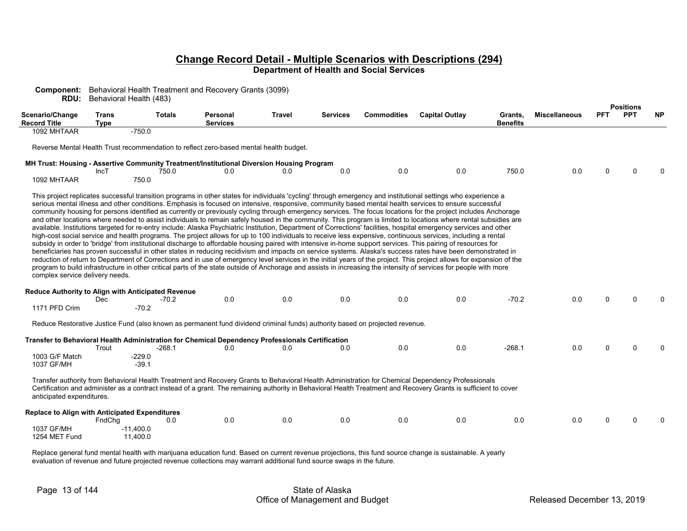| <b>Component:</b> Behavioral Health Treatment and Recovery Grants (3099) |  |
|--------------------------------------------------------------------------|--|
|--------------------------------------------------------------------------|--|

**RDU:** Behavioral Health (483)

|                                                                                      |                             |                                 |                                                                                                                              |        |                 |                    |                                                                                                                                                                                                                                                                                                                                                                                                                                                                                                                                                                                                                                                                                                                                                                                                                                                                                                                                                                                                                                                                                                                                                                                                                                                                                                                                                                                                                                                                                                                                                                                                                                                                                       |                            |                      |            | <b>Positions</b> |           |
|--------------------------------------------------------------------------------------|-----------------------------|---------------------------------|------------------------------------------------------------------------------------------------------------------------------|--------|-----------------|--------------------|---------------------------------------------------------------------------------------------------------------------------------------------------------------------------------------------------------------------------------------------------------------------------------------------------------------------------------------------------------------------------------------------------------------------------------------------------------------------------------------------------------------------------------------------------------------------------------------------------------------------------------------------------------------------------------------------------------------------------------------------------------------------------------------------------------------------------------------------------------------------------------------------------------------------------------------------------------------------------------------------------------------------------------------------------------------------------------------------------------------------------------------------------------------------------------------------------------------------------------------------------------------------------------------------------------------------------------------------------------------------------------------------------------------------------------------------------------------------------------------------------------------------------------------------------------------------------------------------------------------------------------------------------------------------------------------|----------------------------|----------------------|------------|------------------|-----------|
| Scenario/Change<br><b>Record Title</b>                                               | <b>Trans</b><br><b>Type</b> | <b>Totals</b>                   | Personal<br><b>Services</b>                                                                                                  | Travel | <b>Services</b> | <b>Commodities</b> | <b>Capital Outlay</b>                                                                                                                                                                                                                                                                                                                                                                                                                                                                                                                                                                                                                                                                                                                                                                                                                                                                                                                                                                                                                                                                                                                                                                                                                                                                                                                                                                                                                                                                                                                                                                                                                                                                 | Grants,<br><b>Benefits</b> | <b>Miscellaneous</b> | <b>PFT</b> | <b>PPT</b>       | <b>NP</b> |
| 1092 MHTAAR                                                                          |                             | $-750.0$                        |                                                                                                                              |        |                 |                    |                                                                                                                                                                                                                                                                                                                                                                                                                                                                                                                                                                                                                                                                                                                                                                                                                                                                                                                                                                                                                                                                                                                                                                                                                                                                                                                                                                                                                                                                                                                                                                                                                                                                                       |                            |                      |            |                  |           |
|                                                                                      |                             |                                 | Reverse Mental Health Trust recommendation to reflect zero-based mental health budget.                                       |        |                 |                    |                                                                                                                                                                                                                                                                                                                                                                                                                                                                                                                                                                                                                                                                                                                                                                                                                                                                                                                                                                                                                                                                                                                                                                                                                                                                                                                                                                                                                                                                                                                                                                                                                                                                                       |                            |                      |            |                  |           |
|                                                                                      | IncT                        | 750.0                           | MH Trust: Housing - Assertive Community Treatment/Institutional Diversion Housing Program<br>0.0                             | 0.0    | 0.0             | 0.0                | 0.0                                                                                                                                                                                                                                                                                                                                                                                                                                                                                                                                                                                                                                                                                                                                                                                                                                                                                                                                                                                                                                                                                                                                                                                                                                                                                                                                                                                                                                                                                                                                                                                                                                                                                   | 750.0                      | 0.0                  | 0          | n                |           |
| 1092 MHTAAR                                                                          |                             | 750.0                           |                                                                                                                              |        |                 |                    |                                                                                                                                                                                                                                                                                                                                                                                                                                                                                                                                                                                                                                                                                                                                                                                                                                                                                                                                                                                                                                                                                                                                                                                                                                                                                                                                                                                                                                                                                                                                                                                                                                                                                       |                            |                      |            |                  |           |
| complex service delivery needs.                                                      |                             |                                 |                                                                                                                              |        |                 |                    | This project replicates successful transition programs in other states for individuals 'cycling' through emergency and institutional settings who experience a<br>serious mental illness and other conditions. Emphasis is focused on intensive, responsive, community based mental health services to ensure successful<br>community housing for persons identified as currently or previously cycling through emergency services. The focus locations for the project includes Anchorage<br>and other locations where needed to assist individuals to remain safely housed in the community. This program is limited to locations where rental subsidies are<br>available. Institutions targeted for re-entry include: Alaska Psychiatric Institution, Department of Corrections' facilities, hospital emergency services and other<br>high-cost social service and health programs. The project allows for up to 100 individuals to receive less expensive, continuous services, including a rental<br>subsidy in order to 'bridge' from institutional discharge to affordable housing paired with intensive in-home support services. This pairing of resources for<br>beneficiaries has proven successful in other states in reducing recidivism and impacts on service systems. Alaska's success rates have been demonstrated in<br>reduction of return to Department of Corrections and in use of emergency level services in the initial years of the project. This project allows for expansion of the<br>program to build infrastructure in other critical parts of the state outside of Anchorage and assists in increasing the intensity of services for people with more |                            |                      |            |                  |           |
| Reduce Authority to Align with Anticipated Revenue                                   | Dec                         | $-70.2$                         | 0.0                                                                                                                          | 0.0    | 0.0             | 0.0                | 0.0                                                                                                                                                                                                                                                                                                                                                                                                                                                                                                                                                                                                                                                                                                                                                                                                                                                                                                                                                                                                                                                                                                                                                                                                                                                                                                                                                                                                                                                                                                                                                                                                                                                                                   | $-70.2$                    | 0.0                  | 0          |                  |           |
| 1171 PFD Crim                                                                        |                             | $-70.2$                         |                                                                                                                              |        |                 |                    |                                                                                                                                                                                                                                                                                                                                                                                                                                                                                                                                                                                                                                                                                                                                                                                                                                                                                                                                                                                                                                                                                                                                                                                                                                                                                                                                                                                                                                                                                                                                                                                                                                                                                       |                            |                      |            |                  |           |
|                                                                                      |                             |                                 | Reduce Restorative Justice Fund (also known as permanent fund dividend criminal funds) authority based on projected revenue. |        |                 |                    |                                                                                                                                                                                                                                                                                                                                                                                                                                                                                                                                                                                                                                                                                                                                                                                                                                                                                                                                                                                                                                                                                                                                                                                                                                                                                                                                                                                                                                                                                                                                                                                                                                                                                       |                            |                      |            |                  |           |
|                                                                                      |                             |                                 | Transfer to Behavioral Health Administration for Chemical Dependency Professionals Certification                             |        |                 |                    |                                                                                                                                                                                                                                                                                                                                                                                                                                                                                                                                                                                                                                                                                                                                                                                                                                                                                                                                                                                                                                                                                                                                                                                                                                                                                                                                                                                                                                                                                                                                                                                                                                                                                       |                            |                      |            |                  |           |
| 1003 G/F Match<br>1037 GF/MH                                                         | Trout                       | $-268.1$<br>$-229.0$<br>$-39.1$ | 0.0                                                                                                                          | 0.0    | 0.0             | 0.0                | 0.0                                                                                                                                                                                                                                                                                                                                                                                                                                                                                                                                                                                                                                                                                                                                                                                                                                                                                                                                                                                                                                                                                                                                                                                                                                                                                                                                                                                                                                                                                                                                                                                                                                                                                   | $-268.1$                   | 0.0                  | $\Omega$   | n                |           |
| anticipated expenditures.                                                            |                             |                                 |                                                                                                                              |        |                 |                    | Transfer authority from Behavioral Health Treatment and Recovery Grants to Behavioral Health Administration for Chemical Dependency Professionals<br>Certification and administer as a contract instead of a grant. The remaining authority in Behavioral Health Treatment and Recovery Grants is sufficient to cover                                                                                                                                                                                                                                                                                                                                                                                                                                                                                                                                                                                                                                                                                                                                                                                                                                                                                                                                                                                                                                                                                                                                                                                                                                                                                                                                                                 |                            |                      |            |                  |           |
| <b>Replace to Align with Anticipated Expenditures</b><br>1037 GF/MH<br>1254 MET Fund | FndChg<br>$-11,400.0$       | 0.0<br>11.400.0                 | 0.0                                                                                                                          | 0.0    | 0.0             | 0.0                | 0.0                                                                                                                                                                                                                                                                                                                                                                                                                                                                                                                                                                                                                                                                                                                                                                                                                                                                                                                                                                                                                                                                                                                                                                                                                                                                                                                                                                                                                                                                                                                                                                                                                                                                                   | 0.0                        | 0.0                  | 0          |                  |           |

Replace general fund mental health with marijuana education fund. Based on current revenue projections, this fund source change is sustainable. A yearly evaluation of revenue and future projected revenue collections may warrant additional fund source swaps in the future.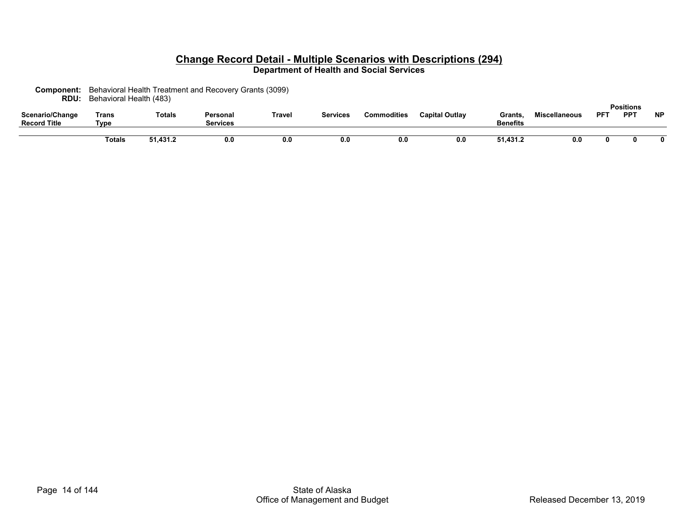**Component:** Behavioral Health Treatment and Recovery Grants (3099) **RDU:** Behavioral Health (483)

| Scenario/Change<br><b>Record Title</b> | Trans<br>Tvpe | <b>Totals</b> | Personal<br><b>Services</b> | Γravel | Services | <b>Commodities</b> | <b>Capital Outlav</b> | Grants.<br><b>Benefits</b> | <b>Miscellaneous</b> | <b>PFT</b> | <b>Positions</b><br><b>PPT</b> | <b>NP</b> |
|----------------------------------------|---------------|---------------|-----------------------------|--------|----------|--------------------|-----------------------|----------------------------|----------------------|------------|--------------------------------|-----------|
|                                        |               |               |                             |        |          |                    |                       |                            |                      |            |                                |           |
|                                        | Гotals        | 51,431.2      | 0.0                         | 0.0    | v.u      | 0.0                | 0.0                   | 51,431.2                   | 0.0                  |            |                                |           |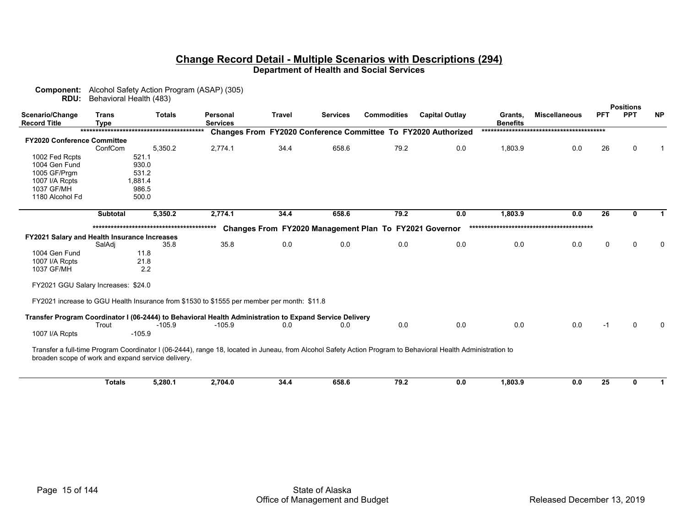| Component:<br>RDU:                           | Behavioral Health (483)     | Alcohol Safety Action Program (ASAP) (305)         |                                                                                                                                                              |        |                 |                                                        |                                                                      |                            |                      |            |                                |           |
|----------------------------------------------|-----------------------------|----------------------------------------------------|--------------------------------------------------------------------------------------------------------------------------------------------------------------|--------|-----------------|--------------------------------------------------------|----------------------------------------------------------------------|----------------------------|----------------------|------------|--------------------------------|-----------|
| Scenario/Change<br><b>Record Title</b>       | <b>Trans</b><br><b>Type</b> | <b>Totals</b>                                      | <b>Personal</b><br><b>Services</b>                                                                                                                           | Travel | <b>Services</b> | <b>Commodities</b>                                     | <b>Capital Outlay</b>                                                | Grants,<br><b>Benefits</b> | <b>Miscellaneous</b> | <b>PFT</b> | <b>Positions</b><br><b>PPT</b> | <b>NP</b> |
|                                              |                             |                                                    |                                                                                                                                                              |        |                 |                                                        | <b>Changes From FY2020 Conference Committee To FY2020 Authorized</b> |                            |                      |            |                                |           |
| FY2020 Conference Committee                  |                             |                                                    |                                                                                                                                                              |        |                 |                                                        |                                                                      |                            |                      |            |                                |           |
|                                              | ConfCom                     | 5,350.2                                            | 2,774.1                                                                                                                                                      | 34.4   | 658.6           | 79.2                                                   | 0.0                                                                  | 1,803.9                    | 0.0                  | 26         | $\Omega$                       |           |
| 1002 Fed Rcpts                               |                             | 521.1                                              |                                                                                                                                                              |        |                 |                                                        |                                                                      |                            |                      |            |                                |           |
| 1004 Gen Fund                                |                             | 930.0                                              |                                                                                                                                                              |        |                 |                                                        |                                                                      |                            |                      |            |                                |           |
| 1005 GF/Prgm                                 |                             | 531.2                                              |                                                                                                                                                              |        |                 |                                                        |                                                                      |                            |                      |            |                                |           |
| 1007 I/A Rcpts                               |                             | 1,881.4                                            |                                                                                                                                                              |        |                 |                                                        |                                                                      |                            |                      |            |                                |           |
| 1037 GF/MH                                   |                             | 986.5                                              |                                                                                                                                                              |        |                 |                                                        |                                                                      |                            |                      |            |                                |           |
| 1180 Alcohol Fd                              |                             | 500.0                                              |                                                                                                                                                              |        |                 |                                                        |                                                                      |                            |                      |            |                                |           |
|                                              | <b>Subtotal</b>             | 5,350.2                                            | 2,774.1                                                                                                                                                      | 34.4   | 658.6           | 79.2                                                   | 0.0                                                                  | 1,803.9                    | 0.0                  | 26         | 0                              |           |
|                                              |                             |                                                    |                                                                                                                                                              |        |                 |                                                        |                                                                      |                            |                      |            |                                |           |
| FY2021 Salary and Health Insurance Increases |                             |                                                    |                                                                                                                                                              |        |                 | Changes From FY2020 Management Plan To FY2021 Governor |                                                                      |                            |                      |            |                                |           |
|                                              | SalAdi                      | 35.8                                               | 35.8                                                                                                                                                         | 0.0    | 0.0             | 0.0                                                    | 0.0                                                                  | 0.0                        | 0.0                  | 0          | $\Omega$                       |           |
| 1004 Gen Fund                                |                             | 11.8                                               |                                                                                                                                                              |        |                 |                                                        |                                                                      |                            |                      |            |                                |           |
| 1007 I/A Rcpts                               |                             | 21.8                                               |                                                                                                                                                              |        |                 |                                                        |                                                                      |                            |                      |            |                                |           |
| 1037 GF/MH                                   |                             | 2.2                                                |                                                                                                                                                              |        |                 |                                                        |                                                                      |                            |                      |            |                                |           |
| FY2021 GGU Salary Increases: \$24.0          |                             |                                                    |                                                                                                                                                              |        |                 |                                                        |                                                                      |                            |                      |            |                                |           |
|                                              |                             |                                                    | FY2021 increase to GGU Health Insurance from \$1530 to \$1555 per member per month: \$11.8                                                                   |        |                 |                                                        |                                                                      |                            |                      |            |                                |           |
|                                              |                             |                                                    | Transfer Program Coordinator I (06-2444) to Behavioral Health Administration to Expand Service Delivery                                                      |        |                 |                                                        |                                                                      |                            |                      |            |                                |           |
|                                              | Trout                       | $-105.9$                                           | $-105.9$                                                                                                                                                     | 0.0    | 0.0             | 0.0                                                    | 0.0                                                                  | 0.0                        | 0.0                  | -1         | $\Omega$                       |           |
| 1007 I/A Rcpts                               |                             | $-105.9$                                           |                                                                                                                                                              |        |                 |                                                        |                                                                      |                            |                      |            |                                |           |
|                                              |                             | broaden scope of work and expand service delivery. | Transfer a full-time Program Coordinator I (06-2444), range 18, located in Juneau, from Alcohol Safety Action Program to Behavioral Health Administration to |        |                 |                                                        |                                                                      |                            |                      |            |                                |           |
|                                              | <b>Totals</b>               | 5,280.1                                            | 2,704.0                                                                                                                                                      | 34.4   | 658.6           | 79.2                                                   | 0.0                                                                  | 1,803.9                    | 0.0                  | 25         | 0                              |           |
|                                              |                             |                                                    |                                                                                                                                                              |        |                 |                                                        |                                                                      |                            |                      |            |                                |           |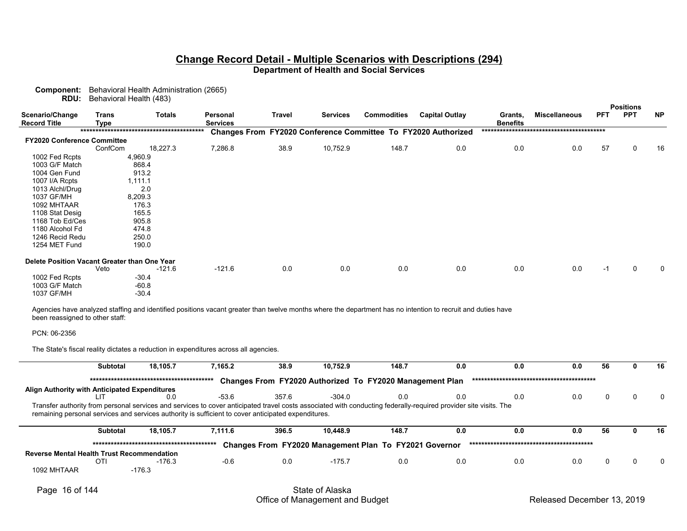**Component:** Behavioral Health Administration (2665) **RDU:** Behavioral Health (483)

|                                              |                             |               |                             |               |                 |                    |                                                                                                                                                             |                            |                      |            | <b>Positions</b> |           |
|----------------------------------------------|-----------------------------|---------------|-----------------------------|---------------|-----------------|--------------------|-------------------------------------------------------------------------------------------------------------------------------------------------------------|----------------------------|----------------------|------------|------------------|-----------|
| Scenario/Change<br><b>Record Title</b>       | <b>Trans</b><br><b>Type</b> | <b>Totals</b> | Personal<br><b>Services</b> | <b>Travel</b> | <b>Services</b> | <b>Commodities</b> | <b>Capital Outlay</b>                                                                                                                                       | Grants,<br><b>Benefits</b> | <b>Miscellaneous</b> | <b>PFT</b> | <b>PPT</b>       | <b>NP</b> |
|                                              |                             |               |                             |               |                 |                    | <b>Changes From FY2020 Conference Committee To FY2020 Authorized</b>                                                                                        |                            |                      |            |                  |           |
| <b>FY2020 Conference Committee</b>           |                             |               |                             |               |                 |                    |                                                                                                                                                             |                            |                      |            |                  |           |
|                                              | ConfCom                     | 18,227.3      | 7,286.8                     | 38.9          | 10,752.9        | 148.7              | 0.0                                                                                                                                                         | 0.0                        | 0.0                  | 57         | 0                | 16        |
| 1002 Fed Rcpts                               | 4,960.9                     |               |                             |               |                 |                    |                                                                                                                                                             |                            |                      |            |                  |           |
| 1003 G/F Match                               |                             | 868.4         |                             |               |                 |                    |                                                                                                                                                             |                            |                      |            |                  |           |
| 1004 Gen Fund                                |                             | 913.2         |                             |               |                 |                    |                                                                                                                                                             |                            |                      |            |                  |           |
| 1007 I/A Rcpts                               | 1,111.1                     |               |                             |               |                 |                    |                                                                                                                                                             |                            |                      |            |                  |           |
| 1013 Alchl/Drug                              |                             | 2.0           |                             |               |                 |                    |                                                                                                                                                             |                            |                      |            |                  |           |
| 1037 GF/MH                                   | 8,209.3                     |               |                             |               |                 |                    |                                                                                                                                                             |                            |                      |            |                  |           |
| 1092 MHTAAR                                  |                             | 176.3         |                             |               |                 |                    |                                                                                                                                                             |                            |                      |            |                  |           |
| 1108 Stat Desig                              |                             | 165.5         |                             |               |                 |                    |                                                                                                                                                             |                            |                      |            |                  |           |
| 1168 Tob Ed/Ces                              |                             | 905.8         |                             |               |                 |                    |                                                                                                                                                             |                            |                      |            |                  |           |
| 1180 Alcohol Fd                              |                             | 474.8         |                             |               |                 |                    |                                                                                                                                                             |                            |                      |            |                  |           |
| 1246 Recid Redu                              |                             | 250.0         |                             |               |                 |                    |                                                                                                                                                             |                            |                      |            |                  |           |
| 1254 MET Fund                                |                             | 190.0         |                             |               |                 |                    |                                                                                                                                                             |                            |                      |            |                  |           |
| Delete Position Vacant Greater than One Year |                             |               |                             |               |                 |                    |                                                                                                                                                             |                            |                      |            |                  |           |
|                                              | Veto                        | $-121.6$      | $-121.6$                    | 0.0           | 0.0             | 0.0                | 0.0                                                                                                                                                         | 0.0                        | 0.0                  | $-1$       | $\mathbf{0}$     | $\Omega$  |
| 1002 Fed Rcpts                               |                             | $-30.4$       |                             |               |                 |                    |                                                                                                                                                             |                            |                      |            |                  |           |
| 1003 G/F Match                               |                             | $-60.8$       |                             |               |                 |                    |                                                                                                                                                             |                            |                      |            |                  |           |
| 1037 GF/MH                                   |                             | $-30.4$       |                             |               |                 |                    |                                                                                                                                                             |                            |                      |            |                  |           |
| been reassigned to other staff:              |                             |               |                             |               |                 |                    | Agencies have analyzed staffing and identified positions vacant greater than twelve months where the department has no intention to recruit and duties have |                            |                      |            |                  |           |
| PCN: 06-2356                                 |                             |               |                             |               |                 |                    |                                                                                                                                                             |                            |                      |            |                  |           |

The State's fiscal reality dictates a reduction in expenditures across all agencies.

|                                                                                                                                                                                                                                                                         | <b>Subtotal</b> | 18.105.7 | 7.165.2 | 38.9  | 10.752.9 | 148.7                                                    | 0.0 | 0.0 | 0.0 | 56 | 16 |
|-------------------------------------------------------------------------------------------------------------------------------------------------------------------------------------------------------------------------------------------------------------------------|-----------------|----------|---------|-------|----------|----------------------------------------------------------|-----|-----|-----|----|----|
|                                                                                                                                                                                                                                                                         |                 |          |         |       |          | Changes From FY2020 Authorized To FY2020 Management Plan |     |     |     |    |    |
| Align Authority with Anticipated Expenditures                                                                                                                                                                                                                           |                 |          |         |       |          |                                                          |     |     |     |    |    |
|                                                                                                                                                                                                                                                                         | l IT            | 0.0      | $-53.6$ | 357.6 | $-304.0$ | 0.0                                                      | 0.0 | 0.0 | 0.0 |    | 0  |
| Transfer authority from personal services and services to cover anticipated travel costs associated with conducting federally-required provider site visits. The<br>remaining personal services and services authority is sufficient to cover anticipated expenditures. |                 |          |         |       |          |                                                          |     |     |     |    |    |
|                                                                                                                                                                                                                                                                         | Subtotal        | 18.105.7 | 7.111.6 | 396.5 | 10.448.9 | 148.7                                                    | 0.0 | 0.0 | 0.0 | 56 | 16 |
|                                                                                                                                                                                                                                                                         |                 |          |         |       |          | Changes From FY2020 Management Plan To FY2021 Governor   |     |     |     |    |    |
| <b>Reverse Mental Health Trust Recommendation</b>                                                                                                                                                                                                                       |                 |          |         |       |          |                                                          |     |     |     |    |    |
|                                                                                                                                                                                                                                                                         | OTI             | $-176.3$ | $-0.6$  | 0.0   | $-175.7$ | 0.0                                                      | 0.0 | 0.0 | 0.0 |    | n  |
| 1092 MHTAAR                                                                                                                                                                                                                                                             |                 | $-176.3$ |         |       |          |                                                          |     |     |     |    |    |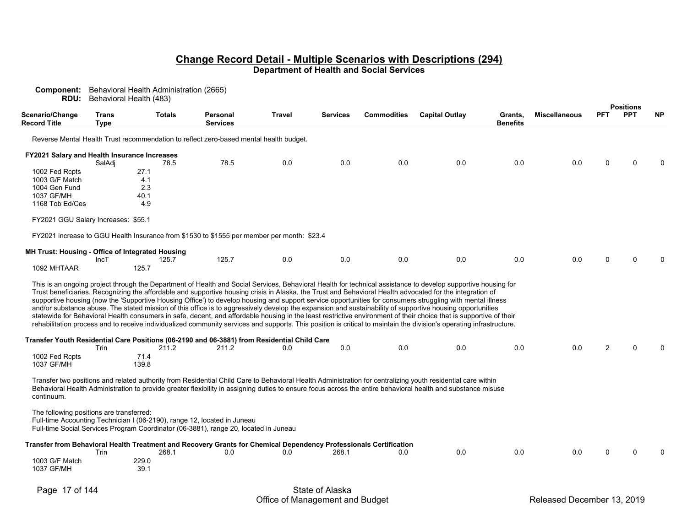| <b>Component:</b> Behavioral Health Administration (2665)<br>RDU:                                                    | Behavioral Health (483)     |               |               |                                                                                                                          |                 |                 |                    |                                                                                                                                                                                                                                                                                                                                                                                                                                                                                                                                                                                                                                                                                                                                                                                                                                                                                                                                                                                                     |                            |                      |            |                                |           |
|----------------------------------------------------------------------------------------------------------------------|-----------------------------|---------------|---------------|--------------------------------------------------------------------------------------------------------------------------|-----------------|-----------------|--------------------|-----------------------------------------------------------------------------------------------------------------------------------------------------------------------------------------------------------------------------------------------------------------------------------------------------------------------------------------------------------------------------------------------------------------------------------------------------------------------------------------------------------------------------------------------------------------------------------------------------------------------------------------------------------------------------------------------------------------------------------------------------------------------------------------------------------------------------------------------------------------------------------------------------------------------------------------------------------------------------------------------------|----------------------------|----------------------|------------|--------------------------------|-----------|
| Scenario/Change<br><b>Record Title</b>                                                                               | <b>Trans</b><br><b>Type</b> |               | <b>Totals</b> | Personal<br><b>Services</b>                                                                                              | Travel          | <b>Services</b> | <b>Commodities</b> | <b>Capital Outlay</b>                                                                                                                                                                                                                                                                                                                                                                                                                                                                                                                                                                                                                                                                                                                                                                                                                                                                                                                                                                               | Grants,<br><b>Benefits</b> | <b>Miscellaneous</b> | <b>PFT</b> | <b>Positions</b><br><b>PPT</b> | <b>NP</b> |
|                                                                                                                      |                             |               |               | Reverse Mental Health Trust recommendation to reflect zero-based mental health budget.                                   |                 |                 |                    |                                                                                                                                                                                                                                                                                                                                                                                                                                                                                                                                                                                                                                                                                                                                                                                                                                                                                                                                                                                                     |                            |                      |            |                                |           |
| FY2021 Salary and Health Insurance Increases                                                                         |                             |               |               |                                                                                                                          |                 |                 |                    |                                                                                                                                                                                                                                                                                                                                                                                                                                                                                                                                                                                                                                                                                                                                                                                                                                                                                                                                                                                                     |                            |                      |            |                                |           |
| 1002 Fed Rcpts                                                                                                       | SalAdj                      | 27.1          | 78.5          | 78.5                                                                                                                     | 0.0             | 0.0             | 0.0                | 0.0                                                                                                                                                                                                                                                                                                                                                                                                                                                                                                                                                                                                                                                                                                                                                                                                                                                                                                                                                                                                 | 0.0                        | 0.0                  | 0          | $\Omega$                       |           |
| 1003 G/F Match                                                                                                       |                             | 4.1           |               |                                                                                                                          |                 |                 |                    |                                                                                                                                                                                                                                                                                                                                                                                                                                                                                                                                                                                                                                                                                                                                                                                                                                                                                                                                                                                                     |                            |                      |            |                                |           |
| 1004 Gen Fund                                                                                                        |                             | 2.3           |               |                                                                                                                          |                 |                 |                    |                                                                                                                                                                                                                                                                                                                                                                                                                                                                                                                                                                                                                                                                                                                                                                                                                                                                                                                                                                                                     |                            |                      |            |                                |           |
| 1037 GF/MH                                                                                                           |                             | 40.1          |               |                                                                                                                          |                 |                 |                    |                                                                                                                                                                                                                                                                                                                                                                                                                                                                                                                                                                                                                                                                                                                                                                                                                                                                                                                                                                                                     |                            |                      |            |                                |           |
| 1168 Tob Ed/Ces                                                                                                      |                             | 4.9           |               |                                                                                                                          |                 |                 |                    |                                                                                                                                                                                                                                                                                                                                                                                                                                                                                                                                                                                                                                                                                                                                                                                                                                                                                                                                                                                                     |                            |                      |            |                                |           |
| FY2021 GGU Salary Increases: \$55.1                                                                                  |                             |               |               |                                                                                                                          |                 |                 |                    |                                                                                                                                                                                                                                                                                                                                                                                                                                                                                                                                                                                                                                                                                                                                                                                                                                                                                                                                                                                                     |                            |                      |            |                                |           |
|                                                                                                                      |                             |               |               | FY2021 increase to GGU Health Insurance from \$1530 to \$1555 per member per month: \$23.4                               |                 |                 |                    |                                                                                                                                                                                                                                                                                                                                                                                                                                                                                                                                                                                                                                                                                                                                                                                                                                                                                                                                                                                                     |                            |                      |            |                                |           |
| MH Trust: Housing - Office of Integrated Housing                                                                     |                             |               |               |                                                                                                                          |                 |                 |                    |                                                                                                                                                                                                                                                                                                                                                                                                                                                                                                                                                                                                                                                                                                                                                                                                                                                                                                                                                                                                     |                            |                      |            |                                |           |
| 1092 MHTAAR                                                                                                          | IncT                        | 125.7         | 125.7         | 125.7                                                                                                                    | 0.0             | 0.0             | 0.0                | 0.0                                                                                                                                                                                                                                                                                                                                                                                                                                                                                                                                                                                                                                                                                                                                                                                                                                                                                                                                                                                                 | 0.0                        | 0.0                  | 0          | $\Omega$                       |           |
|                                                                                                                      |                             |               |               |                                                                                                                          |                 |                 |                    | This is an ongoing project through the Department of Health and Social Services, Behavioral Health for technical assistance to develop supportive housing for<br>Trust beneficiaries. Recognizing the affordable and supportive housing crisis in Alaska, the Trust and Behavioral Health advocated for the integration of<br>supportive housing (now the 'Supportive Housing Office') to develop housing and support service opportunities for consumers struggling with mental illness<br>and/or substance abuse. The stated mission of this office is to aggressively develop the expansion and sustainability of supportive housing opportunities<br>statewide for Behavioral Health consumers in safe, decent, and affordable housing in the least restrictive environment of their choice that is supportive of their<br>rehabilitation process and to receive individualized community services and supports. This position is critical to maintain the division's operating infrastructure. |                            |                      |            |                                |           |
|                                                                                                                      | Trin                        |               | 211.2         | Transfer Youth Residential Care Positions (06-2190 and 06-3881) from Residential Child Care<br>211.2                     | 0.0             | 0.0             | 0.0                | 0.0                                                                                                                                                                                                                                                                                                                                                                                                                                                                                                                                                                                                                                                                                                                                                                                                                                                                                                                                                                                                 | 0.0                        | 0.0                  | 2          | $\Omega$                       |           |
| 1002 Fed Rcpts<br>1037 GF/MH                                                                                         |                             | 71.4<br>139.8 |               |                                                                                                                          |                 |                 |                    |                                                                                                                                                                                                                                                                                                                                                                                                                                                                                                                                                                                                                                                                                                                                                                                                                                                                                                                                                                                                     |                            |                      |            |                                |           |
| continuum.                                                                                                           |                             |               |               |                                                                                                                          |                 |                 |                    | Transfer two positions and related authority from Residential Child Care to Behavioral Health Administration for centralizing youth residential care within<br>Behavioral Health Administration to provide greater flexibility in assigning duties to ensure focus across the entire behavioral health and substance misuse                                                                                                                                                                                                                                                                                                                                                                                                                                                                                                                                                                                                                                                                         |                            |                      |            |                                |           |
| The following positions are transferred:<br>Full-time Accounting Technician I (06-2190), range 12, located in Juneau |                             |               |               | Full-time Social Services Program Coordinator (06-3881), range 20, located in Juneau                                     |                 |                 |                    |                                                                                                                                                                                                                                                                                                                                                                                                                                                                                                                                                                                                                                                                                                                                                                                                                                                                                                                                                                                                     |                            |                      |            |                                |           |
|                                                                                                                      | Trin                        |               | 268.1         | Transfer from Behavioral Health Treatment and Recovery Grants for Chemical Dependency Professionals Certification<br>0.0 | 0.0             | 268.1           | 0.0                | 0.0                                                                                                                                                                                                                                                                                                                                                                                                                                                                                                                                                                                                                                                                                                                                                                                                                                                                                                                                                                                                 | 0.0                        | 0.0                  | U          | ∩                              |           |
| 1003 G/F Match<br>1037 GF/MH                                                                                         |                             | 229.0<br>39.1 |               |                                                                                                                          |                 |                 |                    |                                                                                                                                                                                                                                                                                                                                                                                                                                                                                                                                                                                                                                                                                                                                                                                                                                                                                                                                                                                                     |                            |                      |            |                                |           |
| Page 17 of 144                                                                                                       |                             |               |               |                                                                                                                          | State of Alaska |                 |                    |                                                                                                                                                                                                                                                                                                                                                                                                                                                                                                                                                                                                                                                                                                                                                                                                                                                                                                                                                                                                     |                            |                      |            |                                |           |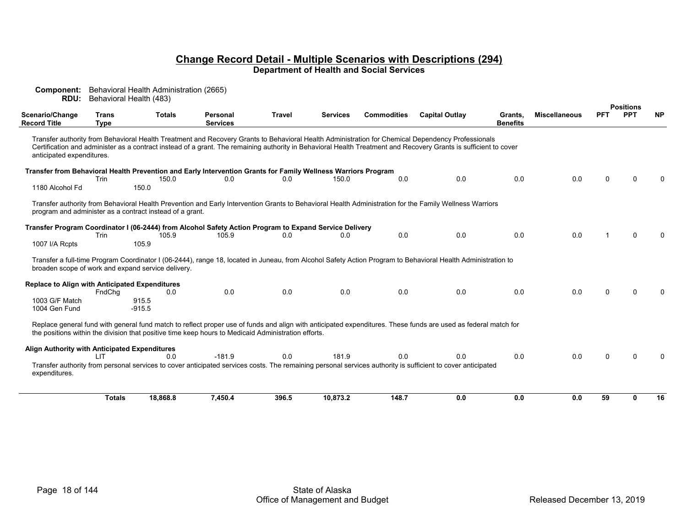**Component:** Behavioral Health Administration (2665) **RDU:** Behavioral Health (483) **PositionsScenario/Change Record Title TransType Totals PersonalServicesTravel Services Commodities Capital Outlay Grants, BenefitsMiscellaneous PFT PPT NP**Transfer authority from Behavioral Health Treatment and Recovery Grants to Behavioral Health Administration for Chemical Dependency Professionals Certification and administer as a contract instead of a grant. The remaining authority in Behavioral Health Treatment and Recovery Grants is sufficient to cover anticipated expenditures. **Transfer from Behavioral Health Prevention and Early Intervention Grants for Family Wellness Warriors Program**<br>Trin 150 0 0 0 0 0 0 0 150 0 Trin 150.0 0.0 0.0 150.0 0.0 0.0 0.0 0.0 0.0 0.0 0 1180 Alcohol Fd 150.0 Transfer authority from Behavioral Health Prevention and Early Intervention Grants to Behavioral Health Administration for the Family Wellness Warriors program and administer as a contract instead of a grant.  **Transfer Program Coordinator I (06-2444) from Alcohol Safety Action Program to Expand Service Delivery**<br>105 9 105 9 105 9 00 0 0 0 0 0 0 1 Trin 105.9 105.9 0.0 0.0 0.0 0.0 0.0 0.0 0.0 0.0 1 0 0 1007 I/A Rcpts 105.9 Transfer a full-time Program Coordinator I (06-2444), range 18, located in Juneau, from Alcohol Safety Action Program to Behavioral Health Administration to broaden scope of work and expand service delivery.  **Replace to Align with Anticipated Expenditures** FndChg 0.0 0.0 0.0 0.0 0.0 0.0 0.0 0.0 0 0 0 1003 G/F Match 915.5  $-915.5$ 1004 Gen Fund Replace general fund with general fund match to reflect proper use of funds and align with anticipated expenditures. These funds are used as federal match for the positions within the division that positive time keep hours to Medicaid Administration efforts.  **Align Authority with Anticipated Expenditures** LIT 0.0 -181.9 0.0 181.9 0.0 0.0 0.0 0.0 0 0 0 Transfer authority from personal services to cover anticipated services costs. The remaining personal services authority is sufficient to cover anticipated expenditures. Totals 18,868.8 7,450.4 396.5 10,873.2 148.7 0.0 0.0 0.0 59 0 16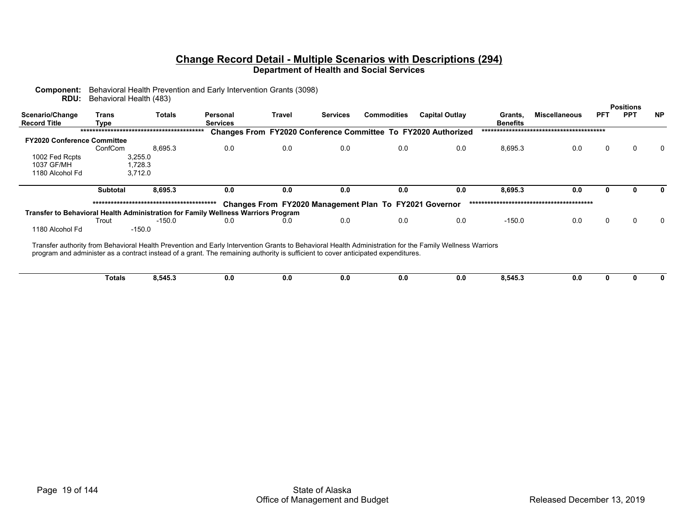| <b>RDU:</b>                            | Behavioral Health (483) |                    |                                                                                                                                                                                                                                                                                              |        |                 |                                                        |                                                               |                            |                      |            |                                |           |
|----------------------------------------|-------------------------|--------------------|----------------------------------------------------------------------------------------------------------------------------------------------------------------------------------------------------------------------------------------------------------------------------------------------|--------|-----------------|--------------------------------------------------------|---------------------------------------------------------------|----------------------------|----------------------|------------|--------------------------------|-----------|
| Scenario/Change<br><b>Record Title</b> | Trans<br>Type           | <b>Totals</b>      | Personal<br><b>Services</b>                                                                                                                                                                                                                                                                  | Travel | <b>Services</b> | <b>Commodities</b>                                     | <b>Capital Outlay</b>                                         | Grants,<br><b>Benefits</b> | <b>Miscellaneous</b> | <b>PFT</b> | <b>Positions</b><br><b>PPT</b> | <b>NP</b> |
|                                        |                         |                    |                                                                                                                                                                                                                                                                                              |        |                 |                                                        | Changes From FY2020 Conference Committee To FY2020 Authorized |                            |                      |            |                                |           |
| <b>FY2020 Conference Committee</b>     |                         |                    |                                                                                                                                                                                                                                                                                              |        |                 |                                                        |                                                               |                            |                      |            |                                |           |
|                                        | ConfCom                 | 8,695.3            | 0.0                                                                                                                                                                                                                                                                                          | 0.0    | 0.0             | 0.0                                                    | 0.0                                                           | 8,695.3                    | 0.0                  | 0          |                                |           |
| 1002 Fed Rcpts<br>1037 GF/MH           |                         | 3,255.0<br>1,728.3 |                                                                                                                                                                                                                                                                                              |        |                 |                                                        |                                                               |                            |                      |            |                                |           |
| 1180 Alcohol Fd                        |                         | 3.712.0            |                                                                                                                                                                                                                                                                                              |        |                 |                                                        |                                                               |                            |                      |            |                                |           |
|                                        | <b>Subtotal</b>         | 8,695.3            | 0.0                                                                                                                                                                                                                                                                                          | 0.0    | 0.0             | 0.0                                                    | 0.0                                                           | 8,695.3                    | 0.0                  |            |                                |           |
|                                        |                         |                    |                                                                                                                                                                                                                                                                                              |        |                 | Changes From FY2020 Management Plan To FY2021 Governor |                                                               |                            |                      |            |                                |           |
|                                        |                         |                    | Transfer to Behavioral Health Administration for Family Wellness Warriors Program                                                                                                                                                                                                            |        |                 |                                                        |                                                               |                            |                      |            |                                |           |
|                                        | Trout                   | $-150.0$           | 0.0                                                                                                                                                                                                                                                                                          | 0.0    | 0.0             | 0.0                                                    | 0.0                                                           | $-150.0$                   | 0.0                  |            |                                |           |
| 1180 Alcohol Fd                        |                         | $-150.0$           |                                                                                                                                                                                                                                                                                              |        |                 |                                                        |                                                               |                            |                      |            |                                |           |
|                                        |                         |                    | Transfer authority from Behavioral Health Prevention and Early Intervention Grants to Behavioral Health Administration for the Family Wellness Warriors<br>program and administer as a contract instead of a grant. The remaining authority is sufficient to cover anticipated expenditures. |        |                 |                                                        |                                                               |                            |                      |            |                                |           |
|                                        | Totals                  | 8,545.3            | 0.0                                                                                                                                                                                                                                                                                          | 0.0    | 0.0             | 0.0                                                    | 0.0                                                           | 8,545.3                    | 0.0                  |            |                                |           |

**Component:** Behavioral Health Prevention and Early Intervention Grants (3098)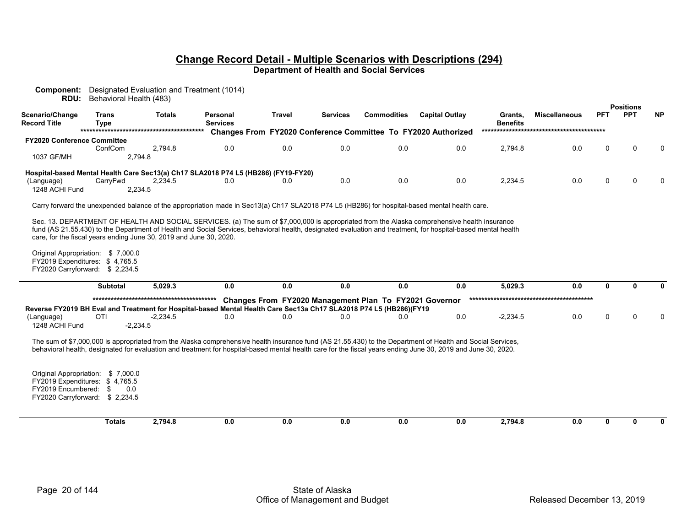| <b>Positions</b><br><b>PPT</b><br><b>NP</b><br>Scenario/Change<br><b>Trans</b><br><b>Totals</b><br><b>Travel</b><br><b>Commodities</b><br><b>Capital Outlay</b><br><b>Miscellaneous</b><br><b>PFT</b><br>Personal<br><b>Services</b><br>Grants,<br><b>Record Title</b><br><b>Services</b><br><b>Benefits</b><br><b>Type</b><br>Changes From FY2020 Conference Committee To FY2020 Authorized<br><b>FY2020 Conference Committee</b><br>0.0<br>0.0<br>0.0<br>0.0<br>2.794.8<br>0.0<br>0.0<br>2,794.8<br>0<br>ConfCom<br>0<br>$\Omega$<br>1037 GF/MH<br>2,794.8<br>Hospital-based Mental Health Care Sec13(a) Ch17 SLA2018 P74 L5 (HB286) (FY19-FY20)<br>0.0<br>0.0<br>0.0<br>$\Omega$<br>CarryFwd<br>0.0<br>2,234.5<br>(Language)<br>2,234.5<br>0<br><sup>0</sup><br>0.0<br>0.0<br>1248 ACHI Fund<br>2,234.5<br>Carry forward the unexpended balance of the appropriation made in Sec13(a) Ch17 SLA2018 P74 L5 (HB286) for hospital-based mental health care.<br>Sec. 13. DEPARTMENT OF HEALTH AND SOCIAL SERVICES. (a) The sum of \$7,000,000 is appropriated from the Alaska comprehensive health insurance<br>fund (AS 21.55.430) to the Department of Health and Social Services, behavioral health, designated evaluation and treatment, for hospital-based mental health<br>care, for the fiscal years ending June 30, 2019 and June 30, 2020.<br>Original Appropriation: \$7,000.0<br>FY2019 Expenditures: \$4,765.5<br>FY2020 Carryforward: \$2,234.5<br><b>Subtotal</b><br>5,029.3<br>0.0<br>0.0<br>0.0<br>0.0<br>0.0<br>5,029.3<br>0.0<br>$\mathbf{0}$<br>U<br>Changes From FY2020 Management Plan To FY2021 Governor<br>Reverse FY2019 BH Eval and Treatment for Hospital-based Mental Health Care Sec13a Ch17 SLA2018 P74 L5 (HB286)(FY19<br>OTI<br>0.0<br>0.0<br>0.0<br>0.0<br>0.0<br>$-2.234.5$<br>0.0<br>0<br>(Language)<br>$-2,234.5$<br>$\Omega$<br>$\Omega$<br>1248 ACHI Fund<br>$-2,234.5$<br>The sum of \$7,000,000 is appropriated from the Alaska comprehensive health insurance fund (AS 21.55.430) to the Department of Health and Social Services,<br>behavioral health, designated for evaluation and treatment for hospital-based mental health care for the fiscal years ending June 30, 2019 and June 30, 2020.<br>Original Appropriation: \$7,000.0<br>FY2019 Expenditures: \$4,765.5 | Component:<br>RDU: | Behavioral Health (483) | Designated Evaluation and Treatment (1014) |  |  |  |  |  |
|-------------------------------------------------------------------------------------------------------------------------------------------------------------------------------------------------------------------------------------------------------------------------------------------------------------------------------------------------------------------------------------------------------------------------------------------------------------------------------------------------------------------------------------------------------------------------------------------------------------------------------------------------------------------------------------------------------------------------------------------------------------------------------------------------------------------------------------------------------------------------------------------------------------------------------------------------------------------------------------------------------------------------------------------------------------------------------------------------------------------------------------------------------------------------------------------------------------------------------------------------------------------------------------------------------------------------------------------------------------------------------------------------------------------------------------------------------------------------------------------------------------------------------------------------------------------------------------------------------------------------------------------------------------------------------------------------------------------------------------------------------------------------------------------------------------------------------------------------------------------------------------------------------------------------------------------------------------------------------------------------------------------------------------------------------------------------------------------------------------------------------------------------------------------------------------------------------------------------------------------------------------------------------------------------------------------|--------------------|-------------------------|--------------------------------------------|--|--|--|--|--|
|                                                                                                                                                                                                                                                                                                                                                                                                                                                                                                                                                                                                                                                                                                                                                                                                                                                                                                                                                                                                                                                                                                                                                                                                                                                                                                                                                                                                                                                                                                                                                                                                                                                                                                                                                                                                                                                                                                                                                                                                                                                                                                                                                                                                                                                                                                                   |                    |                         |                                            |  |  |  |  |  |
|                                                                                                                                                                                                                                                                                                                                                                                                                                                                                                                                                                                                                                                                                                                                                                                                                                                                                                                                                                                                                                                                                                                                                                                                                                                                                                                                                                                                                                                                                                                                                                                                                                                                                                                                                                                                                                                                                                                                                                                                                                                                                                                                                                                                                                                                                                                   |                    |                         |                                            |  |  |  |  |  |
|                                                                                                                                                                                                                                                                                                                                                                                                                                                                                                                                                                                                                                                                                                                                                                                                                                                                                                                                                                                                                                                                                                                                                                                                                                                                                                                                                                                                                                                                                                                                                                                                                                                                                                                                                                                                                                                                                                                                                                                                                                                                                                                                                                                                                                                                                                                   |                    |                         |                                            |  |  |  |  |  |
|                                                                                                                                                                                                                                                                                                                                                                                                                                                                                                                                                                                                                                                                                                                                                                                                                                                                                                                                                                                                                                                                                                                                                                                                                                                                                                                                                                                                                                                                                                                                                                                                                                                                                                                                                                                                                                                                                                                                                                                                                                                                                                                                                                                                                                                                                                                   |                    |                         |                                            |  |  |  |  |  |
|                                                                                                                                                                                                                                                                                                                                                                                                                                                                                                                                                                                                                                                                                                                                                                                                                                                                                                                                                                                                                                                                                                                                                                                                                                                                                                                                                                                                                                                                                                                                                                                                                                                                                                                                                                                                                                                                                                                                                                                                                                                                                                                                                                                                                                                                                                                   |                    |                         |                                            |  |  |  |  |  |
|                                                                                                                                                                                                                                                                                                                                                                                                                                                                                                                                                                                                                                                                                                                                                                                                                                                                                                                                                                                                                                                                                                                                                                                                                                                                                                                                                                                                                                                                                                                                                                                                                                                                                                                                                                                                                                                                                                                                                                                                                                                                                                                                                                                                                                                                                                                   |                    |                         |                                            |  |  |  |  |  |
|                                                                                                                                                                                                                                                                                                                                                                                                                                                                                                                                                                                                                                                                                                                                                                                                                                                                                                                                                                                                                                                                                                                                                                                                                                                                                                                                                                                                                                                                                                                                                                                                                                                                                                                                                                                                                                                                                                                                                                                                                                                                                                                                                                                                                                                                                                                   |                    |                         |                                            |  |  |  |  |  |
|                                                                                                                                                                                                                                                                                                                                                                                                                                                                                                                                                                                                                                                                                                                                                                                                                                                                                                                                                                                                                                                                                                                                                                                                                                                                                                                                                                                                                                                                                                                                                                                                                                                                                                                                                                                                                                                                                                                                                                                                                                                                                                                                                                                                                                                                                                                   |                    |                         |                                            |  |  |  |  |  |
|                                                                                                                                                                                                                                                                                                                                                                                                                                                                                                                                                                                                                                                                                                                                                                                                                                                                                                                                                                                                                                                                                                                                                                                                                                                                                                                                                                                                                                                                                                                                                                                                                                                                                                                                                                                                                                                                                                                                                                                                                                                                                                                                                                                                                                                                                                                   |                    |                         |                                            |  |  |  |  |  |
|                                                                                                                                                                                                                                                                                                                                                                                                                                                                                                                                                                                                                                                                                                                                                                                                                                                                                                                                                                                                                                                                                                                                                                                                                                                                                                                                                                                                                                                                                                                                                                                                                                                                                                                                                                                                                                                                                                                                                                                                                                                                                                                                                                                                                                                                                                                   |                    |                         |                                            |  |  |  |  |  |
|                                                                                                                                                                                                                                                                                                                                                                                                                                                                                                                                                                                                                                                                                                                                                                                                                                                                                                                                                                                                                                                                                                                                                                                                                                                                                                                                                                                                                                                                                                                                                                                                                                                                                                                                                                                                                                                                                                                                                                                                                                                                                                                                                                                                                                                                                                                   |                    |                         |                                            |  |  |  |  |  |
|                                                                                                                                                                                                                                                                                                                                                                                                                                                                                                                                                                                                                                                                                                                                                                                                                                                                                                                                                                                                                                                                                                                                                                                                                                                                                                                                                                                                                                                                                                                                                                                                                                                                                                                                                                                                                                                                                                                                                                                                                                                                                                                                                                                                                                                                                                                   |                    |                         |                                            |  |  |  |  |  |
|                                                                                                                                                                                                                                                                                                                                                                                                                                                                                                                                                                                                                                                                                                                                                                                                                                                                                                                                                                                                                                                                                                                                                                                                                                                                                                                                                                                                                                                                                                                                                                                                                                                                                                                                                                                                                                                                                                                                                                                                                                                                                                                                                                                                                                                                                                                   |                    |                         |                                            |  |  |  |  |  |
|                                                                                                                                                                                                                                                                                                                                                                                                                                                                                                                                                                                                                                                                                                                                                                                                                                                                                                                                                                                                                                                                                                                                                                                                                                                                                                                                                                                                                                                                                                                                                                                                                                                                                                                                                                                                                                                                                                                                                                                                                                                                                                                                                                                                                                                                                                                   |                    |                         |                                            |  |  |  |  |  |
|                                                                                                                                                                                                                                                                                                                                                                                                                                                                                                                                                                                                                                                                                                                                                                                                                                                                                                                                                                                                                                                                                                                                                                                                                                                                                                                                                                                                                                                                                                                                                                                                                                                                                                                                                                                                                                                                                                                                                                                                                                                                                                                                                                                                                                                                                                                   |                    |                         |                                            |  |  |  |  |  |
|                                                                                                                                                                                                                                                                                                                                                                                                                                                                                                                                                                                                                                                                                                                                                                                                                                                                                                                                                                                                                                                                                                                                                                                                                                                                                                                                                                                                                                                                                                                                                                                                                                                                                                                                                                                                                                                                                                                                                                                                                                                                                                                                                                                                                                                                                                                   |                    |                         |                                            |  |  |  |  |  |
|                                                                                                                                                                                                                                                                                                                                                                                                                                                                                                                                                                                                                                                                                                                                                                                                                                                                                                                                                                                                                                                                                                                                                                                                                                                                                                                                                                                                                                                                                                                                                                                                                                                                                                                                                                                                                                                                                                                                                                                                                                                                                                                                                                                                                                                                                                                   |                    |                         |                                            |  |  |  |  |  |
|                                                                                                                                                                                                                                                                                                                                                                                                                                                                                                                                                                                                                                                                                                                                                                                                                                                                                                                                                                                                                                                                                                                                                                                                                                                                                                                                                                                                                                                                                                                                                                                                                                                                                                                                                                                                                                                                                                                                                                                                                                                                                                                                                                                                                                                                                                                   |                    |                         |                                            |  |  |  |  |  |
|                                                                                                                                                                                                                                                                                                                                                                                                                                                                                                                                                                                                                                                                                                                                                                                                                                                                                                                                                                                                                                                                                                                                                                                                                                                                                                                                                                                                                                                                                                                                                                                                                                                                                                                                                                                                                                                                                                                                                                                                                                                                                                                                                                                                                                                                                                                   |                    |                         |                                            |  |  |  |  |  |
|                                                                                                                                                                                                                                                                                                                                                                                                                                                                                                                                                                                                                                                                                                                                                                                                                                                                                                                                                                                                                                                                                                                                                                                                                                                                                                                                                                                                                                                                                                                                                                                                                                                                                                                                                                                                                                                                                                                                                                                                                                                                                                                                                                                                                                                                                                                   |                    |                         |                                            |  |  |  |  |  |
|                                                                                                                                                                                                                                                                                                                                                                                                                                                                                                                                                                                                                                                                                                                                                                                                                                                                                                                                                                                                                                                                                                                                                                                                                                                                                                                                                                                                                                                                                                                                                                                                                                                                                                                                                                                                                                                                                                                                                                                                                                                                                                                                                                                                                                                                                                                   |                    |                         |                                            |  |  |  |  |  |
|                                                                                                                                                                                                                                                                                                                                                                                                                                                                                                                                                                                                                                                                                                                                                                                                                                                                                                                                                                                                                                                                                                                                                                                                                                                                                                                                                                                                                                                                                                                                                                                                                                                                                                                                                                                                                                                                                                                                                                                                                                                                                                                                                                                                                                                                                                                   |                    |                         |                                            |  |  |  |  |  |
|                                                                                                                                                                                                                                                                                                                                                                                                                                                                                                                                                                                                                                                                                                                                                                                                                                                                                                                                                                                                                                                                                                                                                                                                                                                                                                                                                                                                                                                                                                                                                                                                                                                                                                                                                                                                                                                                                                                                                                                                                                                                                                                                                                                                                                                                                                                   |                    |                         |                                            |  |  |  |  |  |
|                                                                                                                                                                                                                                                                                                                                                                                                                                                                                                                                                                                                                                                                                                                                                                                                                                                                                                                                                                                                                                                                                                                                                                                                                                                                                                                                                                                                                                                                                                                                                                                                                                                                                                                                                                                                                                                                                                                                                                                                                                                                                                                                                                                                                                                                                                                   |                    |                         |                                            |  |  |  |  |  |
|                                                                                                                                                                                                                                                                                                                                                                                                                                                                                                                                                                                                                                                                                                                                                                                                                                                                                                                                                                                                                                                                                                                                                                                                                                                                                                                                                                                                                                                                                                                                                                                                                                                                                                                                                                                                                                                                                                                                                                                                                                                                                                                                                                                                                                                                                                                   |                    |                         |                                            |  |  |  |  |  |
|                                                                                                                                                                                                                                                                                                                                                                                                                                                                                                                                                                                                                                                                                                                                                                                                                                                                                                                                                                                                                                                                                                                                                                                                                                                                                                                                                                                                                                                                                                                                                                                                                                                                                                                                                                                                                                                                                                                                                                                                                                                                                                                                                                                                                                                                                                                   |                    |                         |                                            |  |  |  |  |  |
|                                                                                                                                                                                                                                                                                                                                                                                                                                                                                                                                                                                                                                                                                                                                                                                                                                                                                                                                                                                                                                                                                                                                                                                                                                                                                                                                                                                                                                                                                                                                                                                                                                                                                                                                                                                                                                                                                                                                                                                                                                                                                                                                                                                                                                                                                                                   |                    |                         |                                            |  |  |  |  |  |
|                                                                                                                                                                                                                                                                                                                                                                                                                                                                                                                                                                                                                                                                                                                                                                                                                                                                                                                                                                                                                                                                                                                                                                                                                                                                                                                                                                                                                                                                                                                                                                                                                                                                                                                                                                                                                                                                                                                                                                                                                                                                                                                                                                                                                                                                                                                   |                    |                         |                                            |  |  |  |  |  |
|                                                                                                                                                                                                                                                                                                                                                                                                                                                                                                                                                                                                                                                                                                                                                                                                                                                                                                                                                                                                                                                                                                                                                                                                                                                                                                                                                                                                                                                                                                                                                                                                                                                                                                                                                                                                                                                                                                                                                                                                                                                                                                                                                                                                                                                                                                                   |                    |                         |                                            |  |  |  |  |  |
|                                                                                                                                                                                                                                                                                                                                                                                                                                                                                                                                                                                                                                                                                                                                                                                                                                                                                                                                                                                                                                                                                                                                                                                                                                                                                                                                                                                                                                                                                                                                                                                                                                                                                                                                                                                                                                                                                                                                                                                                                                                                                                                                                                                                                                                                                                                   |                    |                         |                                            |  |  |  |  |  |
|                                                                                                                                                                                                                                                                                                                                                                                                                                                                                                                                                                                                                                                                                                                                                                                                                                                                                                                                                                                                                                                                                                                                                                                                                                                                                                                                                                                                                                                                                                                                                                                                                                                                                                                                                                                                                                                                                                                                                                                                                                                                                                                                                                                                                                                                                                                   |                    |                         |                                            |  |  |  |  |  |
|                                                                                                                                                                                                                                                                                                                                                                                                                                                                                                                                                                                                                                                                                                                                                                                                                                                                                                                                                                                                                                                                                                                                                                                                                                                                                                                                                                                                                                                                                                                                                                                                                                                                                                                                                                                                                                                                                                                                                                                                                                                                                                                                                                                                                                                                                                                   |                    |                         |                                            |  |  |  |  |  |
| FY2019 Encumbered: \$<br>0.0                                                                                                                                                                                                                                                                                                                                                                                                                                                                                                                                                                                                                                                                                                                                                                                                                                                                                                                                                                                                                                                                                                                                                                                                                                                                                                                                                                                                                                                                                                                                                                                                                                                                                                                                                                                                                                                                                                                                                                                                                                                                                                                                                                                                                                                                                      |                    |                         |                                            |  |  |  |  |  |
| FY2020 Carryforward: \$2,234.5                                                                                                                                                                                                                                                                                                                                                                                                                                                                                                                                                                                                                                                                                                                                                                                                                                                                                                                                                                                                                                                                                                                                                                                                                                                                                                                                                                                                                                                                                                                                                                                                                                                                                                                                                                                                                                                                                                                                                                                                                                                                                                                                                                                                                                                                                    |                    |                         |                                            |  |  |  |  |  |
|                                                                                                                                                                                                                                                                                                                                                                                                                                                                                                                                                                                                                                                                                                                                                                                                                                                                                                                                                                                                                                                                                                                                                                                                                                                                                                                                                                                                                                                                                                                                                                                                                                                                                                                                                                                                                                                                                                                                                                                                                                                                                                                                                                                                                                                                                                                   |                    |                         |                                            |  |  |  |  |  |
| <b>Totals</b><br>2,794.8<br>0.0<br>0.0<br>0.0<br>2,794.8<br>0.0<br>0<br>0.0<br>0.0<br>0<br>0                                                                                                                                                                                                                                                                                                                                                                                                                                                                                                                                                                                                                                                                                                                                                                                                                                                                                                                                                                                                                                                                                                                                                                                                                                                                                                                                                                                                                                                                                                                                                                                                                                                                                                                                                                                                                                                                                                                                                                                                                                                                                                                                                                                                                      |                    |                         |                                            |  |  |  |  |  |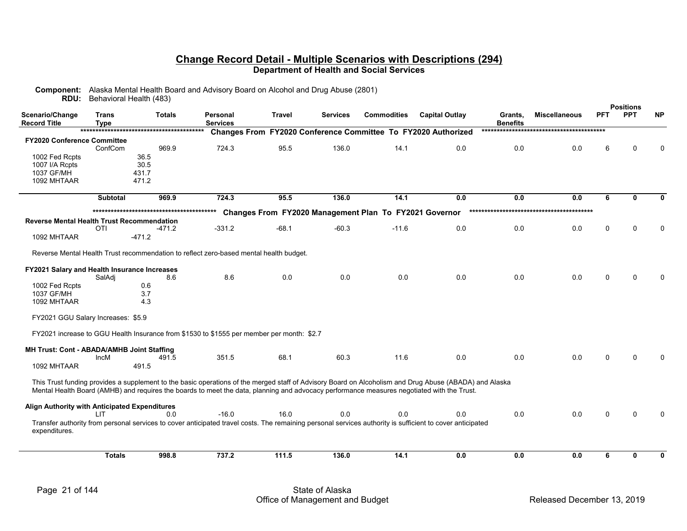| <b>RDU:</b>                                       |                             | Behavioral Health (483)                                                                                                                                          |                             |         |                                                               |                    |                       |                            |                      |             | <b>Positions</b> |           |
|---------------------------------------------------|-----------------------------|------------------------------------------------------------------------------------------------------------------------------------------------------------------|-----------------------------|---------|---------------------------------------------------------------|--------------------|-----------------------|----------------------------|----------------------|-------------|------------------|-----------|
| Scenario/Change<br><b>Record Title</b>            | <b>Trans</b><br><b>Type</b> | <b>Totals</b>                                                                                                                                                    | Personal<br><b>Services</b> | Travel  | <b>Services</b>                                               | <b>Commodities</b> | <b>Capital Outlay</b> | Grants,<br><b>Benefits</b> | <b>Miscellaneous</b> | <b>PFT</b>  | <b>PPT</b>       | <b>NP</b> |
|                                                   |                             |                                                                                                                                                                  |                             |         | Changes From FY2020 Conference Committee To FY2020 Authorized |                    |                       |                            |                      |             |                  |           |
| <b>FY2020 Conference Committee</b>                |                             |                                                                                                                                                                  |                             |         |                                                               |                    |                       |                            |                      |             |                  |           |
|                                                   | ConfCom                     | 969.9                                                                                                                                                            | 724.3                       | 95.5    | 136.0                                                         | 14.1               | 0.0                   | 0.0                        | 0.0                  | 6           |                  |           |
| 1002 Fed Rcpts<br>1007 I/A Rcpts                  |                             | 36.5<br>30.5                                                                                                                                                     |                             |         |                                                               |                    |                       |                            |                      |             |                  |           |
| 1037 GF/MH                                        |                             | 431.7                                                                                                                                                            |                             |         |                                                               |                    |                       |                            |                      |             |                  |           |
| 1092 MHTAAR                                       |                             | 471.2                                                                                                                                                            |                             |         |                                                               |                    |                       |                            |                      |             |                  |           |
|                                                   |                             |                                                                                                                                                                  |                             |         |                                                               |                    |                       |                            |                      |             |                  |           |
|                                                   | <b>Subtotal</b>             | 969.9                                                                                                                                                            | 724.3                       | 95.5    | 136.0                                                         | 14.1               | 0.0                   | 0.0                        | 0.0                  | 6           | $\mathbf{0}$     | 0         |
|                                                   |                             |                                                                                                                                                                  |                             |         | Changes From FY2020 Management Plan To FY2021 Governor        |                    |                       |                            |                      |             |                  |           |
| <b>Reverse Mental Health Trust Recommendation</b> |                             |                                                                                                                                                                  |                             |         |                                                               |                    |                       |                            |                      |             |                  |           |
|                                                   | <b>OTI</b>                  | -471.2                                                                                                                                                           | $-331.2$                    | $-68.1$ | $-60.3$                                                       | $-11.6$            | 0.0                   | 0.0                        | 0.0                  | $\mathbf 0$ | $\Omega$         | O         |
| 1092 MHTAAR                                       |                             | $-471.2$                                                                                                                                                         |                             |         |                                                               |                    |                       |                            |                      |             |                  |           |
|                                                   |                             | Reverse Mental Health Trust recommendation to reflect zero-based mental health budget.                                                                           |                             |         |                                                               |                    |                       |                            |                      |             |                  |           |
|                                                   |                             |                                                                                                                                                                  |                             |         |                                                               |                    |                       |                            |                      |             |                  |           |
| FY2021 Salary and Health Insurance Increases      |                             |                                                                                                                                                                  |                             |         |                                                               |                    |                       |                            |                      |             |                  |           |
|                                                   | SalAdi                      | 8.6                                                                                                                                                              | 8.6                         | 0.0     | 0.0                                                           | 0.0                | 0.0                   | 0.0                        | 0.0                  | $\Omega$    | ∩                |           |
| 1002 Fed Rcpts<br>1037 GF/MH                      |                             | 0.6<br>3.7                                                                                                                                                       |                             |         |                                                               |                    |                       |                            |                      |             |                  |           |
| 1092 MHTAAR                                       |                             | 4.3                                                                                                                                                              |                             |         |                                                               |                    |                       |                            |                      |             |                  |           |
|                                                   |                             |                                                                                                                                                                  |                             |         |                                                               |                    |                       |                            |                      |             |                  |           |
| FY2021 GGU Salary Increases: \$5.9                |                             |                                                                                                                                                                  |                             |         |                                                               |                    |                       |                            |                      |             |                  |           |
|                                                   |                             | FY2021 increase to GGU Health Insurance from \$1530 to \$1555 per member per month: \$2.7                                                                        |                             |         |                                                               |                    |                       |                            |                      |             |                  |           |
|                                                   |                             |                                                                                                                                                                  |                             |         |                                                               |                    |                       |                            |                      |             |                  |           |
| MH Trust: Cont - ABADA/AMHB Joint Staffing        | <b>IncM</b>                 | 491.5                                                                                                                                                            | 351.5                       | 68.1    | 60.3                                                          | 11.6               | 0.0                   | 0.0                        | 0.0                  | $\Omega$    |                  |           |
| 1092 MHTAAR                                       |                             | 491.5                                                                                                                                                            |                             |         |                                                               |                    |                       |                            |                      |             |                  |           |
|                                                   |                             | This Trust funding provides a supplement to the basic operations of the merged staff of Advisory Board on Alcoholism and Drug Abuse (ABADA) and Alaska           |                             |         |                                                               |                    |                       |                            |                      |             |                  |           |
|                                                   |                             | Mental Health Board (AMHB) and requires the boards to meet the data, planning and advocacy performance measures negotiated with the Trust.                       |                             |         |                                                               |                    |                       |                            |                      |             |                  |           |
|                                                   |                             |                                                                                                                                                                  |                             |         |                                                               |                    |                       |                            |                      |             |                  |           |
| Align Authority with Anticipated Expenditures     |                             |                                                                                                                                                                  | $-16.0$                     |         | 0.0                                                           |                    |                       | 0.0                        | 0.0                  |             |                  |           |
|                                                   | <b>LIT</b>                  | 0.0<br>Transfer authority from personal services to cover anticipated travel costs. The remaining personal services authority is sufficient to cover anticipated |                             | 16.0    |                                                               | 0.0                | 0.0                   |                            |                      | $\Omega$    | ∩                |           |
| expenditures.                                     |                             |                                                                                                                                                                  |                             |         |                                                               |                    |                       |                            |                      |             |                  |           |
|                                                   |                             |                                                                                                                                                                  |                             |         |                                                               |                    |                       |                            |                      |             |                  |           |
|                                                   | <b>Totals</b>               | 998.8                                                                                                                                                            | 737.2                       | 111.5   | 136.0                                                         | 14.1               | 0.0                   | 0.0                        | 0.0                  | 6           | 0                | 0         |
|                                                   |                             |                                                                                                                                                                  |                             |         |                                                               |                    |                       |                            |                      |             |                  |           |

**Component:** Alaska Mental Health Board and Advisory Board on Alcohol and Drug Abuse (2801)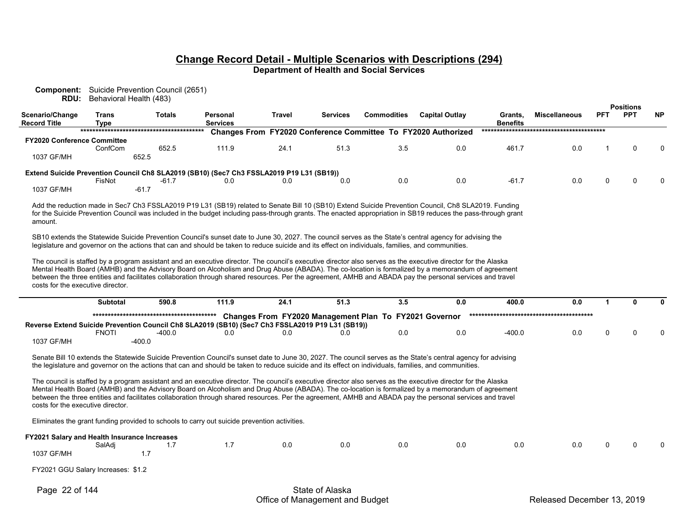| RDU:                                             | <b>Component:</b> Suicide Prevention Council (2651)<br>Behavioral Health (483) |         |                                                                                                                                                  |               |                 |                                                        |                                                                                                                                                                                                                                                                                                                                                                                                                                                                                          |                            |                      |              |                                |           |
|--------------------------------------------------|--------------------------------------------------------------------------------|---------|--------------------------------------------------------------------------------------------------------------------------------------------------|---------------|-----------------|--------------------------------------------------------|------------------------------------------------------------------------------------------------------------------------------------------------------------------------------------------------------------------------------------------------------------------------------------------------------------------------------------------------------------------------------------------------------------------------------------------------------------------------------------------|----------------------------|----------------------|--------------|--------------------------------|-----------|
| Scenario/Change<br><b>Record Title</b>           | <b>Trans</b><br><b>Type</b>                                                    | Totals  | Personal<br><b>Services</b>                                                                                                                      | <b>Travel</b> | <b>Services</b> | <b>Commodities</b>                                     | <b>Capital Outlay</b>                                                                                                                                                                                                                                                                                                                                                                                                                                                                    | Grants,<br><b>Benefits</b> | <b>Miscellaneous</b> | <b>PFT</b>   | <b>Positions</b><br><b>PPT</b> | <b>NP</b> |
|                                                  |                                                                                |         |                                                                                                                                                  |               |                 |                                                        | Changes From FY2020 Conference Committee To FY2020 Authorized                                                                                                                                                                                                                                                                                                                                                                                                                            |                            |                      |              |                                |           |
| <b>FY2020 Conference Committee</b><br>1037 GF/MH | ConfCom<br>652.5                                                               | 652.5   | 111.9                                                                                                                                            | 24.1          | 51.3            | 3.5                                                    | 0.0                                                                                                                                                                                                                                                                                                                                                                                                                                                                                      | 461.7                      | 0.0                  |              | $\Omega$                       | $\Omega$  |
|                                                  |                                                                                |         |                                                                                                                                                  |               |                 |                                                        |                                                                                                                                                                                                                                                                                                                                                                                                                                                                                          |                            |                      |              |                                |           |
|                                                  | FisNot                                                                         | $-61.7$ | Extend Suicide Prevention Council Ch8 SLA2019 (SB10) (Sec7 Ch3 FSSLA2019 P19 L31 (SB19))<br>0.0                                                  | 0.0           | 0.0             | 0.0                                                    | 0.0                                                                                                                                                                                                                                                                                                                                                                                                                                                                                      | $-61.7$                    | 0.0                  | $\mathbf 0$  | $\Omega$                       | 0         |
| 1037 GF/MH                                       |                                                                                | $-61.7$ |                                                                                                                                                  |               |                 |                                                        |                                                                                                                                                                                                                                                                                                                                                                                                                                                                                          |                            |                      |              |                                |           |
| amount.                                          |                                                                                |         |                                                                                                                                                  |               |                 |                                                        | Add the reduction made in Sec7 Ch3 FSSLA2019 P19 L31 (SB19) related to Senate Bill 10 (SB10) Extend Suicide Prevention Council, Ch8 SLA2019. Funding<br>for the Suicide Prevention Council was included in the budget including pass-through grants. The enacted appropriation in SB19 reduces the pass-through grant                                                                                                                                                                    |                            |                      |              |                                |           |
|                                                  |                                                                                |         | legislature and governor on the actions that can and should be taken to reduce suicide and its effect on individuals, families, and communities. |               |                 |                                                        | SB10 extends the Statewide Suicide Prevention Council's sunset date to June 30, 2027. The council serves as the State's central agency for advising the                                                                                                                                                                                                                                                                                                                                  |                            |                      |              |                                |           |
| costs for the executive director.                | <b>Subtotal</b>                                                                | 590.8   | 111.9                                                                                                                                            | 24.1          | 51.3            | 3.5                                                    | The council is staffed by a program assistant and an executive director. The council's executive director also serves as the executive director for the Alaska<br>Mental Health Board (AMHB) and the Advisory Board on Alcoholism and Drug Abuse (ABADA). The co-location is formalized by a memorandum of agreement<br>between the three entities and facilitates collaboration through shared resources. Per the agreement, AMHB and ABADA pay the personal services and travel<br>0.0 | 400.0                      | 0.0                  | $\mathbf{1}$ | $\bf{0}$                       | 0         |
|                                                  |                                                                                |         |                                                                                                                                                  |               |                 |                                                        |                                                                                                                                                                                                                                                                                                                                                                                                                                                                                          |                            |                      |              |                                |           |
|                                                  |                                                                                |         | Reverse Extend Suicide Prevention Council Ch8 SLA2019 (SB10) (Sec7 Ch3 FSSLA2019 P19 L31 (SB19))                                                 |               |                 | Changes From FY2020 Management Plan To FY2021 Governor |                                                                                                                                                                                                                                                                                                                                                                                                                                                                                          |                            |                      |              |                                |           |
| 1037 GF/MH                                       | <b>FNOTI</b><br>$-400.0$                                                       | -400.0  | 0.0                                                                                                                                              | 0.0           | 0.0             | 0.0                                                    | 0.0                                                                                                                                                                                                                                                                                                                                                                                                                                                                                      | $-400.0$                   | 0.0                  | 0            | $\Omega$                       |           |
|                                                  |                                                                                |         |                                                                                                                                                  |               |                 |                                                        | Senate Bill 10 extends the Statewide Suicide Prevention Council's sunset date to June 30, 2027. The council serves as the State's central agency for advising<br>the legislature and governor on the actions that can and should be taken to reduce suicide and its effect on individuals, families, and communities.                                                                                                                                                                    |                            |                      |              |                                |           |
| costs for the executive director.                |                                                                                |         |                                                                                                                                                  |               |                 |                                                        | The council is staffed by a program assistant and an executive director. The council's executive director also serves as the executive director for the Alaska<br>Mental Health Board (AMHB) and the Advisory Board on Alcoholism and Drug Abuse (ABADA). The co-location is formalized by a memorandum of agreement<br>between the three entities and facilitates collaboration through shared resources. Per the agreement, AMHB and ABADA pay the personal services and travel        |                            |                      |              |                                |           |
|                                                  |                                                                                |         | Eliminates the grant funding provided to schools to carry out suicide prevention activities.                                                     |               |                 |                                                        |                                                                                                                                                                                                                                                                                                                                                                                                                                                                                          |                            |                      |              |                                |           |
|                                                  | <b>FY2021 Salary and Health Insurance Increases</b><br>SalAdj                  | 1.7     | 1.7                                                                                                                                              | 0.0           | 0.0             | 0.0                                                    | 0.0                                                                                                                                                                                                                                                                                                                                                                                                                                                                                      | 0.0                        | 0.0                  | $\Omega$     | $\Omega$                       |           |
| 1037 GF/MH                                       |                                                                                | 1.7     |                                                                                                                                                  |               |                 |                                                        |                                                                                                                                                                                                                                                                                                                                                                                                                                                                                          |                            |                      |              |                                |           |
|                                                  | FY2021 GGU Salary Increases: \$1.2                                             |         |                                                                                                                                                  |               |                 |                                                        |                                                                                                                                                                                                                                                                                                                                                                                                                                                                                          |                            |                      |              |                                |           |
| Page 22 of 144                                   |                                                                                |         |                                                                                                                                                  |               | State of Alaska |                                                        |                                                                                                                                                                                                                                                                                                                                                                                                                                                                                          |                            |                      |              |                                |           |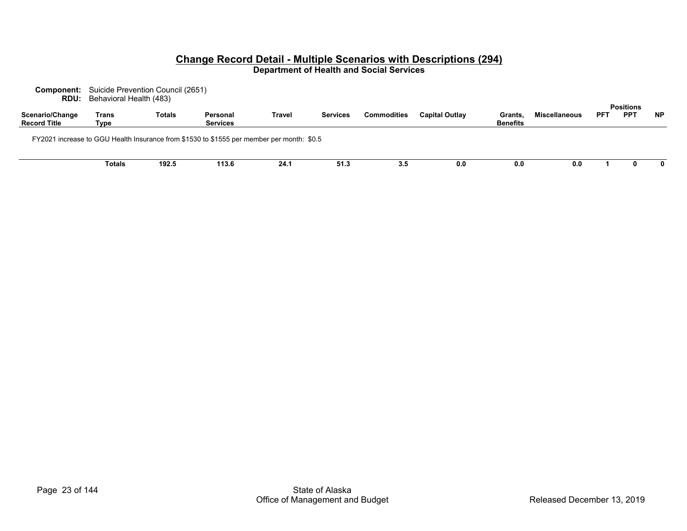| RDU:                                   | <b>Component:</b> Suicide Prevention Council (2651)<br>Behavioral Health (483) |               |                                                                                           |        |                 |                    |                |                            |                      |            |                                |           |
|----------------------------------------|--------------------------------------------------------------------------------|---------------|-------------------------------------------------------------------------------------------|--------|-----------------|--------------------|----------------|----------------------------|----------------------|------------|--------------------------------|-----------|
| Scenario/Change<br><b>Record Title</b> | Trans<br>Type                                                                  | <b>Totals</b> | Personal<br><b>Services</b>                                                               | Travel | <b>Services</b> | <b>Commodities</b> | Capital Outlay | Grants.<br><b>Benefits</b> | <b>Miscellaneous</b> | <b>PFT</b> | <b>Positions</b><br><b>PPT</b> | <b>NP</b> |
|                                        |                                                                                |               | FY2021 increase to GGU Health Insurance from \$1530 to \$1555 per member per month: \$0.5 |        |                 |                    |                |                            |                      |            |                                |           |
|                                        | Totals                                                                         | 192.5         | 113.6                                                                                     | 24.1   | 51.3            | 3.5                | 0.0            | 0.0                        | 0.0                  |            |                                | 0         |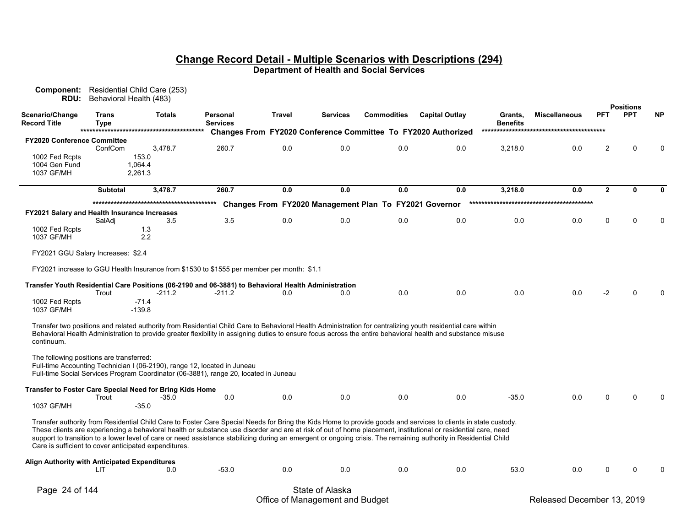| Component:<br>RDU:                            |                      | Residential Child Care (253)<br>Behavioral Health (483)                                                                                                                                                                                                                                                                                                                                                                                                                                                                                                       |                             |        |                 |                                                        |                                                               |                            |                      |                |                                |           |
|-----------------------------------------------|----------------------|---------------------------------------------------------------------------------------------------------------------------------------------------------------------------------------------------------------------------------------------------------------------------------------------------------------------------------------------------------------------------------------------------------------------------------------------------------------------------------------------------------------------------------------------------------------|-----------------------------|--------|-----------------|--------------------------------------------------------|---------------------------------------------------------------|----------------------------|----------------------|----------------|--------------------------------|-----------|
| Scenario/Change<br><b>Record Title</b>        | Trans<br><b>Type</b> | Totals                                                                                                                                                                                                                                                                                                                                                                                                                                                                                                                                                        | Personal<br><b>Services</b> | Travel | <b>Services</b> | <b>Commodities</b>                                     | <b>Capital Outlay</b>                                         | Grants,<br><b>Benefits</b> | <b>Miscellaneous</b> | <b>PFT</b>     | <b>Positions</b><br><b>PPT</b> | <b>NP</b> |
|                                               |                      |                                                                                                                                                                                                                                                                                                                                                                                                                                                                                                                                                               |                             |        |                 |                                                        | Changes From FY2020 Conference Committee To FY2020 Authorized |                            |                      |                |                                |           |
| <b>FY2020 Conference Committee</b>            |                      |                                                                                                                                                                                                                                                                                                                                                                                                                                                                                                                                                               |                             |        |                 |                                                        |                                                               |                            |                      |                |                                |           |
|                                               | ConfCom              | 3,478.7                                                                                                                                                                                                                                                                                                                                                                                                                                                                                                                                                       | 260.7                       | 0.0    | 0.0             | 0.0                                                    | 0.0                                                           | 3,218.0                    | 0.0                  | $\overline{2}$ | $\Omega$                       |           |
| 1002 Fed Rcpts                                |                      | 153.0                                                                                                                                                                                                                                                                                                                                                                                                                                                                                                                                                         |                             |        |                 |                                                        |                                                               |                            |                      |                |                                |           |
| 1004 Gen Fund                                 |                      | 1,064.4                                                                                                                                                                                                                                                                                                                                                                                                                                                                                                                                                       |                             |        |                 |                                                        |                                                               |                            |                      |                |                                |           |
| 1037 GF/MH                                    |                      | 2,261.3                                                                                                                                                                                                                                                                                                                                                                                                                                                                                                                                                       |                             |        |                 |                                                        |                                                               |                            |                      |                |                                |           |
|                                               | <b>Subtotal</b>      | 3,478.7                                                                                                                                                                                                                                                                                                                                                                                                                                                                                                                                                       | 260.7                       | 0.0    | 0.0             | 0.0                                                    | 0.0                                                           | 3,218.0                    | 0.0                  | $\overline{2}$ | $\mathbf{0}$                   | n         |
|                                               |                      |                                                                                                                                                                                                                                                                                                                                                                                                                                                                                                                                                               |                             |        |                 | Changes From FY2020 Management Plan To FY2021 Governor |                                                               |                            |                      |                |                                |           |
| FY2021 Salary and Health Insurance Increases  |                      |                                                                                                                                                                                                                                                                                                                                                                                                                                                                                                                                                               |                             |        |                 |                                                        |                                                               |                            |                      |                |                                |           |
|                                               | SalAdj               | 3.5                                                                                                                                                                                                                                                                                                                                                                                                                                                                                                                                                           | 3.5                         | 0.0    | 0.0             | 0.0                                                    | 0.0                                                           | 0.0                        | 0.0                  | 0              | $\Omega$                       |           |
| 1002 Fed Rcpts                                |                      | 1.3                                                                                                                                                                                                                                                                                                                                                                                                                                                                                                                                                           |                             |        |                 |                                                        |                                                               |                            |                      |                |                                |           |
| 1037 GF/MH                                    |                      | 2.2                                                                                                                                                                                                                                                                                                                                                                                                                                                                                                                                                           |                             |        |                 |                                                        |                                                               |                            |                      |                |                                |           |
| FY2021 GGU Salary Increases: \$2.4            |                      |                                                                                                                                                                                                                                                                                                                                                                                                                                                                                                                                                               |                             |        |                 |                                                        |                                                               |                            |                      |                |                                |           |
|                                               |                      | FY2021 increase to GGU Health Insurance from \$1530 to \$1555 per member per month: \$1.1                                                                                                                                                                                                                                                                                                                                                                                                                                                                     |                             |        |                 |                                                        |                                                               |                            |                      |                |                                |           |
|                                               |                      |                                                                                                                                                                                                                                                                                                                                                                                                                                                                                                                                                               |                             |        |                 |                                                        |                                                               |                            |                      |                |                                |           |
|                                               |                      | Transfer Youth Residential Care Positions (06-2190 and 06-3881) to Behavioral Health Administration                                                                                                                                                                                                                                                                                                                                                                                                                                                           |                             |        |                 |                                                        |                                                               |                            |                      |                |                                |           |
|                                               | Trout                | $-211.2$                                                                                                                                                                                                                                                                                                                                                                                                                                                                                                                                                      | -211.2                      | 0.0    | 0.0             | 0.0                                                    | 0.0                                                           | 0.0                        | 0.0                  | -2             |                                |           |
| 1002 Fed Rcpts                                |                      | $-71.4$                                                                                                                                                                                                                                                                                                                                                                                                                                                                                                                                                       |                             |        |                 |                                                        |                                                               |                            |                      |                |                                |           |
| 1037 GF/MH                                    |                      | $-139.8$                                                                                                                                                                                                                                                                                                                                                                                                                                                                                                                                                      |                             |        |                 |                                                        |                                                               |                            |                      |                |                                |           |
| continuum.                                    |                      | Transfer two positions and related authority from Residential Child Care to Behavioral Health Administration for centralizing youth residential care within<br>Behavioral Health Administration to provide greater flexibility in assigning duties to ensure focus across the entire behavioral health and substance misuse                                                                                                                                                                                                                                   |                             |        |                 |                                                        |                                                               |                            |                      |                |                                |           |
| The following positions are transferred:      |                      | Full-time Accounting Technician I (06-2190), range 12, located in Juneau<br>Full-time Social Services Program Coordinator (06-3881), range 20, located in Juneau                                                                                                                                                                                                                                                                                                                                                                                              |                             |        |                 |                                                        |                                                               |                            |                      |                |                                |           |
|                                               |                      | Transfer to Foster Care Special Need for Bring Kids Home                                                                                                                                                                                                                                                                                                                                                                                                                                                                                                      |                             |        |                 |                                                        |                                                               |                            |                      |                |                                |           |
|                                               | Trout                | $-35.0$                                                                                                                                                                                                                                                                                                                                                                                                                                                                                                                                                       | 0.0                         | 0.0    | 0.0             | 0.0                                                    | 0.0                                                           | $-35.0$                    | 0.0                  | 0              | ∩                              |           |
| 1037 GF/MH                                    |                      | $-35.0$                                                                                                                                                                                                                                                                                                                                                                                                                                                                                                                                                       |                             |        |                 |                                                        |                                                               |                            |                      |                |                                |           |
|                                               |                      | Transfer authority from Residential Child Care to Foster Care Special Needs for Bring the Kids Home to provide goods and services to clients in state custody.<br>These clients are experiencing a behavioral health or substance use disorder and are at risk of out of home placement, institutional or residential care, need<br>support to transition to a lower level of care or need assistance stabilizing during an emergent or ongoing crisis. The remaining authority in Residential Child<br>Care is sufficient to cover anticipated expenditures. |                             |        |                 |                                                        |                                                               |                            |                      |                |                                |           |
| Align Authority with Anticipated Expenditures |                      |                                                                                                                                                                                                                                                                                                                                                                                                                                                                                                                                                               |                             |        |                 |                                                        |                                                               |                            |                      |                |                                |           |
|                                               | LIT                  | 0.0                                                                                                                                                                                                                                                                                                                                                                                                                                                                                                                                                           | $-53.0$                     | 0.0    | 0.0             | 0.0                                                    | 0.0                                                           | 53.0                       | 0.0                  | 0              |                                |           |
| Page 24 of 144                                |                      |                                                                                                                                                                                                                                                                                                                                                                                                                                                                                                                                                               |                             |        | State of Alaska |                                                        |                                                               |                            |                      |                |                                |           |

Office of Management and Budget **Released December 13, 2019**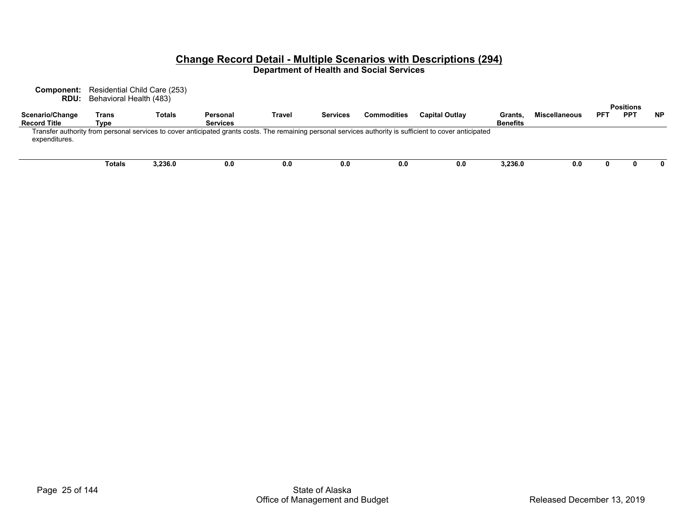**Component:** Residential Child Care (253) **RDU:** Behavioral Health (483)

| Trans         | <b>Totals</b> | Personal        | Travel | <b>Services</b> | <b>Commodities</b> | <b>Capital Outlay</b> | <b>Grants</b>   | Miscellaneous                                                                                                                                             | PFT | PP <sub>1</sub> | <b>NP</b>        |
|---------------|---------------|-----------------|--------|-----------------|--------------------|-----------------------|-----------------|-----------------------------------------------------------------------------------------------------------------------------------------------------------|-----|-----------------|------------------|
| Type          |               | <b>Services</b> |        |                 |                    |                       | <b>Benefits</b> |                                                                                                                                                           |     |                 |                  |
|               |               |                 |        |                 |                    |                       |                 |                                                                                                                                                           |     |                 |                  |
|               |               |                 |        |                 |                    |                       |                 |                                                                                                                                                           |     |                 |                  |
|               |               |                 |        |                 |                    |                       |                 |                                                                                                                                                           |     |                 |                  |
|               |               |                 |        |                 |                    |                       |                 |                                                                                                                                                           |     |                 |                  |
| <b>Totals</b> | 3,236.0       | 0.0             | 0.0    | 0.0             | 0.0                | 0.0                   | 3,236.0         | 0.0                                                                                                                                                       |     |                 | 0                |
|               |               |                 |        |                 |                    |                       |                 | Transfer authority from personal services to cover anticipated grants costs. The remaining personal services authority is sufficient to cover anticipated |     |                 | <b>Positions</b> |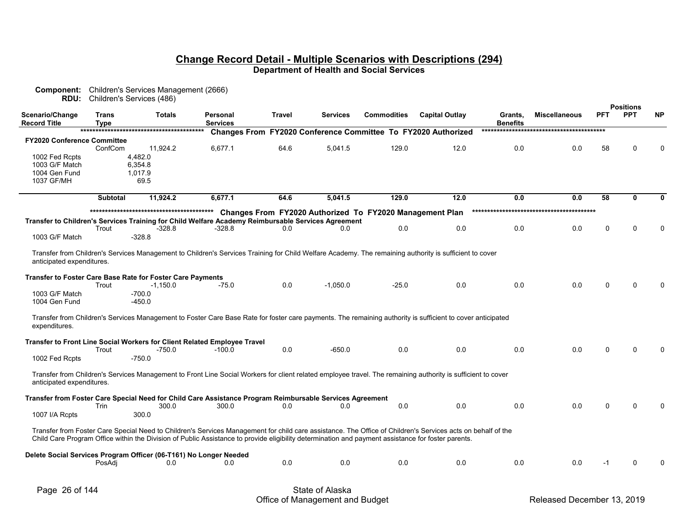| Component:<br>RDU:                 |                 | Children's Services Management (2666)<br>Children's Services (486)                                                                                           |                 |               |                 |                                                          |                                                               |                 |                      |            |                                |              |
|------------------------------------|-----------------|--------------------------------------------------------------------------------------------------------------------------------------------------------------|-----------------|---------------|-----------------|----------------------------------------------------------|---------------------------------------------------------------|-----------------|----------------------|------------|--------------------------------|--------------|
| Scenario/Change                    | <b>Trans</b>    | <b>Totals</b>                                                                                                                                                | Personal        | <b>Travel</b> | <b>Services</b> | <b>Commodities</b>                                       | <b>Capital Outlay</b>                                         | Grants.         | <b>Miscellaneous</b> | <b>PFT</b> | <b>Positions</b><br><b>PPT</b> | <b>NP</b>    |
| <b>Record Title</b>                | <b>Type</b>     |                                                                                                                                                              | <b>Services</b> |               |                 |                                                          |                                                               | <b>Benefits</b> |                      |            |                                |              |
|                                    |                 |                                                                                                                                                              |                 |               |                 |                                                          | Changes From FY2020 Conference Committee To FY2020 Authorized |                 |                      |            |                                |              |
| <b>FY2020 Conference Committee</b> | ConfCom         | 11,924.2                                                                                                                                                     | 6,677.1         | 64.6          | 5,041.5         | 129.0                                                    | 12.0                                                          | 0.0             | 0.0                  | 58         | $\Omega$                       | $\mathbf{0}$ |
| 1002 Fed Rcpts                     |                 | 4,482.0                                                                                                                                                      |                 |               |                 |                                                          |                                                               |                 |                      |            |                                |              |
| 1003 G/F Match                     |                 | 6,354.8                                                                                                                                                      |                 |               |                 |                                                          |                                                               |                 |                      |            |                                |              |
| 1004 Gen Fund                      |                 | 1.017.9                                                                                                                                                      |                 |               |                 |                                                          |                                                               |                 |                      |            |                                |              |
| 1037 GF/MH                         |                 | 69.5                                                                                                                                                         |                 |               |                 |                                                          |                                                               |                 |                      |            |                                |              |
|                                    | <b>Subtotal</b> | 11,924.2                                                                                                                                                     | 6,677.1         | 64.6          | 5,041.5         | 129.0                                                    | 12.0                                                          | 0.0             | 0.0                  | 58         | $\mathbf{0}$                   | $\bf{0}$     |
|                                    |                 |                                                                                                                                                              |                 |               |                 |                                                          |                                                               |                 |                      |            |                                |              |
|                                    |                 | Transfer to Children's Services Training for Child Welfare Academy Reimbursable Services Agreement                                                           |                 |               |                 | Changes From FY2020 Authorized To FY2020 Management Plan |                                                               |                 |                      |            |                                |              |
|                                    | Trout           | $-328.8$                                                                                                                                                     | -328.8          | 0.0           | 0.0             | 0.0                                                      | 0.0                                                           | 0.0             | 0.0                  | $\Omega$   | 0                              | $\Omega$     |
| 1003 G/F Match                     |                 | $-328.8$                                                                                                                                                     |                 |               |                 |                                                          |                                                               |                 |                      |            |                                |              |
|                                    |                 |                                                                                                                                                              |                 |               |                 |                                                          |                                                               |                 |                      |            |                                |              |
|                                    |                 | Transfer from Children's Services Management to Children's Services Training for Child Welfare Academy. The remaining authority is sufficient to cover       |                 |               |                 |                                                          |                                                               |                 |                      |            |                                |              |
| anticipated expenditures.          |                 |                                                                                                                                                              |                 |               |                 |                                                          |                                                               |                 |                      |            |                                |              |
|                                    |                 | <b>Transfer to Foster Care Base Rate for Foster Care Payments</b>                                                                                            |                 |               |                 |                                                          |                                                               |                 |                      |            |                                |              |
|                                    | Trout           | $-1,150.0$                                                                                                                                                   | $-75.0$         | 0.0           | $-1.050.0$      | $-25.0$                                                  | 0.0                                                           | 0.0             | 0.0                  | $\Omega$   | $\Omega$                       |              |
| 1003 G/F Match                     |                 | $-700.0$                                                                                                                                                     |                 |               |                 |                                                          |                                                               |                 |                      |            |                                |              |
| 1004 Gen Fund                      |                 | $-450.0$                                                                                                                                                     |                 |               |                 |                                                          |                                                               |                 |                      |            |                                |              |
|                                    |                 |                                                                                                                                                              |                 |               |                 |                                                          |                                                               |                 |                      |            |                                |              |
| expenditures.                      |                 | Transfer from Children's Services Management to Foster Care Base Rate for foster care payments. The remaining authority is sufficient to cover anticipated   |                 |               |                 |                                                          |                                                               |                 |                      |            |                                |              |
|                                    |                 |                                                                                                                                                              |                 |               |                 |                                                          |                                                               |                 |                      |            |                                |              |
|                                    |                 | Transfer to Front Line Social Workers for Client Related Employee Travel                                                                                     |                 |               |                 |                                                          |                                                               |                 |                      |            |                                |              |
|                                    | Trout           | $-750.0$                                                                                                                                                     | $-100.0$        | 0.0           | $-650.0$        | 0.0                                                      | 0.0                                                           | 0.0             | 0.0                  | $\Omega$   | $\Omega$                       | $\Omega$     |
| 1002 Fed Rcpts                     |                 | $-750.0$                                                                                                                                                     |                 |               |                 |                                                          |                                                               |                 |                      |            |                                |              |
|                                    |                 | Transfer from Children's Services Management to Front Line Social Workers for client related employee travel. The remaining authority is sufficient to cover |                 |               |                 |                                                          |                                                               |                 |                      |            |                                |              |
| anticipated expenditures.          |                 |                                                                                                                                                              |                 |               |                 |                                                          |                                                               |                 |                      |            |                                |              |
|                                    |                 |                                                                                                                                                              |                 |               |                 |                                                          |                                                               |                 |                      |            |                                |              |
|                                    |                 | Transfer from Foster Care Special Need for Child Care Assistance Program Reimbursable Services Agreement                                                     |                 |               |                 |                                                          |                                                               |                 |                      |            |                                |              |
|                                    | Trin            | 300.0                                                                                                                                                        | 300.0           | 0.0           | 0.0             | 0.0                                                      | 0.0                                                           | 0.0             | 0.0                  | $\Omega$   | $\Omega$                       | $\Omega$     |
| 1007 I/A Rcpts                     |                 | 300.0                                                                                                                                                        |                 |               |                 |                                                          |                                                               |                 |                      |            |                                |              |
|                                    |                 | Transfer from Foster Care Special Need to Children's Services Management for child care assistance. The Office of Children's Services acts on behalf of the  |                 |               |                 |                                                          |                                                               |                 |                      |            |                                |              |
|                                    |                 | Child Care Program Office within the Division of Public Assistance to provide eligibility determination and payment assistance for foster parents.           |                 |               |                 |                                                          |                                                               |                 |                      |            |                                |              |
|                                    |                 |                                                                                                                                                              |                 |               |                 |                                                          |                                                               |                 |                      |            |                                |              |
|                                    |                 | Delete Social Services Program Officer (06-T161) No Longer Needed                                                                                            |                 |               |                 |                                                          |                                                               |                 |                      |            |                                |              |
|                                    | PosAdi          | 0.0                                                                                                                                                          | 0.0             | 0.0           | 0.0             | 0.0                                                      | 0.0                                                           | 0.0             | 0.0                  | -1         | $\Omega$                       | $\Omega$     |
|                                    |                 |                                                                                                                                                              |                 |               |                 |                                                          |                                                               |                 |                      |            |                                |              |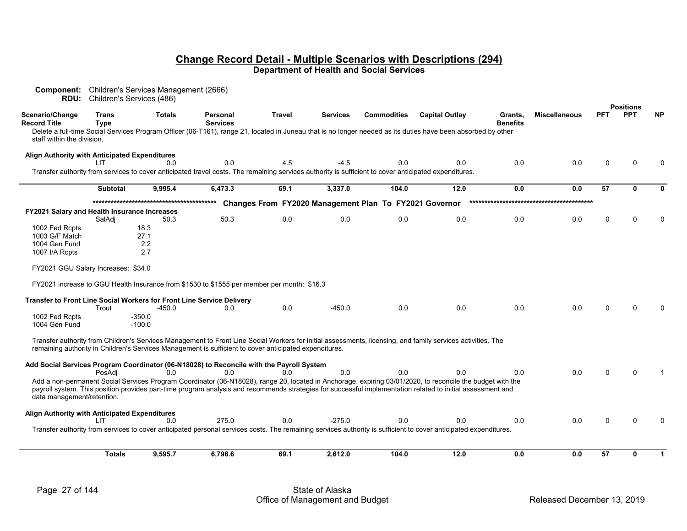|                                               | <b>RDU:</b> Children's Services (486) | <b>Component:</b> Children's Services Management (2666) |                                                                                                                                                       |               |                 |                                                        |                                                                                                                                                                                                                                                                                                                           |                            |                      |            |                  |              |
|-----------------------------------------------|---------------------------------------|---------------------------------------------------------|-------------------------------------------------------------------------------------------------------------------------------------------------------|---------------|-----------------|--------------------------------------------------------|---------------------------------------------------------------------------------------------------------------------------------------------------------------------------------------------------------------------------------------------------------------------------------------------------------------------------|----------------------------|----------------------|------------|------------------|--------------|
|                                               |                                       |                                                         |                                                                                                                                                       |               |                 |                                                        |                                                                                                                                                                                                                                                                                                                           |                            |                      |            | <b>Positions</b> |              |
| Scenario/Change<br>Record Title               | <b>Trans</b><br><b>Type</b>           | <b>Totals</b>                                           | Personal<br><b>Services</b>                                                                                                                           | <b>Travel</b> | <b>Services</b> | <b>Commodities</b>                                     | <b>Capital Outlay</b>                                                                                                                                                                                                                                                                                                     | Grants.<br><b>Benefits</b> | <b>Miscellaneous</b> | <b>PFT</b> | <b>PPT</b>       | <b>NP</b>    |
| staff within the division.                    |                                       |                                                         |                                                                                                                                                       |               |                 |                                                        | Delete a full-time Social Services Program Officer (06-T161), range 21, located in Juneau that is no longer needed as its duties have been absorbed by other                                                                                                                                                              |                            |                      |            |                  |              |
| Align Authority with Anticipated Expenditures | ШT                                    | 0 Q                                                     | 0.0                                                                                                                                                   | 4.5           | -4.5            | 0.0                                                    | 0.0                                                                                                                                                                                                                                                                                                                       | 0.0                        | 0.0                  | $\Omega$   | ∩                | <sup>0</sup> |
|                                               |                                       |                                                         | Transfer authority from services to cover anticipated travel costs. The remaining services authority is sufficient to cover anticipated expenditures. |               |                 |                                                        |                                                                                                                                                                                                                                                                                                                           |                            |                      |            |                  |              |
|                                               | <b>Subtotal</b>                       | 9,995.4                                                 | 6,473.3                                                                                                                                               | 69.1          | 3,337.0         | 104.0                                                  | 12.0                                                                                                                                                                                                                                                                                                                      | 0.0                        | 0.0                  | 57         | 0                | $\bf{0}$     |
|                                               |                                       |                                                         |                                                                                                                                                       |               |                 | Changes From FY2020 Management Plan To FY2021 Governor |                                                                                                                                                                                                                                                                                                                           |                            |                      |            |                  |              |
| FY2021 Salary and Health Insurance Increases  |                                       |                                                         |                                                                                                                                                       |               |                 |                                                        |                                                                                                                                                                                                                                                                                                                           |                            |                      |            |                  |              |
|                                               | SalAdi                                | 50.3                                                    | 50.3                                                                                                                                                  | 0.0           | 0.0             | 0.0                                                    | 0.0                                                                                                                                                                                                                                                                                                                       | 0.0                        | 0.0                  | $\Omega$   | ∩                | <sup>0</sup> |
| 1002 Fed Rcpts                                |                                       | 18.3                                                    |                                                                                                                                                       |               |                 |                                                        |                                                                                                                                                                                                                                                                                                                           |                            |                      |            |                  |              |
| 1003 G/F Match                                |                                       | 27.1                                                    |                                                                                                                                                       |               |                 |                                                        |                                                                                                                                                                                                                                                                                                                           |                            |                      |            |                  |              |
| 1004 Gen Fund                                 |                                       | 2.2                                                     |                                                                                                                                                       |               |                 |                                                        |                                                                                                                                                                                                                                                                                                                           |                            |                      |            |                  |              |
| 1007 I/A Rcpts                                |                                       | 2.7                                                     |                                                                                                                                                       |               |                 |                                                        |                                                                                                                                                                                                                                                                                                                           |                            |                      |            |                  |              |
| FY2021 GGU Salary Increases: \$34.0           |                                       |                                                         |                                                                                                                                                       |               |                 |                                                        |                                                                                                                                                                                                                                                                                                                           |                            |                      |            |                  |              |
|                                               |                                       |                                                         | FY2021 increase to GGU Health Insurance from \$1530 to \$1555 per member per month: \$16.3                                                            |               |                 |                                                        |                                                                                                                                                                                                                                                                                                                           |                            |                      |            |                  |              |
|                                               |                                       |                                                         | Transfer to Front Line Social Workers for Front Line Service Delivery                                                                                 |               |                 |                                                        |                                                                                                                                                                                                                                                                                                                           |                            |                      |            |                  |              |
|                                               | Trout                                 | $-450.0$                                                | 0.0                                                                                                                                                   | 0.0           | $-450.0$        | 0.0                                                    | 0.0                                                                                                                                                                                                                                                                                                                       | 0.0                        | 0.0                  |            |                  |              |
| 1002 Fed Rcpts<br>1004 Gen Fund               |                                       | $-350.0$<br>$-100.0$                                    |                                                                                                                                                       |               |                 |                                                        |                                                                                                                                                                                                                                                                                                                           |                            |                      |            |                  |              |
|                                               |                                       |                                                         | remaining authority in Children's Services Management is sufficient to cover anticipated expenditures.                                                |               |                 |                                                        | Transfer authority from Children's Services Management to Front Line Social Workers for initial assessments, licensing, and family services activities. The                                                                                                                                                               |                            |                      |            |                  |              |
|                                               |                                       |                                                         | Add Social Services Program Coordinator (06-N18028) to Reconcile with the Payroll System                                                              |               |                 |                                                        |                                                                                                                                                                                                                                                                                                                           |                            |                      |            |                  |              |
|                                               | PosAdi                                | 0.0                                                     | 0.0                                                                                                                                                   | 0.0           | 0.0             | 0.0                                                    | 0.0                                                                                                                                                                                                                                                                                                                       | 0.0                        | 0.0                  |            |                  |              |
| data management/retention.                    |                                       |                                                         |                                                                                                                                                       |               |                 |                                                        | Add a non-permanent Social Services Program Coordinator (06-N18028), range 20, located in Anchorage, expiring 03/01/2020, to reconcile the budget with the<br>payroll system. This position provides part-time program analysis and recommends strategies for successful implementation related to initial assessment and |                            |                      |            |                  |              |
| Align Authority with Anticipated Expenditures |                                       |                                                         |                                                                                                                                                       |               |                 |                                                        |                                                                                                                                                                                                                                                                                                                           |                            |                      |            |                  |              |
|                                               | LIT                                   | 0.0                                                     | 275.0                                                                                                                                                 | 0.0           | $-275.0$        | 0.0                                                    | 0.0                                                                                                                                                                                                                                                                                                                       | 0.0                        | 0.0                  |            |                  |              |
|                                               |                                       |                                                         |                                                                                                                                                       |               |                 |                                                        | Transfer authority from services to cover anticipated personal services costs. The remaining services authority is sufficient to cover anticipated expenditures.                                                                                                                                                          |                            |                      |            |                  |              |
|                                               |                                       |                                                         |                                                                                                                                                       |               |                 |                                                        |                                                                                                                                                                                                                                                                                                                           |                            |                      |            |                  |              |
|                                               | <b>Totals</b>                         | 9,595.7                                                 | 6,798.6                                                                                                                                               | 69.1          | 2,612.0         | 104.0                                                  | 12.0                                                                                                                                                                                                                                                                                                                      | 0.0                        | 0.0                  | 57         | 0                | $\mathbf 1$  |
|                                               |                                       |                                                         |                                                                                                                                                       |               |                 |                                                        |                                                                                                                                                                                                                                                                                                                           |                            |                      |            |                  |              |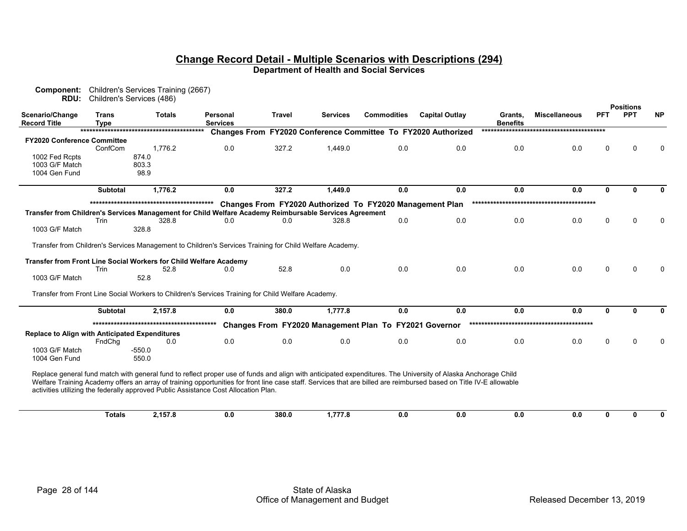| RDU:                                                              |                             | <b>Component:</b> Children's Services Training (2667)<br>Children's Services (486) |                                                                                                                                                                                                                                                                                                                                                                                                                             |        |                 |                                                          |                                                               |                            |                      |              | <b>Positions</b> |              |
|-------------------------------------------------------------------|-----------------------------|------------------------------------------------------------------------------------|-----------------------------------------------------------------------------------------------------------------------------------------------------------------------------------------------------------------------------------------------------------------------------------------------------------------------------------------------------------------------------------------------------------------------------|--------|-----------------|----------------------------------------------------------|---------------------------------------------------------------|----------------------------|----------------------|--------------|------------------|--------------|
| Scenario/Change<br><b>Record Title</b>                            | <b>Trans</b><br><b>Type</b> | <b>Totals</b>                                                                      | Personal<br><b>Services</b>                                                                                                                                                                                                                                                                                                                                                                                                 | Travel | <b>Services</b> | <b>Commodities</b>                                       | <b>Capital Outlay</b>                                         | Grants,<br><b>Benefits</b> | <b>Miscellaneous</b> | <b>PFT</b>   | <b>PPT</b>       | <b>NP</b>    |
|                                                                   |                             |                                                                                    |                                                                                                                                                                                                                                                                                                                                                                                                                             |        |                 |                                                          | Changes From FY2020 Conference Committee To FY2020 Authorized |                            |                      |              |                  |              |
| <b>FY2020 Conference Committee</b>                                |                             |                                                                                    |                                                                                                                                                                                                                                                                                                                                                                                                                             |        |                 |                                                          |                                                               |                            |                      |              |                  |              |
|                                                                   | ConfCom                     | 1,776.2                                                                            | 0.0                                                                                                                                                                                                                                                                                                                                                                                                                         | 327.2  | 1,449.0         | 0.0                                                      | 0.0                                                           | 0.0                        | 0.0                  | n            |                  |              |
| 1002 Fed Rcpts                                                    |                             | 874.0                                                                              |                                                                                                                                                                                                                                                                                                                                                                                                                             |        |                 |                                                          |                                                               |                            |                      |              |                  |              |
| 1003 G/F Match                                                    |                             | 803.3                                                                              |                                                                                                                                                                                                                                                                                                                                                                                                                             |        |                 |                                                          |                                                               |                            |                      |              |                  |              |
| 1004 Gen Fund                                                     |                             | 98.9                                                                               |                                                                                                                                                                                                                                                                                                                                                                                                                             |        |                 |                                                          |                                                               |                            |                      |              |                  |              |
|                                                                   | <b>Subtotal</b>             | 1,776.2                                                                            | 0.0                                                                                                                                                                                                                                                                                                                                                                                                                         | 327.2  | 1,449.0         | 0.0                                                      | 0.0                                                           | 0.0                        | 0.0                  | $\mathbf{0}$ | 0                | <sup>0</sup> |
|                                                                   |                             |                                                                                    |                                                                                                                                                                                                                                                                                                                                                                                                                             |        |                 | Changes From FY2020 Authorized To FY2020 Management Plan |                                                               |                            |                      |              |                  |              |
|                                                                   |                             |                                                                                    | Transfer from Children's Services Management for Child Welfare Academy Reimbursable Services Agreement                                                                                                                                                                                                                                                                                                                      |        |                 |                                                          |                                                               |                            |                      |              |                  |              |
|                                                                   | Trin                        | 328.8                                                                              | 0.0                                                                                                                                                                                                                                                                                                                                                                                                                         | 0.0    | 328.8           | 0.0                                                      | 0.0                                                           | 0.0                        | 0.0                  | $\mathbf{0}$ | $\Omega$         |              |
| 1003 G/F Match                                                    |                             | 328.8                                                                              |                                                                                                                                                                                                                                                                                                                                                                                                                             |        |                 |                                                          |                                                               |                            |                      |              |                  |              |
|                                                                   |                             |                                                                                    | Transfer from Children's Services Management to Children's Services Training for Child Welfare Academy.                                                                                                                                                                                                                                                                                                                     |        |                 |                                                          |                                                               |                            |                      |              |                  |              |
|                                                                   |                             |                                                                                    |                                                                                                                                                                                                                                                                                                                                                                                                                             |        |                 |                                                          |                                                               |                            |                      |              |                  |              |
| Transfer from Front Line Social Workers for Child Welfare Academy |                             |                                                                                    |                                                                                                                                                                                                                                                                                                                                                                                                                             |        |                 |                                                          |                                                               |                            |                      |              |                  |              |
|                                                                   | Trin                        | 52.8                                                                               | 0.0                                                                                                                                                                                                                                                                                                                                                                                                                         | 52.8   | 0.0             | 0.0                                                      | 0.0                                                           | 0.0                        | 0.0                  | 0            | ∩                |              |
| 1003 G/F Match                                                    |                             | 52.8                                                                               |                                                                                                                                                                                                                                                                                                                                                                                                                             |        |                 |                                                          |                                                               |                            |                      |              |                  |              |
|                                                                   |                             |                                                                                    | Transfer from Front Line Social Workers to Children's Services Training for Child Welfare Academy.                                                                                                                                                                                                                                                                                                                          |        |                 |                                                          |                                                               |                            |                      |              |                  |              |
|                                                                   |                             |                                                                                    |                                                                                                                                                                                                                                                                                                                                                                                                                             |        |                 |                                                          |                                                               |                            |                      |              |                  |              |
|                                                                   | <b>Subtotal</b>             | 2,157.8                                                                            | 0.0                                                                                                                                                                                                                                                                                                                                                                                                                         | 380.0  | 1,777.8         | 0.0                                                      | 0.0                                                           | 0.0                        | 0.0                  | $\mathbf{0}$ | 0                | <sup>0</sup> |
|                                                                   |                             |                                                                                    |                                                                                                                                                                                                                                                                                                                                                                                                                             |        |                 | Changes From FY2020 Management Plan To FY2021 Governor   |                                                               |                            |                      |              |                  |              |
| <b>Replace to Align with Anticipated Expenditures</b>             |                             |                                                                                    |                                                                                                                                                                                                                                                                                                                                                                                                                             |        |                 |                                                          |                                                               |                            |                      |              |                  |              |
|                                                                   | FndChq                      | 0.0                                                                                | 0.0                                                                                                                                                                                                                                                                                                                                                                                                                         | 0.0    | 0.0             | 0.0                                                      | 0.0                                                           | 0.0                        | 0.0                  | 0            | ∩                |              |
| 1003 G/F Match                                                    |                             | -550.0                                                                             |                                                                                                                                                                                                                                                                                                                                                                                                                             |        |                 |                                                          |                                                               |                            |                      |              |                  |              |
| 1004 Gen Fund                                                     |                             | 550.0                                                                              |                                                                                                                                                                                                                                                                                                                                                                                                                             |        |                 |                                                          |                                                               |                            |                      |              |                  |              |
|                                                                   |                             |                                                                                    | Replace general fund match with general fund to reflect proper use of funds and align with anticipated expenditures. The University of Alaska Anchorage Child<br>Welfare Training Academy offers an array of training opportunities for front line case staff. Services that are billed are reimbursed based on Title IV-E allowable<br>activities utilizing the federally approved Public Assistance Cost Allocation Plan. |        |                 |                                                          |                                                               |                            |                      |              |                  |              |
|                                                                   | <b>Totals</b>               | 2,157.8                                                                            | 0.0                                                                                                                                                                                                                                                                                                                                                                                                                         | 380.0  | 1,777.8         | 0.0                                                      | 0.0                                                           | 0.0                        | 0.0                  | $\mathbf{0}$ | 0                |              |
|                                                                   |                             |                                                                                    |                                                                                                                                                                                                                                                                                                                                                                                                                             |        |                 |                                                          |                                                               |                            |                      |              |                  |              |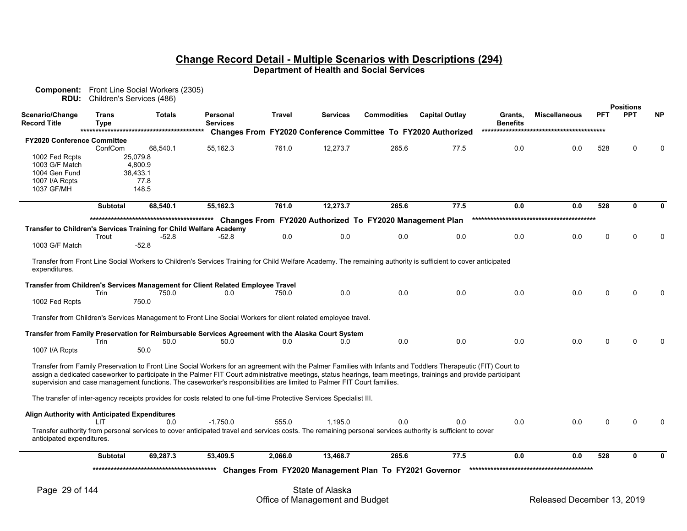|                                               | RDU: Children's Services (486) | <b>Component:</b> Front Line Social Workers (2305)                 |                                                                                                                        |         |                 |                                                          |                                                                                                                                                                                                                                                                                                                                  |                            |                      |             |                                |           |
|-----------------------------------------------|--------------------------------|--------------------------------------------------------------------|------------------------------------------------------------------------------------------------------------------------|---------|-----------------|----------------------------------------------------------|----------------------------------------------------------------------------------------------------------------------------------------------------------------------------------------------------------------------------------------------------------------------------------------------------------------------------------|----------------------------|----------------------|-------------|--------------------------------|-----------|
| Scenario/Change<br><b>Record Title</b>        | Trans<br>Type                  | <b>Totals</b>                                                      | Personal<br><b>Services</b>                                                                                            | Travel  | <b>Services</b> | <b>Commodities</b>                                       | <b>Capital Outlay</b>                                                                                                                                                                                                                                                                                                            | Grants,<br><b>Benefits</b> | <b>Miscellaneous</b> | <b>PFT</b>  | <b>Positions</b><br><b>PPT</b> | <b>NP</b> |
|                                               |                                |                                                                    |                                                                                                                        |         |                 |                                                          | Changes From FY2020 Conference Committee To FY2020 Authorized                                                                                                                                                                                                                                                                    |                            |                      |             |                                |           |
| <b>FY2020 Conference Committee</b>            |                                |                                                                    |                                                                                                                        |         |                 |                                                          |                                                                                                                                                                                                                                                                                                                                  |                            |                      |             |                                |           |
|                                               | ConfCom                        | 68.540.1                                                           | 55,162.3                                                                                                               | 761.0   | 12,273.7        | 265.6                                                    | 77.5                                                                                                                                                                                                                                                                                                                             | 0.0                        | 0.0                  | 528         |                                |           |
| 1002 Fed Rcpts                                |                                | 25,079.8                                                           |                                                                                                                        |         |                 |                                                          |                                                                                                                                                                                                                                                                                                                                  |                            |                      |             |                                |           |
| 1003 G/F Match                                |                                | 4,800.9                                                            |                                                                                                                        |         |                 |                                                          |                                                                                                                                                                                                                                                                                                                                  |                            |                      |             |                                |           |
| 1004 Gen Fund                                 |                                | 38,433.1<br>77.8                                                   |                                                                                                                        |         |                 |                                                          |                                                                                                                                                                                                                                                                                                                                  |                            |                      |             |                                |           |
| 1007 I/A Rcpts<br>1037 GF/MH                  |                                | 148.5                                                              |                                                                                                                        |         |                 |                                                          |                                                                                                                                                                                                                                                                                                                                  |                            |                      |             |                                |           |
|                                               |                                |                                                                    |                                                                                                                        |         |                 |                                                          |                                                                                                                                                                                                                                                                                                                                  |                            |                      |             |                                |           |
|                                               | <b>Subtotal</b>                | 68,540.1                                                           | 55,162.3                                                                                                               | 761.0   | 12,273.7        | 265.6                                                    | 77.5                                                                                                                                                                                                                                                                                                                             | 0.0                        | 0.0                  | 528         | 0                              |           |
|                                               |                                |                                                                    |                                                                                                                        |         |                 | Changes From FY2020 Authorized To FY2020 Management Plan |                                                                                                                                                                                                                                                                                                                                  |                            |                      |             |                                |           |
|                                               |                                | Transfer to Children's Services Training for Child Welfare Academy |                                                                                                                        |         |                 |                                                          |                                                                                                                                                                                                                                                                                                                                  |                            |                      |             |                                |           |
|                                               | Trout                          | $-52.8$                                                            | -52.8                                                                                                                  | 0.0     | 0.0             | 0.0                                                      | 0.0                                                                                                                                                                                                                                                                                                                              | 0.0                        | 0.0                  | $\mathbf 0$ |                                |           |
| 1003 G/F Match                                |                                | $-52.8$                                                            |                                                                                                                        |         |                 |                                                          |                                                                                                                                                                                                                                                                                                                                  |                            |                      |             |                                |           |
| expenditures.                                 |                                |                                                                    |                                                                                                                        |         |                 |                                                          | Transfer from Front Line Social Workers to Children's Services Training for Child Welfare Academy. The remaining authority is sufficient to cover anticipated                                                                                                                                                                    |                            |                      |             |                                |           |
|                                               |                                |                                                                    | Transfer from Children's Services Management for Client Related Employee Travel                                        |         |                 |                                                          |                                                                                                                                                                                                                                                                                                                                  |                            |                      |             |                                |           |
|                                               | Trin                           | 750.0                                                              | 0.0                                                                                                                    | 750.0   | 0.0             | 0.0                                                      | 0.0                                                                                                                                                                                                                                                                                                                              | 0.0                        | 0.0                  | $\Omega$    |                                |           |
| 1002 Fed Rcpts                                |                                | 750.0                                                              |                                                                                                                        |         |                 |                                                          |                                                                                                                                                                                                                                                                                                                                  |                            |                      |             |                                |           |
|                                               |                                |                                                                    | Transfer from Children's Services Management to Front Line Social Workers for client related employee travel.          |         |                 |                                                          |                                                                                                                                                                                                                                                                                                                                  |                            |                      |             |                                |           |
|                                               |                                |                                                                    | Transfer from Family Preservation for Reimbursable Services Agreement with the Alaska Court System                     |         |                 |                                                          |                                                                                                                                                                                                                                                                                                                                  |                            |                      |             |                                |           |
|                                               | Trin                           | 50.0                                                               | 50.0                                                                                                                   | 0.0     | 0.0             | 0.0                                                      | 0.0                                                                                                                                                                                                                                                                                                                              | 0.0                        | 0.0                  | $\Omega$    |                                |           |
| 1007 I/A Rcpts                                |                                | 50.0                                                               |                                                                                                                        |         |                 |                                                          |                                                                                                                                                                                                                                                                                                                                  |                            |                      |             |                                |           |
|                                               |                                |                                                                    | supervision and case management functions. The caseworker's responsibilities are limited to Palmer FIT Court families. |         |                 |                                                          | Transfer from Family Preservation to Front Line Social Workers for an agreement with the Palmer Families with Infants and Toddlers Therapeutic (FIT) Court to<br>assign a dedicated caseworker to participate in the Palmer FIT Court administrative meetings, status hearings, team meetings, trainings and provide participant |                            |                      |             |                                |           |
|                                               |                                |                                                                    | The transfer of inter-agency receipts provides for costs related to one full-time Protective Services Specialist III.  |         |                 |                                                          |                                                                                                                                                                                                                                                                                                                                  |                            |                      |             |                                |           |
| Align Authority with Anticipated Expenditures | LIT.                           | 0.0                                                                | $-1.750.0$                                                                                                             | 555.0   | 1.195.0         | 0.0                                                      | 0.0                                                                                                                                                                                                                                                                                                                              | 0.0                        | 0.0                  | $\Omega$    |                                |           |
| anticipated expenditures.                     |                                |                                                                    |                                                                                                                        |         |                 |                                                          | Transfer authority from personal services to cover anticipated travel and services costs. The remaining personal services authority is sufficient to cover                                                                                                                                                                       |                            |                      |             |                                |           |
|                                               | <b>Subtotal</b>                | 69,287.3                                                           | 53,409.5                                                                                                               | 2,066.0 | 13,468.7        | 265.6                                                    | 77.5                                                                                                                                                                                                                                                                                                                             | 0.0                        | 0.0                  | 528         | 0                              |           |
|                                               |                                |                                                                    |                                                                                                                        |         |                 |                                                          |                                                                                                                                                                                                                                                                                                                                  |                            |                      |             |                                |           |
|                                               |                                |                                                                    |                                                                                                                        |         |                 | Changes From FY2020 Management Plan To FY2021 Governor   |                                                                                                                                                                                                                                                                                                                                  |                            |                      |             |                                |           |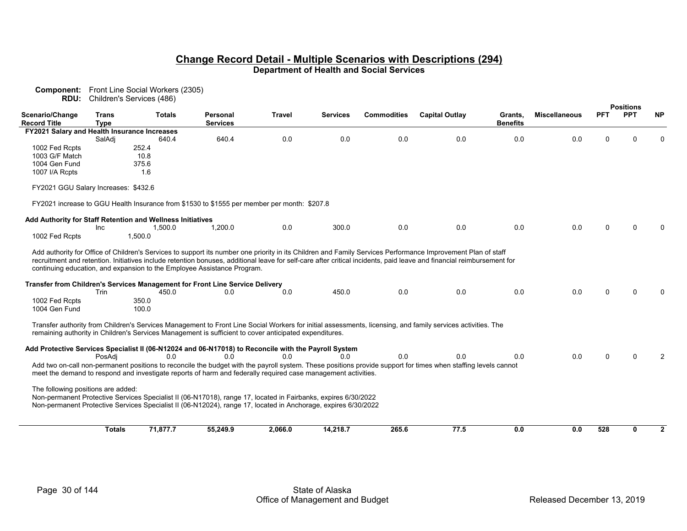|                                              |                             | <b>Component:</b> Front Line Social Workers (2305)         |                                                                                                                |         |          |                    |                                                                                                                                                                                                                                                                                                                                       |                            |                      |            |                  |              |
|----------------------------------------------|-----------------------------|------------------------------------------------------------|----------------------------------------------------------------------------------------------------------------|---------|----------|--------------------|---------------------------------------------------------------------------------------------------------------------------------------------------------------------------------------------------------------------------------------------------------------------------------------------------------------------------------------|----------------------------|----------------------|------------|------------------|--------------|
|                                              |                             | RDU: Children's Services (486)                             |                                                                                                                |         |          |                    |                                                                                                                                                                                                                                                                                                                                       |                            |                      |            | <b>Positions</b> |              |
| <b>Scenario/Change</b><br>Record Title       | <b>Trans</b><br><b>Type</b> | <b>Totals</b>                                              | Personal<br><b>Services</b>                                                                                    | Travel  | Services | <b>Commodities</b> | <b>Capital Outlay</b>                                                                                                                                                                                                                                                                                                                 | Grants.<br><b>Benefits</b> | <b>Miscellaneous</b> | <b>PFT</b> | <b>PPT</b>       | <b>NP</b>    |
| FY2021 Salary and Health Insurance Increases |                             |                                                            |                                                                                                                |         |          |                    |                                                                                                                                                                                                                                                                                                                                       |                            |                      |            |                  |              |
|                                              | SalAdi                      | 640.4                                                      | 640.4                                                                                                          | 0.0     | 0.0      | 0.0                | 0.0                                                                                                                                                                                                                                                                                                                                   | 0.0                        | 0.0                  | 0          | n                |              |
| 1002 Fed Rcpts                               |                             | 252.4                                                      |                                                                                                                |         |          |                    |                                                                                                                                                                                                                                                                                                                                       |                            |                      |            |                  |              |
| 1003 G/F Match                               |                             | 10.8                                                       |                                                                                                                |         |          |                    |                                                                                                                                                                                                                                                                                                                                       |                            |                      |            |                  |              |
| 1004 Gen Fund                                |                             | 375.6                                                      |                                                                                                                |         |          |                    |                                                                                                                                                                                                                                                                                                                                       |                            |                      |            |                  |              |
| 1007 I/A Rcpts                               |                             | 1.6                                                        |                                                                                                                |         |          |                    |                                                                                                                                                                                                                                                                                                                                       |                            |                      |            |                  |              |
| FY2021 GGU Salary Increases: \$432.6         |                             |                                                            |                                                                                                                |         |          |                    |                                                                                                                                                                                                                                                                                                                                       |                            |                      |            |                  |              |
|                                              |                             |                                                            | FY2021 increase to GGU Health Insurance from \$1530 to \$1555 per member per month: \$207.8                    |         |          |                    |                                                                                                                                                                                                                                                                                                                                       |                            |                      |            |                  |              |
|                                              |                             | Add Authority for Staff Retention and Wellness Initiatives |                                                                                                                |         |          |                    |                                                                                                                                                                                                                                                                                                                                       |                            |                      |            |                  |              |
|                                              | Inc                         | 1,500.0                                                    | 1,200.0                                                                                                        | 0.0     | 300.0    | 0.0                | 0.0                                                                                                                                                                                                                                                                                                                                   | 0.0                        | 0.0                  | 0          |                  |              |
| 1002 Fed Rcpts                               |                             | 1,500.0                                                    |                                                                                                                |         |          |                    |                                                                                                                                                                                                                                                                                                                                       |                            |                      |            |                  |              |
|                                              |                             |                                                            | continuing education, and expansion to the Employee Assistance Program.                                        |         |          |                    | Add authority for Office of Children's Services to support its number one priority in its Children and Family Services Performance Improvement Plan of staff<br>recruitment and retention. Initiatives include retention bonuses, additional leave for self-care after critical incidents, paid leave and financial reimbursement for |                            |                      |            |                  |              |
|                                              |                             |                                                            | Transfer from Children's Services Management for Front Line Service Delivery                                   |         |          |                    |                                                                                                                                                                                                                                                                                                                                       |                            |                      |            |                  |              |
|                                              | Trin                        | 450.0                                                      | 0.0                                                                                                            | 0.0     | 450.0    | 0.0                | 0.0                                                                                                                                                                                                                                                                                                                                   | 0.0                        | 0.0                  | 0          |                  |              |
| 1002 Fed Rcpts<br>1004 Gen Fund              |                             | 350.0<br>100.0                                             |                                                                                                                |         |          |                    |                                                                                                                                                                                                                                                                                                                                       |                            |                      |            |                  |              |
|                                              |                             |                                                            | remaining authority in Children's Services Management is sufficient to cover anticipated expenditures.         |         |          |                    | Transfer authority from Children's Services Management to Front Line Social Workers for initial assessments, licensing, and family services activities. The                                                                                                                                                                           |                            |                      |            |                  |              |
|                                              |                             |                                                            | Add Protective Services Specialist II (06-N12024 and 06-N17018) to Reconcile with the Payroll System           |         |          |                    |                                                                                                                                                                                                                                                                                                                                       |                            |                      |            |                  |              |
|                                              | PosAdi                      | 0.0                                                        | 0.0                                                                                                            | 0.0     | 0.0      | 0.0                | 0.0                                                                                                                                                                                                                                                                                                                                   | 0.0                        | 0.0                  | 0          | ∩                |              |
|                                              |                             |                                                            | meet the demand to respond and investigate reports of harm and federally required case management activities.  |         |          |                    | Add two on-call non-permanent positions to reconcile the budget with the payroll system. These positions provide support for times when staffing levels cannot                                                                                                                                                                        |                            |                      |            |                  |              |
| The following positions are added:           |                             |                                                            | Non-permanent Protective Services Specialist II (06-N17018), range 17, located in Fairbanks, expires 6/30/2022 |         |          |                    |                                                                                                                                                                                                                                                                                                                                       |                            |                      |            |                  |              |
|                                              |                             |                                                            | Non-permanent Protective Services Specialist II (06-N12024), range 17, located in Anchorage, expires 6/30/2022 |         |          |                    |                                                                                                                                                                                                                                                                                                                                       |                            |                      |            |                  |              |
|                                              |                             |                                                            |                                                                                                                |         |          |                    |                                                                                                                                                                                                                                                                                                                                       |                            |                      |            |                  |              |
|                                              | <b>Totals</b>               | 71,877.7                                                   | 55,249.9                                                                                                       | 2,066.0 | 14,218.7 | 265.6              | 77.5                                                                                                                                                                                                                                                                                                                                  | 0.0                        | 0.0                  | 528        | 0                | $\mathbf{2}$ |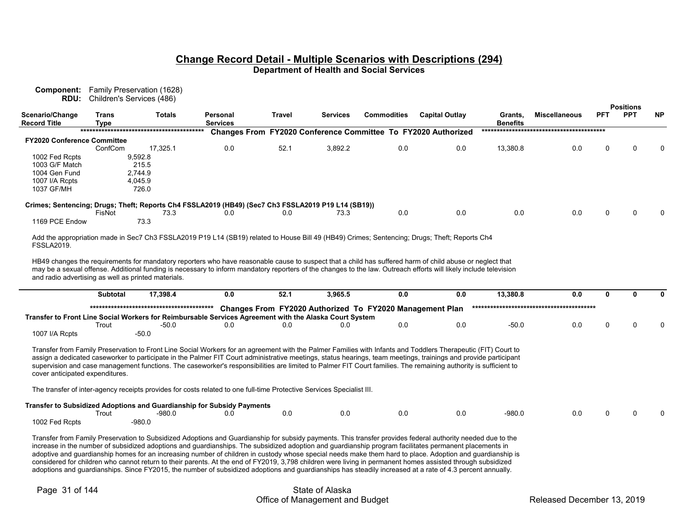|                                                     |                             | RDU: Children's Services (486)                                                                                                                                                                                                                                                                                                                                                                                                                                                                                                                                                                                                                                                                                                                                                                                 |                                    |               |          |                                                          |                                                               |                            |                      |            | <b>Positions</b> |           |
|-----------------------------------------------------|-----------------------------|----------------------------------------------------------------------------------------------------------------------------------------------------------------------------------------------------------------------------------------------------------------------------------------------------------------------------------------------------------------------------------------------------------------------------------------------------------------------------------------------------------------------------------------------------------------------------------------------------------------------------------------------------------------------------------------------------------------------------------------------------------------------------------------------------------------|------------------------------------|---------------|----------|----------------------------------------------------------|---------------------------------------------------------------|----------------------------|----------------------|------------|------------------|-----------|
| Scenario/Change<br><b>Record Title</b>              | <b>Trans</b><br><b>Type</b> | <b>Totals</b>                                                                                                                                                                                                                                                                                                                                                                                                                                                                                                                                                                                                                                                                                                                                                                                                  | <b>Personal</b><br><b>Services</b> | <b>Travel</b> | Services | <b>Commodities</b>                                       | <b>Capital Outlay</b>                                         | Grants,<br><b>Benefits</b> | <b>Miscellaneous</b> | <b>PFT</b> | <b>PPT</b>       | <b>NP</b> |
|                                                     |                             |                                                                                                                                                                                                                                                                                                                                                                                                                                                                                                                                                                                                                                                                                                                                                                                                                |                                    |               |          |                                                          | Changes From FY2020 Conference Committee To FY2020 Authorized |                            |                      |            |                  |           |
| <b>FY2020 Conference Committee</b>                  |                             |                                                                                                                                                                                                                                                                                                                                                                                                                                                                                                                                                                                                                                                                                                                                                                                                                |                                    |               |          |                                                          |                                                               |                            |                      |            |                  |           |
|                                                     | ConfCom                     | 17,325.1                                                                                                                                                                                                                                                                                                                                                                                                                                                                                                                                                                                                                                                                                                                                                                                                       | 0.0                                | 52.1          | 3,892.2  | 0.0                                                      | 0.0                                                           | 13,380.8                   | 0.0                  | 0          |                  |           |
| 1002 Fed Rcpts                                      |                             | 9,592.8                                                                                                                                                                                                                                                                                                                                                                                                                                                                                                                                                                                                                                                                                                                                                                                                        |                                    |               |          |                                                          |                                                               |                            |                      |            |                  |           |
| 1003 G/F Match                                      |                             | 215.5                                                                                                                                                                                                                                                                                                                                                                                                                                                                                                                                                                                                                                                                                                                                                                                                          |                                    |               |          |                                                          |                                                               |                            |                      |            |                  |           |
| 1004 Gen Fund                                       |                             | 2,744.9                                                                                                                                                                                                                                                                                                                                                                                                                                                                                                                                                                                                                                                                                                                                                                                                        |                                    |               |          |                                                          |                                                               |                            |                      |            |                  |           |
| 1007 I/A Rcpts                                      |                             | 4.045.9                                                                                                                                                                                                                                                                                                                                                                                                                                                                                                                                                                                                                                                                                                                                                                                                        |                                    |               |          |                                                          |                                                               |                            |                      |            |                  |           |
| 1037 GF/MH                                          |                             | 726.0                                                                                                                                                                                                                                                                                                                                                                                                                                                                                                                                                                                                                                                                                                                                                                                                          |                                    |               |          |                                                          |                                                               |                            |                      |            |                  |           |
|                                                     |                             | Crimes; Sentencing; Drugs; Theft; Reports Ch4 FSSLA2019 (HB49) (Sec7 Ch3 FSSLA2019 P19 L14 (SB19))                                                                                                                                                                                                                                                                                                                                                                                                                                                                                                                                                                                                                                                                                                             |                                    |               |          |                                                          |                                                               |                            |                      |            |                  |           |
|                                                     | FisNot                      | 73.3                                                                                                                                                                                                                                                                                                                                                                                                                                                                                                                                                                                                                                                                                                                                                                                                           | 0.0                                | 0.0           | 73.3     | 0.0                                                      | 0.0                                                           | 0.0                        | 0.0                  | ŋ          |                  |           |
| 1169 PCE Endow                                      |                             | 73.3                                                                                                                                                                                                                                                                                                                                                                                                                                                                                                                                                                                                                                                                                                                                                                                                           |                                    |               |          |                                                          |                                                               |                            |                      |            |                  |           |
| <b>FSSLA2019.</b>                                   |                             | Add the appropriation made in Sec7 Ch3 FSSLA2019 P19 L14 (SB19) related to House Bill 49 (HB49) Crimes; Sentencing; Drugs; Theft; Reports Ch4                                                                                                                                                                                                                                                                                                                                                                                                                                                                                                                                                                                                                                                                  |                                    |               |          |                                                          |                                                               |                            |                      |            |                  |           |
| and radio advertising as well as printed materials. | <b>Subtotal</b>             | may be a sexual offense. Additional funding is necessary to inform mandatory reporters of the changes to the law. Outreach efforts will likely include television<br>17,398.4                                                                                                                                                                                                                                                                                                                                                                                                                                                                                                                                                                                                                                  | 0.0                                | 52.1          | 3,965.5  | 0.0                                                      | 0.0                                                           | 13,380.8                   | 0.0                  | 0          | $\Omega$         | 0         |
|                                                     |                             |                                                                                                                                                                                                                                                                                                                                                                                                                                                                                                                                                                                                                                                                                                                                                                                                                |                                    |               |          |                                                          |                                                               |                            |                      |            |                  |           |
|                                                     |                             |                                                                                                                                                                                                                                                                                                                                                                                                                                                                                                                                                                                                                                                                                                                                                                                                                |                                    |               |          | Changes From FY2020 Authorized To FY2020 Management Plan |                                                               |                            |                      |            |                  |           |
|                                                     | Trout                       | Transfer to Front Line Social Workers for Reimbursable Services Agreement with the Alaska Court System<br>$-50.0$                                                                                                                                                                                                                                                                                                                                                                                                                                                                                                                                                                                                                                                                                              | 0.0                                | 0.0           | 0.0      | 0.0                                                      | 0.0                                                           | $-50.0$                    | 0.0                  | 0          |                  |           |
| 1007 I/A Rcpts                                      |                             | $-50.0$                                                                                                                                                                                                                                                                                                                                                                                                                                                                                                                                                                                                                                                                                                                                                                                                        |                                    |               |          |                                                          |                                                               |                            |                      |            |                  |           |
|                                                     |                             |                                                                                                                                                                                                                                                                                                                                                                                                                                                                                                                                                                                                                                                                                                                                                                                                                |                                    |               |          |                                                          |                                                               |                            |                      |            |                  |           |
| cover anticipated expenditures.                     |                             | Transfer from Family Preservation to Front Line Social Workers for an agreement with the Palmer Families with Infants and Toddlers Therapeutic (FIT) Court to<br>assign a dedicated caseworker to participate in the Palmer FIT Court administrative meetings, status hearings, team meetings, trainings and provide participant<br>supervision and case management functions. The caseworker's responsibilities are limited to Palmer FIT Court families. The remaining authority is sufficient to                                                                                                                                                                                                                                                                                                            |                                    |               |          |                                                          |                                                               |                            |                      |            |                  |           |
|                                                     |                             | The transfer of inter-agency receipts provides for costs related to one full-time Protective Services Specialist III.                                                                                                                                                                                                                                                                                                                                                                                                                                                                                                                                                                                                                                                                                          |                                    |               |          |                                                          |                                                               |                            |                      |            |                  |           |
|                                                     |                             | <b>Transfer to Subsidized Adoptions and Guardianship for Subsidy Payments</b>                                                                                                                                                                                                                                                                                                                                                                                                                                                                                                                                                                                                                                                                                                                                  |                                    |               |          |                                                          |                                                               |                            |                      |            |                  |           |
|                                                     | Trout                       | -980.0                                                                                                                                                                                                                                                                                                                                                                                                                                                                                                                                                                                                                                                                                                                                                                                                         | 0.0                                | 0.0           | 0.0      | 0.0                                                      | 0.0                                                           | $-980.0$                   | 0.0                  | U          |                  |           |
| 1002 Fed Rcpts                                      |                             | $-980.0$                                                                                                                                                                                                                                                                                                                                                                                                                                                                                                                                                                                                                                                                                                                                                                                                       |                                    |               |          |                                                          |                                                               |                            |                      |            |                  |           |
|                                                     |                             | Transfer from Family Preservation to Subsidized Adoptions and Guardianship for subsidy payments. This transfer provides federal authority needed due to the<br>increase in the number of subsidized adoptions and guardianships. The subsidized adoption and guardianship program facilitates permanent placements in<br>adoptive and guardianship homes for an increasing number of children in custody whose special needs make them hard to place. Adoption and guardianship is<br>considered for children who cannot return to their parents. At the end of FY2019, 3,798 children were living in permanent homes assisted through subsidized<br>adoptions and guardianships. Since FY2015, the number of subsidized adoptions and guardianships has steadily increased at a rate of 4.3 percent annually. |                                    |               |          |                                                          |                                                               |                            |                      |            |                  |           |

**Component:** Family Preservation (1628)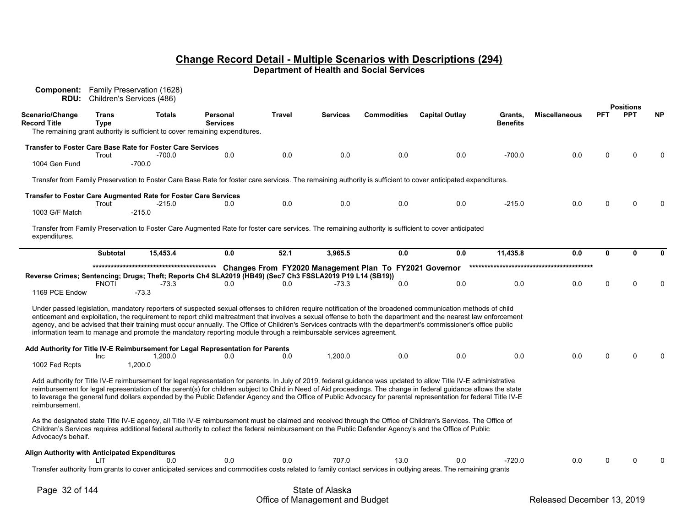| Component:<br>RDU:                            |                      | Family Preservation (1628)<br>Children's Services (486)                                                                                                                                                                                                                                                                                                                                                                                                                                                                                                                                                              |                             |        |          |                                                               |                       |                            |                      |            |                                |           |
|-----------------------------------------------|----------------------|----------------------------------------------------------------------------------------------------------------------------------------------------------------------------------------------------------------------------------------------------------------------------------------------------------------------------------------------------------------------------------------------------------------------------------------------------------------------------------------------------------------------------------------------------------------------------------------------------------------------|-----------------------------|--------|----------|---------------------------------------------------------------|-----------------------|----------------------------|----------------------|------------|--------------------------------|-----------|
| Scenario/Change<br><b>Record Title</b>        | Trans<br><b>Type</b> | <b>Totals</b>                                                                                                                                                                                                                                                                                                                                                                                                                                                                                                                                                                                                        | Personal<br><b>Services</b> | Travel | Services | <b>Commodities</b>                                            | <b>Capital Outlay</b> | Grants,<br><b>Benefits</b> | <b>Miscellaneous</b> | <b>PFT</b> | <b>Positions</b><br><b>PPT</b> | <b>NP</b> |
|                                               |                      | The remaining grant authority is sufficient to cover remaining expenditures.                                                                                                                                                                                                                                                                                                                                                                                                                                                                                                                                         |                             |        |          |                                                               |                       |                            |                      |            |                                |           |
|                                               | Trout                | <b>Transfer to Foster Care Base Rate for Foster Care Services</b><br>$-700.0$                                                                                                                                                                                                                                                                                                                                                                                                                                                                                                                                        | 0.0                         | 0.0    | 0.0      | 0.0                                                           | 0.0                   | $-700.0$                   | 0.0                  |            | U                              | $\Omega$  |
| 1004 Gen Fund                                 |                      | $-700.0$                                                                                                                                                                                                                                                                                                                                                                                                                                                                                                                                                                                                             |                             |        |          |                                                               |                       |                            |                      |            |                                |           |
|                                               |                      | Transfer from Family Preservation to Foster Care Base Rate for foster care services. The remaining authority is sufficient to cover anticipated expenditures.                                                                                                                                                                                                                                                                                                                                                                                                                                                        |                             |        |          |                                                               |                       |                            |                      |            |                                |           |
|                                               | Trout                | Transfer to Foster Care Augmented Rate for Foster Care Services<br>$-215.0$                                                                                                                                                                                                                                                                                                                                                                                                                                                                                                                                          | 0.0                         | 0.0    | 0.0      | 0.0                                                           | 0.0                   | $-215.0$                   | 0.0                  | $\Omega$   | U                              | n         |
| 1003 G/F Match                                |                      | $-215.0$                                                                                                                                                                                                                                                                                                                                                                                                                                                                                                                                                                                                             |                             |        |          |                                                               |                       |                            |                      |            |                                |           |
| expenditures.                                 |                      | Transfer from Family Preservation to Foster Care Augmented Rate for foster care services. The remaining authority is sufficient to cover anticipated                                                                                                                                                                                                                                                                                                                                                                                                                                                                 |                             |        |          |                                                               |                       |                            |                      |            |                                |           |
|                                               | <b>Subtotal</b>      | 15,453.4                                                                                                                                                                                                                                                                                                                                                                                                                                                                                                                                                                                                             | 0.0                         | 52.1   | 3,965.5  | 0.0                                                           | 0.0                   | 11,435.8                   | 0.0                  | 0          | 0                              | O         |
| 1169 PCE Endow                                | <b>FNOTI</b>         | Reverse Crimes; Sentencing; Drugs; Theft; Reports Ch4 SLA2019 (HB49) (Sec7 Ch3 FSSLA2019 P19 L14 (SB19))<br>$-73.3$<br>$-73.3$                                                                                                                                                                                                                                                                                                                                                                                                                                                                                       | 0.0                         | 0.0    | $-73.3$  | Changes From FY2020 Management Plan To FY2021 Governor<br>0.0 | 0.0                   | 0.0                        | 0.0                  | ∩          | U                              | $\Omega$  |
|                                               |                      | Under passed legislation, mandatory reporters of suspected sexual offenses to children require notification of the broadened communication methods of child<br>enticement and exploitation, the requirement to report child maltreatment that involves a sexual offense to both the department and the nearest law enforcement<br>agency, and be advised that their training must occur annually. The Office of Children's Services contracts with the department's commissioner's office public<br>information team to manage and promote the mandatory reporting module through a reimbursable services agreement. |                             |        |          |                                                               |                       |                            |                      |            |                                |           |
| 1002 Fed Rcpts                                | Inc                  | Add Authority for Title IV-E Reimbursement for Legal Representation for Parents<br>1,200.0<br>1,200.0                                                                                                                                                                                                                                                                                                                                                                                                                                                                                                                | 0.0                         | 0.0    | 1,200.0  | 0.0                                                           | 0.0                   | 0.0                        | 0.0                  |            | U                              |           |
| reimbursement.                                |                      | Add authority for Title IV-E reimbursement for legal representation for parents. In July of 2019, federal guidance was updated to allow Title IV-E administrative<br>reimbursement for legal representation of the parent(s) for children subject to Child in Need of Aid proceedings. The change in federal guidance allows the state<br>to leverage the general fund dollars expended by the Public Defender Agency and the Office of Public Advocacy for parental representation for federal Title IV-E                                                                                                           |                             |        |          |                                                               |                       |                            |                      |            |                                |           |
| Advocacy's behalf.                            |                      | As the designated state Title IV-E agency, all Title IV-E reimbursement must be claimed and received through the Office of Children's Services. The Office of<br>Children's Services requires additional federal authority to collect the federal reimbursement on the Public Defender Agency's and the Office of Public                                                                                                                                                                                                                                                                                             |                             |        |          |                                                               |                       |                            |                      |            |                                |           |
| Align Authority with Anticipated Expenditures | LIT                  | 0.0                                                                                                                                                                                                                                                                                                                                                                                                                                                                                                                                                                                                                  | 0.0                         | 0.0    | 707.0    | 13.0                                                          | 0.0                   | $-720.0$                   | 0.0                  |            | U                              |           |
|                                               |                      | Transfer authority from grants to cover anticipated services and commodities costs related to family contact services in outlying areas. The remaining grants                                                                                                                                                                                                                                                                                                                                                                                                                                                        |                             |        |          |                                                               |                       |                            |                      |            |                                |           |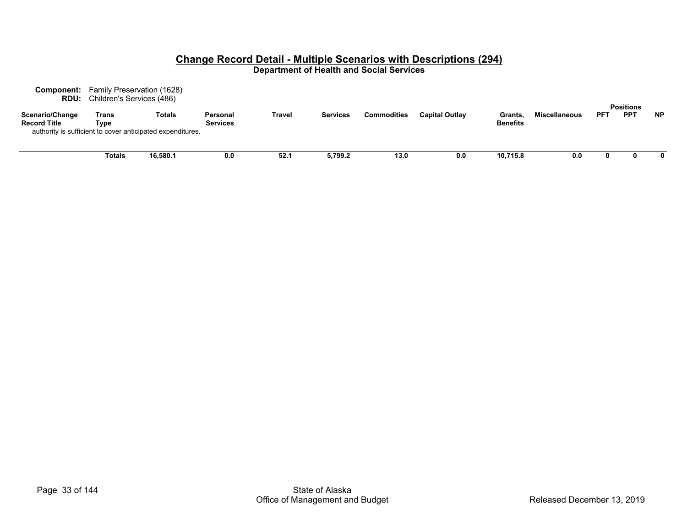| <b>Component:</b>                      | Family Preservation (1628)<br><b>RDU:</b> Children's Services (486) |                                                            |                             |               |                 |                    |                       |                           |                      |            | <b>Positions</b> |           |
|----------------------------------------|---------------------------------------------------------------------|------------------------------------------------------------|-----------------------------|---------------|-----------------|--------------------|-----------------------|---------------------------|----------------------|------------|------------------|-----------|
| Scenario/Change<br><b>Record Title</b> | Trans<br>Type                                                       | <b>Totals</b>                                              | Personal<br><b>Services</b> | <b>Travel</b> | <b>Services</b> | <b>Commodities</b> | <b>Capital Outlav</b> | Grants<br><b>Benefits</b> | <b>Miscellaneous</b> | <b>PFT</b> | <b>PPT</b>       | <b>NP</b> |
|                                        |                                                                     | authority is sufficient to cover anticipated expenditures. |                             |               |                 |                    |                       |                           |                      |            |                  |           |
|                                        | Totals                                                              | 16,580.1                                                   | 0.0                         | 52.1          | 5,799.2         | 13.0               | 0.0                   | 10,715.8                  | 0.0                  |            |                  | 0         |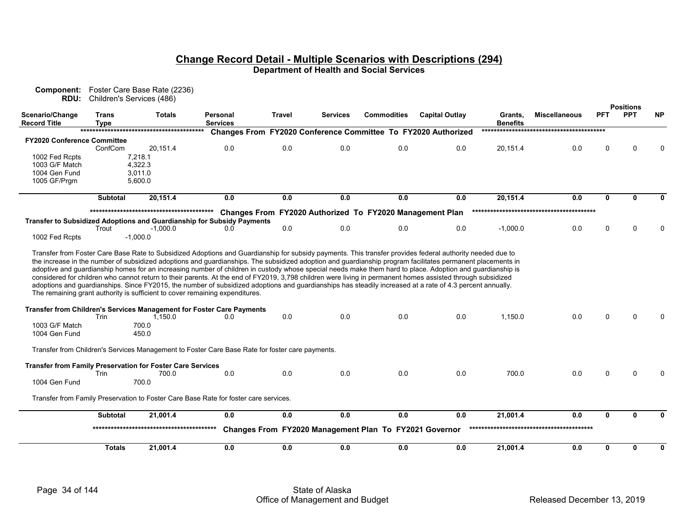| Component:                             | RDU: Children's Services (486) | Foster Care Base Rate (2236)                                                                                                                                                                                                                                                                                                                                                                                                                                                                                                                                          |                             |               |                 |                                                          |                                                               |                            |                      |              |                                |           |
|----------------------------------------|--------------------------------|-----------------------------------------------------------------------------------------------------------------------------------------------------------------------------------------------------------------------------------------------------------------------------------------------------------------------------------------------------------------------------------------------------------------------------------------------------------------------------------------------------------------------------------------------------------------------|-----------------------------|---------------|-----------------|----------------------------------------------------------|---------------------------------------------------------------|----------------------------|----------------------|--------------|--------------------------------|-----------|
| Scenario/Change<br><b>Record Title</b> | <b>Trans</b><br><b>Type</b>    | <b>Totals</b>                                                                                                                                                                                                                                                                                                                                                                                                                                                                                                                                                         | Personal<br><b>Services</b> | <b>Travel</b> | <b>Services</b> | <b>Commodities</b>                                       | <b>Capital Outlay</b>                                         | Grants,<br><b>Benefits</b> | <b>Miscellaneous</b> | <b>PFT</b>   | <b>Positions</b><br><b>PPT</b> | <b>NP</b> |
|                                        |                                |                                                                                                                                                                                                                                                                                                                                                                                                                                                                                                                                                                       |                             |               |                 |                                                          | Changes From FY2020 Conference Committee To FY2020 Authorized |                            |                      |              |                                |           |
| FY2020 Conference Committee            |                                |                                                                                                                                                                                                                                                                                                                                                                                                                                                                                                                                                                       |                             |               |                 |                                                          |                                                               |                            |                      |              |                                |           |
|                                        | ConfCom                        | 20,151.4                                                                                                                                                                                                                                                                                                                                                                                                                                                                                                                                                              | 0.0                         | 0.0           | 0.0             | 0.0                                                      | 0.0                                                           | 20,151.4                   | 0.0                  | $\Omega$     | ∩                              |           |
| 1002 Fed Rcpts                         |                                | 7,218.1                                                                                                                                                                                                                                                                                                                                                                                                                                                                                                                                                               |                             |               |                 |                                                          |                                                               |                            |                      |              |                                |           |
| 1003 G/F Match                         |                                | 4,322.3                                                                                                                                                                                                                                                                                                                                                                                                                                                                                                                                                               |                             |               |                 |                                                          |                                                               |                            |                      |              |                                |           |
| 1004 Gen Fund                          |                                | 3.011.0                                                                                                                                                                                                                                                                                                                                                                                                                                                                                                                                                               |                             |               |                 |                                                          |                                                               |                            |                      |              |                                |           |
| 1005 GF/Prgm                           |                                | 5,600.0                                                                                                                                                                                                                                                                                                                                                                                                                                                                                                                                                               |                             |               |                 |                                                          |                                                               |                            |                      |              |                                |           |
|                                        | <b>Subtotal</b>                | 20,151.4                                                                                                                                                                                                                                                                                                                                                                                                                                                                                                                                                              | 0.0                         | 0.0           | 0.0             | 0.0                                                      | 0.0                                                           | 20,151.4                   | 0.0                  | $\mathbf{0}$ | $\Omega$                       | 0         |
|                                        |                                |                                                                                                                                                                                                                                                                                                                                                                                                                                                                                                                                                                       |                             |               |                 | Changes From FY2020 Authorized To FY2020 Management Plan |                                                               |                            |                      |              |                                |           |
|                                        |                                | <b>Transfer to Subsidized Adoptions and Guardianship for Subsidy Payments</b>                                                                                                                                                                                                                                                                                                                                                                                                                                                                                         |                             |               |                 |                                                          |                                                               |                            |                      |              |                                |           |
|                                        | Trout                          | $-1,000.0$                                                                                                                                                                                                                                                                                                                                                                                                                                                                                                                                                            | 0.0                         | 0.0           | 0.0             | 0.0                                                      | 0.0                                                           | $-1,000.0$                 | 0.0                  | $\Omega$     | $\Omega$                       |           |
| 1002 Fed Rcpts                         |                                | $-1.000.0$                                                                                                                                                                                                                                                                                                                                                                                                                                                                                                                                                            |                             |               |                 |                                                          |                                                               |                            |                      |              |                                |           |
|                                        |                                | adoptive and guardianship homes for an increasing number of children in custody whose special needs make them hard to place. Adoption and guardianship is<br>considered for children who cannot return to their parents. At the end of FY2019, 3,798 children were living in permanent homes assisted through subsidized<br>adoptions and quardianships. Since FY2015, the number of subsidized adoptions and quardianships has steadily increased at a rate of 4.3 percent annually.<br>The remaining grant authority is sufficient to cover remaining expenditures. |                             |               |                 |                                                          |                                                               |                            |                      |              |                                |           |
|                                        | Trin                           | <b>Transfer from Children's Services Management for Foster Care Payments</b><br>1,150.0                                                                                                                                                                                                                                                                                                                                                                                                                                                                               | 0.0                         | 0.0           | 0.0             | 0.0                                                      | 0.0                                                           | 1,150.0                    | 0.0                  | O            |                                |           |
| 1003 G/F Match                         |                                | 700.0                                                                                                                                                                                                                                                                                                                                                                                                                                                                                                                                                                 |                             |               |                 |                                                          |                                                               |                            |                      |              |                                |           |
| 1004 Gen Fund                          |                                | 450.0                                                                                                                                                                                                                                                                                                                                                                                                                                                                                                                                                                 |                             |               |                 |                                                          |                                                               |                            |                      |              |                                |           |
|                                        |                                | Transfer from Children's Services Management to Foster Care Base Rate for foster care payments.                                                                                                                                                                                                                                                                                                                                                                                                                                                                       |                             |               |                 |                                                          |                                                               |                            |                      |              |                                |           |
|                                        |                                | <b>Transfer from Family Preservation for Foster Care Services</b>                                                                                                                                                                                                                                                                                                                                                                                                                                                                                                     |                             |               |                 |                                                          |                                                               |                            |                      |              |                                |           |
|                                        | <b>Trin</b>                    | 700.0                                                                                                                                                                                                                                                                                                                                                                                                                                                                                                                                                                 | 0.0                         | 0.0           | 0.0             | 0.0                                                      | 0.0                                                           | 700.0                      | 0.0                  | O            | ∩                              |           |
| 1004 Gen Fund                          |                                | 700.0                                                                                                                                                                                                                                                                                                                                                                                                                                                                                                                                                                 |                             |               |                 |                                                          |                                                               |                            |                      |              |                                |           |
|                                        |                                | Transfer from Family Preservation to Foster Care Base Rate for foster care services.                                                                                                                                                                                                                                                                                                                                                                                                                                                                                  |                             |               |                 |                                                          |                                                               |                            |                      |              |                                |           |
|                                        | <b>Subtotal</b>                | 21,001.4                                                                                                                                                                                                                                                                                                                                                                                                                                                                                                                                                              | 0.0                         | 0.0           | 0.0             | 0.0                                                      | 0.0                                                           | 21,001.4                   | 0.0                  | $\mathbf{0}$ | 0                              |           |
|                                        |                                |                                                                                                                                                                                                                                                                                                                                                                                                                                                                                                                                                                       |                             |               |                 | Changes From FY2020 Management Plan To FY2021 Governor   |                                                               |                            |                      |              |                                |           |
|                                        | <b>Totals</b>                  | 21,001.4                                                                                                                                                                                                                                                                                                                                                                                                                                                                                                                                                              | 0.0                         | $0.0\,$       | 0.0             | 0.0                                                      | 0.0                                                           | 21,001.4                   | 0.0                  | $\mathbf{0}$ | 0                              | 0         |
|                                        |                                |                                                                                                                                                                                                                                                                                                                                                                                                                                                                                                                                                                       |                             |               |                 |                                                          |                                                               |                            |                      |              |                                |           |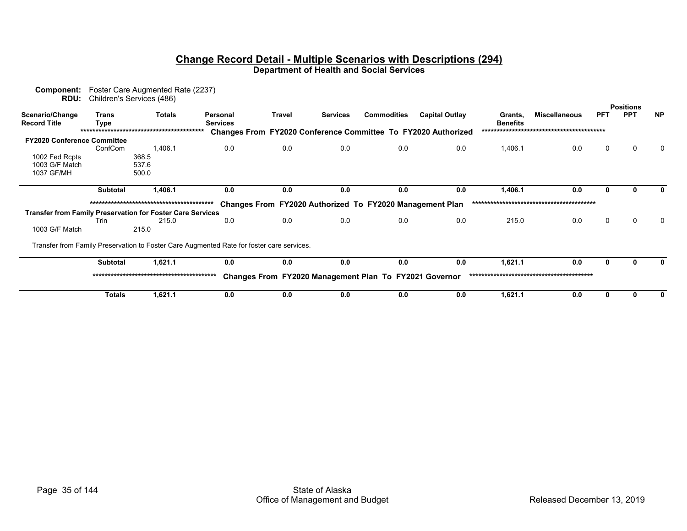| Component:<br>RDU:                                                | Children's Services (486) | Foster Care Augmented Rate (2237) |                                                                                           |               |                 |                                                          |                                                               |                            |                      |             |                  |              |
|-------------------------------------------------------------------|---------------------------|-----------------------------------|-------------------------------------------------------------------------------------------|---------------|-----------------|----------------------------------------------------------|---------------------------------------------------------------|----------------------------|----------------------|-------------|------------------|--------------|
|                                                                   |                           |                                   |                                                                                           |               |                 |                                                          |                                                               |                            |                      |             | <b>Positions</b> |              |
| Scenario/Change<br><b>Record Title</b>                            | <b>Trans</b><br>Tvpe      | <b>Totals</b>                     | Personal<br><b>Services</b>                                                               | <b>Travel</b> | <b>Services</b> | <b>Commodities</b>                                       | <b>Capital Outlay</b>                                         | Grants,<br><b>Benefits</b> | <b>Miscellaneous</b> | <b>PFT</b>  | <b>PPT</b>       | <b>NP</b>    |
|                                                                   |                           |                                   |                                                                                           |               |                 |                                                          | Changes From FY2020 Conference Committee To FY2020 Authorized |                            |                      |             |                  |              |
| <b>FY2020 Conference Committee</b>                                |                           |                                   |                                                                                           |               |                 |                                                          |                                                               |                            |                      |             |                  |              |
|                                                                   | ConfCom                   | 1,406.1                           | 0.0                                                                                       | 0.0           | 0.0             | 0.0                                                      | 0.0                                                           | 1,406.1                    | 0.0                  | $\mathbf 0$ | $\Omega$         | $\Omega$     |
| 1002 Fed Rcpts                                                    |                           | 368.5                             |                                                                                           |               |                 |                                                          |                                                               |                            |                      |             |                  |              |
| 1003 G/F Match                                                    |                           | 537.6                             |                                                                                           |               |                 |                                                          |                                                               |                            |                      |             |                  |              |
| 1037 GF/MH                                                        |                           | 500.0                             |                                                                                           |               |                 |                                                          |                                                               |                            |                      |             |                  |              |
|                                                                   |                           |                                   |                                                                                           |               |                 |                                                          |                                                               |                            |                      |             |                  |              |
|                                                                   | <b>Subtotal</b>           | 1,406.1                           | 0.0                                                                                       | 0.0           | 0.0             | 0.0                                                      | 0.0                                                           | 1,406.1                    | 0.0                  |             |                  | $\Omega$     |
|                                                                   |                           |                                   |                                                                                           |               |                 |                                                          |                                                               |                            |                      |             |                  |              |
|                                                                   |                           |                                   |                                                                                           |               |                 | Changes From FY2020 Authorized To FY2020 Management Plan |                                                               |                            |                      |             |                  |              |
| <b>Transfer from Family Preservation for Foster Care Services</b> |                           |                                   |                                                                                           |               |                 |                                                          |                                                               |                            |                      |             |                  |              |
|                                                                   | Trin                      | 215.0                             | 0.0                                                                                       | 0.0           | 0.0             | 0.0                                                      | 0.0                                                           | 215.0                      | 0.0                  | $\Omega$    | $\Omega$         | $\Omega$     |
| 1003 G/F Match                                                    |                           | 215.0                             |                                                                                           |               |                 |                                                          |                                                               |                            |                      |             |                  |              |
|                                                                   |                           |                                   |                                                                                           |               |                 |                                                          |                                                               |                            |                      |             |                  |              |
|                                                                   |                           |                                   | Transfer from Family Preservation to Foster Care Augmented Rate for foster care services. |               |                 |                                                          |                                                               |                            |                      |             |                  |              |
|                                                                   | <b>Subtotal</b>           | 1,621.1                           | 0.0                                                                                       | 0.0           | 0.0             | 0.0                                                      | 0.0                                                           | 1,621.1                    | 0.0                  |             |                  | 0            |
|                                                                   |                           |                                   |                                                                                           |               |                 | Changes From FY2020 Management Plan To FY2021 Governor   |                                                               |                            |                      |             |                  |              |
|                                                                   |                           |                                   |                                                                                           |               |                 |                                                          |                                                               |                            |                      |             |                  |              |
|                                                                   | <b>Totals</b>             | 1,621.1                           | 0.0                                                                                       | 0.0           | 0.0             | 0.0                                                      | 0.0                                                           | 1,621.1                    | 0.0                  |             |                  | $\mathbf{0}$ |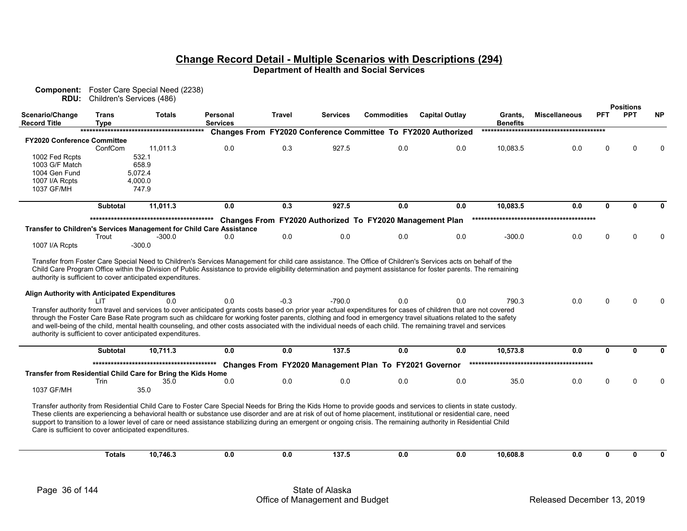|                                                              | <b>Component:</b> Foster Care Special Need (2238)<br>RDU: Children's Services (486) |                                                                                                                                 |                                                                                                                                                                                                                                                                                                                                                                                                                                                                                                                                                                                                                                                                               |        |                 |                                                          |                                                               |                            |                      |              |                                |           |
|--------------------------------------------------------------|-------------------------------------------------------------------------------------|---------------------------------------------------------------------------------------------------------------------------------|-------------------------------------------------------------------------------------------------------------------------------------------------------------------------------------------------------------------------------------------------------------------------------------------------------------------------------------------------------------------------------------------------------------------------------------------------------------------------------------------------------------------------------------------------------------------------------------------------------------------------------------------------------------------------------|--------|-----------------|----------------------------------------------------------|---------------------------------------------------------------|----------------------------|----------------------|--------------|--------------------------------|-----------|
| Scenario/Change<br><b>Record Title</b>                       | Trans<br>Tvpe                                                                       | Totals                                                                                                                          | Personal<br><b>Services</b>                                                                                                                                                                                                                                                                                                                                                                                                                                                                                                                                                                                                                                                   | Travel | <b>Services</b> | <b>Commodities</b>                                       | <b>Capital Outlay</b>                                         | Grants,<br><b>Benefits</b> | <b>Miscellaneous</b> | PFT          | <b>Positions</b><br><b>PPT</b> | <b>NP</b> |
|                                                              |                                                                                     |                                                                                                                                 |                                                                                                                                                                                                                                                                                                                                                                                                                                                                                                                                                                                                                                                                               |        |                 |                                                          | Changes From FY2020 Conference Committee To FY2020 Authorized |                            |                      |              |                                |           |
| <b>FY2020 Conference Committee</b>                           |                                                                                     |                                                                                                                                 |                                                                                                                                                                                                                                                                                                                                                                                                                                                                                                                                                                                                                                                                               |        |                 |                                                          |                                                               |                            |                      |              |                                |           |
|                                                              | ConfCom                                                                             | 11,011.3<br>532.1                                                                                                               | 0.0                                                                                                                                                                                                                                                                                                                                                                                                                                                                                                                                                                                                                                                                           | 0.3    | 927.5           | 0.0                                                      | 0.0                                                           | 10,083.5                   | 0.0                  | U            |                                |           |
| 1002 Fed Rcpts<br>1003 G/F Match                             |                                                                                     | 658.9                                                                                                                           |                                                                                                                                                                                                                                                                                                                                                                                                                                                                                                                                                                                                                                                                               |        |                 |                                                          |                                                               |                            |                      |              |                                |           |
| 1004 Gen Fund                                                |                                                                                     | 5.072.4                                                                                                                         |                                                                                                                                                                                                                                                                                                                                                                                                                                                                                                                                                                                                                                                                               |        |                 |                                                          |                                                               |                            |                      |              |                                |           |
| 1007 I/A Rcpts                                               |                                                                                     | 4,000.0                                                                                                                         |                                                                                                                                                                                                                                                                                                                                                                                                                                                                                                                                                                                                                                                                               |        |                 |                                                          |                                                               |                            |                      |              |                                |           |
| 1037 GF/MH                                                   |                                                                                     | 747.9                                                                                                                           |                                                                                                                                                                                                                                                                                                                                                                                                                                                                                                                                                                                                                                                                               |        |                 |                                                          |                                                               |                            |                      |              |                                |           |
|                                                              | <b>Subtotal</b>                                                                     | 11,011.3                                                                                                                        | 0.0                                                                                                                                                                                                                                                                                                                                                                                                                                                                                                                                                                                                                                                                           | 0.3    | 927.5           | 0.0                                                      | 0.0                                                           | 10,083.5                   | 0.0                  | $\mathbf{0}$ | 0                              |           |
|                                                              |                                                                                     |                                                                                                                                 |                                                                                                                                                                                                                                                                                                                                                                                                                                                                                                                                                                                                                                                                               |        |                 |                                                          |                                                               |                            |                      |              |                                |           |
|                                                              |                                                                                     |                                                                                                                                 | Transfer to Children's Services Management for Child Care Assistance                                                                                                                                                                                                                                                                                                                                                                                                                                                                                                                                                                                                          |        |                 | Changes From FY2020 Authorized To FY2020 Management Plan |                                                               |                            |                      |              |                                |           |
|                                                              | Trout                                                                               | $-300.0$                                                                                                                        | 0.0                                                                                                                                                                                                                                                                                                                                                                                                                                                                                                                                                                                                                                                                           | 0.0    | 0.0             | 0.0                                                      | 0.0                                                           | $-300.0$                   | 0.0                  | 0            |                                |           |
| 1007 I/A Rcpts                                               |                                                                                     | $-300.0$                                                                                                                        |                                                                                                                                                                                                                                                                                                                                                                                                                                                                                                                                                                                                                                                                               |        |                 |                                                          |                                                               |                            |                      |              |                                |           |
| Align Authority with Anticipated Expenditures                | I IT                                                                                | authority is sufficient to cover anticipated expenditures.<br>0 Q<br>authority is sufficient to cover anticipated expenditures. | Child Care Program Office within the Division of Public Assistance to provide eligibility determination and payment assistance for foster parents. The remaining<br>0.0<br>Transfer authority from travel and services to cover anticipated grants costs based on prior year actual expenditures for cases of children that are not covered<br>through the Foster Care Base Rate program such as childcare for working foster parents, clothing and food in emergency travel situations related to the safety<br>and well-being of the child, mental health counseling, and other costs associated with the individual needs of each child. The remaining travel and services | $-0.3$ | $-790.0$        | 0.0                                                      | 0.0                                                           | 790.3                      | 0.0                  | U            |                                |           |
|                                                              | <b>Subtotal</b>                                                                     | 10.711.3                                                                                                                        | 0.0                                                                                                                                                                                                                                                                                                                                                                                                                                                                                                                                                                                                                                                                           | 0.0    | 137.5           | 0.0                                                      | 0.0                                                           | 10.573.8                   | 0.0                  | $\mathbf{0}$ | $\Omega$                       |           |
|                                                              |                                                                                     |                                                                                                                                 |                                                                                                                                                                                                                                                                                                                                                                                                                                                                                                                                                                                                                                                                               |        |                 | Changes From FY2020 Management Plan To FY2021 Governor   |                                                               |                            |                      |              |                                |           |
| Transfer from Residential Child Care for Bring the Kids Home |                                                                                     |                                                                                                                                 |                                                                                                                                                                                                                                                                                                                                                                                                                                                                                                                                                                                                                                                                               |        |                 |                                                          |                                                               |                            |                      |              |                                |           |
|                                                              | Trin                                                                                | 35.0                                                                                                                            | 0.0                                                                                                                                                                                                                                                                                                                                                                                                                                                                                                                                                                                                                                                                           | 0.0    | 0.0             | 0.0                                                      | 0.0                                                           | 35.0                       | 0.0                  | $\Omega$     |                                |           |
| 1037 GF/MH                                                   |                                                                                     | 35.0                                                                                                                            |                                                                                                                                                                                                                                                                                                                                                                                                                                                                                                                                                                                                                                                                               |        |                 |                                                          |                                                               |                            |                      |              |                                |           |
|                                                              |                                                                                     | Care is sufficient to cover anticipated expenditures.                                                                           | Transfer authority from Residential Child Care to Foster Care Special Needs for Bring the Kids Home to provide goods and services to clients in state custody.<br>These clients are experiencing a behavioral health or substance use disorder and are at risk of out of home placement, institutional or residential care, need<br>support to transition to a lower level of care or need assistance stabilizing during an emergent or ongoing crisis. The remaining authority in Residential Child                                                                                                                                                                          |        |                 |                                                          |                                                               |                            |                      |              |                                |           |
|                                                              | <b>Totals</b>                                                                       | 10,746.3                                                                                                                        | 0.0                                                                                                                                                                                                                                                                                                                                                                                                                                                                                                                                                                                                                                                                           | 0.0    | 137.5           | 0.0                                                      | 0.0                                                           | 10,608.8                   | 0.0                  | $\mathbf{0}$ | 0                              |           |
|                                                              |                                                                                     |                                                                                                                                 |                                                                                                                                                                                                                                                                                                                                                                                                                                                                                                                                                                                                                                                                               |        |                 |                                                          |                                                               |                            |                      |              |                                |           |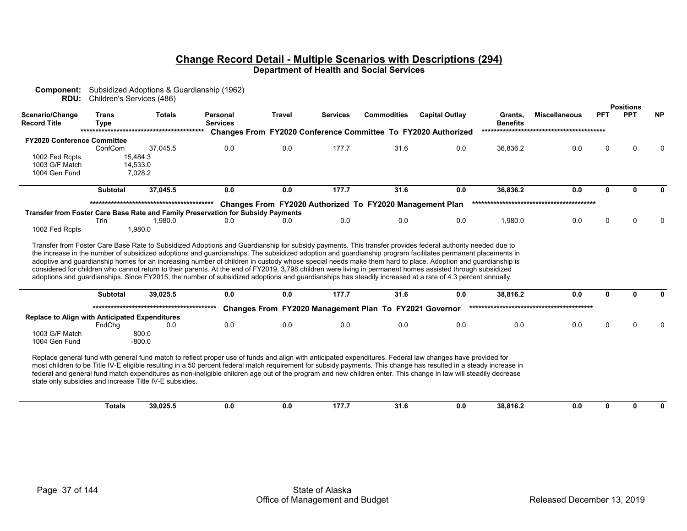| RDU:                                                  | Children's Services (486)   |                                                         |                                                                                                                                                                                                                                                                                                                                                                                                                                                                                                     |               |                 |                                                          |                                                                      |                            |                      |              | <b>Positions</b> |              |
|-------------------------------------------------------|-----------------------------|---------------------------------------------------------|-----------------------------------------------------------------------------------------------------------------------------------------------------------------------------------------------------------------------------------------------------------------------------------------------------------------------------------------------------------------------------------------------------------------------------------------------------------------------------------------------------|---------------|-----------------|----------------------------------------------------------|----------------------------------------------------------------------|----------------------------|----------------------|--------------|------------------|--------------|
| Scenario/Change<br><b>Record Title</b>                | <b>Trans</b><br><b>Type</b> | <b>Totals</b>                                           | Personal<br><b>Services</b>                                                                                                                                                                                                                                                                                                                                                                                                                                                                         | <b>Travel</b> | <b>Services</b> | <b>Commodities</b>                                       | <b>Capital Outlay</b>                                                | Grants,<br><b>Benefits</b> | <b>Miscellaneous</b> | <b>PFT</b>   | <b>PPT</b>       | <b>NP</b>    |
|                                                       |                             |                                                         |                                                                                                                                                                                                                                                                                                                                                                                                                                                                                                     |               |                 |                                                          | <b>Changes From FY2020 Conference Committee To FY2020 Authorized</b> |                            |                      |              |                  |              |
| <b>FY2020 Conference Committee</b>                    |                             |                                                         |                                                                                                                                                                                                                                                                                                                                                                                                                                                                                                     |               |                 |                                                          |                                                                      |                            |                      |              |                  |              |
|                                                       | ConfCom                     | 37,045.5                                                | 0.0                                                                                                                                                                                                                                                                                                                                                                                                                                                                                                 | 0.0           | 177.7           | 31.6                                                     | 0.0                                                                  | 36,836.2                   | 0.0                  | $\Omega$     |                  | <sup>0</sup> |
| 1002 Fed Rcpts                                        |                             | 15,484.3                                                |                                                                                                                                                                                                                                                                                                                                                                                                                                                                                                     |               |                 |                                                          |                                                                      |                            |                      |              |                  |              |
| 1003 G/F Match<br>1004 Gen Fund                       |                             | 14,533.0<br>7.028.2                                     |                                                                                                                                                                                                                                                                                                                                                                                                                                                                                                     |               |                 |                                                          |                                                                      |                            |                      |              |                  |              |
|                                                       |                             |                                                         |                                                                                                                                                                                                                                                                                                                                                                                                                                                                                                     |               |                 |                                                          |                                                                      |                            |                      |              |                  |              |
|                                                       | <b>Subtotal</b>             | 37,045.5                                                | 0.0                                                                                                                                                                                                                                                                                                                                                                                                                                                                                                 | 0.0           | 177.7           | 31.6                                                     | 0.0                                                                  | 36,836.2                   | 0.0                  | $\mathbf{0}$ |                  |              |
|                                                       |                             |                                                         |                                                                                                                                                                                                                                                                                                                                                                                                                                                                                                     |               |                 | Changes From FY2020 Authorized To FY2020 Management Plan |                                                                      |                            |                      |              |                  |              |
|                                                       |                             |                                                         | Transfer from Foster Care Base Rate and Family Preservation for Subsidy Payments                                                                                                                                                                                                                                                                                                                                                                                                                    |               |                 |                                                          |                                                                      |                            |                      |              |                  |              |
|                                                       | Trin                        | 1,980.0                                                 | 0.0                                                                                                                                                                                                                                                                                                                                                                                                                                                                                                 | 0.0           | 0.0             | 0.0                                                      | 0.0                                                                  | 1,980.0                    | 0.0                  | $\Omega$     | n                |              |
| 1002 Fed Rcpts                                        |                             | 1,980.0                                                 |                                                                                                                                                                                                                                                                                                                                                                                                                                                                                                     |               |                 |                                                          |                                                                      |                            |                      |              |                  |              |
|                                                       |                             |                                                         | Transfer from Foster Care Base Rate to Subsidized Adoptions and Guardianship for subsidy payments. This transfer provides federal authority needed due to<br>the increase in the number of subsidized adoptions and quardianships. The subsidized adoption and quardianship program facilitates permanent placements in<br>adoptive and quardianship homes for an increasing number of children in custody whose special needs make them hard to place. Adoption and quardianship is                |               |                 |                                                          |                                                                      |                            |                      |              |                  |              |
|                                                       | <b>Subtotal</b>             | 39,025.5                                                | considered for children who cannot return to their parents. At the end of FY2019, 3,798 children were living in permanent homes assisted through subsidized<br>adoptions and guardianships. Since FY2015, the number of subsidized adoptions and guardianships has steadily increased at a rate of 4.3 percent annually.<br>0.0                                                                                                                                                                     | 0.0           | 177.7           | 31.6                                                     | 0.0                                                                  | 38,816.2                   | 0.0                  | $\mathbf{0}$ | U                |              |
|                                                       |                             |                                                         |                                                                                                                                                                                                                                                                                                                                                                                                                                                                                                     |               |                 |                                                          |                                                                      |                            |                      |              |                  |              |
|                                                       |                             |                                                         |                                                                                                                                                                                                                                                                                                                                                                                                                                                                                                     |               |                 | Changes From FY2020 Management Plan To FY2021 Governor   |                                                                      |                            |                      |              |                  |              |
| <b>Replace to Align with Anticipated Expenditures</b> | FndChg                      | 0.0                                                     | 0.0                                                                                                                                                                                                                                                                                                                                                                                                                                                                                                 | 0.0           | 0.0             | 0.0                                                      | 0.0                                                                  | 0.0                        | 0.0                  | $\Omega$     | n                |              |
| 1003 G/F Match                                        |                             | 800.0                                                   |                                                                                                                                                                                                                                                                                                                                                                                                                                                                                                     |               |                 |                                                          |                                                                      |                            |                      |              |                  |              |
| 1004 Gen Fund                                         |                             | $-800.0$                                                |                                                                                                                                                                                                                                                                                                                                                                                                                                                                                                     |               |                 |                                                          |                                                                      |                            |                      |              |                  |              |
|                                                       |                             | state only subsidies and increase Title IV-E subsidies. | Replace general fund with general fund match to reflect proper use of funds and align with anticipated expenditures. Federal law changes have provided for<br>most children to be Title IV-E eligible resulting in a 50 percent federal match requirement for subsidy payments. This change has resulted in a steady increase in<br>federal and general fund match expenditures as non-ineligible children age out of the program and new children enter. This change in law will steadily decrease |               |                 |                                                          |                                                                      |                            |                      |              |                  |              |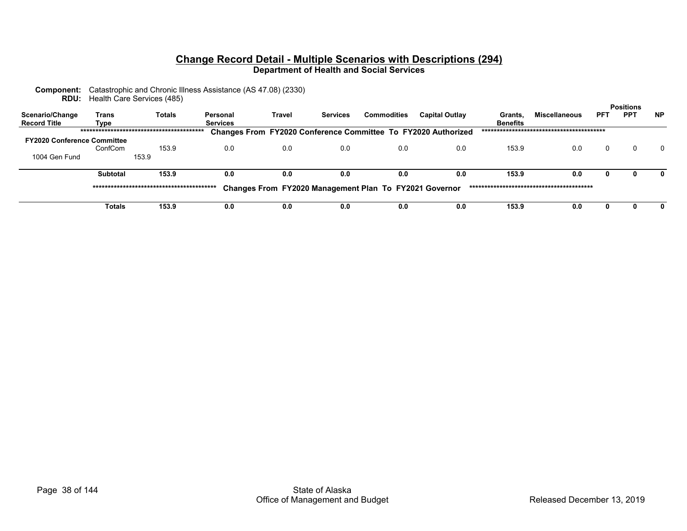| <b>Component:</b> Catastrophic and Chronic Illness Assistance (AS 47.08) (2330) |
|---------------------------------------------------------------------------------|
| <b>RDU:</b> Health Care Services (485)                                          |

| Scenario/Change<br><b>Record Title</b> | Trans<br>Tvpe   | <b>Totals</b> | Personal<br><b>Services</b> | Travel | <b>Services</b> | <b>Commodities</b>                                     | <b>Capital Outlay</b>                                                | Grants.<br><b>Benefits</b> | <b>Miscellaneous</b> | <b>PFT</b> | <b>Positions</b><br><b>PPT</b> | <b>NP</b> |
|----------------------------------------|-----------------|---------------|-----------------------------|--------|-----------------|--------------------------------------------------------|----------------------------------------------------------------------|----------------------------|----------------------|------------|--------------------------------|-----------|
|                                        |                 |               |                             |        |                 |                                                        | <b>Changes From FY2020 Conference Committee To FY2020 Authorized</b> |                            |                      |            |                                |           |
| <b>FY2020 Conference Committee</b>     |                 |               |                             |        |                 |                                                        |                                                                      |                            |                      |            |                                |           |
|                                        | ConfCom         | 153.9         | 0.0                         | 0.0    | 0.0             | 0.0                                                    | 0.0                                                                  | 153.9                      | 0.0                  | 0          |                                | $\Omega$  |
| 1004 Gen Fund                          |                 | 153.9         |                             |        |                 |                                                        |                                                                      |                            |                      |            |                                |           |
|                                        | <b>Subtotal</b> | 153.9         | 0.0                         | 0.0    | 0.0             | 0.0                                                    | 0.0                                                                  | 153.9                      | 0.0                  | 0          |                                |           |
|                                        |                 |               |                             |        |                 | Changes From FY2020 Management Plan To FY2021 Governor |                                                                      |                            |                      |            |                                |           |
|                                        | Totals          | 153.9         | 0.0                         | 0.0    | 0.0             | 0.0                                                    | 0.0                                                                  | 153.9                      | 0.0                  | 0          |                                |           |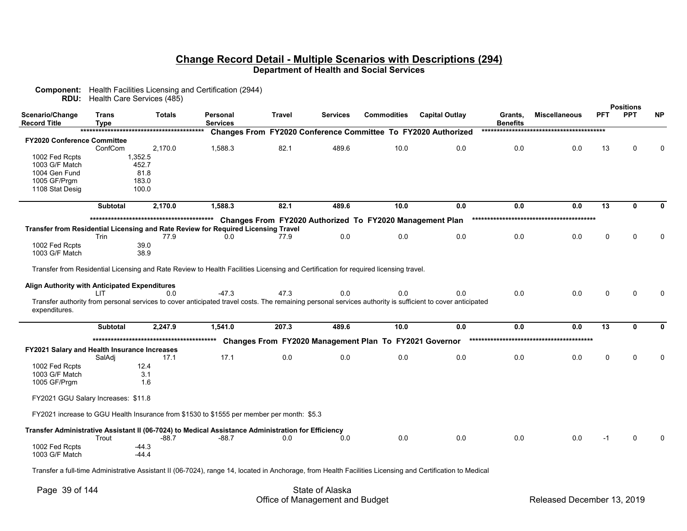|                                               |                      | <b>RDU:</b> Health Care Services (485) |                                                                                                                                     |        |                 |                                                          |                                                                                                                                                           |                            |                      |                 | <b>Positions</b> |           |
|-----------------------------------------------|----------------------|----------------------------------------|-------------------------------------------------------------------------------------------------------------------------------------|--------|-----------------|----------------------------------------------------------|-----------------------------------------------------------------------------------------------------------------------------------------------------------|----------------------------|----------------------|-----------------|------------------|-----------|
| Scenario/Change<br><b>Record Title</b>        | Trans<br><b>Type</b> | <b>Totals</b>                          | Personal<br><b>Services</b>                                                                                                         | Travel | <b>Services</b> | <b>Commodities</b>                                       | <b>Capital Outlay</b>                                                                                                                                     | Grants,<br><b>Benefits</b> | <b>Miscellaneous</b> | <b>PFT</b>      | <b>PPT</b>       | <b>NP</b> |
|                                               |                      |                                        |                                                                                                                                     |        |                 |                                                          | Changes From FY2020 Conference Committee To FY2020 Authorized                                                                                             |                            |                      |                 |                  |           |
| FY2020 Conference Committee                   |                      |                                        |                                                                                                                                     |        |                 |                                                          |                                                                                                                                                           |                            |                      |                 |                  |           |
|                                               | ConfCom              | 2.170.0                                | 1.588.3                                                                                                                             | 82.1   | 489.6           | 10.0                                                     | 0.0                                                                                                                                                       | 0.0                        | 0.0                  | 13              | U                | $\Omega$  |
| 1002 Fed Rcpts                                |                      | 1,352.5                                |                                                                                                                                     |        |                 |                                                          |                                                                                                                                                           |                            |                      |                 |                  |           |
| 1003 G/F Match                                |                      | 452.7                                  |                                                                                                                                     |        |                 |                                                          |                                                                                                                                                           |                            |                      |                 |                  |           |
| 1004 Gen Fund<br>1005 GF/Prgm                 |                      | 81.8<br>183.0                          |                                                                                                                                     |        |                 |                                                          |                                                                                                                                                           |                            |                      |                 |                  |           |
| 1108 Stat Desig                               |                      | 100.0                                  |                                                                                                                                     |        |                 |                                                          |                                                                                                                                                           |                            |                      |                 |                  |           |
|                                               |                      |                                        |                                                                                                                                     |        |                 |                                                          |                                                                                                                                                           |                            |                      |                 |                  |           |
|                                               | <b>Subtotal</b>      | 2,170.0                                | 1,588.3                                                                                                                             | 82.1   | 489.6           | 10.0                                                     | 0.0                                                                                                                                                       | 0.0                        | 0.0                  | 13              | 0                | 0         |
|                                               |                      |                                        |                                                                                                                                     |        |                 | Changes From FY2020 Authorized To FY2020 Management Plan |                                                                                                                                                           |                            |                      |                 |                  |           |
|                                               |                      |                                        | Transfer from Residential Licensing and Rate Review for Required Licensing Travel                                                   |        |                 |                                                          |                                                                                                                                                           |                            |                      |                 |                  |           |
|                                               | Trin                 | 77.9                                   | 0.0                                                                                                                                 | 77.9   | 0.0             | 0.0                                                      | 0.0                                                                                                                                                       | 0.0                        | 0.0                  | $\Omega$        | U                | 0         |
| 1002 Fed Rcpts                                |                      | 39.0                                   |                                                                                                                                     |        |                 |                                                          |                                                                                                                                                           |                            |                      |                 |                  |           |
| 1003 G/F Match                                |                      | 38.9                                   |                                                                                                                                     |        |                 |                                                          |                                                                                                                                                           |                            |                      |                 |                  |           |
|                                               |                      |                                        | Transfer from Residential Licensing and Rate Review to Health Facilities Licensing and Certification for required licensing travel. |        |                 |                                                          |                                                                                                                                                           |                            |                      |                 |                  |           |
|                                               |                      |                                        |                                                                                                                                     |        |                 |                                                          |                                                                                                                                                           |                            |                      |                 |                  |           |
| Align Authority with Anticipated Expenditures | LIT.                 | 0.0                                    | $-47.3$                                                                                                                             | 47.3   | 0.0             | 0.0                                                      | 0.0                                                                                                                                                       | 0.0                        | 0.0                  | $\Omega$        | U                |           |
|                                               |                      |                                        |                                                                                                                                     |        |                 |                                                          | Transfer authority from personal services to cover anticipated travel costs. The remaining personal services authority is sufficient to cover anticipated |                            |                      |                 |                  |           |
| expenditures.                                 |                      |                                        |                                                                                                                                     |        |                 |                                                          |                                                                                                                                                           |                            |                      |                 |                  |           |
|                                               |                      |                                        |                                                                                                                                     |        |                 |                                                          |                                                                                                                                                           |                            |                      |                 |                  |           |
|                                               | <b>Subtotal</b>      | 2.247.9                                | 1.541.0                                                                                                                             | 207.3  | 489.6           | 10.0                                                     | 0.0                                                                                                                                                       | 0.0                        | 0.0                  | $\overline{13}$ | $\Omega$         | 0         |
|                                               |                      |                                        |                                                                                                                                     |        |                 | Changes From FY2020 Management Plan To FY2021 Governor   |                                                                                                                                                           |                            |                      |                 |                  |           |
| FY2021 Salary and Health Insurance Increases  |                      |                                        |                                                                                                                                     |        |                 |                                                          |                                                                                                                                                           |                            |                      |                 |                  |           |
|                                               | SalAdj               | 17.1                                   | 17.1                                                                                                                                | 0.0    | 0.0             | 0.0                                                      | 0.0                                                                                                                                                       | 0.0                        | 0.0                  | $\Omega$        | U                | $\Omega$  |
| 1002 Fed Rcpts                                |                      | 12.4                                   |                                                                                                                                     |        |                 |                                                          |                                                                                                                                                           |                            |                      |                 |                  |           |
| 1003 G/F Match                                |                      | 3.1<br>1.6                             |                                                                                                                                     |        |                 |                                                          |                                                                                                                                                           |                            |                      |                 |                  |           |
| 1005 GF/Prgm                                  |                      |                                        |                                                                                                                                     |        |                 |                                                          |                                                                                                                                                           |                            |                      |                 |                  |           |
| FY2021 GGU Salary Increases: \$11.8           |                      |                                        |                                                                                                                                     |        |                 |                                                          |                                                                                                                                                           |                            |                      |                 |                  |           |
|                                               |                      |                                        | FY2021 increase to GGU Health Insurance from \$1530 to \$1555 per member per month: \$5.3                                           |        |                 |                                                          |                                                                                                                                                           |                            |                      |                 |                  |           |
|                                               |                      |                                        | Transfer Administrative Assistant II (06-7024) to Medical Assistance Administration for Efficiency                                  |        |                 |                                                          |                                                                                                                                                           |                            |                      |                 |                  |           |
|                                               | Trout                | -88.7                                  | -88.7                                                                                                                               | 0.0    | 0.0             | 0.0                                                      | 0.0                                                                                                                                                       | 0.0                        | 0.0                  | $-1$            | 0                |           |
| 1002 Fed Rcpts                                |                      | $-44.3$                                |                                                                                                                                     |        |                 |                                                          |                                                                                                                                                           |                            |                      |                 |                  |           |
| 1003 G/F Match                                |                      | $-44.4$                                |                                                                                                                                     |        |                 |                                                          |                                                                                                                                                           |                            |                      |                 |                  |           |
|                                               |                      |                                        |                                                                                                                                     |        |                 |                                                          |                                                                                                                                                           |                            |                      |                 |                  |           |

Transfer a full-time Administrative Assistant II (06-7024), range 14, located in Anchorage, from Health Facilities Licensing and Certification to Medical

**Component:** Health Facilities Licensing and Certification (2944)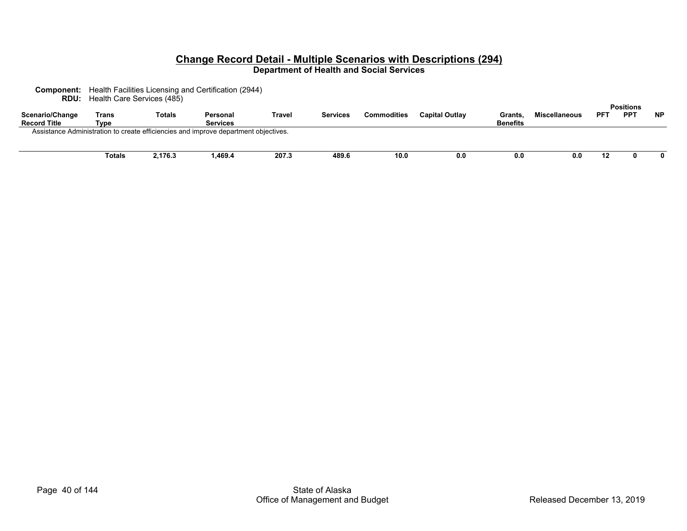| <b>Component:</b> Health Facilities Licensing and Certification (2944) |
|------------------------------------------------------------------------|
| <b>RDU:</b> Health Care Services (485)                                 |

| Scenario/Change<br><b>Record Title</b> | ____<br>Trans<br>Type | Totals  | Personal<br><b>Services</b>                                                         | Travel | <b>Services</b> | Commodities | <b>Capital Outlay</b> | Grants.<br><b>Benefits</b> | <b>Miscellaneous</b> | <b>PF1</b> | <b>Positions</b><br><b>PPT</b> | <b>NP</b> |
|----------------------------------------|-----------------------|---------|-------------------------------------------------------------------------------------|--------|-----------------|-------------|-----------------------|----------------------------|----------------------|------------|--------------------------------|-----------|
|                                        |                       |         | Assistance Administration to create efficiencies and improve department objectives. |        |                 |             |                       |                            |                      |            |                                |           |
|                                        | Totals                | 2,176.3 | ,469.4                                                                              | 207.3  | 489.6           | 10.0        | 0.0                   | 0.0                        | 0.0                  | 12         |                                |           |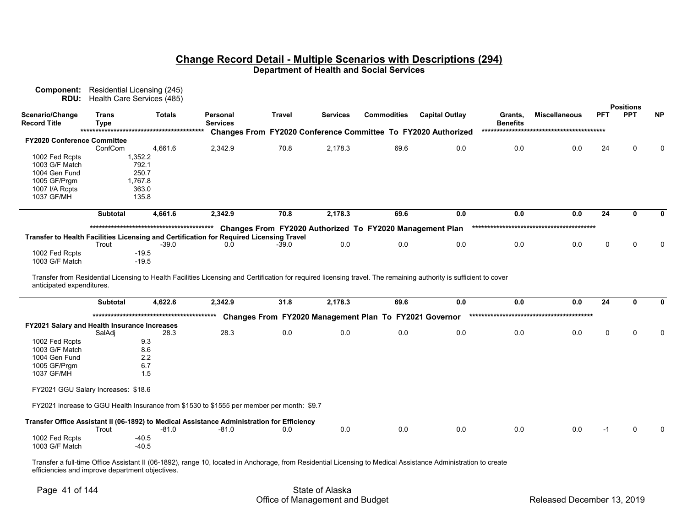**Component:** Residential Licensing (245) **RDU:** Health Care Services (485)

|                                              |                             |                    |                                                                                            |         |                 |                                                          |                                                                      |                            |                      |             | <b>Positions</b> |           |
|----------------------------------------------|-----------------------------|--------------------|--------------------------------------------------------------------------------------------|---------|-----------------|----------------------------------------------------------|----------------------------------------------------------------------|----------------------------|----------------------|-------------|------------------|-----------|
| Scenario/Change<br><b>Record Title</b>       | <b>Trans</b><br><b>Type</b> | <b>Totals</b>      | Personal<br><b>Services</b>                                                                | Travel  | <b>Services</b> | <b>Commodities</b>                                       | <b>Capital Outlay</b>                                                | Grants,<br><b>Benefits</b> | <b>Miscellaneous</b> | <b>PFT</b>  | <b>PPT</b>       | <b>NP</b> |
|                                              |                             |                    |                                                                                            |         |                 |                                                          | <b>Changes From FY2020 Conference Committee To FY2020 Authorized</b> |                            |                      |             |                  |           |
| <b>FY2020 Conference Committee</b>           |                             |                    |                                                                                            |         |                 |                                                          |                                                                      |                            |                      |             |                  |           |
|                                              | ConfCom                     | 4,661.6            | 2,342.9                                                                                    | 70.8    | 2,178.3         | 69.6                                                     | 0.0                                                                  | 0.0                        | 0.0                  | 24          | $\Omega$         | ŋ         |
| 1002 Fed Rcpts                               |                             | 1,352.2            |                                                                                            |         |                 |                                                          |                                                                      |                            |                      |             |                  |           |
| 1003 G/F Match                               |                             | 792.1              |                                                                                            |         |                 |                                                          |                                                                      |                            |                      |             |                  |           |
| 1004 Gen Fund                                |                             | 250.7              |                                                                                            |         |                 |                                                          |                                                                      |                            |                      |             |                  |           |
| 1005 GF/Prgm                                 |                             | 1,767.8            |                                                                                            |         |                 |                                                          |                                                                      |                            |                      |             |                  |           |
| 1007 I/A Rcpts                               |                             | 363.0              |                                                                                            |         |                 |                                                          |                                                                      |                            |                      |             |                  |           |
| 1037 GF/MH                                   |                             | 135.8              |                                                                                            |         |                 |                                                          |                                                                      |                            |                      |             |                  |           |
|                                              | Subtotal                    | 4,661.6            | 2,342.9                                                                                    | 70.8    | 2,178.3         | 69.6                                                     | 0.0                                                                  | 0.0                        | 0.0                  | 24          | 0                |           |
|                                              |                             |                    |                                                                                            |         |                 | Changes From FY2020 Authorized To FY2020 Management Plan |                                                                      |                            |                      |             |                  |           |
|                                              |                             |                    | Transfer to Health Facilities Licensing and Certification for Required Licensing Travel    |         |                 |                                                          |                                                                      |                            |                      |             |                  |           |
|                                              | Trout                       | $-39.0$            | 0.0                                                                                        | $-39.0$ | 0.0             | 0.0                                                      | 0.0                                                                  | 0.0                        | 0.0                  | $\mathbf 0$ | $\Omega$         |           |
| 1002 Fed Rcpts                               |                             | $-19.5$            |                                                                                            |         |                 |                                                          |                                                                      |                            |                      |             |                  |           |
| 1003 G/F Match                               |                             | $-19.5$            |                                                                                            |         |                 |                                                          |                                                                      |                            |                      |             |                  |           |
| anticipated expenditures.                    | <b>Subtotal</b>             | 4,622.6            | 2,342.9                                                                                    | 31.8    | 2,178.3         | 69.6                                                     | 0.0                                                                  | 0.0                        | 0.0                  | 24          | $\mathbf{0}$     | 0         |
|                                              |                             |                    |                                                                                            |         |                 |                                                          |                                                                      |                            |                      |             |                  |           |
|                                              |                             |                    |                                                                                            |         |                 | Changes From FY2020 Management Plan To FY2021 Governor   |                                                                      |                            |                      |             |                  |           |
| FY2021 Salary and Health Insurance Increases |                             |                    |                                                                                            |         |                 |                                                          |                                                                      |                            |                      |             |                  |           |
|                                              | SalAdj                      | 28.3               | 28.3                                                                                       | 0.0     | 0.0             | 0.0                                                      | 0.0                                                                  | 0.0                        | 0.0                  | $\Omega$    | $\Omega$         |           |
| 1002 Fed Rcpts<br>1003 G/F Match             |                             | 9.3<br>8.6         |                                                                                            |         |                 |                                                          |                                                                      |                            |                      |             |                  |           |
| 1004 Gen Fund                                |                             | 2.2                |                                                                                            |         |                 |                                                          |                                                                      |                            |                      |             |                  |           |
| 1005 GF/Prgm                                 |                             | 6.7                |                                                                                            |         |                 |                                                          |                                                                      |                            |                      |             |                  |           |
| 1037 GF/MH                                   |                             | 1.5                |                                                                                            |         |                 |                                                          |                                                                      |                            |                      |             |                  |           |
|                                              |                             |                    |                                                                                            |         |                 |                                                          |                                                                      |                            |                      |             |                  |           |
| FY2021 GGU Salary Increases: \$18.6          |                             |                    |                                                                                            |         |                 |                                                          |                                                                      |                            |                      |             |                  |           |
|                                              |                             |                    | FY2021 increase to GGU Health Insurance from \$1530 to \$1555 per member per month: \$9.7  |         |                 |                                                          |                                                                      |                            |                      |             |                  |           |
|                                              |                             |                    | Transfer Office Assistant II (06-1892) to Medical Assistance Administration for Efficiency |         |                 |                                                          |                                                                      |                            |                      |             |                  |           |
|                                              | Trout                       | $-81.0$            | $-81.0$                                                                                    | 0.0     | 0.0             | 0.0                                                      | 0.0                                                                  | 0.0                        | 0.0                  | $-1$        | $\Omega$         |           |
| 1002 Fed Rcpts<br>1003 G/F Match             |                             | $-40.5$<br>$-40.5$ |                                                                                            |         |                 |                                                          |                                                                      |                            |                      |             |                  |           |

Transfer a full-time Office Assistant II (06-1892), range 10, located in Anchorage, from Residential Licensing to Medical Assistance Administration to create efficiencies and improve department objectives.

# Page 41 of 144 State of Alaska Office of Management and Budget **Released December 13, 2019**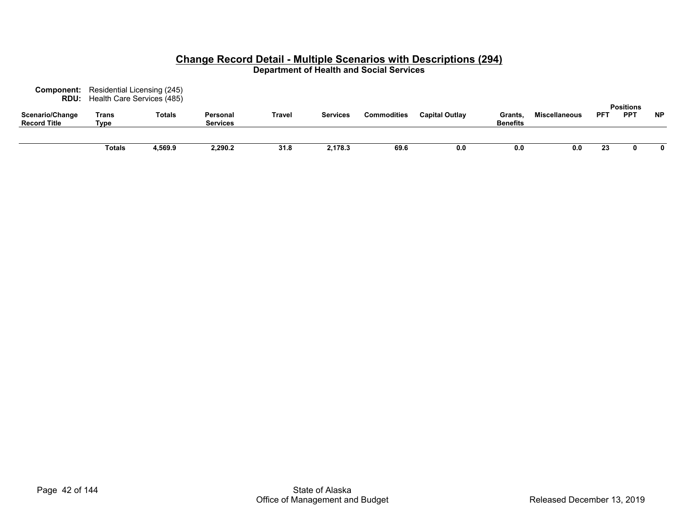| Component:<br>RDU:                     | Residential Licensing (245)<br>Health Care Services (485) |               |                             |        |                 |                    |                       |                                  |               |            | <b>Positions</b> |           |  |
|----------------------------------------|-----------------------------------------------------------|---------------|-----------------------------|--------|-----------------|--------------------|-----------------------|----------------------------------|---------------|------------|------------------|-----------|--|
| Scenario/Change<br><b>Record Title</b> | Trans<br>Type                                             | <b>Totals</b> | Personal<br><b>Services</b> | Travel | <b>Services</b> | <b>Commodities</b> | <b>Capital Outlay</b> | <b>Grants</b><br><b>Benefits</b> | Miscellaneous | <b>PFT</b> | <b>PPT</b>       | <b>NP</b> |  |
|                                        | <b>Totals</b>                                             | 4,569.9       | 2,290.2                     | 31.8   | 2,178.3         | 69.6               | 0.0                   | 0.0                              | 0.0           | 23         |                  | 0         |  |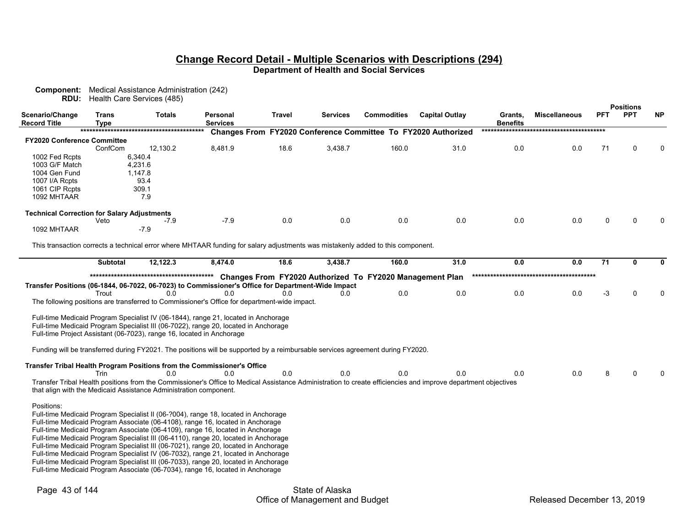|                                                    |                             | <b>Component:</b> Medical Assistance Administration (242)<br><b>RDU:</b> Health Care Services (485)                             |                             |                |                 |                                                          |                                                                                                                                                               |                            |                      |              |                                |              |
|----------------------------------------------------|-----------------------------|---------------------------------------------------------------------------------------------------------------------------------|-----------------------------|----------------|-----------------|----------------------------------------------------------|---------------------------------------------------------------------------------------------------------------------------------------------------------------|----------------------------|----------------------|--------------|--------------------------------|--------------|
| Scenario/Change<br><b>Record Title</b>             | <b>Trans</b><br><b>Type</b> | <b>Totals</b>                                                                                                                   | Personal<br><b>Services</b> | Travel         | <b>Services</b> | <b>Commodities</b>                                       | <b>Capital Outlay</b>                                                                                                                                         | Grants,<br><b>Benefits</b> | <b>Miscellaneous</b> | <b>PFT</b>   | <b>Positions</b><br><b>PPT</b> | <b>NP</b>    |
|                                                    |                             |                                                                                                                                 |                             |                |                 |                                                          | Changes From FY2020 Conference Committee To FY2020 Authorized                                                                                                 |                            |                      |              |                                |              |
| <b>FY2020 Conference Committee</b>                 |                             |                                                                                                                                 |                             |                |                 |                                                          |                                                                                                                                                               |                            |                      |              |                                |              |
|                                                    | ConfCom                     | 12,130.2<br>6,340.4                                                                                                             | 8,481.9                     | 18.6           | 3,438.7         | 160.0                                                    | 31.0                                                                                                                                                          | 0.0                        | 0.0                  | 71           | 0                              | $\Omega$     |
| 1002 Fed Rcpts<br>1003 G/F Match                   |                             | 4,231.6                                                                                                                         |                             |                |                 |                                                          |                                                                                                                                                               |                            |                      |              |                                |              |
| 1004 Gen Fund                                      |                             | 1,147.8                                                                                                                         |                             |                |                 |                                                          |                                                                                                                                                               |                            |                      |              |                                |              |
| 1007 I/A Rcpts                                     |                             | 93.4                                                                                                                            |                             |                |                 |                                                          |                                                                                                                                                               |                            |                      |              |                                |              |
| 1061 CIP Rcpts                                     |                             | 309.1                                                                                                                           |                             |                |                 |                                                          |                                                                                                                                                               |                            |                      |              |                                |              |
| 1092 MHTAAR                                        |                             | 7.9                                                                                                                             |                             |                |                 |                                                          |                                                                                                                                                               |                            |                      |              |                                |              |
| <b>Technical Correction for Salary Adjustments</b> |                             |                                                                                                                                 |                             |                |                 |                                                          |                                                                                                                                                               |                            |                      |              |                                |              |
|                                                    | Veto                        | $-7.9$                                                                                                                          | $-7.9$                      | 0.0            | 0.0             | 0.0                                                      | 0.0                                                                                                                                                           | 0.0                        | 0.0                  | <sup>0</sup> | U                              | n            |
| 1092 MHTAAR                                        |                             | $-7.9$                                                                                                                          |                             |                |                 |                                                          |                                                                                                                                                               |                            |                      |              |                                |              |
|                                                    |                             |                                                                                                                                 |                             |                |                 |                                                          |                                                                                                                                                               |                            |                      |              |                                |              |
|                                                    |                             | This transaction corrects a technical error where MHTAAR funding for salary adjustments was mistakenly added to this component. |                             |                |                 |                                                          |                                                                                                                                                               |                            |                      |              |                                |              |
|                                                    | <b>Subtotal</b>             | 12,122.3                                                                                                                        | 8.474.0                     | 18.6           | 3,438.7         | 160.0                                                    | 31.0                                                                                                                                                          | 0.0                        | 0.0                  | 71           | 0                              | 0            |
|                                                    |                             |                                                                                                                                 |                             |                |                 | Changes From FY2020 Authorized To FY2020 Management Plan |                                                                                                                                                               |                            |                      |              |                                |              |
|                                                    |                             | Transfer Positions (06-1844, 06-7022, 06-7023) to Commissioner's Office for Department-Wide Impact                              |                             |                |                 |                                                          |                                                                                                                                                               |                            |                      |              |                                |              |
|                                                    | Trout                       | 0.0                                                                                                                             | 0.0                         | 0 <sub>0</sub> | 0.0             | 0.0                                                      | 0.0                                                                                                                                                           | 0.0                        | 0.0                  | $-3$         | $\Omega$                       | $\mathbf{0}$ |
|                                                    |                             | The following positions are transferred to Commissioner's Office for department-wide impact.                                    |                             |                |                 |                                                          |                                                                                                                                                               |                            |                      |              |                                |              |
|                                                    |                             | Full-time Medicaid Program Specialist IV (06-1844), range 21, located in Anchorage                                              |                             |                |                 |                                                          |                                                                                                                                                               |                            |                      |              |                                |              |
|                                                    |                             | Full-time Medicaid Program Specialist III (06-7022), range 20, located in Anchorage                                             |                             |                |                 |                                                          |                                                                                                                                                               |                            |                      |              |                                |              |
|                                                    |                             | Full-time Project Assistant (06-7023), range 16, located in Anchorage                                                           |                             |                |                 |                                                          |                                                                                                                                                               |                            |                      |              |                                |              |
|                                                    |                             |                                                                                                                                 |                             |                |                 |                                                          |                                                                                                                                                               |                            |                      |              |                                |              |
|                                                    |                             | Funding will be transferred during FY2021. The positions will be supported by a reimbursable services agreement during FY2020.  |                             |                |                 |                                                          |                                                                                                                                                               |                            |                      |              |                                |              |
|                                                    |                             | Transfer Tribal Health Program Positions from the Commissioner's Office                                                         |                             |                |                 |                                                          |                                                                                                                                                               |                            |                      |              |                                |              |
|                                                    | Trin                        | 0.0                                                                                                                             | 0.0                         | 0.0            | 0.0             | 0.0                                                      | 0.0                                                                                                                                                           | 0.0                        | 0.0                  | 8            | $\Omega$                       | $\Omega$     |
|                                                    |                             |                                                                                                                                 |                             |                |                 |                                                          | Transfer Tribal Health positions from the Commissioner's Office to Medical Assistance Administration to create efficiencies and improve department objectives |                            |                      |              |                                |              |
|                                                    |                             | that align with the Medicaid Assistance Administration component.                                                               |                             |                |                 |                                                          |                                                                                                                                                               |                            |                      |              |                                |              |
| Positions:                                         |                             |                                                                                                                                 |                             |                |                 |                                                          |                                                                                                                                                               |                            |                      |              |                                |              |
|                                                    |                             | Full-time Medicaid Program Specialist II (06-?004), range 18, located in Anchorage                                              |                             |                |                 |                                                          |                                                                                                                                                               |                            |                      |              |                                |              |
|                                                    |                             | Full-time Medicaid Program Associate (06-4108), range 16, located in Anchorage                                                  |                             |                |                 |                                                          |                                                                                                                                                               |                            |                      |              |                                |              |
|                                                    |                             | Full-time Medicaid Program Associate (06-4109), range 16, located in Anchorage                                                  |                             |                |                 |                                                          |                                                                                                                                                               |                            |                      |              |                                |              |
|                                                    |                             | Full-time Medicaid Program Specialist III (06-4110), range 20, located in Anchorage                                             |                             |                |                 |                                                          |                                                                                                                                                               |                            |                      |              |                                |              |
|                                                    |                             | Full-time Medicaid Program Specialist III (06-7021), range 20, located in Anchorage                                             |                             |                |                 |                                                          |                                                                                                                                                               |                            |                      |              |                                |              |
|                                                    |                             | Full-time Medicaid Program Specialist IV (06-7032), range 21, located in Anchorage                                              |                             |                |                 |                                                          |                                                                                                                                                               |                            |                      |              |                                |              |
|                                                    |                             | Full-time Medicaid Program Specialist III (06-7033), range 20, located in Anchorage                                             |                             |                |                 |                                                          |                                                                                                                                                               |                            |                      |              |                                |              |
|                                                    |                             | Full-time Medicaid Program Associate (06-7034), range 16, located in Anchorage                                                  |                             |                |                 |                                                          |                                                                                                                                                               |                            |                      |              |                                |              |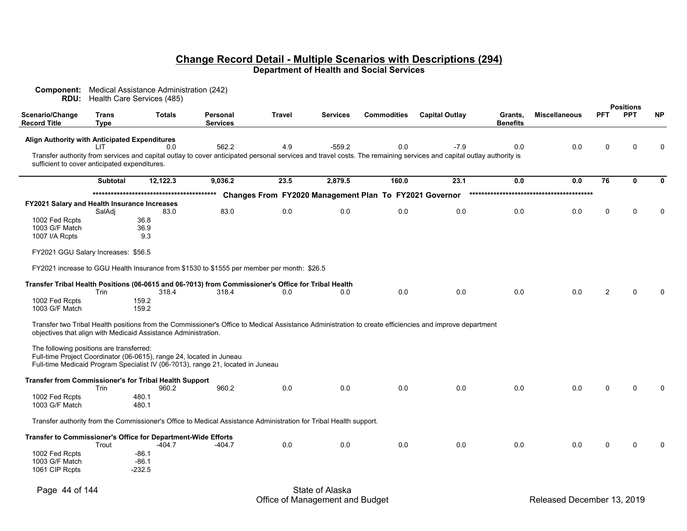| Component:<br>RDU:                                  |                             | Medical Assistance Administration (242)<br>Health Care Services (485)                                                                                   |                                    |               |                 |                                                        |                                                                                                                                                                     |                            |                      |             |                                |              |
|-----------------------------------------------------|-----------------------------|---------------------------------------------------------------------------------------------------------------------------------------------------------|------------------------------------|---------------|-----------------|--------------------------------------------------------|---------------------------------------------------------------------------------------------------------------------------------------------------------------------|----------------------------|----------------------|-------------|--------------------------------|--------------|
| Scenario/Change<br><b>Record Title</b>              | <b>Trans</b><br><b>Type</b> | <b>Totals</b>                                                                                                                                           | <b>Personal</b><br><b>Services</b> | <b>Travel</b> | <b>Services</b> | <b>Commodities</b>                                     | <b>Capital Outlay</b>                                                                                                                                               | Grants.<br><b>Benefits</b> | <b>Miscellaneous</b> | <b>PFT</b>  | <b>Positions</b><br><b>PPT</b> | <b>NP</b>    |
| Align Authority with Anticipated Expenditures       | ШT                          | 0.0                                                                                                                                                     | 562.2                              | 4.9           | $-559.2$        | 0.0                                                    | $-7.9$                                                                                                                                                              | 0.0                        | 0.0                  | $\Omega$    | $\Omega$                       | $\Omega$     |
| sufficient to cover anticipated expenditures.       |                             |                                                                                                                                                         |                                    |               |                 |                                                        | Transfer authority from services and capital outlay to cover anticipated personal services and travel costs. The remaining services and capital outlay authority is |                            |                      |             |                                |              |
|                                                     | <b>Subtotal</b>             | 12,122.3                                                                                                                                                | 9,036.2                            | 23.5          | 2,879.5         | 160.0                                                  | 23.1                                                                                                                                                                | 0.0                        | 0.0                  | 76          | $\mathbf{0}$                   | $\mathbf 0$  |
|                                                     |                             |                                                                                                                                                         |                                    |               |                 | Changes From FY2020 Management Plan To FY2021 Governor |                                                                                                                                                                     |                            |                      |             |                                |              |
| <b>FY2021 Salary and Health Insurance Increases</b> | SalAdj                      | 83.0                                                                                                                                                    | 83.0                               | 0.0           | 0.0             | 0.0                                                    | 0.0                                                                                                                                                                 | 0.0                        | 0.0                  | 0           | $\Omega$                       | $\mathbf{0}$ |
| 1002 Fed Rcpts                                      |                             | 36.8                                                                                                                                                    |                                    |               |                 |                                                        |                                                                                                                                                                     |                            |                      |             |                                |              |
| 1003 G/F Match                                      |                             | 36.9                                                                                                                                                    |                                    |               |                 |                                                        |                                                                                                                                                                     |                            |                      |             |                                |              |
| 1007 I/A Rcpts                                      |                             | 9.3                                                                                                                                                     |                                    |               |                 |                                                        |                                                                                                                                                                     |                            |                      |             |                                |              |
| FY2021 GGU Salary Increases: \$56.5                 |                             |                                                                                                                                                         |                                    |               |                 |                                                        |                                                                                                                                                                     |                            |                      |             |                                |              |
|                                                     |                             | FY2021 increase to GGU Health Insurance from \$1530 to \$1555 per member per month: \$26.5                                                              |                                    |               |                 |                                                        |                                                                                                                                                                     |                            |                      |             |                                |              |
|                                                     |                             |                                                                                                                                                         |                                    |               |                 |                                                        |                                                                                                                                                                     |                            |                      |             |                                |              |
|                                                     | Trin                        | Transfer Tribal Health Positions (06-0615 and 06-?013) from Commissioner's Office for Tribal Health<br>318.4                                            | 318.4                              | 0.0           | 0.0             | 0.0                                                    | 0.0                                                                                                                                                                 | 0.0                        | 0.0                  | 2           | $\Omega$                       | $\Omega$     |
| 1002 Fed Rcpts                                      |                             | 159.2                                                                                                                                                   |                                    |               |                 |                                                        |                                                                                                                                                                     |                            |                      |             |                                |              |
| 1003 G/F Match                                      |                             | 159.2                                                                                                                                                   |                                    |               |                 |                                                        |                                                                                                                                                                     |                            |                      |             |                                |              |
|                                                     |                             | objectives that align with Medicaid Assistance Administration.                                                                                          |                                    |               |                 |                                                        | Transfer two Tribal Health positions from the Commissioner's Office to Medical Assistance Administration to create efficiencies and improve department              |                            |                      |             |                                |              |
| The following positions are transferred:            |                             |                                                                                                                                                         |                                    |               |                 |                                                        |                                                                                                                                                                     |                            |                      |             |                                |              |
|                                                     |                             | Full-time Project Coordinator (06-0615), range 24, located in Juneau<br>Full-time Medicaid Program Specialist IV (06-?013), range 21, located in Juneau |                                    |               |                 |                                                        |                                                                                                                                                                     |                            |                      |             |                                |              |
|                                                     |                             |                                                                                                                                                         |                                    |               |                 |                                                        |                                                                                                                                                                     |                            |                      |             |                                |              |
|                                                     | Trin                        | <b>Transfer from Commissioner's for Tribal Health Support</b><br>960.2                                                                                  | 960.2                              | 0.0           | 0.0             | 0.0                                                    | 0.0                                                                                                                                                                 | 0.0                        | 0.0                  | $\mathbf 0$ | $\mathbf 0$                    | $\mathbf{0}$ |
| 1002 Fed Rcpts<br>1003 G/F Match                    |                             | 480.1<br>480.1                                                                                                                                          |                                    |               |                 |                                                        |                                                                                                                                                                     |                            |                      |             |                                |              |
|                                                     |                             | Transfer authority from the Commissioner's Office to Medical Assistance Administration for Tribal Health support.                                       |                                    |               |                 |                                                        |                                                                                                                                                                     |                            |                      |             |                                |              |
|                                                     |                             |                                                                                                                                                         |                                    |               |                 |                                                        |                                                                                                                                                                     |                            |                      |             |                                |              |
|                                                     | Trout                       | Transfer to Commissioner's Office for Department-Wide Efforts<br>$-404.7$                                                                               | $-404.7$                           | 0.0           | 0.0             | 0.0                                                    | 0.0                                                                                                                                                                 | 0.0                        | 0.0                  | $\Omega$    | $\Omega$                       | $\Omega$     |
| 1002 Fed Rcpts                                      |                             | $-86.1$                                                                                                                                                 |                                    |               |                 |                                                        |                                                                                                                                                                     |                            |                      |             |                                |              |
| 1003 G/F Match                                      |                             | $-86.1$                                                                                                                                                 |                                    |               |                 |                                                        |                                                                                                                                                                     |                            |                      |             |                                |              |
| 1061 CIP Rcpts                                      |                             | $-232.5$                                                                                                                                                |                                    |               |                 |                                                        |                                                                                                                                                                     |                            |                      |             |                                |              |
| Page 44 of 144                                      |                             |                                                                                                                                                         |                                    |               | State of Alaska |                                                        |                                                                                                                                                                     |                            |                      |             |                                |              |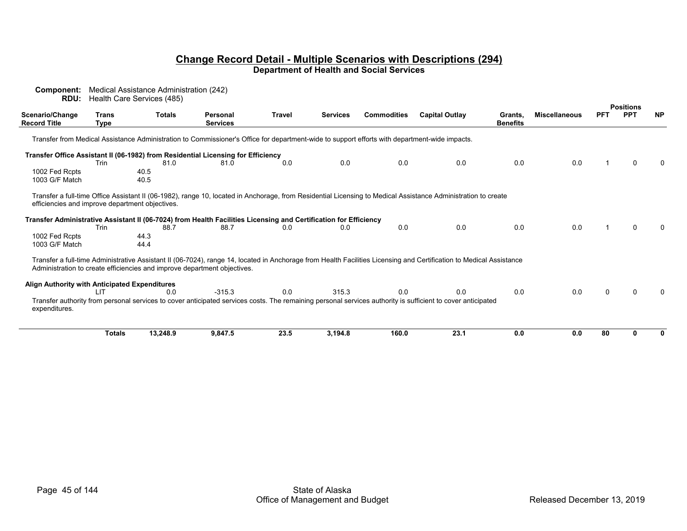| Component:<br>RDU:                              |               | Medical Assistance Administration (242)<br>Health Care Services (485) |                                                                                                                                               |               |                 |                    |                                                                                                                                                                     |                 |                      |            |                                |           |
|-------------------------------------------------|---------------|-----------------------------------------------------------------------|-----------------------------------------------------------------------------------------------------------------------------------------------|---------------|-----------------|--------------------|---------------------------------------------------------------------------------------------------------------------------------------------------------------------|-----------------|----------------------|------------|--------------------------------|-----------|
| Scenario/Change                                 | Trans         | <b>Totals</b>                                                         | <b>Personal</b>                                                                                                                               | <b>Travel</b> | <b>Services</b> | <b>Commodities</b> | <b>Capital Outlay</b>                                                                                                                                               | Grants,         | <b>Miscellaneous</b> | <b>PFT</b> | <b>Positions</b><br><b>PPT</b> | <b>NP</b> |
| <b>Record Title</b>                             | Type          |                                                                       | <b>Services</b>                                                                                                                               |               |                 |                    |                                                                                                                                                                     | <b>Benefits</b> |                      |            |                                |           |
|                                                 |               |                                                                       | Transfer from Medical Assistance Administration to Commissioner's Office for department-wide to support efforts with department-wide impacts. |               |                 |                    |                                                                                                                                                                     |                 |                      |            |                                |           |
|                                                 |               |                                                                       | Transfer Office Assistant II (06-1982) from Residential Licensing for Efficiency                                                              |               |                 |                    |                                                                                                                                                                     |                 |                      |            |                                |           |
|                                                 | Trin          | 81.0                                                                  | 81.0                                                                                                                                          | 0.0           | 0.0             | 0.0                | 0.0                                                                                                                                                                 | 0.0             | 0.0                  |            |                                |           |
| 1002 Fed Rcpts<br>1003 G/F Match                |               | 40.5<br>40.5                                                          |                                                                                                                                               |               |                 |                    |                                                                                                                                                                     |                 |                      |            |                                |           |
| efficiencies and improve department objectives. |               |                                                                       |                                                                                                                                               |               |                 |                    | Transfer a full-time Office Assistant II (06-1982), range 10, located in Anchorage, from Residential Licensing to Medical Assistance Administration to create       |                 |                      |            |                                |           |
|                                                 | Trin          | 88.7                                                                  | Transfer Administrative Assistant II (06-7024) from Health Facilities Licensing and Certification for Efficiency<br>88.7                      | 0.0           | 0.0             | 0.0                | 0.0                                                                                                                                                                 | 0.0             | 0.0                  |            |                                |           |
| 1002 Fed Rcpts<br>1003 G/F Match                |               | 44.3<br>44.4                                                          |                                                                                                                                               |               |                 |                    |                                                                                                                                                                     |                 |                      |            |                                |           |
|                                                 |               |                                                                       | Administration to create efficiencies and improve department objectives.                                                                      |               |                 |                    | Transfer a full-time Administrative Assistant II (06-7024), range 14, located in Anchorage from Health Facilities Licensing and Certification to Medical Assistance |                 |                      |            |                                |           |
| Align Authority with Anticipated Expenditures   |               |                                                                       |                                                                                                                                               |               |                 |                    |                                                                                                                                                                     |                 |                      |            |                                |           |
| expenditures.                                   | דו ו          | 0.0                                                                   | $-315.3$                                                                                                                                      | 0.0           | 315.3           | 0.0                | 0.0<br>Transfer authority from personal services to cover anticipated services costs. The remaining personal services authority is sufficient to cover anticipated  | 0.0             | 0.0                  | U          |                                |           |
|                                                 | <b>Totals</b> | 13,248.9                                                              | 9,847.5                                                                                                                                       | 23.5          | 3,194.8         | 160.0              | 23.1                                                                                                                                                                | 0.0             | 0.0                  | 80         |                                |           |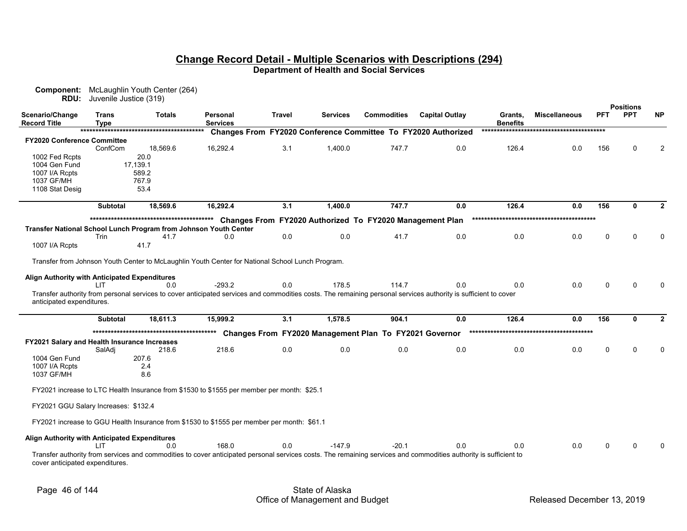| RDU:                                          | Juvenile Justice (319) | <b>Component:</b> McLaughlin Youth Center (264)                                                  |                             |               |          |                                                          |                                                                                                                                                                  |                                  |                      |             |                                |           |
|-----------------------------------------------|------------------------|--------------------------------------------------------------------------------------------------|-----------------------------|---------------|----------|----------------------------------------------------------|------------------------------------------------------------------------------------------------------------------------------------------------------------------|----------------------------------|----------------------|-------------|--------------------------------|-----------|
| Scenario/Change<br>Record Title               | Trans<br>Tvpe          | <b>Totals</b>                                                                                    | Personal<br><b>Services</b> | <b>Travel</b> | Services | <b>Commodities</b>                                       | <b>Capital Outlay</b>                                                                                                                                            | Grants,<br><b>Benefits</b>       | <b>Miscellaneous</b> | <b>PFT</b>  | <b>Positions</b><br><b>PPT</b> | <b>NP</b> |
|                                               |                        |                                                                                                  |                             |               |          |                                                          | Changes From FY2020 Conference Committee To FY2020 Authorized                                                                                                    |                                  |                      |             |                                |           |
| <b>FY2020 Conference Committee</b>            | ConfCom                | 18,569.6                                                                                         | 16,292.4                    | 3.1           | 1,400.0  | 747.7                                                    | 0.0                                                                                                                                                              | 126.4                            | 0.0                  | 156         | $\Omega$                       |           |
| 1002 Fed Rcpts                                |                        | 20.0                                                                                             |                             |               |          |                                                          |                                                                                                                                                                  |                                  |                      |             |                                |           |
| 1004 Gen Fund                                 |                        | 17,139.1                                                                                         |                             |               |          |                                                          |                                                                                                                                                                  |                                  |                      |             |                                |           |
| 1007 I/A Rcpts                                |                        | 589.2                                                                                            |                             |               |          |                                                          |                                                                                                                                                                  |                                  |                      |             |                                |           |
| 1037 GF/MH                                    |                        | 767.9                                                                                            |                             |               |          |                                                          |                                                                                                                                                                  |                                  |                      |             |                                |           |
| 1108 Stat Desig                               |                        | 53.4                                                                                             |                             |               |          |                                                          |                                                                                                                                                                  |                                  |                      |             |                                |           |
|                                               | <b>Subtotal</b>        | 18,569.6                                                                                         | 16,292.4                    | 3.1           | 1,400.0  | 747.7                                                    | 0.0                                                                                                                                                              | 126.4                            | 0.0                  | 156         | 0                              |           |
|                                               |                        |                                                                                                  |                             |               |          | Changes From FY2020 Authorized To FY2020 Management Plan |                                                                                                                                                                  |                                  |                      |             |                                |           |
|                                               |                        | Transfer National School Lunch Program from Johnson Youth Center                                 |                             |               |          |                                                          |                                                                                                                                                                  |                                  |                      |             |                                |           |
|                                               | Trin                   | 41.7                                                                                             | 0.0                         | 0.0           | 0.0      | 41.7                                                     | 0.0                                                                                                                                                              | 0.0                              | 0.0                  | $\Omega$    | U                              |           |
| 1007 I/A Rcpts                                |                        | 41.7                                                                                             |                             |               |          |                                                          |                                                                                                                                                                  |                                  |                      |             |                                |           |
|                                               |                        | Transfer from Johnson Youth Center to McLaughlin Youth Center for National School Lunch Program. |                             |               |          |                                                          |                                                                                                                                                                  |                                  |                      |             |                                |           |
| Align Authority with Anticipated Expenditures |                        |                                                                                                  |                             |               |          |                                                          |                                                                                                                                                                  |                                  |                      |             |                                |           |
|                                               | l IT                   | 0.0                                                                                              | $-293.2$                    | 0.0           | 178.5    | 114.7                                                    | 0.0                                                                                                                                                              | 0.0                              | 0.0                  | $\Omega$    | $\Omega$                       |           |
| anticipated expenditures.                     |                        |                                                                                                  |                             |               |          |                                                          | Transfer authority from personal services to cover anticipated services and commodities costs. The remaining personal services authority is sufficient to cover  |                                  |                      |             |                                |           |
|                                               | <b>Subtotal</b>        | 18,611.3                                                                                         | 15,999.2                    | 3.1           | 1,578.5  | 904.1                                                    | 0.0                                                                                                                                                              | 126.4                            | 0.0                  | 156         | $\mathbf{0}$                   |           |
|                                               |                        |                                                                                                  |                             |               |          | Changes From FY2020 Management Plan To FY2021 Governor   |                                                                                                                                                                  | ******************************** | *********            |             |                                |           |
| FY2021 Salary and Health Insurance Increases  |                        |                                                                                                  |                             |               |          |                                                          |                                                                                                                                                                  |                                  |                      |             |                                |           |
|                                               | SalAdi                 | 218.6                                                                                            | 218.6                       | 0.0           | 0.0      | 0.0                                                      | 0.0                                                                                                                                                              | 0.0                              | 0.0                  | $\mathbf 0$ | $\Omega$                       |           |
| 1004 Gen Fund                                 |                        | 207.6                                                                                            |                             |               |          |                                                          |                                                                                                                                                                  |                                  |                      |             |                                |           |
| 1007 I/A Rcpts                                |                        | 2.4                                                                                              |                             |               |          |                                                          |                                                                                                                                                                  |                                  |                      |             |                                |           |
| 1037 GF/MH                                    |                        | 8.6                                                                                              |                             |               |          |                                                          |                                                                                                                                                                  |                                  |                      |             |                                |           |
|                                               |                        | FY2021 increase to LTC Health Insurance from \$1530 to \$1555 per member per month: \$25.1       |                             |               |          |                                                          |                                                                                                                                                                  |                                  |                      |             |                                |           |
| FY2021 GGU Salary Increases: \$132.4          |                        |                                                                                                  |                             |               |          |                                                          |                                                                                                                                                                  |                                  |                      |             |                                |           |
|                                               |                        | FY2021 increase to GGU Health Insurance from \$1530 to \$1555 per member per month: \$61.1       |                             |               |          |                                                          |                                                                                                                                                                  |                                  |                      |             |                                |           |
| Align Authority with Anticipated Expenditures |                        |                                                                                                  |                             |               |          |                                                          |                                                                                                                                                                  |                                  |                      |             |                                |           |
|                                               | LIT                    | 0.0                                                                                              | 168.0                       | 0.0           | $-147.9$ | -20.1                                                    | 0.0                                                                                                                                                              | 0.0                              | 0.0                  | 0           | 0                              |           |
| cover anticipated expenditures.               |                        |                                                                                                  |                             |               |          |                                                          | Transfer authority from services and commodities to cover anticipated personal services costs. The remaining services and commodities authority is sufficient to |                                  |                      |             |                                |           |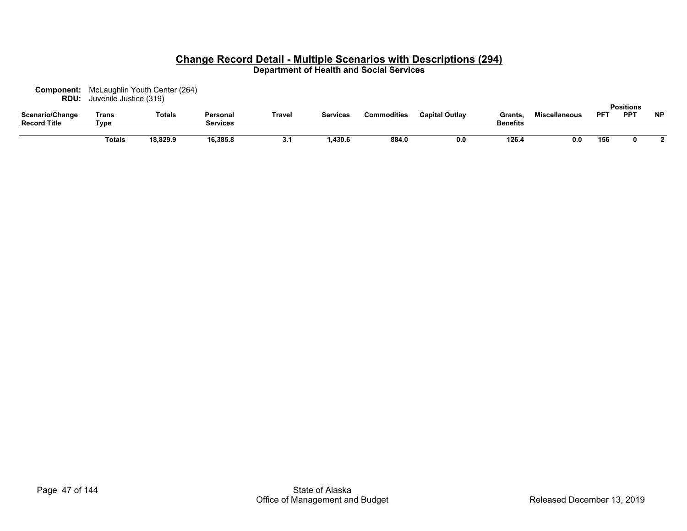| Component:<br>RDU:                     | Juvenile Justice (319) | McLaughlin Youth Center (264) |                             |        |                 |                    |                       |                            |                      |            |                                |           |
|----------------------------------------|------------------------|-------------------------------|-----------------------------|--------|-----------------|--------------------|-----------------------|----------------------------|----------------------|------------|--------------------------------|-----------|
| Scenario/Change<br><b>Record Title</b> | Trans<br>Type          | <b>Totals</b>                 | Personal<br><b>Services</b> | Travel | <b>Services</b> | <b>Commodities</b> | <b>Capital Outlay</b> | Grants.<br><b>Benefits</b> | <b>Miscellaneous</b> | <b>PF1</b> | <b>Positions</b><br><b>PPT</b> | <b>NP</b> |
|                                        | Totals                 | 18,829.9                      | 16,385.8                    | 3.1    | ,430.6          | 884.0              | 0.0                   | 126.4                      | 0.0                  | 156        |                                |           |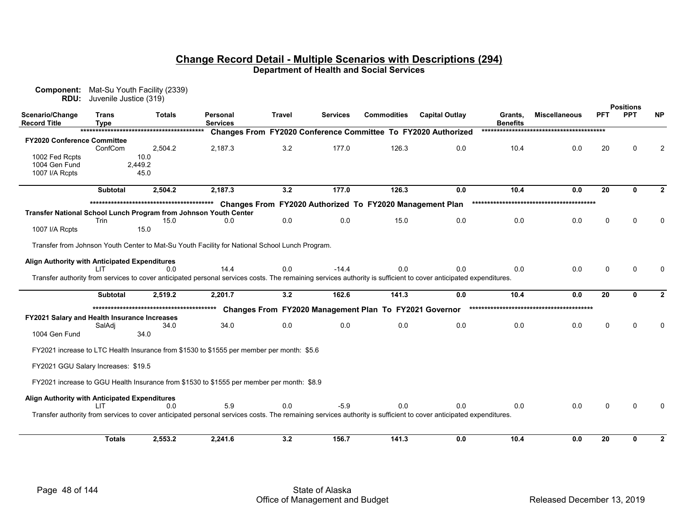| RDU:                                          | Juvenile Justice (319) | <b>Component:</b> Mat-Su Youth Facility (2339) |                                                                                                                                                                         |               |                 |                                                        |                                                               |                            |                      |              |                                |                |
|-----------------------------------------------|------------------------|------------------------------------------------|-------------------------------------------------------------------------------------------------------------------------------------------------------------------------|---------------|-----------------|--------------------------------------------------------|---------------------------------------------------------------|----------------------------|----------------------|--------------|--------------------------------|----------------|
| Scenario/Change<br><b>Record Title</b>        | Trans<br>Type          | <b>Totals</b>                                  | Personal<br><b>Services</b>                                                                                                                                             | <b>Travel</b> | <b>Services</b> | <b>Commodities</b>                                     | <b>Capital Outlay</b>                                         | Grants.<br><b>Benefits</b> | <b>Miscellaneous</b> | <b>PFT</b>   | <b>Positions</b><br><b>PPT</b> | <b>NP</b>      |
|                                               |                        |                                                |                                                                                                                                                                         |               |                 |                                                        | Changes From FY2020 Conference Committee To FY2020 Authorized |                            |                      |              |                                |                |
| <b>FY2020 Conference Committee</b>            | ConfCom                | 2,504.2                                        | 2,187.3                                                                                                                                                                 | 3.2           | 177.0           | 126.3                                                  | 0.0                                                           | 10.4                       | 0.0                  | 20           | $\Omega$                       | $\overline{2}$ |
| 1002 Fed Rcpts                                |                        | 10.0                                           |                                                                                                                                                                         |               |                 |                                                        |                                                               |                            |                      |              |                                |                |
| 1004 Gen Fund<br>1007 I/A Rcpts               |                        | 2,449.2<br>45.0                                |                                                                                                                                                                         |               |                 |                                                        |                                                               |                            |                      |              |                                |                |
|                                               | <b>Subtotal</b>        | 2,504.2                                        | 2,187.3                                                                                                                                                                 | 3.2           | 177.0           | 126.3                                                  | 0.0                                                           | 10.4                       | 0.0                  | 20           | 0                              | $\mathbf{2}$   |
|                                               |                        |                                                |                                                                                                                                                                         |               |                 |                                                        |                                                               |                            |                      |              |                                |                |
|                                               |                        |                                                | Transfer National School Lunch Program from Johnson Youth Center                                                                                                        |               |                 |                                                        |                                                               |                            |                      |              |                                |                |
|                                               | Trin                   | 15.0                                           | 0.0                                                                                                                                                                     | 0.0           | 0.0             | 15.0                                                   | 0.0                                                           | 0.0                        | 0.0                  | $\mathbf{0}$ | $\Omega$                       | $\Omega$       |
| 1007 I/A Rcpts                                |                        | 15.0                                           |                                                                                                                                                                         |               |                 |                                                        |                                                               |                            |                      |              |                                |                |
|                                               |                        |                                                | Transfer from Johnson Youth Center to Mat-Su Youth Facility for National School Lunch Program.                                                                          |               |                 |                                                        |                                                               |                            |                      |              |                                |                |
| Align Authority with Anticipated Expenditures |                        |                                                |                                                                                                                                                                         |               |                 |                                                        |                                                               |                            |                      |              |                                |                |
|                                               |                        | 0.0                                            | 14.4                                                                                                                                                                    | 0.0           | $-14.4$         | 0.0                                                    | 0.0                                                           | 0.0                        | 0.0                  | $\mathbf{0}$ | $\Omega$                       | n              |
|                                               |                        |                                                | Transfer authority from services to cover anticipated personal services costs. The remaining services authority is sufficient to cover anticipated expenditures.        |               |                 |                                                        |                                                               |                            |                      |              |                                |                |
|                                               | <b>Subtotal</b>        | 2,519.2                                        | 2,201.7                                                                                                                                                                 | 3.2           | 162.6           | 141.3                                                  | 0.0                                                           | 10.4                       | 0.0                  | 20           | $\Omega$                       | $\mathbf{2}$   |
|                                               |                        |                                                |                                                                                                                                                                         |               |                 | Changes From FY2020 Management Plan To FY2021 Governor |                                                               |                            |                      |              |                                |                |
| FY2021 Salary and Health Insurance Increases  |                        |                                                |                                                                                                                                                                         |               |                 |                                                        |                                                               |                            |                      |              |                                |                |
| 1004 Gen Fund                                 | SalAdi                 | 34.0<br>34.0                                   | 34.0                                                                                                                                                                    | 0.0           | 0.0             | 0.0                                                    | 0.0                                                           | 0.0                        | 0.0                  | $\Omega$     | $\mathbf{0}$                   | $\Omega$       |
|                                               |                        |                                                | FY2021 increase to LTC Health Insurance from \$1530 to \$1555 per member per month: \$5.6                                                                               |               |                 |                                                        |                                                               |                            |                      |              |                                |                |
| FY2021 GGU Salary Increases: \$19.5           |                        |                                                |                                                                                                                                                                         |               |                 |                                                        |                                                               |                            |                      |              |                                |                |
|                                               |                        |                                                | FY2021 increase to GGU Health Insurance from \$1530 to \$1555 per member per month: \$8.9                                                                               |               |                 |                                                        |                                                               |                            |                      |              |                                |                |
| Align Authority with Anticipated Expenditures |                        |                                                |                                                                                                                                                                         |               |                 |                                                        |                                                               |                            |                      |              |                                |                |
|                                               | ШT                     | 0.0                                            | 5.9<br>Transfer authority from services to cover anticipated personal services costs. The remaining services authority is sufficient to cover anticipated expenditures. | 0.0           | $-5.9$          | 0.0                                                    | 0.0                                                           | 0.0                        | 0.0                  | $\mathbf{0}$ | $\Omega$                       | <sup>0</sup>   |
|                                               |                        |                                                |                                                                                                                                                                         |               |                 |                                                        |                                                               |                            |                      |              |                                |                |
|                                               | <b>Totals</b>          | 2,553.2                                        | 2,241.6                                                                                                                                                                 | 3.2           | 156.7           | 141.3                                                  | 0.0                                                           | 10.4                       | 0.0                  | 20           | $\bf{0}$                       | $\mathbf{2}$   |
|                                               |                        |                                                |                                                                                                                                                                         |               |                 |                                                        |                                                               |                            |                      |              |                                |                |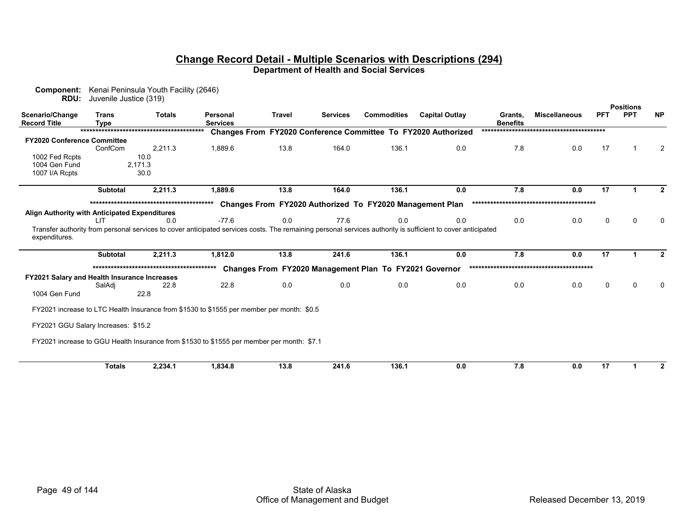| Component:                                    |                        | Kenai Peninsula Youth Facility (2646) |                                                                                                                                                             |        |                 |                                                          |                                                               |                 |                      |             |                                |                |
|-----------------------------------------------|------------------------|---------------------------------------|-------------------------------------------------------------------------------------------------------------------------------------------------------------|--------|-----------------|----------------------------------------------------------|---------------------------------------------------------------|-----------------|----------------------|-------------|--------------------------------|----------------|
| RDU:                                          | Juvenile Justice (319) |                                       |                                                                                                                                                             |        |                 |                                                          |                                                               |                 |                      |             |                                |                |
| Scenario/Change                               | <b>Trans</b>           | <b>Totals</b>                         | Personal                                                                                                                                                    | Travel | <b>Services</b> | <b>Commodities</b>                                       | <b>Capital Outlay</b>                                         | Grants.         | <b>Miscellaneous</b> | <b>PFT</b>  | <b>Positions</b><br><b>PPT</b> | <b>NP</b>      |
| <b>Record Title</b>                           | <b>Type</b>            |                                       | <b>Services</b>                                                                                                                                             |        |                 |                                                          |                                                               | <b>Benefits</b> |                      |             |                                |                |
|                                               |                        |                                       |                                                                                                                                                             |        |                 |                                                          | Changes From FY2020 Conference Committee To FY2020 Authorized |                 |                      |             |                                |                |
| <b>FY2020 Conference Committee</b>            |                        |                                       |                                                                                                                                                             |        |                 |                                                          |                                                               |                 |                      |             |                                |                |
|                                               | ConfCom                | 2,211.3                               | 1,889.6                                                                                                                                                     | 13.8   | 164.0           | 136.1                                                    | 0.0                                                           | 7.8             | 0.0                  | 17          |                                | $\overline{2}$ |
| 1002 Fed Rcpts                                |                        | 10.0                                  |                                                                                                                                                             |        |                 |                                                          |                                                               |                 |                      |             |                                |                |
| 1004 Gen Fund                                 |                        | 2,171.3                               |                                                                                                                                                             |        |                 |                                                          |                                                               |                 |                      |             |                                |                |
| 1007 I/A Rcpts                                |                        | 30.0                                  |                                                                                                                                                             |        |                 |                                                          |                                                               |                 |                      |             |                                |                |
|                                               | <b>Subtotal</b>        | 2,211.3                               | 1,889.6                                                                                                                                                     | 13.8   | 164.0           | 136.1                                                    | 0.0                                                           | 7.8             | 0.0                  | 17          |                                | $\mathbf{2}$   |
|                                               |                        |                                       |                                                                                                                                                             |        |                 | Changes From FY2020 Authorized To FY2020 Management Plan |                                                               |                 |                      |             |                                |                |
| Align Authority with Anticipated Expenditures |                        |                                       |                                                                                                                                                             |        |                 |                                                          |                                                               |                 |                      |             |                                |                |
|                                               | LIT                    | 0.0                                   | $-77.6$                                                                                                                                                     | 0.0    | 77.6            | 0.0                                                      | 0.0                                                           | 0.0             | 0.0                  | $\mathbf 0$ | $\Omega$                       | 0              |
|                                               |                        |                                       | Transfer authority from personal services to cover anticipated services costs. The remaining personal services authority is sufficient to cover anticipated |        |                 |                                                          |                                                               |                 |                      |             |                                |                |
| expenditures.                                 |                        |                                       |                                                                                                                                                             |        |                 |                                                          |                                                               |                 |                      |             |                                |                |
|                                               | <b>Subtotal</b>        | 2,211.3                               | 1.812.0                                                                                                                                                     | 13.8   | 241.6           | 136.1                                                    | 0.0                                                           | 7.8             | 0.0                  | 17          |                                | $\mathbf{2}$   |
|                                               |                        |                                       |                                                                                                                                                             |        |                 | Changes From FY2020 Management Plan To FY2021 Governor   |                                                               |                 |                      |             |                                |                |
| FY2021 Salary and Health Insurance Increases  |                        |                                       |                                                                                                                                                             |        |                 |                                                          |                                                               |                 |                      |             |                                |                |
|                                               | SalAdi                 | 22.8                                  | 22.8                                                                                                                                                        | 0.0    | 0.0             | 0.0                                                      | 0.0                                                           | 0.0             | 0.0                  | $\Omega$    | $\Omega$                       | $\Omega$       |
| 1004 Gen Fund                                 |                        | 22.8                                  |                                                                                                                                                             |        |                 |                                                          |                                                               |                 |                      |             |                                |                |
|                                               |                        |                                       | FY2021 increase to LTC Health Insurance from \$1530 to \$1555 per member per month: \$0.5                                                                   |        |                 |                                                          |                                                               |                 |                      |             |                                |                |
| FY2021 GGU Salary Increases: \$15.2           |                        |                                       |                                                                                                                                                             |        |                 |                                                          |                                                               |                 |                      |             |                                |                |
|                                               |                        |                                       |                                                                                                                                                             |        |                 |                                                          |                                                               |                 |                      |             |                                |                |
|                                               |                        |                                       | FY2021 increase to GGU Health Insurance from \$1530 to \$1555 per member per month: \$7.1                                                                   |        |                 |                                                          |                                                               |                 |                      |             |                                |                |
|                                               | <b>Totals</b>          | 2,234.1                               | 1,834.8                                                                                                                                                     | 13.8   | 241.6           | 136.1                                                    | 0.0                                                           | 7.8             | 0.0                  | 17          |                                | $\mathbf{2}$   |
|                                               |                        |                                       |                                                                                                                                                             |        |                 |                                                          |                                                               |                 |                      |             |                                |                |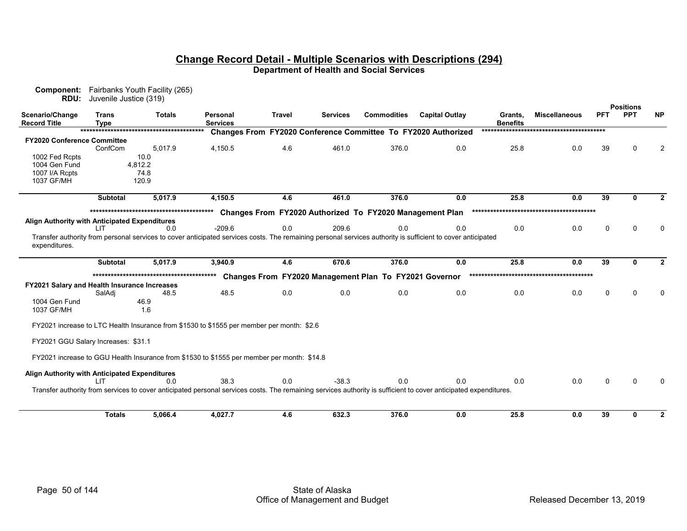| Component:<br>RDU:                            | Fairbanks Youth Facility (265)<br>Juvenile Justice (319) |               |                                                                                                                                                                  |               |                 |                                                          |                                                               |                            |                      |          |                  |                |
|-----------------------------------------------|----------------------------------------------------------|---------------|------------------------------------------------------------------------------------------------------------------------------------------------------------------|---------------|-----------------|----------------------------------------------------------|---------------------------------------------------------------|----------------------------|----------------------|----------|------------------|----------------|
|                                               |                                                          |               |                                                                                                                                                                  |               |                 |                                                          |                                                               |                            |                      |          | <b>Positions</b> |                |
| Scenario/Change<br><b>Record Title</b>        | <b>Trans</b><br><b>Type</b>                              | <b>Totals</b> | Personal<br><b>Services</b>                                                                                                                                      | <b>Travel</b> | <b>Services</b> | <b>Commodities</b>                                       | <b>Capital Outlay</b>                                         | Grants.<br><b>Benefits</b> | <b>Miscellaneous</b> | PFT      | <b>PPT</b>       | <b>NP</b>      |
|                                               |                                                          |               |                                                                                                                                                                  |               |                 |                                                          | Changes From FY2020 Conference Committee To FY2020 Authorized |                            |                      |          |                  |                |
| <b>FY2020 Conference Committee</b>            |                                                          |               |                                                                                                                                                                  |               |                 |                                                          |                                                               |                            |                      |          |                  |                |
|                                               | ConfCom                                                  | 5,017.9       | 4,150.5                                                                                                                                                          | 4.6           | 461.0           | 376.0                                                    | 0.0                                                           | 25.8                       | 0.0                  | 39       | $\Omega$         | $\overline{2}$ |
| 1002 Fed Rcpts                                |                                                          | 10.0          |                                                                                                                                                                  |               |                 |                                                          |                                                               |                            |                      |          |                  |                |
| 1004 Gen Fund                                 | 4,812.2                                                  |               |                                                                                                                                                                  |               |                 |                                                          |                                                               |                            |                      |          |                  |                |
| 1007 I/A Rcpts                                |                                                          | 74.8          |                                                                                                                                                                  |               |                 |                                                          |                                                               |                            |                      |          |                  |                |
| 1037 GF/MH                                    |                                                          | 120.9         |                                                                                                                                                                  |               |                 |                                                          |                                                               |                            |                      |          |                  |                |
|                                               | <b>Subtotal</b>                                          | 5,017.9       | 4,150.5                                                                                                                                                          | 4.6           | 461.0           | 376.0                                                    | 0.0                                                           | 25.8                       | 0.0                  | 39       | O.               | $\overline{2}$ |
|                                               |                                                          |               |                                                                                                                                                                  |               |                 | Changes From FY2020 Authorized To FY2020 Management Plan |                                                               |                            |                      |          |                  |                |
| Align Authority with Anticipated Expenditures |                                                          |               |                                                                                                                                                                  |               |                 |                                                          |                                                               |                            |                      |          |                  |                |
|                                               | LIT.                                                     | 0.0           | $-209.6$                                                                                                                                                         | 0.0           | 209.6           | 0.0                                                      | 0.0                                                           | 0.0                        | 0.0                  | 0        | $\Omega$         | 0              |
|                                               |                                                          |               | Transfer authority from personal services to cover anticipated services costs. The remaining personal services authority is sufficient to cover anticipated      |               |                 |                                                          |                                                               |                            |                      |          |                  |                |
| expenditures.                                 |                                                          |               |                                                                                                                                                                  |               |                 |                                                          |                                                               |                            |                      |          |                  |                |
|                                               |                                                          |               |                                                                                                                                                                  |               |                 |                                                          |                                                               |                            |                      |          |                  |                |
|                                               | <b>Subtotal</b>                                          | 5.017.9       | 3,940.9                                                                                                                                                          | 4.6           | 670.6           | 376.0                                                    | 0.0                                                           | 25.8                       | 0.0                  | 39       | $\bf{0}$         | $\overline{2}$ |
|                                               |                                                          |               |                                                                                                                                                                  |               |                 | Changes From FY2020 Management Plan To FY2021 Governor   |                                                               |                            |                      |          |                  |                |
| FY2021 Salary and Health Insurance Increases  |                                                          |               |                                                                                                                                                                  |               |                 |                                                          |                                                               |                            |                      |          |                  |                |
|                                               | SalAdi                                                   | 48.5          | 48.5                                                                                                                                                             | 0.0           | 0.0             | 0.0                                                      | 0.0                                                           | 0.0                        | 0.0                  | $\Omega$ | $\Omega$         | $\Omega$       |
| 1004 Gen Fund                                 |                                                          | 46.9          |                                                                                                                                                                  |               |                 |                                                          |                                                               |                            |                      |          |                  |                |
| 1037 GF/MH                                    |                                                          | 1.6           |                                                                                                                                                                  |               |                 |                                                          |                                                               |                            |                      |          |                  |                |
|                                               |                                                          |               |                                                                                                                                                                  |               |                 |                                                          |                                                               |                            |                      |          |                  |                |
|                                               |                                                          |               | FY2021 increase to LTC Health Insurance from \$1530 to \$1555 per member per month: \$2.6                                                                        |               |                 |                                                          |                                                               |                            |                      |          |                  |                |
|                                               | FY2021 GGU Salary Increases: \$31.1                      |               |                                                                                                                                                                  |               |                 |                                                          |                                                               |                            |                      |          |                  |                |
|                                               |                                                          |               | FY2021 increase to GGU Health Insurance from \$1530 to \$1555 per member per month: \$14.8                                                                       |               |                 |                                                          |                                                               |                            |                      |          |                  |                |
|                                               |                                                          |               |                                                                                                                                                                  |               |                 |                                                          |                                                               |                            |                      |          |                  |                |
| Align Authority with Anticipated Expenditures |                                                          |               |                                                                                                                                                                  |               |                 |                                                          |                                                               |                            |                      |          |                  |                |
|                                               | LIT                                                      | 0.0           | 38.3                                                                                                                                                             | 0.0           | $-38.3$         | 0.0                                                      | 0.0                                                           | 0.0                        | 0.0                  | 0        | $\Omega$         | $\Omega$       |
|                                               |                                                          |               | Transfer authority from services to cover anticipated personal services costs. The remaining services authority is sufficient to cover anticipated expenditures. |               |                 |                                                          |                                                               |                            |                      |          |                  |                |
|                                               | <b>Totals</b>                                            | 5,066.4       | 4,027.7                                                                                                                                                          | 4.6           | 632.3           | 376.0                                                    | 0.0                                                           | 25.8                       | 0.0                  | 39       | $\mathbf{0}$     | $\mathbf{2}$   |
|                                               |                                                          |               |                                                                                                                                                                  |               |                 |                                                          |                                                               |                            |                      |          |                  |                |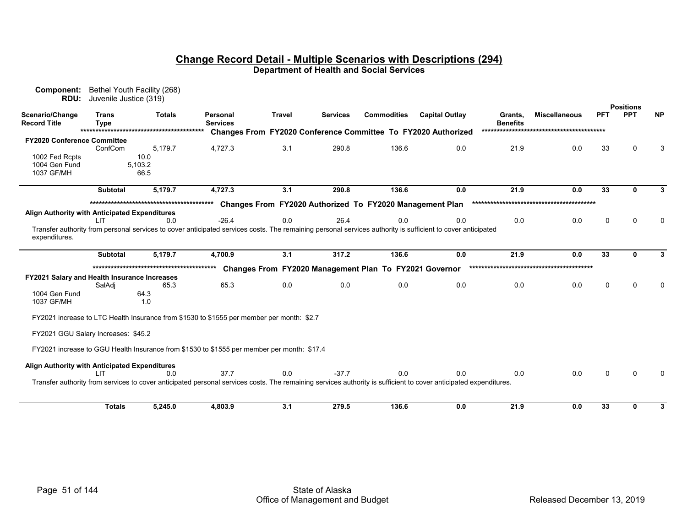| Component:<br>RDU:                            | Bethel Youth Facility (268)<br>Juvenile Justice (319) |               |                                                                                                                                                                  |               |                 |                                                          |                                                                      |                            |                      |            |                                |           |
|-----------------------------------------------|-------------------------------------------------------|---------------|------------------------------------------------------------------------------------------------------------------------------------------------------------------|---------------|-----------------|----------------------------------------------------------|----------------------------------------------------------------------|----------------------------|----------------------|------------|--------------------------------|-----------|
| Scenario/Change<br><b>Record Title</b>        | <b>Trans</b><br><b>Type</b>                           | <b>Totals</b> | Personal<br><b>Services</b>                                                                                                                                      | <b>Travel</b> | <b>Services</b> | <b>Commodities</b>                                       | <b>Capital Outlay</b>                                                | Grants,<br><b>Benefits</b> | <b>Miscellaneous</b> | <b>PFT</b> | <b>Positions</b><br><b>PPT</b> | <b>NP</b> |
|                                               |                                                       |               |                                                                                                                                                                  |               |                 |                                                          | <b>Changes From FY2020 Conference Committee To FY2020 Authorized</b> |                            |                      |            |                                |           |
| <b>FY2020 Conference Committee</b>            |                                                       |               |                                                                                                                                                                  |               |                 |                                                          |                                                                      |                            |                      |            |                                |           |
|                                               | ConfCom                                               | 5.179.7       | 4.727.3                                                                                                                                                          | 3.1           | 290.8           | 136.6                                                    | 0.0                                                                  | 21.9                       | 0.0                  | 33         |                                |           |
| 1002 Fed Rcpts                                |                                                       | 10.0          |                                                                                                                                                                  |               |                 |                                                          |                                                                      |                            |                      |            |                                |           |
| 1004 Gen Fund                                 |                                                       | 5,103.2       |                                                                                                                                                                  |               |                 |                                                          |                                                                      |                            |                      |            |                                |           |
| 1037 GF/MH                                    |                                                       | 66.5          |                                                                                                                                                                  |               |                 |                                                          |                                                                      |                            |                      |            |                                |           |
|                                               | Subtotal                                              | 5,179.7       | 4,727.3                                                                                                                                                          | 3.1           | 290.8           | 136.6                                                    | 0.0                                                                  | 21.9                       | 0.0                  | 33         | Λ                              |           |
|                                               |                                                       |               |                                                                                                                                                                  |               |                 |                                                          |                                                                      |                            |                      |            |                                |           |
| Align Authority with Anticipated Expenditures |                                                       |               |                                                                                                                                                                  |               |                 | Changes From FY2020 Authorized To FY2020 Management Plan |                                                                      |                            |                      |            |                                |           |
|                                               | I IT                                                  | 0.0           | $-26.4$                                                                                                                                                          | 0.0           | 26.4            | 0.0                                                      | 0.0                                                                  | 0.0                        | 0.0                  | 0          | n                              |           |
| expenditures.                                 |                                                       |               | Transfer authority from personal services to cover anticipated services costs. The remaining personal services authority is sufficient to cover anticipated      |               |                 |                                                          |                                                                      |                            |                      |            |                                |           |
|                                               | <b>Subtotal</b>                                       | 5,179.7       | 4,700.9                                                                                                                                                          | 3.1           | 317.2           | 136.6                                                    | 0.0                                                                  | 21.9                       | 0.0                  | 33         | O                              |           |
|                                               |                                                       |               |                                                                                                                                                                  |               |                 | Changes From FY2020 Management Plan To FY2021 Governor   |                                                                      |                            |                      |            |                                |           |
| FY2021 Salary and Health Insurance Increases  |                                                       |               |                                                                                                                                                                  |               |                 |                                                          |                                                                      |                            |                      |            |                                |           |
|                                               | SalAdi                                                | 65.3          | 65.3                                                                                                                                                             | 0.0           | 0.0             | 0.0                                                      | 0.0                                                                  | 0.0                        | 0.0                  | 0          | ∩                              |           |
| 1004 Gen Fund                                 |                                                       | 64.3          |                                                                                                                                                                  |               |                 |                                                          |                                                                      |                            |                      |            |                                |           |
| 1037 GF/MH                                    |                                                       | 1.0           |                                                                                                                                                                  |               |                 |                                                          |                                                                      |                            |                      |            |                                |           |
|                                               |                                                       |               | FY2021 increase to LTC Health Insurance from \$1530 to \$1555 per member per month: \$2.7                                                                        |               |                 |                                                          |                                                                      |                            |                      |            |                                |           |
| FY2021 GGU Salary Increases: \$45.2           |                                                       |               |                                                                                                                                                                  |               |                 |                                                          |                                                                      |                            |                      |            |                                |           |
|                                               |                                                       |               | FY2021 increase to GGU Health Insurance from \$1530 to \$1555 per member per month: \$17.4                                                                       |               |                 |                                                          |                                                                      |                            |                      |            |                                |           |
| Align Authority with Anticipated Expenditures |                                                       |               |                                                                                                                                                                  |               |                 |                                                          |                                                                      |                            |                      |            |                                |           |
|                                               | LIT                                                   | 0.0           | 37.7                                                                                                                                                             | 0.0           | $-37.7$         | 0.0                                                      | 0.0                                                                  | 0.0                        | 0.0                  | 0          |                                |           |
|                                               |                                                       |               | Transfer authority from services to cover anticipated personal services costs. The remaining services authority is sufficient to cover anticipated expenditures. |               |                 |                                                          |                                                                      |                            |                      |            |                                |           |
|                                               |                                                       |               |                                                                                                                                                                  |               |                 |                                                          |                                                                      |                            |                      |            |                                |           |
|                                               | <b>Totals</b>                                         | 5,245.0       | 4,803.9                                                                                                                                                          | 3.1           | 279.5           | 136.6                                                    | 0.0                                                                  | 21.9                       | 0.0                  | 33         | 0                              |           |
|                                               |                                                       |               |                                                                                                                                                                  |               |                 |                                                          |                                                                      |                            |                      |            |                                |           |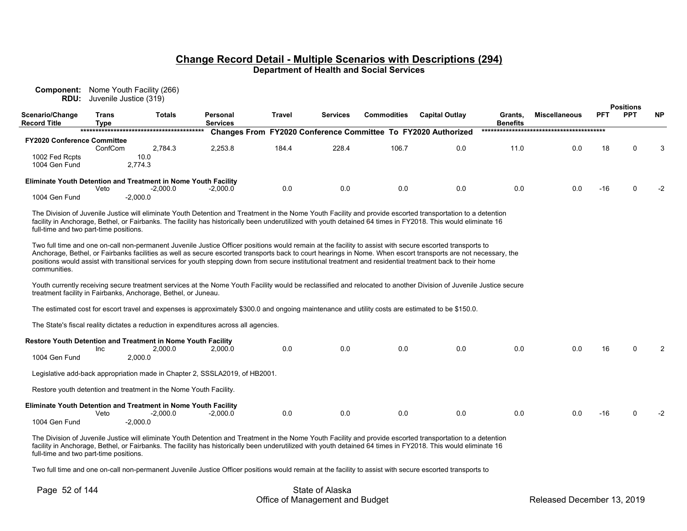**Component:** Nome Youth Facility (266) **RDU:** Juvenile Justice (319)

| Scenario/Change<br><b>Record Title</b> | <b>Trans</b><br><b>Type</b> | <b>OUVULING OUSING (UTJ)</b><br><b>Totals</b>                                                                                                                                                                                                                                                                                                                                                                                                                                            | Personal<br><b>Services</b> | <b>Travel</b> | <b>Services</b> | <b>Commodities</b> | <b>Capital Outlay</b>                                         | Grants,<br><b>Benefits</b> | <b>Miscellaneous</b> | <b>PFT</b> | <b>Positions</b><br><b>PPT</b> | <b>NP</b> |
|----------------------------------------|-----------------------------|------------------------------------------------------------------------------------------------------------------------------------------------------------------------------------------------------------------------------------------------------------------------------------------------------------------------------------------------------------------------------------------------------------------------------------------------------------------------------------------|-----------------------------|---------------|-----------------|--------------------|---------------------------------------------------------------|----------------------------|----------------------|------------|--------------------------------|-----------|
|                                        |                             |                                                                                                                                                                                                                                                                                                                                                                                                                                                                                          |                             |               |                 |                    | Changes From FY2020 Conference Committee To FY2020 Authorized |                            |                      |            |                                |           |
| FY2020 Conference Committee            |                             |                                                                                                                                                                                                                                                                                                                                                                                                                                                                                          |                             |               |                 |                    |                                                               |                            |                      |            |                                |           |
| 1002 Fed Rcpts                         | ConfCom                     | 2,784.3<br>10.0                                                                                                                                                                                                                                                                                                                                                                                                                                                                          | 2,253.8                     | 184.4         | 228.4           | 106.7              | 0.0                                                           | 11.0                       | 0.0                  | 18         | $\Omega$                       |           |
| 1004 Gen Fund                          |                             | 2,774.3                                                                                                                                                                                                                                                                                                                                                                                                                                                                                  |                             |               |                 |                    |                                                               |                            |                      |            |                                |           |
|                                        |                             |                                                                                                                                                                                                                                                                                                                                                                                                                                                                                          |                             |               |                 |                    |                                                               |                            |                      |            |                                |           |
|                                        | Veto                        | <b>Eliminate Youth Detention and Treatment in Nome Youth Facility</b><br>$-2,000.0$                                                                                                                                                                                                                                                                                                                                                                                                      | $-2,000.0$                  | 0.0           | 0.0             | 0.0                | 0.0                                                           | 0.0                        | 0.0                  | $-16$      | $\Omega$                       | $-2$      |
| 1004 Gen Fund                          |                             | $-2,000.0$                                                                                                                                                                                                                                                                                                                                                                                                                                                                               |                             |               |                 |                    |                                                               |                            |                      |            |                                |           |
| full-time and two part-time positions. |                             | The Division of Juvenile Justice will eliminate Youth Detention and Treatment in the Nome Youth Facility and provide escorted transportation to a detention<br>facility in Anchorage, Bethel, or Fairbanks. The facility has historically been underutilized with youth detained 64 times in FY2018. This would eliminate 16                                                                                                                                                             |                             |               |                 |                    |                                                               |                            |                      |            |                                |           |
| communities.                           |                             | Two full time and one on-call non-permanent Juvenile Justice Officer positions would remain at the facility to assist with secure escorted transports to<br>Anchorage, Bethel, or Fairbanks facilities as well as secure escorted transports back to court hearings in Nome. When escort transports are not necessary, the<br>positions would assist with transitional services for youth stepping down from secure institutional treatment and residential treatment back to their home |                             |               |                 |                    |                                                               |                            |                      |            |                                |           |
|                                        |                             | Youth currently receiving secure treatment services at the Nome Youth Facility would be reclassified and relocated to another Division of Juvenile Justice secure<br>treatment facility in Fairbanks, Anchorage, Bethel, or Juneau.                                                                                                                                                                                                                                                      |                             |               |                 |                    |                                                               |                            |                      |            |                                |           |
|                                        |                             | The estimated cost for escort travel and expenses is approximately \$300.0 and ongoing maintenance and utility costs are estimated to be \$150.0.                                                                                                                                                                                                                                                                                                                                        |                             |               |                 |                    |                                                               |                            |                      |            |                                |           |
|                                        |                             | The State's fiscal reality dictates a reduction in expenditures across all agencies.                                                                                                                                                                                                                                                                                                                                                                                                     |                             |               |                 |                    |                                                               |                            |                      |            |                                |           |
|                                        |                             | Restore Youth Detention and Treatment in Nome Youth Facility                                                                                                                                                                                                                                                                                                                                                                                                                             |                             |               |                 |                    |                                                               |                            |                      |            |                                |           |
|                                        | Inc                         | 2,000.0                                                                                                                                                                                                                                                                                                                                                                                                                                                                                  | 2,000.0                     | 0.0           | 0.0             | 0.0                | 0.0                                                           | 0.0                        | 0.0                  | 16         | $\Omega$                       |           |
| 1004 Gen Fund                          |                             | 2,000.0                                                                                                                                                                                                                                                                                                                                                                                                                                                                                  |                             |               |                 |                    |                                                               |                            |                      |            |                                |           |
|                                        |                             | Legislative add-back appropriation made in Chapter 2, SSSLA2019, of HB2001.                                                                                                                                                                                                                                                                                                                                                                                                              |                             |               |                 |                    |                                                               |                            |                      |            |                                |           |
|                                        |                             | Restore youth detention and treatment in the Nome Youth Facility.                                                                                                                                                                                                                                                                                                                                                                                                                        |                             |               |                 |                    |                                                               |                            |                      |            |                                |           |
|                                        |                             | Eliminate Youth Detention and Treatment in Nome Youth Facility                                                                                                                                                                                                                                                                                                                                                                                                                           |                             |               |                 |                    |                                                               |                            |                      |            |                                |           |
|                                        | Veto                        | $-2,000.0$                                                                                                                                                                                                                                                                                                                                                                                                                                                                               | $-2,000.0$                  | 0.0           | 0.0             | 0.0                | 0.0                                                           | 0.0                        | 0.0                  | $-16$      | $\Omega$                       | -2        |
| 1004 Gen Fund                          |                             | $-2,000.0$                                                                                                                                                                                                                                                                                                                                                                                                                                                                               |                             |               |                 |                    |                                                               |                            |                      |            |                                |           |
|                                        |                             | The Division of Juvenile Justice will eliminate Youth Detention and Treatment in the Nome Youth Facility and provide escorted transportation to a detention                                                                                                                                                                                                                                                                                                                              |                             |               |                 |                    |                                                               |                            |                      |            |                                |           |

facility in Anchorage, Bethel, or Fairbanks. The facility has historically been underutilized with youth detained 64 times in FY2018. This would eliminate 16 full-time and two part-time positions. Two full time and one on-call non-permanent Juvenile Justice Officer positions would remain at the facility to assist with secure escorted transports to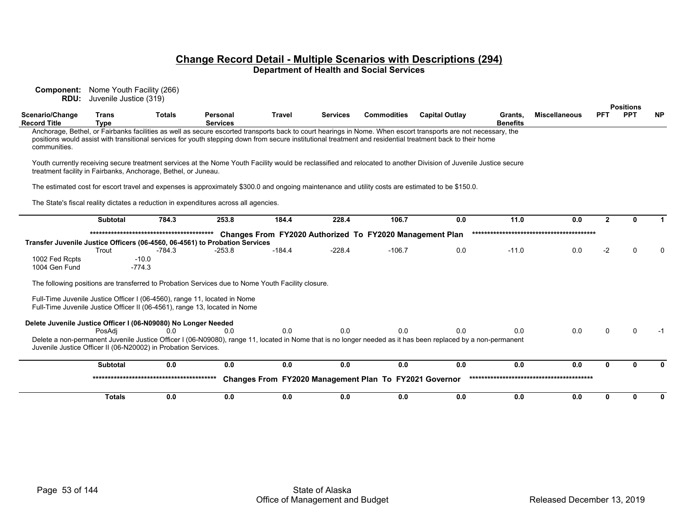**Component:** Nome Youth Facility (266) **RDU:** Juvenile Justice (319)

|                                                                             |                             |                     |                                                                                                                                                         |               |                 |                                                          |                                                                                                                                                                                                                                                                                                                              |                            |                      |                | <b>Positions</b> |           |
|-----------------------------------------------------------------------------|-----------------------------|---------------------|---------------------------------------------------------------------------------------------------------------------------------------------------------|---------------|-----------------|----------------------------------------------------------|------------------------------------------------------------------------------------------------------------------------------------------------------------------------------------------------------------------------------------------------------------------------------------------------------------------------------|----------------------------|----------------------|----------------|------------------|-----------|
| Scenario/Change<br><b>Record Title</b>                                      | <b>Trans</b><br><b>Type</b> | <b>Totals</b>       | Personal<br><b>Services</b>                                                                                                                             | <b>Travel</b> | <b>Services</b> | <b>Commodities</b>                                       | <b>Capital Outlay</b>                                                                                                                                                                                                                                                                                                        | Grants,<br><b>Benefits</b> | <b>Miscellaneous</b> | <b>PFT</b>     | <b>PPT</b>       | <b>NP</b> |
| communities.                                                                |                             |                     |                                                                                                                                                         |               |                 |                                                          | Anchorage, Bethel, or Fairbanks facilities as well as secure escorted transports back to court hearings in Nome. When escort transports are not necessary, the<br>positions would assist with transitional services for youth stepping down from secure institutional treatment and residential treatment back to their home |                            |                      |                |                  |           |
| treatment facility in Fairbanks, Anchorage, Bethel, or Juneau.              |                             |                     |                                                                                                                                                         |               |                 |                                                          | Youth currently receiving secure treatment services at the Nome Youth Facility would be reclassified and relocated to another Division of Juvenile Justice secure                                                                                                                                                            |                            |                      |                |                  |           |
|                                                                             |                             |                     |                                                                                                                                                         |               |                 |                                                          | The estimated cost for escort travel and expenses is approximately \$300.0 and ongoing maintenance and utility costs are estimated to be \$150.0.                                                                                                                                                                            |                            |                      |                |                  |           |
|                                                                             |                             |                     | The State's fiscal reality dictates a reduction in expenditures across all agencies.                                                                    |               |                 |                                                          |                                                                                                                                                                                                                                                                                                                              |                            |                      |                |                  |           |
|                                                                             | <b>Subtotal</b>             | 784.3               | 253.8                                                                                                                                                   | 184.4         | 228.4           | 106.7                                                    | 0.0                                                                                                                                                                                                                                                                                                                          | 11.0                       | 0.0                  | $\overline{2}$ | n                |           |
|                                                                             |                             |                     |                                                                                                                                                         |               |                 | Changes From FY2020 Authorized To FY2020 Management Plan |                                                                                                                                                                                                                                                                                                                              |                            |                      |                |                  |           |
| Transfer Juvenile Justice Officers (06-4560, 06-4561) to Probation Services | Trout                       | $-784.3$            | $-253.8$                                                                                                                                                | $-184.4$      | $-228.4$        | $-106.7$                                                 | 0.0                                                                                                                                                                                                                                                                                                                          | $-11.0$                    | 0.0                  | $-2$           |                  |           |
| 1002 Fed Rcpts<br>1004 Gen Fund                                             |                             | $-10.0$<br>$-774.3$ |                                                                                                                                                         |               |                 |                                                          |                                                                                                                                                                                                                                                                                                                              |                            |                      |                |                  |           |
|                                                                             |                             |                     | The following positions are transferred to Probation Services due to Nome Youth Facility closure.                                                       |               |                 |                                                          |                                                                                                                                                                                                                                                                                                                              |                            |                      |                |                  |           |
|                                                                             |                             |                     | Full-Time Juvenile Justice Officer I (06-4560), range 11, located in Nome<br>Full-Time Juvenile Justice Officer II (06-4561), range 13, located in Nome |               |                 |                                                          |                                                                                                                                                                                                                                                                                                                              |                            |                      |                |                  |           |
| Delete Juvenile Justice Officer I (06-N09080) No Longer Needed              | PosAdi                      | 0 <sub>0</sub>      | 0.0                                                                                                                                                     | 0.0           | 0.0             | 0.0                                                      | 0.0                                                                                                                                                                                                                                                                                                                          | 0.0                        | 0.0                  | ∩              |                  |           |
| Juvenile Justice Officer II (06-N20002) in Probation Services.              |                             |                     |                                                                                                                                                         |               |                 |                                                          | Delete a non-permanent Juvenile Justice Officer I (06-N09080), range 11, located in Nome that is no longer needed as it has been replaced by a non-permanent                                                                                                                                                                 |                            |                      |                |                  |           |
|                                                                             | <b>Subtotal</b>             | 0.0                 | 0.0                                                                                                                                                     | 0.0           | 0.0             | 0.0                                                      | 0.0                                                                                                                                                                                                                                                                                                                          | 0.0                        | 0.0                  | n              | U                | ŋ         |
|                                                                             |                             |                     |                                                                                                                                                         |               |                 | Changes From FY2020 Management Plan To FY2021 Governor   |                                                                                                                                                                                                                                                                                                                              |                            |                      |                |                  |           |
|                                                                             | <b>Totals</b>               | 0.0                 | 0.0                                                                                                                                                     | 0.0           | 0.0             | 0.0                                                      | 0.0                                                                                                                                                                                                                                                                                                                          | 0.0                        | 0.0                  | 0              | U                | 0         |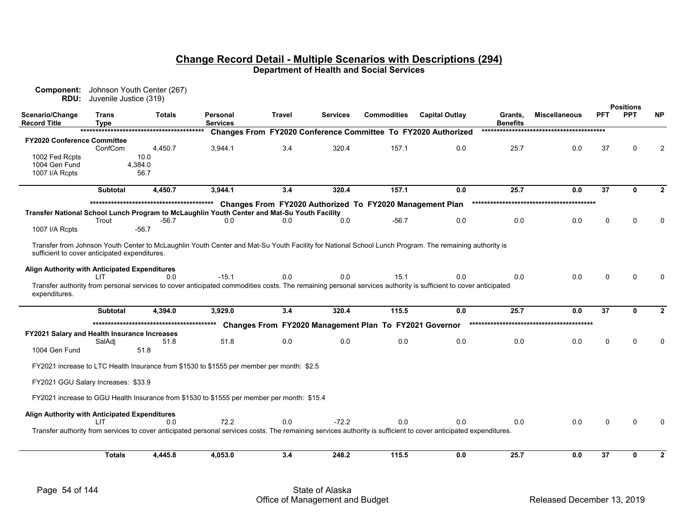| <b>Component:</b><br>RDU:                           | Juvenile Justice (319)      | Johnson Youth Center (267)                                                                  |                             |        |          |                                                          |                                                                                                                                                                  |                            |                      |          |                                |                |
|-----------------------------------------------------|-----------------------------|---------------------------------------------------------------------------------------------|-----------------------------|--------|----------|----------------------------------------------------------|------------------------------------------------------------------------------------------------------------------------------------------------------------------|----------------------------|----------------------|----------|--------------------------------|----------------|
| Scenario/Change<br><b>Record Title</b>              | <b>Trans</b><br><b>Type</b> | Totals                                                                                      | Personal<br><b>Services</b> | Travel | Services | <b>Commodities</b>                                       | <b>Capital Outlay</b>                                                                                                                                            | Grants,<br><b>Benefits</b> | <b>Miscellaneous</b> | PFT      | <b>Positions</b><br><b>PPT</b> | <b>NP</b>      |
|                                                     |                             |                                                                                             |                             |        |          |                                                          | Changes From FY2020 Conference Committee To FY2020 Authorized                                                                                                    |                            |                      |          |                                |                |
| <b>FY2020 Conference Committee</b>                  | ConfCom                     | 4,450.7                                                                                     | 3,944.1                     | 3.4    | 320.4    | 157.1                                                    | 0.0                                                                                                                                                              | 25.7                       | 0.0                  | 37       | $\Omega$                       | $\overline{2}$ |
| 1002 Fed Rcpts                                      |                             | 10.0                                                                                        |                             |        |          |                                                          |                                                                                                                                                                  |                            |                      |          |                                |                |
| 1004 Gen Fund                                       |                             | 4,384.0                                                                                     |                             |        |          |                                                          |                                                                                                                                                                  |                            |                      |          |                                |                |
| 1007 I/A Rcpts                                      |                             | 56.7                                                                                        |                             |        |          |                                                          |                                                                                                                                                                  |                            |                      |          |                                |                |
|                                                     | <b>Subtotal</b>             | 4,450.7                                                                                     | 3,944.1                     | 3.4    | 320.4    | 157.1                                                    | 0.0                                                                                                                                                              | 25.7                       | 0.0                  | 37       | 0                              | $\mathbf{2}$   |
|                                                     |                             |                                                                                             |                             |        |          | Changes From FY2020 Authorized To FY2020 Management Plan |                                                                                                                                                                  |                            |                      |          |                                |                |
|                                                     |                             | Transfer National School Lunch Program to McLaughlin Youth Center and Mat-Su Youth Facility |                             |        |          |                                                          |                                                                                                                                                                  |                            |                      |          |                                |                |
|                                                     | Trout                       | $-56.7$                                                                                     | 0.0                         | 0.0    | 0.0      | $-56.7$                                                  | 0.0                                                                                                                                                              | 0.0                        | 0.0                  | $\Omega$ | $\Omega$                       | $\Omega$       |
| 1007 I/A Rcpts                                      |                             | -56.7                                                                                       |                             |        |          |                                                          |                                                                                                                                                                  |                            |                      |          |                                |                |
| sufficient to cover anticipated expenditures.       |                             |                                                                                             |                             |        |          |                                                          | Transfer from Johnson Youth Center to McLaughlin Youth Center and Mat-Su Youth Facility for National School Lunch Program. The remaining authority is            |                            |                      |          |                                |                |
| Align Authority with Anticipated Expenditures       |                             |                                                                                             |                             |        |          |                                                          |                                                                                                                                                                  |                            |                      |          |                                |                |
|                                                     | l IT                        | 0.0                                                                                         | $-15.1$                     | 0.0    | 0.0      | 15.1                                                     | 0.0                                                                                                                                                              | 0.0                        | 0.0                  | $\Omega$ | $\Omega$                       | $\Omega$       |
| expenditures.                                       |                             |                                                                                             |                             |        |          |                                                          | Transfer authority from personal services to cover anticipated commodities costs. The remaining personal services authority is sufficient to cover anticipated   |                            |                      |          |                                |                |
|                                                     | <b>Subtotal</b>             | 4,394.0                                                                                     | 3,929.0                     | 3.4    | 320.4    | 115.5                                                    | 0.0                                                                                                                                                              | 25.7                       | 0.0                  | 37       | $\mathbf{0}$                   | $\mathbf{2}$   |
|                                                     |                             |                                                                                             |                             |        |          |                                                          |                                                                                                                                                                  |                            |                      |          |                                |                |
|                                                     |                             |                                                                                             |                             |        |          | Changes From FY2020 Management Plan To FY2021 Governor   |                                                                                                                                                                  |                            |                      |          |                                |                |
| <b>FY2021 Salary and Health Insurance Increases</b> | SalAdj                      | 51.8                                                                                        | 51.8                        | 0.0    | 0.0      | 0.0                                                      | 0.0                                                                                                                                                              | 0.0                        | 0.0                  | 0        | $\Omega$                       | $\Omega$       |
| 1004 Gen Fund                                       |                             | 51.8                                                                                        |                             |        |          |                                                          |                                                                                                                                                                  |                            |                      |          |                                |                |
|                                                     |                             | FY2021 increase to LTC Health Insurance from \$1530 to \$1555 per member per month: \$2.5   |                             |        |          |                                                          |                                                                                                                                                                  |                            |                      |          |                                |                |
| FY2021 GGU Salary Increases: \$33.9                 |                             |                                                                                             |                             |        |          |                                                          |                                                                                                                                                                  |                            |                      |          |                                |                |
|                                                     |                             | FY2021 increase to GGU Health Insurance from \$1530 to \$1555 per member per month: \$15.4  |                             |        |          |                                                          |                                                                                                                                                                  |                            |                      |          |                                |                |
| Align Authority with Anticipated Expenditures       |                             |                                                                                             |                             |        |          |                                                          |                                                                                                                                                                  |                            |                      |          |                                |                |
|                                                     | LIT                         | 0.0                                                                                         | 72.2                        | 0.0    | $-72.2$  | 0.0                                                      | 0.0                                                                                                                                                              | 0.0                        | 0.0                  | $\Omega$ | $\Omega$                       |                |
|                                                     |                             |                                                                                             |                             |        |          |                                                          | Transfer authority from services to cover anticipated personal services costs. The remaining services authority is sufficient to cover anticipated expenditures. |                            |                      |          |                                |                |
|                                                     | <b>Totals</b>               | 4,445.8                                                                                     | 4,053.0                     | 3.4    | 248.2    | 115.5                                                    | 0.0                                                                                                                                                              | 25.7                       | 0.0                  | 37       | $\bf{0}$                       | $\mathbf{2}$   |
|                                                     |                             |                                                                                             |                             |        |          |                                                          |                                                                                                                                                                  |                            |                      |          |                                |                |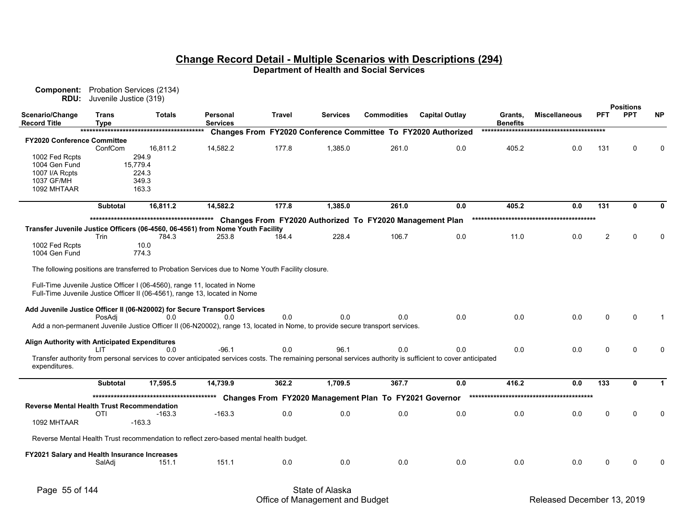| www.pondite<br><b>RDU:</b>                                | $1.000$ and $0.1000$ and $0.1001$<br>Juvenile Justice (319) |                            |                                                                                                                                                                                                                   |               |          |                                                                   |                                                                                                                                                             |                            |                      |             | <b>Positions</b> |           |
|-----------------------------------------------------------|-------------------------------------------------------------|----------------------------|-------------------------------------------------------------------------------------------------------------------------------------------------------------------------------------------------------------------|---------------|----------|-------------------------------------------------------------------|-------------------------------------------------------------------------------------------------------------------------------------------------------------|----------------------------|----------------------|-------------|------------------|-----------|
| Scenario/Change<br>Record Title                           | Trans<br>Type                                               | Totals                     | Personal<br><b>Services</b>                                                                                                                                                                                       | <b>Travel</b> | Services | <b>Commodities</b>                                                | <b>Capital Outlay</b>                                                                                                                                       | Grants,<br><b>Benefits</b> | <b>Miscellaneous</b> | <b>PFT</b>  | <b>PPT</b>       | <b>NP</b> |
|                                                           |                                                             |                            |                                                                                                                                                                                                                   |               |          |                                                                   | Changes From FY2020 Conference Committee To FY2020 Authorized                                                                                               |                            |                      |             |                  |           |
| FY2020 Conference Committee                               | ConfCom                                                     | 16,811.2                   | 14,582.2                                                                                                                                                                                                          | 177.8         | 1,385.0  | 261.0                                                             | 0.0                                                                                                                                                         | 405.2                      | 0.0                  | 131         | 0                |           |
| 1002 Fed Rcpts<br>1004 Gen Fund<br>1007 I/A Rcpts         |                                                             | 294.9<br>15.779.4<br>224.3 |                                                                                                                                                                                                                   |               |          |                                                                   |                                                                                                                                                             |                            |                      |             |                  |           |
| 1037 GF/MH<br>1092 MHTAAR                                 |                                                             | 349.3<br>163.3             |                                                                                                                                                                                                                   |               |          |                                                                   |                                                                                                                                                             |                            |                      |             |                  |           |
|                                                           | <b>Subtotal</b>                                             | 16,811.2                   | 14.582.2                                                                                                                                                                                                          | 177.8         | 1,385.0  | 261.0                                                             | 0.0                                                                                                                                                         | 405.2                      | 0.0                  | 131         | $\mathbf{0}$     |           |
| 1002 Fed Rcpts                                            | Trin                                                        | 784.3<br>10.0              | Transfer Juvenile Justice Officers (06-4560, 06-4561) from Nome Youth Facility<br>253.8                                                                                                                           | 184.4         | 228.4    | Changes From FY2020 Authorized To FY2020 Management Plan<br>106.7 | 0.0                                                                                                                                                         | 11.0                       | 0.0                  | 2           | $\Omega$         |           |
| 1004 Gen Fund                                             |                                                             | 774.3                      | The following positions are transferred to Probation Services due to Nome Youth Facility closure.                                                                                                                 |               |          |                                                                   |                                                                                                                                                             |                            |                      |             |                  |           |
|                                                           |                                                             |                            | Full-Time Juvenile Justice Officer I (06-4560), range 11, located in Nome<br>Full-Time Juvenile Justice Officer II (06-4561), range 13, located in Nome                                                           |               |          |                                                                   |                                                                                                                                                             |                            |                      |             |                  |           |
|                                                           | PosAdi                                                      | 0.0                        | Add Juvenile Justice Officer II (06-N20002) for Secure Transport Services<br>0.0<br>Add a non-permanent Juvenile Justice Officer II (06-N20002), range 13, located in Nome, to provide secure transport services. | 0.0           | 0.0      | 0.0                                                               | 0.0                                                                                                                                                         | 0.0                        | 0.0                  | $\Omega$    |                  |           |
| Align Authority with Anticipated Expenditures             | <b>IIT</b>                                                  | 0.0                        | $-96.1$                                                                                                                                                                                                           | 0.0           | 96.1     | 0.0                                                               | 0.0                                                                                                                                                         | 0.0                        | 0.0                  | $\Omega$    | U                |           |
| expenditures.                                             |                                                             |                            |                                                                                                                                                                                                                   |               |          |                                                                   | Transfer authority from personal services to cover anticipated services costs. The remaining personal services authority is sufficient to cover anticipated |                            |                      |             |                  |           |
|                                                           | <b>Subtotal</b>                                             | 17,595.5                   | 14,739.9                                                                                                                                                                                                          | 362.2         | 1,709.5  | 367.7                                                             | 0.0                                                                                                                                                         | 416.2                      | 0.0                  | 133         | 0                |           |
|                                                           |                                                             |                            |                                                                                                                                                                                                                   |               |          | Changes From FY2020 Management Plan To FY2021 Governor            |                                                                                                                                                             |                            |                      |             |                  |           |
| Reverse Mental Health Trust Recommendation<br>1092 MHTAAR | <b>OTI</b>                                                  | $-163.3$<br>$-163.3$       | $-163.3$                                                                                                                                                                                                          | 0.0           | 0.0      | 0.0                                                               | 0.0                                                                                                                                                         | 0.0                        | 0.0                  | $\mathbf 0$ | $\Omega$         |           |
|                                                           |                                                             |                            | Reverse Mental Health Trust recommendation to reflect zero-based mental health budget.                                                                                                                            |               |          |                                                                   |                                                                                                                                                             |                            |                      |             |                  |           |
| FY2021 Salary and Health Insurance Increases              | SalAdj                                                      | 151.1                      | 151.1                                                                                                                                                                                                             | 0.0           | 0.0      | 0.0                                                               | 0.0                                                                                                                                                         | 0.0                        | 0.0                  | $\Omega$    | U                |           |
|                                                           |                                                             |                            |                                                                                                                                                                                                                   |               |          |                                                                   |                                                                                                                                                             |                            |                      |             |                  |           |

**Component:** Probation Services (2134)

 $\overline{\phantom{0}}$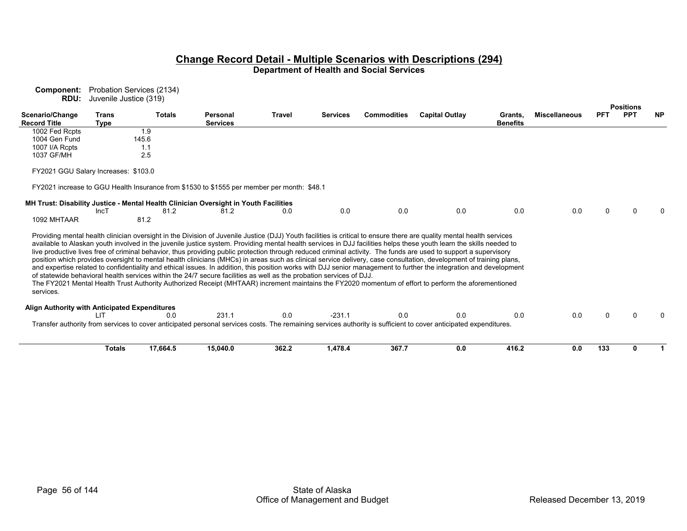|                                               | <b>RDU:</b> Juvenile Justice (319) |                                                                                                                     |                             |               |                 |                    |                                                                                                                                                                                                                                                                                                                                                                                                                                                                                                                                                                                                                                                                                                                                                                                                                                                                                                                                                                                                                       |                            |                      |            |                                |           |
|-----------------------------------------------|------------------------------------|---------------------------------------------------------------------------------------------------------------------|-----------------------------|---------------|-----------------|--------------------|-----------------------------------------------------------------------------------------------------------------------------------------------------------------------------------------------------------------------------------------------------------------------------------------------------------------------------------------------------------------------------------------------------------------------------------------------------------------------------------------------------------------------------------------------------------------------------------------------------------------------------------------------------------------------------------------------------------------------------------------------------------------------------------------------------------------------------------------------------------------------------------------------------------------------------------------------------------------------------------------------------------------------|----------------------------|----------------------|------------|--------------------------------|-----------|
| Scenario/Change<br><b>Record Title</b>        | <b>Trans</b><br><b>Type</b>        | <b>Totals</b>                                                                                                       | Personal<br><b>Services</b> | <b>Travel</b> | <b>Services</b> | <b>Commodities</b> | <b>Capital Outlay</b>                                                                                                                                                                                                                                                                                                                                                                                                                                                                                                                                                                                                                                                                                                                                                                                                                                                                                                                                                                                                 | Grants.<br><b>Benefits</b> | <b>Miscellaneous</b> | <b>PFT</b> | <b>Positions</b><br><b>PPT</b> | <b>NP</b> |
| 1002 Fed Rcpts                                |                                    | 1.9                                                                                                                 |                             |               |                 |                    |                                                                                                                                                                                                                                                                                                                                                                                                                                                                                                                                                                                                                                                                                                                                                                                                                                                                                                                                                                                                                       |                            |                      |            |                                |           |
| 1004 Gen Fund                                 |                                    | 145.6                                                                                                               |                             |               |                 |                    |                                                                                                                                                                                                                                                                                                                                                                                                                                                                                                                                                                                                                                                                                                                                                                                                                                                                                                                                                                                                                       |                            |                      |            |                                |           |
| 1007 I/A Rcpts                                |                                    | 1.1                                                                                                                 |                             |               |                 |                    |                                                                                                                                                                                                                                                                                                                                                                                                                                                                                                                                                                                                                                                                                                                                                                                                                                                                                                                                                                                                                       |                            |                      |            |                                |           |
| 1037 GF/MH                                    |                                    | 2.5                                                                                                                 |                             |               |                 |                    |                                                                                                                                                                                                                                                                                                                                                                                                                                                                                                                                                                                                                                                                                                                                                                                                                                                                                                                                                                                                                       |                            |                      |            |                                |           |
| FY2021 GGU Salary Increases: \$103.0          |                                    |                                                                                                                     |                             |               |                 |                    |                                                                                                                                                                                                                                                                                                                                                                                                                                                                                                                                                                                                                                                                                                                                                                                                                                                                                                                                                                                                                       |                            |                      |            |                                |           |
|                                               |                                    | FY2021 increase to GGU Health Insurance from \$1530 to \$1555 per member per month: \$48.1                          |                             |               |                 |                    |                                                                                                                                                                                                                                                                                                                                                                                                                                                                                                                                                                                                                                                                                                                                                                                                                                                                                                                                                                                                                       |                            |                      |            |                                |           |
|                                               | IncT                               | MH Trust: Disability Justice - Mental Health Clinician Oversight in Youth Facilities<br>81.2                        | 81.2                        | 0.0           | 0.0             | 0.0                | 0.0                                                                                                                                                                                                                                                                                                                                                                                                                                                                                                                                                                                                                                                                                                                                                                                                                                                                                                                                                                                                                   | 0.0                        | 0.0                  |            |                                |           |
| 1092 MHTAAR                                   |                                    | 81.2                                                                                                                |                             |               |                 |                    |                                                                                                                                                                                                                                                                                                                                                                                                                                                                                                                                                                                                                                                                                                                                                                                                                                                                                                                                                                                                                       |                            |                      |            |                                |           |
| services.                                     |                                    | of statewide behavioral health services within the 24/7 secure facilities as well as the probation services of DJJ. |                             |               |                 |                    | Providing mental health clinician oversight in the Division of Juvenile Justice (DJJ) Youth facilities is critical to ensure there are quality mental health services<br>available to Alaskan youth involved in the juvenile justice system. Providing mental health services in DJJ facilities helps these youth learn the skills needed to<br>live productive lives free of criminal behavior, thus providing public protection through reduced criminal activity. The funds are used to support a supervisory<br>position which provides oversight to mental health clinicians (MHCs) in areas such as clinical service delivery, case consultation, development of training plans,<br>and expertise related to confidentiality and ethical issues. In addition, this position works with DJJ senior management to further the integration and development<br>The FY2021 Mental Health Trust Authority Authorized Receipt (MHTAAR) increment maintains the FY2020 momentum of effort to perform the aforementioned |                            |                      |            |                                |           |
| Align Authority with Anticipated Expenditures | ШT                                 | 0.0                                                                                                                 | 231.1                       | 0.0           | $-231.1$        | 0.0                | 0.0                                                                                                                                                                                                                                                                                                                                                                                                                                                                                                                                                                                                                                                                                                                                                                                                                                                                                                                                                                                                                   | 0.0                        | 0.0                  |            |                                |           |
|                                               |                                    |                                                                                                                     |                             |               |                 |                    | Transfer authority from services to cover anticipated personal services costs. The remaining services authority is sufficient to cover anticipated expenditures.                                                                                                                                                                                                                                                                                                                                                                                                                                                                                                                                                                                                                                                                                                                                                                                                                                                      |                            |                      |            |                                |           |
|                                               | <b>Totals</b>                      | 17,664.5                                                                                                            | 15,040.0                    | 362.2         | 1,478.4         | 367.7              | 0.0                                                                                                                                                                                                                                                                                                                                                                                                                                                                                                                                                                                                                                                                                                                                                                                                                                                                                                                                                                                                                   | 416.2                      | 0.0                  | 133        | ŋ                              |           |

**Component:** Probation Services (2134)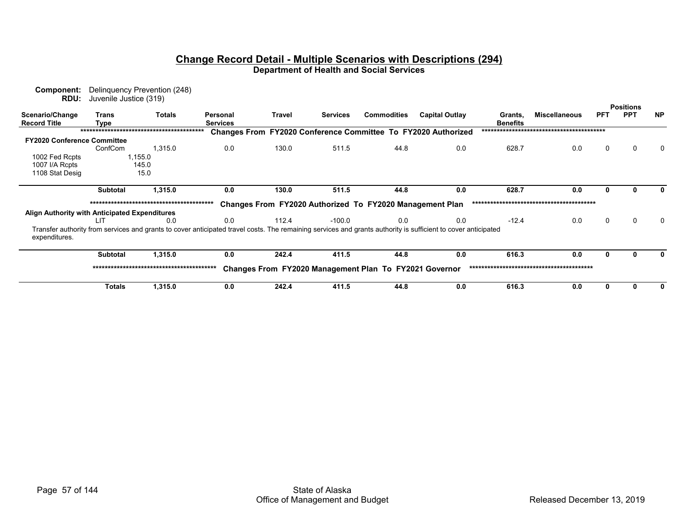| Component:<br>RDU:                            | Juvenile Justice (319) | Delinguency Prevention (248)                                                                                                                                  |                             |        |                 |                                                          |                                                               |                            |                      |            | <b>Positions</b> |           |
|-----------------------------------------------|------------------------|---------------------------------------------------------------------------------------------------------------------------------------------------------------|-----------------------------|--------|-----------------|----------------------------------------------------------|---------------------------------------------------------------|----------------------------|----------------------|------------|------------------|-----------|
| Scenario/Change<br><b>Record Title</b>        | <b>Trans</b><br>Type   | Totals                                                                                                                                                        | Personal<br><b>Services</b> | Travel | <b>Services</b> | <b>Commodities</b>                                       | <b>Capital Outlay</b>                                         | Grants,<br><b>Benefits</b> | <b>Miscellaneous</b> | <b>PFT</b> | <b>PPT</b>       | <b>NP</b> |
|                                               |                        |                                                                                                                                                               |                             |        |                 |                                                          | Changes From FY2020 Conference Committee To FY2020 Authorized |                            |                      |            |                  |           |
| <b>FY2020 Conference Committee</b>            |                        |                                                                                                                                                               |                             |        |                 |                                                          |                                                               |                            |                      |            |                  |           |
|                                               | ConfCom                | 1,315.0                                                                                                                                                       | 0.0                         | 130.0  | 511.5           | 44.8                                                     | 0.0                                                           | 628.7                      | 0.0                  | 0          | 0                | 0         |
| 1002 Fed Rcpts                                |                        | 1,155.0                                                                                                                                                       |                             |        |                 |                                                          |                                                               |                            |                      |            |                  |           |
| 1007 I/A Rcpts                                |                        | 145.0                                                                                                                                                         |                             |        |                 |                                                          |                                                               |                            |                      |            |                  |           |
| 1108 Stat Desig                               |                        | 15.0                                                                                                                                                          |                             |        |                 |                                                          |                                                               |                            |                      |            |                  |           |
|                                               | <b>Subtotal</b>        | 1,315.0                                                                                                                                                       | 0.0                         | 130.0  | 511.5           | 44.8                                                     | 0.0                                                           | 628.7                      | 0.0                  |            |                  |           |
|                                               |                        |                                                                                                                                                               |                             |        |                 | Changes From FY2020 Authorized To FY2020 Management Plan |                                                               |                            |                      |            |                  |           |
| Align Authority with Anticipated Expenditures |                        |                                                                                                                                                               |                             |        |                 |                                                          |                                                               |                            |                      |            |                  |           |
|                                               | LIT                    | 0.0                                                                                                                                                           | 0.0                         | 112.4  | -100.0          | 0.0                                                      | 0.0                                                           | $-12.4$                    | 0.0                  | $\Omega$   | 0                | 0         |
| expenditures.                                 |                        | Transfer authority from services and grants to cover anticipated travel costs. The remaining services and grants authority is sufficient to cover anticipated |                             |        |                 |                                                          |                                                               |                            |                      |            |                  |           |
|                                               | <b>Subtotal</b>        | 1,315.0                                                                                                                                                       | 0.0                         | 242.4  | 411.5           | 44.8                                                     | 0.0                                                           | 616.3                      | 0.0                  |            |                  | $\bf{0}$  |
|                                               |                        |                                                                                                                                                               |                             |        |                 | Changes From FY2020 Management Plan To FY2021 Governor   |                                                               |                            |                      |            |                  |           |
|                                               | <b>Totals</b>          | 1,315.0                                                                                                                                                       | 0.0                         | 242.4  | 411.5           | 44.8                                                     | 0.0                                                           | 616.3                      | 0.0                  | 0          |                  | 0         |
|                                               |                        |                                                                                                                                                               |                             |        |                 |                                                          |                                                               |                            |                      |            |                  |           |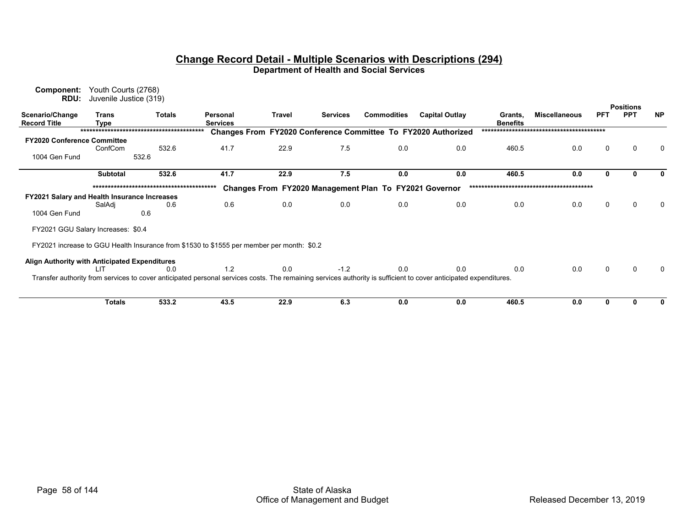| Component:<br>RDU:                            | Youth Courts (2768)<br>Juvenile Justice (319) |               |                                                                                                                                                                  |        |                                                               |                    |                       |                            |                      |            |                  |           |
|-----------------------------------------------|-----------------------------------------------|---------------|------------------------------------------------------------------------------------------------------------------------------------------------------------------|--------|---------------------------------------------------------------|--------------------|-----------------------|----------------------------|----------------------|------------|------------------|-----------|
|                                               |                                               |               |                                                                                                                                                                  |        |                                                               |                    |                       |                            |                      |            | <b>Positions</b> |           |
| Scenario/Change<br><b>Record Title</b>        | <b>Trans</b><br><b>Type</b>                   | <b>Totals</b> | Personal<br><b>Services</b>                                                                                                                                      | Travel | <b>Services</b>                                               | <b>Commodities</b> | <b>Capital Outlay</b> | Grants,<br><b>Benefits</b> | <b>Miscellaneous</b> | <b>PFT</b> | <b>PPT</b>       | <b>NP</b> |
|                                               |                                               |               |                                                                                                                                                                  |        | Changes From FY2020 Conference Committee To FY2020 Authorized |                    |                       |                            |                      |            |                  |           |
| <b>FY2020 Conference Committee</b>            |                                               |               |                                                                                                                                                                  |        |                                                               |                    |                       |                            |                      |            |                  |           |
|                                               | ConfCom                                       | 532.6         | 41.7                                                                                                                                                             | 22.9   | 7.5                                                           | 0.0                | 0.0                   | 460.5                      | 0.0                  | 0          | 0                | 0         |
| 1004 Gen Fund                                 |                                               | 532.6         |                                                                                                                                                                  |        |                                                               |                    |                       |                            |                      |            |                  |           |
|                                               | <b>Subtotal</b>                               | 532.6         | 41.7                                                                                                                                                             | 22.9   | 7.5                                                           | 0.0                | 0.0                   | 460.5                      | 0.0                  |            |                  | 0         |
|                                               |                                               |               |                                                                                                                                                                  |        | Changes From FY2020 Management Plan To FY2021 Governor        |                    |                       |                            |                      |            |                  |           |
| FY2021 Salary and Health Insurance Increases  |                                               |               |                                                                                                                                                                  |        |                                                               |                    |                       |                            |                      |            |                  |           |
|                                               | SalAdj                                        | 0.6           | 0.6                                                                                                                                                              | 0.0    | 0.0                                                           | 0.0                | 0.0                   | 0.0                        | 0.0                  | 0          | 0                |           |
| 1004 Gen Fund                                 |                                               | 0.6           |                                                                                                                                                                  |        |                                                               |                    |                       |                            |                      |            |                  |           |
| FY2021 GGU Salary Increases: \$0.4            |                                               |               |                                                                                                                                                                  |        |                                                               |                    |                       |                            |                      |            |                  |           |
|                                               |                                               |               | FY2021 increase to GGU Health Insurance from \$1530 to \$1555 per member per month: \$0.2                                                                        |        |                                                               |                    |                       |                            |                      |            |                  |           |
| Align Authority with Anticipated Expenditures |                                               |               |                                                                                                                                                                  |        |                                                               |                    |                       |                            |                      |            |                  |           |
|                                               | LIT                                           | 0.0           | 1.2                                                                                                                                                              | 0.0    | $-1.2$                                                        | 0.0                | 0.0                   | 0.0                        | 0.0                  | $\Omega$   | ∩                |           |
|                                               |                                               |               | Transfer authority from services to cover anticipated personal services costs. The remaining services authority is sufficient to cover anticipated expenditures. |        |                                                               |                    |                       |                            |                      |            |                  |           |
|                                               |                                               |               |                                                                                                                                                                  |        |                                                               |                    |                       |                            |                      |            |                  |           |
|                                               | <b>Totals</b>                                 | 533.2         | 43.5                                                                                                                                                             | 22.9   | 6.3                                                           | 0.0                | 0.0                   | 460.5                      | 0.0                  | ŋ          |                  | 0         |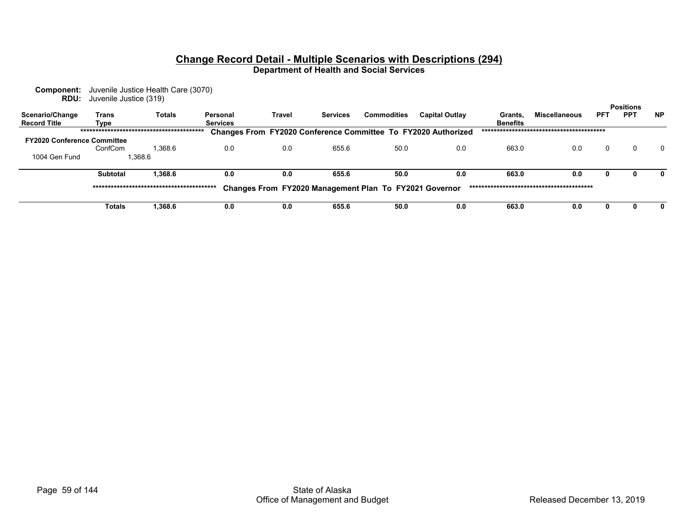**Component:** Juvenile Justice Health Care (3070) **RDU:** Juvenile Justice (319)

|                                        |                 |               |                             |        |                 |                                                        |                                                                      |                            |                      |            | <b>Positions</b> |           |
|----------------------------------------|-----------------|---------------|-----------------------------|--------|-----------------|--------------------------------------------------------|----------------------------------------------------------------------|----------------------------|----------------------|------------|------------------|-----------|
| Scenario/Change<br><b>Record Title</b> | Trans<br>Type   | <b>Totals</b> | Personal<br><b>Services</b> | Travel | <b>Services</b> | Commodities                                            | <b>Capital Outlay</b>                                                | Grants.<br><b>Benefits</b> | <b>Miscellaneous</b> | <b>PFT</b> | <b>PPT</b>       | <b>NP</b> |
|                                        |                 |               |                             |        |                 |                                                        | <b>Changes From FY2020 Conference Committee To FY2020 Authorized</b> |                            |                      |            |                  |           |
| <b>FY2020 Conference Committee</b>     |                 |               |                             |        |                 |                                                        |                                                                      |                            |                      |            |                  |           |
|                                        | ConfCom         | 1.368.6       | 0.0                         | 0.0    | 655.6           | 50.0                                                   | 0.0                                                                  | 663.0                      | 0.0                  |            |                  | $\Omega$  |
| 1004 Gen Fund                          |                 | 1,368.6       |                             |        |                 |                                                        |                                                                      |                            |                      |            |                  |           |
|                                        | <b>Subtotal</b> | 1.368.6       | 0.0                         | 0.0    | 655.6           | 50.0                                                   | 0.0                                                                  | 663.0                      | 0.0                  |            |                  |           |
|                                        |                 |               |                             |        |                 | Changes From FY2020 Management Plan To FY2021 Governor |                                                                      |                            |                      |            |                  |           |
|                                        | Totals          | 1.368.6       | 0.0                         | 0.0    | 655.6           | 50.0                                                   | 0.0                                                                  | 663.0                      | 0.0                  |            |                  |           |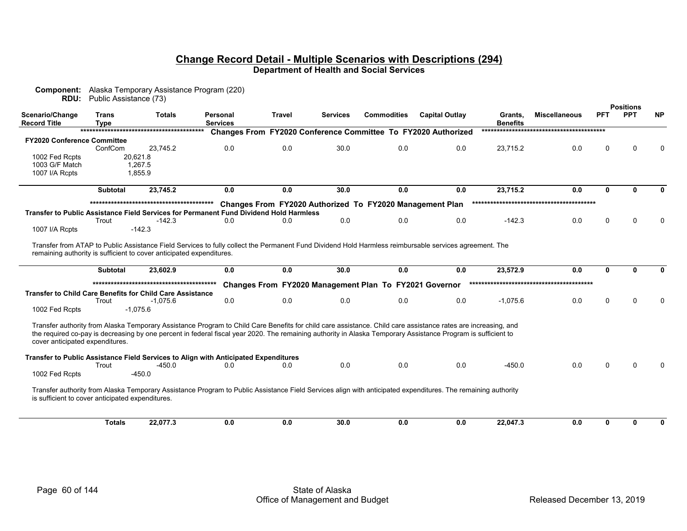| <b>RDU:</b>                                                          | Public Assistance (73)      |               | <b>Component:</b> Alaska Temporary Assistance Program (220)                                                                                                                                                                                                                                                                    |               |                 |                                                          |                                                                      |                            |                      |            |                                |           |
|----------------------------------------------------------------------|-----------------------------|---------------|--------------------------------------------------------------------------------------------------------------------------------------------------------------------------------------------------------------------------------------------------------------------------------------------------------------------------------|---------------|-----------------|----------------------------------------------------------|----------------------------------------------------------------------|----------------------------|----------------------|------------|--------------------------------|-----------|
| Scenario/Change<br><b>Record Title</b>                               | <b>Trans</b><br><b>Type</b> | <b>Totals</b> | Personal<br><b>Services</b>                                                                                                                                                                                                                                                                                                    | <b>Travel</b> | <b>Services</b> | <b>Commodities</b>                                       | <b>Capital Outlay</b>                                                | Grants,<br><b>Benefits</b> | <b>Miscellaneous</b> | <b>PFT</b> | <b>Positions</b><br><b>PPT</b> | <b>NP</b> |
|                                                                      |                             |               |                                                                                                                                                                                                                                                                                                                                |               |                 |                                                          | <b>Changes From FY2020 Conference Committee To FY2020 Authorized</b> |                            |                      |            |                                |           |
| <b>FY2020 Conference Committee</b>                                   |                             |               |                                                                                                                                                                                                                                                                                                                                |               |                 |                                                          |                                                                      |                            |                      |            |                                |           |
|                                                                      | ConfCom                     | 23.745.2      | 0.0                                                                                                                                                                                                                                                                                                                            | 0.0           | 30.0            | 0.0                                                      | 0.0                                                                  | 23,715.2                   | 0.0                  | O          |                                |           |
| 1002 Fed Rcpts                                                       |                             | 20,621.8      |                                                                                                                                                                                                                                                                                                                                |               |                 |                                                          |                                                                      |                            |                      |            |                                |           |
| 1003 G/F Match                                                       |                             | 1,267.5       |                                                                                                                                                                                                                                                                                                                                |               |                 |                                                          |                                                                      |                            |                      |            |                                |           |
| 1007 I/A Rcpts                                                       |                             | 1.855.9       |                                                                                                                                                                                                                                                                                                                                |               |                 |                                                          |                                                                      |                            |                      |            |                                |           |
|                                                                      | <b>Subtotal</b>             | 23,745.2      | 0.0                                                                                                                                                                                                                                                                                                                            | 0.0           | 30.0            | 0.0                                                      | 0.0                                                                  | 23,715.2                   | 0.0                  | $\Omega$   | n                              |           |
|                                                                      |                             |               |                                                                                                                                                                                                                                                                                                                                |               |                 | Changes From FY2020 Authorized To FY2020 Management Plan |                                                                      |                            |                      |            |                                |           |
|                                                                      |                             |               | Transfer to Public Assistance Field Services for Permanent Fund Dividend Hold Harmless                                                                                                                                                                                                                                         |               |                 |                                                          |                                                                      |                            |                      |            |                                |           |
|                                                                      | Trout                       | $-142.3$      | 0.0                                                                                                                                                                                                                                                                                                                            | 0.0           | 0.0             | 0.0                                                      | 0.0                                                                  | $-142.3$                   | 0.0                  | O          |                                |           |
| 1007 I/A Rcpts                                                       |                             | $-142.3$      |                                                                                                                                                                                                                                                                                                                                |               |                 |                                                          |                                                                      |                            |                      |            |                                |           |
| remaining authority is sufficient to cover anticipated expenditures. |                             |               | Transfer from ATAP to Public Assistance Field Services to fully collect the Permanent Fund Dividend Hold Harmless reimbursable services agreement. The                                                                                                                                                                         |               |                 |                                                          |                                                                      |                            |                      |            |                                |           |
|                                                                      | <b>Subtotal</b>             | 23.602.9      | 0.0                                                                                                                                                                                                                                                                                                                            | 0.0           | 30.0            | 0.0                                                      | 0.0                                                                  | 23,572.9                   | 0.0                  | 0          | $\mathbf{0}$                   | O.        |
|                                                                      |                             |               |                                                                                                                                                                                                                                                                                                                                |               |                 | Changes From FY2020 Management Plan To FY2021 Governor   |                                                                      |                            |                      |            |                                |           |
| <b>Transfer to Child Care Benefits for Child Care Assistance</b>     |                             |               |                                                                                                                                                                                                                                                                                                                                |               |                 |                                                          |                                                                      |                            |                      |            |                                |           |
|                                                                      | Trout                       | $-1,075.6$    | 0.0                                                                                                                                                                                                                                                                                                                            | 0.0           | 0.0             | 0.0                                                      | 0.0                                                                  | $-1,075.6$                 | 0.0                  | O          |                                |           |
| 1002 Fed Rcpts                                                       |                             | $-1,075.6$    |                                                                                                                                                                                                                                                                                                                                |               |                 |                                                          |                                                                      |                            |                      |            |                                |           |
|                                                                      |                             |               |                                                                                                                                                                                                                                                                                                                                |               |                 |                                                          |                                                                      |                            |                      |            |                                |           |
| cover anticipated expenditures.                                      |                             |               | Transfer authority from Alaska Temporary Assistance Program to Child Care Benefits for child care assistance. Child care assistance rates are increasing, and<br>the required co-pay is decreasing by one percent in federal fiscal year 2020. The remaining authority in Alaska Temporary Assistance Program is sufficient to |               |                 |                                                          |                                                                      |                            |                      |            |                                |           |
|                                                                      |                             |               | Transfer to Public Assistance Field Services to Align with Anticipated Expenditures                                                                                                                                                                                                                                            |               |                 |                                                          |                                                                      |                            |                      |            |                                |           |
|                                                                      | Trout                       | $-450.0$      | 0.0                                                                                                                                                                                                                                                                                                                            | 0.0           | 0.0             | 0.0                                                      | 0.0                                                                  | $-450.0$                   | 0.0                  |            |                                |           |
| 1002 Fed Rcpts                                                       |                             | $-450.0$      |                                                                                                                                                                                                                                                                                                                                |               |                 |                                                          |                                                                      |                            |                      |            |                                |           |
| is sufficient to cover anticipated expenditures.                     |                             |               | Transfer authority from Alaska Temporary Assistance Program to Public Assistance Field Services align with anticipated expenditures. The remaining authority                                                                                                                                                                   |               |                 |                                                          |                                                                      |                            |                      |            |                                |           |
|                                                                      | <b>Totals</b>               | 22,077.3      | 0.0                                                                                                                                                                                                                                                                                                                            | 0.0           | 30.0            | 0.0                                                      | 0.0                                                                  | 22,047.3                   | 0.0                  | 0          | 0                              | U         |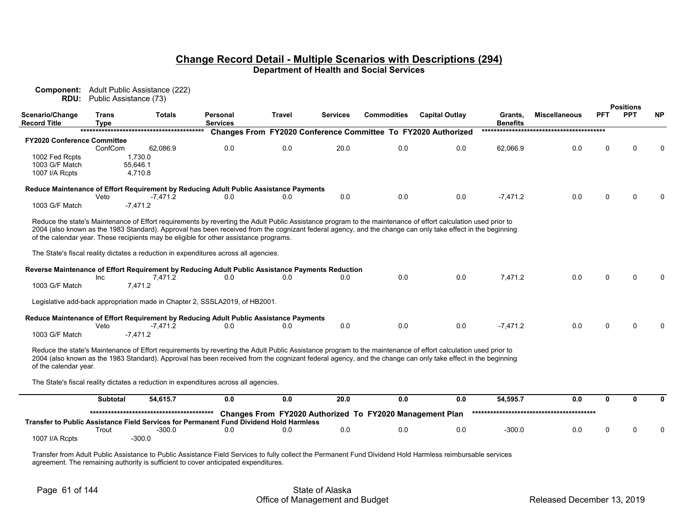| Component:                             | <b>RDU:</b> Public Assistance (73) | Adult Public Assistance (222) |                                                                                                  |        |                 |                                                          |                                                                                                                                                                                                                                                                                                                             |                            |                      |            |                                |           |
|----------------------------------------|------------------------------------|-------------------------------|--------------------------------------------------------------------------------------------------|--------|-----------------|----------------------------------------------------------|-----------------------------------------------------------------------------------------------------------------------------------------------------------------------------------------------------------------------------------------------------------------------------------------------------------------------------|----------------------------|----------------------|------------|--------------------------------|-----------|
| Scenario/Change<br><b>Record Title</b> | <b>Trans</b><br>Tvpe               | <b>Totals</b>                 | Personal<br><b>Services</b>                                                                      | Travel | <b>Services</b> | <b>Commodities</b>                                       | <b>Capital Outlay</b>                                                                                                                                                                                                                                                                                                       | Grants.<br><b>Benefits</b> | <b>Miscellaneous</b> | <b>PFT</b> | <b>Positions</b><br><b>PPT</b> | <b>NP</b> |
|                                        |                                    |                               |                                                                                                  |        |                 |                                                          | Changes From FY2020 Conference Committee To FY2020 Authorized                                                                                                                                                                                                                                                               |                            |                      |            |                                |           |
| <b>FY2020 Conference Committee</b>     |                                    |                               |                                                                                                  |        |                 |                                                          |                                                                                                                                                                                                                                                                                                                             |                            |                      |            |                                |           |
|                                        | ConfCom                            | 62.086.9                      | 0.0                                                                                              | 0.0    | 20.0            | 0.0                                                      | 0.0                                                                                                                                                                                                                                                                                                                         | 62,066.9                   | 0.0                  | $\Omega$   |                                |           |
| 1002 Fed Rcpts                         |                                    | 1.730.0                       |                                                                                                  |        |                 |                                                          |                                                                                                                                                                                                                                                                                                                             |                            |                      |            |                                |           |
| 1003 G/F Match                         |                                    | 55.646.1                      |                                                                                                  |        |                 |                                                          |                                                                                                                                                                                                                                                                                                                             |                            |                      |            |                                |           |
| 1007 I/A Rcpts                         |                                    | 4,710.8                       |                                                                                                  |        |                 |                                                          |                                                                                                                                                                                                                                                                                                                             |                            |                      |            |                                |           |
|                                        |                                    |                               |                                                                                                  |        |                 |                                                          |                                                                                                                                                                                                                                                                                                                             |                            |                      |            |                                |           |
|                                        | Veto                               | $-7,471.2$                    | Reduce Maintenance of Effort Requirement by Reducing Adult Public Assistance Payments<br>0.0     | 0.0    | 0.0             | 0.0                                                      | 0.0                                                                                                                                                                                                                                                                                                                         | $-7,471.2$                 | 0.0                  | U          |                                |           |
| 1003 G/F Match                         |                                    | $-7.471.2$                    |                                                                                                  |        |                 |                                                          |                                                                                                                                                                                                                                                                                                                             |                            |                      |            |                                |           |
|                                        |                                    |                               |                                                                                                  |        |                 |                                                          |                                                                                                                                                                                                                                                                                                                             |                            |                      |            |                                |           |
|                                        |                                    |                               | of the calendar year. These recipients may be eligible for other assistance programs.            |        |                 |                                                          | Reduce the state's Maintenance of Effort requirements by reverting the Adult Public Assistance program to the maintenance of effort calculation used prior to<br>2004 (also known as the 1983 Standard). Approval has been received from the cognizant federal agency, and the change can only take effect in the beginning |                            |                      |            |                                |           |
|                                        |                                    |                               | The State's fiscal reality dictates a reduction in expenditures across all agencies.             |        |                 |                                                          |                                                                                                                                                                                                                                                                                                                             |                            |                      |            |                                |           |
|                                        |                                    |                               | Reverse Maintenance of Effort Requirement by Reducing Adult Public Assistance Payments Reduction |        |                 |                                                          |                                                                                                                                                                                                                                                                                                                             |                            |                      |            |                                |           |
|                                        | Inc                                | 7,471.2                       | 0.0                                                                                              | 0.0    | 0.0             | 0.0                                                      | 0.0                                                                                                                                                                                                                                                                                                                         | 7.471.2                    | 0.0                  |            |                                |           |
| 1003 G/F Match                         |                                    | 7.471.2                       |                                                                                                  |        |                 |                                                          |                                                                                                                                                                                                                                                                                                                             |                            |                      |            |                                |           |
|                                        |                                    |                               | Legislative add-back appropriation made in Chapter 2, SSSLA2019, of HB2001.                      |        |                 |                                                          |                                                                                                                                                                                                                                                                                                                             |                            |                      |            |                                |           |
|                                        |                                    |                               | Reduce Maintenance of Effort Requirement by Reducing Adult Public Assistance Payments            |        |                 |                                                          |                                                                                                                                                                                                                                                                                                                             |                            |                      |            |                                |           |
|                                        | Veto                               | $-7,471.2$                    | 0.0                                                                                              | 0.0    | 0.0             | 0.0                                                      | 0.0                                                                                                                                                                                                                                                                                                                         | $-7,471.2$                 | 0.0                  | U          |                                |           |
| 1003 G/F Match                         |                                    | $-7.471.2$                    |                                                                                                  |        |                 |                                                          |                                                                                                                                                                                                                                                                                                                             |                            |                      |            |                                |           |
| of the calendar year.                  |                                    |                               |                                                                                                  |        |                 |                                                          | Reduce the state's Maintenance of Effort requirements by reverting the Adult Public Assistance program to the maintenance of effort calculation used prior to<br>2004 (also known as the 1983 Standard). Approval has been received from the cognizant federal agency, and the change can only take effect in the beginning |                            |                      |            |                                |           |
|                                        |                                    |                               | The State's fiscal reality dictates a reduction in expenditures across all agencies.             |        |                 |                                                          |                                                                                                                                                                                                                                                                                                                             |                            |                      |            |                                |           |
|                                        | <b>Subtotal</b>                    | 54,615.7                      | 0.0                                                                                              | 0.0    | 20.0            | 0.0                                                      | 0.0                                                                                                                                                                                                                                                                                                                         | 54,595.7                   | 0.0                  | 0          | n                              |           |
|                                        |                                    |                               |                                                                                                  |        |                 | Changes From FY2020 Authorized To FY2020 Management Plan |                                                                                                                                                                                                                                                                                                                             |                            |                      |            |                                |           |
|                                        |                                    |                               | Transfer to Public Assistance Field Services for Permanent Fund Dividend Hold Harmless           |        |                 |                                                          |                                                                                                                                                                                                                                                                                                                             |                            |                      |            |                                |           |
|                                        | Trout                              | $-300.0$                      | 0 <sub>0</sub>                                                                                   | 0.0    | 0.0             | 0.0                                                      | 0.0                                                                                                                                                                                                                                                                                                                         | $-300.0$                   | 0.0                  |            |                                |           |
| 1007 I/A Rcpts                         |                                    | $-300.0$                      |                                                                                                  |        |                 |                                                          |                                                                                                                                                                                                                                                                                                                             |                            |                      |            |                                |           |
|                                        |                                    |                               |                                                                                                  |        |                 |                                                          |                                                                                                                                                                                                                                                                                                                             |                            |                      |            |                                |           |

Transfer from Adult Public Assistance to Public Assistance Field Services to fully collect the Permanent Fund Dividend Hold Harmless reimbursable services agreement. The remaining authority is sufficient to cover anticipated expenditures.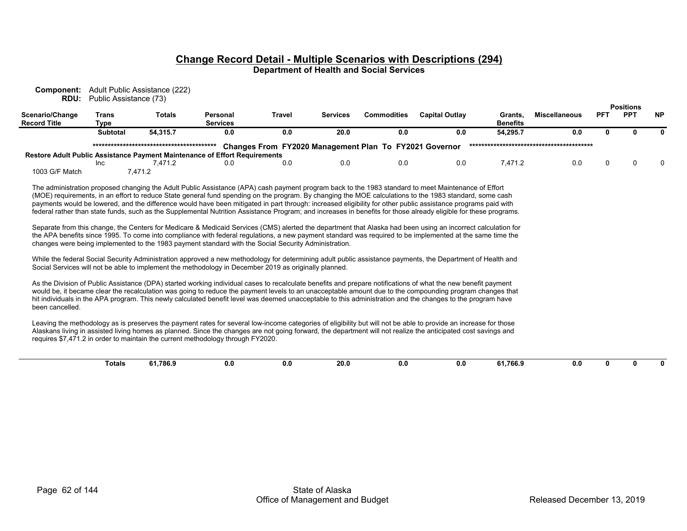**Component:** Adult Public Assistance (222) **RDU:** Public Assistance (73)

|                                                                            |          |          |                 |        |                 |                                                        |                |                 |                      |            | <b>Positions</b> |           |
|----------------------------------------------------------------------------|----------|----------|-----------------|--------|-----------------|--------------------------------------------------------|----------------|-----------------|----------------------|------------|------------------|-----------|
| Scenario/Change                                                            | Trans    | Totals   | Personal        | Travel | <b>Services</b> | <b>Commodities</b>                                     | Capital Outlav | Grants          | <b>Miscellaneous</b> | <b>PF1</b> | <b>PPT</b>       | <b>NP</b> |
| <b>Record Title</b>                                                        | Type     |          | <b>Services</b> |        |                 |                                                        |                | <b>Benefits</b> |                      |            |                  |           |
|                                                                            | Subtotal | 54.315.7 | 0.0             | 0.0    | 20.0            | 0.0                                                    | 0.0            | 54.295.7        | 0.0                  |            |                  | 0         |
|                                                                            |          |          |                 |        |                 | Changes From FY2020 Management Plan To FY2021 Governor |                |                 |                      |            |                  |           |
| Restore Adult Public Assistance Payment Maintenance of Effort Requirements |          |          |                 |        |                 |                                                        |                |                 |                      |            |                  |           |
|                                                                            | Inc      | 471.2    | 0.0             | 0.0    | 0.0             | 0.0                                                    | 0.0            | 7.471.2         | 0.0                  |            |                  |           |
| 1003 G/F Match                                                             |          | .471.2   |                 |        |                 |                                                        |                |                 |                      |            |                  |           |

The administration proposed changing the Adult Public Assistance (APA) cash payment program back to the 1983 standard to meet Maintenance of Effort (MOE) requirements, in an effort to reduce State general fund spending on the program. By changing the MOE calculations to the 1983 standard, some cash payments would be lowered, and the difference would have been mitigated in part through: increased eligibility for other public assistance programs paid with federal rather than state funds, such as the Supplemental Nutrition Assistance Program; and increases in benefits for those already eligible for these programs.

Separate from this change, the Centers for Medicare & Medicaid Services (CMS) alerted the department that Alaska had been using an incorrect calculation for the APA benefits since 1995. To come into compliance with federal regulations, a new payment standard was required to be implemented at the same time the changes were being implemented to the 1983 payment standard with the Social Security Administration.

While the federal Social Security Administration approved a new methodology for determining adult public assistance payments, the Department of Health and Social Services will not be able to implement the methodology in December 2019 as originally planned.

As the Division of Public Assistance (DPA) started working individual cases to recalculate benefits and prepare notifications of what the new benefit payment would be, it became clear the recalculation was going to reduce the payment levels to an unacceptable amount due to the compounding program changes that hit individuals in the APA program. This newly calculated benefit level was deemed unacceptable to this administration and the changes to the program have been cancelled.

Leaving the methodology as is preserves the payment rates for several low-income categories of eligibility but will not be able to provide an increase for those Alaskans living in assisted living homes as planned. Since the changes are not going forward, the department will not realize the anticipated cost savings and requires \$7,471.2 in order to maintain the current methodology through FY2020.

| o1.786.º<br>$ -$<br>- - -<br>20 O<br><b>Totals</b><br>- 0<br>0.0<br>ıΩ<br>0.0<br>1.700.1<br>n<br>$\ddotsc$<br>---- |  |  |
|--------------------------------------------------------------------------------------------------------------------|--|--|
|--------------------------------------------------------------------------------------------------------------------|--|--|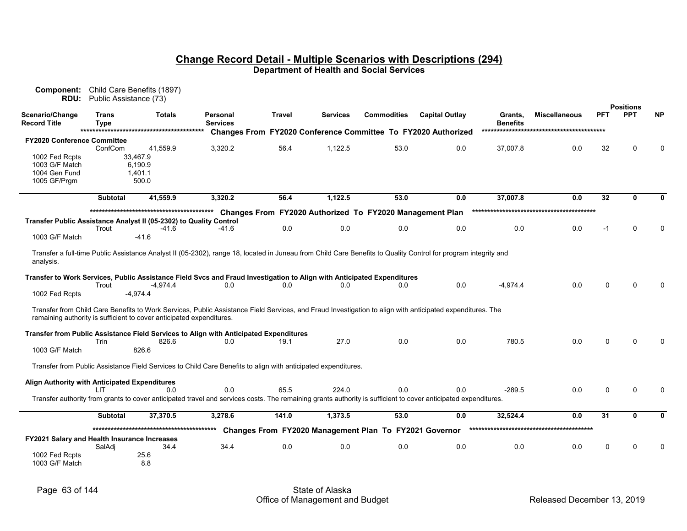**RDU:** Public Assistance (73) **Scenario/Change Record TitleTransType Totals PersonalServices \*\*\*\*\*\*\*\*\*\*\*\*\*\*\*\*\*\*\*\*\*\*\*\*\*\*\*\*\*\*\*\*\*\*\*\*\*\*\*\*\* Changes From FY2020 Conference Committee To FY2020 Authorized \*\*\*\*\*\*\*\*\*\*\*\*\*\*\*\*\*\*\*\*\*\*\*\*\*\*\*\*\*\*\*\*\*\*\*\*\*\*\*\*\* Travel Services Commodities Capital Outlay Grants, Benefits Miscellaneous PFT PPT NP FY2020 Conference Committee** ConfCom 41,559.9 3,320.2 56.4 1,122.5 53.0 0.0 37,007.8 0.0 32 0 0 1002 Fed Rcpts 33,467.9<br>1003 G/F Match 6.190.9  $1003$  G/F Match 1004 Gen Fund 1.401.1 1005 GF/Prgm 500.0 **Subtotal 41,559.9 3,320.2 56.4 1,122.5 53.0 0.0 37,007.8 0.0 32 0 0 \*\*\*\*\*\*\*\*\*\*\*\*\*\*\*\*\*\*\*\*\*\*\*\*\*\*\*\*\*\*\*\*\*\*\*\*\*\*\*\*\* Changes From FY2020 Authorized To FY2020 Management Plan \*\*\*\*\*\*\*\*\*\*\*\*\*\*\*\*\*\*\*\*\*\*\*\*\*\*\*\*\*\*\*\*\*\*\*\*\*\*\*\*\* Transfer Public Assistance Analyst II (05-2302) to Quality Control** Trout -41.6 -41.6 0.0 0.0 0.0 0.0 0.0 0.0 0.0 -1 0 0 1003 G/F Match -41.6 Transfer a full-time Public Assistance Analyst II (05-2302), range 18, located in Juneau from Child Care Benefits to Quality Control for program integrity and analysis. **Transfer to Work Services, Public Assistance Field Svcs and Fraud Investigation to Align with Anticipated Expenditures**<br>1.0 0.0 0.0 0.0 0.0 0.0 0.0 Trout -4,974.4 0.0 0.0 0.0 0.0 0.0 0.0 -4,974.4 0.0 0 0 1002 Fed Rcpts -4,974.4 Transfer from Child Care Benefits to Work Services, Public Assistance Field Services, and Fraud Investigation to align with anticipated expenditures. The remaining authority is sufficient to cover anticipated expenditures.  **Transfer from Public Assistance Field Services to Align with Anticipated Expenditures**<br>Trin 826.6 0.0 19.1 Trin 826.6 0.0 19.1 27.0 0.0 0.0 780.5 0.0 0 0 0 1003 G/F Match 826.6 Transfer from Public Assistance Field Services to Child Care Benefits to align with anticipated expenditures.  **Align Authority with Anticipated Expenditures** LIT 0.0 0.0 65.5 224.0 0.0 0.0 -289.5 0.0 0 0 Transfer authority from grants to cover anticipated travel and services costs. The remaining grants authority is sufficient to cover anticipated expenditures. Subtotal 37,370.5 3,278.6 141.0 1,373.5 53.0 0.0 32,524.4 0.0 31 0 0 **\*\*\*\*\*\*\*\*\*\*\*\*\*\*\*\*\*\*\*\*\*\*\*\*\*\*\*\*\*\*\*\*\*\*\*\*\*\*\*\*\* Changes From FY2020 Management Plan To FY2021 Governor \*\*\*\*\*\*\*\*\*\*\*\*\*\*\*\*\*\*\*\*\*\*\*\*\*\*\*\*\*\*\*\*\*\*\*\*\*\*\*\*\* FY2021 Salary and Health Insurance Increases** SalAdj 34.4 34.4 0.0 0.0 0.0 0.0 0.0 0.0 0 0 0 1002 Fed Rcpts 25.6<br>1003 G/F Match 2.8

1003 G/F Match 8.8

**Component:** Child Care Benefits (1897)

**Positions**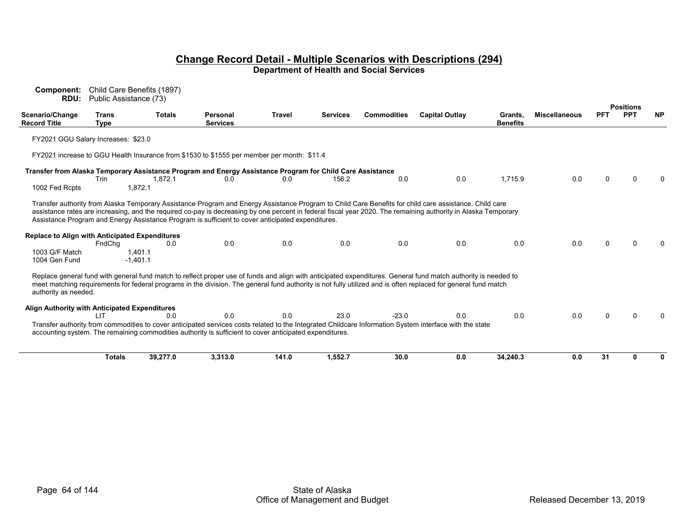**Component:** Child Care Benefits (1897) **RDU:** Public Assistance (73)

|                                                       |               |                       |                                                                                                           |               |                 |                    |                                                                                                                                                                                                                                                                                                                                  |                            |                      |            | <b>Positions</b> |           |
|-------------------------------------------------------|---------------|-----------------------|-----------------------------------------------------------------------------------------------------------|---------------|-----------------|--------------------|----------------------------------------------------------------------------------------------------------------------------------------------------------------------------------------------------------------------------------------------------------------------------------------------------------------------------------|----------------------------|----------------------|------------|------------------|-----------|
| Scenario/Change<br><b>Record Title</b>                | Trans<br>Type | <b>Totals</b>         | <b>Personal</b><br><b>Services</b>                                                                        | <b>Travel</b> | <b>Services</b> | <b>Commodities</b> | <b>Capital Outlay</b>                                                                                                                                                                                                                                                                                                            | Grants,<br><b>Benefits</b> | <b>Miscellaneous</b> | <b>PFT</b> | <b>PPT</b>       | <b>NP</b> |
| FY2021 GGU Salary Increases: \$23.0                   |               |                       |                                                                                                           |               |                 |                    |                                                                                                                                                                                                                                                                                                                                  |                            |                      |            |                  |           |
|                                                       |               |                       | FY2021 increase to GGU Health Insurance from \$1530 to \$1555 per member per month: \$11.4                |               |                 |                    |                                                                                                                                                                                                                                                                                                                                  |                            |                      |            |                  |           |
|                                                       |               |                       | Transfer from Alaska Temporary Assistance Program and Energy Assistance Program for Child Care Assistance |               |                 |                    |                                                                                                                                                                                                                                                                                                                                  |                            |                      |            |                  |           |
|                                                       | Trin          | 1,872.1               | 0.0                                                                                                       | 0.0           | 156.2           | 0.0                | 0.0                                                                                                                                                                                                                                                                                                                              | 1,715.9                    | 0.0                  |            |                  |           |
| 1002 Fed Rcpts                                        |               | 1.872.1               |                                                                                                           |               |                 |                    |                                                                                                                                                                                                                                                                                                                                  |                            |                      |            |                  |           |
|                                                       |               |                       | Assistance Program and Energy Assistance Program is sufficient to cover anticipated expenditures.         |               |                 |                    | Transfer authority from Alaska Temporary Assistance Program and Energy Assistance Program to Child Care Benefits for child care assistance. Child care<br>assistance rates are increasing, and the required co-pay is decreasing by one percent in federal fiscal year 2020. The remaining authority in Alaska Temporary         |                            |                      |            |                  |           |
| <b>Replace to Align with Anticipated Expenditures</b> | FndChq        | 0.0                   | 0.0                                                                                                       | 0.0           | 0.0             | 0.0                | 0.0                                                                                                                                                                                                                                                                                                                              | 0.0                        | 0.0                  |            |                  |           |
| 1003 G/F Match<br>1004 Gen Fund                       |               | 1.401.1<br>$-1.401.1$ |                                                                                                           |               |                 |                    |                                                                                                                                                                                                                                                                                                                                  |                            |                      |            |                  |           |
| authority as needed.                                  |               |                       |                                                                                                           |               |                 |                    | Replace general fund with general fund match to reflect proper use of funds and align with anticipated expenditures. General fund match authority is needed to<br>meet matching requirements for federal programs in the division. The general fund authority is not fully utilized and is often replaced for general fund match |                            |                      |            |                  |           |
| Align Authority with Anticipated Expenditures         |               |                       |                                                                                                           |               |                 |                    |                                                                                                                                                                                                                                                                                                                                  |                            |                      |            |                  |           |
|                                                       | דו ו          | 0.0                   | 0.0                                                                                                       | 0.0           | 23.0            | $-23.0$            | 0.0                                                                                                                                                                                                                                                                                                                              | 0.0                        | 0.0                  |            |                  |           |
|                                                       |               |                       | accounting system. The remaining commodities authority is sufficient to cover anticipated expenditures.   |               |                 |                    | Transfer authority from commodities to cover anticipated services costs related to the Integrated Childcare Information System interface with the state                                                                                                                                                                          |                            |                      |            |                  |           |
|                                                       | <b>Totals</b> | 39,277.0              | 3,313.0                                                                                                   | 141.0         | 1,552.7         | 30.0               | 0.0                                                                                                                                                                                                                                                                                                                              | 34,240.3                   | 0.0                  | 31         |                  | o         |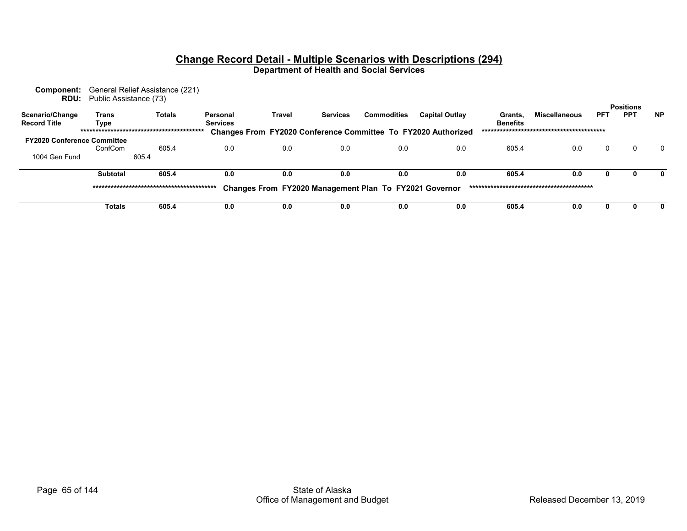| <b>Component:</b><br><b>RDU:</b>   | Public Assistance (73) | General Relief Assistance (221) |                 |                                                        |                 |                    |                                                                      |                 |                      |            |                                |           |
|------------------------------------|------------------------|---------------------------------|-----------------|--------------------------------------------------------|-----------------|--------------------|----------------------------------------------------------------------|-----------------|----------------------|------------|--------------------------------|-----------|
| Scenario/Change                    | Trans                  | <b>Totals</b>                   | Personal        | Travel                                                 | <b>Services</b> | <b>Commodities</b> | <b>Capital Outlay</b>                                                | Grants.         | <b>Miscellaneous</b> | <b>PFT</b> | <b>Positions</b><br><b>PPT</b> | <b>NP</b> |
| <b>Record Title</b>                | Type                   |                                 | <b>Services</b> |                                                        |                 |                    |                                                                      | <b>Benefits</b> |                      |            |                                |           |
|                                    |                        |                                 |                 |                                                        |                 |                    | <b>Changes From FY2020 Conference Committee To FY2020 Authorized</b> |                 |                      |            |                                |           |
| <b>FY2020 Conference Committee</b> | ConfCom                | 605.4                           | 0.0             | 0.0                                                    | 0.0             | 0.0                | 0.0                                                                  | 605.4           | 0.0                  | $\Omega$   | 0                              | $\Omega$  |
| 1004 Gen Fund                      |                        | 605.4                           |                 |                                                        |                 |                    |                                                                      |                 |                      |            |                                |           |
|                                    | <b>Subtotal</b>        | 605.4                           | 0.0             | 0.0                                                    | 0.0             | 0.0                | 0.0                                                                  | 605.4           | 0.0                  | 0          | o                              | 0         |
|                                    |                        |                                 |                 | Changes From FY2020 Management Plan To FY2021 Governor |                 |                    |                                                                      |                 |                      |            |                                |           |
|                                    | <b>Totals</b>          | 605.4                           | 0.0             | 0.0                                                    | 0.0             | 0.0                | 0.0                                                                  | 605.4           | 0.0                  | 0          |                                | 0         |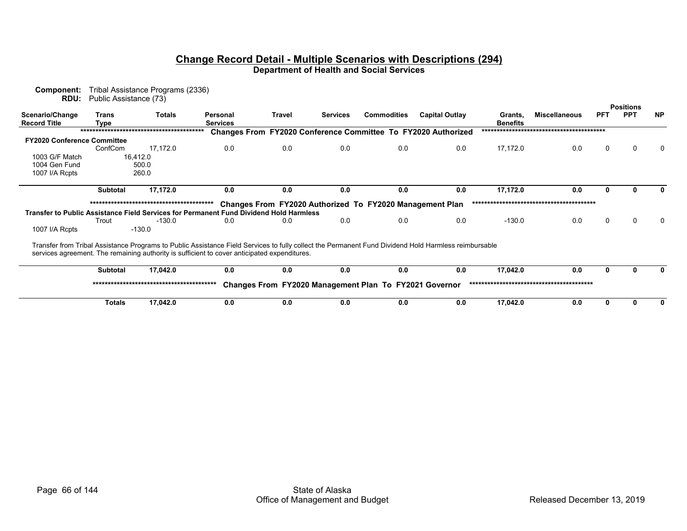| Component:<br>RDU:                     | Public Assistance (73) | Tribal Assistance Programs (2336) |                                                                                                                                                      |        |                 |                                                          |                                                                      |                            |                      |            |                  |           |
|----------------------------------------|------------------------|-----------------------------------|------------------------------------------------------------------------------------------------------------------------------------------------------|--------|-----------------|----------------------------------------------------------|----------------------------------------------------------------------|----------------------------|----------------------|------------|------------------|-----------|
|                                        |                        |                                   |                                                                                                                                                      |        |                 |                                                          |                                                                      |                            |                      |            | <b>Positions</b> |           |
| Scenario/Change<br><b>Record Title</b> | Trans<br>Type          | <b>Totals</b>                     | Personal<br><b>Services</b>                                                                                                                          | Travel | <b>Services</b> | <b>Commodities</b>                                       | <b>Capital Outlay</b>                                                | Grants,<br><b>Benefits</b> | <b>Miscellaneous</b> | <b>PFT</b> | <b>PPT</b>       | <b>NP</b> |
|                                        |                        |                                   |                                                                                                                                                      |        |                 |                                                          | <b>Changes From FY2020 Conference Committee To FY2020 Authorized</b> |                            |                      |            |                  |           |
| <b>FY2020 Conference Committee</b>     |                        |                                   |                                                                                                                                                      |        |                 |                                                          |                                                                      |                            |                      |            |                  |           |
|                                        | ConfCom                | 17,172.0                          | 0.0                                                                                                                                                  | 0.0    | 0.0             | 0.0                                                      | 0.0                                                                  | 17,172.0                   | 0.0                  | 0          | n                |           |
| 1003 G/F Match                         |                        | 16,412.0                          |                                                                                                                                                      |        |                 |                                                          |                                                                      |                            |                      |            |                  |           |
| 1004 Gen Fund                          |                        | 500.0                             |                                                                                                                                                      |        |                 |                                                          |                                                                      |                            |                      |            |                  |           |
| 1007 I/A Rcpts                         |                        | 260.0                             |                                                                                                                                                      |        |                 |                                                          |                                                                      |                            |                      |            |                  |           |
|                                        | <b>Subtotal</b>        | 17,172.0                          | 0.0                                                                                                                                                  | 0.0    | 0.0             | 0.0                                                      | 0.0                                                                  | 17,172.0                   | 0.0                  |            |                  |           |
|                                        |                        |                                   |                                                                                                                                                      |        |                 | Changes From FY2020 Authorized To FY2020 Management Plan |                                                                      |                            |                      |            |                  |           |
|                                        |                        |                                   | Transfer to Public Assistance Field Services for Permanent Fund Dividend Hold Harmless                                                               |        |                 |                                                          |                                                                      |                            |                      |            |                  |           |
|                                        | Trout                  | $-130.0$                          | 0.0                                                                                                                                                  | 0.0    | 0.0             | 0.0                                                      | 0.0                                                                  | $-130.0$                   | 0.0                  | $\Omega$   | $\Omega$         | 0         |
| 1007 I/A Rcpts                         |                        | $-130.0$                          |                                                                                                                                                      |        |                 |                                                          |                                                                      |                            |                      |            |                  |           |
|                                        |                        |                                   | Transfer from Tribal Assistance Programs to Public Assistance Field Services to fully collect the Permanent Fund Dividend Hold Harmless reimbursable |        |                 |                                                          |                                                                      |                            |                      |            |                  |           |
|                                        |                        |                                   | services agreement. The remaining authority is sufficient to cover anticipated expenditures.                                                         |        |                 |                                                          |                                                                      |                            |                      |            |                  |           |
|                                        | <b>Subtotal</b>        | 17,042.0                          | 0.0                                                                                                                                                  | 0.0    | 0.0             | 0.0                                                      | 0.0                                                                  | 17,042.0                   | 0.0                  | 0          |                  | 0         |
|                                        |                        |                                   |                                                                                                                                                      |        |                 | Changes From FY2020 Management Plan To FY2021 Governor   |                                                                      |                            |                      |            |                  |           |
|                                        |                        |                                   |                                                                                                                                                      |        |                 |                                                          |                                                                      |                            |                      |            |                  |           |

 **Totals 17,042.0 0.0 0.0 0.0 0.0 0.0 17,042.0 0.0000**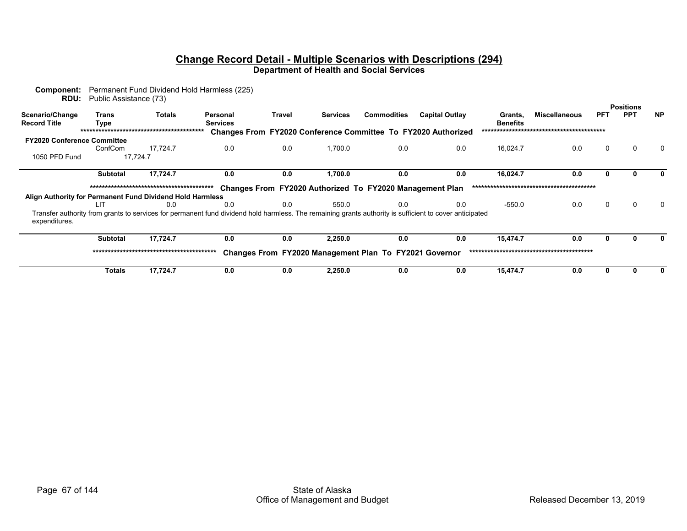| Component:<br>RDU:                                        | Public Assistance (73) |               | Permanent Fund Dividend Hold Harmless (225)                                                                                                             |               |                 |                                                          |                                                               |                            |                      |            |                  |              |
|-----------------------------------------------------------|------------------------|---------------|---------------------------------------------------------------------------------------------------------------------------------------------------------|---------------|-----------------|----------------------------------------------------------|---------------------------------------------------------------|----------------------------|----------------------|------------|------------------|--------------|
|                                                           |                        |               |                                                                                                                                                         |               |                 |                                                          |                                                               |                            |                      |            | <b>Positions</b> |              |
| Scenario/Change<br><b>Record Title</b>                    | Trans<br><b>Type</b>   | <b>Totals</b> | Personal<br><b>Services</b>                                                                                                                             | <b>Travel</b> | <b>Services</b> | <b>Commodities</b>                                       | <b>Capital Outlay</b>                                         | Grants,<br><b>Benefits</b> | <b>Miscellaneous</b> | <b>PFT</b> | <b>PPT</b>       | <b>NP</b>    |
|                                                           |                        |               |                                                                                                                                                         |               |                 |                                                          | Changes From FY2020 Conference Committee To FY2020 Authorized |                            |                      |            |                  |              |
| <b>FY2020 Conference Committee</b>                        |                        |               |                                                                                                                                                         |               |                 |                                                          |                                                               |                            |                      |            |                  |              |
|                                                           | ConfCom                | 17.724.7      | 0.0                                                                                                                                                     | 0.0           | 1,700.0         | 0.0                                                      | 0.0                                                           | 16,024.7                   | 0.0                  | 0          |                  | 0            |
| 1050 PFD Fund                                             |                        | 17,724.7      |                                                                                                                                                         |               |                 |                                                          |                                                               |                            |                      |            |                  |              |
|                                                           | <b>Subtotal</b>        | 17,724.7      | 0.0                                                                                                                                                     | 0.0           | 1,700.0         | 0.0                                                      | 0.0                                                           | 16,024.7                   | 0.0                  | 0          |                  | 0            |
|                                                           |                        |               |                                                                                                                                                         |               |                 | Changes From FY2020 Authorized To FY2020 Management Plan |                                                               |                            |                      |            |                  |              |
| Align Authority for Permanent Fund Dividend Hold Harmless |                        |               |                                                                                                                                                         |               |                 |                                                          |                                                               |                            |                      |            |                  |              |
|                                                           | LIT                    | 0.0           | 0.0                                                                                                                                                     | 0.0           | 550.0           | 0.0                                                      | 0.0                                                           | $-550.0$                   | 0.0                  | 0          |                  | $\mathbf{0}$ |
| expenditures.                                             |                        |               | Transfer authority from grants to services for permanent fund dividend hold harmless. The remaining grants authority is sufficient to cover anticipated |               |                 |                                                          |                                                               |                            |                      |            |                  |              |
|                                                           | <b>Subtotal</b>        | 17,724.7      | 0.0                                                                                                                                                     | 0.0           | 2,250.0         | 0.0                                                      | 0.0                                                           | 15,474.7                   | 0.0                  | O          |                  |              |
|                                                           |                        |               |                                                                                                                                                         |               |                 | Changes From FY2020 Management Plan To FY2021 Governor   |                                                               |                            |                      |            |                  |              |
|                                                           | <b>Totals</b>          | 17,724.7      | 0.0                                                                                                                                                     | 0.0           | 2,250.0         | 0.0                                                      | 0.0                                                           | 15,474.7                   | 0.0                  |            |                  |              |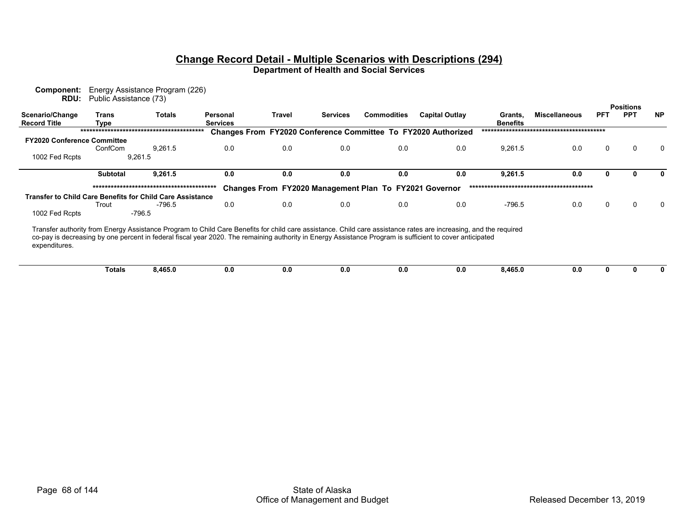| Component:<br><b>RDU:</b>                                        | Public Assistance (73) | Energy Assistance Program (226) |                                                                                                                                                                                                                                                                                                                              |               |                 |                                                        |                                                                      |                            |                      |            | <b>Positions</b> |              |
|------------------------------------------------------------------|------------------------|---------------------------------|------------------------------------------------------------------------------------------------------------------------------------------------------------------------------------------------------------------------------------------------------------------------------------------------------------------------------|---------------|-----------------|--------------------------------------------------------|----------------------------------------------------------------------|----------------------------|----------------------|------------|------------------|--------------|
| Scenario/Change<br><b>Record Title</b>                           | Trans<br>Type          | <b>Totals</b>                   | Personal<br><b>Services</b>                                                                                                                                                                                                                                                                                                  | <b>Travel</b> | <b>Services</b> | <b>Commodities</b>                                     | <b>Capital Outlay</b>                                                | Grants,<br><b>Benefits</b> | <b>Miscellaneous</b> | <b>PFT</b> | <b>PPT</b>       | <b>NP</b>    |
|                                                                  |                        |                                 |                                                                                                                                                                                                                                                                                                                              |               |                 |                                                        | <b>Changes From FY2020 Conference Committee To FY2020 Authorized</b> |                            |                      |            |                  |              |
| <b>FY2020 Conference Committee</b>                               |                        |                                 |                                                                                                                                                                                                                                                                                                                              |               |                 |                                                        |                                                                      |                            |                      |            |                  |              |
|                                                                  | ConfCom                | 9,261.5                         | 0.0                                                                                                                                                                                                                                                                                                                          | 0.0           | 0.0             | 0.0                                                    | 0.0                                                                  | 9,261.5                    | 0.0                  | $\Omega$   |                  | <sup>0</sup> |
| 1002 Fed Rcpts                                                   |                        | 9,261.5                         |                                                                                                                                                                                                                                                                                                                              |               |                 |                                                        |                                                                      |                            |                      |            |                  |              |
|                                                                  | <b>Subtotal</b>        | 9,261.5                         | 0.0                                                                                                                                                                                                                                                                                                                          | 0.0           | 0.0             | 0.0                                                    | 0.0                                                                  | 9,261.5                    | 0.0                  | 0          |                  |              |
|                                                                  |                        |                                 |                                                                                                                                                                                                                                                                                                                              |               |                 | Changes From FY2020 Management Plan To FY2021 Governor |                                                                      |                            |                      |            |                  |              |
| <b>Transfer to Child Care Benefits for Child Care Assistance</b> | Trout                  | -796.5                          | 0.0                                                                                                                                                                                                                                                                                                                          | 0.0           | 0.0             | 0.0                                                    | 0.0                                                                  | -796.5                     | 0.0                  | 0          | 0                | $\Omega$     |
| 1002 Fed Rcpts                                                   |                        | $-796.5$                        |                                                                                                                                                                                                                                                                                                                              |               |                 |                                                        |                                                                      |                            |                      |            |                  |              |
| expenditures.                                                    |                        |                                 | Transfer authority from Energy Assistance Program to Child Care Benefits for child care assistance. Child care assistance rates are increasing, and the required<br>co-pay is decreasing by one percent in federal fiscal year 2020. The remaining authority in Energy Assistance Program is sufficient to cover anticipated |               |                 |                                                        |                                                                      |                            |                      |            |                  |              |
|                                                                  | Totals                 | 8,465.0                         | 0.0                                                                                                                                                                                                                                                                                                                          | 0.0           | 0.0             | 0.0                                                    | 0.0                                                                  | 8,465.0                    | 0.0                  | 0          |                  |              |
|                                                                  |                        |                                 |                                                                                                                                                                                                                                                                                                                              |               |                 |                                                        |                                                                      |                            |                      |            |                  |              |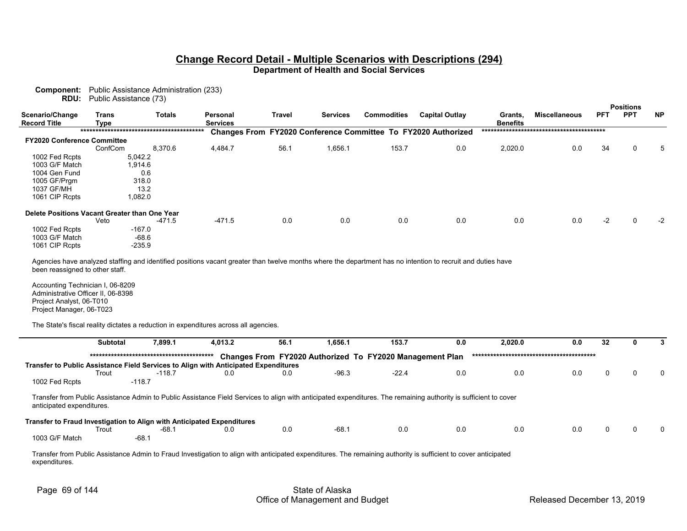**Component:** Public Assistance Administration (233) **RDU:** Public Assistance (73)

|                                               |               |               |                             |        |                 |                    |                                                               |                            |                      |            | <b>Positions</b> |           |
|-----------------------------------------------|---------------|---------------|-----------------------------|--------|-----------------|--------------------|---------------------------------------------------------------|----------------------------|----------------------|------------|------------------|-----------|
| Scenario/Change<br><b>Record Title</b>        | Trans<br>Type | <b>Totals</b> | Personal<br><b>Services</b> | Travel | <b>Services</b> | <b>Commodities</b> | <b>Capital Outlay</b>                                         | Grants,<br><b>Benefits</b> | <b>Miscellaneous</b> | <b>PFT</b> | <b>PPT</b>       | <b>NP</b> |
|                                               |               |               |                             |        |                 |                    | Changes From FY2020 Conference Committee To FY2020 Authorized |                            |                      |            |                  |           |
| <b>FY2020 Conference Committee</b>            |               |               |                             |        |                 |                    |                                                               |                            |                      |            |                  |           |
|                                               | ConfCom       | 8.370.6       | 4,484.7                     | 56.1   | 1,656.1         | 153.7              | 0.0                                                           | 2,020.0                    | 0.0                  | 34         | 0                | 5         |
| 1002 Fed Rcpts                                |               | 5,042.2       |                             |        |                 |                    |                                                               |                            |                      |            |                  |           |
| 1003 G/F Match                                |               | 1,914.6       |                             |        |                 |                    |                                                               |                            |                      |            |                  |           |
| 1004 Gen Fund                                 |               | 0.6           |                             |        |                 |                    |                                                               |                            |                      |            |                  |           |
| 1005 GF/Prgm                                  |               | 318.0         |                             |        |                 |                    |                                                               |                            |                      |            |                  |           |
| 1037 GF/MH                                    |               | 13.2          |                             |        |                 |                    |                                                               |                            |                      |            |                  |           |
| 1061 CIP Rcpts                                |               | 1,082.0       |                             |        |                 |                    |                                                               |                            |                      |            |                  |           |
| Delete Positions Vacant Greater than One Year |               |               |                             |        |                 |                    |                                                               |                            |                      |            |                  |           |
|                                               | Veto          | -471.5        | $-471.5$                    | 0.0    | 0.0             | 0.0                | 0.0                                                           | 0.0                        | 0.0                  | $-2$       | $\Omega$         | $-2$      |
| 1002 Fed Rcpts                                |               | $-167.0$      |                             |        |                 |                    |                                                               |                            |                      |            |                  |           |
| 1003 G/F Match                                |               | $-68.6$       |                             |        |                 |                    |                                                               |                            |                      |            |                  |           |
| 1061 CIP Rcpts                                |               | $-235.9$      |                             |        |                 |                    |                                                               |                            |                      |            |                  |           |
|                                               |               |               |                             |        |                 |                    |                                                               |                            |                      |            |                  |           |

Agencies have analyzed staffing and identified positions vacant greater than twelve months where the department has no intention to recruit and duties have been reassigned to other staff.

Accounting Technician I, 06-8209 Administrative Officer II, 06-8398 Project Analyst, 06-T010 Project Manager, 06-T023

÷

The State's fiscal reality dictates a reduction in expenditures across all agencies.

|                           | <b>Subtotal</b> | 7.899.1                                                                                                                                                         | 4.013.2 | 56.1 | 1,656.1                                                  | 153.7   | 0.0 | 2.020.0 | 0.0 | 32 |              |
|---------------------------|-----------------|-----------------------------------------------------------------------------------------------------------------------------------------------------------------|---------|------|----------------------------------------------------------|---------|-----|---------|-----|----|--------------|
|                           |                 |                                                                                                                                                                 |         |      | Changes From FY2020 Authorized To FY2020 Management Plan |         |     |         |     |    |              |
|                           |                 | Transfer to Public Assistance Field Services to Align with Anticipated Expenditures                                                                             |         |      |                                                          |         |     |         |     |    |              |
|                           | Trout           | -118.7                                                                                                                                                          | 0.0     | 0.0  | $-96.3$                                                  | $-22.4$ | 0.0 | 0.0     | 0.0 | 0  | $\Omega$     |
| 1002 Fed Rcpts            |                 | $-118.7$                                                                                                                                                        |         |      |                                                          |         |     |         |     |    |              |
| anticipated expenditures. |                 | Transfer to Fraud Investigation to Align with Anticipated Expenditures                                                                                          |         |      |                                                          |         |     |         |     |    |              |
|                           | Trout           | $-68.1$                                                                                                                                                         | 0.0     | 0.0  | $-68.1$                                                  | 0.0     | 0.0 | 0.0     | 0.0 | 0  | $\mathbf{0}$ |
| 1003 G/F Match            |                 | $-68.1$                                                                                                                                                         |         |      |                                                          |         |     |         |     |    |              |
| expenditures.             |                 | Transfer from Public Assistance Admin to Fraud Investigation to align with anticipated expenditures. The remaining authority is sufficient to cover anticipated |         |      |                                                          |         |     |         |     |    |              |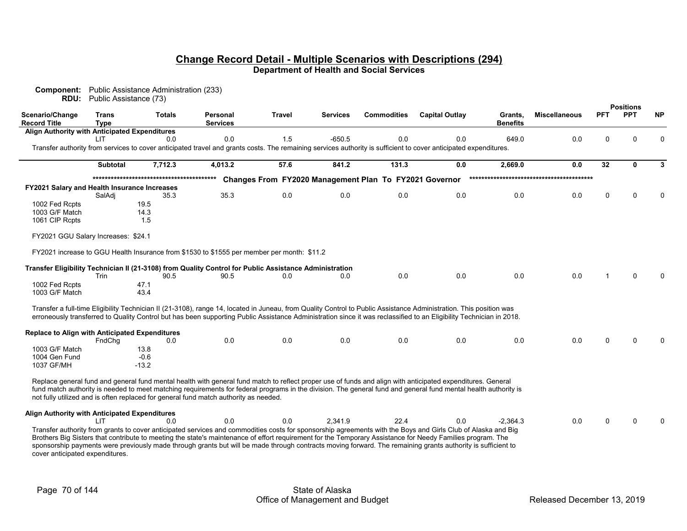| Component:<br>RDU:                             | Public Assistance (73)      | Public Assistance Administration (233)                                                                 |                                    |               |                 |                                                        |                                                                                                                                                                                                                                                                                                                                           |                            |                      |            |                                |             |
|------------------------------------------------|-----------------------------|--------------------------------------------------------------------------------------------------------|------------------------------------|---------------|-----------------|--------------------------------------------------------|-------------------------------------------------------------------------------------------------------------------------------------------------------------------------------------------------------------------------------------------------------------------------------------------------------------------------------------------|----------------------------|----------------------|------------|--------------------------------|-------------|
| <b>Scenario/Change</b><br><b>Record Title</b>  | <b>Trans</b><br><b>Type</b> | <b>Totals</b>                                                                                          | <b>Personal</b><br><b>Services</b> | <b>Travel</b> | <b>Services</b> | <b>Commodities</b>                                     | <b>Capital Outlay</b>                                                                                                                                                                                                                                                                                                                     | Grants.<br><b>Benefits</b> | <b>Miscellaneous</b> | <b>PFT</b> | <b>Positions</b><br><b>PPT</b> | <b>NP</b>   |
| Align Authority with Anticipated Expenditures  |                             |                                                                                                        |                                    |               |                 |                                                        |                                                                                                                                                                                                                                                                                                                                           |                            |                      |            |                                |             |
|                                                | LIT                         | 0.0                                                                                                    | 0.0                                | 1.5           | $-650.5$        | 0.0                                                    | 0.0<br>Transfer authority from services to cover anticipated travel and grants costs. The remaining services authority is sufficient to cover anticipated expenditures.                                                                                                                                                                   | 649.0                      | 0.0                  | $\Omega$   | $\Omega$                       | $\mathbf 0$ |
|                                                | <b>Subtotal</b>             | 7,712.3                                                                                                | 4,013.2                            | 57.6          | 841.2           | 131.3                                                  | 0.0                                                                                                                                                                                                                                                                                                                                       | 2,669.0                    | 0.0                  | 32         | 0                              | 3           |
|                                                |                             |                                                                                                        |                                    |               |                 | Changes From FY2020 Management Plan To FY2021 Governor |                                                                                                                                                                                                                                                                                                                                           |                            |                      |            |                                |             |
| FY2021 Salary and Health Insurance Increases   |                             |                                                                                                        |                                    |               |                 |                                                        |                                                                                                                                                                                                                                                                                                                                           |                            |                      |            |                                |             |
|                                                | SalAdj                      | 35.3                                                                                                   | 35.3                               | 0.0           | 0.0             | 0.0                                                    | 0.0                                                                                                                                                                                                                                                                                                                                       | 0.0                        | 0.0                  | 0          | $\Omega$                       | $\Omega$    |
| 1002 Fed Rcpts<br>1003 G/F Match               |                             | 19.5<br>14.3                                                                                           |                                    |               |                 |                                                        |                                                                                                                                                                                                                                                                                                                                           |                            |                      |            |                                |             |
| 1061 CIP Rcpts                                 |                             | 1.5                                                                                                    |                                    |               |                 |                                                        |                                                                                                                                                                                                                                                                                                                                           |                            |                      |            |                                |             |
| FY2021 GGU Salary Increases: \$24.1            |                             |                                                                                                        |                                    |               |                 |                                                        |                                                                                                                                                                                                                                                                                                                                           |                            |                      |            |                                |             |
|                                                |                             | FY2021 increase to GGU Health Insurance from \$1530 to \$1555 per member per month: \$11.2             |                                    |               |                 |                                                        |                                                                                                                                                                                                                                                                                                                                           |                            |                      |            |                                |             |
|                                                |                             | Transfer Eligibility Technician II (21-3108) from Quality Control for Public Assistance Administration |                                    |               |                 |                                                        |                                                                                                                                                                                                                                                                                                                                           |                            |                      |            |                                |             |
|                                                | Trin                        | 90.5                                                                                                   | 90.5                               | 0.0           | 0.0             | 0.0                                                    | 0.0                                                                                                                                                                                                                                                                                                                                       | 0.0                        | 0.0                  |            | O                              |             |
| 1002 Fed Rcpts<br>1003 G/F Match               |                             | 47.1<br>43.4                                                                                           |                                    |               |                 |                                                        |                                                                                                                                                                                                                                                                                                                                           |                            |                      |            |                                |             |
|                                                |                             |                                                                                                        |                                    |               |                 |                                                        | Transfer a full-time Eligibility Technician II (21-3108), range 14, located in Juneau, from Quality Control to Public Assistance Administration. This position was<br>erroneously transferred to Quality Control but has been supporting Public Assistance Administration since it was reclassified to an Eligibility Technician in 2018. |                            |                      |            |                                |             |
|                                                |                             |                                                                                                        |                                    |               |                 |                                                        |                                                                                                                                                                                                                                                                                                                                           |                            |                      |            |                                |             |
| Replace to Align with Anticipated Expenditures | FndChg                      | 0.0                                                                                                    | 0.0                                | 0.0           | 0.0             | 0.0                                                    | 0.0                                                                                                                                                                                                                                                                                                                                       | 0.0                        | 0.0                  | U          | U                              | n           |
| 1003 G/F Match                                 |                             | 13.8                                                                                                   |                                    |               |                 |                                                        |                                                                                                                                                                                                                                                                                                                                           |                            |                      |            |                                |             |
| 1004 Gen Fund                                  |                             | $-0.6$                                                                                                 |                                    |               |                 |                                                        |                                                                                                                                                                                                                                                                                                                                           |                            |                      |            |                                |             |
| 1037 GF/MH                                     |                             | $-13.2$                                                                                                |                                    |               |                 |                                                        |                                                                                                                                                                                                                                                                                                                                           |                            |                      |            |                                |             |
|                                                |                             |                                                                                                        |                                    |               |                 |                                                        | Replace general fund and general fund mental health with general fund match to reflect proper use of funds and align with anticipated expenditures. General                                                                                                                                                                               |                            |                      |            |                                |             |
|                                                |                             | not fully utilized and is often replaced for general fund match authority as needed.                   |                                    |               |                 |                                                        | fund match authority is needed to meet matching requirements for federal programs in the division. The general fund and general fund mental health authority is                                                                                                                                                                           |                            |                      |            |                                |             |
|                                                |                             |                                                                                                        |                                    |               |                 |                                                        |                                                                                                                                                                                                                                                                                                                                           |                            |                      |            |                                |             |
| Align Authority with Anticipated Expenditures  | LIT                         | 0.0                                                                                                    | 0.0                                | 0.0           | 2.341.9         | 22.4                                                   | 0.0                                                                                                                                                                                                                                                                                                                                       | $-2.364.3$                 | 0.0                  | $\Omega$   | O                              | $\Omega$    |
|                                                |                             |                                                                                                        |                                    |               |                 |                                                        | Transfer authority from grants to cover anticipated services and commodities costs for sponsorship agreements with the Boys and Girls Club of Alaska and Big                                                                                                                                                                              |                            |                      |            |                                |             |
|                                                |                             |                                                                                                        |                                    |               |                 |                                                        | Brothers Big Sisters that contribute to meeting the state's maintenance of effort requirement for the Temporary Assistance for Needy Families program. The                                                                                                                                                                                |                            |                      |            |                                |             |
| cover anticipated expenditures.                |                             |                                                                                                        |                                    |               |                 |                                                        | sponsorship payments were previously made through grants but will be made through contracts moving forward. The remaining grants authority is sufficient to                                                                                                                                                                               |                            |                      |            |                                |             |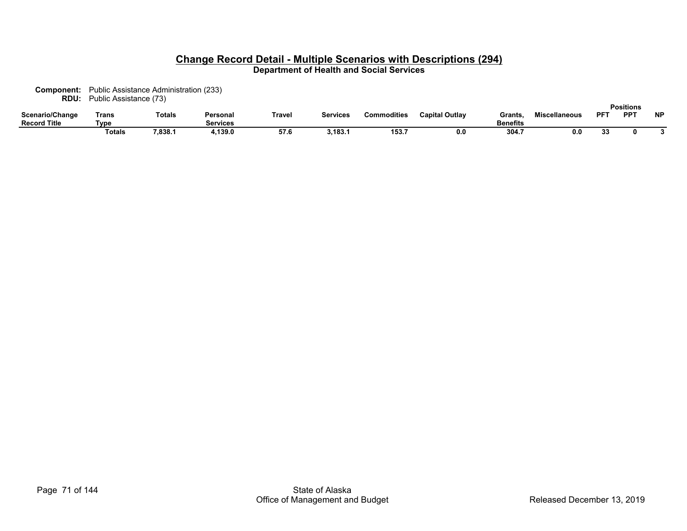**Component:** Public Assistance Administration (233) **RDU:** Public Assistance (73)

|                                        |               |         |                      |        |                 |                    |                       |                           |                      |             | <b>Positions</b> |           |
|----------------------------------------|---------------|---------|----------------------|--------|-----------------|--------------------|-----------------------|---------------------------|----------------------|-------------|------------------|-----------|
| Scenario/Change<br><b>Record Title</b> | Γrans<br>Type | Totals  | Personal<br>Services | Trave. | <b>Services</b> | <b>Commodities</b> | <b>Capital Outlay</b> | Grants<br><b>Benefits</b> | <b>Miscellaneous</b> | $PF^{\tau}$ | <b>PPT</b>       | <b>NP</b> |
|                                        | Totals        | 7,838.1 | 139.0.               | 57.t   | 3,183.1         | 153.7              | 0.0                   | 304.7                     | 0.0                  | 99<br>υv    |                  |           |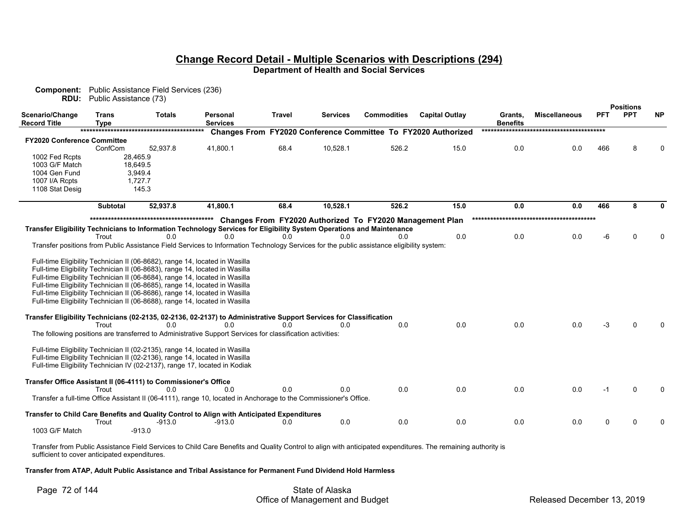| <b>RDU:</b>                                                     | Public Assistance (73) | <b>Component:</b> Public Assistance Field Services (236)                                                                                                                                                                                                                                                                                                                                                                                                                                             |                                                                                                                                                                                                                                                                                                                                                                                                        |                       |                 |                                                                        |                                                                      |                            |                      |            |                                |           |
|-----------------------------------------------------------------|------------------------|------------------------------------------------------------------------------------------------------------------------------------------------------------------------------------------------------------------------------------------------------------------------------------------------------------------------------------------------------------------------------------------------------------------------------------------------------------------------------------------------------|--------------------------------------------------------------------------------------------------------------------------------------------------------------------------------------------------------------------------------------------------------------------------------------------------------------------------------------------------------------------------------------------------------|-----------------------|-----------------|------------------------------------------------------------------------|----------------------------------------------------------------------|----------------------------|----------------------|------------|--------------------------------|-----------|
| Scenario/Change<br>Record Title                                 | <b>Trans</b><br>Type   | <b>Totals</b>                                                                                                                                                                                                                                                                                                                                                                                                                                                                                        | Personal<br><b>Services</b>                                                                                                                                                                                                                                                                                                                                                                            | Travel                | <b>Services</b> | <b>Commodities</b>                                                     | <b>Capital Outlay</b>                                                | Grants,<br><b>Benefits</b> | <b>Miscellaneous</b> | <b>PFT</b> | <b>Positions</b><br><b>PPT</b> | <b>NP</b> |
|                                                                 |                        |                                                                                                                                                                                                                                                                                                                                                                                                                                                                                                      |                                                                                                                                                                                                                                                                                                                                                                                                        |                       |                 |                                                                        | <b>Changes From FY2020 Conference Committee To FY2020 Authorized</b> |                            |                      |            |                                |           |
| <b>FY2020 Conference Committee</b>                              |                        |                                                                                                                                                                                                                                                                                                                                                                                                                                                                                                      |                                                                                                                                                                                                                                                                                                                                                                                                        |                       |                 |                                                                        |                                                                      |                            |                      |            |                                |           |
|                                                                 | ConfCom                | 52,937.8                                                                                                                                                                                                                                                                                                                                                                                                                                                                                             | 41,800.1                                                                                                                                                                                                                                                                                                                                                                                               | 68.4                  | 10,528.1        | 526.2                                                                  | 15.0                                                                 | 0.0                        | 0.0                  | 466        |                                |           |
| 1002 Fed Rcpts                                                  |                        | 28,465.9                                                                                                                                                                                                                                                                                                                                                                                                                                                                                             |                                                                                                                                                                                                                                                                                                                                                                                                        |                       |                 |                                                                        |                                                                      |                            |                      |            |                                |           |
| 1003 G/F Match                                                  |                        | 18,649.5                                                                                                                                                                                                                                                                                                                                                                                                                                                                                             |                                                                                                                                                                                                                                                                                                                                                                                                        |                       |                 |                                                                        |                                                                      |                            |                      |            |                                |           |
| 1004 Gen Fund                                                   |                        | 3,949.4                                                                                                                                                                                                                                                                                                                                                                                                                                                                                              |                                                                                                                                                                                                                                                                                                                                                                                                        |                       |                 |                                                                        |                                                                      |                            |                      |            |                                |           |
| 1007 I/A Rcpts                                                  |                        | 1.727.7                                                                                                                                                                                                                                                                                                                                                                                                                                                                                              |                                                                                                                                                                                                                                                                                                                                                                                                        |                       |                 |                                                                        |                                                                      |                            |                      |            |                                |           |
| 1108 Stat Desig                                                 |                        | 145.3                                                                                                                                                                                                                                                                                                                                                                                                                                                                                                |                                                                                                                                                                                                                                                                                                                                                                                                        |                       |                 |                                                                        |                                                                      |                            |                      |            |                                |           |
|                                                                 | <b>Subtotal</b>        | 52,937.8                                                                                                                                                                                                                                                                                                                                                                                                                                                                                             | 41,800.1                                                                                                                                                                                                                                                                                                                                                                                               | 68.4                  | 10,528.1        | 526.2                                                                  | 15.0                                                                 | 0.0                        | 0.0                  | 466        | 8                              |           |
|                                                                 | Trout<br>Trout         | 0.0<br>Full-time Eligibility Technician II (06-8682), range 14, located in Wasilla<br>Full-time Eligibility Technician II (06-8683), range 14, located in Wasilla<br>Full-time Eligibility Technician II (06-8684), range 14, located in Wasilla<br>Full-time Eligibility Technician II (06-8685), range 14, located in Wasilla<br>Full-time Eligibility Technician II (06-8686), range 14, located in Wasilla<br>Full-time Eligibility Technician II (06-8688), range 14, located in Wasilla<br>0.0 | Transfer Eligibility Technicians to Information Technology Services for Eligibility System Operations and Maintenance<br>0.0<br>Transfer positions from Public Assistance Field Services to Information Technology Services for the public assistance eligibility system:<br>Transfer Eligibility Technicians (02-2135, 02-2136, 02-2137) to Administrative Support Services for Classification<br>0.0 | 0.0<br>0 <sub>0</sub> | 0.0<br>0.0      | Changes From FY2020 Authorized To FY2020 Management Plan<br>0.0<br>0.0 | 0.0<br>0.0                                                           | 0.0<br>0.0                 | 0.0<br>0.0           | -6<br>-3   |                                |           |
|                                                                 |                        | Full-time Eligibility Technician II (02-2135), range 14, located in Wasilla<br>Full-time Eligibility Technician II (02-2136), range 14, located in Wasilla<br>Full-time Eligibility Technician IV (02-2137), range 17, located in Kodiak                                                                                                                                                                                                                                                             | The following positions are transferred to Administrative Support Services for classification activities:                                                                                                                                                                                                                                                                                              |                       |                 |                                                                        |                                                                      |                            |                      |            |                                |           |
| Transfer Office Assistant II (06-4111) to Commissioner's Office | Trout                  | 0.0                                                                                                                                                                                                                                                                                                                                                                                                                                                                                                  | 0.0<br>Transfer a full-time Office Assistant II (06-4111), range 10, located in Anchorage to the Commissioner's Office.                                                                                                                                                                                                                                                                                | 0.0                   | 0.0             | 0.0                                                                    | 0.0                                                                  | 0.0                        | 0.0                  |            |                                |           |
| 1003 G/F Match                                                  | Trout                  | -913.0<br>$-913.0$                                                                                                                                                                                                                                                                                                                                                                                                                                                                                   | Transfer to Child Care Benefits and Quality Control to Align with Anticipated Expenditures<br>-913.0                                                                                                                                                                                                                                                                                                   | 0.0                   | 0.0             | 0.0                                                                    | 0.0                                                                  | 0.0                        | 0.0                  | O          |                                |           |

Transfer from Public Assistance Field Services to Child Care Benefits and Quality Control to align with anticipated expenditures. The remaining authority is sufficient to cover anticipated expenditures.

 **Transfer from ATAP, Adult Public Assistance and Tribal Assistance for Permanent Fund Dividend Hold Harmless**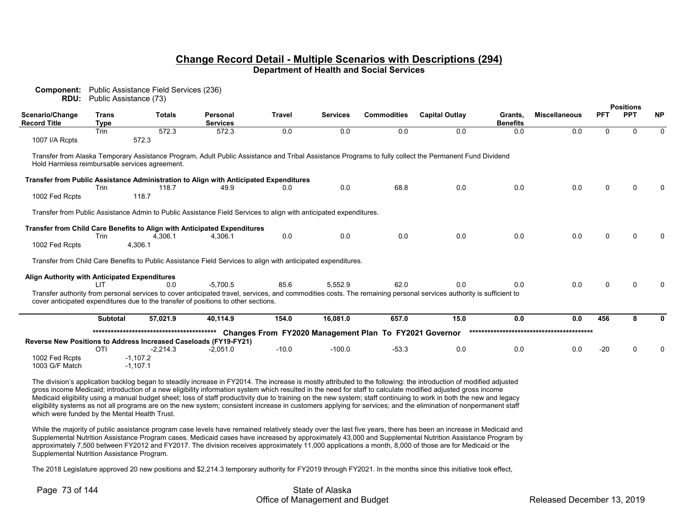| Component:<br>RDU:                             | Public Assistance (73)      | Public Assistance Field Services (236) |                                                                                                                   |                                                        |                 |                    |                                                                                                                                                                    |                            |                      |            |                                |           |
|------------------------------------------------|-----------------------------|----------------------------------------|-------------------------------------------------------------------------------------------------------------------|--------------------------------------------------------|-----------------|--------------------|--------------------------------------------------------------------------------------------------------------------------------------------------------------------|----------------------------|----------------------|------------|--------------------------------|-----------|
| Scenario/Change<br><b>Record Title</b>         | <b>Trans</b><br><b>Type</b> | <b>Totals</b>                          | Personal<br><b>Services</b>                                                                                       | <b>Travel</b>                                          | <b>Services</b> | <b>Commodities</b> | <b>Capital Outlay</b>                                                                                                                                              | Grants,<br><b>Benefits</b> | <b>Miscellaneous</b> | <b>PFT</b> | <b>Positions</b><br><b>PPT</b> | <b>NP</b> |
| 1007 I/A Rcpts                                 | Trin                        | 572.3<br>572.3                         | 572.3                                                                                                             | 0.0                                                    | 0.0             | 0.0                | 0.0                                                                                                                                                                | 0.0                        | 0.0                  | 0          | U                              | 0         |
| Hold Harmless reimbursable services agreement. |                             |                                        |                                                                                                                   |                                                        |                 |                    | Transfer from Alaska Temporary Assistance Program, Adult Public Assistance and Tribal Assistance Programs to fully collect the Permanent Fund Dividend             |                            |                      |            |                                |           |
|                                                | Trin                        | 118.7                                  | Transfer from Public Assistance Administration to Align with Anticipated Expenditures<br>49.9                     | 0.0                                                    | 0.0             | 68.8               | 0.0                                                                                                                                                                | 0.0                        | 0.0                  | 0          |                                |           |
| 1002 Fed Rcpts                                 |                             | 118.7                                  |                                                                                                                   |                                                        |                 |                    |                                                                                                                                                                    |                            |                      |            |                                |           |
|                                                |                             |                                        | Transfer from Public Assistance Admin to Public Assistance Field Services to align with anticipated expenditures. |                                                        |                 |                    |                                                                                                                                                                    |                            |                      |            |                                |           |
| 1002 Fed Rcpts                                 | Trin                        | 4,306.1<br>4,306.1                     | Transfer from Child Care Benefits to Align with Anticipated Expenditures<br>4,306.1                               | 0.0                                                    | 0.0             | 0.0                | 0.0                                                                                                                                                                | 0.0                        | 0.0                  | 0          |                                |           |
|                                                |                             |                                        | Transfer from Child Care Benefits to Public Assistance Field Services to align with anticipated expenditures.     |                                                        |                 |                    |                                                                                                                                                                    |                            |                      |            |                                |           |
| Align Authority with Anticipated Expenditures  | ШT                          | 0.0                                    | $-5.700.5$                                                                                                        | 85.6                                                   | 5,552.9         | 62.0               | 0.0                                                                                                                                                                | 0.0                        | 0.0                  | 0          |                                |           |
|                                                |                             |                                        | cover anticipated expenditures due to the transfer of positions to other sections.                                |                                                        |                 |                    | Transfer authority from personal services to cover anticipated travel, services, and commodities costs. The remaining personal services authority is sufficient to |                            |                      |            |                                |           |
|                                                | <b>Subtotal</b>             | 57,021.9                               | 40,114.9                                                                                                          | 154.0                                                  | 16,081.0        | 657.0              | 15.0                                                                                                                                                               | 0.0                        | 0.0                  | 456        | 8                              | 0         |
|                                                |                             |                                        | Reverse New Positions to Address Increased Caseloads (FY19-FY21)                                                  | Changes From FY2020 Management Plan To FY2021 Governor |                 |                    |                                                                                                                                                                    |                            |                      |            |                                |           |
|                                                | <b>OTI</b>                  | $-2,214.3$                             | $-2,051.0$                                                                                                        | $-10.0$                                                | $-100.0$        | $-53.3$            | 0.0                                                                                                                                                                | 0.0                        | 0.0                  | $-20$      |                                |           |
| 1002 Fed Rcpts<br>1003 G/F Match               |                             | $-1,107.2$<br>$-1,107.1$               |                                                                                                                   |                                                        |                 |                    |                                                                                                                                                                    |                            |                      |            |                                |           |

The division's application backlog began to steadily increase in FY2014. The increase is mostly attributed to the following: the introduction of modified adjusted gross income Medicaid; introduction of a new eligibility information system which resulted in the need for staff to calculate modified adjusted gross income Medicaid eligibility using a manual budget sheet; loss of staff productivity due to training on the new system; staff continuing to work in both the new and legacy eligibility systems as not all programs are on the new system; consistent increase in customers applying for services; and the elimination of nonpermanent staff which were funded by the Mental Health Trust.

While the majority of public assistance program case levels have remained relatively steady over the last five years, there has been an increase in Medicaid and Supplemental Nutrition Assistance Program cases. Medicaid cases have increased by approximately 43,000 and Supplemental Nutrition Assistance Program by approximately 7,500 between FY2012 and FY2017. The division receives approximately 11,000 applications a month, 8,000 of those are for Medicaid or the Supplemental Nutrition Assistance Program.

The 2018 Legislature approved 20 new positions and \$2,214.3 temporary authority for FY2019 through FY2021. In the months since this initiative took effect,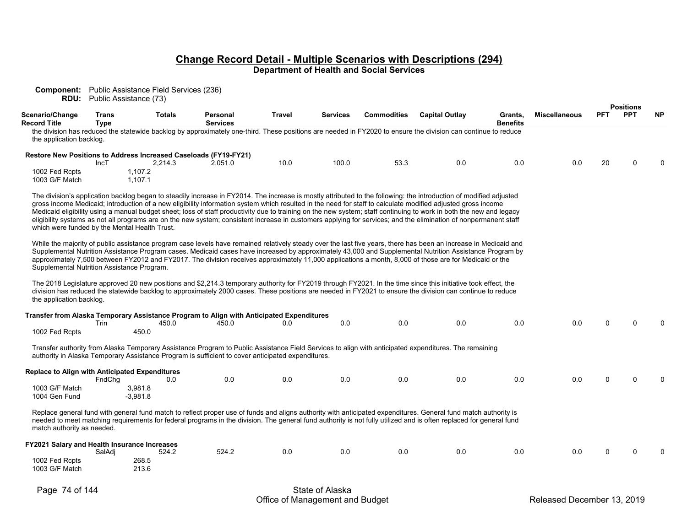**Component:** Public Assistance Field Services (236) **RDU:** Public Assistance (73)

|                                                                                          |                                                                                                                                                                                                                                                                                                                                                                                                                                                                                                                                                                                                                                                                                                                                                                                                                                                                                                    |                              |                                                                                                   |               |          |                    |                                                                                                                                                                                                                                                                                                                                       |                            |                      |            | <b>Positions</b> |              |  |  |
|------------------------------------------------------------------------------------------|----------------------------------------------------------------------------------------------------------------------------------------------------------------------------------------------------------------------------------------------------------------------------------------------------------------------------------------------------------------------------------------------------------------------------------------------------------------------------------------------------------------------------------------------------------------------------------------------------------------------------------------------------------------------------------------------------------------------------------------------------------------------------------------------------------------------------------------------------------------------------------------------------|------------------------------|---------------------------------------------------------------------------------------------------|---------------|----------|--------------------|---------------------------------------------------------------------------------------------------------------------------------------------------------------------------------------------------------------------------------------------------------------------------------------------------------------------------------------|----------------------------|----------------------|------------|------------------|--------------|--|--|
| Scenario/Change<br><b>Record Title</b>                                                   | <b>Trans</b><br><b>Type</b>                                                                                                                                                                                                                                                                                                                                                                                                                                                                                                                                                                                                                                                                                                                                                                                                                                                                        | <b>Totals</b>                | Personal<br><b>Services</b>                                                                       | <b>Travel</b> | Services | <b>Commodities</b> | <b>Capital Outlay</b>                                                                                                                                                                                                                                                                                                                 | Grants,<br><b>Benefits</b> | <b>Miscellaneous</b> | <b>PFT</b> | <b>PPT</b>       | <b>NP</b>    |  |  |
| the application backlog.                                                                 |                                                                                                                                                                                                                                                                                                                                                                                                                                                                                                                                                                                                                                                                                                                                                                                                                                                                                                    |                              |                                                                                                   |               |          |                    | the division has reduced the statewide backlog by approximately one-third. These positions are needed in FY2020 to ensure the division can continue to reduce                                                                                                                                                                         |                            |                      |            |                  |              |  |  |
|                                                                                          | IncT                                                                                                                                                                                                                                                                                                                                                                                                                                                                                                                                                                                                                                                                                                                                                                                                                                                                                               | 2,214.3                      | <b>Restore New Positions to Address Increased Caseloads (FY19-FY21)</b><br>2,051.0                | 10.0          | 100.0    | 53.3               | 0.0                                                                                                                                                                                                                                                                                                                                   | 0.0                        | 0.0                  | 20         | $\Omega$         |              |  |  |
| 1002 Fed Rcpts<br>1003 G/F Match                                                         |                                                                                                                                                                                                                                                                                                                                                                                                                                                                                                                                                                                                                                                                                                                                                                                                                                                                                                    | 1,107.2<br>1,107.1           |                                                                                                   |               |          |                    |                                                                                                                                                                                                                                                                                                                                       |                            |                      |            |                  |              |  |  |
|                                                                                          | The division's application backlog began to steadily increase in FY2014. The increase is mostly attributed to the following: the introduction of modified adjusted<br>gross income Medicaid; introduction of a new eligibility information system which resulted in the need for staff to calculate modified adjusted gross income<br>Medicaid eligibility using a manual budget sheet; loss of staff productivity due to training on the new system; staff continuing to work in both the new and legacy<br>eligibility systems as not all programs are on the new system; consistent increase in customers applying for services; and the elimination of nonpermanent staff<br>which were funded by the Mental Health Trust.<br>While the majority of public assistance program case levels have remained relatively steady over the last five years, there has been an increase in Medicaid and |                              |                                                                                                   |               |          |                    |                                                                                                                                                                                                                                                                                                                                       |                            |                      |            |                  |              |  |  |
| Supplemental Nutrition Assistance Program.                                               |                                                                                                                                                                                                                                                                                                                                                                                                                                                                                                                                                                                                                                                                                                                                                                                                                                                                                                    |                              |                                                                                                   |               |          |                    | Supplemental Nutrition Assistance Program cases. Medicaid cases have increased by approximately 43,000 and Supplemental Nutrition Assistance Program by<br>approximately 7,500 between FY2012 and FY2017. The division receives approximately 11,000 applications a month, 8,000 of those are for Medicaid or the                     |                            |                      |            |                  |              |  |  |
| the application backlog.                                                                 |                                                                                                                                                                                                                                                                                                                                                                                                                                                                                                                                                                                                                                                                                                                                                                                                                                                                                                    |                              |                                                                                                   |               |          |                    | The 2018 Legislature approved 20 new positions and \$2,214.3 temporary authority for FY2019 through FY2021. In the time since this initiative took effect, the<br>division has reduced the statewide backlog to approximately 2000 cases. These positions are needed in FY2021 to ensure the division can continue to reduce          |                            |                      |            |                  |              |  |  |
| 1002 Fed Rcpts                                                                           | Trin                                                                                                                                                                                                                                                                                                                                                                                                                                                                                                                                                                                                                                                                                                                                                                                                                                                                                               | 450.0<br>450.0               | Transfer from Alaska Temporary Assistance Program to Align with Anticipated Expenditures<br>450.0 | 0.0           | 0.0      | 0.0                | 0.0                                                                                                                                                                                                                                                                                                                                   | 0.0                        | 0.0                  | $\Omega$   | $\Omega$         | <sup>0</sup> |  |  |
|                                                                                          |                                                                                                                                                                                                                                                                                                                                                                                                                                                                                                                                                                                                                                                                                                                                                                                                                                                                                                    |                              | authority in Alaska Temporary Assistance Program is sufficient to cover anticipated expenditures. |               |          |                    | Transfer authority from Alaska Temporary Assistance Program to Public Assistance Field Services to align with anticipated expenditures. The remaining                                                                                                                                                                                 |                            |                      |            |                  |              |  |  |
| <b>Replace to Align with Anticipated Expenditures</b><br>1003 G/F Match<br>1004 Gen Fund | FndChq                                                                                                                                                                                                                                                                                                                                                                                                                                                                                                                                                                                                                                                                                                                                                                                                                                                                                             | 0.0<br>3,981.8<br>$-3,981.8$ | 0.0                                                                                               | 0.0           | 0.0      | 0.0                | 0.0                                                                                                                                                                                                                                                                                                                                   | 0.0                        | 0.0                  | $\Omega$   | $\Omega$         | $\Omega$     |  |  |
| match authority as needed.                                                               |                                                                                                                                                                                                                                                                                                                                                                                                                                                                                                                                                                                                                                                                                                                                                                                                                                                                                                    |                              |                                                                                                   |               |          |                    | Replace general fund with general fund match to reflect proper use of funds and aligns authority with anticipated expenditures. General fund match authority is<br>needed to meet matching requirements for federal programs in the division. The general fund authority is not fully utilized and is often replaced for general fund |                            |                      |            |                  |              |  |  |
| FY2021 Salary and Health Insurance Increases<br>1002 Fed Rcpts<br>1003 G/F Match         | SalAdi                                                                                                                                                                                                                                                                                                                                                                                                                                                                                                                                                                                                                                                                                                                                                                                                                                                                                             | 524.2<br>268.5<br>213.6      | 524.2                                                                                             | 0.0           | 0.0      | 0.0                | 0.0                                                                                                                                                                                                                                                                                                                                   | 0.0                        | 0.0                  | $\Omega$   | $\Omega$         | <sup>0</sup> |  |  |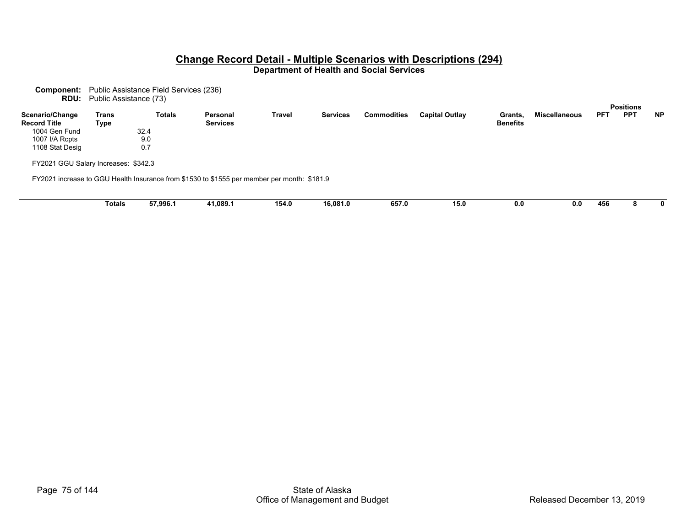**Component:** Public Assistance Field Services (236)

| <b>RDU:</b> Public Assistance (73) |  |
|------------------------------------|--|
|                                    |  |

|                                        |               |               |                                                                                             |               |                 |                    |                       |                            |                      |            | rusitiuis  |           |
|----------------------------------------|---------------|---------------|---------------------------------------------------------------------------------------------|---------------|-----------------|--------------------|-----------------------|----------------------------|----------------------|------------|------------|-----------|
| Scenario/Change<br><b>Record Title</b> | Trans<br>Type | <b>Totals</b> | Personal<br><b>Services</b>                                                                 | <b>Travel</b> | <b>Services</b> | <b>Commodities</b> | <b>Capital Outlay</b> | Grants,<br><b>Benefits</b> | <b>Miscellaneous</b> | <b>PFT</b> | <b>PPT</b> | <b>NP</b> |
| 1004 Gen Fund                          |               | 32.4          |                                                                                             |               |                 |                    |                       |                            |                      |            |            |           |
| 1007 I/A Rcpts                         |               | 9.0           |                                                                                             |               |                 |                    |                       |                            |                      |            |            |           |
| 1108 Stat Desig                        |               | 0.7           |                                                                                             |               |                 |                    |                       |                            |                      |            |            |           |
| FY2021 GGU Salary Increases: \$342.3   |               |               |                                                                                             |               |                 |                    |                       |                            |                      |            |            |           |
|                                        |               |               | FY2021 increase to GGU Health Insurance from \$1530 to \$1555 per member per month: \$181.9 |               |                 |                    |                       |                            |                      |            |            |           |
|                                        |               |               |                                                                                             |               |                 |                    |                       |                            |                      |            |            |           |
|                                        | <b>Totals</b> | 57,996.1      | 41,089.1                                                                                    | 154.0         | 16,081.0        | 657.0              | 15.0                  | 0.0                        | 0.0                  | 456        |            |           |

**Positions**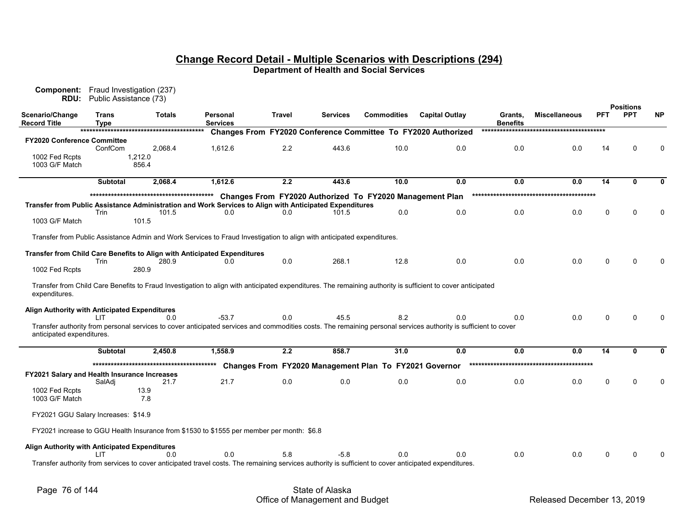| Component:<br>RDU:                            | Public Assistance (73) | Fraud Investigation (237)                                                                                              |                             |        |                 |                                                          |                                                                                                                                                                 |                            |                      |          |                                |              |
|-----------------------------------------------|------------------------|------------------------------------------------------------------------------------------------------------------------|-----------------------------|--------|-----------------|----------------------------------------------------------|-----------------------------------------------------------------------------------------------------------------------------------------------------------------|----------------------------|----------------------|----------|--------------------------------|--------------|
| Scenario/Change<br><b>Record Title</b>        | Trans<br>Type          | Totals                                                                                                                 | Personal<br><b>Services</b> | Travel | <b>Services</b> | <b>Commodities</b>                                       | <b>Capital Outlay</b>                                                                                                                                           | Grants,<br><b>Benefits</b> | <b>Miscellaneous</b> | PFT      | <b>Positions</b><br><b>PPT</b> | <b>NP</b>    |
|                                               |                        |                                                                                                                        |                             |        |                 |                                                          | Changes From FY2020 Conference Committee To FY2020 Authorized                                                                                                   |                            |                      |          |                                |              |
| <b>FY2020 Conference Committee</b>            | ConfCom                | 2.068.4                                                                                                                | 1,612.6                     | 2.2    | 443.6           | 10.0                                                     | 0.0                                                                                                                                                             | 0.0                        | 0.0                  | 14       | 0                              | $\mathbf 0$  |
| 1002 Fed Rcpts<br>1003 G/F Match              |                        | 1,212.0<br>856.4                                                                                                       |                             |        |                 |                                                          |                                                                                                                                                                 |                            |                      |          |                                |              |
|                                               | <b>Subtotal</b>        | 2,068.4                                                                                                                | 1,612.6                     | 2.2    | 443.6           | 10.0                                                     | 0.0                                                                                                                                                             | 0.0                        | 0.0                  | 14       | 0                              | O            |
|                                               |                        |                                                                                                                        |                             |        |                 | Changes From FY2020 Authorized To FY2020 Management Plan |                                                                                                                                                                 |                            |                      |          |                                |              |
|                                               |                        | Transfer from Public Assistance Administration and Work Services to Align with Anticipated Expenditures                |                             |        |                 |                                                          |                                                                                                                                                                 |                            |                      |          |                                |              |
|                                               | Trin                   | 101.5                                                                                                                  | 0 <sub>0</sub>              | 0.0    | 101.5           | 0.0                                                      | 0.0                                                                                                                                                             | 0.0                        | 0.0                  | $\Omega$ | $\mathbf{0}$                   | $\mathbf 0$  |
| 1003 G/F Match                                |                        | 101.5                                                                                                                  |                             |        |                 |                                                          |                                                                                                                                                                 |                            |                      |          |                                |              |
|                                               |                        | Transfer from Public Assistance Admin and Work Services to Fraud Investigation to align with anticipated expenditures. |                             |        |                 |                                                          |                                                                                                                                                                 |                            |                      |          |                                |              |
|                                               | Trin                   | Transfer from Child Care Benefits to Align with Anticipated Expenditures<br>280.9                                      | 0.0                         | 0.0    | 268.1           | 12.8                                                     | 0.0                                                                                                                                                             | 0.0                        | 0.0                  | $\Omega$ |                                |              |
| 1002 Fed Rcpts                                |                        | 280.9                                                                                                                  |                             |        |                 |                                                          |                                                                                                                                                                 |                            |                      |          |                                |              |
| expenditures.                                 |                        |                                                                                                                        |                             |        |                 |                                                          | Transfer from Child Care Benefits to Fraud Investigation to align with anticipated expenditures. The remaining authority is sufficient to cover anticipated     |                            |                      |          |                                |              |
| Align Authority with Anticipated Expenditures | L IT                   | 0.0                                                                                                                    | $-53.7$                     | 0.0    | 45.5            | 8.2                                                      | 0.0                                                                                                                                                             | 0.0                        | 0.0                  | $\Omega$ | $\Omega$                       | <sup>0</sup> |
| anticipated expenditures.                     |                        |                                                                                                                        |                             |        |                 |                                                          | Transfer authority from personal services to cover anticipated services and commodities costs. The remaining personal services authority is sufficient to cover |                            |                      |          |                                |              |
|                                               | <b>Subtotal</b>        | 2,450.8                                                                                                                | 1,558.9                     | 2.2    | 858.7           | 31.0                                                     | 0.0                                                                                                                                                             | 0.0                        | 0.0                  | 14       | 0                              | $\bf{0}$     |
|                                               |                        |                                                                                                                        |                             |        |                 | Changes From FY2020 Management Plan To FY2021 Governor   |                                                                                                                                                                 |                            |                      |          |                                |              |
| FY2021 Salary and Health Insurance Increases  |                        |                                                                                                                        |                             |        |                 |                                                          |                                                                                                                                                                 |                            |                      |          |                                |              |
|                                               | SalAdi                 | 21.7                                                                                                                   | 21.7                        | 0.0    | 0.0             | 0.0                                                      | 0.0                                                                                                                                                             | 0.0                        | 0.0                  | $\Omega$ | $\Omega$                       | $\Omega$     |
| 1002 Fed Rcpts<br>1003 G/F Match              |                        | 13.9<br>7.8                                                                                                            |                             |        |                 |                                                          |                                                                                                                                                                 |                            |                      |          |                                |              |
| FY2021 GGU Salary Increases: \$14.9           |                        |                                                                                                                        |                             |        |                 |                                                          |                                                                                                                                                                 |                            |                      |          |                                |              |
|                                               |                        | FY2021 increase to GGU Health Insurance from \$1530 to \$1555 per member per month: \$6.8                              |                             |        |                 |                                                          |                                                                                                                                                                 |                            |                      |          |                                |              |
| Align Authority with Anticipated Expenditures |                        |                                                                                                                        |                             |        |                 |                                                          |                                                                                                                                                                 |                            |                      |          |                                |              |
|                                               | I IT                   | 0 <sub>0</sub>                                                                                                         | 0.0                         | 5.8    | $-5.8$          | 0 <sub>0</sub>                                           | 0.0                                                                                                                                                             | 0.0                        | 0.0                  | $\Omega$ | $\Omega$                       |              |
|                                               |                        |                                                                                                                        |                             |        |                 |                                                          | Transfer authority from services to cover anticipated travel costs. The remaining services authority is sufficient to cover anticipated expenditures.           |                            |                      |          |                                |              |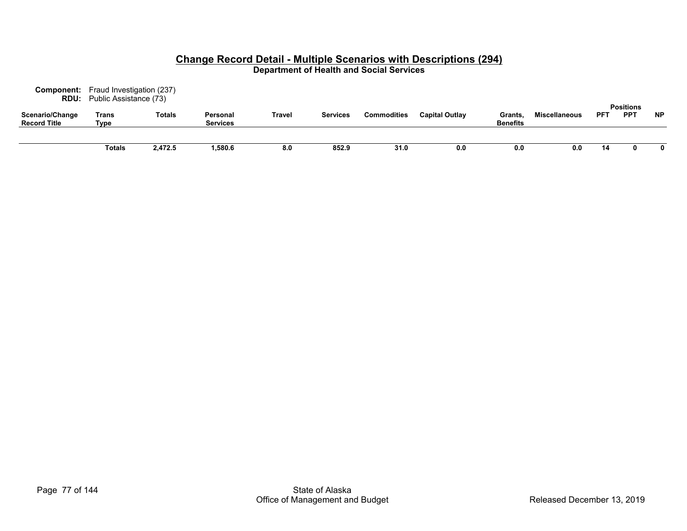| Component:<br><b>RDU:</b>              | Fraud Investigation (237)<br>Public Assistance (73) |         |                             |        |                 |                    |                       |                                  |                      |            |                                |           |
|----------------------------------------|-----------------------------------------------------|---------|-----------------------------|--------|-----------------|--------------------|-----------------------|----------------------------------|----------------------|------------|--------------------------------|-----------|
| Scenario/Change<br><b>Record Title</b> | Trans<br>Type                                       | Totals  | Personal<br><b>Services</b> | Travel | <b>Services</b> | <b>Commodities</b> | <b>Capital Outlay</b> | <b>Grants</b><br><b>Benefits</b> | <b>Miscellaneous</b> | <b>PFT</b> | <b>Positions</b><br><b>PPT</b> | <b>NP</b> |
|                                        | Totals                                              | 2,472.5 | ,580.6                      | 8.0    | 852.9           | 31.0               | 0.0                   | 0.0                              | 0.0                  | 14         |                                |           |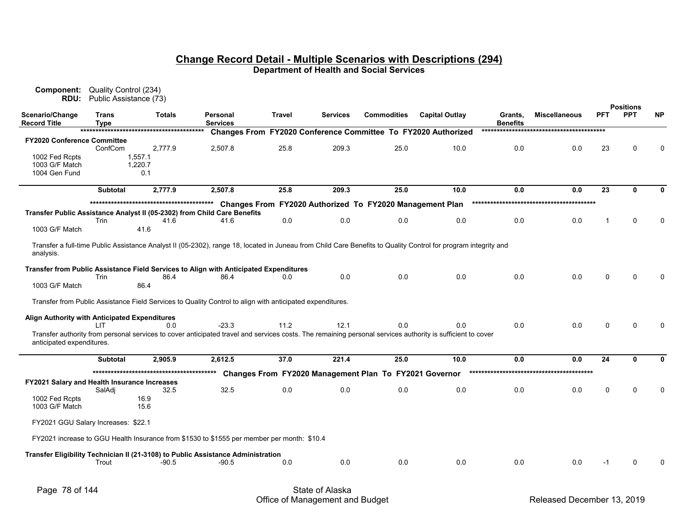| Component:<br>RDU:                            | Quality Control (234)<br>Public Assistance (73) |                |                                                                                                                                                                |        |                 |                                                          |                                                                      |                            |                      |             |                                |              |
|-----------------------------------------------|-------------------------------------------------|----------------|----------------------------------------------------------------------------------------------------------------------------------------------------------------|--------|-----------------|----------------------------------------------------------|----------------------------------------------------------------------|----------------------------|----------------------|-------------|--------------------------------|--------------|
| Scenario/Change<br><b>Record Title</b>        | Trans<br>Type                                   | <b>Totals</b>  | Personal<br><b>Services</b>                                                                                                                                    | Travel | <b>Services</b> | <b>Commodities</b>                                       | <b>Capital Outlay</b>                                                | Grants,<br><b>Benefits</b> | <b>Miscellaneous</b> | PFT         | <b>Positions</b><br><b>PPT</b> | <b>NP</b>    |
|                                               |                                                 |                |                                                                                                                                                                |        |                 |                                                          | <b>Changes From FY2020 Conference Committee To FY2020 Authorized</b> |                            |                      |             |                                |              |
| <b>FY2020 Conference Committee</b>            |                                                 |                |                                                                                                                                                                |        |                 |                                                          |                                                                      |                            |                      |             |                                |              |
|                                               | ConfCom                                         | 2,777.9        | 2,507.8                                                                                                                                                        | 25.8   | 209.3           | 25.0                                                     | 10.0                                                                 | 0.0                        | 0.0                  | 23          | $\Omega$                       | $\mathbf{0}$ |
| 1002 Fed Rcpts<br>1003 G/F Match              |                                                 | 1,557.1        |                                                                                                                                                                |        |                 |                                                          |                                                                      |                            |                      |             |                                |              |
| 1004 Gen Fund                                 |                                                 | 1,220.7<br>0.1 |                                                                                                                                                                |        |                 |                                                          |                                                                      |                            |                      |             |                                |              |
|                                               |                                                 |                |                                                                                                                                                                |        |                 |                                                          |                                                                      |                            |                      |             |                                |              |
|                                               | <b>Subtotal</b>                                 | 2.777.9        | 2,507.8                                                                                                                                                        | 25.8   | 209.3           | 25.0                                                     | 10.0                                                                 | 0.0                        | 0.0                  | 23          | O.                             | O            |
|                                               |                                                 |                |                                                                                                                                                                |        |                 | Changes From FY2020 Authorized To FY2020 Management Plan |                                                                      |                            |                      |             |                                |              |
|                                               |                                                 |                | Transfer Public Assistance Analyst II (05-2302) from Child Care Benefits                                                                                       |        |                 |                                                          |                                                                      |                            |                      |             |                                |              |
|                                               | Trin                                            | 41.6           | 41.6                                                                                                                                                           | 0.0    | 0.0             | 0.0                                                      | 0.0                                                                  | 0.0                        | 0.0                  | -1          | $\Omega$                       | $\mathbf{0}$ |
| 1003 G/F Match                                |                                                 | 41.6           |                                                                                                                                                                |        |                 |                                                          |                                                                      |                            |                      |             |                                |              |
|                                               |                                                 |                |                                                                                                                                                                |        |                 |                                                          |                                                                      |                            |                      |             |                                |              |
| analysis.                                     |                                                 |                | Transfer a full-time Public Assistance Analyst II (05-2302), range 18, located in Juneau from Child Care Benefits to Quality Control for program integrity and |        |                 |                                                          |                                                                      |                            |                      |             |                                |              |
|                                               |                                                 |                | Transfer from Public Assistance Field Services to Align with Anticipated Expenditures                                                                          |        |                 |                                                          |                                                                      |                            |                      |             |                                |              |
|                                               | Trin                                            | 86.4           | 86.4                                                                                                                                                           | 0.0    | 0.0             | 0.0                                                      | 0.0                                                                  | 0.0                        | 0.0                  | $\Omega$    | $\Omega$                       | $\Omega$     |
| 1003 G/F Match                                |                                                 | 86.4           |                                                                                                                                                                |        |                 |                                                          |                                                                      |                            |                      |             |                                |              |
|                                               |                                                 |                |                                                                                                                                                                |        |                 |                                                          |                                                                      |                            |                      |             |                                |              |
|                                               |                                                 |                | Transfer from Public Assistance Field Services to Quality Control to align with anticipated expenditures.                                                      |        |                 |                                                          |                                                                      |                            |                      |             |                                |              |
|                                               |                                                 |                |                                                                                                                                                                |        |                 |                                                          |                                                                      |                            |                      |             |                                |              |
| Align Authority with Anticipated Expenditures |                                                 | 0.0            | $-23.3$                                                                                                                                                        | 11.2   | 12.1            | 0.0                                                      |                                                                      | 0.0                        | 0.0                  | 0           | $\Omega$                       | $\Omega$     |
|                                               | LIT.                                            |                | Transfer authority from personal services to cover anticipated travel and services costs. The remaining personal services authority is sufficient to cover     |        |                 |                                                          | 0.0                                                                  |                            |                      |             |                                |              |
| anticipated expenditures.                     |                                                 |                |                                                                                                                                                                |        |                 |                                                          |                                                                      |                            |                      |             |                                |              |
|                                               |                                                 |                |                                                                                                                                                                |        |                 |                                                          |                                                                      |                            |                      |             |                                |              |
|                                               | <b>Subtotal</b>                                 | 2,905.9        | 2,612.5                                                                                                                                                        | 37.0   | 221.4           | 25.0                                                     | 10.0                                                                 | 0.0                        | 0.0                  | 24          | $\bf{0}$                       | 0            |
|                                               |                                                 |                |                                                                                                                                                                |        |                 | Changes From FY2020 Management Plan To FY2021 Governor   |                                                                      |                            |                      |             |                                |              |
| FY2021 Salary and Health Insurance Increases  |                                                 |                |                                                                                                                                                                |        |                 |                                                          |                                                                      |                            |                      |             |                                |              |
|                                               | SalAdj                                          | 32.5           | 32.5                                                                                                                                                           | 0.0    | 0.0             | 0.0                                                      | 0.0                                                                  | 0.0                        | 0.0                  | $\mathbf 0$ | $\mathbf{0}$                   | $\Omega$     |
| 1002 Fed Rcpts                                |                                                 | 16.9           |                                                                                                                                                                |        |                 |                                                          |                                                                      |                            |                      |             |                                |              |
| 1003 G/F Match                                |                                                 | 15.6           |                                                                                                                                                                |        |                 |                                                          |                                                                      |                            |                      |             |                                |              |
|                                               |                                                 |                |                                                                                                                                                                |        |                 |                                                          |                                                                      |                            |                      |             |                                |              |
| FY2021 GGU Salary Increases: \$22.1           |                                                 |                |                                                                                                                                                                |        |                 |                                                          |                                                                      |                            |                      |             |                                |              |
|                                               |                                                 |                | FY2021 increase to GGU Health Insurance from \$1530 to \$1555 per member per month: \$10.4                                                                     |        |                 |                                                          |                                                                      |                            |                      |             |                                |              |
|                                               |                                                 |                | Transfer Eligibility Technician II (21-3108) to Public Assistance Administration                                                                               |        |                 |                                                          |                                                                      |                            |                      |             |                                |              |
|                                               | Trout                                           | $-90.5$        | $-90.5$                                                                                                                                                        | 0.0    | 0.0             | 0.0                                                      | 0.0                                                                  | 0.0                        | 0.0                  | $-1$        | $\Omega$                       | $\Omega$     |
|                                               |                                                 |                |                                                                                                                                                                |        |                 |                                                          |                                                                      |                            |                      |             |                                |              |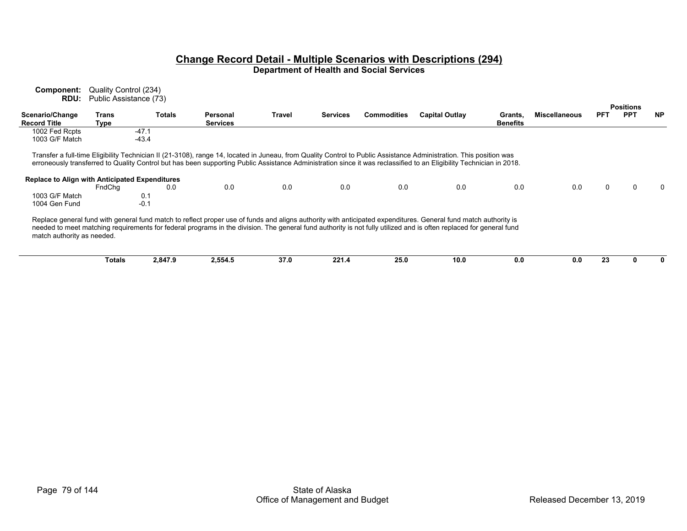| Component:                                     | Quality Control (234)  |               |                             |               |                 |                    |                                                                                                                                                                                                                                                                                                                                                  |                     |                      |     |                  |           |
|------------------------------------------------|------------------------|---------------|-----------------------------|---------------|-----------------|--------------------|--------------------------------------------------------------------------------------------------------------------------------------------------------------------------------------------------------------------------------------------------------------------------------------------------------------------------------------------------|---------------------|----------------------|-----|------------------|-----------|
| RDU:                                           | Public Assistance (73) |               |                             |               |                 |                    |                                                                                                                                                                                                                                                                                                                                                  |                     |                      |     | <b>Positions</b> |           |
| Scenario/Change<br><b>Record Title</b>         | Trans<br>Type          | <b>Totals</b> | Personal<br><b>Services</b> | <b>Travel</b> | <b>Services</b> | <b>Commodities</b> | <b>Capital Outlay</b>                                                                                                                                                                                                                                                                                                                            | Grants,<br>Benefits | <b>Miscellaneous</b> | PFT | <b>PPT</b>       | <b>NP</b> |
| 1002 Fed Rcpts                                 | $-47.1$                |               |                             |               |                 |                    |                                                                                                                                                                                                                                                                                                                                                  |                     |                      |     |                  |           |
| 1003 G/F Match                                 |                        | $-43.4$       |                             |               |                 |                    |                                                                                                                                                                                                                                                                                                                                                  |                     |                      |     |                  |           |
| Replace to Align with Anticipated Expenditures | FndChq                 | 0.0           | 0.0                         | 0.0           | 0.0             | 0.0                | Transfer a full-time Eligibility Technician II (21-3108), range 14, located in Juneau, from Quality Control to Public Assistance Administration. This position was<br>erroneously transferred to Quality Control but has been supporting Public Assistance Administration since it was reclassified to an Eligibility Technician in 2018.<br>0.0 | 0.0                 | 0.0                  | 0   |                  | $\Omega$  |
| 1003 G/F Match                                 |                        | 0.1           |                             |               |                 |                    |                                                                                                                                                                                                                                                                                                                                                  |                     |                      |     |                  |           |
| 1004 Gen Fund                                  |                        | $-0.1$        |                             |               |                 |                    |                                                                                                                                                                                                                                                                                                                                                  |                     |                      |     |                  |           |
| match authority as needed.                     |                        |               |                             |               |                 |                    | Replace general fund with general fund match to reflect proper use of funds and aligns authority with anticipated expenditures. General fund match authority is<br>needed to meet matching requirements for federal programs in the division. The general fund authority is not fully utilized and is often replaced for general fund            |                     |                      |     |                  |           |

| Totals | - --<br><b>78479</b><br>-, 047.3 | 2.004.0 | --<br>37.0 | クク・<br>. | 25.0 | 10.0 | v.v | 0.0 |  |  |
|--------|----------------------------------|---------|------------|----------|------|------|-----|-----|--|--|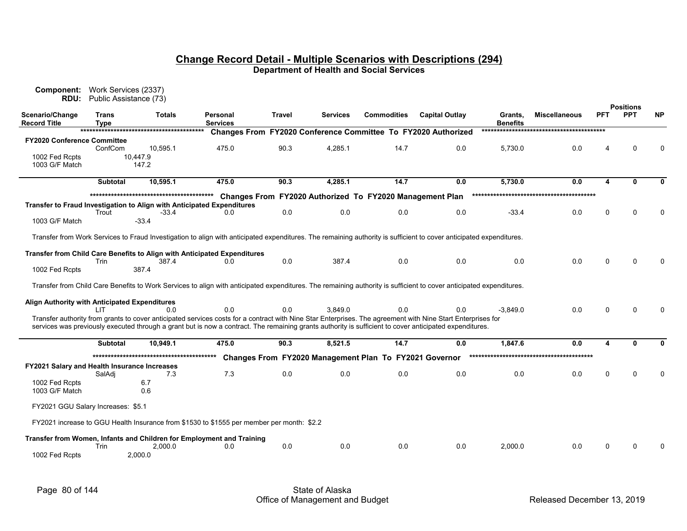| <b>Component:</b><br>RDU:                     | Work Services (2337)<br>Public Assistance (73) |                   |                                                                                                                                                                                                                                                                                                                        |               |                 |                                                          |                                                               |                            |                      |            | <b>Positions</b> |           |
|-----------------------------------------------|------------------------------------------------|-------------------|------------------------------------------------------------------------------------------------------------------------------------------------------------------------------------------------------------------------------------------------------------------------------------------------------------------------|---------------|-----------------|----------------------------------------------------------|---------------------------------------------------------------|----------------------------|----------------------|------------|------------------|-----------|
| Scenario/Change<br><b>Record Title</b>        | Trans<br><b>Type</b>                           | <b>Totals</b>     | <b>Personal</b><br><b>Services</b>                                                                                                                                                                                                                                                                                     | <b>Travel</b> | <b>Services</b> | <b>Commodities</b>                                       | <b>Capital Outlay</b>                                         | Grants,<br><b>Benefits</b> | <b>Miscellaneous</b> | <b>PFT</b> | <b>PPT</b>       | <b>NP</b> |
|                                               |                                                |                   |                                                                                                                                                                                                                                                                                                                        |               |                 |                                                          | Changes From FY2020 Conference Committee To FY2020 Authorized |                            |                      |            |                  |           |
| FY2020 Conference Committee                   |                                                |                   |                                                                                                                                                                                                                                                                                                                        |               |                 |                                                          |                                                               |                            |                      |            |                  |           |
|                                               | ConfCom                                        | 10,595.1          | 475.0                                                                                                                                                                                                                                                                                                                  | 90.3          | 4,285.1         | 14.7                                                     | 0.0                                                           | 5,730.0                    | 0.0                  |            |                  |           |
| 1002 Fed Rcpts<br>1003 G/F Match              |                                                | 10.447.9<br>147.2 |                                                                                                                                                                                                                                                                                                                        |               |                 |                                                          |                                                               |                            |                      |            |                  |           |
|                                               | <b>Subtotal</b>                                | 10.595.1          | 475.0                                                                                                                                                                                                                                                                                                                  | 90.3          | 4,285.1         | 14.7                                                     | 0.0                                                           | 5,730.0                    | 0.0                  | 4          | Û                |           |
|                                               |                                                |                   |                                                                                                                                                                                                                                                                                                                        |               |                 | Changes From FY2020 Authorized To FY2020 Management Plan |                                                               |                            |                      |            |                  |           |
|                                               |                                                |                   | Transfer to Fraud Investigation to Align with Anticipated Expenditures                                                                                                                                                                                                                                                 |               |                 |                                                          |                                                               |                            |                      |            |                  |           |
|                                               | Trout                                          | $-33.4$           | 0.0                                                                                                                                                                                                                                                                                                                    | 0.0           | 0.0             | 0.0                                                      | 0.0                                                           | $-33.4$                    | 0.0                  | 0          |                  |           |
| 1003 G/F Match                                |                                                | $-33.4$           |                                                                                                                                                                                                                                                                                                                        |               |                 |                                                          |                                                               |                            |                      |            |                  |           |
|                                               |                                                |                   | Transfer from Work Services to Fraud Investigation to align with anticipated expenditures. The remaining authority is sufficient to cover anticipated expenditures.                                                                                                                                                    |               |                 |                                                          |                                                               |                            |                      |            |                  |           |
|                                               |                                                |                   |                                                                                                                                                                                                                                                                                                                        |               |                 |                                                          |                                                               |                            |                      |            |                  |           |
|                                               |                                                |                   | <b>Transfer from Child Care Benefits to Align with Anticipated Expenditures</b>                                                                                                                                                                                                                                        |               |                 |                                                          |                                                               |                            |                      |            |                  |           |
|                                               | Trin                                           | 387.4             | 0.0                                                                                                                                                                                                                                                                                                                    | 0.0           | 387.4           | 0.0                                                      | 0.0                                                           | 0.0                        | 0.0                  | U          |                  |           |
| 1002 Fed Rcpts                                |                                                | 387.4             |                                                                                                                                                                                                                                                                                                                        |               |                 |                                                          |                                                               |                            |                      |            |                  |           |
|                                               |                                                |                   | Transfer from Child Care Benefits to Work Services to align with anticipated expenditures. The remaining authority is sufficient to cover anticipated expenditures.                                                                                                                                                    |               |                 |                                                          |                                                               |                            |                      |            |                  |           |
|                                               |                                                |                   |                                                                                                                                                                                                                                                                                                                        |               |                 |                                                          |                                                               |                            |                      |            |                  |           |
| Align Authority with Anticipated Expenditures |                                                |                   |                                                                                                                                                                                                                                                                                                                        |               |                 |                                                          |                                                               |                            |                      |            |                  |           |
|                                               | LIT.                                           | 0.0               | 0.0                                                                                                                                                                                                                                                                                                                    | 0.0           | 3.849.0         | 0.0                                                      | 0.0                                                           | $-3.849.0$                 | 0.0                  | U          |                  |           |
|                                               |                                                |                   | Transfer authority from grants to cover anticipated services costs for a contract with Nine Star Enterprises. The agreement with Nine Start Enterprises for<br>services was previously executed through a grant but is now a contract. The remaining grants authority is sufficient to cover anticipated expenditures. |               |                 |                                                          |                                                               |                            |                      |            |                  |           |
|                                               | <b>Subtotal</b>                                | 10,949.1          | 475.0                                                                                                                                                                                                                                                                                                                  | 90.3          | 8,521.5         | 14.7                                                     | 0.0                                                           | 1,847.6                    | 0.0                  | 4          | $\Omega$         |           |
|                                               |                                                |                   |                                                                                                                                                                                                                                                                                                                        |               |                 | Changes From FY2020 Management Plan To FY2021 Governor   |                                                               |                            |                      |            |                  |           |
| FY2021 Salary and Health Insurance Increases  |                                                |                   |                                                                                                                                                                                                                                                                                                                        |               |                 |                                                          |                                                               |                            |                      |            |                  |           |
|                                               | SalAdi                                         | 7.3               | 7.3                                                                                                                                                                                                                                                                                                                    | 0.0           | 0.0             | 0.0                                                      | 0.0                                                           | 0.0                        | 0.0                  | 0          |                  |           |
| 1002 Fed Rcpts                                |                                                | 6.7               |                                                                                                                                                                                                                                                                                                                        |               |                 |                                                          |                                                               |                            |                      |            |                  |           |
| 1003 G/F Match                                |                                                | 0.6               |                                                                                                                                                                                                                                                                                                                        |               |                 |                                                          |                                                               |                            |                      |            |                  |           |
| FY2021 GGU Salary Increases: \$5.1            |                                                |                   |                                                                                                                                                                                                                                                                                                                        |               |                 |                                                          |                                                               |                            |                      |            |                  |           |
|                                               |                                                |                   | FY2021 increase to GGU Health Insurance from \$1530 to \$1555 per member per month: \$2.2                                                                                                                                                                                                                              |               |                 |                                                          |                                                               |                            |                      |            |                  |           |
|                                               |                                                |                   | Transfer from Women, Infants and Children for Employment and Training                                                                                                                                                                                                                                                  |               |                 |                                                          |                                                               |                            |                      |            |                  |           |
|                                               | Trin                                           | 2,000.0           | 0.0                                                                                                                                                                                                                                                                                                                    | 0.0           | 0.0             | 0.0                                                      | 0.0                                                           | 2.000.0                    | 0.0                  | U          |                  |           |
| 1002 Fed Rcpts                                |                                                | 2,000.0           |                                                                                                                                                                                                                                                                                                                        |               |                 |                                                          |                                                               |                            |                      |            |                  |           |
|                                               |                                                |                   |                                                                                                                                                                                                                                                                                                                        |               |                 |                                                          |                                                               |                            |                      |            |                  |           |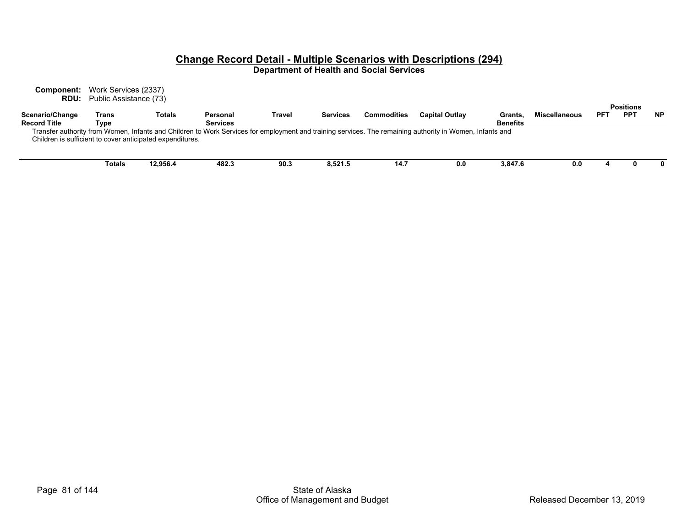**Component:** Work Services (2337) **RDU:** Public Assistance (73)

|                                                           |        |          |                                                                                                                                                          |        |                 |                    |                       |                 |                      |     | <b>Positions</b> |           |
|-----------------------------------------------------------|--------|----------|----------------------------------------------------------------------------------------------------------------------------------------------------------|--------|-----------------|--------------------|-----------------------|-----------------|----------------------|-----|------------------|-----------|
| Scenario/Change                                           | Trans  | Totals   | Personal                                                                                                                                                 | Travel | <b>Services</b> | <b>Commodities</b> | <b>Capital Outlay</b> | Grants.         | <b>Miscellaneous</b> | PFT | PP <sub>1</sub>  | <b>NP</b> |
| <b>Record Title</b>                                       | Type   |          | <b>Services</b>                                                                                                                                          |        |                 |                    |                       | <b>Benefits</b> |                      |     |                  |           |
|                                                           |        |          | Transfer authority from Women, Infants and Children to Work Services for employment and training services. The remaining authority in Women, Infants and |        |                 |                    |                       |                 |                      |     |                  |           |
| Children is sufficient to cover anticipated expenditures. |        |          |                                                                                                                                                          |        |                 |                    |                       |                 |                      |     |                  |           |
|                                                           |        |          |                                                                                                                                                          |        |                 |                    |                       |                 |                      |     |                  |           |
|                                                           |        |          |                                                                                                                                                          |        |                 |                    |                       |                 |                      |     |                  |           |
|                                                           | Totals | 12.956.4 | 482.3                                                                                                                                                    | 90.3   | 8.521.5         | 14.7               | 0.0                   | 3.847.6         | 0.0                  |     |                  |           |
|                                                           |        |          |                                                                                                                                                          |        |                 |                    |                       |                 |                      |     |                  |           |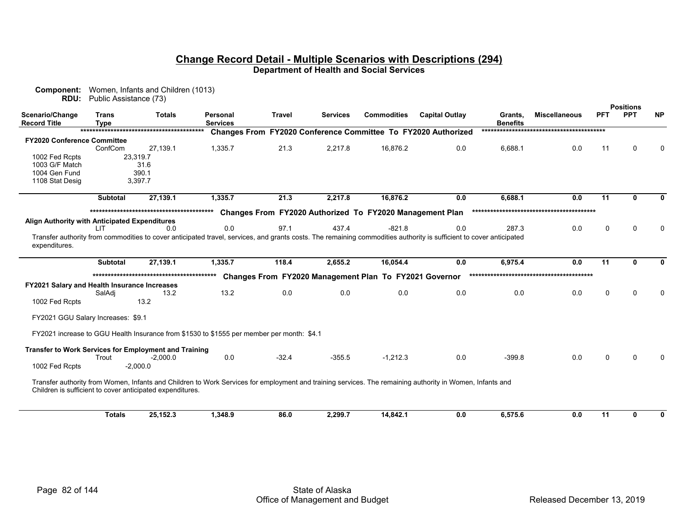| <b>Positions</b><br><b>PPT</b><br>Scenario/Change<br><b>Commodities</b><br><b>Capital Outlay</b><br><b>PFT</b><br>Trans<br>Totals<br>Personal<br>Travel<br><b>Services</b><br><b>Miscellaneous</b><br>Grants,<br><b>Record Title</b><br><b>Benefits</b><br><b>Type</b><br><b>Services</b><br>Changes From FY2020 Conference Committee To FY2020 Authorized<br><b>FY2020 Conference Committee</b><br>21.3<br>ConfCom<br>27,139.1<br>1,335.7<br>2,217.8<br>16,876.2<br>0.0<br>6,688.1<br>0.0<br>$\Omega$<br>11<br>1002 Fed Rcpts<br>23,319.7<br>1003 G/F Match<br>31.6<br>1004 Gen Fund<br>390.1<br>1108 Stat Desig<br>3,397.7<br>11<br>27,139.1<br>21.3<br>2,217.8<br>16,876.2<br>0.0<br>6,688.1<br><b>Subtotal</b><br>1,335.7<br>0.0<br><sup>0</sup><br>Changes From FY2020 Authorized To FY2020 Management Plan<br>Align Authority with Anticipated Expenditures<br>0.0<br>97.1<br>437.4<br>$-821.8$<br>0.0<br>287.3<br>0.0<br>0.0<br>$\mathbf{0}$<br>$\Omega$<br>LIT.<br>Transfer authority from commodities to cover anticipated travel, services, and grants costs. The remaining commodities authority is sufficient to cover anticipated<br>expenditures.<br>11<br>27,139.1<br>118.4<br>2,655.2<br>16,054.4<br>0.0<br>6,975.4<br>0.0<br><b>Subtotal</b><br>1,335.7<br><sup>0</sup><br>Changes From FY2020 Management Plan To FY2021 Governor<br><b>FY2021 Salary and Health Insurance Increases</b><br>13.2<br>0.0<br>0.0<br>0.0<br>0.0<br>0.0<br>0.0<br>$\mathbf{0}$<br>SalAdi<br>13.2<br>$\Omega$<br>13.2<br>1002 Fed Rcpts<br>FY2021 GGU Salary Increases: \$9.1<br>FY2021 increase to GGU Health Insurance from \$1530 to \$1555 per member per month: \$4.1<br><b>Transfer to Work Services for Employment and Training</b><br>0.0<br>$-32.4$<br>$-355.5$<br>$-1,212.3$<br>0.0<br>$-399.8$<br>0.0<br>Trout<br>0<br>$-2,000.0$<br>1002 Fed Rcpts<br>$-2,000.0$<br>Transfer authority from Women, Infants and Children to Work Services for employment and training services. The remaining authority in Women, Infants and<br>Children is sufficient to cover anticipated expenditures.<br>25,152.3<br>2,299.7<br>14,842.1<br>6,575.6<br>11<br><b>Totals</b><br>1,348.9<br>86.0<br>0.0<br>0.0<br>0 | Component:<br>RDU: | Public Assistance (73) | Women, Infants and Children (1013) |  |  |  |  |           |
|--------------------------------------------------------------------------------------------------------------------------------------------------------------------------------------------------------------------------------------------------------------------------------------------------------------------------------------------------------------------------------------------------------------------------------------------------------------------------------------------------------------------------------------------------------------------------------------------------------------------------------------------------------------------------------------------------------------------------------------------------------------------------------------------------------------------------------------------------------------------------------------------------------------------------------------------------------------------------------------------------------------------------------------------------------------------------------------------------------------------------------------------------------------------------------------------------------------------------------------------------------------------------------------------------------------------------------------------------------------------------------------------------------------------------------------------------------------------------------------------------------------------------------------------------------------------------------------------------------------------------------------------------------------------------------------------------------------------------------------------------------------------------------------------------------------------------------------------------------------------------------------------------------------------------------------------------------------------------------------------------------------------------------------------------------------------------------------------------------------------------------------------------------------------------------------------------------------|--------------------|------------------------|------------------------------------|--|--|--|--|-----------|
|                                                                                                                                                                                                                                                                                                                                                                                                                                                                                                                                                                                                                                                                                                                                                                                                                                                                                                                                                                                                                                                                                                                                                                                                                                                                                                                                                                                                                                                                                                                                                                                                                                                                                                                                                                                                                                                                                                                                                                                                                                                                                                                                                                                                              |                    |                        |                                    |  |  |  |  | <b>NP</b> |
|                                                                                                                                                                                                                                                                                                                                                                                                                                                                                                                                                                                                                                                                                                                                                                                                                                                                                                                                                                                                                                                                                                                                                                                                                                                                                                                                                                                                                                                                                                                                                                                                                                                                                                                                                                                                                                                                                                                                                                                                                                                                                                                                                                                                              |                    |                        |                                    |  |  |  |  |           |
|                                                                                                                                                                                                                                                                                                                                                                                                                                                                                                                                                                                                                                                                                                                                                                                                                                                                                                                                                                                                                                                                                                                                                                                                                                                                                                                                                                                                                                                                                                                                                                                                                                                                                                                                                                                                                                                                                                                                                                                                                                                                                                                                                                                                              |                    |                        |                                    |  |  |  |  |           |
|                                                                                                                                                                                                                                                                                                                                                                                                                                                                                                                                                                                                                                                                                                                                                                                                                                                                                                                                                                                                                                                                                                                                                                                                                                                                                                                                                                                                                                                                                                                                                                                                                                                                                                                                                                                                                                                                                                                                                                                                                                                                                                                                                                                                              |                    |                        |                                    |  |  |  |  | O         |
|                                                                                                                                                                                                                                                                                                                                                                                                                                                                                                                                                                                                                                                                                                                                                                                                                                                                                                                                                                                                                                                                                                                                                                                                                                                                                                                                                                                                                                                                                                                                                                                                                                                                                                                                                                                                                                                                                                                                                                                                                                                                                                                                                                                                              |                    |                        |                                    |  |  |  |  |           |
|                                                                                                                                                                                                                                                                                                                                                                                                                                                                                                                                                                                                                                                                                                                                                                                                                                                                                                                                                                                                                                                                                                                                                                                                                                                                                                                                                                                                                                                                                                                                                                                                                                                                                                                                                                                                                                                                                                                                                                                                                                                                                                                                                                                                              |                    |                        |                                    |  |  |  |  |           |
|                                                                                                                                                                                                                                                                                                                                                                                                                                                                                                                                                                                                                                                                                                                                                                                                                                                                                                                                                                                                                                                                                                                                                                                                                                                                                                                                                                                                                                                                                                                                                                                                                                                                                                                                                                                                                                                                                                                                                                                                                                                                                                                                                                                                              |                    |                        |                                    |  |  |  |  |           |
|                                                                                                                                                                                                                                                                                                                                                                                                                                                                                                                                                                                                                                                                                                                                                                                                                                                                                                                                                                                                                                                                                                                                                                                                                                                                                                                                                                                                                                                                                                                                                                                                                                                                                                                                                                                                                                                                                                                                                                                                                                                                                                                                                                                                              |                    |                        |                                    |  |  |  |  |           |
|                                                                                                                                                                                                                                                                                                                                                                                                                                                                                                                                                                                                                                                                                                                                                                                                                                                                                                                                                                                                                                                                                                                                                                                                                                                                                                                                                                                                                                                                                                                                                                                                                                                                                                                                                                                                                                                                                                                                                                                                                                                                                                                                                                                                              |                    |                        |                                    |  |  |  |  | 0         |
|                                                                                                                                                                                                                                                                                                                                                                                                                                                                                                                                                                                                                                                                                                                                                                                                                                                                                                                                                                                                                                                                                                                                                                                                                                                                                                                                                                                                                                                                                                                                                                                                                                                                                                                                                                                                                                                                                                                                                                                                                                                                                                                                                                                                              |                    |                        |                                    |  |  |  |  |           |
|                                                                                                                                                                                                                                                                                                                                                                                                                                                                                                                                                                                                                                                                                                                                                                                                                                                                                                                                                                                                                                                                                                                                                                                                                                                                                                                                                                                                                                                                                                                                                                                                                                                                                                                                                                                                                                                                                                                                                                                                                                                                                                                                                                                                              |                    |                        |                                    |  |  |  |  |           |
|                                                                                                                                                                                                                                                                                                                                                                                                                                                                                                                                                                                                                                                                                                                                                                                                                                                                                                                                                                                                                                                                                                                                                                                                                                                                                                                                                                                                                                                                                                                                                                                                                                                                                                                                                                                                                                                                                                                                                                                                                                                                                                                                                                                                              |                    |                        |                                    |  |  |  |  |           |
|                                                                                                                                                                                                                                                                                                                                                                                                                                                                                                                                                                                                                                                                                                                                                                                                                                                                                                                                                                                                                                                                                                                                                                                                                                                                                                                                                                                                                                                                                                                                                                                                                                                                                                                                                                                                                                                                                                                                                                                                                                                                                                                                                                                                              |                    |                        |                                    |  |  |  |  |           |
|                                                                                                                                                                                                                                                                                                                                                                                                                                                                                                                                                                                                                                                                                                                                                                                                                                                                                                                                                                                                                                                                                                                                                                                                                                                                                                                                                                                                                                                                                                                                                                                                                                                                                                                                                                                                                                                                                                                                                                                                                                                                                                                                                                                                              |                    |                        |                                    |  |  |  |  | 0         |
|                                                                                                                                                                                                                                                                                                                                                                                                                                                                                                                                                                                                                                                                                                                                                                                                                                                                                                                                                                                                                                                                                                                                                                                                                                                                                                                                                                                                                                                                                                                                                                                                                                                                                                                                                                                                                                                                                                                                                                                                                                                                                                                                                                                                              |                    |                        |                                    |  |  |  |  |           |
|                                                                                                                                                                                                                                                                                                                                                                                                                                                                                                                                                                                                                                                                                                                                                                                                                                                                                                                                                                                                                                                                                                                                                                                                                                                                                                                                                                                                                                                                                                                                                                                                                                                                                                                                                                                                                                                                                                                                                                                                                                                                                                                                                                                                              |                    |                        |                                    |  |  |  |  |           |
|                                                                                                                                                                                                                                                                                                                                                                                                                                                                                                                                                                                                                                                                                                                                                                                                                                                                                                                                                                                                                                                                                                                                                                                                                                                                                                                                                                                                                                                                                                                                                                                                                                                                                                                                                                                                                                                                                                                                                                                                                                                                                                                                                                                                              |                    |                        |                                    |  |  |  |  |           |
|                                                                                                                                                                                                                                                                                                                                                                                                                                                                                                                                                                                                                                                                                                                                                                                                                                                                                                                                                                                                                                                                                                                                                                                                                                                                                                                                                                                                                                                                                                                                                                                                                                                                                                                                                                                                                                                                                                                                                                                                                                                                                                                                                                                                              |                    |                        |                                    |  |  |  |  |           |
|                                                                                                                                                                                                                                                                                                                                                                                                                                                                                                                                                                                                                                                                                                                                                                                                                                                                                                                                                                                                                                                                                                                                                                                                                                                                                                                                                                                                                                                                                                                                                                                                                                                                                                                                                                                                                                                                                                                                                                                                                                                                                                                                                                                                              |                    |                        |                                    |  |  |  |  |           |
|                                                                                                                                                                                                                                                                                                                                                                                                                                                                                                                                                                                                                                                                                                                                                                                                                                                                                                                                                                                                                                                                                                                                                                                                                                                                                                                                                                                                                                                                                                                                                                                                                                                                                                                                                                                                                                                                                                                                                                                                                                                                                                                                                                                                              |                    |                        |                                    |  |  |  |  |           |
|                                                                                                                                                                                                                                                                                                                                                                                                                                                                                                                                                                                                                                                                                                                                                                                                                                                                                                                                                                                                                                                                                                                                                                                                                                                                                                                                                                                                                                                                                                                                                                                                                                                                                                                                                                                                                                                                                                                                                                                                                                                                                                                                                                                                              |                    |                        |                                    |  |  |  |  |           |
|                                                                                                                                                                                                                                                                                                                                                                                                                                                                                                                                                                                                                                                                                                                                                                                                                                                                                                                                                                                                                                                                                                                                                                                                                                                                                                                                                                                                                                                                                                                                                                                                                                                                                                                                                                                                                                                                                                                                                                                                                                                                                                                                                                                                              |                    |                        |                                    |  |  |  |  |           |
|                                                                                                                                                                                                                                                                                                                                                                                                                                                                                                                                                                                                                                                                                                                                                                                                                                                                                                                                                                                                                                                                                                                                                                                                                                                                                                                                                                                                                                                                                                                                                                                                                                                                                                                                                                                                                                                                                                                                                                                                                                                                                                                                                                                                              |                    |                        |                                    |  |  |  |  |           |
|                                                                                                                                                                                                                                                                                                                                                                                                                                                                                                                                                                                                                                                                                                                                                                                                                                                                                                                                                                                                                                                                                                                                                                                                                                                                                                                                                                                                                                                                                                                                                                                                                                                                                                                                                                                                                                                                                                                                                                                                                                                                                                                                                                                                              |                    |                        |                                    |  |  |  |  |           |
|                                                                                                                                                                                                                                                                                                                                                                                                                                                                                                                                                                                                                                                                                                                                                                                                                                                                                                                                                                                                                                                                                                                                                                                                                                                                                                                                                                                                                                                                                                                                                                                                                                                                                                                                                                                                                                                                                                                                                                                                                                                                                                                                                                                                              |                    |                        |                                    |  |  |  |  |           |
|                                                                                                                                                                                                                                                                                                                                                                                                                                                                                                                                                                                                                                                                                                                                                                                                                                                                                                                                                                                                                                                                                                                                                                                                                                                                                                                                                                                                                                                                                                                                                                                                                                                                                                                                                                                                                                                                                                                                                                                                                                                                                                                                                                                                              |                    |                        |                                    |  |  |  |  |           |
|                                                                                                                                                                                                                                                                                                                                                                                                                                                                                                                                                                                                                                                                                                                                                                                                                                                                                                                                                                                                                                                                                                                                                                                                                                                                                                                                                                                                                                                                                                                                                                                                                                                                                                                                                                                                                                                                                                                                                                                                                                                                                                                                                                                                              |                    |                        |                                    |  |  |  |  |           |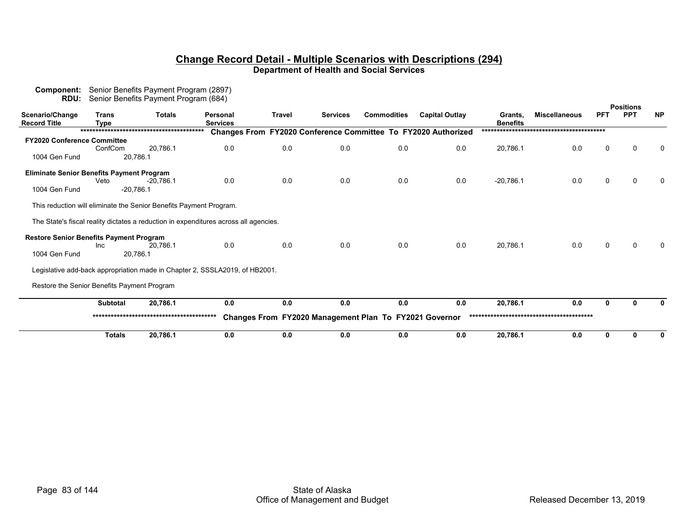| Component:<br>RDU:                               |                             | Senior Benefits Payment Program (2897)<br>Senior Benefits Payment Program (684) |                                                                                      |               |                 |                                                        |                                                               |                            |                      |            |                  |              |
|--------------------------------------------------|-----------------------------|---------------------------------------------------------------------------------|--------------------------------------------------------------------------------------|---------------|-----------------|--------------------------------------------------------|---------------------------------------------------------------|----------------------------|----------------------|------------|------------------|--------------|
|                                                  |                             |                                                                                 |                                                                                      |               |                 |                                                        |                                                               |                            |                      |            | <b>Positions</b> |              |
| Scenario/Change<br><b>Record Title</b>           | <b>Trans</b><br><b>Type</b> | <b>Totals</b>                                                                   | <b>Personal</b><br><b>Services</b>                                                   | <b>Travel</b> | <b>Services</b> | <b>Commodities</b>                                     | <b>Capital Outlay</b>                                         | Grants,<br><b>Benefits</b> | <b>Miscellaneous</b> | <b>PFT</b> | <b>PPT</b>       | <b>NP</b>    |
|                                                  |                             |                                                                                 |                                                                                      |               |                 |                                                        | Changes From FY2020 Conference Committee To FY2020 Authorized |                            |                      |            |                  |              |
| <b>FY2020 Conference Committee</b>               |                             |                                                                                 |                                                                                      |               |                 |                                                        |                                                               |                            |                      |            |                  |              |
|                                                  | ConfCom                     | 20.786.1                                                                        | 0.0                                                                                  | 0.0           | 0.0             | 0.0                                                    | 0.0                                                           | 20,786.1                   | 0.0                  | 0          |                  | $\Omega$     |
| 1004 Gen Fund                                    |                             | 20,786.1                                                                        |                                                                                      |               |                 |                                                        |                                                               |                            |                      |            |                  |              |
|                                                  |                             |                                                                                 |                                                                                      |               |                 |                                                        |                                                               |                            |                      |            |                  |              |
| <b>Eliminate Senior Benefits Payment Program</b> | Veto                        | $-20.786.1$                                                                     | 0.0                                                                                  | 0.0           | 0.0             | 0.0                                                    |                                                               | $-20,786.1$                | 0.0                  | $\Omega$   | <sup>0</sup>     |              |
| 1004 Gen Fund                                    |                             | $-20,786.1$                                                                     |                                                                                      |               |                 |                                                        | 0.0                                                           |                            |                      |            |                  |              |
|                                                  |                             |                                                                                 |                                                                                      |               |                 |                                                        |                                                               |                            |                      |            |                  |              |
|                                                  |                             | This reduction will eliminate the Senior Benefits Payment Program.              |                                                                                      |               |                 |                                                        |                                                               |                            |                      |            |                  |              |
|                                                  |                             |                                                                                 | The State's fiscal reality dictates a reduction in expenditures across all agencies. |               |                 |                                                        |                                                               |                            |                      |            |                  |              |
| <b>Restore Senior Benefits Payment Program</b>   |                             |                                                                                 |                                                                                      |               |                 |                                                        |                                                               |                            |                      |            |                  |              |
|                                                  | Inc                         | 20.786.1                                                                        | 0.0                                                                                  | 0.0           | 0.0             | 0.0                                                    | 0.0                                                           | 20,786.1                   | 0.0                  | U          |                  |              |
| 1004 Gen Fund                                    |                             | 20,786.1                                                                        |                                                                                      |               |                 |                                                        |                                                               |                            |                      |            |                  |              |
|                                                  |                             |                                                                                 | Legislative add-back appropriation made in Chapter 2, SSSLA2019, of HB2001.          |               |                 |                                                        |                                                               |                            |                      |            |                  |              |
| Restore the Senior Benefits Payment Program      |                             |                                                                                 |                                                                                      |               |                 |                                                        |                                                               |                            |                      |            |                  |              |
|                                                  |                             |                                                                                 |                                                                                      |               |                 |                                                        |                                                               |                            |                      |            |                  |              |
|                                                  | <b>Subtotal</b>             | 20,786.1                                                                        | 0.0                                                                                  | 0.0           | 0.0             | 0.0                                                    | 0.0                                                           | 20,786.1                   | 0.0                  | U          | ŋ                | <sup>0</sup> |
|                                                  |                             |                                                                                 |                                                                                      |               |                 | Changes From FY2020 Management Plan To FY2021 Governor |                                                               |                            |                      |            |                  |              |
|                                                  | <b>Totals</b>               | 20,786.1                                                                        | 0.0                                                                                  | 0.0           | 0.0             | 0.0                                                    | 0.0                                                           | 20,786.1                   | 0.0                  | 0          | 0                | 0            |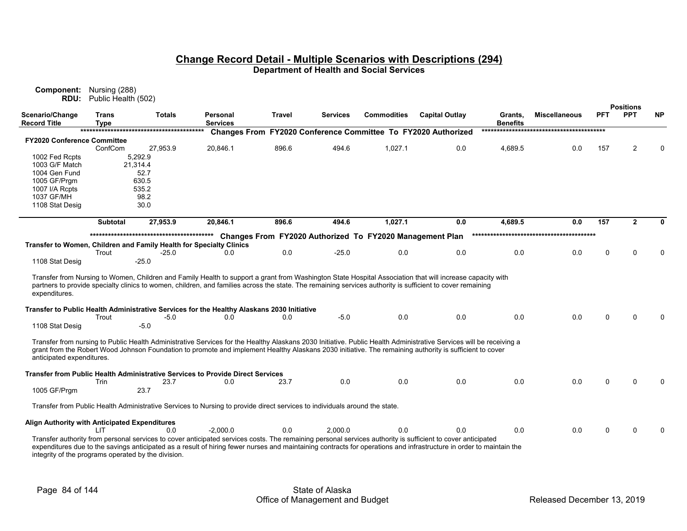| Component:<br>RDU:                                                  | Nursing (288)<br>Public Health (502) |               |                                                                                                                                                                                                                                                                                                                                    |               |                 |                                                          |                                                  |                            |                      |     |                                |           |
|---------------------------------------------------------------------|--------------------------------------|---------------|------------------------------------------------------------------------------------------------------------------------------------------------------------------------------------------------------------------------------------------------------------------------------------------------------------------------------------|---------------|-----------------|----------------------------------------------------------|--------------------------------------------------|----------------------------|----------------------|-----|--------------------------------|-----------|
| Scenario/Change<br><b>Record Title</b>                              | <b>Trans</b><br><b>Type</b>          | <b>Totals</b> | Personal<br><b>Services</b>                                                                                                                                                                                                                                                                                                        | <b>Travel</b> | <b>Services</b> | <b>Commodities</b>                                       | <b>Capital Outlay</b>                            | Grants.<br><b>Benefits</b> | <b>Miscellaneous</b> | PFT | <b>Positions</b><br><b>PPT</b> | <b>NP</b> |
|                                                                     |                                      |               | <b>Changes From</b>                                                                                                                                                                                                                                                                                                                |               |                 |                                                          | FY2020 Conference Committee To FY2020 Authorized |                            |                      |     |                                |           |
| <b>FY2020 Conference Committee</b>                                  |                                      |               |                                                                                                                                                                                                                                                                                                                                    |               |                 |                                                          |                                                  |                            |                      |     |                                |           |
|                                                                     | ConfCom                              | 27,953.9      | 20,846.1                                                                                                                                                                                                                                                                                                                           | 896.6         | 494.6           | 1,027.1                                                  | 0.0                                              | 4,689.5                    | 0.0                  | 157 | $\overline{2}$                 | $\Omega$  |
| 1002 Fed Rcpts                                                      |                                      | 5,292.9       |                                                                                                                                                                                                                                                                                                                                    |               |                 |                                                          |                                                  |                            |                      |     |                                |           |
| 1003 G/F Match                                                      |                                      | 21,314.4      |                                                                                                                                                                                                                                                                                                                                    |               |                 |                                                          |                                                  |                            |                      |     |                                |           |
| 1004 Gen Fund                                                       |                                      | 52.7          |                                                                                                                                                                                                                                                                                                                                    |               |                 |                                                          |                                                  |                            |                      |     |                                |           |
| 1005 GF/Prgm                                                        |                                      | 630.5         |                                                                                                                                                                                                                                                                                                                                    |               |                 |                                                          |                                                  |                            |                      |     |                                |           |
| 1007 I/A Rcpts                                                      |                                      | 535.2         |                                                                                                                                                                                                                                                                                                                                    |               |                 |                                                          |                                                  |                            |                      |     |                                |           |
| 1037 GF/MH                                                          |                                      | 98.2          |                                                                                                                                                                                                                                                                                                                                    |               |                 |                                                          |                                                  |                            |                      |     |                                |           |
| 1108 Stat Desig                                                     |                                      | 30.0          |                                                                                                                                                                                                                                                                                                                                    |               |                 |                                                          |                                                  |                            |                      |     |                                |           |
|                                                                     |                                      |               |                                                                                                                                                                                                                                                                                                                                    |               |                 |                                                          |                                                  |                            |                      |     |                                |           |
|                                                                     | <b>Subtotal</b>                      | 27,953.9      | 20,846.1                                                                                                                                                                                                                                                                                                                           | 896.6         | 494.6           | 1,027.1                                                  | 0.0                                              | 4,689.5                    | 0.0                  | 157 | $\overline{2}$                 | 0         |
|                                                                     |                                      |               |                                                                                                                                                                                                                                                                                                                                    |               |                 |                                                          |                                                  |                            |                      |     |                                |           |
|                                                                     |                                      |               |                                                                                                                                                                                                                                                                                                                                    |               |                 | Changes From FY2020 Authorized To FY2020 Management Plan |                                                  |                            |                      |     |                                |           |
| Transfer to Women, Children and Family Health for Specialty Clinics | Trout                                | $-25.0$       | 0.0                                                                                                                                                                                                                                                                                                                                | 0.0           | $-25.0$         | 0.0                                                      | 0.0                                              | 0.0                        | 0.0                  | 0   | $\Omega$                       | $\Omega$  |
| 1108 Stat Desig                                                     |                                      | -25.0         |                                                                                                                                                                                                                                                                                                                                    |               |                 |                                                          |                                                  |                            |                      |     |                                |           |
|                                                                     |                                      |               |                                                                                                                                                                                                                                                                                                                                    |               |                 |                                                          |                                                  |                            |                      |     |                                |           |
| expenditures.                                                       |                                      |               | Transfer from Nursing to Women, Children and Family Health to support a grant from Washington State Hospital Association that will increase capacity with<br>partners to provide specialty clinics to women, children, and families across the state. The remaining services authority is sufficient to cover remaining            |               |                 |                                                          |                                                  |                            |                      |     |                                |           |
|                                                                     |                                      |               | Transfer to Public Health Administrative Services for the Healthy Alaskans 2030 Initiative                                                                                                                                                                                                                                         |               |                 |                                                          |                                                  |                            |                      |     |                                |           |
|                                                                     | Trout                                | $-5.0$        | 0.0                                                                                                                                                                                                                                                                                                                                | 0.0           | $-5.0$          | 0.0                                                      | 0.0                                              | 0.0                        | 0.0                  | 0   | $\Omega$                       |           |
| 1108 Stat Desig                                                     |                                      | $-5.0$        |                                                                                                                                                                                                                                                                                                                                    |               |                 |                                                          |                                                  |                            |                      |     |                                |           |
|                                                                     |                                      |               |                                                                                                                                                                                                                                                                                                                                    |               |                 |                                                          |                                                  |                            |                      |     |                                |           |
| anticipated expenditures.                                           |                                      |               | Transfer from nursing to Public Health Administrative Services for the Healthy Alaskans 2030 Initiative. Public Health Administrative Services will be receiving a<br>grant from the Robert Wood Johnson Foundation to promote and implement Healthy Alaskans 2030 initiative. The remaining authority is sufficient to cover      |               |                 |                                                          |                                                  |                            |                      |     |                                |           |
|                                                                     | Trin                                 | 23.7          | Transfer from Public Health Administrative Services to Provide Direct Services<br>0.0                                                                                                                                                                                                                                              | 23.7          | 0.0             | 0.0                                                      | 0.0                                              | 0.0                        | 0.0                  | 0   | $\Omega$                       |           |
| 1005 GF/Prgm                                                        |                                      | 23.7          |                                                                                                                                                                                                                                                                                                                                    |               |                 |                                                          |                                                  |                            |                      |     |                                |           |
|                                                                     |                                      |               |                                                                                                                                                                                                                                                                                                                                    |               |                 |                                                          |                                                  |                            |                      |     |                                |           |
|                                                                     |                                      |               | Transfer from Public Health Administrative Services to Nursing to provide direct services to individuals around the state.                                                                                                                                                                                                         |               |                 |                                                          |                                                  |                            |                      |     |                                |           |
| Align Authority with Anticipated Expenditures                       |                                      |               |                                                                                                                                                                                                                                                                                                                                    |               |                 |                                                          |                                                  |                            |                      |     |                                |           |
|                                                                     | LIT                                  | 0.0           | $-2,000.0$                                                                                                                                                                                                                                                                                                                         | 0.0           | 2,000.0         | 0.0                                                      | 0.0                                              | 0.0                        | 0.0                  | 0   | $\mathbf{0}$                   | $\Omega$  |
| integrity of the programs operated by the division.                 |                                      |               | Transfer authority from personal services to cover anticipated services costs. The remaining personal services authority is sufficient to cover anticipated<br>expenditures due to the savings anticipated as a result of hiring fewer nurses and maintaining contracts for operations and infrastructure in order to maintain the |               |                 |                                                          |                                                  |                            |                      |     |                                |           |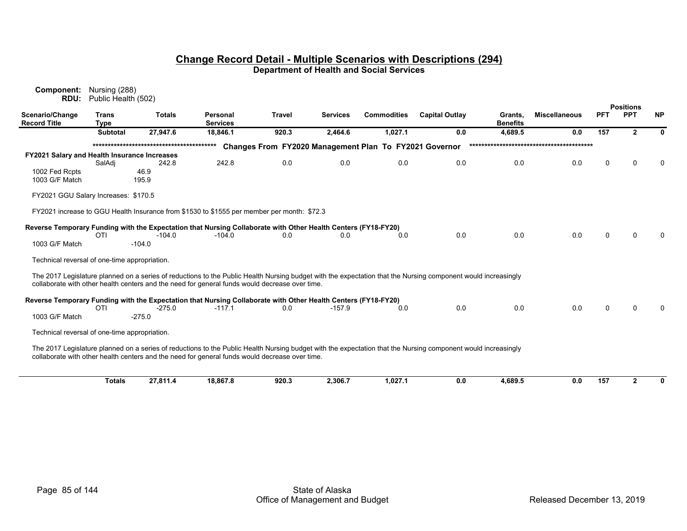| Component:<br>RDU:                            | Nursing (288)<br>Public Health (502) |                      |                                                                                                               |               |                 |                                                        |                                                                                                                                                               |                            |                      |            |                                |              |
|-----------------------------------------------|--------------------------------------|----------------------|---------------------------------------------------------------------------------------------------------------|---------------|-----------------|--------------------------------------------------------|---------------------------------------------------------------------------------------------------------------------------------------------------------------|----------------------------|----------------------|------------|--------------------------------|--------------|
| Scenario/Change<br><b>Record Title</b>        | <b>Trans</b><br><b>Type</b>          | <b>Totals</b>        | <b>Personal</b><br><b>Services</b>                                                                            | <b>Travel</b> | <b>Services</b> | <b>Commodities</b>                                     | <b>Capital Outlay</b>                                                                                                                                         | Grants.<br><b>Benefits</b> | <b>Miscellaneous</b> | <b>PFT</b> | <b>Positions</b><br><b>PPT</b> | <b>NP</b>    |
|                                               | <b>Subtotal</b>                      | 27,947.6             | 18,846.1                                                                                                      | 920.3         | 2,464.6         | 1,027.1                                                | 0.0                                                                                                                                                           | 4,689.5                    | 0.0                  | 157        | $\mathbf{2}$                   | 0            |
|                                               |                                      |                      |                                                                                                               |               |                 | Changes From FY2020 Management Plan To FY2021 Governor |                                                                                                                                                               |                            |                      |            |                                |              |
| FY2021 Salary and Health Insurance Increases  |                                      |                      |                                                                                                               |               |                 |                                                        |                                                                                                                                                               |                            |                      |            |                                |              |
|                                               | SalAdj                               | 242.8                | 242.8                                                                                                         | 0.0           | 0.0             | 0.0                                                    | 0.0                                                                                                                                                           | 0.0                        | 0.0                  | $\Omega$   | U                              | <sup>0</sup> |
| 1002 Fed Rcpts<br>1003 G/F Match              |                                      | 46.9<br>195.9        |                                                                                                               |               |                 |                                                        |                                                                                                                                                               |                            |                      |            |                                |              |
| FY2021 GGU Salary Increases: \$170.5          |                                      |                      |                                                                                                               |               |                 |                                                        |                                                                                                                                                               |                            |                      |            |                                |              |
|                                               |                                      |                      | FY2021 increase to GGU Health Insurance from \$1530 to \$1555 per member per month: \$72.3                    |               |                 |                                                        |                                                                                                                                                               |                            |                      |            |                                |              |
|                                               |                                      |                      | Reverse Temporary Funding with the Expectation that Nursing Collaborate with Other Health Centers (FY18-FY20) |               |                 |                                                        |                                                                                                                                                               |                            |                      |            |                                |              |
| 1003 G/F Match                                | OTI                                  | $-104.0$<br>$-104.0$ | $-104.0$                                                                                                      | 0.0           | 0.0             | 0.0                                                    | 0.0                                                                                                                                                           | 0.0                        | 0.0                  | $\Omega$   | $\Omega$                       | n            |
| Technical reversal of one-time appropriation. |                                      |                      |                                                                                                               |               |                 |                                                        |                                                                                                                                                               |                            |                      |            |                                |              |
|                                               |                                      |                      | collaborate with other health centers and the need for general funds would decrease over time.                |               |                 |                                                        | The 2017 Legislature planned on a series of reductions to the Public Health Nursing budget with the expectation that the Nursing component would increasingly |                            |                      |            |                                |              |
|                                               |                                      |                      | Reverse Temporary Funding with the Expectation that Nursing Collaborate with Other Health Centers (FY18-FY20) |               |                 |                                                        |                                                                                                                                                               |                            |                      |            |                                |              |
|                                               | OTI                                  | $-275.0$             | $-117.1$                                                                                                      | 0.0           | $-157.9$        | 0.0                                                    | 0.0                                                                                                                                                           | 0.0                        | 0.0                  | $\Omega$   | 0                              |              |
| 1003 G/F Match                                |                                      | $-275.0$             |                                                                                                               |               |                 |                                                        |                                                                                                                                                               |                            |                      |            |                                |              |
| Technical reversal of one-time appropriation. |                                      |                      |                                                                                                               |               |                 |                                                        |                                                                                                                                                               |                            |                      |            |                                |              |
|                                               |                                      |                      | collaborate with other health centers and the need for general funds would decrease over time.                |               |                 |                                                        | The 2017 Legislature planned on a series of reductions to the Public Health Nursing budget with the expectation that the Nursing component would increasingly |                            |                      |            |                                |              |
|                                               | <b>Totals</b>                        | 27,811.4             | 18,867.8                                                                                                      | 920.3         | 2,306.7         | 1,027.1                                                | 0.0                                                                                                                                                           | 4,689.5                    | 0.0                  | 157        | $\overline{2}$                 | $\bf{0}$     |
|                                               |                                      |                      |                                                                                                               |               |                 |                                                        |                                                                                                                                                               |                            |                      |            |                                |              |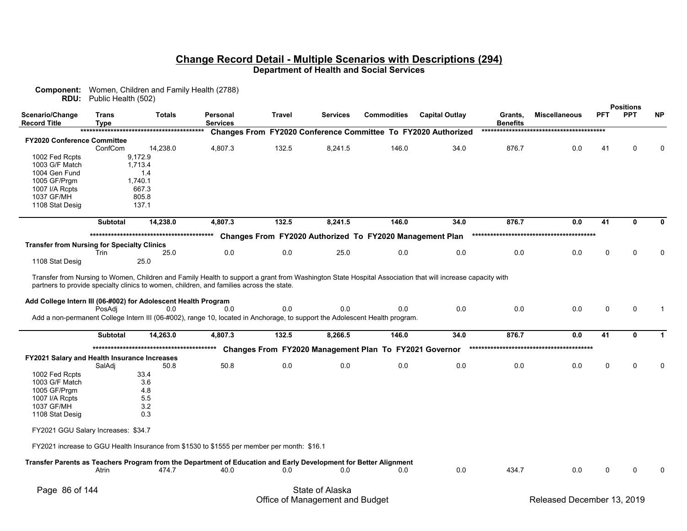| <b>RDU:</b>                                                    | Public Health (502)         | <b>Component:</b> Women, Children and Family Health (2788) |                                                                                                                                    |               |                 |                                                          |                                                               |                            |                      |             |                                |                |
|----------------------------------------------------------------|-----------------------------|------------------------------------------------------------|------------------------------------------------------------------------------------------------------------------------------------|---------------|-----------------|----------------------------------------------------------|---------------------------------------------------------------|----------------------------|----------------------|-------------|--------------------------------|----------------|
| Scenario/Change<br><b>Record Title</b>                         | <b>Trans</b><br><b>Type</b> | <b>Totals</b>                                              | Personal<br><b>Services</b>                                                                                                        | <b>Travel</b> | <b>Services</b> | <b>Commodities</b>                                       | <b>Capital Outlay</b>                                         | Grants,<br><b>Benefits</b> | <b>Miscellaneous</b> | <b>PFT</b>  | <b>Positions</b><br><b>PPT</b> | <b>NP</b>      |
|                                                                |                             |                                                            |                                                                                                                                    |               |                 |                                                          | Changes From FY2020 Conference Committee To FY2020 Authorized |                            |                      |             |                                |                |
| <b>FY2020 Conference Committee</b>                             |                             |                                                            |                                                                                                                                    |               |                 |                                                          |                                                               |                            |                      |             |                                |                |
| 1002 Fed Rcpts                                                 | ConfCom                     | 14,238.0<br>9,172.9                                        | 4,807.3                                                                                                                            | 132.5         | 8,241.5         | 146.0                                                    | 34.0                                                          | 876.7                      | 0.0                  | 41          | $\Omega$                       | $\Omega$       |
| 1003 G/F Match                                                 |                             | 1,713.4                                                    |                                                                                                                                    |               |                 |                                                          |                                                               |                            |                      |             |                                |                |
| 1004 Gen Fund                                                  |                             | 1.4                                                        |                                                                                                                                    |               |                 |                                                          |                                                               |                            |                      |             |                                |                |
| 1005 GF/Prgm                                                   |                             | 1,740.1                                                    |                                                                                                                                    |               |                 |                                                          |                                                               |                            |                      |             |                                |                |
| 1007 I/A Rcpts                                                 |                             | 667.3                                                      |                                                                                                                                    |               |                 |                                                          |                                                               |                            |                      |             |                                |                |
| 1037 GF/MH                                                     |                             | 805.8                                                      |                                                                                                                                    |               |                 |                                                          |                                                               |                            |                      |             |                                |                |
| 1108 Stat Desig                                                |                             | 137.1                                                      |                                                                                                                                    |               |                 |                                                          |                                                               |                            |                      |             |                                |                |
|                                                                | <b>Subtotal</b>             | 14,238.0                                                   | 4,807.3                                                                                                                            | 132.5         | 8,241.5         | 146.0                                                    | 34.0                                                          | 876.7                      | 0.0                  | 41          | 0                              | 0              |
|                                                                |                             |                                                            |                                                                                                                                    |               |                 | Changes From FY2020 Authorized To FY2020 Management Plan |                                                               |                            |                      |             |                                |                |
| <b>Transfer from Nursing for Specialty Clinics</b>             |                             |                                                            |                                                                                                                                    |               |                 |                                                          |                                                               |                            |                      |             |                                |                |
|                                                                | Trin                        | 25.0                                                       | 0.0                                                                                                                                | 0.0           | 25.0            | 0.0                                                      | 0.0                                                           | 0.0                        | 0.0                  | 0           | ∩                              | O              |
| 1108 Stat Desig                                                |                             | 25.0                                                       |                                                                                                                                    |               |                 |                                                          |                                                               |                            |                      |             |                                |                |
| Add College Intern III (06-#002) for Adolescent Health Program | PosAdi                      | 0.0                                                        | 0.0<br>Add a non-permanent College Intern III (06-#002), range 10, located in Anchorage, to support the Adolescent Health program. | 0.0           | 0.0             | 0.0                                                      | 0.0                                                           | 0.0                        | 0.0                  | 0           | 0                              | $\overline{1}$ |
|                                                                | <b>Subtotal</b>             | 14,263.0                                                   | 4,807.3                                                                                                                            | 132.5         | 8,266.5         | 146.0                                                    | 34.0                                                          | 876.7                      | 0.0                  | 41          | $\mathbf{0}$                   | $\mathbf 1$    |
|                                                                |                             |                                                            |                                                                                                                                    |               |                 | Changes From FY2020 Management Plan To FY2021 Governor   |                                                               |                            |                      |             |                                |                |
| <b>FY2021 Salary and Health Insurance Increases</b>            |                             |                                                            |                                                                                                                                    |               |                 |                                                          |                                                               |                            |                      |             |                                |                |
|                                                                | SalAdj                      | 50.8                                                       | 50.8                                                                                                                               | 0.0           | 0.0             | 0.0                                                      | 0.0                                                           | 0.0                        | 0.0                  | $\mathbf 0$ | n                              |                |
| 1002 Fed Rcpts                                                 |                             | 33.4                                                       |                                                                                                                                    |               |                 |                                                          |                                                               |                            |                      |             |                                |                |
| 1003 G/F Match                                                 |                             | 3.6<br>4.8                                                 |                                                                                                                                    |               |                 |                                                          |                                                               |                            |                      |             |                                |                |
| 1005 GF/Prgm<br>1007 I/A Rcpts                                 |                             | 5.5                                                        |                                                                                                                                    |               |                 |                                                          |                                                               |                            |                      |             |                                |                |
| 1037 GF/MH                                                     |                             | 3.2                                                        |                                                                                                                                    |               |                 |                                                          |                                                               |                            |                      |             |                                |                |
| 1108 Stat Desig                                                |                             | 0.3                                                        |                                                                                                                                    |               |                 |                                                          |                                                               |                            |                      |             |                                |                |
| FY2021 GGU Salary Increases: \$34.7                            |                             |                                                            |                                                                                                                                    |               |                 |                                                          |                                                               |                            |                      |             |                                |                |
|                                                                |                             |                                                            | FY2021 increase to GGU Health Insurance from \$1530 to \$1555 per member per month: \$16.1                                         |               |                 |                                                          |                                                               |                            |                      |             |                                |                |
|                                                                |                             |                                                            | Transfer Parents as Teachers Program from the Department of Education and Early Development for Better Alignment                   |               |                 |                                                          |                                                               |                            |                      |             |                                |                |
|                                                                | Atrin                       | 474.7                                                      | 40.0                                                                                                                               | 0.0           | 0.0             | 0.0                                                      | $0.0\,$                                                       | 434.7                      | 0.0                  | 0           | ∩                              |                |
|                                                                |                             |                                                            |                                                                                                                                    |               |                 |                                                          |                                                               |                            |                      |             |                                |                |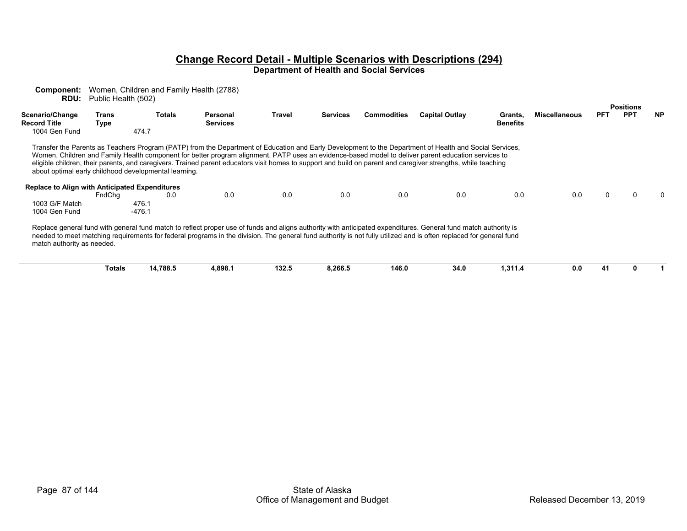| Component:<br>RDU:                             | Public Health (502) | Women, Children and Family Health (2788)              |                             |        |                 |                    |                                                                                                                                                                                                                                                                                                                                                                                                                                                                                 |                            |                      |            |                  |           |
|------------------------------------------------|---------------------|-------------------------------------------------------|-----------------------------|--------|-----------------|--------------------|---------------------------------------------------------------------------------------------------------------------------------------------------------------------------------------------------------------------------------------------------------------------------------------------------------------------------------------------------------------------------------------------------------------------------------------------------------------------------------|----------------------------|----------------------|------------|------------------|-----------|
|                                                |                     |                                                       |                             |        |                 |                    |                                                                                                                                                                                                                                                                                                                                                                                                                                                                                 |                            |                      |            | <b>Positions</b> |           |
| Scenario/Change<br><b>Record Title</b>         | Trans               | <b>Totals</b>                                         | Personal<br><b>Services</b> | Travel | <b>Services</b> | <b>Commodities</b> | <b>Capital Outlay</b>                                                                                                                                                                                                                                                                                                                                                                                                                                                           | Grants,<br><b>Benefits</b> | <b>Miscellaneous</b> | <b>PFT</b> | <b>PPT</b>       | <b>NP</b> |
| 1004 Gen Fund                                  | Type                | 474.7                                                 |                             |        |                 |                    |                                                                                                                                                                                                                                                                                                                                                                                                                                                                                 |                            |                      |            |                  |           |
|                                                |                     |                                                       |                             |        |                 |                    |                                                                                                                                                                                                                                                                                                                                                                                                                                                                                 |                            |                      |            |                  |           |
|                                                |                     | about optimal early childhood developmental learning. |                             |        |                 |                    | Transfer the Parents as Teachers Program (PATP) from the Department of Education and Early Development to the Department of Health and Social Services,<br>Women, Children and Family Health component for better program alignment. PATP uses an evidence-based model to deliver parent education services to<br>eligible children, their parents, and caregivers. Trained parent educators visit homes to support and build on parent and caregiver strengths, while teaching |                            |                      |            |                  |           |
|                                                |                     |                                                       |                             |        |                 |                    |                                                                                                                                                                                                                                                                                                                                                                                                                                                                                 |                            |                      |            |                  |           |
| Replace to Align with Anticipated Expenditures | FndChq              | 0.0                                                   | 0.0                         | 0.0    | 0.0             | 0.0                | 0.0                                                                                                                                                                                                                                                                                                                                                                                                                                                                             | 0.0                        | 0.0                  |            |                  |           |
| 1003 G/F Match                                 |                     | 476.1                                                 |                             |        |                 |                    |                                                                                                                                                                                                                                                                                                                                                                                                                                                                                 |                            |                      |            |                  |           |
| 1004 Gen Fund                                  |                     | $-476.1$                                              |                             |        |                 |                    |                                                                                                                                                                                                                                                                                                                                                                                                                                                                                 |                            |                      |            |                  |           |
| match authority as needed.                     |                     |                                                       |                             |        |                 |                    | Replace general fund with general fund match to reflect proper use of funds and aligns authority with anticipated expenditures. General fund match authority is<br>needed to meet matching requirements for federal programs in the division. The general fund authority is not fully utilized and is often replaced for general fund                                                                                                                                           |                            |                      |            |                  |           |
|                                                | Totals              | 14,788.5                                              | 4,898.1                     | 132.5  | 8,266.5         | 146.0              | 34.0                                                                                                                                                                                                                                                                                                                                                                                                                                                                            | 1,311.4                    | 0.0                  | 41         |                  |           |
|                                                |                     |                                                       |                             |        |                 |                    |                                                                                                                                                                                                                                                                                                                                                                                                                                                                                 |                            |                      |            |                  |           |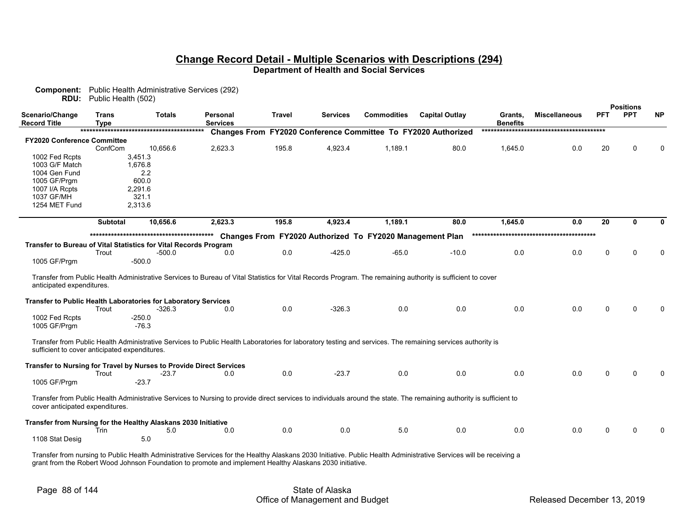| <b>RDU:</b>                                                         | Public Health (502) | <b>Component:</b> Public Health Administrative Services (292) |                             |               |                 |                                                          |                                                                                                                                                                     |                            |                      |            |                                |           |
|---------------------------------------------------------------------|---------------------|---------------------------------------------------------------|-----------------------------|---------------|-----------------|----------------------------------------------------------|---------------------------------------------------------------------------------------------------------------------------------------------------------------------|----------------------------|----------------------|------------|--------------------------------|-----------|
| Scenario/Change<br>Record Title                                     | Trans<br>Type       | <b>Totals</b>                                                 | Personal<br><b>Services</b> | <b>Travel</b> | <b>Services</b> | <b>Commodities</b>                                       | <b>Capital Outlay</b>                                                                                                                                               | Grants,<br><b>Benefits</b> | <b>Miscellaneous</b> | <b>PFT</b> | <b>Positions</b><br><b>PPT</b> | <b>NP</b> |
|                                                                     |                     |                                                               | <b>Changes From</b>         |               |                 |                                                          | FY2020 Conference Committee To FY2020 Authorized                                                                                                                    |                            |                      |            |                                |           |
| FY2020 Conference Committee                                         |                     |                                                               |                             |               |                 |                                                          |                                                                                                                                                                     |                            |                      |            |                                |           |
|                                                                     | ConfCom             | 10,656.6                                                      | 2,623.3                     | 195.8         | 4,923.4         | 1,189.1                                                  | 80.0                                                                                                                                                                | 1,645.0                    | 0.0                  | 20         | $\Omega$                       | $\Omega$  |
| 1002 Fed Rcpts                                                      |                     | 3,451.3                                                       |                             |               |                 |                                                          |                                                                                                                                                                     |                            |                      |            |                                |           |
| 1003 G/F Match                                                      |                     | 1,676.8                                                       |                             |               |                 |                                                          |                                                                                                                                                                     |                            |                      |            |                                |           |
| 1004 Gen Fund                                                       |                     | 2.2                                                           |                             |               |                 |                                                          |                                                                                                                                                                     |                            |                      |            |                                |           |
| 1005 GF/Prgm                                                        |                     | 600.0                                                         |                             |               |                 |                                                          |                                                                                                                                                                     |                            |                      |            |                                |           |
| 1007 I/A Rcpts                                                      |                     | 2,291.6                                                       |                             |               |                 |                                                          |                                                                                                                                                                     |                            |                      |            |                                |           |
| 1037 GF/MH                                                          |                     | 321.1                                                         |                             |               |                 |                                                          |                                                                                                                                                                     |                            |                      |            |                                |           |
| 1254 MET Fund                                                       |                     | 2,313.6                                                       |                             |               |                 |                                                          |                                                                                                                                                                     |                            |                      |            |                                |           |
|                                                                     | <b>Subtotal</b>     | 10.656.6                                                      | 2,623.3                     | 195.8         | 4,923.4         | 1.189.1                                                  | 80.0                                                                                                                                                                | 1.645.0                    | 0.0                  | 20         | 0                              | 0         |
|                                                                     |                     |                                                               |                             |               |                 | Changes From FY2020 Authorized To FY2020 Management Plan |                                                                                                                                                                     |                            |                      |            |                                |           |
| Transfer to Bureau of Vital Statistics for Vital Records Program    |                     |                                                               |                             |               |                 |                                                          |                                                                                                                                                                     |                            |                      |            |                                |           |
|                                                                     | Trout               | $-500.0$                                                      | 0.0                         | 0.0           | $-425.0$        | $-65.0$                                                  | $-10.0$                                                                                                                                                             | 0.0                        | 0.0                  | $\Omega$   | O                              | $\Omega$  |
| 1005 GF/Prgm                                                        |                     | $-500.0$                                                      |                             |               |                 |                                                          |                                                                                                                                                                     |                            |                      |            |                                |           |
| anticipated expenditures.                                           |                     |                                                               |                             |               |                 |                                                          | Transfer from Public Health Administrative Services to Bureau of Vital Statistics for Vital Records Program. The remaining authority is sufficient to cover         |                            |                      |            |                                |           |
| Transfer to Public Health Laboratories for Laboratory Services      | Trout               | $-326.3$                                                      | 0.0                         | 0.0           | $-326.3$        | 0.0                                                      | 0.0                                                                                                                                                                 | 0.0                        | 0.0                  | $\Omega$   |                                |           |
| 1002 Fed Rcpts                                                      |                     | -250.0                                                        |                             |               |                 |                                                          |                                                                                                                                                                     |                            |                      |            |                                |           |
| 1005 GF/Prgm                                                        |                     | $-76.3$                                                       |                             |               |                 |                                                          |                                                                                                                                                                     |                            |                      |            |                                |           |
| sufficient to cover anticipated expenditures.                       |                     |                                                               |                             |               |                 |                                                          | Transfer from Public Health Administrative Services to Public Health Laboratories for laboratory testing and services. The remaining services authority is          |                            |                      |            |                                |           |
| Transfer to Nursing for Travel by Nurses to Provide Direct Services |                     |                                                               |                             |               |                 |                                                          |                                                                                                                                                                     |                            |                      |            |                                |           |
|                                                                     | Trout               | $-23.7$                                                       | 0.0                         | 0.0           | $-23.7$         | 0.0                                                      | 0.0                                                                                                                                                                 | 0.0                        | 0.0                  | $\Omega$   |                                |           |
| 1005 GF/Prgm                                                        |                     | -23.7                                                         |                             |               |                 |                                                          |                                                                                                                                                                     |                            |                      |            |                                |           |
| cover anticipated expenditures.                                     |                     |                                                               |                             |               |                 |                                                          | Transfer from Public Health Administrative Services to Nursing to provide direct services to individuals around the state. The remaining authority is sufficient to |                            |                      |            |                                |           |
| Transfer from Nursing for the Healthy Alaskans 2030 Initiative      |                     |                                                               |                             |               |                 |                                                          |                                                                                                                                                                     |                            |                      |            |                                |           |
|                                                                     | Trin                | 5.0                                                           | 0.0                         | 0.0           | 0.0             | 5.0                                                      | 0.0                                                                                                                                                                 | 0.0                        | 0.0                  | $\Omega$   | U                              |           |
| 1108 Stat Desig                                                     |                     | 5.0                                                           |                             |               |                 |                                                          |                                                                                                                                                                     |                            |                      |            |                                |           |
|                                                                     |                     |                                                               |                             |               |                 |                                                          | Transfer from purcing to Dublie Hoolth Administrative Comises for the Hoolthy Algelrane 2020 Initiative Dublie Hoolth Administrative Comises will be reaching a     |                            |                      |            |                                |           |

Transfer from nursing to Public Health Administrative Services for the Healthy Alaskans 2030 Initiative. Public Health Administrative Services will be receiving a grant from the Robert Wood Johnson Foundation to promote and implement Healthy Alaskans 2030 initiative.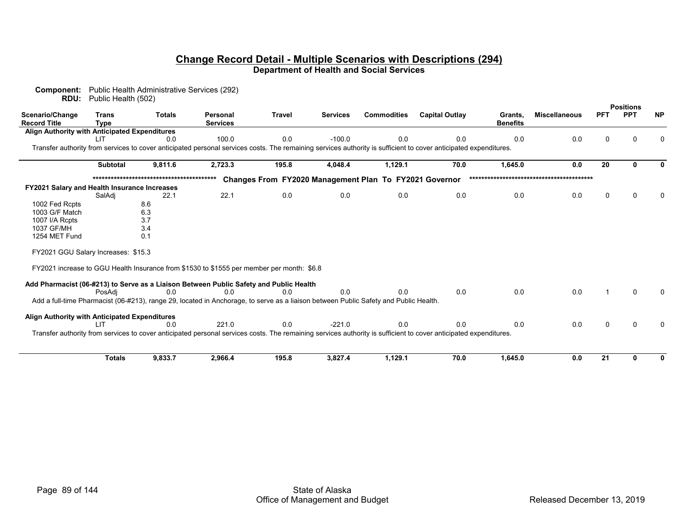| Component:<br>RDU:                            | Public Health (502)         | Public Health Administrative Services (292) |                                                                                                                                      |               |                 |                                                        |                                                                                                                                                                  |                            |                      |             |                                |           |
|-----------------------------------------------|-----------------------------|---------------------------------------------|--------------------------------------------------------------------------------------------------------------------------------------|---------------|-----------------|--------------------------------------------------------|------------------------------------------------------------------------------------------------------------------------------------------------------------------|----------------------------|----------------------|-------------|--------------------------------|-----------|
| Scenario/Change<br>Record Title               | <b>Trans</b><br><b>Type</b> | <b>Totals</b>                               | <b>Personal</b><br><b>Services</b>                                                                                                   | <b>Travel</b> | <b>Services</b> | <b>Commodities</b>                                     | <b>Capital Outlay</b>                                                                                                                                            | Grants,<br><b>Benefits</b> | <b>Miscellaneous</b> | <b>PFT</b>  | <b>Positions</b><br><b>PPT</b> | <b>NP</b> |
| Align Authority with Anticipated Expenditures |                             |                                             |                                                                                                                                      |               |                 |                                                        |                                                                                                                                                                  |                            |                      |             |                                |           |
|                                               | <b>LIT</b>                  | 0.0                                         | 100.0                                                                                                                                | 0.0           | $-100.0$        | 0.0                                                    | 0.0                                                                                                                                                              | 0.0                        | 0.0                  | 0           |                                |           |
|                                               |                             |                                             |                                                                                                                                      |               |                 |                                                        | Transfer authority from services to cover anticipated personal services costs. The remaining services authority is sufficient to cover anticipated expenditures. |                            |                      |             |                                |           |
|                                               | <b>Subtotal</b>             | 9,811.6                                     | 2,723.3                                                                                                                              | 195.8         | 4,048.4         | 1,129.1                                                | 70.0                                                                                                                                                             | 1,645.0                    | 0.0                  | 20          | $\Omega$                       |           |
|                                               |                             |                                             |                                                                                                                                      |               |                 | Changes From FY2020 Management Plan To FY2021 Governor |                                                                                                                                                                  |                            |                      |             |                                |           |
| FY2021 Salary and Health Insurance Increases  |                             |                                             |                                                                                                                                      |               |                 |                                                        |                                                                                                                                                                  |                            |                      |             |                                |           |
|                                               | SalAdi                      | 22.1                                        | 22.1                                                                                                                                 | 0.0           | 0.0             | 0.0                                                    | 0.0                                                                                                                                                              | 0.0                        | 0.0                  | $\Omega$    |                                |           |
| 1002 Fed Rcpts                                |                             | 8.6                                         |                                                                                                                                      |               |                 |                                                        |                                                                                                                                                                  |                            |                      |             |                                |           |
| 1003 G/F Match                                |                             | 6.3                                         |                                                                                                                                      |               |                 |                                                        |                                                                                                                                                                  |                            |                      |             |                                |           |
| 1007 I/A Rcpts                                |                             | 3.7                                         |                                                                                                                                      |               |                 |                                                        |                                                                                                                                                                  |                            |                      |             |                                |           |
| 1037 GF/MH                                    |                             | 3.4                                         |                                                                                                                                      |               |                 |                                                        |                                                                                                                                                                  |                            |                      |             |                                |           |
| 1254 MET Fund                                 |                             | 0.1                                         |                                                                                                                                      |               |                 |                                                        |                                                                                                                                                                  |                            |                      |             |                                |           |
| FY2021 GGU Salary Increases: \$15.3           |                             |                                             |                                                                                                                                      |               |                 |                                                        |                                                                                                                                                                  |                            |                      |             |                                |           |
|                                               |                             |                                             | FY2021 increase to GGU Health Insurance from \$1530 to \$1555 per member per month: \$6.8                                            |               |                 |                                                        |                                                                                                                                                                  |                            |                      |             |                                |           |
|                                               | PosAdi                      | 0.0                                         | Add Pharmacist (06-#213) to Serve as a Liaison Between Public Safety and Public Health<br>ი ი                                        | 0 O           | 0.0             | 0.0                                                    | 0.0                                                                                                                                                              | 0.0                        | 0.0                  |             |                                |           |
|                                               |                             |                                             | Add a full-time Pharmacist (06-#213), range 29, located in Anchorage, to serve as a liaison between Public Safety and Public Health. |               |                 |                                                        |                                                                                                                                                                  |                            |                      |             |                                |           |
| Align Authority with Anticipated Expenditures |                             |                                             |                                                                                                                                      |               |                 |                                                        |                                                                                                                                                                  |                            |                      |             |                                |           |
|                                               | <b>LIT</b>                  | 0.0                                         | 221.0                                                                                                                                | 0.0           | $-221.0$        | 0.0                                                    | 0.0                                                                                                                                                              | 0.0                        | 0.0                  | $\mathbf 0$ |                                |           |
|                                               |                             |                                             |                                                                                                                                      |               |                 |                                                        | Transfer authority from services to cover anticipated personal services costs. The remaining services authority is sufficient to cover anticipated expenditures. |                            |                      |             |                                |           |
|                                               |                             |                                             |                                                                                                                                      |               |                 |                                                        |                                                                                                                                                                  |                            |                      |             |                                |           |
|                                               | <b>Totals</b>               | 9,833.7                                     | 2,966.4                                                                                                                              | 195.8         | 3,827.4         | 1,129.1                                                | 70.0                                                                                                                                                             | 1,645.0                    | 0.0                  | 21          | $\Omega$                       |           |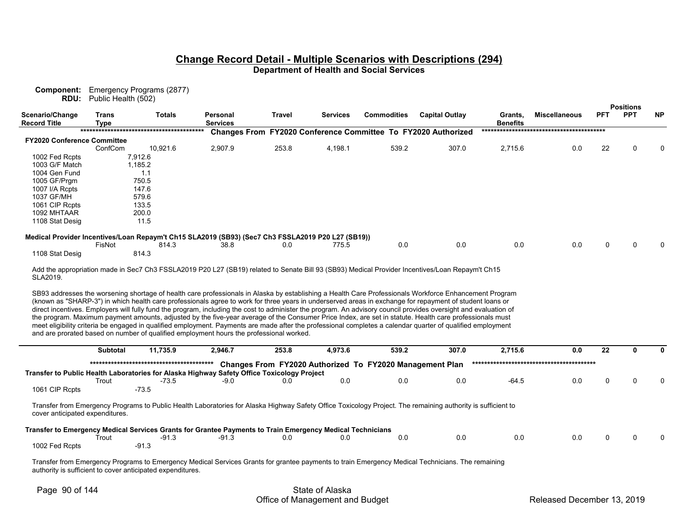| RDU:                                   | Public Health (502)         | <b>Component:</b> Emergency Programs (2877) |                                                                                                                                                                                                                                                                                                                                                                                                                                                                                                                                                                                                                                                                                                                                                                                                                                                                                                             |               |          |                    |       |                                                               |                            |                      |             |                  |           |
|----------------------------------------|-----------------------------|---------------------------------------------|-------------------------------------------------------------------------------------------------------------------------------------------------------------------------------------------------------------------------------------------------------------------------------------------------------------------------------------------------------------------------------------------------------------------------------------------------------------------------------------------------------------------------------------------------------------------------------------------------------------------------------------------------------------------------------------------------------------------------------------------------------------------------------------------------------------------------------------------------------------------------------------------------------------|---------------|----------|--------------------|-------|---------------------------------------------------------------|----------------------------|----------------------|-------------|------------------|-----------|
|                                        |                             |                                             |                                                                                                                                                                                                                                                                                                                                                                                                                                                                                                                                                                                                                                                                                                                                                                                                                                                                                                             |               |          |                    |       |                                                               |                            |                      |             | <b>Positions</b> |           |
| Scenario/Change<br><b>Record Title</b> | <b>Trans</b><br><b>Type</b> | <b>Totals</b>                               | <b>Personal</b><br><b>Services</b>                                                                                                                                                                                                                                                                                                                                                                                                                                                                                                                                                                                                                                                                                                                                                                                                                                                                          | <b>Travel</b> | Services | <b>Commodities</b> |       | <b>Capital Outlay</b>                                         | Grants,<br><b>Benefits</b> | <b>Miscellaneous</b> | <b>PFT</b>  | <b>PPT</b>       | <b>NP</b> |
|                                        |                             |                                             |                                                                                                                                                                                                                                                                                                                                                                                                                                                                                                                                                                                                                                                                                                                                                                                                                                                                                                             |               |          |                    |       | Changes From FY2020 Conference Committee To FY2020 Authorized |                            |                      |             |                  |           |
| <b>FY2020 Conference Committee</b>     |                             |                                             |                                                                                                                                                                                                                                                                                                                                                                                                                                                                                                                                                                                                                                                                                                                                                                                                                                                                                                             |               |          |                    |       |                                                               |                            |                      |             |                  |           |
|                                        | ConfCom                     | 10,921.6                                    | 2,907.9                                                                                                                                                                                                                                                                                                                                                                                                                                                                                                                                                                                                                                                                                                                                                                                                                                                                                                     | 253.8         | 4,198.1  |                    | 539.2 | 307.0                                                         | 2,715.6                    | 0.0                  | 22          |                  |           |
| 1002 Fed Rcpts                         |                             | 7,912.6                                     |                                                                                                                                                                                                                                                                                                                                                                                                                                                                                                                                                                                                                                                                                                                                                                                                                                                                                                             |               |          |                    |       |                                                               |                            |                      |             |                  |           |
| 1003 G/F Match                         |                             | 1,185.2                                     |                                                                                                                                                                                                                                                                                                                                                                                                                                                                                                                                                                                                                                                                                                                                                                                                                                                                                                             |               |          |                    |       |                                                               |                            |                      |             |                  |           |
| 1004 Gen Fund                          |                             | 1.1                                         |                                                                                                                                                                                                                                                                                                                                                                                                                                                                                                                                                                                                                                                                                                                                                                                                                                                                                                             |               |          |                    |       |                                                               |                            |                      |             |                  |           |
| 1005 GF/Prgm                           |                             | 750.5                                       |                                                                                                                                                                                                                                                                                                                                                                                                                                                                                                                                                                                                                                                                                                                                                                                                                                                                                                             |               |          |                    |       |                                                               |                            |                      |             |                  |           |
| 1007 I/A Rcpts                         |                             | 147.6                                       |                                                                                                                                                                                                                                                                                                                                                                                                                                                                                                                                                                                                                                                                                                                                                                                                                                                                                                             |               |          |                    |       |                                                               |                            |                      |             |                  |           |
| 1037 GF/MH                             |                             | 579.6                                       |                                                                                                                                                                                                                                                                                                                                                                                                                                                                                                                                                                                                                                                                                                                                                                                                                                                                                                             |               |          |                    |       |                                                               |                            |                      |             |                  |           |
| 1061 CIP Rcpts                         |                             | 133.5                                       |                                                                                                                                                                                                                                                                                                                                                                                                                                                                                                                                                                                                                                                                                                                                                                                                                                                                                                             |               |          |                    |       |                                                               |                            |                      |             |                  |           |
| 1092 MHTAAR                            |                             | 200.0                                       |                                                                                                                                                                                                                                                                                                                                                                                                                                                                                                                                                                                                                                                                                                                                                                                                                                                                                                             |               |          |                    |       |                                                               |                            |                      |             |                  |           |
| 1108 Stat Desig                        |                             | 11.5                                        |                                                                                                                                                                                                                                                                                                                                                                                                                                                                                                                                                                                                                                                                                                                                                                                                                                                                                                             |               |          |                    |       |                                                               |                            |                      |             |                  |           |
|                                        |                             |                                             | Medical Provider Incentives/Loan Repaym't Ch15 SLA2019 (SB93) (Sec7 Ch3 FSSLA2019 P20 L27 (SB19))                                                                                                                                                                                                                                                                                                                                                                                                                                                                                                                                                                                                                                                                                                                                                                                                           |               |          |                    |       |                                                               |                            |                      |             |                  |           |
|                                        | FisNot                      | 814.3                                       | 38.8                                                                                                                                                                                                                                                                                                                                                                                                                                                                                                                                                                                                                                                                                                                                                                                                                                                                                                        | 0.0           | 775.5    |                    | 0.0   | 0.0                                                           | 0.0                        | 0.0                  | $\mathbf 0$ | $\Omega$         |           |
| 1108 Stat Desig                        |                             | 814.3                                       |                                                                                                                                                                                                                                                                                                                                                                                                                                                                                                                                                                                                                                                                                                                                                                                                                                                                                                             |               |          |                    |       |                                                               |                            |                      |             |                  |           |
| SLA2019.                               |                             |                                             | Add the appropriation made in Sec7 Ch3 FSSLA2019 P20 L27 (SB19) related to Senate Bill 93 (SB93) Medical Provider Incentives/Loan Repaym't Ch15                                                                                                                                                                                                                                                                                                                                                                                                                                                                                                                                                                                                                                                                                                                                                             |               |          |                    |       |                                                               |                            |                      |             |                  |           |
|                                        |                             |                                             | SB93 addresses the worsening shortage of health care professionals in Alaska by establishing a Health Care Professionals Workforce Enhancement Program<br>(known as "SHARP-3") in which health care professionals agree to work for three years in underserved areas in exchange for repayment of student loans or<br>direct incentives. Employers will fully fund the program, including the cost to administer the program. An advisory council provides oversight and evaluation of<br>the program. Maximum payment amounts, adjusted by the five-year average of the Consumer Price Index, are set in statute. Health care professionals must<br>meet eligibility criteria be engaged in qualified employment. Payments are made after the professional completes a calendar quarter of qualified employment<br>and are prorated based on number of qualified employment hours the professional worked. |               |          |                    |       |                                                               |                            |                      |             |                  |           |
|                                        | <b>Subtotal</b>             | 11,735.9                                    | 2,946.7                                                                                                                                                                                                                                                                                                                                                                                                                                                                                                                                                                                                                                                                                                                                                                                                                                                                                                     | 253.8         | 4,973.6  |                    | 539.2 | 307.0                                                         | 2,715.6                    | 0.0                  | 22          | $\mathbf{0}$     |           |
|                                        |                             |                                             |                                                                                                                                                                                                                                                                                                                                                                                                                                                                                                                                                                                                                                                                                                                                                                                                                                                                                                             |               |          |                    |       |                                                               |                            |                      |             |                  |           |
|                                        |                             |                                             |                                                                                                                                                                                                                                                                                                                                                                                                                                                                                                                                                                                                                                                                                                                                                                                                                                                                                                             |               |          |                    |       | Changes From FY2020 Authorized To FY2020 Management Plan      |                            |                      |             |                  |           |
|                                        |                             |                                             | Transfer to Public Health Laboratories for Alaska Highway Safety Office Toxicology Project<br>$-9.0$                                                                                                                                                                                                                                                                                                                                                                                                                                                                                                                                                                                                                                                                                                                                                                                                        |               | 0.0      |                    | 0.0   | 0.0                                                           | $-64.5$                    | 0.0                  | 0           | $\Omega$         |           |
|                                        | Trout                       | $-73.5$                                     |                                                                                                                                                                                                                                                                                                                                                                                                                                                                                                                                                                                                                                                                                                                                                                                                                                                                                                             | 0.0           |          |                    |       |                                                               |                            |                      |             |                  |           |
| 1061 CIP Rcpts                         |                             | $-73.5$                                     |                                                                                                                                                                                                                                                                                                                                                                                                                                                                                                                                                                                                                                                                                                                                                                                                                                                                                                             |               |          |                    |       |                                                               |                            |                      |             |                  |           |
| cover anticipated expenditures.        |                             |                                             | Transfer from Emergency Programs to Public Health Laboratories for Alaska Highway Safety Office Toxicology Project. The remaining authority is sufficient to                                                                                                                                                                                                                                                                                                                                                                                                                                                                                                                                                                                                                                                                                                                                                |               |          |                    |       |                                                               |                            |                      |             |                  |           |

| Transfer to Emergency Medical Services Grants for Grantee Payments to Train Emergency Medical Technicians |       |         |  |     |     |     |  |  |  |
|-----------------------------------------------------------------------------------------------------------|-------|---------|--|-----|-----|-----|--|--|--|
|                                                                                                           | ⊺rout |         |  | 0.0 | 0.0 | J.O |  |  |  |
| 1002 Fed Rcpts                                                                                            |       | $-91.0$ |  |     |     |     |  |  |  |

Transfer from Emergency Programs to Emergency Medical Services Grants for grantee payments to train Emergency Medical Technicians. The remaining authority is sufficient to cover anticipated expenditures.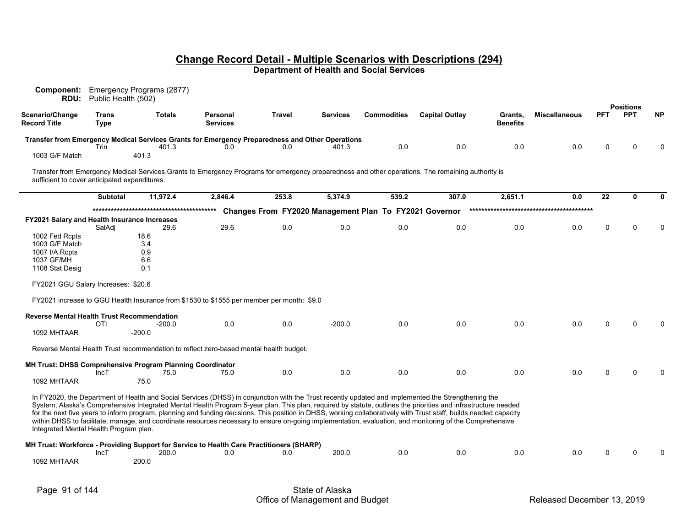| Scenario/Change                                     | <b>RDU:</b><br>Public Health (502)<br><b>Trans</b> | <b>Totals</b>                                                    | Personal                                                                                                                                                                                                                                                                                                                       | Travel | <b>Services</b> | <b>Commodities</b>                                     | <b>Capital Outlay</b> | Grants,  | <b>Miscellaneous</b> | <b>PFT</b> | <b>Positions</b><br><b>PPT</b> | <b>NP</b>    |
|-----------------------------------------------------|----------------------------------------------------|------------------------------------------------------------------|--------------------------------------------------------------------------------------------------------------------------------------------------------------------------------------------------------------------------------------------------------------------------------------------------------------------------------|--------|-----------------|--------------------------------------------------------|-----------------------|----------|----------------------|------------|--------------------------------|--------------|
| <b>Record Title</b>                                 | <b>Type</b>                                        |                                                                  | <b>Services</b>                                                                                                                                                                                                                                                                                                                |        |                 |                                                        |                       | Benefits |                      |            |                                |              |
|                                                     |                                                    |                                                                  | Transfer from Emergency Medical Services Grants for Emergency Preparedness and Other Operations                                                                                                                                                                                                                                |        |                 |                                                        |                       |          |                      |            |                                |              |
| 1003 G/F Match                                      | Trin                                               | 401.3<br>401.3                                                   | 0.0                                                                                                                                                                                                                                                                                                                            | 0.0    | 401.3           | 0.0                                                    | 0.0                   | 0.0      | 0.0                  | 0          | ∩                              |              |
| sufficient to cover anticipated expenditures.       |                                                    |                                                                  | Transfer from Emergency Medical Services Grants to Emergency Programs for emergency preparedness and other operations. The remaining authority is                                                                                                                                                                              |        |                 |                                                        |                       |          |                      |            |                                |              |
|                                                     | <b>Subtotal</b>                                    | 11,972.4                                                         | 2,846.4                                                                                                                                                                                                                                                                                                                        | 253.8  | 5.374.9         | 539.2                                                  | 307.0                 | 2,651.1  | 0.0                  | 22         | 0                              | <sup>0</sup> |
|                                                     |                                                    |                                                                  |                                                                                                                                                                                                                                                                                                                                |        |                 | Changes From FY2020 Management Plan To FY2021 Governor |                       |          |                      |            |                                |              |
| <b>FY2021 Salary and Health Insurance Increases</b> |                                                    |                                                                  |                                                                                                                                                                                                                                                                                                                                |        |                 |                                                        |                       |          |                      |            |                                |              |
| 1002 Fed Rcpts                                      | SalAdi                                             | 29.6<br>18.6                                                     | 29.6                                                                                                                                                                                                                                                                                                                           | 0.0    | 0.0             | 0.0                                                    | 0.0                   | 0.0      | 0.0                  | $\Omega$   | $\Omega$                       |              |
| 1003 G/F Match                                      |                                                    | 3.4                                                              |                                                                                                                                                                                                                                                                                                                                |        |                 |                                                        |                       |          |                      |            |                                |              |
| 1007 I/A Rcpts                                      |                                                    | 0.9                                                              |                                                                                                                                                                                                                                                                                                                                |        |                 |                                                        |                       |          |                      |            |                                |              |
| 1037 GF/MH                                          |                                                    | 6.6                                                              |                                                                                                                                                                                                                                                                                                                                |        |                 |                                                        |                       |          |                      |            |                                |              |
| 1108 Stat Desig                                     |                                                    | 0.1                                                              |                                                                                                                                                                                                                                                                                                                                |        |                 |                                                        |                       |          |                      |            |                                |              |
| FY2021 GGU Salary Increases: \$20.6                 |                                                    |                                                                  |                                                                                                                                                                                                                                                                                                                                |        |                 |                                                        |                       |          |                      |            |                                |              |
|                                                     |                                                    |                                                                  | FY2021 increase to GGU Health Insurance from \$1530 to \$1555 per member per month: \$9.0                                                                                                                                                                                                                                      |        |                 |                                                        |                       |          |                      |            |                                |              |
| <b>Reverse Mental Health Trust Recommendation</b>   |                                                    |                                                                  |                                                                                                                                                                                                                                                                                                                                |        |                 |                                                        |                       |          |                      |            |                                |              |
|                                                     | OTI                                                | $-200.0$                                                         | 0.0                                                                                                                                                                                                                                                                                                                            | 0.0    | $-200.0$        | 0.0                                                    | 0.0                   | 0.0      | 0.0                  |            |                                |              |
| 1092 MHTAAR                                         |                                                    | $-200.0$                                                         |                                                                                                                                                                                                                                                                                                                                |        |                 |                                                        |                       |          |                      |            |                                |              |
|                                                     |                                                    |                                                                  | Reverse Mental Health Trust recommendation to reflect zero-based mental health budget.                                                                                                                                                                                                                                         |        |                 |                                                        |                       |          |                      |            |                                |              |
|                                                     |                                                    |                                                                  |                                                                                                                                                                                                                                                                                                                                |        |                 |                                                        |                       |          |                      |            |                                |              |
|                                                     |                                                    | <b>MH Trust: DHSS Comprehensive Program Planning Coordinator</b> |                                                                                                                                                                                                                                                                                                                                |        |                 |                                                        |                       |          |                      |            |                                |              |
| 1092 MHTAAR                                         | IncT                                               | 75.0<br>75.0                                                     | 75.0                                                                                                                                                                                                                                                                                                                           | 0.0    | 0.0             | 0.0                                                    | 0.0                   | 0.0      | 0.0                  | $\Omega$   |                                |              |
|                                                     |                                                    |                                                                  | In FY2020, the Department of Health and Social Services (DHSS) in conjunction with the Trust recently updated and implemented the Strengthening the                                                                                                                                                                            |        |                 |                                                        |                       |          |                      |            |                                |              |
|                                                     |                                                    |                                                                  | System, Alaska's Comprehensive Integrated Mental Health Program 5-year plan. This plan, required by statute, outlines the priorities and infrastructure needed                                                                                                                                                                 |        |                 |                                                        |                       |          |                      |            |                                |              |
| Integrated Mental Health Program plan.              |                                                    |                                                                  | for the next five years to inform program, planning and funding decisions. This position in DHSS, working collaboratively with Trust staff, builds needed capacity<br>within DHSS to facilitate, manage, and coordinate resources necessary to ensure on-going implementation, evaluation, and monitoring of the Comprehensive |        |                 |                                                        |                       |          |                      |            |                                |              |
|                                                     | IncT                                               | 200.0                                                            | MH Trust: Workforce - Providing Support for Service to Health Care Practitioners (SHARP)<br>0.0                                                                                                                                                                                                                                | 0.0    | 200.0           | 0.0                                                    | 0.0                   | 0.0      | 0.0                  | O          |                                |              |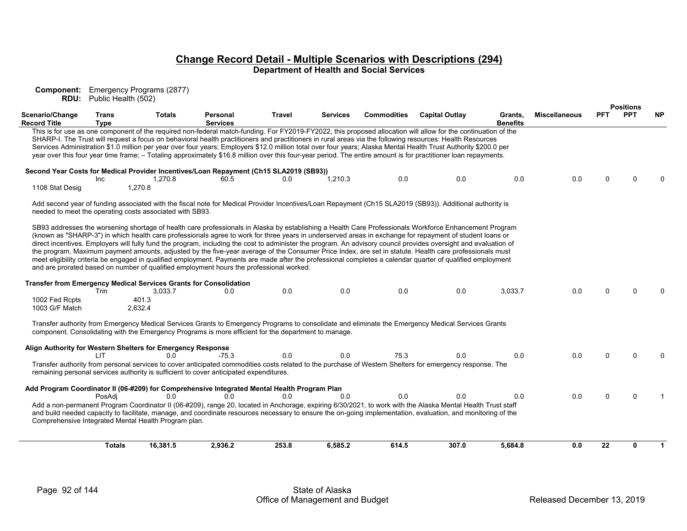**Component:** Emergency Programs (2877) **RDU:** Public Health (502)

|                                                             |                             |                                                             |                                                                                                      |               |                 |                    |                                                                                                                                                                                                                                                                                                                                                                                                                                                                                                                                                                                                                                                                                                                                                                                                                  |                            |                      |            | <b>Positions</b> |           |
|-------------------------------------------------------------|-----------------------------|-------------------------------------------------------------|------------------------------------------------------------------------------------------------------|---------------|-----------------|--------------------|------------------------------------------------------------------------------------------------------------------------------------------------------------------------------------------------------------------------------------------------------------------------------------------------------------------------------------------------------------------------------------------------------------------------------------------------------------------------------------------------------------------------------------------------------------------------------------------------------------------------------------------------------------------------------------------------------------------------------------------------------------------------------------------------------------------|----------------------------|----------------------|------------|------------------|-----------|
| Scenario/Change<br><b>Record Title</b>                      | <b>Trans</b><br><b>Type</b> | <b>Totals</b>                                               | Personal<br><b>Services</b>                                                                          | <b>Travel</b> | <b>Services</b> | <b>Commodities</b> | <b>Capital Outlay</b>                                                                                                                                                                                                                                                                                                                                                                                                                                                                                                                                                                                                                                                                                                                                                                                            | Grants,<br><b>Benefits</b> | <b>Miscellaneous</b> | <b>PFT</b> | <b>PPT</b>       | <b>NP</b> |
|                                                             |                             |                                                             |                                                                                                      |               |                 |                    | This is for use as one component of the required non-federal match-funding. For FY2019-FY2022, this proposed allocation will allow for the continuation of the<br>SHARP-I. The Trust will request a focus on behavioral health practitioners and practitioners in rural areas via the following resources: Health Resources<br>Services Administration \$1.0 million per year over four years; Employers \$12.0 million total over four years; Alaska Mental Health Trust Authority \$200.0 per<br>year over this four year time frame; - Totaling approximately \$16.8 million over this four-year period. The entire amount is for practitioner loan repayments.                                                                                                                                               |                            |                      |            |                  |           |
|                                                             |                             |                                                             | Second Year Costs for Medical Provider Incentives/Loan Repayment (Ch15 SLA2019 (SB93))               |               |                 |                    |                                                                                                                                                                                                                                                                                                                                                                                                                                                                                                                                                                                                                                                                                                                                                                                                                  |                            |                      |            |                  |           |
| 1108 Stat Desig                                             | <b>Inc</b>                  | 1,270.8<br>1,270.8                                          | 60.5                                                                                                 | 0.0           | 1.210.3         | 0.0                | 0.0                                                                                                                                                                                                                                                                                                                                                                                                                                                                                                                                                                                                                                                                                                                                                                                                              | 0.0                        | 0.0                  | 0          |                  |           |
|                                                             |                             | needed to meet the operating costs associated with SB93.    |                                                                                                      |               |                 |                    | Add second year of funding associated with the fiscal note for Medical Provider Incentives/Loan Repayment (Ch15 SLA2019 (SB93)). Additional authority is                                                                                                                                                                                                                                                                                                                                                                                                                                                                                                                                                                                                                                                         |                            |                      |            |                  |           |
|                                                             |                             |                                                             | and are prorated based on number of qualified employment hours the professional worked.              |               |                 |                    | SB93 addresses the worsening shortage of health care professionals in Alaska by establishing a Health Care Professionals Workforce Enhancement Program<br>(known as "SHARP-3") in which health care professionals agree to work for three years in underserved areas in exchange for repayment of student loans or<br>direct incentives. Employers will fully fund the program, including the cost to administer the program. An advisory council provides oversight and evaluation of<br>the program. Maximum payment amounts, adjusted by the five-year average of the Consumer Price Index, are set in statute. Health care professionals must<br>meet eligibility criteria be engaged in qualified employment. Payments are made after the professional completes a calendar quarter of qualified employment |                            |                      |            |                  |           |
|                                                             |                             |                                                             | <b>Transfer from Emergency Medical Services Grants for Consolidation</b>                             |               |                 |                    |                                                                                                                                                                                                                                                                                                                                                                                                                                                                                                                                                                                                                                                                                                                                                                                                                  |                            |                      |            | U                |           |
| 1002 Fed Rcpts<br>1003 G/F Match                            | Trin                        | 3,033.7<br>401.3<br>2,632.4                                 | 0.0                                                                                                  | 0.0           | 0.0             | 0.0                | 0.0                                                                                                                                                                                                                                                                                                                                                                                                                                                                                                                                                                                                                                                                                                                                                                                                              | 3,033.7                    | 0.0                  | 0          |                  |           |
|                                                             |                             |                                                             | component. Consolidating with the Emergency Programs is more efficient for the department to manage. |               |                 |                    | Transfer authority from Emergency Medical Services Grants to Emergency Programs to consolidate and eliminate the Emergency Medical Services Grants                                                                                                                                                                                                                                                                                                                                                                                                                                                                                                                                                                                                                                                               |                            |                      |            |                  |           |
| Align Authority for Western Shelters for Emergency Response |                             |                                                             |                                                                                                      |               |                 |                    |                                                                                                                                                                                                                                                                                                                                                                                                                                                                                                                                                                                                                                                                                                                                                                                                                  |                            |                      |            |                  |           |
|                                                             | ШT                          | 0.0                                                         | $-75.3$<br>remaining personal services authority is sufficient to cover anticipated expenditures.    | 0.0           | 0.0             | 75.3               | 0.0<br>Transfer authority from personal services to cover anticipated commodities costs related to the purchase of Western Shelters for emergency response. The                                                                                                                                                                                                                                                                                                                                                                                                                                                                                                                                                                                                                                                  | 0.0                        | 0.0                  | 0          |                  |           |
|                                                             |                             |                                                             | Add Program Coordinator II (06-#209) for Comprehensive Integrated Mental Health Program Plan         |               |                 |                    |                                                                                                                                                                                                                                                                                                                                                                                                                                                                                                                                                                                                                                                                                                                                                                                                                  |                            |                      |            |                  |           |
|                                                             | PosAdi                      | 0.0<br>Comprehensive Integrated Mental Health Program plan. | 0.0                                                                                                  | 0.0           | 0.0             | 0.0                | 0.0<br>Add a non-permanent Program Coordinator II (06-#209), range 20, located in Anchorage, expiring 6/30/2021, to work with the Alaska Mental Health Trust staff<br>and build needed capacity to facilitate, manage, and coordinate resources necessary to ensure the on-going implementation, evaluation, and monitoring of the                                                                                                                                                                                                                                                                                                                                                                                                                                                                               | 0.0                        | 0.0                  | 0          | $\Omega$         |           |
|                                                             | <b>Totals</b>               | 16,381.5                                                    | 2,936.2                                                                                              | 253.8         | 6,585.2         | 614.5              | 307.0                                                                                                                                                                                                                                                                                                                                                                                                                                                                                                                                                                                                                                                                                                                                                                                                            | 5,684.8                    | 0.0                  | 22         | n.               | 1         |
|                                                             |                             |                                                             |                                                                                                      |               |                 |                    |                                                                                                                                                                                                                                                                                                                                                                                                                                                                                                                                                                                                                                                                                                                                                                                                                  |                            |                      |            |                  |           |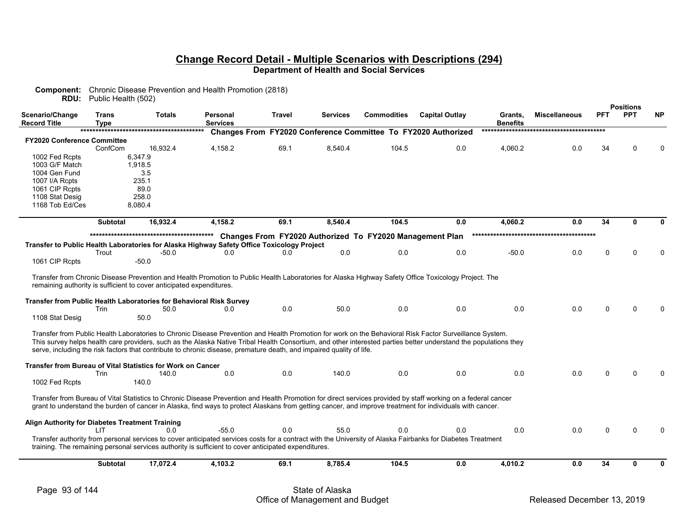| Scenario/Change<br>Record Title                 | <b>Trans</b><br><b>Type</b> | <b>Totals</b>                                                                                                                                                                                                                | Personal<br><b>Services</b> | <b>Travel</b> | <b>Services</b> | <b>Commodities</b>                                       | <b>Capital Outlay</b>                                         | Grants,<br><b>Benefits</b> | <b>Miscellaneous</b> | <b>PFT</b> | <b>Positions</b><br><b>PPT</b> | <b>NP</b> |
|-------------------------------------------------|-----------------------------|------------------------------------------------------------------------------------------------------------------------------------------------------------------------------------------------------------------------------|-----------------------------|---------------|-----------------|----------------------------------------------------------|---------------------------------------------------------------|----------------------------|----------------------|------------|--------------------------------|-----------|
|                                                 |                             |                                                                                                                                                                                                                              |                             |               |                 |                                                          | Changes From FY2020 Conference Committee To FY2020 Authorized |                            |                      |            |                                |           |
| <b>FY2020 Conference Committee</b>              |                             |                                                                                                                                                                                                                              |                             |               |                 |                                                          |                                                               |                            |                      |            |                                |           |
|                                                 | ConfCom                     | 16,932.4                                                                                                                                                                                                                     | 4,158.2                     | 69.1          | 8,540.4         | 104.5                                                    | 0.0                                                           | 4,060.2                    | 0.0                  | 34         |                                |           |
| 1002 Fed Rcpts                                  |                             | 6.347.9                                                                                                                                                                                                                      |                             |               |                 |                                                          |                                                               |                            |                      |            |                                |           |
| 1003 G/F Match                                  |                             | 1.918.5                                                                                                                                                                                                                      |                             |               |                 |                                                          |                                                               |                            |                      |            |                                |           |
| 1004 Gen Fund                                   |                             | 3.5                                                                                                                                                                                                                          |                             |               |                 |                                                          |                                                               |                            |                      |            |                                |           |
| 1007 I/A Rcpts                                  |                             | 235.1                                                                                                                                                                                                                        |                             |               |                 |                                                          |                                                               |                            |                      |            |                                |           |
| 1061 CIP Rcpts                                  |                             | 89.0                                                                                                                                                                                                                         |                             |               |                 |                                                          |                                                               |                            |                      |            |                                |           |
| 1108 Stat Desig                                 |                             | 258.0                                                                                                                                                                                                                        |                             |               |                 |                                                          |                                                               |                            |                      |            |                                |           |
| 1168 Tob Ed/Ces                                 |                             | 8,080.4                                                                                                                                                                                                                      |                             |               |                 |                                                          |                                                               |                            |                      |            |                                |           |
|                                                 |                             |                                                                                                                                                                                                                              |                             |               |                 |                                                          |                                                               |                            |                      |            |                                |           |
|                                                 | <b>Subtotal</b>             | 16,932.4                                                                                                                                                                                                                     | 4,158.2                     | 69.1          | 8,540.4         | 104.5                                                    | 0.0                                                           | 4,060.2                    | 0.0                  | 34         | O.                             | n         |
|                                                 |                             |                                                                                                                                                                                                                              |                             |               |                 | Changes From FY2020 Authorized To FY2020 Management Plan |                                                               |                            |                      |            |                                |           |
|                                                 |                             | Transfer to Public Health Laboratories for Alaska Highway Safety Office Toxicology Project                                                                                                                                   |                             |               |                 |                                                          |                                                               |                            |                      |            |                                |           |
|                                                 | Trout                       | $-50.0$                                                                                                                                                                                                                      | 0.0                         | 0.0           | 0.0             | 0.0                                                      | 0.0                                                           | $-50.0$                    | 0.0                  |            |                                |           |
| 1061 CIP Rcpts                                  |                             | -50.0                                                                                                                                                                                                                        |                             |               |                 |                                                          |                                                               |                            |                      |            |                                |           |
|                                                 |                             |                                                                                                                                                                                                                              |                             |               |                 |                                                          |                                                               |                            |                      |            |                                |           |
|                                                 |                             | Transfer from Chronic Disease Prevention and Health Promotion to Public Health Laboratories for Alaska Highway Safety Office Toxicology Project. The<br>remaining authority is sufficient to cover anticipated expenditures. |                             |               |                 |                                                          |                                                               |                            |                      |            |                                |           |
|                                                 |                             | Transfer from Public Health Laboratories for Behavioral Risk Survey                                                                                                                                                          |                             |               |                 |                                                          |                                                               |                            |                      |            |                                |           |
|                                                 | Trin                        | 50.0                                                                                                                                                                                                                         | 0.0                         | 0.0           | 50.0            | 0.0                                                      | 0.0                                                           | 0.0                        | 0.0                  |            |                                |           |
| 1108 Stat Desig                                 |                             | 50.0                                                                                                                                                                                                                         |                             |               |                 |                                                          |                                                               |                            |                      |            |                                |           |
|                                                 |                             |                                                                                                                                                                                                                              |                             |               |                 |                                                          |                                                               |                            |                      |            |                                |           |
|                                                 |                             | Transfer from Public Health Laboratories to Chronic Disease Prevention and Health Promotion for work on the Behavioral Risk Factor Surveillance System.                                                                      |                             |               |                 |                                                          |                                                               |                            |                      |            |                                |           |
|                                                 |                             | This survey helps health care providers, such as the Alaska Native Tribal Health Consortium, and other interested parties better understand the populations they                                                             |                             |               |                 |                                                          |                                                               |                            |                      |            |                                |           |
|                                                 |                             | serve, including the risk factors that contribute to chronic disease, premature death, and impaired quality of life.                                                                                                         |                             |               |                 |                                                          |                                                               |                            |                      |            |                                |           |
|                                                 |                             |                                                                                                                                                                                                                              |                             |               |                 |                                                          |                                                               |                            |                      |            |                                |           |
|                                                 |                             | Transfer from Bureau of Vital Statistics for Work on Cancer                                                                                                                                                                  |                             |               |                 |                                                          |                                                               |                            |                      |            |                                |           |
|                                                 | Trin                        | 140.0                                                                                                                                                                                                                        | 0.0                         | 0.0           | 140.0           | 0.0                                                      | 0.0                                                           | 0.0                        | 0.0                  |            |                                |           |
| 1002 Fed Rcpts                                  |                             | 140.0                                                                                                                                                                                                                        |                             |               |                 |                                                          |                                                               |                            |                      |            |                                |           |
|                                                 |                             |                                                                                                                                                                                                                              |                             |               |                 |                                                          |                                                               |                            |                      |            |                                |           |
|                                                 |                             | Transfer from Bureau of Vital Statistics to Chronic Disease Prevention and Health Promotion for direct services provided by staff working on a federal cancer                                                                |                             |               |                 |                                                          |                                                               |                            |                      |            |                                |           |
|                                                 |                             | grant to understand the burden of cancer in Alaska, find ways to protect Alaskans from getting cancer, and improve treatment for individuals with cancer.                                                                    |                             |               |                 |                                                          |                                                               |                            |                      |            |                                |           |
|                                                 |                             |                                                                                                                                                                                                                              |                             |               |                 |                                                          |                                                               |                            |                      |            |                                |           |
| Align Authority for Diabetes Treatment Training |                             |                                                                                                                                                                                                                              |                             |               |                 |                                                          |                                                               |                            |                      |            |                                |           |
|                                                 | LIT                         | 0.0                                                                                                                                                                                                                          | $-55.0$                     | 0.0           | 55.0            | 0.0                                                      | 0.0                                                           | 0.0                        | 0.0                  |            |                                |           |
|                                                 |                             | Transfer authority from personal services to cover anticipated services costs for a contract with the University of Alaska Fairbanks for Diabetes Treatment                                                                  |                             |               |                 |                                                          |                                                               |                            |                      |            |                                |           |
|                                                 |                             | training. The remaining personal services authority is sufficient to cover anticipated expenditures.                                                                                                                         |                             |               |                 |                                                          |                                                               |                            |                      |            |                                |           |
|                                                 |                             |                                                                                                                                                                                                                              |                             |               |                 |                                                          |                                                               |                            |                      |            |                                |           |
|                                                 | <b>Subtotal</b>             | 17,072.4                                                                                                                                                                                                                     | 4,103.2                     | 69.1          | 8.785.4         | 104.5                                                    | 0.0                                                           | 4,010.2                    | 0.0                  | 34         | 0                              | 0         |

**Component:** Chronic Disease Prevention and Health Promotion (2818)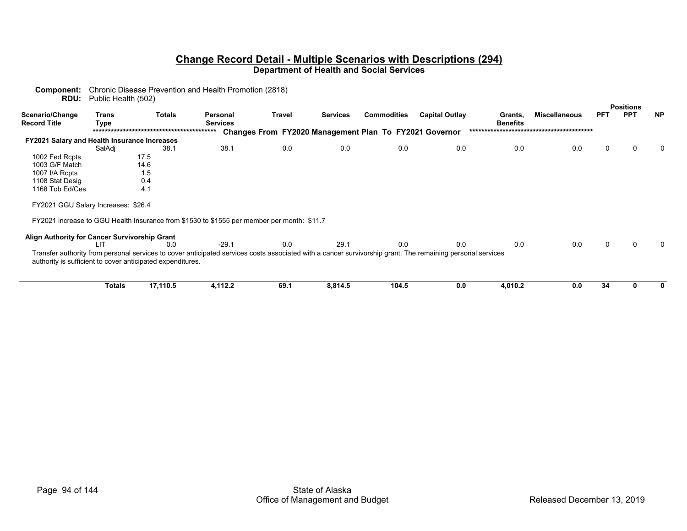|                                                                                            |                                                                                                                                                            |                                                     | <b>Positions</b>                                              |
|--------------------------------------------------------------------------------------------|------------------------------------------------------------------------------------------------------------------------------------------------------------|-----------------------------------------------------|---------------------------------------------------------------|
| Travel<br>Personal<br><b>Services</b>                                                      | <b>Commodities</b><br><b>Services</b>                                                                                                                      | <b>Capital Outlay</b><br>Grants,<br><b>Benefits</b> | <b>PPT</b><br><b>NP</b><br><b>PFT</b><br><b>Miscellaneous</b> |
|                                                                                            |                                                                                                                                                            |                                                     |                                                               |
|                                                                                            | Changes From FY2020 Management Plan To FY2021 Governor                                                                                                     |                                                     |                                                               |
|                                                                                            |                                                                                                                                                            |                                                     |                                                               |
| 38.1<br>0.0                                                                                | 0.0<br>0.0                                                                                                                                                 | 0.0<br>0.0                                          | 0.0<br>0<br>0<br>0                                            |
|                                                                                            |                                                                                                                                                            |                                                     |                                                               |
|                                                                                            |                                                                                                                                                            |                                                     |                                                               |
|                                                                                            |                                                                                                                                                            |                                                     |                                                               |
|                                                                                            |                                                                                                                                                            |                                                     |                                                               |
|                                                                                            |                                                                                                                                                            |                                                     |                                                               |
|                                                                                            |                                                                                                                                                            |                                                     |                                                               |
| FY2021 increase to GGU Health Insurance from \$1530 to \$1555 per member per month: \$11.7 |                                                                                                                                                            |                                                     |                                                               |
|                                                                                            |                                                                                                                                                            |                                                     |                                                               |
| $-29.1$<br>0.0                                                                             | 29.1<br>0.0                                                                                                                                                | 0.0<br>0.0                                          | 0.0<br>$\Omega$<br>∩<br>$\Omega$                              |
|                                                                                            | Transfer authority from personal services to cover anticipated services costs associated with a cancer survivorship grant. The remaining personal services |                                                     |                                                               |
|                                                                                            |                                                                                                                                                            |                                                     | 34<br>0.0<br>ŋ<br>0                                           |
|                                                                                            | 4,112.2<br>69.1                                                                                                                                            | 8,814.5<br>104.5                                    | 4,010.2<br>0.0                                                |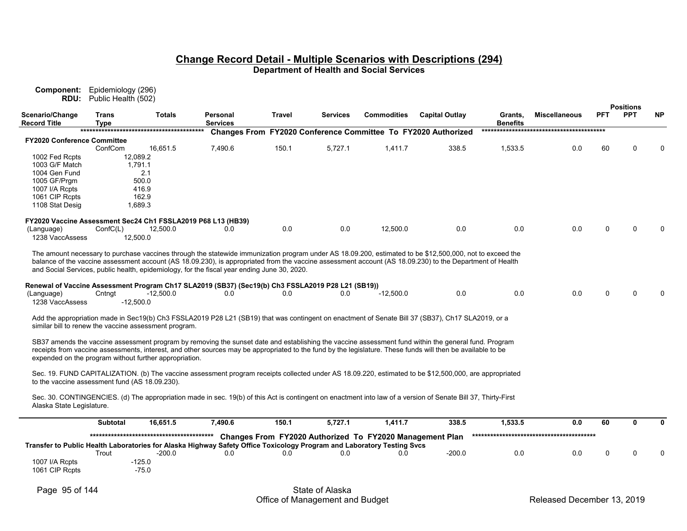**Component:** Epidemiology (296) **RDU:** Public Health (502)

|                                                |                             |                                                              |                                                                                                                        |               |          |                                                          |                                                                                                                                                               |                            |                      |            | <b>Positions</b> |           |
|------------------------------------------------|-----------------------------|--------------------------------------------------------------|------------------------------------------------------------------------------------------------------------------------|---------------|----------|----------------------------------------------------------|---------------------------------------------------------------------------------------------------------------------------------------------------------------|----------------------------|----------------------|------------|------------------|-----------|
| Scenario/Change<br><b>Record Title</b>         | <b>Trans</b><br><b>Type</b> | Totals                                                       | Personal<br><b>Services</b>                                                                                            | <b>Travel</b> | Services | <b>Commodities</b>                                       | <b>Capital Outlay</b>                                                                                                                                         | Grants,<br><b>Benefits</b> | <b>Miscellaneous</b> | <b>PFT</b> | <b>PPT</b>       | <b>NP</b> |
|                                                |                             |                                                              |                                                                                                                        |               |          |                                                          | Changes From FY2020 Conference Committee To FY2020 Authorized                                                                                                 |                            |                      |            |                  |           |
| <b>FY2020 Conference Committee</b>             |                             |                                                              |                                                                                                                        |               |          |                                                          |                                                                                                                                                               |                            |                      |            |                  |           |
|                                                | ConfCom                     | 16,651.5                                                     | 7,490.6                                                                                                                | 150.1         | 5,727.1  | 1,411.7                                                  | 338.5                                                                                                                                                         | 1,533.5                    | 0.0                  | 60         | ∩                |           |
| 1002 Fed Rcpts                                 |                             | 12,089.2                                                     |                                                                                                                        |               |          |                                                          |                                                                                                                                                               |                            |                      |            |                  |           |
| 1003 G/F Match                                 |                             | 1,791.1                                                      |                                                                                                                        |               |          |                                                          |                                                                                                                                                               |                            |                      |            |                  |           |
| 1004 Gen Fund                                  |                             | 2.1                                                          |                                                                                                                        |               |          |                                                          |                                                                                                                                                               |                            |                      |            |                  |           |
| 1005 GF/Prgm                                   |                             | 500.0                                                        |                                                                                                                        |               |          |                                                          |                                                                                                                                                               |                            |                      |            |                  |           |
| 1007 I/A Rcpts                                 |                             | 416.9                                                        |                                                                                                                        |               |          |                                                          |                                                                                                                                                               |                            |                      |            |                  |           |
| 1061 CIP Rcpts                                 |                             | 162.9                                                        |                                                                                                                        |               |          |                                                          |                                                                                                                                                               |                            |                      |            |                  |           |
| 1108 Stat Desig                                |                             | 1,689.3                                                      |                                                                                                                        |               |          |                                                          |                                                                                                                                                               |                            |                      |            |                  |           |
|                                                |                             | FY2020 Vaccine Assessment Sec24 Ch1 FSSLA2019 P68 L13 (HB39) |                                                                                                                        |               |          |                                                          |                                                                                                                                                               |                            |                      |            |                  |           |
| (Language)                                     | ConfC(L)                    | 12,500.0                                                     | 0.0                                                                                                                    | 0.0           | 0.0      | 12,500.0                                                 | 0.0                                                                                                                                                           | 0.0                        | 0.0                  | 0          | ∩                |           |
| 1238 VaccAssess                                |                             | 12,500.0                                                     |                                                                                                                        |               |          |                                                          |                                                                                                                                                               |                            |                      |            |                  |           |
|                                                |                             |                                                              |                                                                                                                        |               |          |                                                          |                                                                                                                                                               |                            |                      |            |                  |           |
|                                                |                             |                                                              |                                                                                                                        |               |          |                                                          | The amount necessary to purchase vaccines through the statewide immunization program under AS 18.09.200, estimated to be \$12,500,000, not to exceed the      |                            |                      |            |                  |           |
|                                                |                             |                                                              |                                                                                                                        |               |          |                                                          | balance of the vaccine assessment account (AS 18.09.230), is appropriated from the vaccine assessment account (AS 18.09.230) to the Department of Health      |                            |                      |            |                  |           |
|                                                |                             |                                                              | and Social Services, public health, epidemiology, for the fiscal year ending June 30, 2020.                            |               |          |                                                          |                                                                                                                                                               |                            |                      |            |                  |           |
|                                                |                             |                                                              |                                                                                                                        |               |          |                                                          |                                                                                                                                                               |                            |                      |            |                  |           |
|                                                |                             |                                                              | Renewal of Vaccine Assessment Program Ch17 SLA2019 (SB37) (Sec19(b) Ch3 FSSLA2019 P28 L21 (SB19))                      |               |          |                                                          |                                                                                                                                                               |                            |                      |            |                  |           |
| (Language)                                     | Cntngt                      | $-12,500.0$                                                  | 0.0                                                                                                                    | 0.0           | 0.0      | $-12,500.0$                                              | 0.0                                                                                                                                                           | 0.0                        | 0.0                  | n          | $\Omega$         |           |
| 1238 VaccAssess                                |                             | $-12,500.0$                                                  |                                                                                                                        |               |          |                                                          |                                                                                                                                                               |                            |                      |            |                  |           |
|                                                |                             |                                                              |                                                                                                                        |               |          |                                                          |                                                                                                                                                               |                            |                      |            |                  |           |
|                                                |                             |                                                              |                                                                                                                        |               |          |                                                          | Add the appropriation made in Sec19(b) Ch3 FSSLA2019 P28 L21 (SB19) that was contingent on enactment of Senate Bill 37 (SB37), Ch17 SLA2019, or a             |                            |                      |            |                  |           |
|                                                |                             | similar bill to renew the vaccine assessment program.        |                                                                                                                        |               |          |                                                          |                                                                                                                                                               |                            |                      |            |                  |           |
|                                                |                             |                                                              |                                                                                                                        |               |          |                                                          |                                                                                                                                                               |                            |                      |            |                  |           |
|                                                |                             |                                                              |                                                                                                                        |               |          |                                                          | SB37 amends the vaccine assessment program by removing the sunset date and establishing the vaccine assessment fund within the general fund. Program          |                            |                      |            |                  |           |
|                                                |                             |                                                              |                                                                                                                        |               |          |                                                          | receipts from vaccine assessments, interest, and other sources may be appropriated to the fund by the legislature. These funds will then be available to be   |                            |                      |            |                  |           |
|                                                |                             | expended on the program without further appropriation.       |                                                                                                                        |               |          |                                                          |                                                                                                                                                               |                            |                      |            |                  |           |
|                                                |                             |                                                              |                                                                                                                        |               |          |                                                          | Sec. 19. FUND CAPITALIZATION. (b) The vaccine assessment program receipts collected under AS 18.09.220, estimated to be \$12,500,000, are appropriated        |                            |                      |            |                  |           |
| to the vaccine assessment fund (AS 18.09.230). |                             |                                                              |                                                                                                                        |               |          |                                                          |                                                                                                                                                               |                            |                      |            |                  |           |
|                                                |                             |                                                              |                                                                                                                        |               |          |                                                          |                                                                                                                                                               |                            |                      |            |                  |           |
|                                                |                             |                                                              |                                                                                                                        |               |          |                                                          | Sec. 30. CONTINGENCIES. (d) The appropriation made in sec. 19(b) of this Act is contingent on enactment into law of a version of Senate Bill 37, Thirty-First |                            |                      |            |                  |           |
| Alaska State Legislature.                      |                             |                                                              |                                                                                                                        |               |          |                                                          |                                                                                                                                                               |                            |                      |            |                  |           |
|                                                |                             |                                                              |                                                                                                                        |               |          |                                                          |                                                                                                                                                               |                            |                      |            |                  |           |
|                                                | <b>Subtotal</b>             | 16,651.5                                                     | 7,490.6                                                                                                                | 150.1         | 5,727.1  | 1,411.7                                                  | 338.5                                                                                                                                                         | 1,533.5                    | 0.0                  | 60         | 0                |           |
|                                                |                             |                                                              |                                                                                                                        |               |          |                                                          |                                                                                                                                                               |                            |                      |            |                  |           |
|                                                |                             |                                                              |                                                                                                                        |               |          | Changes From FY2020 Authorized To FY2020 Management Plan |                                                                                                                                                               |                            |                      |            |                  |           |
|                                                |                             |                                                              | Transfer to Public Health Laboratories for Alaska Highway Safety Office Toxicology Program and Laboratory Testing Svcs |               |          |                                                          |                                                                                                                                                               |                            |                      |            | ∩                |           |
|                                                | Trout                       | $-200.0$                                                     | 0.0                                                                                                                    | 0.0           | 0.0      | 0.0                                                      | $-200.0$                                                                                                                                                      | 0.0                        | 0.0                  | 0          |                  |           |
| 1007 I/A Rcpts                                 |                             | $-125.0$                                                     |                                                                                                                        |               |          |                                                          |                                                                                                                                                               |                            |                      |            |                  |           |
| 1061 CIP Rcpts                                 |                             | $-75.0$                                                      |                                                                                                                        |               |          |                                                          |                                                                                                                                                               |                            |                      |            |                  |           |
|                                                |                             |                                                              |                                                                                                                        |               |          |                                                          |                                                                                                                                                               |                            |                      |            |                  |           |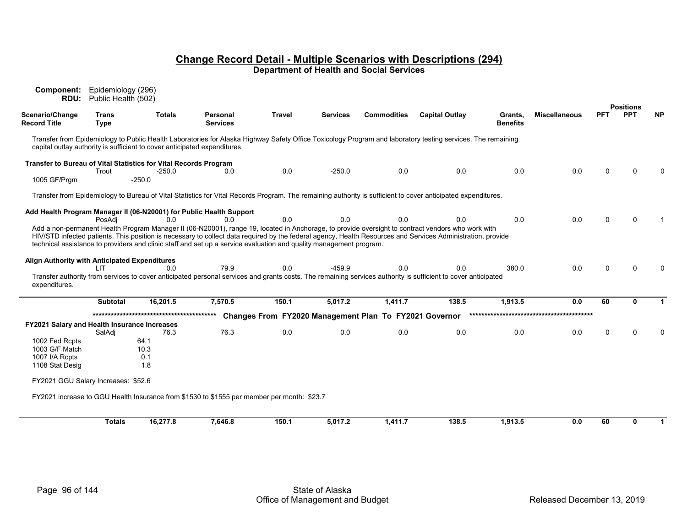| Component:<br>RDU:                            | Epidemiology (296)<br>Public Health (502) |                                                                           |                                                                                                                    |               |                 |                                                        |                                                                                                                                                                      |                            |                      |          |                                |             |
|-----------------------------------------------|-------------------------------------------|---------------------------------------------------------------------------|--------------------------------------------------------------------------------------------------------------------|---------------|-----------------|--------------------------------------------------------|----------------------------------------------------------------------------------------------------------------------------------------------------------------------|----------------------------|----------------------|----------|--------------------------------|-------------|
| Scenario/Change<br><b>Record Title</b>        | Trans<br><b>Type</b>                      | <b>Totals</b>                                                             | Personal<br><b>Services</b>                                                                                        | <b>Travel</b> | <b>Services</b> | <b>Commodities</b>                                     | <b>Capital Outlay</b>                                                                                                                                                | Grants.<br><b>Benefits</b> | <b>Miscellaneous</b> | PFT      | <b>Positions</b><br><b>PPT</b> | <b>NP</b>   |
|                                               |                                           | capital outlay authority is sufficient to cover anticipated expenditures. |                                                                                                                    |               |                 |                                                        | Transfer from Epidemiology to Public Health Laboratories for Alaska Highway Safety Office Toxicology Program and laboratory testing services. The remaining          |                            |                      |          |                                |             |
|                                               |                                           | Transfer to Bureau of Vital Statistics for Vital Records Program          |                                                                                                                    |               |                 |                                                        |                                                                                                                                                                      |                            |                      |          |                                |             |
| 1005 GF/Prgm                                  | Trout                                     | -250.0<br>$-250.0$                                                        | 0.0                                                                                                                | 0.0           | $-250.0$        | 0.0                                                    | 0.0                                                                                                                                                                  | 0.0                        | 0.0                  | $\Omega$ | $\Omega$                       | $\Omega$    |
|                                               |                                           |                                                                           |                                                                                                                    |               |                 |                                                        | Transfer from Epidemiology to Bureau of Vital Statistics for Vital Records Program. The remaining authority is sufficient to cover anticipated expenditures.         |                            |                      |          |                                |             |
|                                               |                                           | 0.0                                                                       | Add Health Program Manager II (06-N20001) for Public Health Support                                                | 0.0           | 0.0             | 0.0                                                    | 0.0                                                                                                                                                                  | 0.0                        | 0.0                  | 0        | $\Omega$                       |             |
|                                               | PosAdi                                    |                                                                           | 0.0                                                                                                                |               |                 |                                                        | Add a non-permanent Health Program Manager II (06-N20001), range 19, located in Anchorage, to provide oversight to contract vendors who work with                    |                            |                      |          |                                |             |
|                                               |                                           |                                                                           | technical assistance to providers and clinic staff and set up a service evaluation and quality management program. |               |                 |                                                        | HIV/STD infected patients. This position is necessary to collect data required by the federal agency, Health Resources and Services Administration, provide          |                            |                      |          |                                |             |
| Align Authority with Anticipated Expenditures |                                           |                                                                           |                                                                                                                    |               |                 |                                                        |                                                                                                                                                                      |                            |                      |          |                                |             |
|                                               | ΠT                                        | 0.0                                                                       | 79.9                                                                                                               | 0.0           | $-459.9$        | 0.0                                                    | 0.0<br>Transfer authority from services to cover anticipated personal services and grants costs. The remaining services authority is sufficient to cover anticipated | 380.0                      | 0.0                  | 0        | $\Omega$                       | $\Omega$    |
| expenditures.                                 |                                           |                                                                           |                                                                                                                    |               |                 |                                                        |                                                                                                                                                                      |                            |                      |          |                                |             |
|                                               | Subtotal                                  | 16,201.5                                                                  | 7,570.5                                                                                                            | 150.1         | 5,017.2         | 1,411.7                                                | 138.5                                                                                                                                                                | 1,913.5                    | 0.0                  | 60       | O.                             | 1           |
|                                               |                                           |                                                                           |                                                                                                                    |               |                 | Changes From FY2020 Management Plan To FY2021 Governor |                                                                                                                                                                      |                            |                      |          |                                |             |
| FY2021 Salary and Health Insurance Increases  | SalAdi                                    | 76.3                                                                      | 76.3                                                                                                               | 0.0           | 0.0             | 0.0                                                    | 0.0                                                                                                                                                                  | 0.0                        | 0.0                  | 0        | $\Omega$                       | $\Omega$    |
| 1002 Fed Rcpts                                |                                           | 64.1                                                                      |                                                                                                                    |               |                 |                                                        |                                                                                                                                                                      |                            |                      |          |                                |             |
| 1003 G/F Match                                |                                           | 10.3                                                                      |                                                                                                                    |               |                 |                                                        |                                                                                                                                                                      |                            |                      |          |                                |             |
| 1007 I/A Rcpts                                |                                           | 0.1<br>1.8                                                                |                                                                                                                    |               |                 |                                                        |                                                                                                                                                                      |                            |                      |          |                                |             |
| 1108 Stat Desig                               |                                           |                                                                           |                                                                                                                    |               |                 |                                                        |                                                                                                                                                                      |                            |                      |          |                                |             |
| FY2021 GGU Salary Increases: \$52.6           |                                           |                                                                           |                                                                                                                    |               |                 |                                                        |                                                                                                                                                                      |                            |                      |          |                                |             |
|                                               |                                           |                                                                           | FY2021 increase to GGU Health Insurance from \$1530 to \$1555 per member per month: \$23.7                         |               |                 |                                                        |                                                                                                                                                                      |                            |                      |          |                                |             |
|                                               | <b>Totals</b>                             | 16.277.8                                                                  | 7,646.8                                                                                                            | 150.1         | 5,017.2         | 1,411.7                                                | 138.5                                                                                                                                                                | 1,913.5                    | 0.0                  | 60       | O                              | $\mathbf 1$ |
|                                               |                                           |                                                                           |                                                                                                                    |               |                 |                                                        |                                                                                                                                                                      |                            |                      |          |                                |             |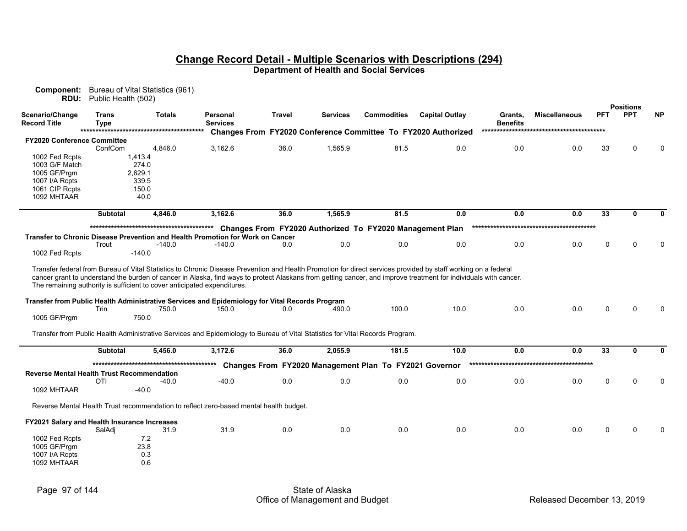| <b>Component:</b> Bureau of Vital Statistics (961) |
|----------------------------------------------------|
| <b>RDU:</b> Public Health (502)                    |

|                                                   |                      |                  |                                                                                                                                                                                                                                                                                                                                                                                                                                                                                                                           |               |                 |                                                        |                                                               |                            |                      |                 | <b>Positions</b> |              |
|---------------------------------------------------|----------------------|------------------|---------------------------------------------------------------------------------------------------------------------------------------------------------------------------------------------------------------------------------------------------------------------------------------------------------------------------------------------------------------------------------------------------------------------------------------------------------------------------------------------------------------------------|---------------|-----------------|--------------------------------------------------------|---------------------------------------------------------------|----------------------------|----------------------|-----------------|------------------|--------------|
| Scenario/Change<br><b>Record Title</b>            | <b>Trans</b><br>Type | <b>Totals</b>    | Personal<br><b>Services</b>                                                                                                                                                                                                                                                                                                                                                                                                                                                                                               | <b>Travel</b> | <b>Services</b> | <b>Commodities</b>                                     | <b>Capital Outlay</b>                                         | Grants.<br><b>Benefits</b> | <b>Miscellaneous</b> | <b>PFT</b>      | <b>PPT</b>       | <b>NP</b>    |
|                                                   |                      |                  |                                                                                                                                                                                                                                                                                                                                                                                                                                                                                                                           |               |                 |                                                        | Changes From FY2020 Conference Committee To FY2020 Authorized |                            |                      |                 |                  |              |
| <b>FY2020 Conference Committee</b>                |                      |                  |                                                                                                                                                                                                                                                                                                                                                                                                                                                                                                                           |               |                 |                                                        |                                                               |                            |                      |                 |                  |              |
|                                                   | ConfCom              | 4,846.0          | 3,162.6                                                                                                                                                                                                                                                                                                                                                                                                                                                                                                                   | 36.0          | 1,565.9         | 81.5                                                   | 0.0                                                           | 0.0                        | 0.0                  | 33              | ∩                |              |
| 1002 Fed Rcpts                                    |                      | 1,413.4          |                                                                                                                                                                                                                                                                                                                                                                                                                                                                                                                           |               |                 |                                                        |                                                               |                            |                      |                 |                  |              |
| 1003 G/F Match<br>1005 GF/Prgm                    |                      | 274.0<br>2,629.1 |                                                                                                                                                                                                                                                                                                                                                                                                                                                                                                                           |               |                 |                                                        |                                                               |                            |                      |                 |                  |              |
| 1007 I/A Rcpts                                    |                      | 339.5            |                                                                                                                                                                                                                                                                                                                                                                                                                                                                                                                           |               |                 |                                                        |                                                               |                            |                      |                 |                  |              |
| 1061 CIP Rcpts                                    |                      | 150.0            |                                                                                                                                                                                                                                                                                                                                                                                                                                                                                                                           |               |                 |                                                        |                                                               |                            |                      |                 |                  |              |
| 1092 MHTAAR                                       |                      | 40.0             |                                                                                                                                                                                                                                                                                                                                                                                                                                                                                                                           |               |                 |                                                        |                                                               |                            |                      |                 |                  |              |
|                                                   | <b>Subtotal</b>      | 4,846.0          | 3.162.6                                                                                                                                                                                                                                                                                                                                                                                                                                                                                                                   | 36.0          | 1,565.9         | 81.5                                                   | 0.0                                                           | 0.0                        | 0.0                  | 33              | $\mathbf{0}$     | <sup>0</sup> |
|                                                   |                      |                  |                                                                                                                                                                                                                                                                                                                                                                                                                                                                                                                           |               |                 |                                                        |                                                               |                            |                      |                 |                  |              |
|                                                   |                      |                  | Transfer to Chronic Disease Prevention and Health Promotion for Work on Cancer                                                                                                                                                                                                                                                                                                                                                                                                                                            |               |                 |                                                        |                                                               |                            |                      |                 |                  |              |
|                                                   | Trout                | $-140.0$         | $-140.0$                                                                                                                                                                                                                                                                                                                                                                                                                                                                                                                  | 0.0           | 0.0             | 0.0                                                    | 0.0                                                           | 0.0                        | 0.0                  | 0               | $\Omega$         |              |
| 1002 Fed Rcpts                                    |                      | $-140.0$         |                                                                                                                                                                                                                                                                                                                                                                                                                                                                                                                           |               |                 |                                                        |                                                               |                            |                      |                 |                  |              |
| 1005 GF/Prgm                                      | Trin                 | 750.0<br>750.0   | Transfer federal from Bureau of Vital Statistics to Chronic Disease Prevention and Health Promotion for direct services provided by staff working on a federal<br>cancer grant to understand the burden of cancer in Alaska, find ways to protect Alaskans from getting cancer, and improve treatment for individuals with cancer.<br>The remaining authority is sufficient to cover anticipated expenditures.<br>Transfer from Public Health Administrative Services and Epidemiology for Vital Records Program<br>150.0 | 0.0           | 490.0           | 100.0                                                  | 10.0                                                          | 0.0                        | 0.0                  |                 |                  |              |
|                                                   |                      |                  | Transfer from Public Health Administrative Services and Epidemiology to Bureau of Vital Statistics for Vital Records Program.                                                                                                                                                                                                                                                                                                                                                                                             |               |                 |                                                        |                                                               |                            |                      |                 |                  |              |
|                                                   | <b>Subtotal</b>      | 5,456.0          | 3.172.6                                                                                                                                                                                                                                                                                                                                                                                                                                                                                                                   | 36.0          | 2,055.9         | 181.5                                                  | 10.0                                                          | 0.0                        | 0.0                  | $\overline{33}$ | $\mathbf{0}$     | 0            |
|                                                   |                      |                  |                                                                                                                                                                                                                                                                                                                                                                                                                                                                                                                           |               |                 |                                                        |                                                               |                            |                      |                 |                  |              |
|                                                   |                      |                  |                                                                                                                                                                                                                                                                                                                                                                                                                                                                                                                           |               |                 | Changes From FY2020 Management Plan To FY2021 Governor |                                                               |                            |                      |                 |                  |              |
| <b>Reverse Mental Health Trust Recommendation</b> |                      |                  |                                                                                                                                                                                                                                                                                                                                                                                                                                                                                                                           |               |                 |                                                        |                                                               |                            |                      |                 |                  |              |
|                                                   | <b>OTI</b>           | $-40.0$          | $-40.0$                                                                                                                                                                                                                                                                                                                                                                                                                                                                                                                   | 0.0           | 0.0             | 0.0                                                    | 0.0                                                           | 0.0                        | 0.0                  | 0               | $\Omega$         |              |
| 1092 MHTAAR                                       |                      | $-40.0$          |                                                                                                                                                                                                                                                                                                                                                                                                                                                                                                                           |               |                 |                                                        |                                                               |                            |                      |                 |                  |              |
|                                                   |                      |                  | Reverse Mental Health Trust recommendation to reflect zero-based mental health budget.                                                                                                                                                                                                                                                                                                                                                                                                                                    |               |                 |                                                        |                                                               |                            |                      |                 |                  |              |
| FY2021 Salary and Health Insurance Increases      |                      |                  |                                                                                                                                                                                                                                                                                                                                                                                                                                                                                                                           |               |                 |                                                        |                                                               |                            |                      |                 |                  |              |
|                                                   | SalAdj               | 31.9             | 31.9                                                                                                                                                                                                                                                                                                                                                                                                                                                                                                                      | 0.0           | 0.0             | 0.0                                                    | 0.0                                                           | 0.0                        | 0.0                  | 0               | ∩                |              |
| 1002 Fed Rcpts                                    |                      | 7.2              |                                                                                                                                                                                                                                                                                                                                                                                                                                                                                                                           |               |                 |                                                        |                                                               |                            |                      |                 |                  |              |
| 1005 GF/Prgm                                      |                      | 23.8             |                                                                                                                                                                                                                                                                                                                                                                                                                                                                                                                           |               |                 |                                                        |                                                               |                            |                      |                 |                  |              |
| 1007 I/A Rcpts                                    |                      | 0.3              |                                                                                                                                                                                                                                                                                                                                                                                                                                                                                                                           |               |                 |                                                        |                                                               |                            |                      |                 |                  |              |
| 1092 MHTAAR                                       |                      | 0.6              |                                                                                                                                                                                                                                                                                                                                                                                                                                                                                                                           |               |                 |                                                        |                                                               |                            |                      |                 |                  |              |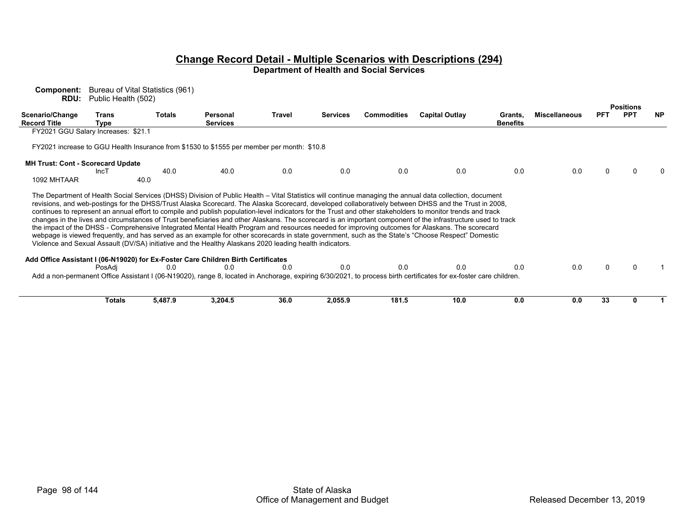**Component:** Bureau of Vital Statistics (961) **RDU:** Public Health (502)

|                                          |                                                      |              |                                                                                                         |        |                 |                    |                                                                                                                                                                                                                                                                                                                                                                                                                                                                                                                                                                                                                                                                                                                                                                                               |                            |                      |            | <b>Positions</b> |           |
|------------------------------------------|------------------------------------------------------|--------------|---------------------------------------------------------------------------------------------------------|--------|-----------------|--------------------|-----------------------------------------------------------------------------------------------------------------------------------------------------------------------------------------------------------------------------------------------------------------------------------------------------------------------------------------------------------------------------------------------------------------------------------------------------------------------------------------------------------------------------------------------------------------------------------------------------------------------------------------------------------------------------------------------------------------------------------------------------------------------------------------------|----------------------------|----------------------|------------|------------------|-----------|
| Scenario/Change<br><b>Record Title</b>   | Trans<br>Type<br>FY2021 GGU Salary Increases: \$21.1 | Totals       | Personal<br><b>Services</b>                                                                             | Travel | <b>Services</b> | <b>Commodities</b> | <b>Capital Outlay</b>                                                                                                                                                                                                                                                                                                                                                                                                                                                                                                                                                                                                                                                                                                                                                                         | Grants,<br><b>Benefits</b> | <b>Miscellaneous</b> | <b>PFT</b> | <b>PPT</b>       | <b>NP</b> |
|                                          |                                                      |              |                                                                                                         |        |                 |                    |                                                                                                                                                                                                                                                                                                                                                                                                                                                                                                                                                                                                                                                                                                                                                                                               |                            |                      |            |                  |           |
|                                          |                                                      |              | FY2021 increase to GGU Health Insurance from \$1530 to \$1555 per member per month: \$10.8              |        |                 |                    |                                                                                                                                                                                                                                                                                                                                                                                                                                                                                                                                                                                                                                                                                                                                                                                               |                            |                      |            |                  |           |
| <b>MH Trust: Cont - Scorecard Update</b> |                                                      |              |                                                                                                         |        |                 |                    |                                                                                                                                                                                                                                                                                                                                                                                                                                                                                                                                                                                                                                                                                                                                                                                               |                            |                      |            |                  |           |
| 1092 MHTAAR                              | IncT                                                 | 40.0<br>40.0 | 40.0                                                                                                    | 0.0    | 0.0             | 0.0                | 0.0                                                                                                                                                                                                                                                                                                                                                                                                                                                                                                                                                                                                                                                                                                                                                                                           | 0.0                        | 0.0                  |            |                  |           |
|                                          |                                                      |              | Violence and Sexual Assault (DV/SA) initiative and the Healthy Alaskans 2020 leading health indicators. |        |                 |                    | revisions, and web-postings for the DHSS/Trust Alaska Scorecard. The Alaska Scorecard, developed collaboratively between DHSS and the Trust in 2008,<br>continues to represent an annual effort to compile and publish population-level indicators for the Trust and other stakeholders to monitor trends and track<br>changes in the lives and circumstances of Trust beneficiaries and other Alaskans. The scorecard is an important component of the infrastructure used to track<br>the impact of the DHSS - Comprehensive Integrated Mental Health Program and resources needed for improving outcomes for Alaskans. The scorecard<br>webpage is viewed frequently, and has served as an example for other scorecards in state government, such as the State's "Choose Respect" Domestic |                            |                      |            |                  |           |
|                                          |                                                      |              | Add Office Assistant I (06-N19020) for Ex-Foster Care Children Birth Certificates                       |        |                 |                    |                                                                                                                                                                                                                                                                                                                                                                                                                                                                                                                                                                                                                                                                                                                                                                                               |                            |                      |            |                  |           |
|                                          | PosAdi                                               | 0.0          | 0.0                                                                                                     | 0.0    | 0.0             | 0.0                | 0.0<br>Add a non-permanent Office Assistant I (06-N19020), range 8, located in Anchorage, expiring 6/30/2021, to process birth certificates for ex-foster care children.                                                                                                                                                                                                                                                                                                                                                                                                                                                                                                                                                                                                                      | 0.0                        | 0.0                  |            |                  |           |
|                                          | <b>Totals</b>                                        | 5,487.9      | 3,204.5                                                                                                 | 36.0   | 2,055.9         | 181.5              | 10.0                                                                                                                                                                                                                                                                                                                                                                                                                                                                                                                                                                                                                                                                                                                                                                                          | 0.0                        | 0.0                  | 33         |                  |           |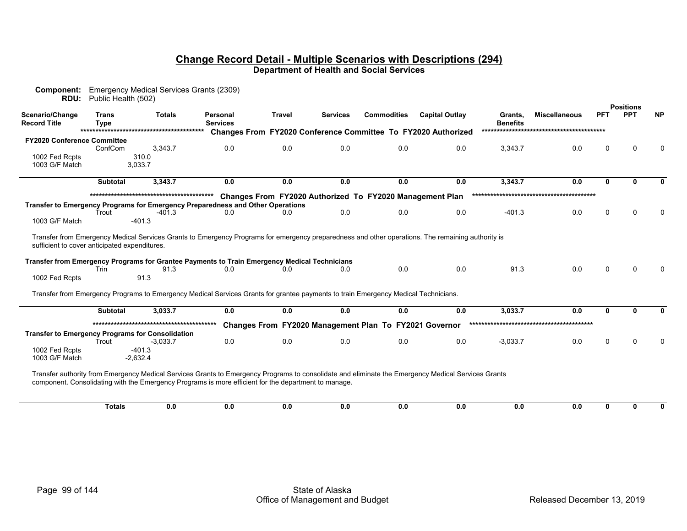| Scenario/Change<br><b>Commodities</b><br><b>Trans</b><br><b>Travel</b><br><b>Services</b><br><b>Capital Outlay</b><br><b>Miscellaneous</b><br><b>PFT</b><br><b>Totals</b><br><b>Personal</b><br>Grants,<br><b>Record Title</b><br><b>Services</b><br><b>Benefits</b><br><b>Type</b><br>Changes From FY2020 Conference Committee To FY2020 Authorized<br><b>FY2020 Conference Committee</b><br>0.0<br>0.0<br>0.0<br>0.0<br>0.0<br>0.0<br>ConfCom<br>3,343.7<br>3,343.7<br>$\Omega$<br>310.0<br>1002 Fed Rcpts<br>1003 G/F Match<br>3,033.7<br>3,343.7<br>0.0<br>0.0<br>0.0<br>0.0<br>0.0<br>0.0<br><b>Subtotal</b><br>3,343.7<br>0<br>Changes From FY2020 Authorized To FY2020 Management Plan<br>Transfer to Emergency Programs for Emergency Preparedness and Other Operations<br>0.0<br>0.0<br>0.0<br>$-401.3$<br>0.0<br>$\Omega$<br>Trout<br>$-401.3$<br>0.0<br>0.0<br>1003 G/F Match<br>$-401.3$<br>Transfer from Emergency Medical Services Grants to Emergency Programs for emergency preparedness and other operations. The remaining authority is<br>sufficient to cover anticipated expenditures.<br>Transfer from Emergency Programs for Grantee Payments to Train Emergency Medical Technicians<br>0.0<br>0.0<br>91.3<br>0.0<br>Trin<br>0.0<br>0.0<br>$\Omega$<br>91.3<br>0.0<br>91.3<br>1002 Fed Rcpts<br>Transfer from Emergency Programs to Emergency Medical Services Grants for grantee payments to train Emergency Medical Technicians.<br>0.0<br>0.0<br>3,033.7<br><b>Subtotal</b><br>3,033.7<br>0.0<br>0.0<br>0.0<br>0.0<br>$\mathbf{0}$<br>Changes From FY2020 Management Plan To FY2021 Governor<br><b>Transfer to Emergency Programs for Consolidation</b><br>0.0<br>0.0<br>0.0<br>0.0<br>0.0<br>$-3,033.7$<br>0.0<br>Trout<br>$-3,033.7$<br>0<br>1002 Fed Rcpts<br>$-401.3$<br>1003 G/F Match<br>$-2,632.4$<br>Transfer authority from Emergency Medical Services Grants to Emergency Programs to consolidate and eliminate the Emergency Medical Services Grants<br>component. Consolidating with the Emergency Programs is more efficient for the department to manage.<br><b>Totals</b><br>0.0<br>0.0<br>0.0<br>0.0<br>0.0<br>0.0<br>0.0<br>0.0<br>n | Component:<br>RDU: | Public Health (502) | Emergency Medical Services Grants (2309) |  |  |  |  |                                |           |
|--------------------------------------------------------------------------------------------------------------------------------------------------------------------------------------------------------------------------------------------------------------------------------------------------------------------------------------------------------------------------------------------------------------------------------------------------------------------------------------------------------------------------------------------------------------------------------------------------------------------------------------------------------------------------------------------------------------------------------------------------------------------------------------------------------------------------------------------------------------------------------------------------------------------------------------------------------------------------------------------------------------------------------------------------------------------------------------------------------------------------------------------------------------------------------------------------------------------------------------------------------------------------------------------------------------------------------------------------------------------------------------------------------------------------------------------------------------------------------------------------------------------------------------------------------------------------------------------------------------------------------------------------------------------------------------------------------------------------------------------------------------------------------------------------------------------------------------------------------------------------------------------------------------------------------------------------------------------------------------------------------------------------------------------------------------------------------------------------------------------------------------------------------------------------------|--------------------|---------------------|------------------------------------------|--|--|--|--|--------------------------------|-----------|
|                                                                                                                                                                                                                                                                                                                                                                                                                                                                                                                                                                                                                                                                                                                                                                                                                                                                                                                                                                                                                                                                                                                                                                                                                                                                                                                                                                                                                                                                                                                                                                                                                                                                                                                                                                                                                                                                                                                                                                                                                                                                                                                                                                                |                    |                     |                                          |  |  |  |  | <b>Positions</b><br><b>PPT</b> | <b>NP</b> |
|                                                                                                                                                                                                                                                                                                                                                                                                                                                                                                                                                                                                                                                                                                                                                                                                                                                                                                                                                                                                                                                                                                                                                                                                                                                                                                                                                                                                                                                                                                                                                                                                                                                                                                                                                                                                                                                                                                                                                                                                                                                                                                                                                                                |                    |                     |                                          |  |  |  |  |                                |           |
|                                                                                                                                                                                                                                                                                                                                                                                                                                                                                                                                                                                                                                                                                                                                                                                                                                                                                                                                                                                                                                                                                                                                                                                                                                                                                                                                                                                                                                                                                                                                                                                                                                                                                                                                                                                                                                                                                                                                                                                                                                                                                                                                                                                |                    |                     |                                          |  |  |  |  |                                |           |
|                                                                                                                                                                                                                                                                                                                                                                                                                                                                                                                                                                                                                                                                                                                                                                                                                                                                                                                                                                                                                                                                                                                                                                                                                                                                                                                                                                                                                                                                                                                                                                                                                                                                                                                                                                                                                                                                                                                                                                                                                                                                                                                                                                                |                    |                     |                                          |  |  |  |  | 0                              | $\Omega$  |
|                                                                                                                                                                                                                                                                                                                                                                                                                                                                                                                                                                                                                                                                                                                                                                                                                                                                                                                                                                                                                                                                                                                                                                                                                                                                                                                                                                                                                                                                                                                                                                                                                                                                                                                                                                                                                                                                                                                                                                                                                                                                                                                                                                                |                    |                     |                                          |  |  |  |  |                                |           |
|                                                                                                                                                                                                                                                                                                                                                                                                                                                                                                                                                                                                                                                                                                                                                                                                                                                                                                                                                                                                                                                                                                                                                                                                                                                                                                                                                                                                                                                                                                                                                                                                                                                                                                                                                                                                                                                                                                                                                                                                                                                                                                                                                                                |                    |                     |                                          |  |  |  |  |                                |           |
|                                                                                                                                                                                                                                                                                                                                                                                                                                                                                                                                                                                                                                                                                                                                                                                                                                                                                                                                                                                                                                                                                                                                                                                                                                                                                                                                                                                                                                                                                                                                                                                                                                                                                                                                                                                                                                                                                                                                                                                                                                                                                                                                                                                |                    |                     |                                          |  |  |  |  | n                              |           |
|                                                                                                                                                                                                                                                                                                                                                                                                                                                                                                                                                                                                                                                                                                                                                                                                                                                                                                                                                                                                                                                                                                                                                                                                                                                                                                                                                                                                                                                                                                                                                                                                                                                                                                                                                                                                                                                                                                                                                                                                                                                                                                                                                                                |                    |                     |                                          |  |  |  |  |                                |           |
|                                                                                                                                                                                                                                                                                                                                                                                                                                                                                                                                                                                                                                                                                                                                                                                                                                                                                                                                                                                                                                                                                                                                                                                                                                                                                                                                                                                                                                                                                                                                                                                                                                                                                                                                                                                                                                                                                                                                                                                                                                                                                                                                                                                |                    |                     |                                          |  |  |  |  |                                |           |
|                                                                                                                                                                                                                                                                                                                                                                                                                                                                                                                                                                                                                                                                                                                                                                                                                                                                                                                                                                                                                                                                                                                                                                                                                                                                                                                                                                                                                                                                                                                                                                                                                                                                                                                                                                                                                                                                                                                                                                                                                                                                                                                                                                                |                    |                     |                                          |  |  |  |  |                                |           |
|                                                                                                                                                                                                                                                                                                                                                                                                                                                                                                                                                                                                                                                                                                                                                                                                                                                                                                                                                                                                                                                                                                                                                                                                                                                                                                                                                                                                                                                                                                                                                                                                                                                                                                                                                                                                                                                                                                                                                                                                                                                                                                                                                                                |                    |                     |                                          |  |  |  |  |                                |           |
|                                                                                                                                                                                                                                                                                                                                                                                                                                                                                                                                                                                                                                                                                                                                                                                                                                                                                                                                                                                                                                                                                                                                                                                                                                                                                                                                                                                                                                                                                                                                                                                                                                                                                                                                                                                                                                                                                                                                                                                                                                                                                                                                                                                |                    |                     |                                          |  |  |  |  | $\Omega$                       |           |
|                                                                                                                                                                                                                                                                                                                                                                                                                                                                                                                                                                                                                                                                                                                                                                                                                                                                                                                                                                                                                                                                                                                                                                                                                                                                                                                                                                                                                                                                                                                                                                                                                                                                                                                                                                                                                                                                                                                                                                                                                                                                                                                                                                                |                    |                     |                                          |  |  |  |  |                                |           |
|                                                                                                                                                                                                                                                                                                                                                                                                                                                                                                                                                                                                                                                                                                                                                                                                                                                                                                                                                                                                                                                                                                                                                                                                                                                                                                                                                                                                                                                                                                                                                                                                                                                                                                                                                                                                                                                                                                                                                                                                                                                                                                                                                                                |                    |                     |                                          |  |  |  |  | U                              | O         |
|                                                                                                                                                                                                                                                                                                                                                                                                                                                                                                                                                                                                                                                                                                                                                                                                                                                                                                                                                                                                                                                                                                                                                                                                                                                                                                                                                                                                                                                                                                                                                                                                                                                                                                                                                                                                                                                                                                                                                                                                                                                                                                                                                                                |                    |                     |                                          |  |  |  |  |                                |           |
|                                                                                                                                                                                                                                                                                                                                                                                                                                                                                                                                                                                                                                                                                                                                                                                                                                                                                                                                                                                                                                                                                                                                                                                                                                                                                                                                                                                                                                                                                                                                                                                                                                                                                                                                                                                                                                                                                                                                                                                                                                                                                                                                                                                |                    |                     |                                          |  |  |  |  |                                |           |
|                                                                                                                                                                                                                                                                                                                                                                                                                                                                                                                                                                                                                                                                                                                                                                                                                                                                                                                                                                                                                                                                                                                                                                                                                                                                                                                                                                                                                                                                                                                                                                                                                                                                                                                                                                                                                                                                                                                                                                                                                                                                                                                                                                                |                    |                     |                                          |  |  |  |  |                                |           |
|                                                                                                                                                                                                                                                                                                                                                                                                                                                                                                                                                                                                                                                                                                                                                                                                                                                                                                                                                                                                                                                                                                                                                                                                                                                                                                                                                                                                                                                                                                                                                                                                                                                                                                                                                                                                                                                                                                                                                                                                                                                                                                                                                                                |                    |                     |                                          |  |  |  |  |                                |           |
|                                                                                                                                                                                                                                                                                                                                                                                                                                                                                                                                                                                                                                                                                                                                                                                                                                                                                                                                                                                                                                                                                                                                                                                                                                                                                                                                                                                                                                                                                                                                                                                                                                                                                                                                                                                                                                                                                                                                                                                                                                                                                                                                                                                |                    |                     |                                          |  |  |  |  |                                |           |
|                                                                                                                                                                                                                                                                                                                                                                                                                                                                                                                                                                                                                                                                                                                                                                                                                                                                                                                                                                                                                                                                                                                                                                                                                                                                                                                                                                                                                                                                                                                                                                                                                                                                                                                                                                                                                                                                                                                                                                                                                                                                                                                                                                                |                    |                     |                                          |  |  |  |  |                                |           |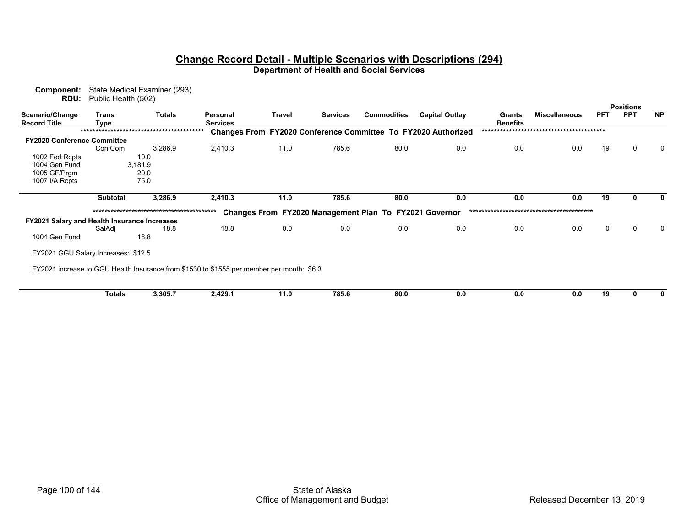| Component:<br><b>RDU:</b>                    | Public Health (502)                 | State Medical Examiner (293) |                                                                                           |        |                 |                                                        |                                                                      |                            |                      |            |                  |              |
|----------------------------------------------|-------------------------------------|------------------------------|-------------------------------------------------------------------------------------------|--------|-----------------|--------------------------------------------------------|----------------------------------------------------------------------|----------------------------|----------------------|------------|------------------|--------------|
|                                              |                                     |                              |                                                                                           |        |                 |                                                        |                                                                      |                            |                      |            | <b>Positions</b> |              |
| Scenario/Change<br><b>Record Title</b>       | Trans<br><b>Type</b>                | <b>Totals</b>                | Personal<br><b>Services</b>                                                               | Travel | <b>Services</b> | <b>Commodities</b>                                     | <b>Capital Outlay</b>                                                | Grants,<br><b>Benefits</b> | <b>Miscellaneous</b> | <b>PFT</b> | <b>PPT</b>       | <b>NP</b>    |
|                                              |                                     |                              |                                                                                           |        |                 |                                                        | <b>Changes From FY2020 Conference Committee To FY2020 Authorized</b> |                            |                      |            |                  |              |
| <b>FY2020 Conference Committee</b>           |                                     |                              |                                                                                           |        |                 |                                                        |                                                                      |                            |                      |            |                  |              |
|                                              | ConfCom                             | 3,286.9                      | 2,410.3                                                                                   | 11.0   | 785.6           | 80.0                                                   | 0.0                                                                  | 0.0                        | 0.0                  | 19         | $\mathbf 0$      | $\mathbf 0$  |
| 1002 Fed Rcpts                               |                                     | 10.0                         |                                                                                           |        |                 |                                                        |                                                                      |                            |                      |            |                  |              |
| 1004 Gen Fund                                |                                     | 3,181.9                      |                                                                                           |        |                 |                                                        |                                                                      |                            |                      |            |                  |              |
| 1005 GF/Prgm                                 |                                     | 20.0                         |                                                                                           |        |                 |                                                        |                                                                      |                            |                      |            |                  |              |
| 1007 I/A Rcpts                               |                                     | 75.0                         |                                                                                           |        |                 |                                                        |                                                                      |                            |                      |            |                  |              |
|                                              | <b>Subtotal</b>                     | 3,286.9                      | 2,410.3                                                                                   | 11.0   | 785.6           | 80.0                                                   | 0.0                                                                  | 0.0                        | 0.0                  | 19         | 0                | $\mathbf{0}$ |
|                                              |                                     |                              |                                                                                           |        |                 |                                                        |                                                                      |                            |                      |            |                  |              |
|                                              |                                     |                              |                                                                                           |        |                 | Changes From FY2020 Management Plan To FY2021 Governor |                                                                      |                            |                      |            |                  |              |
| FY2021 Salary and Health Insurance Increases |                                     |                              |                                                                                           |        |                 |                                                        |                                                                      |                            |                      |            |                  |              |
|                                              | SalAdj                              | 18.8                         | 18.8                                                                                      | 0.0    | 0.0             | 0.0                                                    | 0.0                                                                  | 0.0                        | 0.0                  | 0          | 0                | $\Omega$     |
| 1004 Gen Fund                                |                                     | 18.8                         |                                                                                           |        |                 |                                                        |                                                                      |                            |                      |            |                  |              |
|                                              | FY2021 GGU Salary Increases: \$12.5 |                              |                                                                                           |        |                 |                                                        |                                                                      |                            |                      |            |                  |              |
|                                              |                                     |                              | FY2021 increase to GGU Health Insurance from \$1530 to \$1555 per member per month: \$6.3 |        |                 |                                                        |                                                                      |                            |                      |            |                  |              |
|                                              |                                     |                              |                                                                                           |        |                 |                                                        |                                                                      |                            |                      |            |                  |              |
|                                              | <b>Totals</b>                       | 3,305.7                      | 2,429.1                                                                                   | 11.0   | 785.6           | 80.0                                                   | 0.0                                                                  | 0.0                        | 0.0                  | 19         | 0                | 0            |
|                                              |                                     |                              |                                                                                           |        |                 |                                                        |                                                                      |                            |                      |            |                  |              |
|                                              |                                     |                              |                                                                                           |        |                 |                                                        |                                                                      |                            |                      |            |                  |              |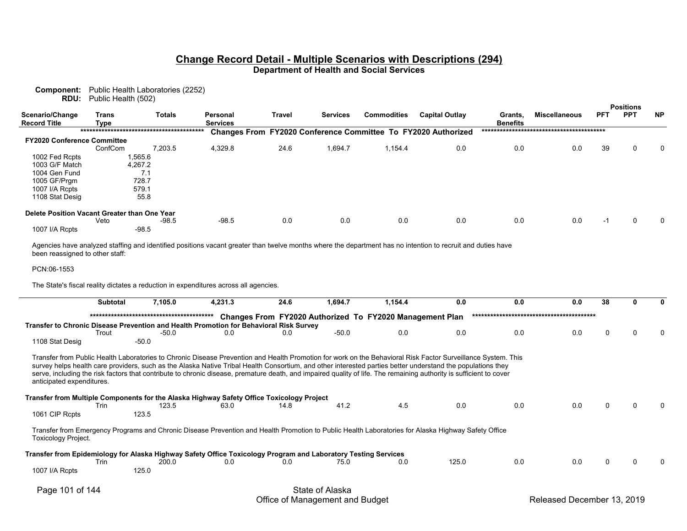**Component:** Public Health Laboratories (2252) **RDU:** Public Health (502)

|                                              |               |               |                             |               |                 |                    |                                                                      |                            |                      |            | <b>Positions</b> |           |
|----------------------------------------------|---------------|---------------|-----------------------------|---------------|-----------------|--------------------|----------------------------------------------------------------------|----------------------------|----------------------|------------|------------------|-----------|
| Scenario/Change<br><b>Record Title</b>       | Trans<br>Type | <b>Totals</b> | Personal<br><b>Services</b> | <b>Travel</b> | <b>Services</b> | <b>Commodities</b> | <b>Capital Outlay</b>                                                | Grants,<br><b>Benefits</b> | <b>Miscellaneous</b> | <b>PFT</b> | <b>PPT</b>       | <b>NP</b> |
|                                              |               |               |                             |               |                 |                    | <b>Changes From FY2020 Conference Committee To FY2020 Authorized</b> |                            |                      |            |                  |           |
| <b>FY2020 Conference Committee</b>           |               |               |                             |               |                 |                    |                                                                      |                            |                      |            |                  |           |
|                                              | ConfCom       | 7.203.5       | 4,329.8                     | 24.6          | 1,694.7         | 1,154.4            | 0.0                                                                  | 0.0                        | 0.0                  | 39         | 0                | $\Omega$  |
| 1002 Fed Rcpts                               | 1,565.6       |               |                             |               |                 |                    |                                                                      |                            |                      |            |                  |           |
| 1003 G/F Match                               | 4.267.2       |               |                             |               |                 |                    |                                                                      |                            |                      |            |                  |           |
| 1004 Gen Fund                                |               | 7.1           |                             |               |                 |                    |                                                                      |                            |                      |            |                  |           |
| 1005 GF/Prgm                                 |               | 728.7         |                             |               |                 |                    |                                                                      |                            |                      |            |                  |           |
| 1007 I/A Rcpts                               |               | 579.1         |                             |               |                 |                    |                                                                      |                            |                      |            |                  |           |
| 1108 Stat Desig                              |               | 55.8          |                             |               |                 |                    |                                                                      |                            |                      |            |                  |           |
| Delete Position Vacant Greater than One Year |               |               |                             |               |                 |                    |                                                                      |                            |                      |            |                  |           |
|                                              | Veto          | $-98.5$       | $-98.5$                     | 0.0           | 0.0             | 0.0                | 0.0                                                                  | 0.0                        | 0.0                  | -1         | 0                | $\Omega$  |
| 1007 I/A Rcpts                               |               | $-98.5$       |                             |               |                 |                    |                                                                      |                            |                      |            |                  |           |

Agencies have analyzed staffing and identified positions vacant greater than twelve months where the department has no intention to recruit and duties have been reassigned to other staff:

#### PCN:06-1553

The State's fiscal reality dictates a reduction in expenditures across all agencies.

|                            | <b>Subtotal</b> | 7,105.0                                                                                                                                                                                                                                                                                                                                                                                                                                                                                            | 4,231.3 | 24.6 | 1,694.7         | 1,154.4                                                  | 0.0   | 0.0 | 0.0 | 38 |  |
|----------------------------|-----------------|----------------------------------------------------------------------------------------------------------------------------------------------------------------------------------------------------------------------------------------------------------------------------------------------------------------------------------------------------------------------------------------------------------------------------------------------------------------------------------------------------|---------|------|-----------------|----------------------------------------------------------|-------|-----|-----|----|--|
|                            |                 |                                                                                                                                                                                                                                                                                                                                                                                                                                                                                                    |         |      |                 | Changes From FY2020 Authorized To FY2020 Management Plan |       |     |     |    |  |
|                            |                 | Transfer to Chronic Disease Prevention and Health Promotion for Behavioral Risk Survey                                                                                                                                                                                                                                                                                                                                                                                                             |         |      |                 |                                                          |       |     |     |    |  |
| 1108 Stat Desig            | Trout           | $-50.0$<br>$-50.0$                                                                                                                                                                                                                                                                                                                                                                                                                                                                                 | 0.0     | 0.0  | $-50.0$         | 0.0                                                      | 0.0   | 0.0 | 0.0 |    |  |
| anticipated expenditures.  |                 | Transfer from Public Health Laboratories to Chronic Disease Prevention and Health Promotion for work on the Behavioral Risk Factor Surveillance System. This<br>survey helps health care providers, such as the Alaska Native Tribal Health Consortium, and other interested parties better understand the populations they<br>serve, including the risk factors that contribute to chronic disease, premature death, and impaired quality of life. The remaining authority is sufficient to cover |         |      |                 |                                                          |       |     |     |    |  |
|                            |                 | Transfer from Multiple Components for the Alaska Highway Safety Office Toxicology Project                                                                                                                                                                                                                                                                                                                                                                                                          |         |      |                 |                                                          |       |     |     |    |  |
| 1061 CIP Rcpts             | Trin            | 123.5<br>123.5                                                                                                                                                                                                                                                                                                                                                                                                                                                                                     | 63.0    | 14.8 | 41.2            | 4.5                                                      | 0.0   | 0.0 | 0.0 |    |  |
| <b>Toxicology Project.</b> |                 | Transfer from Emergency Programs and Chronic Disease Prevention and Health Promotion to Public Health Laboratories for Alaska Highway Safety Office                                                                                                                                                                                                                                                                                                                                                |         |      |                 |                                                          |       |     |     |    |  |
|                            |                 | Transfer from Epidemiology for Alaska Highway Safety Office Toxicology Program and Laboratory Testing Services                                                                                                                                                                                                                                                                                                                                                                                     |         |      |                 |                                                          |       |     |     |    |  |
| 1007 I/A Rcpts             | Trin            | 200.0<br>125.0                                                                                                                                                                                                                                                                                                                                                                                                                                                                                     | 0.0     | 0.0  | 75.0            | 0.0                                                      | 125.0 | 0.0 | 0.0 | 0  |  |
| Page 101 of 144            |                 |                                                                                                                                                                                                                                                                                                                                                                                                                                                                                                    |         |      | State of Alaska |                                                          |       |     |     |    |  |

# Office of Management and Budget **Released December 13, 2019**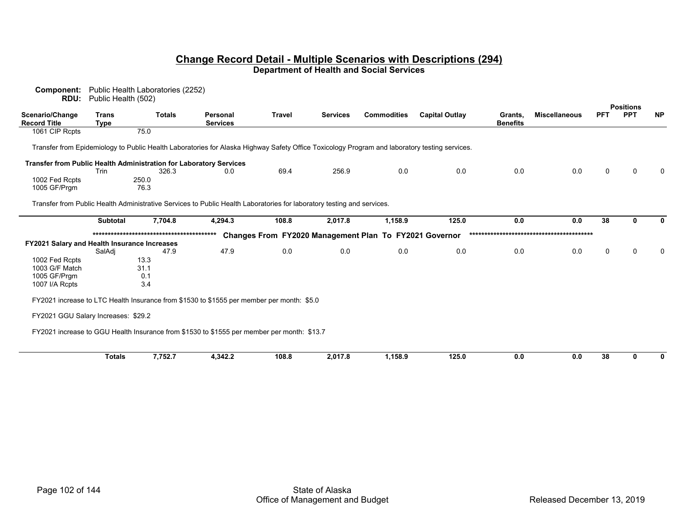| Component:<br>RDU:                                                 | Public Health (502)         | Public Health Laboratories (2252) |                                                                                                                                               |               |                 |                                                        |                       |                            |                      |            |                  |              |
|--------------------------------------------------------------------|-----------------------------|-----------------------------------|-----------------------------------------------------------------------------------------------------------------------------------------------|---------------|-----------------|--------------------------------------------------------|-----------------------|----------------------------|----------------------|------------|------------------|--------------|
|                                                                    |                             |                                   |                                                                                                                                               |               |                 |                                                        |                       |                            |                      |            | <b>Positions</b> |              |
| Scenario/Change<br><b>Record Title</b>                             | <b>Trans</b><br><b>Type</b> | <b>Totals</b>                     | <b>Personal</b><br><b>Services</b>                                                                                                            | <b>Travel</b> | <b>Services</b> | <b>Commodities</b>                                     | <b>Capital Outlay</b> | Grants.<br><b>Benefits</b> | <b>Miscellaneous</b> | <b>PFT</b> | <b>PPT</b>       | <b>NP</b>    |
| 1061 CIP Rcpts                                                     |                             | 75.0                              |                                                                                                                                               |               |                 |                                                        |                       |                            |                      |            |                  |              |
|                                                                    |                             |                                   | Transfer from Epidemiology to Public Health Laboratories for Alaska Highway Safety Office Toxicology Program and laboratory testing services. |               |                 |                                                        |                       |                            |                      |            |                  |              |
| Transfer from Public Health Administration for Laboratory Services |                             |                                   |                                                                                                                                               |               |                 |                                                        |                       |                            |                      |            |                  |              |
|                                                                    | Trin                        | 326.3                             | 0.0                                                                                                                                           | 69.4          | 256.9           | 0.0                                                    | 0.0                   | 0.0                        | 0.0                  | $\Omega$   | $\Omega$         | $\mathbf{0}$ |
| 1002 Fed Rcpts<br>1005 GF/Prgm                                     |                             | 250.0<br>76.3                     |                                                                                                                                               |               |                 |                                                        |                       |                            |                      |            |                  |              |
|                                                                    |                             |                                   | Transfer from Public Health Administrative Services to Public Health Laboratories for laboratory testing and services.                        |               |                 |                                                        |                       |                            |                      |            |                  |              |
|                                                                    | <b>Subtotal</b>             | 7,704.8                           | 4,294.3                                                                                                                                       | 108.8         | 2,017.8         | 1,158.9                                                | 125.0                 | 0.0                        | 0.0                  | 38         | U                | $\mathbf{0}$ |
|                                                                    |                             |                                   |                                                                                                                                               |               |                 | Changes From FY2020 Management Plan To FY2021 Governor |                       |                            |                      |            |                  |              |
| FY2021 Salary and Health Insurance Increases                       |                             |                                   |                                                                                                                                               |               |                 |                                                        |                       |                            |                      |            |                  |              |
|                                                                    | SalAdi                      | 47.9                              | 47.9                                                                                                                                          | 0.0           | 0.0             | 0.0                                                    | 0.0                   | 0.0                        | 0.0                  | 0          | $\Omega$         | 0            |
| 1002 Fed Rcpts                                                     |                             | 13.3                              |                                                                                                                                               |               |                 |                                                        |                       |                            |                      |            |                  |              |
| 1003 G/F Match<br>1005 GF/Prgm                                     |                             | 31.1<br>0.1                       |                                                                                                                                               |               |                 |                                                        |                       |                            |                      |            |                  |              |
| 1007 I/A Rcpts                                                     |                             | 3.4                               |                                                                                                                                               |               |                 |                                                        |                       |                            |                      |            |                  |              |
|                                                                    |                             |                                   | FY2021 increase to LTC Health Insurance from \$1530 to \$1555 per member per month: \$5.0                                                     |               |                 |                                                        |                       |                            |                      |            |                  |              |
|                                                                    |                             |                                   |                                                                                                                                               |               |                 |                                                        |                       |                            |                      |            |                  |              |
| FY2021 GGU Salary Increases: \$29.2                                |                             |                                   |                                                                                                                                               |               |                 |                                                        |                       |                            |                      |            |                  |              |
|                                                                    |                             |                                   | FY2021 increase to GGU Health Insurance from \$1530 to \$1555 per member per month: \$13.7                                                    |               |                 |                                                        |                       |                            |                      |            |                  |              |
|                                                                    | <b>Totals</b>               | 7,752.7                           | 4,342.2                                                                                                                                       | 108.8         | 2,017.8         | 1,158.9                                                | 125.0                 | 0.0                        | 0.0                  | 38         | $\mathbf{0}$     | 0            |
|                                                                    |                             |                                   |                                                                                                                                               |               |                 |                                                        |                       |                            |                      |            |                  |              |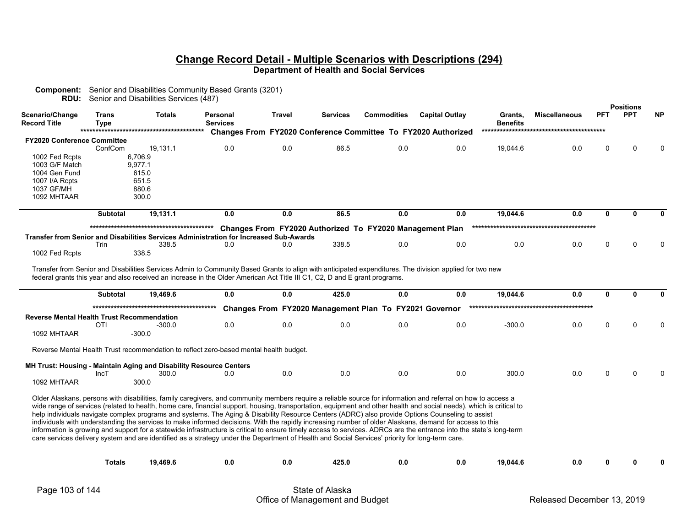| Scenario/Change<br><b>Record Title</b>            | <b>Trans</b><br><b>Type</b> | <b>Totals</b>                                                      | Personal<br><b>Services</b>                                                                                                                                                                                                                                                                                              | Travel | <b>Services</b> | <b>Commodities</b>                                       | <b>Capital Outlay</b>                                         | Grants,<br><b>Benefits</b> | <b>Miscellaneous</b> | <b>PFT</b>   | <b>Positions</b><br><b>PPT</b> | <b>NP</b>   |
|---------------------------------------------------|-----------------------------|--------------------------------------------------------------------|--------------------------------------------------------------------------------------------------------------------------------------------------------------------------------------------------------------------------------------------------------------------------------------------------------------------------|--------|-----------------|----------------------------------------------------------|---------------------------------------------------------------|----------------------------|----------------------|--------------|--------------------------------|-------------|
|                                                   |                             |                                                                    |                                                                                                                                                                                                                                                                                                                          |        |                 |                                                          | Changes From FY2020 Conference Committee To FY2020 Authorized |                            |                      |              |                                |             |
| <b>FY2020 Conference Committee</b>                |                             |                                                                    | 0.0                                                                                                                                                                                                                                                                                                                      | 0.0    | 86.5            | 0.0                                                      |                                                               |                            |                      |              | U                              | $\Omega$    |
| 1002 Fed Rcpts                                    | ConfCom                     | 19,131.1<br>6,706.9                                                |                                                                                                                                                                                                                                                                                                                          |        |                 |                                                          | 0.0                                                           | 19,044.6                   | 0.0                  | 0            |                                |             |
| 1003 G/F Match                                    |                             | 9,977.1                                                            |                                                                                                                                                                                                                                                                                                                          |        |                 |                                                          |                                                               |                            |                      |              |                                |             |
| 1004 Gen Fund                                     |                             | 615.0                                                              |                                                                                                                                                                                                                                                                                                                          |        |                 |                                                          |                                                               |                            |                      |              |                                |             |
| 1007 I/A Rcpts                                    |                             | 651.5                                                              |                                                                                                                                                                                                                                                                                                                          |        |                 |                                                          |                                                               |                            |                      |              |                                |             |
| 1037 GF/MH<br>1092 MHTAAR                         |                             | 880.6<br>300.0                                                     |                                                                                                                                                                                                                                                                                                                          |        |                 |                                                          |                                                               |                            |                      |              |                                |             |
|                                                   |                             |                                                                    |                                                                                                                                                                                                                                                                                                                          |        |                 |                                                          |                                                               |                            |                      |              |                                |             |
|                                                   | <b>Subtotal</b>             | 19,131.1                                                           | 0.0                                                                                                                                                                                                                                                                                                                      | 0.0    | 86.5            | 0.0                                                      | 0.0                                                           | 19,044.6                   | 0.0                  | $\mathbf{0}$ | 0                              | 0           |
|                                                   |                             |                                                                    |                                                                                                                                                                                                                                                                                                                          |        |                 | Changes From FY2020 Authorized To FY2020 Management Plan |                                                               |                            |                      |              |                                |             |
|                                                   |                             |                                                                    | Transfer from Senior and Disabilities Services Administration for Increased Sub-Awards                                                                                                                                                                                                                                   |        |                 |                                                          |                                                               |                            |                      |              |                                |             |
|                                                   | Trin                        | 338.5                                                              | 0.0                                                                                                                                                                                                                                                                                                                      | 0.0    | 338.5           | 0.0                                                      | 0.0                                                           | 0.0                        | 0.0                  | $\Omega$     | U                              | $\Omega$    |
| 1002 Fed Rcpts                                    |                             | 338.5                                                              |                                                                                                                                                                                                                                                                                                                          |        |                 |                                                          |                                                               |                            |                      |              |                                |             |
|                                                   | <b>Subtotal</b>             | 19,469.6                                                           | federal grants this year and also received an increase in the Older American Act Title III C1, C2, D and E grant programs.<br>0.0                                                                                                                                                                                        | 0.0    | 425.0           | 0.0                                                      | 0.0                                                           | 19,044.6                   | 0.0                  | 0            | 0                              | 0           |
|                                                   |                             |                                                                    |                                                                                                                                                                                                                                                                                                                          |        |                 | Changes From FY2020 Management Plan To FY2021 Governor   |                                                               |                            |                      |              |                                |             |
| <b>Reverse Mental Health Trust Recommendation</b> |                             |                                                                    |                                                                                                                                                                                                                                                                                                                          |        |                 |                                                          |                                                               |                            |                      |              |                                |             |
|                                                   | OTI                         | -300.0                                                             | 0.0                                                                                                                                                                                                                                                                                                                      | 0.0    | 0.0             | 0.0                                                      | 0.0                                                           | $-300.0$                   | 0.0                  | $\Omega$     | $\Omega$                       | $\Omega$    |
| 1092 MHTAAR                                       |                             | $-300.0$                                                           |                                                                                                                                                                                                                                                                                                                          |        |                 |                                                          |                                                               |                            |                      |              |                                |             |
|                                                   |                             |                                                                    | Reverse Mental Health Trust recommendation to reflect zero-based mental health budget.                                                                                                                                                                                                                                   |        |                 |                                                          |                                                               |                            |                      |              |                                |             |
|                                                   |                             | MH Trust: Housing - Maintain Aging and Disability Resource Centers |                                                                                                                                                                                                                                                                                                                          |        |                 |                                                          |                                                               |                            |                      |              |                                |             |
|                                                   | IncT                        | 300.0                                                              | 0.0                                                                                                                                                                                                                                                                                                                      | 0.0    | 0.0             | 0.0                                                      | 0.0                                                           | 300.0                      | 0.0                  | $\Omega$     | n                              |             |
| 1092 MHTAAR                                       |                             | 300.0                                                              |                                                                                                                                                                                                                                                                                                                          |        |                 |                                                          |                                                               |                            |                      |              |                                |             |
|                                                   |                             |                                                                    | Older Alaskans, persons with disabilities, family caregivers, and community members require a reliable source for information and referral on how to access a                                                                                                                                                            |        |                 |                                                          |                                                               |                            |                      |              |                                |             |
|                                                   |                             |                                                                    | wide range of services (related to health, home care, financial support, housing, transportation, equipment and other health and social needs), which is critical to<br>help individuals navigate complex programs and systems. The Aging & Disability Resource Centers (ADRC) also provide Options Counseling to assist |        |                 |                                                          |                                                               |                            |                      |              |                                |             |
|                                                   |                             |                                                                    | individuals with understanding the services to make informed decisions. With the rapidly increasing number of older Alaskans, demand for access to this                                                                                                                                                                  |        |                 |                                                          |                                                               |                            |                      |              |                                |             |
|                                                   |                             |                                                                    | information is growing and support for a statewide infrastructure is critical to ensure timely access to services. ADRCs are the entrance into the state's long-term                                                                                                                                                     |        |                 |                                                          |                                                               |                            |                      |              |                                |             |
|                                                   |                             |                                                                    | care services delivery system and are identified as a strategy under the Department of Health and Social Services' priority for long-term care.                                                                                                                                                                          |        |                 |                                                          |                                                               |                            |                      |              |                                |             |
|                                                   |                             |                                                                    |                                                                                                                                                                                                                                                                                                                          |        |                 |                                                          |                                                               |                            |                      |              |                                |             |
|                                                   | <b>Totals</b>               | 19,469.6                                                           | 0.0                                                                                                                                                                                                                                                                                                                      | 0.0    | 425.0           | 0.0                                                      | 0.0                                                           | 19,044.6                   | 0.0                  | $\mathbf{0}$ | $\mathbf{0}$                   | $\mathbf 0$ |
|                                                   |                             |                                                                    |                                                                                                                                                                                                                                                                                                                          |        |                 |                                                          |                                                               |                            |                      |              |                                |             |
| Page 103 of 144                                   |                             |                                                                    |                                                                                                                                                                                                                                                                                                                          |        | State of Alaska |                                                          |                                                               |                            |                      |              |                                |             |

**Component:** Senior and Disabilities Community Based Grants (3201)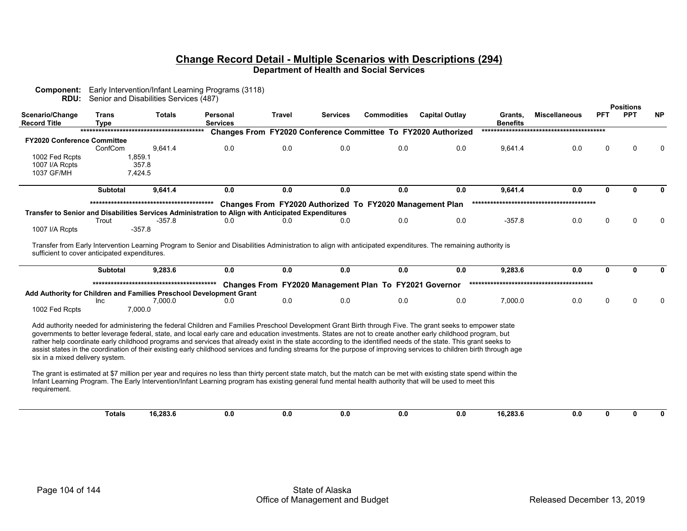| <b>RDU:</b>                                     |                             | Senior and Disabilities Services (487)                                                                                                                                                                                                                                                                                                                                                                                                                                                                                                                                                                                                                                                                                                                                                                                                                                                                                                                                                                  |                             |               |                 |                                                          |                                                                      |                            |                      |              |                                |              |
|-------------------------------------------------|-----------------------------|---------------------------------------------------------------------------------------------------------------------------------------------------------------------------------------------------------------------------------------------------------------------------------------------------------------------------------------------------------------------------------------------------------------------------------------------------------------------------------------------------------------------------------------------------------------------------------------------------------------------------------------------------------------------------------------------------------------------------------------------------------------------------------------------------------------------------------------------------------------------------------------------------------------------------------------------------------------------------------------------------------|-----------------------------|---------------|-----------------|----------------------------------------------------------|----------------------------------------------------------------------|----------------------------|----------------------|--------------|--------------------------------|--------------|
| Scenario/Change<br><b>Record Title</b>          | <b>Trans</b><br><b>Type</b> | <b>Totals</b>                                                                                                                                                                                                                                                                                                                                                                                                                                                                                                                                                                                                                                                                                                                                                                                                                                                                                                                                                                                           | Personal<br><b>Services</b> | <b>Travel</b> | <b>Services</b> | <b>Commodities</b>                                       | <b>Capital Outlay</b>                                                | Grants,<br><b>Benefits</b> | <b>Miscellaneous</b> | <b>PFT</b>   | <b>Positions</b><br><b>PPT</b> | <b>NP</b>    |
|                                                 |                             |                                                                                                                                                                                                                                                                                                                                                                                                                                                                                                                                                                                                                                                                                                                                                                                                                                                                                                                                                                                                         |                             |               |                 |                                                          | <b>Changes From FY2020 Conference Committee To FY2020 Authorized</b> |                            |                      |              |                                |              |
| <b>FY2020 Conference Committee</b>              |                             |                                                                                                                                                                                                                                                                                                                                                                                                                                                                                                                                                                                                                                                                                                                                                                                                                                                                                                                                                                                                         |                             |               |                 |                                                          |                                                                      |                            |                      |              |                                |              |
|                                                 | ConfCom                     | 9,641.4                                                                                                                                                                                                                                                                                                                                                                                                                                                                                                                                                                                                                                                                                                                                                                                                                                                                                                                                                                                                 | 0.0                         | 0.0           | 0.0             | 0.0                                                      | 0.0                                                                  | 9,641.4                    | 0.0                  | $\Omega$     | U                              | 0            |
| 1002 Fed Rcpts                                  |                             | 1,859.1                                                                                                                                                                                                                                                                                                                                                                                                                                                                                                                                                                                                                                                                                                                                                                                                                                                                                                                                                                                                 |                             |               |                 |                                                          |                                                                      |                            |                      |              |                                |              |
| 1007 I/A Rcpts<br>1037 GF/MH                    |                             | 357.8<br>7,424.5                                                                                                                                                                                                                                                                                                                                                                                                                                                                                                                                                                                                                                                                                                                                                                                                                                                                                                                                                                                        |                             |               |                 |                                                          |                                                                      |                            |                      |              |                                |              |
|                                                 |                             |                                                                                                                                                                                                                                                                                                                                                                                                                                                                                                                                                                                                                                                                                                                                                                                                                                                                                                                                                                                                         |                             |               |                 |                                                          |                                                                      |                            |                      |              |                                |              |
|                                                 | <b>Subtotal</b>             | 9,641.4                                                                                                                                                                                                                                                                                                                                                                                                                                                                                                                                                                                                                                                                                                                                                                                                                                                                                                                                                                                                 | 0.0                         | 0.0           | 0.0             | 0.0                                                      | 0.0                                                                  | 9,641.4                    | 0.0                  | 0            | n                              | 0            |
|                                                 |                             |                                                                                                                                                                                                                                                                                                                                                                                                                                                                                                                                                                                                                                                                                                                                                                                                                                                                                                                                                                                                         |                             |               |                 | Changes From FY2020 Authorized To FY2020 Management Plan |                                                                      |                            |                      |              |                                |              |
|                                                 |                             | Transfer to Senior and Disabilities Services Administration to Align with Anticipated Expenditures                                                                                                                                                                                                                                                                                                                                                                                                                                                                                                                                                                                                                                                                                                                                                                                                                                                                                                      |                             |               |                 |                                                          |                                                                      |                            |                      |              |                                |              |
|                                                 | Trout                       | $-357.8$                                                                                                                                                                                                                                                                                                                                                                                                                                                                                                                                                                                                                                                                                                                                                                                                                                                                                                                                                                                                | 0.0                         | 0.0           | 0.0             | 0.0                                                      | 0.0                                                                  | $-357.8$                   | 0.0                  | $\Omega$     | $\Omega$                       | 0            |
| 1007 I/A Rcpts                                  |                             | $-357.8$                                                                                                                                                                                                                                                                                                                                                                                                                                                                                                                                                                                                                                                                                                                                                                                                                                                                                                                                                                                                |                             |               |                 |                                                          |                                                                      |                            |                      |              |                                |              |
| sufficient to cover anticipated expenditures.   | <b>Subtotal</b>             | Transfer from Early Intervention Learning Program to Senior and Disabilities Administration to align with anticipated expenditures. The remaining authority is<br>9,283.6                                                                                                                                                                                                                                                                                                                                                                                                                                                                                                                                                                                                                                                                                                                                                                                                                               | 0.0                         | 0.0           | 0.0             | 0.0                                                      | 0.0                                                                  | 9,283.6                    | 0.0                  | $\mathbf{0}$ | U                              | $\mathbf{0}$ |
|                                                 |                             |                                                                                                                                                                                                                                                                                                                                                                                                                                                                                                                                                                                                                                                                                                                                                                                                                                                                                                                                                                                                         |                             |               |                 | Changes From FY2020 Management Plan To FY2021 Governor   |                                                                      |                            |                      |              |                                |              |
|                                                 |                             | Add Authority for Children and Families Preschool Development Grant                                                                                                                                                                                                                                                                                                                                                                                                                                                                                                                                                                                                                                                                                                                                                                                                                                                                                                                                     |                             |               |                 |                                                          |                                                                      |                            |                      |              |                                |              |
|                                                 | Inc                         | 7,000.0                                                                                                                                                                                                                                                                                                                                                                                                                                                                                                                                                                                                                                                                                                                                                                                                                                                                                                                                                                                                 | 0.0                         | 0.0           | 0.0             | 0.0                                                      | 0.0                                                                  | 7,000.0                    | 0.0                  | $\Omega$     | $\Omega$                       | 0            |
| 1002 Fed Rcpts                                  |                             | 7,000.0                                                                                                                                                                                                                                                                                                                                                                                                                                                                                                                                                                                                                                                                                                                                                                                                                                                                                                                                                                                                 |                             |               |                 |                                                          |                                                                      |                            |                      |              |                                |              |
| six in a mixed delivery system.<br>requirement. |                             | Add authority needed for administering the federal Children and Families Preschool Development Grant Birth through Five. The grant seeks to empower state<br>governments to better leverage federal, state, and local early care and education investments. States are not to create another early childhood program, but<br>rather help coordinate early childhood programs and services that already exist in the state according to the identified needs of the state. This grant seeks to<br>assist states in the coordination of their existing early childhood services and funding streams for the purpose of improving services to children birth through age<br>The grant is estimated at \$7 million per year and requires no less than thirty percent state match, but the match can be met with existing state spend within the<br>Infant Learning Program. The Early Intervention/Infant Learning program has existing general fund mental health authority that will be used to meet this |                             |               |                 |                                                          |                                                                      |                            |                      |              |                                |              |
|                                                 | <b>Totals</b>               | 16,283.6                                                                                                                                                                                                                                                                                                                                                                                                                                                                                                                                                                                                                                                                                                                                                                                                                                                                                                                                                                                                | 0.0                         | 0.0           | 0.0             | 0.0                                                      | 0.0                                                                  | 16.283.6                   | 0.0                  | 0            | $\mathbf{0}$                   | $\mathbf{0}$ |

**Component:** Early Intervention/Infant Learning Programs (3118)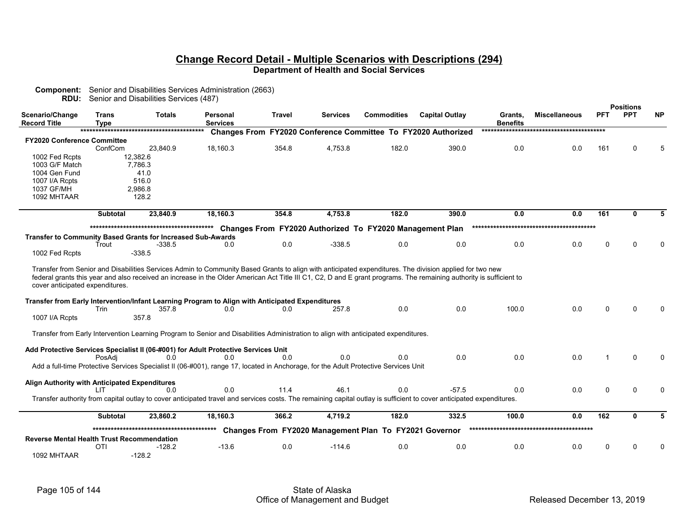|                                                   |                      | <b>RDU:</b> Senior and Disabilities Services (487)                                                                                                                                                                                                                                                                             |                             |        |                 |                                                          |                                                                      |                            |                      |            |                                |           |
|---------------------------------------------------|----------------------|--------------------------------------------------------------------------------------------------------------------------------------------------------------------------------------------------------------------------------------------------------------------------------------------------------------------------------|-----------------------------|--------|-----------------|----------------------------------------------------------|----------------------------------------------------------------------|----------------------------|----------------------|------------|--------------------------------|-----------|
| Scenario/Change<br><b>Record Title</b>            | Trans<br><b>Type</b> | <b>Totals</b>                                                                                                                                                                                                                                                                                                                  | Personal<br><b>Services</b> | Travel | <b>Services</b> | <b>Commodities</b>                                       | <b>Capital Outlay</b>                                                | Grants,<br><b>Benefits</b> | <b>Miscellaneous</b> | <b>PFT</b> | <b>Positions</b><br><b>PPT</b> | <b>NP</b> |
|                                                   |                      |                                                                                                                                                                                                                                                                                                                                |                             |        |                 |                                                          | <b>Changes From FY2020 Conference Committee To FY2020 Authorized</b> |                            |                      |            |                                |           |
| <b>FY2020 Conference Committee</b>                |                      |                                                                                                                                                                                                                                                                                                                                |                             |        |                 |                                                          |                                                                      |                            |                      |            |                                |           |
|                                                   | ConfCom              | 23,840.9                                                                                                                                                                                                                                                                                                                       | 18,160.3                    | 354.8  | 4,753.8         | 182.0                                                    | 390.0                                                                | 0.0                        | 0.0                  | 161        | 0                              | 5         |
| 1002 Fed Rcpts                                    |                      | 12,382.6                                                                                                                                                                                                                                                                                                                       |                             |        |                 |                                                          |                                                                      |                            |                      |            |                                |           |
| 1003 G/F Match<br>1004 Gen Fund                   |                      | 7,786.3<br>41.0                                                                                                                                                                                                                                                                                                                |                             |        |                 |                                                          |                                                                      |                            |                      |            |                                |           |
| 1007 I/A Rcpts                                    |                      | 516.0                                                                                                                                                                                                                                                                                                                          |                             |        |                 |                                                          |                                                                      |                            |                      |            |                                |           |
| 1037 GF/MH                                        |                      | 2,986.8                                                                                                                                                                                                                                                                                                                        |                             |        |                 |                                                          |                                                                      |                            |                      |            |                                |           |
| 1092 MHTAAR                                       |                      | 128.2                                                                                                                                                                                                                                                                                                                          |                             |        |                 |                                                          |                                                                      |                            |                      |            |                                |           |
|                                                   | <b>Subtotal</b>      | 23,840.9                                                                                                                                                                                                                                                                                                                       | 18,160.3                    | 354.8  | 4,753.8         | 182.0                                                    | 390.0                                                                | 0.0                        | 0.0                  | 161        | 0                              | 5         |
|                                                   |                      |                                                                                                                                                                                                                                                                                                                                |                             |        |                 | Changes From FY2020 Authorized To FY2020 Management Plan |                                                                      |                            |                      |            |                                |           |
|                                                   |                      | Transfer to Community Based Grants for Increased Sub-Awards                                                                                                                                                                                                                                                                    |                             |        |                 |                                                          |                                                                      |                            |                      |            |                                |           |
|                                                   | Trout                | $-338.5$                                                                                                                                                                                                                                                                                                                       | 0.0                         | 0.0    | $-338.5$        | 0.0                                                      | 0.0                                                                  | 0.0                        | 0.0                  | $\Omega$   | $\Omega$                       | $\Omega$  |
| 1002 Fed Rcpts                                    |                      | $-338.5$                                                                                                                                                                                                                                                                                                                       |                             |        |                 |                                                          |                                                                      |                            |                      |            |                                |           |
|                                                   |                      |                                                                                                                                                                                                                                                                                                                                |                             |        |                 |                                                          |                                                                      |                            |                      |            |                                |           |
| cover anticipated expenditures.                   |                      | Transfer from Senior and Disabilities Services Admin to Community Based Grants to align with anticipated expenditures. The division applied for two new<br>federal grants this year and also received an increase in the Older American Act Title III C1, C2, D and E grant programs. The remaining authority is sufficient to |                             |        |                 |                                                          |                                                                      |                            |                      |            |                                |           |
|                                                   |                      | Transfer from Early Intervention/Infant Learning Program to Align with Anticipated Expenditures                                                                                                                                                                                                                                |                             |        |                 |                                                          |                                                                      |                            |                      |            |                                |           |
|                                                   | Trin                 | 357.8                                                                                                                                                                                                                                                                                                                          | 0.0                         | 0.0    | 257.8           | 0.0                                                      | 0.0                                                                  | 100.0                      | 0.0                  | $\Omega$   | <sup>0</sup>                   |           |
| 1007 I/A Rcpts                                    |                      | 357.8                                                                                                                                                                                                                                                                                                                          |                             |        |                 |                                                          |                                                                      |                            |                      |            |                                |           |
|                                                   |                      |                                                                                                                                                                                                                                                                                                                                |                             |        |                 |                                                          |                                                                      |                            |                      |            |                                |           |
|                                                   |                      | Transfer from Early Intervention Learning Program to Senior and Disabilities Administration to align with anticipated expenditures.                                                                                                                                                                                            |                             |        |                 |                                                          |                                                                      |                            |                      |            |                                |           |
|                                                   |                      | Add Protective Services Specialist II (06-#001) for Adult Protective Services Unit                                                                                                                                                                                                                                             |                             |        |                 |                                                          |                                                                      |                            |                      |            |                                |           |
|                                                   | PosAdi               | 0.0                                                                                                                                                                                                                                                                                                                            | 0.0                         | 0.0    | 0.0             | 0.0                                                      | 0.0                                                                  | 0.0                        | 0.0                  | -1         | $\mathbf{0}$                   | $\Omega$  |
|                                                   |                      | Add a full-time Protective Services Specialist II (06-#001), range 17, located in Anchorage, for the Adult Protective Services Unit                                                                                                                                                                                            |                             |        |                 |                                                          |                                                                      |                            |                      |            |                                |           |
|                                                   |                      |                                                                                                                                                                                                                                                                                                                                |                             |        |                 |                                                          |                                                                      |                            |                      |            |                                |           |
| Align Authority with Anticipated Expenditures     |                      |                                                                                                                                                                                                                                                                                                                                | 0.0                         | 11.4   | 46.1            | 0.0                                                      | $-57.5$                                                              |                            | 0.0                  | $\Omega$   | $\Omega$                       |           |
|                                                   | ШT                   | 0.0<br>Transfer authority from capital outlay to cover anticipated travel and services costs. The remaining capital outlay is sufficient to cover anticipated expenditures.                                                                                                                                                    |                             |        |                 |                                                          |                                                                      | 0.0                        |                      |            |                                | $\Omega$  |
|                                                   |                      |                                                                                                                                                                                                                                                                                                                                |                             |        |                 |                                                          |                                                                      |                            |                      |            |                                |           |
|                                                   | <b>Subtotal</b>      | 23,860.2                                                                                                                                                                                                                                                                                                                       | 18,160.3                    | 366.2  | 4,719.2         | 182.0                                                    | 332.5                                                                | 100.0                      | 0.0                  | 162        | 0                              | 5         |
|                                                   |                      |                                                                                                                                                                                                                                                                                                                                |                             |        |                 | Changes From FY2020 Management Plan To FY2021 Governor   |                                                                      |                            |                      |            |                                |           |
| <b>Reverse Mental Health Trust Recommendation</b> |                      |                                                                                                                                                                                                                                                                                                                                |                             |        |                 |                                                          |                                                                      |                            |                      |            |                                |           |
|                                                   | <b>OTI</b>           | $-128.2$                                                                                                                                                                                                                                                                                                                       | $-13.6$                     | 0.0    | $-114.6$        | 0.0                                                      | 0.0                                                                  | 0.0                        | 0.0                  | 0          | ŋ                              | 0         |
| 1092 MHTAAR                                       |                      | $-128.2$                                                                                                                                                                                                                                                                                                                       |                             |        |                 |                                                          |                                                                      |                            |                      |            |                                |           |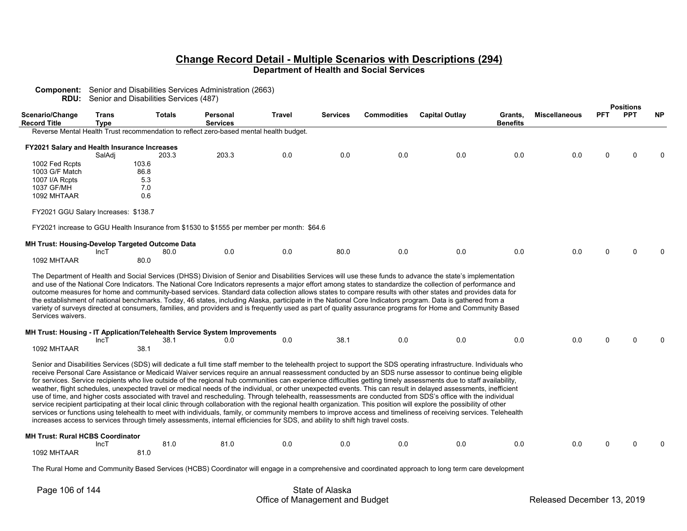| <b>Component:</b> Senior and Disabilities Services Administration (2663) |  |
|--------------------------------------------------------------------------|--|
| <b>DDUL</b> Capics and Disabilities Capicac (407)                        |  |

**RDU:** Senior and Disabilities Services (487)

|                                                                           |                             |               |                                                                                                                                 |               |                 |                    |                                                                                                                                                                                                                                                                                                                                                                                                                                                                                                                                                                                                                                                                                                                                                                                                                                                                                                                                                                                                                                                                                                                                                                                            |                            |                      |            | <b>Positions</b> |           |
|---------------------------------------------------------------------------|-----------------------------|---------------|---------------------------------------------------------------------------------------------------------------------------------|---------------|-----------------|--------------------|--------------------------------------------------------------------------------------------------------------------------------------------------------------------------------------------------------------------------------------------------------------------------------------------------------------------------------------------------------------------------------------------------------------------------------------------------------------------------------------------------------------------------------------------------------------------------------------------------------------------------------------------------------------------------------------------------------------------------------------------------------------------------------------------------------------------------------------------------------------------------------------------------------------------------------------------------------------------------------------------------------------------------------------------------------------------------------------------------------------------------------------------------------------------------------------------|----------------------------|----------------------|------------|------------------|-----------|
| Scenario/Change<br><b>Record Title</b>                                    | <b>Trans</b><br><b>Type</b> | <b>Totals</b> | Personal<br><b>Services</b>                                                                                                     | <b>Travel</b> | <b>Services</b> | <b>Commodities</b> | <b>Capital Outlay</b>                                                                                                                                                                                                                                                                                                                                                                                                                                                                                                                                                                                                                                                                                                                                                                                                                                                                                                                                                                                                                                                                                                                                                                      | Grants,<br><b>Benefits</b> | <b>Miscellaneous</b> | <b>PFT</b> | <b>PPT</b>       | <b>NP</b> |
|                                                                           |                             |               | Reverse Mental Health Trust recommendation to reflect zero-based mental health budget.                                          |               |                 |                    |                                                                                                                                                                                                                                                                                                                                                                                                                                                                                                                                                                                                                                                                                                                                                                                                                                                                                                                                                                                                                                                                                                                                                                                            |                            |                      |            |                  |           |
|                                                                           |                             |               |                                                                                                                                 |               |                 |                    |                                                                                                                                                                                                                                                                                                                                                                                                                                                                                                                                                                                                                                                                                                                                                                                                                                                                                                                                                                                                                                                                                                                                                                                            |                            |                      |            |                  |           |
| FY2021 Salary and Health Insurance Increases                              |                             |               |                                                                                                                                 |               |                 |                    |                                                                                                                                                                                                                                                                                                                                                                                                                                                                                                                                                                                                                                                                                                                                                                                                                                                                                                                                                                                                                                                                                                                                                                                            |                            |                      |            |                  |           |
|                                                                           | SalAdj                      | 203.3         | 203.3                                                                                                                           | 0.0           | 0.0             | 0.0                | 0.0                                                                                                                                                                                                                                                                                                                                                                                                                                                                                                                                                                                                                                                                                                                                                                                                                                                                                                                                                                                                                                                                                                                                                                                        | 0.0                        | 0.0                  | 0          |                  |           |
| 1002 Fed Rcpts                                                            |                             | 103.6         |                                                                                                                                 |               |                 |                    |                                                                                                                                                                                                                                                                                                                                                                                                                                                                                                                                                                                                                                                                                                                                                                                                                                                                                                                                                                                                                                                                                                                                                                                            |                            |                      |            |                  |           |
| 1003 G/F Match                                                            |                             | 86.8          |                                                                                                                                 |               |                 |                    |                                                                                                                                                                                                                                                                                                                                                                                                                                                                                                                                                                                                                                                                                                                                                                                                                                                                                                                                                                                                                                                                                                                                                                                            |                            |                      |            |                  |           |
| 1007 I/A Rcpts                                                            |                             | 5.3           |                                                                                                                                 |               |                 |                    |                                                                                                                                                                                                                                                                                                                                                                                                                                                                                                                                                                                                                                                                                                                                                                                                                                                                                                                                                                                                                                                                                                                                                                                            |                            |                      |            |                  |           |
| 1037 GF/MH                                                                |                             | 7.0           |                                                                                                                                 |               |                 |                    |                                                                                                                                                                                                                                                                                                                                                                                                                                                                                                                                                                                                                                                                                                                                                                                                                                                                                                                                                                                                                                                                                                                                                                                            |                            |                      |            |                  |           |
| 1092 MHTAAR                                                               |                             | 0.6           |                                                                                                                                 |               |                 |                    |                                                                                                                                                                                                                                                                                                                                                                                                                                                                                                                                                                                                                                                                                                                                                                                                                                                                                                                                                                                                                                                                                                                                                                                            |                            |                      |            |                  |           |
| FY2021 GGU Salary Increases: \$138.7                                      |                             |               |                                                                                                                                 |               |                 |                    |                                                                                                                                                                                                                                                                                                                                                                                                                                                                                                                                                                                                                                                                                                                                                                                                                                                                                                                                                                                                                                                                                                                                                                                            |                            |                      |            |                  |           |
|                                                                           |                             |               | FY2021 increase to GGU Health Insurance from \$1530 to \$1555 per member per month: \$64.6                                      |               |                 |                    |                                                                                                                                                                                                                                                                                                                                                                                                                                                                                                                                                                                                                                                                                                                                                                                                                                                                                                                                                                                                                                                                                                                                                                                            |                            |                      |            |                  |           |
| <b>MH Trust: Housing-Develop Targeted Outcome Data</b>                    |                             |               |                                                                                                                                 |               |                 |                    |                                                                                                                                                                                                                                                                                                                                                                                                                                                                                                                                                                                                                                                                                                                                                                                                                                                                                                                                                                                                                                                                                                                                                                                            |                            |                      |            |                  |           |
|                                                                           | IncT                        | 80.0          | 0.0                                                                                                                             | 0.0           | 80.0            | 0.0                | 0.0                                                                                                                                                                                                                                                                                                                                                                                                                                                                                                                                                                                                                                                                                                                                                                                                                                                                                                                                                                                                                                                                                                                                                                                        | 0.0                        | 0.0                  | 0          |                  |           |
| 1092 MHTAAR                                                               |                             | 80.0          |                                                                                                                                 |               |                 |                    |                                                                                                                                                                                                                                                                                                                                                                                                                                                                                                                                                                                                                                                                                                                                                                                                                                                                                                                                                                                                                                                                                                                                                                                            |                            |                      |            |                  |           |
| Services waivers.                                                         |                             |               |                                                                                                                                 |               |                 |                    | and use of the National Core Indicators. The National Core Indicators represents a major effort among states to standardize the collection of performance and<br>outcome measures for home and community-based services. Standard data collection allows states to compare results with other states and provides data for<br>the establishment of national benchmarks. Today, 46 states, including Alaska, participate in the National Core Indicators program. Data is gathered from a<br>variety of surveys directed at consumers, families, and providers and is frequently used as part of quality assurance programs for Home and Community Based                                                                                                                                                                                                                                                                                                                                                                                                                                                                                                                                    |                            |                      |            |                  |           |
| MH Trust: Housing - IT Application/Telehealth Service System Improvements |                             |               |                                                                                                                                 |               |                 |                    |                                                                                                                                                                                                                                                                                                                                                                                                                                                                                                                                                                                                                                                                                                                                                                                                                                                                                                                                                                                                                                                                                                                                                                                            |                            |                      |            |                  |           |
|                                                                           | IncT                        | 38.1          | 0.0                                                                                                                             | 0.0           | 38.1            | 0.0                | 0.0                                                                                                                                                                                                                                                                                                                                                                                                                                                                                                                                                                                                                                                                                                                                                                                                                                                                                                                                                                                                                                                                                                                                                                                        | 0.0                        | 0.0                  | U          |                  |           |
| 1092 MHTAAR                                                               |                             | 38.1          |                                                                                                                                 |               |                 |                    |                                                                                                                                                                                                                                                                                                                                                                                                                                                                                                                                                                                                                                                                                                                                                                                                                                                                                                                                                                                                                                                                                                                                                                                            |                            |                      |            |                  |           |
|                                                                           |                             |               | increases access to services through timely assessments, internal efficiencies for SDS, and ability to shift high travel costs. |               |                 |                    | Senior and Disabilities Services (SDS) will dedicate a full time staff member to the telehealth project to support the SDS operating infrastructure. Individuals who<br>receive Personal Care Assistance or Medicaid Waiver services require an annual reassessment conducted by an SDS nurse assessor to continue being eligible<br>for services. Service recipients who live outside of the regional hub communities can experience difficulties getting timely assessments due to staff availability,<br>weather, flight schedules, unexpected travel or medical needs of the individual, or other unexpected events. This can result in delayed assessments, inefficient<br>use of time, and higher costs associated with travel and rescheduling. Through telehealth, reassessments are conducted from SDS's office with the individual<br>service recipient participating at their local clinic through collaboration with the regional health organization. This position will explore the possibility of other<br>services or functions using telehealth to meet with individuals, family, or community members to improve access and timeliness of receiving services. Telehealth |                            |                      |            |                  |           |
| <b>MH Trust: Rural HCBS Coordinator</b>                                   |                             |               |                                                                                                                                 |               |                 |                    |                                                                                                                                                                                                                                                                                                                                                                                                                                                                                                                                                                                                                                                                                                                                                                                                                                                                                                                                                                                                                                                                                                                                                                                            |                            |                      |            |                  |           |
|                                                                           | IncT                        | 81.0          | 81.0                                                                                                                            | 0.0           | 0.0             | 0.0                | 0.0                                                                                                                                                                                                                                                                                                                                                                                                                                                                                                                                                                                                                                                                                                                                                                                                                                                                                                                                                                                                                                                                                                                                                                                        | 0.0                        | 0.0                  | U          |                  |           |
| 1092 MHTAAR                                                               |                             | 81.0          |                                                                                                                                 |               |                 |                    |                                                                                                                                                                                                                                                                                                                                                                                                                                                                                                                                                                                                                                                                                                                                                                                                                                                                                                                                                                                                                                                                                                                                                                                            |                            |                      |            |                  |           |
|                                                                           |                             |               |                                                                                                                                 |               |                 |                    |                                                                                                                                                                                                                                                                                                                                                                                                                                                                                                                                                                                                                                                                                                                                                                                                                                                                                                                                                                                                                                                                                                                                                                                            |                            |                      |            |                  |           |

The Rural Home and Community Based Services (HCBS) Coordinator will engage in a comprehensive and coordinated approach to long term care development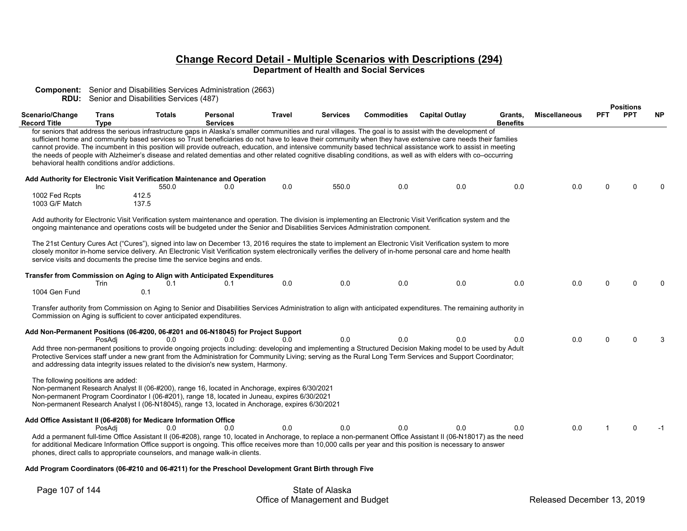|                                                                   |                      | <b>RDU:</b> Senior and Disabilities Services (487)                   | <b>Component:</b> Senior and Disabilities Services Administration (2663)                                                                                                                                                                                                                           |               |                 |                    |                                                                                                                                                                                                                                                                                                                                                                                                                                                                                                                                                                                                                                                             |                            |                      |            |                  |           |
|-------------------------------------------------------------------|----------------------|----------------------------------------------------------------------|----------------------------------------------------------------------------------------------------------------------------------------------------------------------------------------------------------------------------------------------------------------------------------------------------|---------------|-----------------|--------------------|-------------------------------------------------------------------------------------------------------------------------------------------------------------------------------------------------------------------------------------------------------------------------------------------------------------------------------------------------------------------------------------------------------------------------------------------------------------------------------------------------------------------------------------------------------------------------------------------------------------------------------------------------------------|----------------------------|----------------------|------------|------------------|-----------|
|                                                                   |                      |                                                                      |                                                                                                                                                                                                                                                                                                    |               |                 |                    |                                                                                                                                                                                                                                                                                                                                                                                                                                                                                                                                                                                                                                                             |                            |                      |            | <b>Positions</b> |           |
| Scenario/Change<br><b>Record Title</b>                            | Trans<br><b>Type</b> | <b>Totals</b>                                                        | Personal<br><b>Services</b>                                                                                                                                                                                                                                                                        | <b>Travel</b> | <b>Services</b> | <b>Commodities</b> | <b>Capital Outlay</b>                                                                                                                                                                                                                                                                                                                                                                                                                                                                                                                                                                                                                                       | Grants.<br><b>Benefits</b> | <b>Miscellaneous</b> | <b>PFT</b> | <b>PPT</b>       | <b>NP</b> |
| behavioral health conditions and/or addictions.                   |                      |                                                                      |                                                                                                                                                                                                                                                                                                    |               |                 |                    | for seniors that address the serious infrastructure gaps in Alaska's smaller communities and rural villages. The goal is to assist with the development of<br>sufficient home and community based services so Trust beneficiaries do not have to leave their community when they have extensive care needs their families<br>cannot provide. The incumbent in this position will provide outreach, education, and intensive community based technical assistance work to assist in meeting<br>the needs of people with Alzheimer's disease and related dementias and other related cognitive disabling conditions, as well as with elders with co-occurring |                            |                      |            |                  |           |
| 1002 Fed Rcpts<br>1003 G/F Match                                  | Inc                  | 550.0<br>412.5<br>137.5                                              | Add Authority for Electronic Visit Verification Maintenance and Operation<br>0.0                                                                                                                                                                                                                   | 0.0           | 550.0           | 0.0                | 0.0                                                                                                                                                                                                                                                                                                                                                                                                                                                                                                                                                                                                                                                         | 0.0                        | 0.0                  | $\Omega$   |                  |           |
|                                                                   |                      |                                                                      | ongoing maintenance and operations costs will be budgeted under the Senior and Disabilities Services Administration component.                                                                                                                                                                     |               |                 |                    | Add authority for Electronic Visit Verification system maintenance and operation. The division is implementing an Electronic Visit Verification system and the                                                                                                                                                                                                                                                                                                                                                                                                                                                                                              |                            |                      |            |                  |           |
|                                                                   |                      |                                                                      | service visits and documents the precise time the service begins and ends.                                                                                                                                                                                                                         |               |                 |                    | The 21st Century Cures Act ("Cures"), signed into law on December 13, 2016 requires the state to implement an Electronic Visit Verification system to more<br>closely monitor in-home service delivery. An Electronic Visit Verification system electronically verifies the delivery of in-home personal care and home health                                                                                                                                                                                                                                                                                                                               |                            |                      |            |                  |           |
|                                                                   |                      |                                                                      | Transfer from Commission on Aging to Align with Anticipated Expenditures                                                                                                                                                                                                                           |               |                 |                    |                                                                                                                                                                                                                                                                                                                                                                                                                                                                                                                                                                                                                                                             |                            |                      |            |                  |           |
| 1004 Gen Fund                                                     | Trin                 | 0.1<br>0.1                                                           | 0.1                                                                                                                                                                                                                                                                                                | 0.0           | 0.0             | 0.0                | 0.0                                                                                                                                                                                                                                                                                                                                                                                                                                                                                                                                                                                                                                                         | 0.0                        | 0.0                  | $\Omega$   |                  |           |
|                                                                   |                      | Commission on Aging is sufficient to cover anticipated expenditures. |                                                                                                                                                                                                                                                                                                    |               |                 |                    | Transfer authority from Commission on Aging to Senior and Disabilities Services Administration to align with anticipated expenditures. The remaining authority in                                                                                                                                                                                                                                                                                                                                                                                                                                                                                           |                            |                      |            |                  |           |
|                                                                   |                      |                                                                      | Add Non-Permanent Positions (06-#200, 06-#201 and 06-N18045) for Project Support                                                                                                                                                                                                                   |               | 0.0             |                    |                                                                                                                                                                                                                                                                                                                                                                                                                                                                                                                                                                                                                                                             |                            |                      |            |                  |           |
|                                                                   | PosAdi               | 0 <sub>0</sub>                                                       | 0 <sub>0</sub><br>and addressing data integrity issues related to the division's new system, Harmony.                                                                                                                                                                                              | 0 O           |                 | 0.0                | 0.0<br>Add three non-permanent positions to provide ongoing projects including: developing and implementing a Structured Decision Making model to be used by Adult<br>Protective Services staff under a new grant from the Administration for Community Living; serving as the Rural Long Term Services and Support Coordinator;                                                                                                                                                                                                                                                                                                                            | 0.0                        | 0.0                  | $\Omega$   | $\Omega$         | 3         |
| The following positions are added:                                |                      |                                                                      | Non-permanent Research Analyst II (06-#200), range 16, located in Anchorage, expires 6/30/2021<br>Non-permanent Program Coordinator I (06-#201), range 18, located in Juneau, expires 6/30/2021<br>Non-permanent Research Analyst I (06-N18045), range 13, located in Anchorage, expires 6/30/2021 |               |                 |                    |                                                                                                                                                                                                                                                                                                                                                                                                                                                                                                                                                                                                                                                             |                            |                      |            |                  |           |
| Add Office Assistant II (06-#208) for Medicare Information Office |                      |                                                                      |                                                                                                                                                                                                                                                                                                    |               |                 |                    |                                                                                                                                                                                                                                                                                                                                                                                                                                                                                                                                                                                                                                                             |                            |                      |            |                  |           |
|                                                                   | PosAdi               | 0.0                                                                  | 0.0<br>phones, direct calls to appropriate counselors, and manage walk-in clients.                                                                                                                                                                                                                 | 0.0           | 0.0             | 0.0                | 0.0<br>Add a permanent full-time Office Assistant II (06-#208), range 10, located in Anchorage, to replace a non-permanent Office Assistant II (06-N18017) as the need<br>for additional Medicare Information Office support is ongoing. This office receives more than 10,000 calls per year and this position is necessary to answer                                                                                                                                                                                                                                                                                                                      | 0.0                        | 0.0                  |            | 0                | -1        |

 **Add Program Coordinators (06-#210 and 06-#211) for the Preschool Development Grant Birth through Five**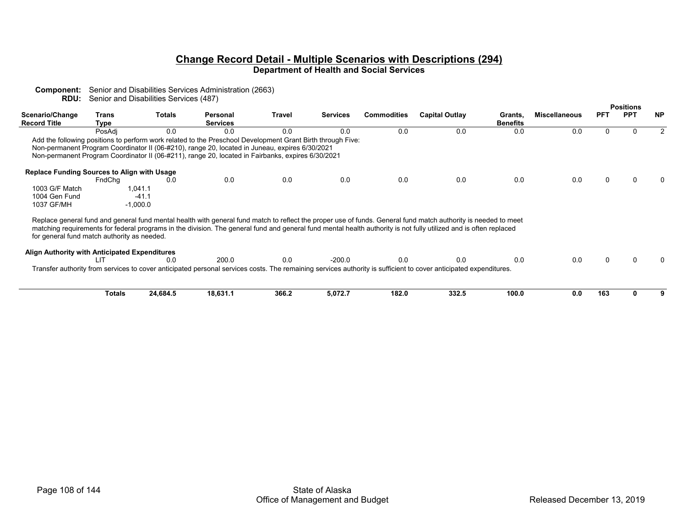| <b>RDU:</b>                                        | Senior and Disabilities Services (487) |               |                                                                                                                                                                                                                                                                                                                   |               |                 |               |                       |                            |                      |                  |     |    |  |
|----------------------------------------------------|----------------------------------------|---------------|-------------------------------------------------------------------------------------------------------------------------------------------------------------------------------------------------------------------------------------------------------------------------------------------------------------------|---------------|-----------------|---------------|-----------------------|----------------------------|----------------------|------------------|-----|----|--|
|                                                    |                                        |               |                                                                                                                                                                                                                                                                                                                   |               |                 |               |                       |                            |                      | <b>Positions</b> |     |    |  |
| Scenario/Change<br><b>Record Title</b>             | Trans<br>Tvpe                          | Totals        | Personal<br><b>Services</b>                                                                                                                                                                                                                                                                                       | Travel        | <b>Services</b> | Commodities   | <b>Capital Outlay</b> | Grants.<br><b>Benefits</b> | <b>Miscellaneous</b> | <b>PFT</b>       | PP. | ΝP |  |
|                                                    | PosAdi                                 | 0.0           | 0.0                                                                                                                                                                                                                                                                                                               |               | 0.0             | 0.0           | 0.0                   | 0.0                        | 0.0                  |                  |     |    |  |
|                                                    |                                        |               | Add the following positions to perform work related to the Preschool Development Grant Birth through Five:<br>Non-permanent Program Coordinator II (06-#210), range 20, located in Juneau, expires 6/30/2021<br>Non-permanent Program Coordinator II (06-#211), range 20, located in Fairbanks, expires 6/30/2021 |               |                 |               |                       |                            |                      |                  |     |    |  |
| <b>Replace Funding Sources to Align with Usage</b> | $\Gamma = \Gamma \cap \Gamma = \Gamma$ | $\sim$ $\sim$ | $\sim$ $\sim$                                                                                                                                                                                                                                                                                                     | $\sim$ $\sim$ | $\sim$ $\sim$   | $\sim$ $\sim$ | $\sim$ $\sim$         | $\sim$ $\sim$              | $\sim$ $\sim$        | $\sim$           |     |    |  |

**Component:** Senior and Disabilities Services Administration (2663)

|                | EndChq     | 0.0 | 0.0 | 0.0 | 0.0 | 0.0 | 0.0 | 0.0 |  |  |
|----------------|------------|-----|-----|-----|-----|-----|-----|-----|--|--|
| 1003 G/F Match | 041.1      |     |     |     |     |     |     |     |  |  |
| 1004 Gen Fund  | $-41$<br>. |     |     |     |     |     |     |     |  |  |
| 1037 GF/MH     | 0.000.0    |     |     |     |     |     |     |     |  |  |
|                |            |     |     |     |     |     |     |     |  |  |

Replace general fund and general fund mental health with general fund match to reflect the proper use of funds. General fund match authority is needed to meet matching requirements for federal programs in the division. The general fund and general fund mental health authority is not fully utilized and is often replaced for general fund match authority as needed.

| Alian Authority with Anticipated Expenditures                                                                                                                    |      |  |  |  |  |  |
|------------------------------------------------------------------------------------------------------------------------------------------------------------------|------|--|--|--|--|--|
|                                                                                                                                                                  | 200. |  |  |  |  |  |
| Transfer authority from services to cover anticipated personal services costs. The remaining services authority is sufficient to cover anticipated expenditures. |      |  |  |  |  |  |

| Гotals | 24,684.5 | 18,631. . | 366.2 | $\sim$ $\sim$ $\sim$<br>5,0/2.7 | 182.0 | 332.5 | 100.0 | 0.0 | 163 |  |
|--------|----------|-----------|-------|---------------------------------|-------|-------|-------|-----|-----|--|

 $\pmb{0}$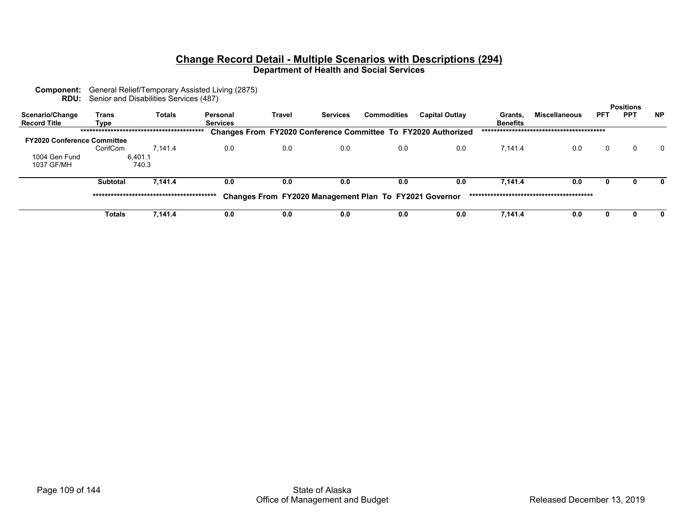**Component:** General Relief/Temporary Assisted Living (2875) **RDU:** Senior and Disabilities Services (487)

| Scenario/Change<br><b>Record Title</b> | Trans<br>Type   | <b>Totals</b> | Personal<br><b>Services</b> | Travel | <b>Services</b> | <b>Commodities</b>                                     | <b>Capital Outlay</b>                                                | Grants.<br><b>Benefits</b> | <b>Miscellaneous</b> | <b>PFT</b> | <b>Positions</b><br><b>PPT</b> | <b>NP</b> |
|----------------------------------------|-----------------|---------------|-----------------------------|--------|-----------------|--------------------------------------------------------|----------------------------------------------------------------------|----------------------------|----------------------|------------|--------------------------------|-----------|
|                                        |                 |               |                             |        |                 |                                                        | <b>Changes From FY2020 Conference Committee To FY2020 Authorized</b> |                            |                      |            |                                |           |
| <b>FY2020 Conference Committee</b>     |                 |               |                             |        |                 |                                                        |                                                                      |                            |                      |            |                                |           |
|                                        | ConfCom         | 7.141.4       | 0.0                         | 0.0    | 0.0             | 0.0                                                    | 0.0                                                                  | 7.141.4                    | 0.0                  | $\Omega$   |                                | $\Omega$  |
| 1004 Gen Fund                          |                 | 6.401.1       |                             |        |                 |                                                        |                                                                      |                            |                      |            |                                |           |
| 1037 GF/MH                             |                 | 740.3         |                             |        |                 |                                                        |                                                                      |                            |                      |            |                                |           |
|                                        | <b>Subtotal</b> | 7.141.4       | 0.0                         | 0.0    | 0.0             | 0.0                                                    | 0.0                                                                  | 7.141.4                    | 0.0                  | 0          |                                |           |
|                                        |                 |               |                             |        |                 | Changes From FY2020 Management Plan To FY2021 Governor |                                                                      |                            |                      |            |                                |           |
|                                        | Totals          | 7.141.4       | 0.0                         | 0.0    | 0.0             | 0.0                                                    | 0.0                                                                  | 7.141.4                    | 0.0                  | 0          |                                |           |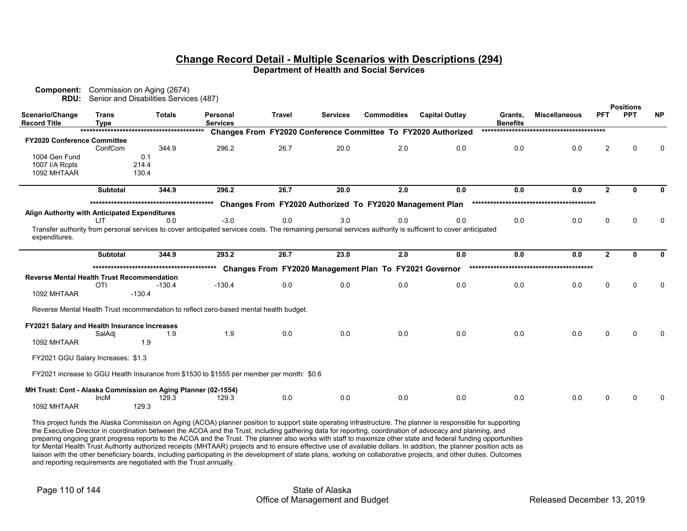| Component:<br><b>RDU:</b>                                     |                             | Commission on Aging (2674)<br>Senior and Disabilities Services (487) |                                                                                                                                                             |               |                 |                                                          |                                                               |                            |                      |                | <b>Positions</b> |           |
|---------------------------------------------------------------|-----------------------------|----------------------------------------------------------------------|-------------------------------------------------------------------------------------------------------------------------------------------------------------|---------------|-----------------|----------------------------------------------------------|---------------------------------------------------------------|----------------------------|----------------------|----------------|------------------|-----------|
| Scenario/Change<br><b>Record Title</b>                        | <b>Trans</b><br><b>Type</b> | <b>Totals</b>                                                        | Personal<br><b>Services</b>                                                                                                                                 | <b>Travel</b> | <b>Services</b> | <b>Commodities</b>                                       | <b>Capital Outlay</b>                                         | Grants.<br><b>Benefits</b> | <b>Miscellaneous</b> | <b>PFT</b>     | <b>PPT</b>       | <b>NP</b> |
|                                                               |                             |                                                                      |                                                                                                                                                             |               |                 |                                                          | Changes From FY2020 Conference Committee To FY2020 Authorized |                            |                      |                |                  |           |
| <b>FY2020 Conference Committee</b>                            |                             |                                                                      |                                                                                                                                                             |               |                 |                                                          |                                                               |                            |                      |                |                  |           |
|                                                               | ConfCom                     | 344.9                                                                | 296.2                                                                                                                                                       | 26.7          | 20.0            | 2.0                                                      | 0.0                                                           | 0.0                        | 0.0                  | 2              |                  |           |
| 1004 Gen Fund                                                 |                             | 0.1                                                                  |                                                                                                                                                             |               |                 |                                                          |                                                               |                            |                      |                |                  |           |
| 1007 I/A Rcpts                                                |                             | 214.4                                                                |                                                                                                                                                             |               |                 |                                                          |                                                               |                            |                      |                |                  |           |
| 1092 MHTAAR                                                   |                             | 130.4                                                                |                                                                                                                                                             |               |                 |                                                          |                                                               |                            |                      |                |                  |           |
|                                                               | <b>Subtotal</b>             | 344.9                                                                | 296.2                                                                                                                                                       | 26.7          | 20.0            | 2.0                                                      | 0.0                                                           | 0.0                        | 0.0                  | $\overline{2}$ | ŋ                |           |
|                                                               |                             |                                                                      |                                                                                                                                                             |               |                 | Changes From FY2020 Authorized To FY2020 Management Plan |                                                               |                            |                      |                |                  |           |
| Align Authority with Anticipated Expenditures                 |                             |                                                                      |                                                                                                                                                             |               |                 |                                                          |                                                               |                            |                      |                |                  |           |
|                                                               | LIT                         | 0.0                                                                  | $-3.0$                                                                                                                                                      | 0.0           | 3.0             | 0.0                                                      | 0.0                                                           | 0.0                        | 0.0                  | U              | ∩                |           |
| expenditures.                                                 |                             |                                                                      | Transfer authority from personal services to cover anticipated services costs. The remaining personal services authority is sufficient to cover anticipated |               |                 |                                                          |                                                               |                            |                      |                |                  |           |
|                                                               | <b>Subtotal</b>             | 344.9                                                                | 293.2                                                                                                                                                       | 26.7          | 23.0            | 2.0                                                      | 0.0                                                           | 0.0                        | 0.0                  | $\mathbf{2}$   | ŋ                |           |
|                                                               |                             |                                                                      |                                                                                                                                                             |               |                 | Changes From FY2020 Management Plan To FY2021 Governor   |                                                               |                            |                      |                |                  |           |
| <b>Reverse Mental Health Trust Recommendation</b>             |                             |                                                                      |                                                                                                                                                             |               |                 |                                                          |                                                               |                            |                      |                |                  |           |
|                                                               | OTI                         | $-130.4$                                                             | $-130.4$                                                                                                                                                    | 0.0           | 0.0             | 0.0                                                      | 0.0                                                           | 0.0                        | 0.0                  | $\Omega$       | $\Omega$         |           |
| 1092 MHTAAR                                                   |                             | $-130.4$                                                             |                                                                                                                                                             |               |                 |                                                          |                                                               |                            |                      |                |                  |           |
|                                                               |                             |                                                                      | Reverse Mental Health Trust recommendation to reflect zero-based mental health budget.                                                                      |               |                 |                                                          |                                                               |                            |                      |                |                  |           |
| FY2021 Salary and Health Insurance Increases                  |                             |                                                                      |                                                                                                                                                             |               |                 |                                                          |                                                               |                            |                      |                |                  |           |
|                                                               | SalAdi                      | 1.9                                                                  | 1.9                                                                                                                                                         | 0.0           | 0.0             | 0.0                                                      | 0.0                                                           | 0.0                        | 0.0                  | 0              | $\Omega$         |           |
| 1092 MHTAAR                                                   |                             | 1.9                                                                  |                                                                                                                                                             |               |                 |                                                          |                                                               |                            |                      |                |                  |           |
| FY2021 GGU Salary Increases: \$1.3                            |                             |                                                                      |                                                                                                                                                             |               |                 |                                                          |                                                               |                            |                      |                |                  |           |
|                                                               |                             |                                                                      | FY2021 increase to GGU Health Insurance from \$1530 to \$1555 per member per month: \$0.6                                                                   |               |                 |                                                          |                                                               |                            |                      |                |                  |           |
| MH Trust: Cont - Alaska Commission on Aging Planner (02-1554) |                             |                                                                      |                                                                                                                                                             |               |                 |                                                          |                                                               |                            |                      |                |                  |           |
| 1092 MHTAAR                                                   | <b>IncM</b>                 | 129.3<br>129.3                                                       | 129.3                                                                                                                                                       | 0.0           | 0.0             | 0.0                                                      | 0.0                                                           | 0.0                        | 0.0                  | U              |                  |           |
|                                                               |                             |                                                                      |                                                                                                                                                             |               |                 |                                                          |                                                               |                            |                      |                |                  |           |

This project funds the Alaska Commission on Aging (ACOA) planner position to support state operating infrastructure. The planner is responsible for supporting the Executive Director in coordination between the ACOA and the Trust, including gathering data for reporting, coordination of advocacy and planning, and preparing ongoing grant progress reports to the ACOA and the Trust. The planner also works with staff to maximize other state and federal funding opportunities for Mental Health Trust Authority authorized receipts (MHTAAR) projects and to ensure effective use of available dollars. In addition, the planner position acts as liaison with the other beneficiary boards, including participating in the development of state plans, working on collaborative projects, and other duties. Outcomes and reporting requirements are negotiated with the Trust annually.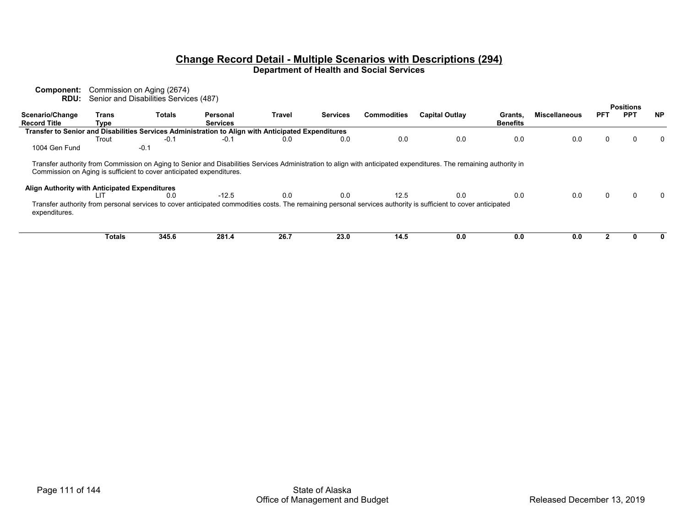| Component:<br>RDU:                            |               | Commission on Aging (2674)<br>Senior and Disabilities Services (487)        |                                                                                                    |        |                 |                    |                                                                                                                                                                          |                 |                      |            |                                |              |
|-----------------------------------------------|---------------|-----------------------------------------------------------------------------|----------------------------------------------------------------------------------------------------|--------|-----------------|--------------------|--------------------------------------------------------------------------------------------------------------------------------------------------------------------------|-----------------|----------------------|------------|--------------------------------|--------------|
| Scenario/Change                               | Trans         | <b>Totals</b>                                                               | Personal                                                                                           | Travel | <b>Services</b> | <b>Commodities</b> | <b>Capital Outlay</b>                                                                                                                                                    | Grants,         | <b>Miscellaneous</b> | <b>PFT</b> | <b>Positions</b><br><b>PPT</b> | <b>NP</b>    |
| <b>Record Title</b>                           | Type          |                                                                             | <b>Services</b>                                                                                    |        |                 |                    |                                                                                                                                                                          | <b>Benefits</b> |                      |            |                                |              |
|                                               |               |                                                                             | Transfer to Senior and Disabilities Services Administration to Align with Anticipated Expenditures |        |                 |                    |                                                                                                                                                                          |                 |                      |            |                                |              |
|                                               | Trout         | $-0.1$                                                                      | $-0.1$                                                                                             | 0.0    | 0.0             | 0.0                | 0.0                                                                                                                                                                      | 0.0             | 0.0                  | 0          |                                | $\mathbf{0}$ |
| 1004 Gen Fund                                 |               | $-0.1$                                                                      |                                                                                                    |        |                 |                    |                                                                                                                                                                          |                 |                      |            |                                |              |
| Align Authority with Anticipated Expenditures | LIT           | Commission on Aging is sufficient to cover anticipated expenditures.<br>0.0 | $-12.5$                                                                                            | 0.0    | 0.0             | 12.5               | Transfer authority from Commission on Aging to Senior and Disabilities Services Administration to align with anticipated expenditures. The remaining authority in<br>0.0 | 0.0             | 0.0                  | 0          |                                |              |
| expenditures.                                 |               |                                                                             |                                                                                                    |        |                 |                    | Transfer authority from personal services to cover anticipated commodities costs. The remaining personal services authority is sufficient to cover anticipated           |                 |                      |            |                                |              |
|                                               | <b>Totals</b> | 345.6                                                                       | 281.4                                                                                              | 26.7   | 23.0            | 14.5               | 0.0                                                                                                                                                                      | 0.0             | 0.0                  |            |                                |              |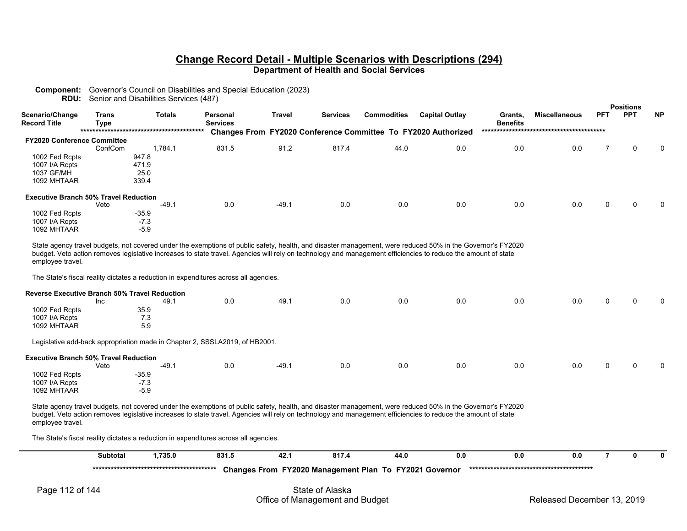# **Component:** Governor's Council on Disabilities and Special Education (2023)

**RDU:** Senior and Disabilities Services (487)

|                                              |               |                                                                                                                                                                                                                                                                                                                             |                      |         |                 |                    |                                                                      |                            |                      |            | <b>Positions</b> |           |
|----------------------------------------------|---------------|-----------------------------------------------------------------------------------------------------------------------------------------------------------------------------------------------------------------------------------------------------------------------------------------------------------------------------|----------------------|---------|-----------------|--------------------|----------------------------------------------------------------------|----------------------------|----------------------|------------|------------------|-----------|
| Scenario/Change<br><b>Record Title</b>       | Trans<br>Type | <b>Totals</b>                                                                                                                                                                                                                                                                                                               | Personal<br>Services | Travel  | <b>Services</b> | <b>Commodities</b> | <b>Capital Outlay</b>                                                | Grants,<br><b>Benefits</b> | <b>Miscellaneous</b> | <b>PFT</b> | <b>PPT</b>       | <b>NP</b> |
|                                              |               |                                                                                                                                                                                                                                                                                                                             |                      |         |                 |                    | <b>Changes From FY2020 Conference Committee To FY2020 Authorized</b> |                            |                      |            |                  |           |
| <b>FY2020 Conference Committee</b>           |               |                                                                                                                                                                                                                                                                                                                             |                      |         |                 |                    |                                                                      |                            |                      |            |                  |           |
|                                              | ConfCom       | 1.784.1                                                                                                                                                                                                                                                                                                                     | 831.5                | 91.2    | 817.4           | 44.0               | 0.0                                                                  | 0.0                        | 0.0                  |            | 0                | $\Omega$  |
| 1002 Fed Rcpts                               |               | 947.8                                                                                                                                                                                                                                                                                                                       |                      |         |                 |                    |                                                                      |                            |                      |            |                  |           |
| 1007 I/A Rcpts                               |               | 471.9                                                                                                                                                                                                                                                                                                                       |                      |         |                 |                    |                                                                      |                            |                      |            |                  |           |
| 1037 GF/MH                                   |               | 25.0                                                                                                                                                                                                                                                                                                                        |                      |         |                 |                    |                                                                      |                            |                      |            |                  |           |
| 1092 MHTAAR                                  |               | 339.4                                                                                                                                                                                                                                                                                                                       |                      |         |                 |                    |                                                                      |                            |                      |            |                  |           |
| <b>Executive Branch 50% Travel Reduction</b> |               |                                                                                                                                                                                                                                                                                                                             |                      |         |                 |                    |                                                                      |                            |                      |            |                  |           |
|                                              | Veto          | $-49.1$                                                                                                                                                                                                                                                                                                                     | 0.0                  | $-49.1$ | 0.0             | 0.0                | 0.0                                                                  | 0.0                        | 0.0                  | 0          | $\Omega$         | $\Omega$  |
| 1002 Fed Rcpts                               |               | $-35.9$                                                                                                                                                                                                                                                                                                                     |                      |         |                 |                    |                                                                      |                            |                      |            |                  |           |
| 1007 I/A Rcpts                               |               | $-7.3$                                                                                                                                                                                                                                                                                                                      |                      |         |                 |                    |                                                                      |                            |                      |            |                  |           |
| 1092 MHTAAR                                  |               | $-5.9$                                                                                                                                                                                                                                                                                                                      |                      |         |                 |                    |                                                                      |                            |                      |            |                  |           |
| employee travel.                             |               | State agency travel budgets, not covered under the exemptions of public safety, health, and disaster management, were reduced 50% in the Governor's FY2020<br>budget. Veto action removes legislative increases to state travel. Agencies will rely on technology and management efficiencies to reduce the amount of state |                      |         |                 |                    |                                                                      |                            |                      |            |                  |           |

The State's fiscal reality dictates a reduction in expenditures across all agencies.

| <b>Reverse Executive Branch 50% Travel Reduction</b> |                                                                             |         |     |         |     |     |     |     |     |   |   |          |
|------------------------------------------------------|-----------------------------------------------------------------------------|---------|-----|---------|-----|-----|-----|-----|-----|---|---|----------|
|                                                      | Inc                                                                         | 49.1    | 0.0 | 49.1    | 0.0 | 0.0 | 0.0 | 0.0 | 0.0 | 0 | 0 | $\Omega$ |
| 1002 Fed Rcpts                                       | 35.9                                                                        |         |     |         |     |     |     |     |     |   |   |          |
| 1007 I/A Rcpts                                       | 7.3                                                                         |         |     |         |     |     |     |     |     |   |   |          |
| 1092 MHTAAR                                          | 5.9                                                                         |         |     |         |     |     |     |     |     |   |   |          |
| <b>Executive Branch 50% Travel Reduction</b>         | Legislative add-back appropriation made in Chapter 2, SSSLA2019, of HB2001. |         |     |         |     |     |     |     |     |   |   |          |
|                                                      | Veto                                                                        | $-49.1$ | 0.0 | $-49.1$ | 0.0 | 0.0 | 0.0 | 0.0 | 0.0 | 0 | 0 | $\Omega$ |
| 1002 Fed Rcpts                                       | $-35.9$                                                                     |         |     |         |     |     |     |     |     |   |   |          |
| 1007 I/A Rcpts                                       | $-7.3$                                                                      |         |     |         |     |     |     |     |     |   |   |          |
| 1092 MHTAAR                                          | $-5.9$                                                                      |         |     |         |     |     |     |     |     |   |   |          |

State agency travel budgets, not covered under the exemptions of public safety, health, and disaster management, were reduced 50% in the Governor's FY2020 budget. Veto action removes legislative increases to state travel. Agencies will rely on technology and management efficiencies to reduce the amount of state employee travel.

The State's fiscal reality dictates a reduction in expenditures across all agencies.

|                 | <b>Subtotal</b> | 1.735.0 | 831.5 | 42.1            | 817.4                                                  | 44.0 | 0.0 | 0.0                        | 0.0 |  |  |
|-----------------|-----------------|---------|-------|-----------------|--------------------------------------------------------|------|-----|----------------------------|-----|--|--|
|                 |                 |         |       |                 | Changes From FY2020 Management Plan To FY2021 Governor |      |     |                            |     |  |  |
| Page 112 of 144 |                 |         |       | State of Alaska | Office of Management and Budget                        |      |     | Released December 13, 2019 |     |  |  |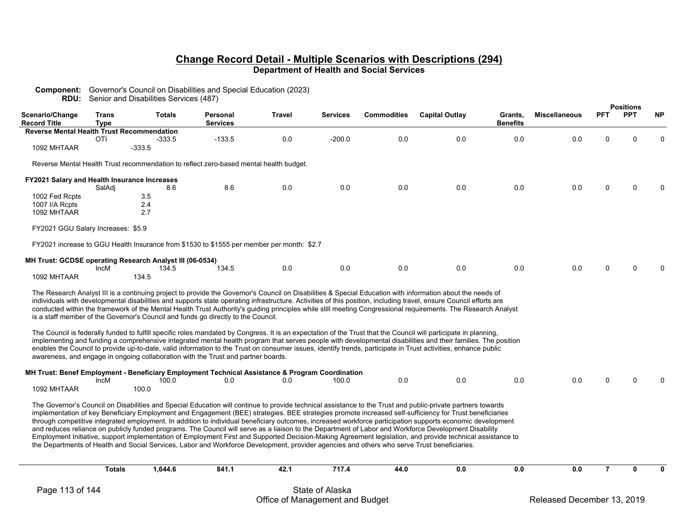| <b>Component:</b> Governor's Council on Disabilities and Special Education (2023) |  |
|-----------------------------------------------------------------------------------|--|
|                                                                                   |  |

**RDU:** Senior and Disabilities Services (487)

|                                                   |                      |                                                                   |                                                                                                                                                                        |               |                 |                    |                                                                                                                                                                                                                                                                                                                                                                                                                                                                                                                                                                                                                                                                                                                                                                                                                                            |                            |                      |                | <b>Positions</b> |           |
|---------------------------------------------------|----------------------|-------------------------------------------------------------------|------------------------------------------------------------------------------------------------------------------------------------------------------------------------|---------------|-----------------|--------------------|--------------------------------------------------------------------------------------------------------------------------------------------------------------------------------------------------------------------------------------------------------------------------------------------------------------------------------------------------------------------------------------------------------------------------------------------------------------------------------------------------------------------------------------------------------------------------------------------------------------------------------------------------------------------------------------------------------------------------------------------------------------------------------------------------------------------------------------------|----------------------------|----------------------|----------------|------------------|-----------|
| Scenario/Change<br><b>Record Title</b>            | Trans<br><b>Type</b> | <b>Totals</b>                                                     | Personal<br><b>Services</b>                                                                                                                                            | <b>Travel</b> | Services        | <b>Commodities</b> | <b>Capital Outlay</b>                                                                                                                                                                                                                                                                                                                                                                                                                                                                                                                                                                                                                                                                                                                                                                                                                      | Grants,<br><b>Benefits</b> | <b>Miscellaneous</b> | <b>PFT</b>     | <b>PPT</b>       | <b>NP</b> |
| <b>Reverse Mental Health Trust Recommendation</b> |                      |                                                                   |                                                                                                                                                                        |               |                 |                    |                                                                                                                                                                                                                                                                                                                                                                                                                                                                                                                                                                                                                                                                                                                                                                                                                                            |                            |                      |                |                  |           |
|                                                   | <b>OTI</b>           | $-333.5$                                                          | $-133.5$                                                                                                                                                               | 0.0           | $-200.0$        | 0.0                | 0.0                                                                                                                                                                                                                                                                                                                                                                                                                                                                                                                                                                                                                                                                                                                                                                                                                                        | 0.0                        | 0.0                  | $\Omega$       | $\Omega$         |           |
| 1092 MHTAAR                                       |                      | $-333.5$                                                          |                                                                                                                                                                        |               |                 |                    |                                                                                                                                                                                                                                                                                                                                                                                                                                                                                                                                                                                                                                                                                                                                                                                                                                            |                            |                      |                |                  |           |
|                                                   |                      |                                                                   | Reverse Mental Health Trust recommendation to reflect zero-based mental health budget.                                                                                 |               |                 |                    |                                                                                                                                                                                                                                                                                                                                                                                                                                                                                                                                                                                                                                                                                                                                                                                                                                            |                            |                      |                |                  |           |
| FY2021 Salary and Health Insurance Increases      |                      |                                                                   |                                                                                                                                                                        |               |                 |                    |                                                                                                                                                                                                                                                                                                                                                                                                                                                                                                                                                                                                                                                                                                                                                                                                                                            |                            |                      |                |                  |           |
|                                                   | SalAdj               | 8.6                                                               | 8.6                                                                                                                                                                    | 0.0           | 0.0             | 0.0                | 0.0                                                                                                                                                                                                                                                                                                                                                                                                                                                                                                                                                                                                                                                                                                                                                                                                                                        | 0.0                        | 0.0                  | 0              |                  |           |
| 1002 Fed Rcpts                                    |                      | 3.5                                                               |                                                                                                                                                                        |               |                 |                    |                                                                                                                                                                                                                                                                                                                                                                                                                                                                                                                                                                                                                                                                                                                                                                                                                                            |                            |                      |                |                  |           |
| 1007 I/A Rcpts                                    |                      | 2.4                                                               |                                                                                                                                                                        |               |                 |                    |                                                                                                                                                                                                                                                                                                                                                                                                                                                                                                                                                                                                                                                                                                                                                                                                                                            |                            |                      |                |                  |           |
| 1092 MHTAAR                                       |                      | 2.7                                                               |                                                                                                                                                                        |               |                 |                    |                                                                                                                                                                                                                                                                                                                                                                                                                                                                                                                                                                                                                                                                                                                                                                                                                                            |                            |                      |                |                  |           |
| FY2021 GGU Salary Increases: \$5.9                |                      |                                                                   |                                                                                                                                                                        |               |                 |                    |                                                                                                                                                                                                                                                                                                                                                                                                                                                                                                                                                                                                                                                                                                                                                                                                                                            |                            |                      |                |                  |           |
|                                                   |                      |                                                                   | FY2021 increase to GGU Health Insurance from \$1530 to \$1555 per member per month: \$2.7                                                                              |               |                 |                    |                                                                                                                                                                                                                                                                                                                                                                                                                                                                                                                                                                                                                                                                                                                                                                                                                                            |                            |                      |                |                  |           |
|                                                   | IncM                 | MH Trust: GCDSE operating Research Analyst III (06-0534)<br>134.5 | 134.5                                                                                                                                                                  | 0.0           | 0.0             | 0.0                | 0.0                                                                                                                                                                                                                                                                                                                                                                                                                                                                                                                                                                                                                                                                                                                                                                                                                                        | 0.0                        | 0.0                  | U              | $\Omega$         |           |
| 1092 MHTAAR                                       |                      | 134.5                                                             |                                                                                                                                                                        |               |                 |                    |                                                                                                                                                                                                                                                                                                                                                                                                                                                                                                                                                                                                                                                                                                                                                                                                                                            |                            |                      |                |                  |           |
|                                                   |                      |                                                                   | is a staff member of the Governor's Council and funds go directly to the Council.<br>awareness, and engage in ongoing collaboration with the Trust and partner boards. |               |                 |                    | individuals with developmental disabilities and supports state operating infrastructure. Activities of this position, including travel, ensure Council efforts are<br>conducted within the framework of the Mental Health Trust Authority's guiding principles while still meeting Congressional requirements. The Research Analyst<br>The Council is federally funded to fulfill specific roles mandated by Congress. It is an expectation of the Trust that the Council will participate in planning,<br>implementing and funding a comprehensive integrated mental health program that serves people with developmental disabilities and their families. The position<br>enables the Council to provide up-to-date, valid information to the Trust on consumer issues, identify trends, participate in Trust activities, enhance public |                            |                      |                |                  |           |
|                                                   |                      |                                                                   | MH Trust: Benef Employment - Beneficiary Employment Technical Assistance & Program Coordination                                                                        |               |                 |                    |                                                                                                                                                                                                                                                                                                                                                                                                                                                                                                                                                                                                                                                                                                                                                                                                                                            |                            |                      |                |                  |           |
| 1092 MHTAAR                                       | IncM                 | 100.0<br>100.0                                                    | 0.0                                                                                                                                                                    | 0.0           | 100.0           | 0.0                | 0.0                                                                                                                                                                                                                                                                                                                                                                                                                                                                                                                                                                                                                                                                                                                                                                                                                                        | 0.0                        | 0.0                  | n              | ∩                |           |
|                                                   |                      |                                                                   | the Departments of Health and Social Services, Labor and Workforce Development, provider agencies and others who serve Trust beneficiaries.                            |               |                 |                    | The Governor's Council on Disabilities and Special Education will continue to provide technical assistance to the Trust and public-private partners towards<br>implementation of key Beneficiary Employment and Engagement (BEE) strategies. BEE strategies promote increased self-sufficiency for Trust beneficiaries<br>through competitive integrated employment. In addition to individual beneficiary outcomes, increased workforce participation supports economic development<br>and reduces reliance on publicly funded programs. The Council will serve as a liaison to the Department of Labor and Workforce Development Disability<br>Employment Initiative, support implementation of Employment First and Supported Decision-Making Agreement legislation, and provide technical assistance to                                |                            |                      |                |                  |           |
|                                                   | <b>Totals</b>        | 1,644.6                                                           | 841.1                                                                                                                                                                  | 42.1          | 717.4           | 44.0               | 0.0                                                                                                                                                                                                                                                                                                                                                                                                                                                                                                                                                                                                                                                                                                                                                                                                                                        | 0.0                        | 0.0                  | $\overline{7}$ | 0                |           |
| Page 113 of 144                                   |                      |                                                                   |                                                                                                                                                                        |               | State of Alaska |                    |                                                                                                                                                                                                                                                                                                                                                                                                                                                                                                                                                                                                                                                                                                                                                                                                                                            |                            |                      |                |                  |           |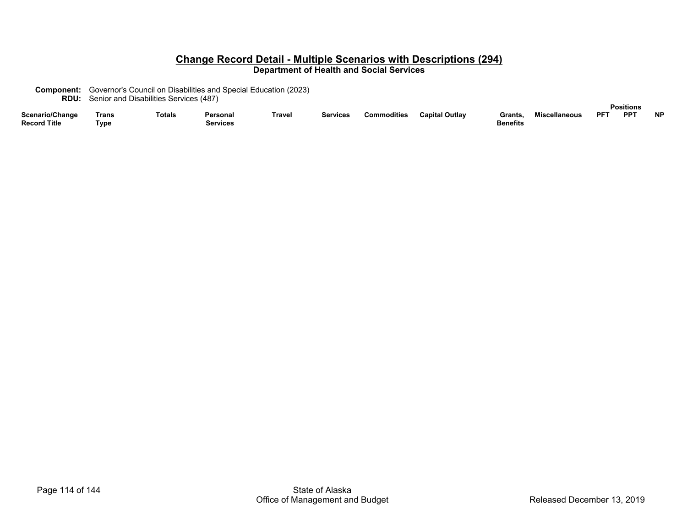| <b>Component:</b> Governor's Council on Disabilities and Special Education (2023) |
|-----------------------------------------------------------------------------------|
| <b>RDU:</b> Senior and Disabilities Services (487)                                |

|                          |       |        |          |                                          |                 |             |                |          |                      |     | Positions  |           |
|--------------------------|-------|--------|----------|------------------------------------------|-----------------|-------------|----------------|----------|----------------------|-----|------------|-----------|
| Scenario/Change          | Trans | Totals | Personal | $\overline{\phantom{a}}$<br><b>Frave</b> | <b>Services</b> | Commodities | Capital Outlav | Grants   | <b>Miscellaneous</b> | DCT | <b>PPT</b> | <b>NP</b> |
| ' Title<br><b>Record</b> | Tvɒ⊾  |        | Services |                                          |                 |             |                | Benefits |                      |     |            |           |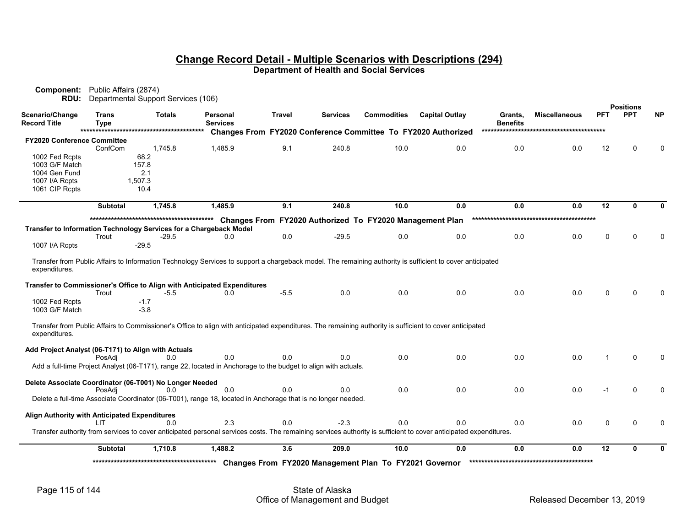| Component:<br>RDU:                            | Public Affairs (2874)       | Departmental Support Services (106)                                |                                                                                                                                                                  |        |                 |                                                          |                                                               |                            |                      |            |                                |           |
|-----------------------------------------------|-----------------------------|--------------------------------------------------------------------|------------------------------------------------------------------------------------------------------------------------------------------------------------------|--------|-----------------|----------------------------------------------------------|---------------------------------------------------------------|----------------------------|----------------------|------------|--------------------------------|-----------|
| Scenario/Change<br><b>Record Title</b>        | <b>Trans</b><br><b>Type</b> | <b>Totals</b>                                                      | Personal<br><b>Services</b>                                                                                                                                      | Travel | <b>Services</b> | <b>Commodities</b>                                       | <b>Capital Outlay</b>                                         | Grants,<br><b>Benefits</b> | <b>Miscellaneous</b> | <b>PFT</b> | <b>Positions</b><br><b>PPT</b> | <b>NP</b> |
|                                               |                             |                                                                    |                                                                                                                                                                  |        |                 |                                                          | Changes From FY2020 Conference Committee To FY2020 Authorized |                            |                      |            |                                |           |
| <b>FY2020 Conference Committee</b>            |                             |                                                                    |                                                                                                                                                                  |        |                 |                                                          |                                                               |                            |                      |            |                                |           |
|                                               | ConfCom                     | 1,745.8                                                            | 1,485.9                                                                                                                                                          | 9.1    | 240.8           | 10.0                                                     | 0.0                                                           | 0.0                        | 0.0                  | 12         | ŋ                              |           |
| 1002 Fed Rcpts                                |                             | 68.2                                                               |                                                                                                                                                                  |        |                 |                                                          |                                                               |                            |                      |            |                                |           |
| 1003 G/F Match                                |                             | 157.8                                                              |                                                                                                                                                                  |        |                 |                                                          |                                                               |                            |                      |            |                                |           |
| 1004 Gen Fund                                 |                             | 2.1                                                                |                                                                                                                                                                  |        |                 |                                                          |                                                               |                            |                      |            |                                |           |
| 1007 I/A Rcpts                                |                             | 1,507.3                                                            |                                                                                                                                                                  |        |                 |                                                          |                                                               |                            |                      |            |                                |           |
| 1061 CIP Rcpts                                |                             | 10.4                                                               |                                                                                                                                                                  |        |                 |                                                          |                                                               |                            |                      |            |                                |           |
|                                               | <b>Subtotal</b>             | 1,745.8                                                            | 1,485.9                                                                                                                                                          | 9.1    | 240.8           | 10.0                                                     | 0.0                                                           | 0.0                        | 0.0                  | 12         | $\mathbf{0}$                   |           |
|                                               |                             |                                                                    |                                                                                                                                                                  |        |                 | Changes From FY2020 Authorized To FY2020 Management Plan |                                                               |                            |                      |            |                                |           |
|                                               |                             | Transfer to Information Technology Services for a Chargeback Model |                                                                                                                                                                  |        |                 |                                                          |                                                               |                            |                      |            |                                |           |
|                                               | Trout                       | $-29.5$                                                            | 0.0                                                                                                                                                              | 0.0    | $-29.5$         | 0.0                                                      | 0.0                                                           | 0.0                        | 0.0                  | 0          |                                |           |
| 1007 I/A Rcpts                                |                             | $-29.5$                                                            |                                                                                                                                                                  |        |                 |                                                          |                                                               |                            |                      |            |                                |           |
| expenditures.                                 |                             |                                                                    | Transfer from Public Affairs to Information Technology Services to support a chargeback model. The remaining authority is sufficient to cover anticipated        |        |                 |                                                          |                                                               |                            |                      |            |                                |           |
|                                               | Trout                       | -5.5                                                               | Transfer to Commissioner's Office to Align with Anticipated Expenditures<br>0.0                                                                                  | $-5.5$ | 0.0             | 0.0                                                      | 0.0                                                           | 0.0                        | 0.0                  | 0          | $\Omega$                       |           |
| 1002 Fed Rcpts<br>1003 G/F Match              |                             | $-1.7$<br>$-3.8$                                                   |                                                                                                                                                                  |        |                 |                                                          |                                                               |                            |                      |            |                                |           |
| expenditures.                                 |                             |                                                                    | Transfer from Public Affairs to Commissioner's Office to align with anticipated expenditures. The remaining authority is sufficient to cover anticipated         |        |                 |                                                          |                                                               |                            |                      |            |                                |           |
|                                               |                             | Add Project Analyst (06-T171) to Align with Actuals                |                                                                                                                                                                  |        |                 |                                                          |                                                               |                            |                      |            |                                |           |
|                                               | PosAdi                      | 0.0                                                                | 0.0                                                                                                                                                              | 0.0    | 0.0             | 0.0                                                      | 0.0                                                           | 0.0                        | 0.0                  |            | $\Omega$                       |           |
|                                               |                             |                                                                    | Add a full-time Project Analyst (06-T171), range 22, located in Anchorage to the budget to align with actuals.                                                   |        |                 |                                                          |                                                               |                            |                      |            |                                |           |
|                                               |                             | Delete Associate Coordinator (06-T001) No Longer Needed            |                                                                                                                                                                  |        |                 |                                                          |                                                               |                            |                      |            |                                |           |
|                                               | PosAdi                      | 0.0                                                                | 0.0                                                                                                                                                              | 0.0    | 0.0             | 0.0                                                      | 0.0                                                           | 0.0                        | 0.0                  | -1         | $\Omega$                       |           |
|                                               |                             |                                                                    | Delete a full-time Associate Coordinator (06-T001), range 18, located in Anchorage that is no longer needed.                                                     |        |                 |                                                          |                                                               |                            |                      |            |                                |           |
| Align Authority with Anticipated Expenditures |                             |                                                                    |                                                                                                                                                                  |        |                 |                                                          |                                                               |                            |                      |            |                                |           |
|                                               | LIT                         | 0.0                                                                | 2.3                                                                                                                                                              | 0.0    | $-2.3$          | 0.0                                                      | 0.0                                                           | 0.0                        | 0.0                  | 0          | $\Omega$                       |           |
|                                               |                             |                                                                    | Transfer authority from services to cover anticipated personal services costs. The remaining services authority is sufficient to cover anticipated expenditures. |        |                 |                                                          |                                                               |                            |                      |            |                                |           |
|                                               | <b>Subtotal</b>             | 1,710.8                                                            | 1,488.2                                                                                                                                                          | 3.6    | 209.0           | 10.0                                                     | 0.0                                                           | 0.0                        | 0.0                  | 12         | $\mathbf{0}$                   |           |
|                                               |                             |                                                                    |                                                                                                                                                                  |        |                 |                                                          |                                                               |                            |                      |            |                                |           |
|                                               |                             |                                                                    |                                                                                                                                                                  |        |                 |                                                          |                                                               |                            |                      |            |                                |           |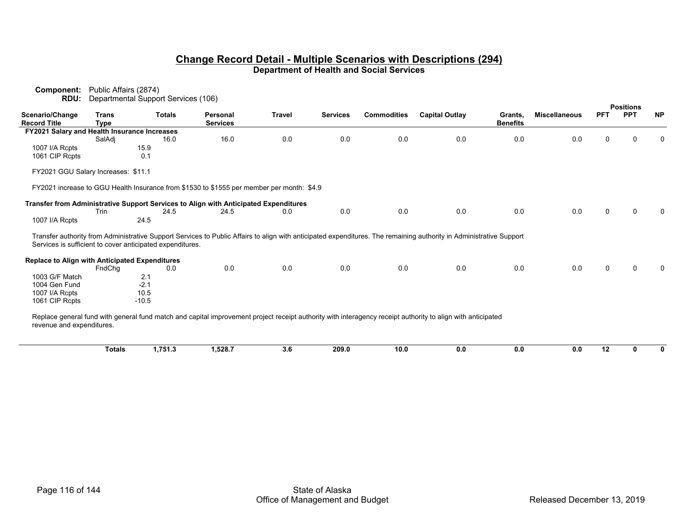| RDU:                                                      | Departmental Support Services (106) |               |               |                                                                                           |               |                 |                    |                                                                                                                                                                     |                            |                      |            | <b>Positions</b> |           |
|-----------------------------------------------------------|-------------------------------------|---------------|---------------|-------------------------------------------------------------------------------------------|---------------|-----------------|--------------------|---------------------------------------------------------------------------------------------------------------------------------------------------------------------|----------------------------|----------------------|------------|------------------|-----------|
| Scenario/Change<br><b>Record Title</b>                    | <b>Trans</b><br><b>Type</b>         |               | <b>Totals</b> | Personal<br><b>Services</b>                                                               | <b>Travel</b> | <b>Services</b> | <b>Commodities</b> | <b>Capital Outlay</b>                                                                                                                                               | Grants,<br><b>Benefits</b> | <b>Miscellaneous</b> | <b>PFT</b> | <b>PPT</b>       | <b>NP</b> |
| FY2021 Salary and Health Insurance Increases              |                                     |               |               |                                                                                           |               |                 |                    |                                                                                                                                                                     |                            |                      |            |                  |           |
|                                                           | SalAdi                              |               | 16.0          | 16.0                                                                                      | 0.0           | 0.0             | 0.0                | 0.0                                                                                                                                                                 | 0.0                        | 0.0                  | 0          |                  |           |
| 1007 I/A Rcpts                                            |                                     | 15.9          |               |                                                                                           |               |                 |                    |                                                                                                                                                                     |                            |                      |            |                  |           |
| 1061 CIP Rcpts                                            |                                     | 0.1           |               |                                                                                           |               |                 |                    |                                                                                                                                                                     |                            |                      |            |                  |           |
| FY2021 GGU Salary Increases: \$11.1                       |                                     |               |               |                                                                                           |               |                 |                    |                                                                                                                                                                     |                            |                      |            |                  |           |
|                                                           |                                     |               |               | FY2021 increase to GGU Health Insurance from \$1530 to \$1555 per member per month: \$4.9 |               |                 |                    |                                                                                                                                                                     |                            |                      |            |                  |           |
|                                                           |                                     |               |               | Transfer from Administrative Support Services to Align with Anticipated Expenditures      |               |                 |                    |                                                                                                                                                                     |                            |                      |            |                  |           |
|                                                           | Trin                                |               | 24.5          | 24.5                                                                                      | 0.0           | 0.0             | 0.0                | 0.0                                                                                                                                                                 | 0.0                        | 0.0                  | 0          | ∩                |           |
| 1007 I/A Rcpts                                            |                                     | 24.5          |               |                                                                                           |               |                 |                    |                                                                                                                                                                     |                            |                      |            |                  |           |
| Services is sufficient to cover anticipated expenditures. |                                     |               |               |                                                                                           |               |                 |                    | Transfer authority from Administrative Support Services to Public Affairs to align with anticipated expenditures. The remaining authority in Administrative Support |                            |                      |            |                  |           |
| <b>Replace to Align with Anticipated Expenditures</b>     |                                     |               |               |                                                                                           |               |                 |                    |                                                                                                                                                                     |                            |                      |            |                  |           |
|                                                           | FndChq                              |               | 0.0           | 0.0                                                                                       | 0.0           | 0.0             | 0.0                | 0.0                                                                                                                                                                 | 0.0                        | 0.0                  | U          |                  |           |
| 1003 G/F Match<br>1004 Gen Fund                           |                                     | 2.1<br>$-2.1$ |               |                                                                                           |               |                 |                    |                                                                                                                                                                     |                            |                      |            |                  |           |
| 1007 I/A Rcpts                                            |                                     | 10.5          |               |                                                                                           |               |                 |                    |                                                                                                                                                                     |                            |                      |            |                  |           |
| 1061 CIP Rcpts                                            |                                     | $-10.5$       |               |                                                                                           |               |                 |                    |                                                                                                                                                                     |                            |                      |            |                  |           |
| revenue and expenditures.                                 |                                     |               |               |                                                                                           |               |                 |                    | Replace general fund with general fund match and capital improvement project receipt authority with interagency receipt authority to align with anticipated         |                            |                      |            |                  |           |
|                                                           | <b>Totals</b>                       |               | 1.751.3       | 1.528.7                                                                                   | 3.6           | 209.0           | 10.0               | 0.0                                                                                                                                                                 | 0.0                        | 0.0                  | 12         | 0                | 0         |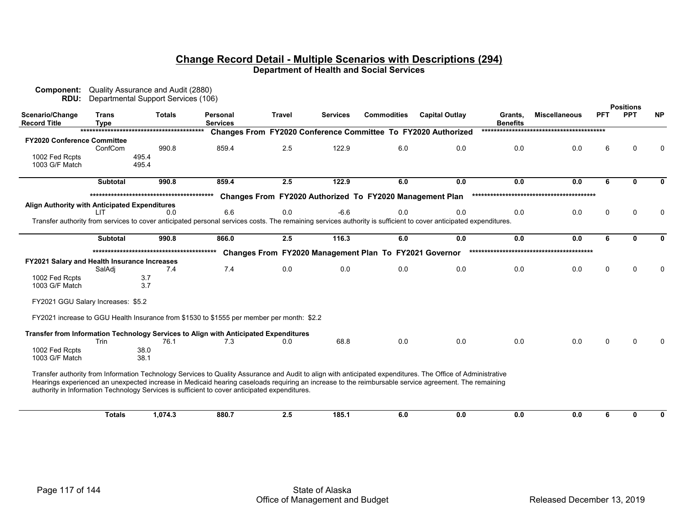|                                               |                                    | Departmental Support Services (106) |                                                                                                                                                                                                                                                                                                                                                                                                                      |        |                 |                                                          |                                                               |                            |                      |            | <b>Positions</b> |              |
|-----------------------------------------------|------------------------------------|-------------------------------------|----------------------------------------------------------------------------------------------------------------------------------------------------------------------------------------------------------------------------------------------------------------------------------------------------------------------------------------------------------------------------------------------------------------------|--------|-----------------|----------------------------------------------------------|---------------------------------------------------------------|----------------------------|----------------------|------------|------------------|--------------|
| Scenario/Change<br><b>Record Title</b>        | Trans<br><b>Type</b>               | <b>Totals</b>                       | Personal<br><b>Services</b>                                                                                                                                                                                                                                                                                                                                                                                          | Travel | <b>Services</b> | <b>Commodities</b>                                       | <b>Capital Outlay</b>                                         | Grants,<br><b>Benefits</b> | <b>Miscellaneous</b> | <b>PFT</b> | <b>PPT</b>       | <b>NP</b>    |
|                                               |                                    |                                     |                                                                                                                                                                                                                                                                                                                                                                                                                      |        |                 |                                                          | Changes From FY2020 Conference Committee To FY2020 Authorized |                            |                      |            |                  |              |
| <b>FY2020 Conference Committee</b>            |                                    |                                     |                                                                                                                                                                                                                                                                                                                                                                                                                      |        |                 |                                                          |                                                               |                            |                      |            |                  |              |
|                                               | ConfCom                            | 990.8                               | 859.4                                                                                                                                                                                                                                                                                                                                                                                                                | 2.5    | 122.9           | 6.0                                                      | 0.0                                                           | 0.0                        | 0.0                  | 6          | ∩                |              |
| 1002 Fed Rcpts                                |                                    | 495.4                               |                                                                                                                                                                                                                                                                                                                                                                                                                      |        |                 |                                                          |                                                               |                            |                      |            |                  |              |
| 1003 G/F Match                                |                                    | 495.4                               |                                                                                                                                                                                                                                                                                                                                                                                                                      |        |                 |                                                          |                                                               |                            |                      |            |                  |              |
|                                               | <b>Subtotal</b>                    | 990.8                               | 859.4                                                                                                                                                                                                                                                                                                                                                                                                                | 2.5    | 122.9           | 6.0                                                      | 0.0                                                           | 0.0                        | 0.0                  | 6          | $\mathbf{0}$     | 0            |
|                                               |                                    |                                     |                                                                                                                                                                                                                                                                                                                                                                                                                      |        |                 | Changes From FY2020 Authorized To FY2020 Management Plan |                                                               |                            |                      |            |                  |              |
| Align Authority with Anticipated Expenditures |                                    |                                     |                                                                                                                                                                                                                                                                                                                                                                                                                      |        |                 |                                                          |                                                               |                            |                      |            |                  |              |
|                                               | LIT                                | 0.0                                 | 6.6                                                                                                                                                                                                                                                                                                                                                                                                                  | 0.0    | $-6.6$          | 0.0                                                      | 0.0                                                           | 0.0                        | 0.0                  | $\Omega$   | $\Omega$         |              |
|                                               |                                    |                                     | Transfer authority from services to cover anticipated personal services costs. The remaining services authority is sufficient to cover anticipated expenditures.                                                                                                                                                                                                                                                     |        |                 |                                                          |                                                               |                            |                      |            |                  |              |
|                                               |                                    |                                     |                                                                                                                                                                                                                                                                                                                                                                                                                      |        |                 |                                                          |                                                               |                            |                      |            |                  |              |
|                                               | <b>Subtotal</b>                    | 990.8                               | 866.0                                                                                                                                                                                                                                                                                                                                                                                                                | 2.5    | 116.3           | 6.0                                                      | 0.0                                                           | 0.0                        | 0.0                  | 6          | 0                | <sup>0</sup> |
|                                               |                                    |                                     |                                                                                                                                                                                                                                                                                                                                                                                                                      |        |                 | Changes From FY2020 Management Plan To FY2021 Governor   |                                                               |                            |                      |            |                  |              |
| FY2021 Salary and Health Insurance Increases  |                                    |                                     |                                                                                                                                                                                                                                                                                                                                                                                                                      |        |                 |                                                          |                                                               |                            |                      |            |                  |              |
|                                               | SalAdj                             | 7.4                                 | 7.4                                                                                                                                                                                                                                                                                                                                                                                                                  | 0.0    | 0.0             | 0.0                                                      | 0.0                                                           | 0.0                        | 0.0                  | 0          | ∩                |              |
| 1002 Fed Rcpts                                |                                    | 3.7                                 |                                                                                                                                                                                                                                                                                                                                                                                                                      |        |                 |                                                          |                                                               |                            |                      |            |                  |              |
| 1003 G/F Match                                |                                    | 3.7                                 |                                                                                                                                                                                                                                                                                                                                                                                                                      |        |                 |                                                          |                                                               |                            |                      |            |                  |              |
|                                               | FY2021 GGU Salary Increases: \$5.2 |                                     |                                                                                                                                                                                                                                                                                                                                                                                                                      |        |                 |                                                          |                                                               |                            |                      |            |                  |              |
|                                               |                                    |                                     | FY2021 increase to GGU Health Insurance from \$1530 to \$1555 per member per month: \$2.2                                                                                                                                                                                                                                                                                                                            |        |                 |                                                          |                                                               |                            |                      |            |                  |              |
|                                               |                                    |                                     | Transfer from Information Technology Services to Align with Anticipated Expenditures                                                                                                                                                                                                                                                                                                                                 |        |                 |                                                          |                                                               |                            |                      |            |                  |              |
|                                               |                                    |                                     |                                                                                                                                                                                                                                                                                                                                                                                                                      |        |                 |                                                          |                                                               |                            |                      |            |                  |              |
|                                               | Trin                               | 76.1                                | 7.3                                                                                                                                                                                                                                                                                                                                                                                                                  | 0.0    | 68.8            | 0.0                                                      | 0.0                                                           | 0.0                        | 0.0                  | 0          | ∩                |              |
| 1002 Fed Rcpts                                |                                    | 38.0                                |                                                                                                                                                                                                                                                                                                                                                                                                                      |        |                 |                                                          |                                                               |                            |                      |            |                  |              |
| 1003 G/F Match                                |                                    | 38.1                                |                                                                                                                                                                                                                                                                                                                                                                                                                      |        |                 |                                                          |                                                               |                            |                      |            |                  |              |
|                                               |                                    |                                     | Transfer authority from Information Technology Services to Quality Assurance and Audit to align with anticipated expenditures. The Office of Administrative<br>Hearings experienced an unexpected increase in Medicaid hearing caseloads requiring an increase to the reimbursable service agreement. The remaining<br>authority in Information Technology Services is sufficient to cover anticipated expenditures. |        |                 |                                                          |                                                               |                            |                      |            |                  |              |
|                                               | <b>Totals</b>                      | 1,074.3                             | 880.7                                                                                                                                                                                                                                                                                                                                                                                                                | 2.5    | 185.1           | 6.0                                                      | 0.0                                                           | 0.0                        | 0.0                  | 6          | 0                | 0            |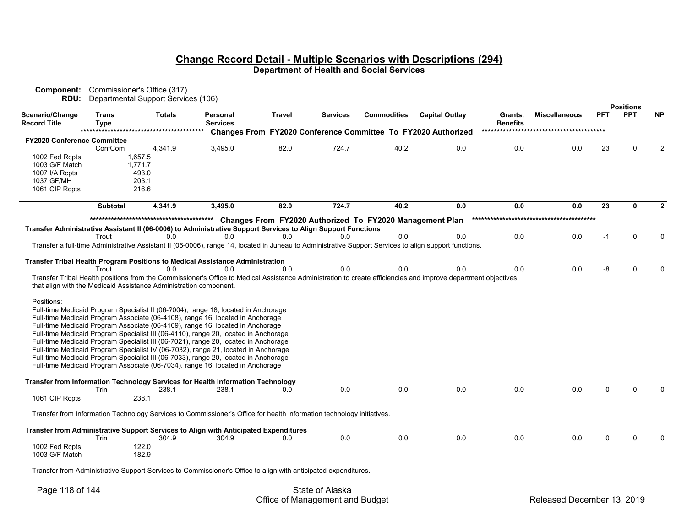| Component:<br>RDU:                                                | Commissioner's Office (317) | Departmental Support Services (106) |                                                                                                                                                                                                                                                                                                                                                                                                                                                                                                                                                                                                                                                                                                     |               |                 |                                                          |                                                               |                            |                      |            |                                |           |
|-------------------------------------------------------------------|-----------------------------|-------------------------------------|-----------------------------------------------------------------------------------------------------------------------------------------------------------------------------------------------------------------------------------------------------------------------------------------------------------------------------------------------------------------------------------------------------------------------------------------------------------------------------------------------------------------------------------------------------------------------------------------------------------------------------------------------------------------------------------------------------|---------------|-----------------|----------------------------------------------------------|---------------------------------------------------------------|----------------------------|----------------------|------------|--------------------------------|-----------|
| Scenario/Change<br><b>Record Title</b>                            | Trans<br>Type               | <b>Totals</b>                       | Personal<br><b>Services</b>                                                                                                                                                                                                                                                                                                                                                                                                                                                                                                                                                                                                                                                                         | <b>Travel</b> | <b>Services</b> | <b>Commodities</b>                                       | <b>Capital Outlay</b>                                         | Grants,<br><b>Benefits</b> | <b>Miscellaneous</b> | <b>PFT</b> | <b>Positions</b><br><b>PPT</b> | <b>NP</b> |
|                                                                   |                             |                                     |                                                                                                                                                                                                                                                                                                                                                                                                                                                                                                                                                                                                                                                                                                     |               |                 |                                                          | Changes From FY2020 Conference Committee To FY2020 Authorized |                            |                      |            |                                |           |
| <b>FY2020 Conference Committee</b>                                |                             |                                     |                                                                                                                                                                                                                                                                                                                                                                                                                                                                                                                                                                                                                                                                                                     |               |                 |                                                          |                                                               |                            |                      |            |                                |           |
| 1002 Fed Rcpts                                                    | ConfCom                     | 4,341.9<br>1,657.5                  | 3,495.0                                                                                                                                                                                                                                                                                                                                                                                                                                                                                                                                                                                                                                                                                             | 82.0          | 724.7           | 40.2                                                     | 0.0                                                           | 0.0                        | 0.0                  | 23         |                                |           |
| 1003 G/F Match                                                    |                             | 1,771.7                             |                                                                                                                                                                                                                                                                                                                                                                                                                                                                                                                                                                                                                                                                                                     |               |                 |                                                          |                                                               |                            |                      |            |                                |           |
| 1007 I/A Rcpts                                                    |                             | 493.0                               |                                                                                                                                                                                                                                                                                                                                                                                                                                                                                                                                                                                                                                                                                                     |               |                 |                                                          |                                                               |                            |                      |            |                                |           |
| 1037 GF/MH                                                        |                             | 203.1                               |                                                                                                                                                                                                                                                                                                                                                                                                                                                                                                                                                                                                                                                                                                     |               |                 |                                                          |                                                               |                            |                      |            |                                |           |
| 1061 CIP Rcpts                                                    |                             | 216.6                               |                                                                                                                                                                                                                                                                                                                                                                                                                                                                                                                                                                                                                                                                                                     |               |                 |                                                          |                                                               |                            |                      |            |                                |           |
|                                                                   | <b>Subtotal</b>             | 4.341.9                             | 3,495.0                                                                                                                                                                                                                                                                                                                                                                                                                                                                                                                                                                                                                                                                                             | 82.0          | 724.7           | 40.2                                                     | 0.0                                                           | 0.0                        | 0.0                  | 23         | 0                              |           |
|                                                                   |                             |                                     |                                                                                                                                                                                                                                                                                                                                                                                                                                                                                                                                                                                                                                                                                                     |               |                 |                                                          |                                                               |                            |                      |            |                                |           |
|                                                                   |                             |                                     |                                                                                                                                                                                                                                                                                                                                                                                                                                                                                                                                                                                                                                                                                                     |               |                 | Changes From FY2020 Authorized To FY2020 Management Plan |                                                               |                            |                      |            |                                |           |
|                                                                   |                             |                                     | Transfer Administrative Assistant II (06-0006) to Administrative Support Services to Align Support Functions                                                                                                                                                                                                                                                                                                                                                                                                                                                                                                                                                                                        |               |                 |                                                          |                                                               |                            |                      |            |                                |           |
|                                                                   | Trout                       | 0.0                                 | 0.0<br>Transfer a full-time Administrative Assistant II (06-0006), range 14, located in Juneau to Administrative Support Services to align support functions.                                                                                                                                                                                                                                                                                                                                                                                                                                                                                                                                       | 0.0           | 0.0             | 0.0                                                      | 0.0                                                           | 0.0                        | 0.0                  | $-1$       | $\Omega$                       |           |
|                                                                   |                             |                                     |                                                                                                                                                                                                                                                                                                                                                                                                                                                                                                                                                                                                                                                                                                     |               |                 |                                                          |                                                               |                            |                      |            |                                |           |
|                                                                   |                             |                                     | Transfer Tribal Health Program Positions to Medical Assistance Administration                                                                                                                                                                                                                                                                                                                                                                                                                                                                                                                                                                                                                       |               |                 |                                                          |                                                               |                            |                      |            |                                |           |
|                                                                   | Trout                       | 0.0                                 | 0.0                                                                                                                                                                                                                                                                                                                                                                                                                                                                                                                                                                                                                                                                                                 | 0.0           | 0.0             | 0.0                                                      | 0.0                                                           | 0.0                        | 0.0                  | -8         |                                |           |
|                                                                   |                             |                                     | Transfer Tribal Health positions from the Commissioner's Office to Medical Assistance Administration to create efficiencies and improve department objectives                                                                                                                                                                                                                                                                                                                                                                                                                                                                                                                                       |               |                 |                                                          |                                                               |                            |                      |            |                                |           |
| that align with the Medicaid Assistance Administration component. |                             |                                     |                                                                                                                                                                                                                                                                                                                                                                                                                                                                                                                                                                                                                                                                                                     |               |                 |                                                          |                                                               |                            |                      |            |                                |           |
| Positions:                                                        |                             |                                     | Full-time Medicaid Program Specialist II (06-?004), range 18, located in Anchorage<br>Full-time Medicaid Program Associate (06-4108), range 16, located in Anchorage<br>Full-time Medicaid Program Associate (06-4109), range 16, located in Anchorage<br>Full-time Medicaid Program Specialist III (06-4110), range 20, located in Anchorage<br>Full-time Medicaid Program Specialist III (06-7021), range 20, located in Anchorage<br>Full-time Medicaid Program Specialist IV (06-7032), range 21, located in Anchorage<br>Full-time Medicaid Program Specialist III (06-7033), range 20, located in Anchorage<br>Full-time Medicaid Program Associate (06-7034), range 16, located in Anchorage |               |                 |                                                          |                                                               |                            |                      |            |                                |           |
|                                                                   | Trin                        | 238.1                               | Transfer from Information Technology Services for Health Information Technology<br>238.1                                                                                                                                                                                                                                                                                                                                                                                                                                                                                                                                                                                                            | 0.0           | 0.0             | 0.0                                                      | 0.0                                                           | 0.0                        | 0.0                  | $\Omega$   |                                |           |
| 1061 CIP Rcpts                                                    |                             | 238.1                               |                                                                                                                                                                                                                                                                                                                                                                                                                                                                                                                                                                                                                                                                                                     |               |                 |                                                          |                                                               |                            |                      |            |                                |           |
|                                                                   |                             |                                     | Transfer from Information Technology Services to Commissioner's Office for health information technology initiatives.                                                                                                                                                                                                                                                                                                                                                                                                                                                                                                                                                                               |               |                 |                                                          |                                                               |                            |                      |            |                                |           |
|                                                                   | Trin                        | 304.9                               | Transfer from Administrative Support Services to Align with Anticipated Expenditures<br>304.9                                                                                                                                                                                                                                                                                                                                                                                                                                                                                                                                                                                                       | 0.0           | 0.0             | 0.0                                                      | 0.0                                                           | 0.0                        | 0.0                  | ∩          |                                |           |
|                                                                   |                             |                                     |                                                                                                                                                                                                                                                                                                                                                                                                                                                                                                                                                                                                                                                                                                     |               |                 |                                                          |                                                               |                            |                      |            |                                |           |
| 1002 Fed Rcpts<br>1003 G/F Match                                  |                             | 122.0<br>182.9                      |                                                                                                                                                                                                                                                                                                                                                                                                                                                                                                                                                                                                                                                                                                     |               |                 |                                                          |                                                               |                            |                      |            |                                |           |

Transfer from Administrative Support Services to Commissioner's Office to align with anticipated expenditures.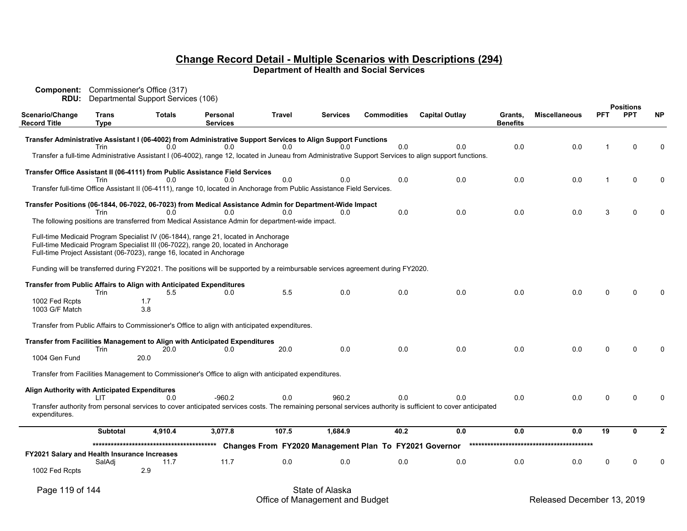| Component:<br>RDU:                            |                      | Commissioner's Office (317)<br>Departmental Support Services (106)         |                                                                                                                                                                           |               |                 |                                                        |                                                                                                                                                             |                            |                      |            |                                |           |
|-----------------------------------------------|----------------------|----------------------------------------------------------------------------|---------------------------------------------------------------------------------------------------------------------------------------------------------------------------|---------------|-----------------|--------------------------------------------------------|-------------------------------------------------------------------------------------------------------------------------------------------------------------|----------------------------|----------------------|------------|--------------------------------|-----------|
| Scenario/Change<br><b>Record Title</b>        | <b>Trans</b><br>Type | <b>Totals</b>                                                              | Personal<br><b>Services</b>                                                                                                                                               | <b>Travel</b> | <b>Services</b> | <b>Commodities</b>                                     | <b>Capital Outlay</b>                                                                                                                                       | Grants,<br><b>Benefits</b> | <b>Miscellaneous</b> | <b>PFT</b> | <b>Positions</b><br><b>PPT</b> | <b>NP</b> |
|                                               | Trin                 | 0 <sub>0</sub>                                                             | Transfer Administrative Assistant I (06-4002) from Administrative Support Services to Align Support Functions<br>0.0                                                      | 0.0           | 0 <sub>0</sub>  | 0.0                                                    | 0.0                                                                                                                                                         | 0.0                        | 0.0                  |            | $\Omega$                       |           |
|                                               |                      |                                                                            |                                                                                                                                                                           |               |                 |                                                        | Transfer a full-time Administrative Assistant I (06-4002), range 12, located in Juneau from Administrative Support Services to align support functions.     |                            |                      |            |                                |           |
|                                               |                      |                                                                            | Transfer Office Assistant II (06-4111) from Public Assistance Field Services                                                                                              | 0.0           | 0.0             | 0.0                                                    | 0.0                                                                                                                                                         |                            |                      | 1          | $\Omega$                       |           |
|                                               | Trin                 | 0.0                                                                        | 0.0<br>Transfer full-time Office Assistant II (06-4111), range 10, located in Anchorage from Public Assistance Field Services.                                            |               |                 |                                                        |                                                                                                                                                             | 0.0                        | 0.0                  |            |                                |           |
|                                               |                      |                                                                            | Transfer Positions (06-1844, 06-7022, 06-7023) from Medical Assistance Admin for Department-Wide Impact                                                                   |               |                 |                                                        |                                                                                                                                                             |                            |                      |            |                                |           |
|                                               | Trin                 | 0.0                                                                        | 0.0<br>The following positions are transferred from Medical Assistance Admin for department-wide impact.                                                                  | 0.0           | 0.0             | 0.0                                                    | 0.0                                                                                                                                                         | 0.0                        | 0.0                  | 3          |                                |           |
|                                               |                      | Full-time Project Assistant (06-7023), range 16, located in Anchorage      | Full-time Medicaid Program Specialist IV (06-1844), range 21, located in Anchorage<br>Full-time Medicaid Program Specialist III (06-7022), range 20, located in Anchorage |               |                 |                                                        |                                                                                                                                                             |                            |                      |            |                                |           |
|                                               |                      |                                                                            | Funding will be transferred during FY2021. The positions will be supported by a reimbursable services agreement during FY2020.                                            |               |                 |                                                        |                                                                                                                                                             |                            |                      |            |                                |           |
|                                               | Trin                 | Transfer from Public Affairs to Align with Anticipated Expenditures<br>5.5 | 0.0                                                                                                                                                                       | 5.5           | 0.0             | 0.0                                                    | 0.0                                                                                                                                                         | 0.0                        | 0.0                  | n          |                                |           |
| 1002 Fed Rcpts<br>1003 G/F Match              |                      | 1.7<br>3.8                                                                 |                                                                                                                                                                           |               |                 |                                                        |                                                                                                                                                             |                            |                      |            |                                |           |
|                                               |                      |                                                                            | Transfer from Public Affairs to Commissioner's Office to align with anticipated expenditures.                                                                             |               |                 |                                                        |                                                                                                                                                             |                            |                      |            |                                |           |
|                                               | Trin                 | 20.0                                                                       | Transfer from Facilities Management to Align with Anticipated Expenditures<br>0.0                                                                                         | 20.0          | 0.0             | 0.0                                                    | 0.0                                                                                                                                                         | 0.0                        | 0.0                  | U          |                                |           |
| 1004 Gen Fund                                 |                      | 20.0                                                                       |                                                                                                                                                                           |               |                 |                                                        |                                                                                                                                                             |                            |                      |            |                                |           |
|                                               |                      |                                                                            | Transfer from Facilities Management to Commissioner's Office to align with anticipated expenditures.                                                                      |               |                 |                                                        |                                                                                                                                                             |                            |                      |            |                                |           |
| Align Authority with Anticipated Expenditures | LIT.                 | 0.0                                                                        | $-960.2$                                                                                                                                                                  | 0.0           | 960.2           | 0.0                                                    | 0.0                                                                                                                                                         | 0.0                        | 0.0                  | 0          |                                |           |
| expenditures.                                 |                      |                                                                            |                                                                                                                                                                           |               |                 |                                                        | Transfer authority from personal services to cover anticipated services costs. The remaining personal services authority is sufficient to cover anticipated |                            |                      |            |                                |           |
|                                               | <b>Subtotal</b>      | 4,910.4                                                                    | 3,077.8                                                                                                                                                                   | 107.5         | 1,684.9         | 40.2                                                   | 0.0                                                                                                                                                         | 0.0                        | 0.0                  | 19         | 0                              |           |
|                                               |                      |                                                                            |                                                                                                                                                                           |               |                 | Changes From FY2020 Management Plan To FY2021 Governor |                                                                                                                                                             |                            |                      |            |                                |           |
| FY2021 Salary and Health Insurance Increases  | SalAdj               | 11.7                                                                       | 11.7                                                                                                                                                                      | 0.0           | 0.0             | 0.0                                                    | 0.0                                                                                                                                                         | 0.0                        | 0.0                  | 0          | ∩                              |           |
| 1002 Fed Rcpts                                |                      | 2.9                                                                        |                                                                                                                                                                           |               |                 |                                                        |                                                                                                                                                             |                            |                      |            |                                |           |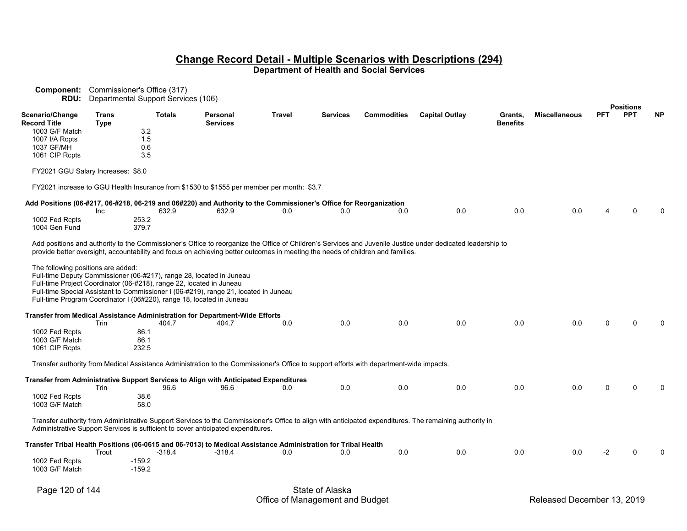| <b>Component:</b><br>RDU:             |              | Commissioner's Office (317)<br>Departmental Support Services (106)   |                                                                                                                                                                                                                                       |               |                 |                    |                                                                                                                                                             |                 |                      |            |                                |           |
|---------------------------------------|--------------|----------------------------------------------------------------------|---------------------------------------------------------------------------------------------------------------------------------------------------------------------------------------------------------------------------------------|---------------|-----------------|--------------------|-------------------------------------------------------------------------------------------------------------------------------------------------------------|-----------------|----------------------|------------|--------------------------------|-----------|
| Scenario/Change                       | <b>Trans</b> | <b>Totals</b>                                                        | <b>Personal</b>                                                                                                                                                                                                                       | <b>Travel</b> | <b>Services</b> | <b>Commodities</b> | <b>Capital Outlay</b>                                                                                                                                       | Grants.         | <b>Miscellaneous</b> | <b>PFT</b> | <b>Positions</b><br><b>PPT</b> | <b>NP</b> |
| <b>Record Title</b><br>1003 G/F Match | <b>Type</b>  | $\overline{3.2}$                                                     | <b>Services</b>                                                                                                                                                                                                                       |               |                 |                    |                                                                                                                                                             | <b>Benefits</b> |                      |            |                                |           |
| 1007 I/A Rcpts                        |              | 1.5                                                                  |                                                                                                                                                                                                                                       |               |                 |                    |                                                                                                                                                             |                 |                      |            |                                |           |
| 1037 GF/MH                            |              | 0.6                                                                  |                                                                                                                                                                                                                                       |               |                 |                    |                                                                                                                                                             |                 |                      |            |                                |           |
| 1061 CIP Rcpts                        |              | 3.5                                                                  |                                                                                                                                                                                                                                       |               |                 |                    |                                                                                                                                                             |                 |                      |            |                                |           |
| FY2021 GGU Salary Increases: \$8.0    |              |                                                                      |                                                                                                                                                                                                                                       |               |                 |                    |                                                                                                                                                             |                 |                      |            |                                |           |
|                                       |              |                                                                      | FY2021 increase to GGU Health Insurance from \$1530 to \$1555 per member per month: \$3.7                                                                                                                                             |               |                 |                    |                                                                                                                                                             |                 |                      |            |                                |           |
|                                       | Inc          | 632.9                                                                | Add Positions (06-#217, 06-#218, 06-219 and 06#220) and Authority to the Commissioner's Office for Reorganization<br>632.9                                                                                                            | 0.0           | 0.0             | 0.0                | $0.0\,$                                                                                                                                                     | 0.0             | 0.0                  |            |                                |           |
| 1002 Fed Rcpts                        |              | 253.2                                                                |                                                                                                                                                                                                                                       |               |                 |                    |                                                                                                                                                             |                 |                      |            |                                |           |
| 1004 Gen Fund                         |              | 379.7                                                                |                                                                                                                                                                                                                                       |               |                 |                    |                                                                                                                                                             |                 |                      |            |                                |           |
|                                       |              |                                                                      | provide better oversight, accountability and focus on achieving better outcomes in meeting the needs of children and families.                                                                                                        |               |                 |                    | Add positions and authority to the Commissioner's Office to reorganize the Office of Children's Services and Juvenile Justice under dedicated leadership to |                 |                      |            |                                |           |
| The following positions are added:    |              | Full-time Project Coordinator (06-#218), range 22, located in Juneau | Full-time Deputy Commissioner (06-#217), range 28, located in Juneau<br>Full-time Special Assistant to Commissioner I (06-#219), range 21, located in Juneau<br>Full-time Program Coordinator I (06#220), range 18, located in Juneau |               |                 |                    |                                                                                                                                                             |                 |                      |            |                                |           |
|                                       | Trin         | 404.7                                                                | Transfer from Medical Assistance Administration for Department-Wide Efforts<br>404.7                                                                                                                                                  | 0.0           | 0.0             | 0.0                | 0.0                                                                                                                                                         | 0.0             | 0.0                  | U          |                                |           |
| 1002 Fed Rcpts                        |              | 86.1                                                                 |                                                                                                                                                                                                                                       |               |                 |                    |                                                                                                                                                             |                 |                      |            |                                |           |
| 1003 G/F Match                        |              | 86.1                                                                 |                                                                                                                                                                                                                                       |               |                 |                    |                                                                                                                                                             |                 |                      |            |                                |           |
| 1061 CIP Rcpts                        |              | 232.5                                                                |                                                                                                                                                                                                                                       |               |                 |                    |                                                                                                                                                             |                 |                      |            |                                |           |
|                                       |              |                                                                      | Transfer authority from Medical Assistance Administration to the Commissioner's Office to support efforts with department-wide impacts.                                                                                               |               |                 |                    |                                                                                                                                                             |                 |                      |            |                                |           |
|                                       |              |                                                                      | Transfer from Administrative Support Services to Align with Anticipated Expenditures                                                                                                                                                  |               |                 |                    |                                                                                                                                                             |                 |                      |            |                                |           |
|                                       | Trin         | 96.6                                                                 | 96.6                                                                                                                                                                                                                                  | 0.0           | 0.0             | 0.0                | 0.0                                                                                                                                                         | 0.0             | 0.0                  | U          |                                |           |
| 1002 Fed Rcpts<br>1003 G/F Match      |              | 38.6<br>58.0                                                         |                                                                                                                                                                                                                                       |               |                 |                    |                                                                                                                                                             |                 |                      |            |                                |           |
|                                       |              |                                                                      | Administrative Support Services is sufficient to cover anticipated expenditures.                                                                                                                                                      |               |                 |                    | Transfer authority from Administrative Support Services to the Commissioner's Office to align with anticipated expenditures. The remaining authority in     |                 |                      |            |                                |           |
|                                       | Trout        | $-318.4$                                                             | Transfer Tribal Health Positions (06-0615 and 06-?013) to Medical Assistance Administration for Tribal Health<br>$-318.4$                                                                                                             | 0.0           | 0.0             | 0.0                | 0.0                                                                                                                                                         | 0.0             | 0.0                  | $-2$       | U                              |           |
| 1002 Fed Rcpts                        |              | $-159.2$                                                             |                                                                                                                                                                                                                                       |               |                 |                    |                                                                                                                                                             |                 |                      |            |                                |           |
| 1003 G/F Match                        |              | $-159.2$                                                             |                                                                                                                                                                                                                                       |               |                 |                    |                                                                                                                                                             |                 |                      |            |                                |           |
| Page 120 of 144                       |              |                                                                      |                                                                                                                                                                                                                                       |               | State of Alaska |                    |                                                                                                                                                             |                 |                      |            |                                |           |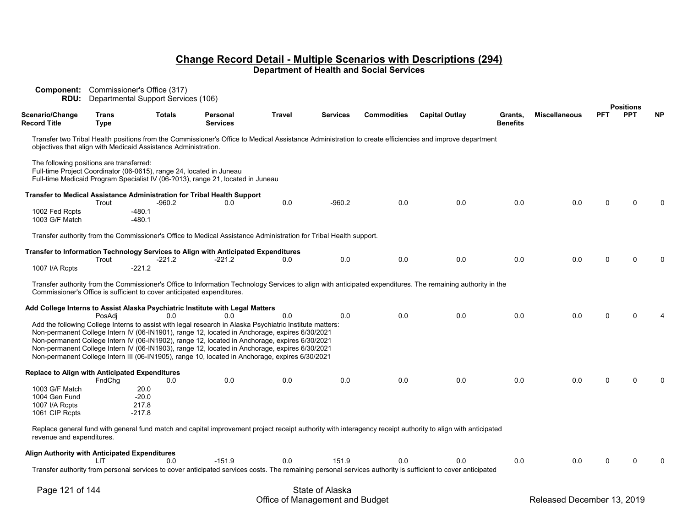| <b>Component:</b> Commissioner's Office (317)<br><b>RDU:</b>                       |                      | Departmental Support Services (106)                                    |                                                                                                                                                                                                                                                                                                                                                                                                                                                                                                                   |        |                 |                    |                                                                                                                                                             |                            |                      |            | <b>Positions</b> |           |
|------------------------------------------------------------------------------------|----------------------|------------------------------------------------------------------------|-------------------------------------------------------------------------------------------------------------------------------------------------------------------------------------------------------------------------------------------------------------------------------------------------------------------------------------------------------------------------------------------------------------------------------------------------------------------------------------------------------------------|--------|-----------------|--------------------|-------------------------------------------------------------------------------------------------------------------------------------------------------------|----------------------------|----------------------|------------|------------------|-----------|
| Scenario/Change<br>Record Title                                                    | Trans<br><b>Type</b> | <b>Totals</b>                                                          | Personal<br><b>Services</b>                                                                                                                                                                                                                                                                                                                                                                                                                                                                                       | Travel | <b>Services</b> | <b>Commodities</b> | <b>Capital Outlay</b>                                                                                                                                       | Grants,<br><b>Benefits</b> | <b>Miscellaneous</b> | <b>PFT</b> | <b>PPT</b>       | <b>NP</b> |
|                                                                                    |                      | objectives that align with Medicaid Assistance Administration.         |                                                                                                                                                                                                                                                                                                                                                                                                                                                                                                                   |        |                 |                    | Transfer two Tribal Health positions from the Commissioner's Office to Medical Assistance Administration to create efficiencies and improve department      |                            |                      |            |                  |           |
| The following positions are transferred:                                           |                      | Full-time Project Coordinator (06-0615), range 24, located in Juneau   | Full-time Medicaid Program Specialist IV (06-?013), range 21, located in Juneau                                                                                                                                                                                                                                                                                                                                                                                                                                   |        |                 |                    |                                                                                                                                                             |                            |                      |            |                  |           |
| Transfer to Medical Assistance Administration for Tribal Health Support            | Trout                | -960.2                                                                 | 0.0                                                                                                                                                                                                                                                                                                                                                                                                                                                                                                               | 0.0    | $-960.2$        | 0.0                | 0.0                                                                                                                                                         | 0.0                        | 0.0                  |            |                  |           |
| 1002 Fed Rcpts<br>1003 G/F Match                                                   |                      | $-480.1$<br>$-480.1$                                                   |                                                                                                                                                                                                                                                                                                                                                                                                                                                                                                                   |        |                 |                    |                                                                                                                                                             |                            |                      |            |                  |           |
|                                                                                    |                      |                                                                        | Transfer authority from the Commissioner's Office to Medical Assistance Administration for Tribal Health support.                                                                                                                                                                                                                                                                                                                                                                                                 |        |                 |                    |                                                                                                                                                             |                            |                      |            |                  |           |
| Transfer to Information Technology Services to Align with Anticipated Expenditures | Trout                | -221.2                                                                 | $-221.2$                                                                                                                                                                                                                                                                                                                                                                                                                                                                                                          | 0.0    | 0.0             | 0.0                | 0.0                                                                                                                                                         | 0.0                        | 0.0                  |            |                  |           |
| 1007 I/A Rcpts                                                                     |                      | $-221.2$                                                               |                                                                                                                                                                                                                                                                                                                                                                                                                                                                                                                   |        |                 |                    |                                                                                                                                                             |                            |                      |            |                  |           |
|                                                                                    |                      | Commissioner's Office is sufficient to cover anticipated expenditures. |                                                                                                                                                                                                                                                                                                                                                                                                                                                                                                                   |        |                 |                    | Transfer authority from the Commissioner's Office to Information Technology Services to align with anticipated expenditures. The remaining authority in the |                            |                      |            |                  |           |
| Add College Interns to Assist Alaska Psychiatric Institute with Legal Matters      | PosAdi               | 0.0                                                                    | 0.0                                                                                                                                                                                                                                                                                                                                                                                                                                                                                                               | 0.0    | 0.0             | 0.0                | 0.0                                                                                                                                                         | 0.0                        | 0.0                  |            |                  |           |
|                                                                                    |                      |                                                                        | Add the following College Interns to assist with legal research in Alaska Psychiatric Institute matters:<br>Non-permanent College Intern IV (06-IN1901), range 12, located in Anchorage, expires 6/30/2021<br>Non-permanent College Intern IV (06-IN1902), range 12, located in Anchorage, expires 6/30/2021<br>Non-permanent College Intern IV (06-IN1903), range 12, located in Anchorage, expires 6/30/2021<br>Non-permanent College Intern III (06-IN1905), range 10, located in Anchorage, expires 6/30/2021 |        |                 |                    |                                                                                                                                                             |                            |                      |            |                  |           |
| Replace to Align with Anticipated Expenditures                                     |                      |                                                                        |                                                                                                                                                                                                                                                                                                                                                                                                                                                                                                                   |        |                 |                    |                                                                                                                                                             |                            |                      |            |                  |           |
| 1003 G/F Match                                                                     | FndChq               | 0.0<br>20.0                                                            | 0.0                                                                                                                                                                                                                                                                                                                                                                                                                                                                                                               | 0.0    | 0.0             | 0.0                | 0.0                                                                                                                                                         | 0.0                        | 0.0                  |            |                  |           |
| 1004 Gen Fund                                                                      |                      | $-20.0$                                                                |                                                                                                                                                                                                                                                                                                                                                                                                                                                                                                                   |        |                 |                    |                                                                                                                                                             |                            |                      |            |                  |           |
| 1007 I/A Rcpts<br>1061 CIP Rcpts                                                   |                      | 217.8<br>$-217.8$                                                      |                                                                                                                                                                                                                                                                                                                                                                                                                                                                                                                   |        |                 |                    |                                                                                                                                                             |                            |                      |            |                  |           |
| revenue and expenditures.                                                          |                      |                                                                        |                                                                                                                                                                                                                                                                                                                                                                                                                                                                                                                   |        |                 |                    | Replace general fund with general fund match and capital improvement project receipt authority with interagency receipt authority to align with anticipated |                            |                      |            |                  |           |
| Align Authority with Anticipated Expenditures                                      | LIT                  | 0.0                                                                    | $-151.9$                                                                                                                                                                                                                                                                                                                                                                                                                                                                                                          | 0.0    | 151.9           | 0.0                | 0.0                                                                                                                                                         | 0.0                        | 0.0                  |            |                  |           |
|                                                                                    |                      |                                                                        |                                                                                                                                                                                                                                                                                                                                                                                                                                                                                                                   |        |                 |                    | Transfer authority from personal services to cover anticipated services costs. The remaining personal services authority is sufficient to cover anticipated |                            |                      |            |                  |           |
|                                                                                    |                      |                                                                        |                                                                                                                                                                                                                                                                                                                                                                                                                                                                                                                   |        |                 |                    |                                                                                                                                                             |                            |                      |            |                  |           |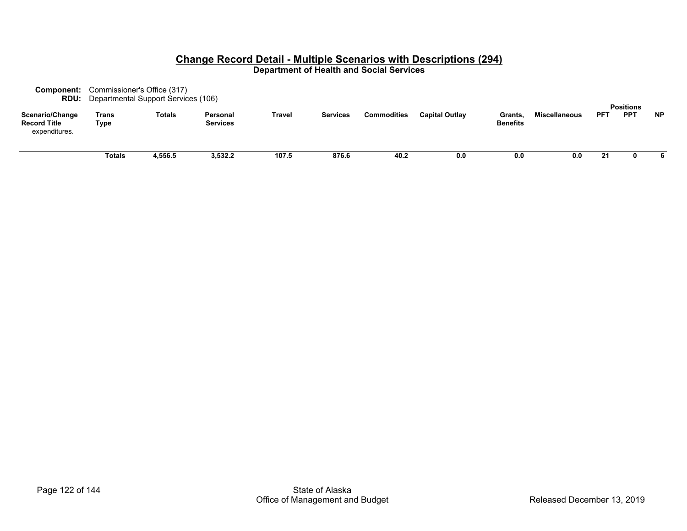|                                        |               | <b>Component:</b> Commissioner's Office (317)<br><b>RDU:</b> Departmental Support Services (106) |                             |        |                 |             |                       |                            |                      |            |                                |           |
|----------------------------------------|---------------|--------------------------------------------------------------------------------------------------|-----------------------------|--------|-----------------|-------------|-----------------------|----------------------------|----------------------|------------|--------------------------------|-----------|
| Scenario/Change<br><b>Record Title</b> | Trans<br>Type | <b>Totals</b>                                                                                    | Personal<br><b>Services</b> | Travel | <b>Services</b> | Commodities | <b>Capital Outlay</b> | Grants,<br><b>Benefits</b> | <b>Miscellaneous</b> | <b>PFT</b> | <b>Positions</b><br><b>PPT</b> | <b>NP</b> |
| expenditures.                          |               |                                                                                                  |                             |        |                 |             |                       |                            |                      |            |                                |           |
|                                        | Totals        | 4,556.5                                                                                          | 3,532.2                     | 107.5  | 876.6           | 40.2        | 0.0                   | 0.0                        | 0.0                  | 21         |                                | 6         |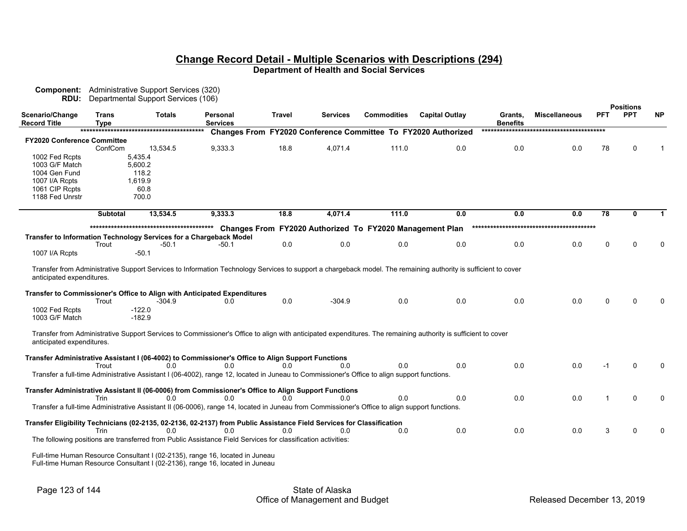|                             |                 | <b>Component:</b> Administrative Support Services (320) |                                                                                                                                                                |                |                 |                                                          |                                                                      |                 |                      |            |                                |             |
|-----------------------------|-----------------|---------------------------------------------------------|----------------------------------------------------------------------------------------------------------------------------------------------------------------|----------------|-----------------|----------------------------------------------------------|----------------------------------------------------------------------|-----------------|----------------------|------------|--------------------------------|-------------|
| RDU:<br>Scenario/Change     | <b>Trans</b>    | Departmental Support Services (106)<br><b>Totals</b>    | Personal                                                                                                                                                       | Travel         | <b>Services</b> | <b>Commodities</b>                                       | <b>Capital Outlay</b>                                                | Grants,         | <b>Miscellaneous</b> | <b>PFT</b> | <b>Positions</b><br><b>PPT</b> | <b>NP</b>   |
| <b>Record Title</b>         | <b>Type</b>     |                                                         | <b>Services</b>                                                                                                                                                |                |                 |                                                          |                                                                      | <b>Benefits</b> |                      |            |                                |             |
|                             |                 |                                                         |                                                                                                                                                                |                |                 |                                                          | <b>Changes From FY2020 Conference Committee To FY2020 Authorized</b> |                 |                      |            |                                |             |
| FY2020 Conference Committee | ConfCom         | 13,534.5                                                | 9,333.3                                                                                                                                                        | 18.8           | 4,071.4         | 111.0                                                    | 0.0                                                                  | 0.0             | 0.0                  | 78         | U                              |             |
| 1002 Fed Rcpts              |                 | 5,435.4                                                 |                                                                                                                                                                |                |                 |                                                          |                                                                      |                 |                      |            |                                |             |
| 1003 G/F Match              |                 | 5,600.2                                                 |                                                                                                                                                                |                |                 |                                                          |                                                                      |                 |                      |            |                                |             |
| 1004 Gen Fund               |                 | 118.2                                                   |                                                                                                                                                                |                |                 |                                                          |                                                                      |                 |                      |            |                                |             |
| 1007 I/A Rcpts              |                 | 1,619.9                                                 |                                                                                                                                                                |                |                 |                                                          |                                                                      |                 |                      |            |                                |             |
| 1061 CIP Rcpts              |                 | 60.8                                                    |                                                                                                                                                                |                |                 |                                                          |                                                                      |                 |                      |            |                                |             |
| 1188 Fed Unrstr             |                 | 700.0                                                   |                                                                                                                                                                |                |                 |                                                          |                                                                      |                 |                      |            |                                |             |
|                             | <b>Subtotal</b> | 13,534.5                                                | 9.333.3                                                                                                                                                        | 18.8           | 4,071.4         | 111.0                                                    | 0.0                                                                  | 0.0             | 0.0                  | 78         | 0                              | $\mathbf 1$ |
|                             |                 |                                                         |                                                                                                                                                                |                |                 | Changes From FY2020 Authorized To FY2020 Management Plan |                                                                      |                 |                      |            |                                |             |
|                             |                 |                                                         | <b>Transfer to Information Technology Services for a Chargeback Model</b>                                                                                      |                |                 |                                                          |                                                                      |                 |                      |            |                                |             |
|                             | Trout           | $-50.1$                                                 | -50.1                                                                                                                                                          | 0.0            | 0.0             | 0.0                                                      | 0.0                                                                  | 0.0             | 0.0                  | $\Omega$   | U                              | $\Omega$    |
| 1007 I/A Rcpts              |                 | $-50.1$                                                 |                                                                                                                                                                |                |                 |                                                          |                                                                      |                 |                      |            |                                |             |
|                             |                 |                                                         |                                                                                                                                                                |                |                 |                                                          |                                                                      |                 |                      |            |                                |             |
|                             |                 |                                                         | Transfer from Administrative Support Services to Information Technology Services to support a chargeback model. The remaining authority is sufficient to cover |                |                 |                                                          |                                                                      |                 |                      |            |                                |             |
| anticipated expenditures.   |                 |                                                         |                                                                                                                                                                |                |                 |                                                          |                                                                      |                 |                      |            |                                |             |
|                             |                 |                                                         | Transfer to Commissioner's Office to Align with Anticipated Expenditures                                                                                       |                |                 |                                                          |                                                                      |                 |                      |            |                                |             |
|                             | Trout           | $-304.9$                                                | 0.0                                                                                                                                                            | 0.0            | $-304.9$        | 0.0                                                      | 0.0                                                                  | 0.0             | 0.0                  | $\Omega$   | n                              |             |
| 1002 Fed Rcpts              |                 | $-122.0$                                                |                                                                                                                                                                |                |                 |                                                          |                                                                      |                 |                      |            |                                |             |
| 1003 G/F Match              |                 | $-182.9$                                                |                                                                                                                                                                |                |                 |                                                          |                                                                      |                 |                      |            |                                |             |
|                             |                 |                                                         |                                                                                                                                                                |                |                 |                                                          |                                                                      |                 |                      |            |                                |             |
| anticipated expenditures.   |                 |                                                         | Transfer from Administrative Support Services to Commissioner's Office to align with anticipated expenditures. The remaining authority is sufficient to cover  |                |                 |                                                          |                                                                      |                 |                      |            |                                |             |
|                             |                 |                                                         |                                                                                                                                                                |                |                 |                                                          |                                                                      |                 |                      |            |                                |             |
|                             |                 |                                                         | Transfer Administrative Assistant I (06-4002) to Commissioner's Office to Align Support Functions                                                              |                |                 |                                                          |                                                                      |                 |                      |            |                                |             |
|                             | Trout           | 0 <sub>0</sub>                                          | 0 <sub>0</sub>                                                                                                                                                 | 0 <sub>0</sub> | 0.0             | 0.0                                                      | 0.0                                                                  | 0.0             | 0.0                  | -1         | U                              | $\Omega$    |
|                             |                 |                                                         | Transfer a full-time Administrative Assistant I (06-4002), range 12, located in Juneau to Commissioner's Office to align support functions.                    |                |                 |                                                          |                                                                      |                 |                      |            |                                |             |
|                             |                 |                                                         | Transfer Administrative Assistant II (06-0006) from Commissioner's Office to Align Support Functions                                                           |                |                 |                                                          |                                                                      |                 |                      |            |                                |             |
|                             | Trin            | 0.0                                                     | 0.0                                                                                                                                                            | 0.0            | 0.0             | 0.0                                                      | 0.0                                                                  | 0.0             | 0.0                  |            | $\Omega$                       | $\Omega$    |
|                             |                 |                                                         | Transfer a full-time Administrative Assistant II (06-0006), range 14, located in Juneau from Commissioner's Office to align support functions.                 |                |                 |                                                          |                                                                      |                 |                      |            |                                |             |
|                             |                 |                                                         | Transfer Eligibility Technicians (02-2135, 02-2136, 02-2137) from Public Assistance Field Services for Classification                                          |                |                 |                                                          |                                                                      |                 |                      |            |                                |             |
|                             | Trin            | 0.0                                                     | 0.0                                                                                                                                                            | 0.0            | 0.0             | 0.0                                                      | 0.0                                                                  | 0.0             | 0.0                  | 3          | U                              |             |
|                             |                 |                                                         | The following positions are transferred from Public Assistance Field Services for classification activities:                                                   |                |                 |                                                          |                                                                      |                 |                      |            |                                |             |
|                             |                 |                                                         | Full-time Human Resource Consultant I (02-2135), range 16, located in Juneau                                                                                   |                |                 |                                                          |                                                                      |                 |                      |            |                                |             |
|                             |                 |                                                         | Full-time Human Resource Consultant L(02-2136), range 16, located in Juneau                                                                                    |                |                 |                                                          |                                                                      |                 |                      |            |                                |             |

Full-time Human Resource Consultant I (02-2136), range 16, located in Juneau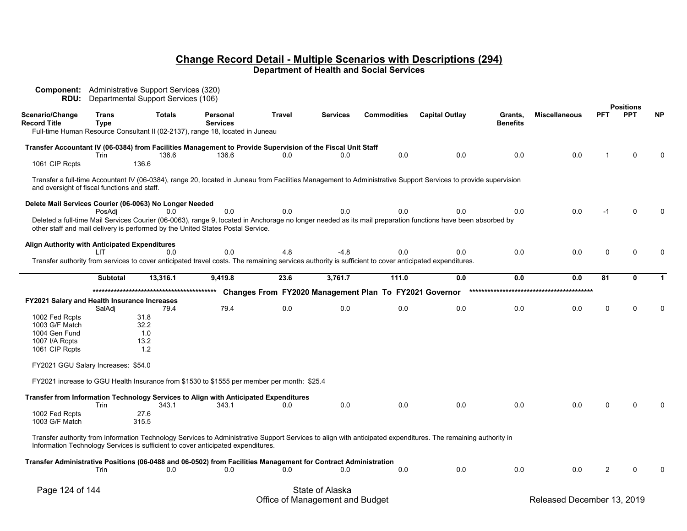| Component:<br><b>RDU:</b>                               |                             | Administrative Support Services (320)<br>Departmental Support Services (106) |                                                                                                                                                       |               |                 |                                                        |                                                                                                                                                                |                            |                      |            |                                |           |
|---------------------------------------------------------|-----------------------------|------------------------------------------------------------------------------|-------------------------------------------------------------------------------------------------------------------------------------------------------|---------------|-----------------|--------------------------------------------------------|----------------------------------------------------------------------------------------------------------------------------------------------------------------|----------------------------|----------------------|------------|--------------------------------|-----------|
| Scenario/Change<br><b>Record Title</b>                  | <b>Trans</b><br><b>Type</b> | <b>Totals</b>                                                                | <b>Personal</b><br><b>Services</b>                                                                                                                    | <b>Travel</b> | <b>Services</b> | <b>Commodities</b>                                     | <b>Capital Outlay</b>                                                                                                                                          | Grants,<br><b>Benefits</b> | <b>Miscellaneous</b> | <b>PFT</b> | <b>Positions</b><br><b>PPT</b> | <b>NP</b> |
|                                                         |                             |                                                                              | Full-time Human Resource Consultant II (02-2137), range 18, located in Juneau                                                                         |               |                 |                                                        |                                                                                                                                                                |                            |                      |            |                                |           |
| 1061 CIP Rcpts                                          | Trin                        | 136.6<br>136.6                                                               | Transfer Accountant IV (06-0384) from Facilities Management to Provide Supervision of the Fiscal Unit Staff<br>136.6                                  | 0.0           | 0.0             | 0.0                                                    | 0.0                                                                                                                                                            | 0.0                        | 0.0                  |            | $\Omega$                       |           |
|                                                         |                             |                                                                              |                                                                                                                                                       |               |                 |                                                        |                                                                                                                                                                |                            |                      |            |                                |           |
| and oversight of fiscal functions and staff.            |                             |                                                                              |                                                                                                                                                       |               |                 |                                                        | Transfer a full-time Accountant IV (06-0384), range 20, located in Juneau from Facilities Management to Administrative Support Services to provide supervision |                            |                      |            |                                |           |
| Delete Mail Services Courier (06-0063) No Longer Needed |                             |                                                                              |                                                                                                                                                       |               |                 |                                                        |                                                                                                                                                                |                            |                      |            |                                |           |
|                                                         | PosAdi                      | 0.0                                                                          | 0.0                                                                                                                                                   | 0.0           | 0.0             | 0.0                                                    | 0.0                                                                                                                                                            | 0.0                        | 0.0                  |            |                                |           |
|                                                         |                             |                                                                              | other staff and mail delivery is performed by the United States Postal Service.                                                                       |               |                 |                                                        | Deleted a full-time Mail Services Courier (06-0063), range 9, located in Anchorage no longer needed as its mail preparation functions have been absorbed by    |                            |                      |            |                                |           |
|                                                         |                             |                                                                              |                                                                                                                                                       |               |                 |                                                        |                                                                                                                                                                |                            |                      |            |                                |           |
| <b>Align Authority with Anticipated Expenditures</b>    | I IT                        | 0.0                                                                          | 0.0                                                                                                                                                   | 4.8           | $-4.8$          | 0.0                                                    | 0.0                                                                                                                                                            | 0.0                        | 0.0                  | 0          | $\Omega$                       |           |
|                                                         |                             |                                                                              | Transfer authority from services to cover anticipated travel costs. The remaining services authority is sufficient to cover anticipated expenditures. |               |                 |                                                        |                                                                                                                                                                |                            |                      |            |                                |           |
|                                                         |                             |                                                                              |                                                                                                                                                       |               |                 |                                                        |                                                                                                                                                                |                            |                      |            |                                |           |
|                                                         | <b>Subtotal</b>             | 13,316.1                                                                     | 9,419.8                                                                                                                                               | 23.6          | 3,761.7         | 111.0                                                  | 0.0                                                                                                                                                            | 0.0                        | 0.0                  | 81         | $\Omega$                       |           |
|                                                         |                             |                                                                              |                                                                                                                                                       |               |                 | Changes From FY2020 Management Plan To FY2021 Governor |                                                                                                                                                                |                            |                      |            |                                |           |
| <b>FY2021 Salary and Health Insurance Increases</b>     | SalAdj                      | 79.4                                                                         | 79.4                                                                                                                                                  | 0.0           | 0.0             | 0.0                                                    | 0.0                                                                                                                                                            | 0.0                        | 0.0                  | 0          | $\Omega$                       |           |
| 1002 Fed Rcpts                                          |                             | 31.8                                                                         |                                                                                                                                                       |               |                 |                                                        |                                                                                                                                                                |                            |                      |            |                                |           |
| 1003 G/F Match                                          |                             | 32.2                                                                         |                                                                                                                                                       |               |                 |                                                        |                                                                                                                                                                |                            |                      |            |                                |           |
| 1004 Gen Fund                                           |                             | 1.0                                                                          |                                                                                                                                                       |               |                 |                                                        |                                                                                                                                                                |                            |                      |            |                                |           |
| 1007 I/A Rcpts                                          |                             | 13.2<br>1.2                                                                  |                                                                                                                                                       |               |                 |                                                        |                                                                                                                                                                |                            |                      |            |                                |           |
| 1061 CIP Rcpts                                          |                             |                                                                              |                                                                                                                                                       |               |                 |                                                        |                                                                                                                                                                |                            |                      |            |                                |           |
| FY2021 GGU Salary Increases: \$54.0                     |                             |                                                                              |                                                                                                                                                       |               |                 |                                                        |                                                                                                                                                                |                            |                      |            |                                |           |
|                                                         |                             |                                                                              | FY2021 increase to GGU Health Insurance from \$1530 to \$1555 per member per month: \$25.4                                                            |               |                 |                                                        |                                                                                                                                                                |                            |                      |            |                                |           |
|                                                         |                             |                                                                              | Transfer from Information Technology Services to Align with Anticipated Expenditures                                                                  |               | 0.0             |                                                        | 0.0                                                                                                                                                            |                            |                      | n          |                                |           |
| 1002 Fed Rcpts                                          | Trin                        | 343.1<br>27.6                                                                | 343.1                                                                                                                                                 | 0.0           |                 | 0.0                                                    |                                                                                                                                                                | 0.0                        | 0.0                  |            |                                |           |
| 1003 G/F Match                                          |                             | 315.5                                                                        |                                                                                                                                                       |               |                 |                                                        |                                                                                                                                                                |                            |                      |            |                                |           |
|                                                         |                             |                                                                              | Information Technology Services is sufficient to cover anticipated expenditures.                                                                      |               |                 |                                                        | Transfer authority from Information Technology Services to Administrative Support Services to align with anticipated expenditures. The remaining authority in  |                            |                      |            |                                |           |
|                                                         |                             |                                                                              | Transfer Administrative Positions (06-0488 and 06-0502) from Facilities Management for Contract Administration                                        |               |                 |                                                        |                                                                                                                                                                |                            |                      |            |                                |           |
|                                                         | Trin                        | 0.0                                                                          | 0.0                                                                                                                                                   | 0.0           | 0.0             | 0.0                                                    | 0.0                                                                                                                                                            | 0.0                        | 0.0                  | 2          |                                |           |
| Page 124 of 144                                         |                             |                                                                              |                                                                                                                                                       |               | State of Alaska |                                                        |                                                                                                                                                                |                            |                      |            |                                |           |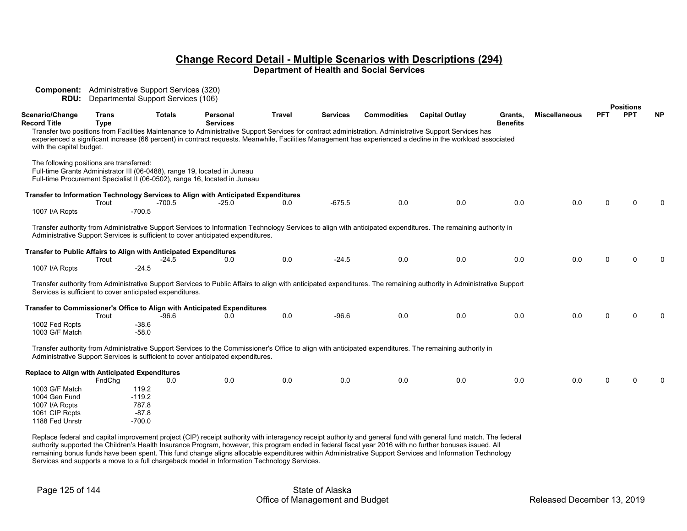| RDU:                                                              |                             | <b>Component:</b> Administrative Support Services (320)<br>Departmental Support Services (106) |                                                                                                                                                         |               |                 |                    |                                                                                                                                                                                                                                                                                                                       |                            |                      |            |                                |           |
|-------------------------------------------------------------------|-----------------------------|------------------------------------------------------------------------------------------------|---------------------------------------------------------------------------------------------------------------------------------------------------------|---------------|-----------------|--------------------|-----------------------------------------------------------------------------------------------------------------------------------------------------------------------------------------------------------------------------------------------------------------------------------------------------------------------|----------------------------|----------------------|------------|--------------------------------|-----------|
| Scenario/Change<br>Record Title                                   | <b>Trans</b><br><b>Type</b> | <b>Totals</b>                                                                                  | Personal<br><b>Services</b>                                                                                                                             | <b>Travel</b> | <b>Services</b> | <b>Commodities</b> | <b>Capital Outlay</b>                                                                                                                                                                                                                                                                                                 | Grants,<br><b>Benefits</b> | <b>Miscellaneous</b> | <b>PFT</b> | <b>Positions</b><br><b>PPT</b> | <b>NP</b> |
| with the capital budget.                                          |                             |                                                                                                |                                                                                                                                                         |               |                 |                    | Transfer two positions from Facilities Maintenance to Administrative Support Services for contract administration. Administrative Support Services has<br>experienced a significant increase (66 percent) in contract requests. Meanwhile, Facilities Management has experienced a decline in the workload associated |                            |                      |            |                                |           |
| The following positions are transferred:                          |                             |                                                                                                | Full-time Grants Administrator III (06-0488), range 19, located in Juneau<br>Full-time Procurement Specialist II (06-0502), range 16, located in Juneau |               |                 |                    |                                                                                                                                                                                                                                                                                                                       |                            |                      |            |                                |           |
|                                                                   | Trout                       | $-700.5$                                                                                       | Transfer to Information Technology Services to Align with Anticipated Expenditures<br>$-25.0$                                                           | 0.0           | $-675.5$        | 0.0                | 0.0                                                                                                                                                                                                                                                                                                                   | 0.0                        | 0.0                  |            |                                |           |
| 1007 I/A Rcpts                                                    |                             | $-700.5$                                                                                       |                                                                                                                                                         |               |                 |                    |                                                                                                                                                                                                                                                                                                                       |                            |                      |            |                                |           |
|                                                                   |                             |                                                                                                | Administrative Support Services is sufficient to cover anticipated expenditures.                                                                        |               |                 |                    | Transfer authority from Administrative Support Services to Information Technology Services to align with anticipated expenditures. The remaining authority in                                                                                                                                                         |                            |                      |            |                                |           |
| Transfer to Public Affairs to Align with Anticipated Expenditures | Trout                       | -24.5                                                                                          | 0.0                                                                                                                                                     | 0.0           | $-24.5$         | 0.0                | 0.0                                                                                                                                                                                                                                                                                                                   | 0.0                        | 0.0                  | 0          |                                |           |
| 1007 I/A Rcpts                                                    |                             | $-24.5$                                                                                        |                                                                                                                                                         |               |                 |                    |                                                                                                                                                                                                                                                                                                                       |                            |                      |            |                                |           |
|                                                                   |                             | Services is sufficient to cover anticipated expenditures.                                      |                                                                                                                                                         |               |                 |                    | Transfer authority from Administrative Support Services to Public Affairs to align with anticipated expenditures. The remaining authority in Administrative Support                                                                                                                                                   |                            |                      |            |                                |           |
|                                                                   | Trout                       | -96.6                                                                                          | Transfer to Commissioner's Office to Align with Anticipated Expenditures<br>0.0                                                                         | 0.0           | $-96.6$         | 0.0                | 0.0                                                                                                                                                                                                                                                                                                                   | 0.0                        | 0.0                  | 0          |                                |           |
| 1002 Fed Rcpts<br>1003 G/F Match                                  |                             | $-38.6$<br>$-58.0$                                                                             |                                                                                                                                                         |               |                 |                    |                                                                                                                                                                                                                                                                                                                       |                            |                      |            |                                |           |
|                                                                   |                             |                                                                                                | Administrative Support Services is sufficient to cover anticipated expenditures.                                                                        |               |                 |                    | Transfer authority from Administrative Support Services to the Commissioner's Office to align with anticipated expenditures. The remaining authority in                                                                                                                                                               |                            |                      |            |                                |           |
| Replace to Align with Anticipated Expenditures                    |                             |                                                                                                |                                                                                                                                                         |               |                 |                    |                                                                                                                                                                                                                                                                                                                       |                            |                      |            |                                |           |
|                                                                   | FndChg                      | 0.0                                                                                            | 0.0                                                                                                                                                     | 0.0           | 0.0             | 0.0                | 0.0                                                                                                                                                                                                                                                                                                                   | 0.0                        | 0.0                  | 0          |                                |           |
| 1003 G/F Match<br>1004 Gen Fund                                   |                             | 119.2<br>$-119.2$                                                                              |                                                                                                                                                         |               |                 |                    |                                                                                                                                                                                                                                                                                                                       |                            |                      |            |                                |           |
| 1007 I/A Rcpts                                                    |                             | 787.8                                                                                          |                                                                                                                                                         |               |                 |                    |                                                                                                                                                                                                                                                                                                                       |                            |                      |            |                                |           |
| 1061 CIP Rcpts                                                    |                             | $-87.8$                                                                                        |                                                                                                                                                         |               |                 |                    |                                                                                                                                                                                                                                                                                                                       |                            |                      |            |                                |           |
| 1188 Fed Unrstr                                                   |                             | $-700.0$                                                                                       |                                                                                                                                                         |               |                 |                    |                                                                                                                                                                                                                                                                                                                       |                            |                      |            |                                |           |

Replace federal and capital improvement project (CIP) receipt authority with interagency receipt authority and general fund with general fund match. The federal authority supported the Children's Health Insurance Program, however, this program ended in federal fiscal year 2016 with no further bonuses issued. All remaining bonus funds have been spent. This fund change aligns allocable expenditures within Administrative Support Services and Information Technology Services and supports a move to a full chargeback model in Information Technology Services.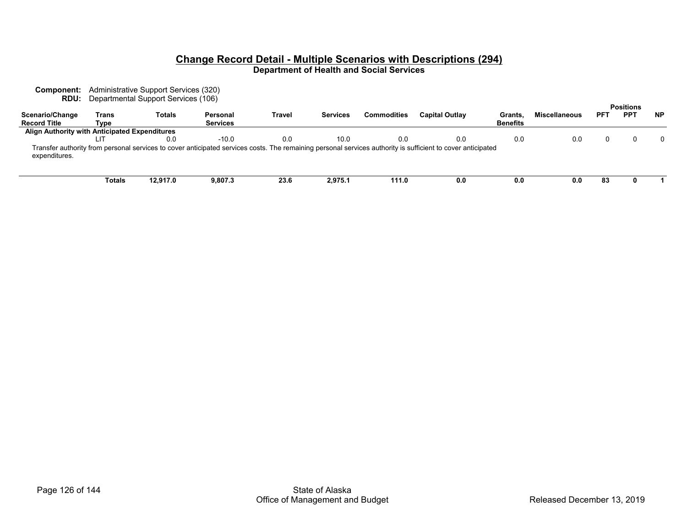**Component:** Administrative Support Services (320) **RDU:** Departmental Support Services (106)

|                                               |        |               |                 |        |          |                    |                                                                                                                                                             |                 |                      |            | <b>Positions</b> |           |
|-----------------------------------------------|--------|---------------|-----------------|--------|----------|--------------------|-------------------------------------------------------------------------------------------------------------------------------------------------------------|-----------------|----------------------|------------|------------------|-----------|
| Scenario/Change                               | Trans  | <b>Totals</b> | Personal        | Travel | Services | <b>Commodities</b> | <b>Capital Outlay</b>                                                                                                                                       | Grants          | <b>Miscellaneous</b> | <b>PFT</b> | PP <sub>1</sub>  | <b>NP</b> |
| <b>Record Title</b>                           | Type   |               | <b>Services</b> |        |          |                    |                                                                                                                                                             | <b>Benefits</b> |                      |            |                  |           |
| Align Authority with Anticipated Expenditures |        |               |                 |        |          |                    |                                                                                                                                                             |                 |                      |            |                  |           |
|                                               |        | 0.0           | $-10.0$         | 0.0    | 10.0     | 0.0                | 0.0                                                                                                                                                         | 0.0             | 0.0                  |            |                  | $\Omega$  |
| expenditures.                                 |        |               |                 |        |          |                    | Transfer authority from personal services to cover anticipated services costs. The remaining personal services authority is sufficient to cover anticipated |                 |                      |            |                  |           |
|                                               |        |               |                 |        |          |                    |                                                                                                                                                             |                 |                      |            |                  |           |
|                                               | Totals | 12.917.0      | 9.807.3         | 23.6   | 2.975.1  | 111.0              | 0.0                                                                                                                                                         | 0.0             | 0.0                  | 83         |                  |           |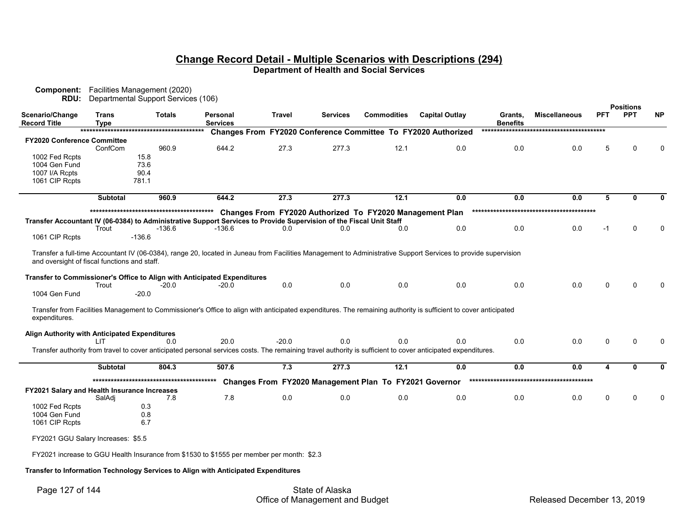| Changes From FY2020 Conference Committee To FY2020 Authorized<br><b>FY2020 Conference Committee</b><br>27.3<br>277.3<br>12.1<br>960.9<br>644.2<br>0.0<br>0.0<br>0.0<br>5<br>ConfCom<br>0<br>15.8<br>1002 Fed Rcpts<br>1004 Gen Fund<br>73.6<br>1007 I/A Rcpts<br>90.4<br>1061 CIP Rcpts<br>781.1<br>12.1<br>5<br>960.9<br>644.2<br>27.3<br>277.3<br>0.0<br>0.0<br>0.0<br>Subtotal<br>0<br>Changes From FY2020 Authorized To FY2020 Management Plan<br>Transfer Accountant IV (06-0384) to Administrative Support Services to Provide Supervision of the Fiscal Unit Staff<br>$-136.6$<br>0.0<br>0.0<br>0.0<br>Trout<br>0.0<br>0.0<br>$-1$<br>$\Omega$<br>-136.6<br>0.0<br>1061 CIP Rcpts<br>$-136.6$<br>Transfer a full-time Accountant IV (06-0384), range 20, located in Juneau from Facilities Management to Administrative Support Services to provide supervision<br>and oversight of fiscal functions and staff.<br>Transfer to Commissioner's Office to Align with Anticipated Expenditures<br>0.0<br>0.0<br>0.0<br>0.0<br>0.0<br>0.0<br>Trout<br>0<br>$\Omega$<br>-20.0<br>$-20.0$<br>1004 Gen Fund<br>$-20.0$<br>Transfer from Facilities Management to Commissioner's Office to align with anticipated expenditures. The remaining authority is sufficient to cover anticipated<br>expenditures.<br>Align Authority with Anticipated Expenditures<br>0.0<br>0.0<br>20.0<br>$-20.0$<br>0.0<br>0.0<br>0.0<br>0<br>0.0<br>$\Omega$<br>l IT<br>Transfer authority from travel to cover anticipated personal services costs. The remaining travel authority is sufficient to cover anticipated expenditures.<br>7.3<br>277.3<br>12.1<br>0.0<br>804.3<br>507.6<br>0.0<br>0.0<br>4<br><b>Subtotal</b><br>$\mathbf{0}$<br>Changes From FY2020 Management Plan To FY2021 Governor<br>FY2021 Salary and Health Insurance Increases<br>7.8<br>0.0<br>0.0<br>0.0<br>0.0<br>0.0<br>0.0<br>0<br>$\mathbf 0$<br>SalAdj<br>7.8<br>1002 Fed Rcpts<br>0.3<br>1004 Gen Fund<br>0.8<br>1061 CIP Rcpts<br>6.7<br>FY2021 GGU Salary Increases: \$5.5 | Scenario/Change<br><b>Record Title</b> | <b>Trans</b><br><b>Type</b> | <b>Totals</b> | Personal<br><b>Services</b> | <b>Travel</b> | Services | <b>Commodities</b> | <b>Capital Outlay</b> | Grants,<br><b>Benefits</b> | <b>Miscellaneous</b> | <b>PFT</b> | <b>Positions</b><br><b>PPT</b> | <b>NP</b> |
|------------------------------------------------------------------------------------------------------------------------------------------------------------------------------------------------------------------------------------------------------------------------------------------------------------------------------------------------------------------------------------------------------------------------------------------------------------------------------------------------------------------------------------------------------------------------------------------------------------------------------------------------------------------------------------------------------------------------------------------------------------------------------------------------------------------------------------------------------------------------------------------------------------------------------------------------------------------------------------------------------------------------------------------------------------------------------------------------------------------------------------------------------------------------------------------------------------------------------------------------------------------------------------------------------------------------------------------------------------------------------------------------------------------------------------------------------------------------------------------------------------------------------------------------------------------------------------------------------------------------------------------------------------------------------------------------------------------------------------------------------------------------------------------------------------------------------------------------------------------------------------------------------------------------------------------------------------------------------------------------------------------------------------------|----------------------------------------|-----------------------------|---------------|-----------------------------|---------------|----------|--------------------|-----------------------|----------------------------|----------------------|------------|--------------------------------|-----------|
|                                                                                                                                                                                                                                                                                                                                                                                                                                                                                                                                                                                                                                                                                                                                                                                                                                                                                                                                                                                                                                                                                                                                                                                                                                                                                                                                                                                                                                                                                                                                                                                                                                                                                                                                                                                                                                                                                                                                                                                                                                          |                                        |                             |               |                             |               |          |                    |                       |                            |                      |            |                                |           |
|                                                                                                                                                                                                                                                                                                                                                                                                                                                                                                                                                                                                                                                                                                                                                                                                                                                                                                                                                                                                                                                                                                                                                                                                                                                                                                                                                                                                                                                                                                                                                                                                                                                                                                                                                                                                                                                                                                                                                                                                                                          |                                        |                             |               |                             |               |          |                    |                       |                            |                      |            |                                | $\Omega$  |
|                                                                                                                                                                                                                                                                                                                                                                                                                                                                                                                                                                                                                                                                                                                                                                                                                                                                                                                                                                                                                                                                                                                                                                                                                                                                                                                                                                                                                                                                                                                                                                                                                                                                                                                                                                                                                                                                                                                                                                                                                                          |                                        |                             |               |                             |               |          |                    |                       |                            |                      |            |                                |           |
|                                                                                                                                                                                                                                                                                                                                                                                                                                                                                                                                                                                                                                                                                                                                                                                                                                                                                                                                                                                                                                                                                                                                                                                                                                                                                                                                                                                                                                                                                                                                                                                                                                                                                                                                                                                                                                                                                                                                                                                                                                          |                                        |                             |               |                             |               |          |                    |                       |                            |                      |            |                                |           |
|                                                                                                                                                                                                                                                                                                                                                                                                                                                                                                                                                                                                                                                                                                                                                                                                                                                                                                                                                                                                                                                                                                                                                                                                                                                                                                                                                                                                                                                                                                                                                                                                                                                                                                                                                                                                                                                                                                                                                                                                                                          |                                        |                             |               |                             |               |          |                    |                       |                            |                      |            |                                |           |
|                                                                                                                                                                                                                                                                                                                                                                                                                                                                                                                                                                                                                                                                                                                                                                                                                                                                                                                                                                                                                                                                                                                                                                                                                                                                                                                                                                                                                                                                                                                                                                                                                                                                                                                                                                                                                                                                                                                                                                                                                                          |                                        |                             |               |                             |               |          |                    |                       |                            |                      |            |                                |           |
|                                                                                                                                                                                                                                                                                                                                                                                                                                                                                                                                                                                                                                                                                                                                                                                                                                                                                                                                                                                                                                                                                                                                                                                                                                                                                                                                                                                                                                                                                                                                                                                                                                                                                                                                                                                                                                                                                                                                                                                                                                          |                                        |                             |               |                             |               |          |                    |                       |                            |                      |            |                                |           |
|                                                                                                                                                                                                                                                                                                                                                                                                                                                                                                                                                                                                                                                                                                                                                                                                                                                                                                                                                                                                                                                                                                                                                                                                                                                                                                                                                                                                                                                                                                                                                                                                                                                                                                                                                                                                                                                                                                                                                                                                                                          |                                        |                             |               |                             |               |          |                    |                       |                            |                      |            |                                | 0         |
|                                                                                                                                                                                                                                                                                                                                                                                                                                                                                                                                                                                                                                                                                                                                                                                                                                                                                                                                                                                                                                                                                                                                                                                                                                                                                                                                                                                                                                                                                                                                                                                                                                                                                                                                                                                                                                                                                                                                                                                                                                          |                                        |                             |               |                             |               |          |                    |                       |                            |                      |            |                                |           |
|                                                                                                                                                                                                                                                                                                                                                                                                                                                                                                                                                                                                                                                                                                                                                                                                                                                                                                                                                                                                                                                                                                                                                                                                                                                                                                                                                                                                                                                                                                                                                                                                                                                                                                                                                                                                                                                                                                                                                                                                                                          |                                        |                             |               |                             |               |          |                    |                       |                            |                      |            |                                |           |
|                                                                                                                                                                                                                                                                                                                                                                                                                                                                                                                                                                                                                                                                                                                                                                                                                                                                                                                                                                                                                                                                                                                                                                                                                                                                                                                                                                                                                                                                                                                                                                                                                                                                                                                                                                                                                                                                                                                                                                                                                                          |                                        |                             |               |                             |               |          |                    |                       |                            |                      |            |                                |           |
|                                                                                                                                                                                                                                                                                                                                                                                                                                                                                                                                                                                                                                                                                                                                                                                                                                                                                                                                                                                                                                                                                                                                                                                                                                                                                                                                                                                                                                                                                                                                                                                                                                                                                                                                                                                                                                                                                                                                                                                                                                          |                                        |                             |               |                             |               |          |                    |                       |                            |                      |            |                                |           |
|                                                                                                                                                                                                                                                                                                                                                                                                                                                                                                                                                                                                                                                                                                                                                                                                                                                                                                                                                                                                                                                                                                                                                                                                                                                                                                                                                                                                                                                                                                                                                                                                                                                                                                                                                                                                                                                                                                                                                                                                                                          |                                        |                             |               |                             |               |          |                    |                       |                            |                      |            |                                |           |
|                                                                                                                                                                                                                                                                                                                                                                                                                                                                                                                                                                                                                                                                                                                                                                                                                                                                                                                                                                                                                                                                                                                                                                                                                                                                                                                                                                                                                                                                                                                                                                                                                                                                                                                                                                                                                                                                                                                                                                                                                                          |                                        |                             |               |                             |               |          |                    |                       |                            |                      |            |                                |           |
|                                                                                                                                                                                                                                                                                                                                                                                                                                                                                                                                                                                                                                                                                                                                                                                                                                                                                                                                                                                                                                                                                                                                                                                                                                                                                                                                                                                                                                                                                                                                                                                                                                                                                                                                                                                                                                                                                                                                                                                                                                          |                                        |                             |               |                             |               |          |                    |                       |                            |                      |            |                                |           |
|                                                                                                                                                                                                                                                                                                                                                                                                                                                                                                                                                                                                                                                                                                                                                                                                                                                                                                                                                                                                                                                                                                                                                                                                                                                                                                                                                                                                                                                                                                                                                                                                                                                                                                                                                                                                                                                                                                                                                                                                                                          |                                        |                             |               |                             |               |          |                    |                       |                            |                      |            |                                |           |
|                                                                                                                                                                                                                                                                                                                                                                                                                                                                                                                                                                                                                                                                                                                                                                                                                                                                                                                                                                                                                                                                                                                                                                                                                                                                                                                                                                                                                                                                                                                                                                                                                                                                                                                                                                                                                                                                                                                                                                                                                                          |                                        |                             |               |                             |               |          |                    |                       |                            |                      |            |                                |           |
|                                                                                                                                                                                                                                                                                                                                                                                                                                                                                                                                                                                                                                                                                                                                                                                                                                                                                                                                                                                                                                                                                                                                                                                                                                                                                                                                                                                                                                                                                                                                                                                                                                                                                                                                                                                                                                                                                                                                                                                                                                          |                                        |                             |               |                             |               |          |                    |                       |                            |                      |            |                                |           |
|                                                                                                                                                                                                                                                                                                                                                                                                                                                                                                                                                                                                                                                                                                                                                                                                                                                                                                                                                                                                                                                                                                                                                                                                                                                                                                                                                                                                                                                                                                                                                                                                                                                                                                                                                                                                                                                                                                                                                                                                                                          |                                        |                             |               |                             |               |          |                    |                       |                            |                      |            |                                |           |
|                                                                                                                                                                                                                                                                                                                                                                                                                                                                                                                                                                                                                                                                                                                                                                                                                                                                                                                                                                                                                                                                                                                                                                                                                                                                                                                                                                                                                                                                                                                                                                                                                                                                                                                                                                                                                                                                                                                                                                                                                                          |                                        |                             |               |                             |               |          |                    |                       |                            |                      |            |                                |           |
|                                                                                                                                                                                                                                                                                                                                                                                                                                                                                                                                                                                                                                                                                                                                                                                                                                                                                                                                                                                                                                                                                                                                                                                                                                                                                                                                                                                                                                                                                                                                                                                                                                                                                                                                                                                                                                                                                                                                                                                                                                          |                                        |                             |               |                             |               |          |                    |                       |                            |                      |            |                                |           |
|                                                                                                                                                                                                                                                                                                                                                                                                                                                                                                                                                                                                                                                                                                                                                                                                                                                                                                                                                                                                                                                                                                                                                                                                                                                                                                                                                                                                                                                                                                                                                                                                                                                                                                                                                                                                                                                                                                                                                                                                                                          |                                        |                             |               |                             |               |          |                    |                       |                            |                      |            |                                |           |
|                                                                                                                                                                                                                                                                                                                                                                                                                                                                                                                                                                                                                                                                                                                                                                                                                                                                                                                                                                                                                                                                                                                                                                                                                                                                                                                                                                                                                                                                                                                                                                                                                                                                                                                                                                                                                                                                                                                                                                                                                                          |                                        |                             |               |                             |               |          |                    |                       |                            |                      |            |                                |           |
|                                                                                                                                                                                                                                                                                                                                                                                                                                                                                                                                                                                                                                                                                                                                                                                                                                                                                                                                                                                                                                                                                                                                                                                                                                                                                                                                                                                                                                                                                                                                                                                                                                                                                                                                                                                                                                                                                                                                                                                                                                          |                                        |                             |               |                             |               |          |                    |                       |                            |                      |            |                                |           |
|                                                                                                                                                                                                                                                                                                                                                                                                                                                                                                                                                                                                                                                                                                                                                                                                                                                                                                                                                                                                                                                                                                                                                                                                                                                                                                                                                                                                                                                                                                                                                                                                                                                                                                                                                                                                                                                                                                                                                                                                                                          |                                        |                             |               |                             |               |          |                    |                       |                            |                      |            |                                | 0         |
|                                                                                                                                                                                                                                                                                                                                                                                                                                                                                                                                                                                                                                                                                                                                                                                                                                                                                                                                                                                                                                                                                                                                                                                                                                                                                                                                                                                                                                                                                                                                                                                                                                                                                                                                                                                                                                                                                                                                                                                                                                          |                                        |                             |               |                             |               |          |                    |                       |                            |                      |            |                                |           |
|                                                                                                                                                                                                                                                                                                                                                                                                                                                                                                                                                                                                                                                                                                                                                                                                                                                                                                                                                                                                                                                                                                                                                                                                                                                                                                                                                                                                                                                                                                                                                                                                                                                                                                                                                                                                                                                                                                                                                                                                                                          |                                        |                             |               |                             |               |          |                    |                       |                            |                      |            |                                |           |
|                                                                                                                                                                                                                                                                                                                                                                                                                                                                                                                                                                                                                                                                                                                                                                                                                                                                                                                                                                                                                                                                                                                                                                                                                                                                                                                                                                                                                                                                                                                                                                                                                                                                                                                                                                                                                                                                                                                                                                                                                                          |                                        |                             |               |                             |               |          |                    |                       |                            |                      |            |                                |           |
|                                                                                                                                                                                                                                                                                                                                                                                                                                                                                                                                                                                                                                                                                                                                                                                                                                                                                                                                                                                                                                                                                                                                                                                                                                                                                                                                                                                                                                                                                                                                                                                                                                                                                                                                                                                                                                                                                                                                                                                                                                          |                                        |                             |               |                             |               |          |                    |                       |                            |                      |            |                                | $\Omega$  |
|                                                                                                                                                                                                                                                                                                                                                                                                                                                                                                                                                                                                                                                                                                                                                                                                                                                                                                                                                                                                                                                                                                                                                                                                                                                                                                                                                                                                                                                                                                                                                                                                                                                                                                                                                                                                                                                                                                                                                                                                                                          |                                        |                             |               |                             |               |          |                    |                       |                            |                      |            |                                |           |
|                                                                                                                                                                                                                                                                                                                                                                                                                                                                                                                                                                                                                                                                                                                                                                                                                                                                                                                                                                                                                                                                                                                                                                                                                                                                                                                                                                                                                                                                                                                                                                                                                                                                                                                                                                                                                                                                                                                                                                                                                                          |                                        |                             |               |                             |               |          |                    |                       |                            |                      |            |                                |           |
|                                                                                                                                                                                                                                                                                                                                                                                                                                                                                                                                                                                                                                                                                                                                                                                                                                                                                                                                                                                                                                                                                                                                                                                                                                                                                                                                                                                                                                                                                                                                                                                                                                                                                                                                                                                                                                                                                                                                                                                                                                          |                                        |                             |               |                             |               |          |                    |                       |                            |                      |            |                                |           |
| FY2021 increase to GGU Health Insurance from \$1530 to \$1555 per member per month: \$2.3                                                                                                                                                                                                                                                                                                                                                                                                                                                                                                                                                                                                                                                                                                                                                                                                                                                                                                                                                                                                                                                                                                                                                                                                                                                                                                                                                                                                                                                                                                                                                                                                                                                                                                                                                                                                                                                                                                                                                |                                        |                             |               |                             |               |          |                    |                       |                            |                      |            |                                |           |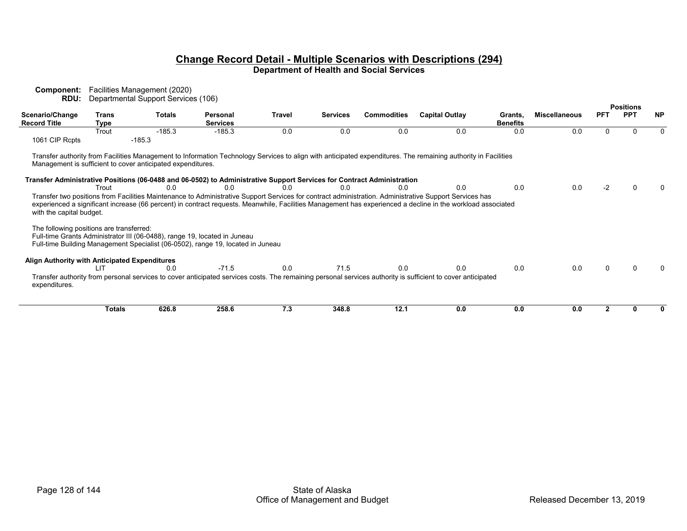| Component:<br>RDU:                                                   |               | Facilities Management (2020)<br>Departmental Support Services (106)           |                                                                                                                                                              |        |                 |                    |                                                                                                                                                                                                                                                                                                                       |                            |                      |            |                  |           |
|----------------------------------------------------------------------|---------------|-------------------------------------------------------------------------------|--------------------------------------------------------------------------------------------------------------------------------------------------------------|--------|-----------------|--------------------|-----------------------------------------------------------------------------------------------------------------------------------------------------------------------------------------------------------------------------------------------------------------------------------------------------------------------|----------------------------|----------------------|------------|------------------|-----------|
|                                                                      |               |                                                                               |                                                                                                                                                              |        |                 |                    |                                                                                                                                                                                                                                                                                                                       |                            |                      |            | <b>Positions</b> |           |
| Scenario/Change<br><b>Record Title</b>                               | Trans<br>Type | <b>Totals</b>                                                                 | Personal<br><b>Services</b>                                                                                                                                  | Travel | <b>Services</b> | <b>Commodities</b> | <b>Capital Outlay</b>                                                                                                                                                                                                                                                                                                 | Grants.<br><b>Benefits</b> | <b>Miscellaneous</b> | <b>PFT</b> | <b>PPT</b>       | <b>NP</b> |
| 1061 CIP Rcpts                                                       | Trout         | $-185.3$<br>$-185.3$                                                          | $-185.3$                                                                                                                                                     | 0.0    | 0.0             | 0.0                | 0.0                                                                                                                                                                                                                                                                                                                   | 0.0                        | 0.0                  | $\Omega$   |                  | $\Omega$  |
|                                                                      | Trout         | Management is sufficient to cover anticipated expenditures.<br>0 <sub>0</sub> | Transfer Administrative Positions (06-0488 and 06-0502) to Administrative Support Services for Contract Administration<br>0 <sub>0</sub>                     | 0.0    | 0 <sub>0</sub>  | 0.0                | Transfer authority from Facilities Management to Information Technology Services to align with anticipated expenditures. The remaining authority in Facilities<br>0.0                                                                                                                                                 | 0.0                        | 0.0                  | -2         |                  |           |
| with the capital budget.<br>The following positions are transferred: |               |                                                                               | Full-time Grants Administrator III (06-0488), range 19, located in Juneau<br>Full-time Building Management Specialist (06-0502), range 19, located in Juneau |        |                 |                    | Transfer two positions from Facilities Maintenance to Administrative Support Services for contract administration. Administrative Support Services has<br>experienced a significant increase (66 percent) in contract requests. Meanwhile, Facilities Management has experienced a decline in the workload associated |                            |                      |            |                  |           |
| Align Authority with Anticipated Expenditures                        | LIT           | 0.0                                                                           | $-71.5$                                                                                                                                                      | 0.0    | 71.5            | 0.0                | 0.0                                                                                                                                                                                                                                                                                                                   | 0.0                        | 0.0                  |            |                  |           |
| expenditures.                                                        |               |                                                                               |                                                                                                                                                              |        |                 |                    | Transfer authority from personal services to cover anticipated services costs. The remaining personal services authority is sufficient to cover anticipated                                                                                                                                                           |                            |                      |            |                  |           |
|                                                                      | <b>Totals</b> | 626.8                                                                         | 258.6                                                                                                                                                        | 7.3    | 348.8           | 12.1               | 0.0                                                                                                                                                                                                                                                                                                                   | 0.0                        | 0.0                  |            |                  |           |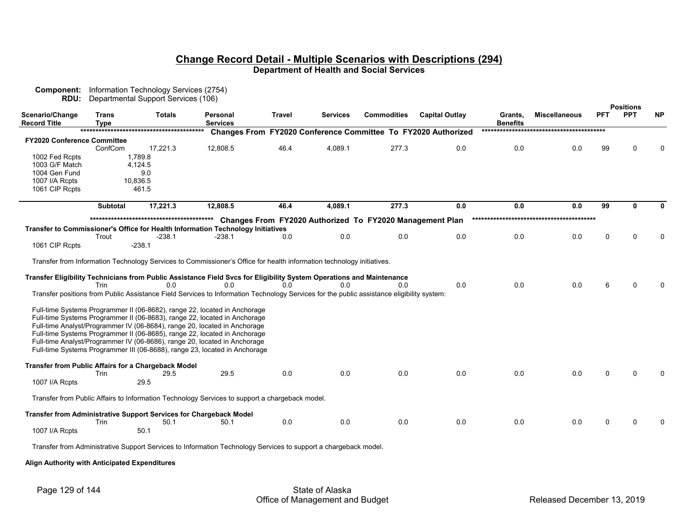| Scenario/Change<br><b>Record Title</b> | Trans<br>Type   | <b>Totals</b>                                                                                                                             | Personal<br><b>Services</b> | <b>Travel</b> | <b>Services</b> | <b>Commodities</b>                                       | <b>Capital Outlay</b>                                         | Grants,<br><b>Benefits</b> | <b>Miscellaneous</b> | PFT | <b>Positions</b><br><b>PPT</b> | <b>NP</b> |
|----------------------------------------|-----------------|-------------------------------------------------------------------------------------------------------------------------------------------|-----------------------------|---------------|-----------------|----------------------------------------------------------|---------------------------------------------------------------|----------------------------|----------------------|-----|--------------------------------|-----------|
|                                        |                 |                                                                                                                                           |                             |               |                 |                                                          | Changes From FY2020 Conference Committee To FY2020 Authorized |                            |                      |     |                                |           |
| <b>FY2020 Conference Committee</b>     |                 |                                                                                                                                           |                             |               |                 |                                                          |                                                               |                            |                      |     |                                |           |
|                                        | ConfCom         | 17,221.3                                                                                                                                  | 12,808.5                    | 46.4          | 4,089.1         | 277.3                                                    | 0.0                                                           | 0.0                        | 0.0                  | 99  |                                |           |
| 1002 Fed Rcpts                         |                 | 1,789.8                                                                                                                                   |                             |               |                 |                                                          |                                                               |                            |                      |     |                                |           |
| 1003 G/F Match                         |                 | 4.124.5                                                                                                                                   |                             |               |                 |                                                          |                                                               |                            |                      |     |                                |           |
| 1004 Gen Fund                          |                 | 9.0                                                                                                                                       |                             |               |                 |                                                          |                                                               |                            |                      |     |                                |           |
| 1007 I/A Rcpts                         |                 | 10,836.5                                                                                                                                  |                             |               |                 |                                                          |                                                               |                            |                      |     |                                |           |
| 1061 CIP Rcpts                         |                 | 461.5                                                                                                                                     |                             |               |                 |                                                          |                                                               |                            |                      |     |                                |           |
|                                        | <b>Subtotal</b> | 17,221.3                                                                                                                                  | 12,808.5                    | 46.4          | 4,089.1         | 277.3                                                    | 0.0                                                           | 0.0                        | 0.0                  | 99  | 0                              | 0         |
|                                        |                 |                                                                                                                                           |                             |               |                 | Changes From FY2020 Authorized To FY2020 Management Plan |                                                               |                            |                      |     |                                |           |
|                                        |                 | Transfer to Commissioner's Office for Health Information Technology Initiatives                                                           |                             |               |                 |                                                          |                                                               |                            |                      |     |                                |           |
|                                        | Trout           | -238.1                                                                                                                                    | -238.1                      | 0.0           | 0.0             | 0.0                                                      | 0.0                                                           | 0.0                        | 0.0                  | 0   | U                              |           |
| 1061 CIP Rcpts                         |                 | $-238.1$                                                                                                                                  |                             |               |                 |                                                          |                                                               |                            |                      |     |                                |           |
|                                        |                 |                                                                                                                                           |                             |               |                 |                                                          |                                                               |                            |                      |     |                                |           |
|                                        |                 | Transfer from Information Technology Services to Commissioner's Office for health information technology initiatives.                     |                             |               |                 |                                                          |                                                               |                            |                      |     |                                |           |
|                                        |                 | Transfer Eligibility Technicians from Public Assistance Field Svcs for Eligibility System Operations and Maintenance                      |                             |               |                 |                                                          |                                                               |                            |                      |     |                                |           |
|                                        | Trin            | 0.0                                                                                                                                       | 0.0                         | 0.0           | 0 <sub>0</sub>  | 0.0                                                      | 0.0                                                           | 0.0                        | 0.0                  |     |                                |           |
|                                        |                 | Transfer positions from Public Assistance Field Services to Information Technology Services for the public assistance eligibility system: |                             |               |                 |                                                          |                                                               |                            |                      |     |                                |           |
|                                        |                 |                                                                                                                                           |                             |               |                 |                                                          |                                                               |                            |                      |     |                                |           |
|                                        |                 | Full-time Systems Programmer II (06-8682), range 22, located in Anchorage                                                                 |                             |               |                 |                                                          |                                                               |                            |                      |     |                                |           |
|                                        |                 | Full-time Systems Programmer II (06-8683), range 22, located in Anchorage                                                                 |                             |               |                 |                                                          |                                                               |                            |                      |     |                                |           |
|                                        |                 | Full-time Analyst/Programmer IV (06-8684), range 20, located in Anchorage                                                                 |                             |               |                 |                                                          |                                                               |                            |                      |     |                                |           |
|                                        |                 | Full-time Systems Programmer II (06-8685), range 22, located in Anchorage                                                                 |                             |               |                 |                                                          |                                                               |                            |                      |     |                                |           |
|                                        |                 | Full-time Analyst/Programmer IV (06-8686), range 20, located in Anchorage                                                                 |                             |               |                 |                                                          |                                                               |                            |                      |     |                                |           |
|                                        |                 | Full-time Systems Programmer III (06-8688), range 23, located in Anchorage                                                                |                             |               |                 |                                                          |                                                               |                            |                      |     |                                |           |
|                                        |                 | <b>Transfer from Public Affairs for a Chargeback Model</b>                                                                                |                             |               |                 |                                                          |                                                               |                            |                      |     |                                |           |
|                                        | Trin            | 29.5                                                                                                                                      | 29.5                        | 0.0           | 0.0             | 0.0                                                      | 0.0                                                           | 0.0                        | 0.0                  |     |                                |           |
| 1007 I/A Rcpts                         |                 | 29.5                                                                                                                                      |                             |               |                 |                                                          |                                                               |                            |                      |     |                                |           |
|                                        |                 | Transfer from Public Affairs to Information Technology Services to support a chargeback model.                                            |                             |               |                 |                                                          |                                                               |                            |                      |     |                                |           |
|                                        |                 |                                                                                                                                           |                             |               |                 |                                                          |                                                               |                            |                      |     |                                |           |
|                                        |                 | Transfer from Administrative Support Services for Chargeback Model                                                                        |                             |               |                 |                                                          |                                                               |                            |                      |     |                                |           |
|                                        | Trin            | 50.1                                                                                                                                      | 50.1                        | 0.0           | 0.0             | 0.0                                                      | 0.0                                                           | 0.0                        | 0.0                  |     |                                |           |
| 1007 I/A Rcpts                         |                 | 50.1                                                                                                                                      |                             |               |                 |                                                          |                                                               |                            |                      |     |                                |           |
|                                        |                 | Transfer from Administrative Support Services to Information Technology Services to support a chargeback model.                           |                             |               |                 |                                                          |                                                               |                            |                      |     |                                |           |

 **Align Authority with Anticipated Expenditures**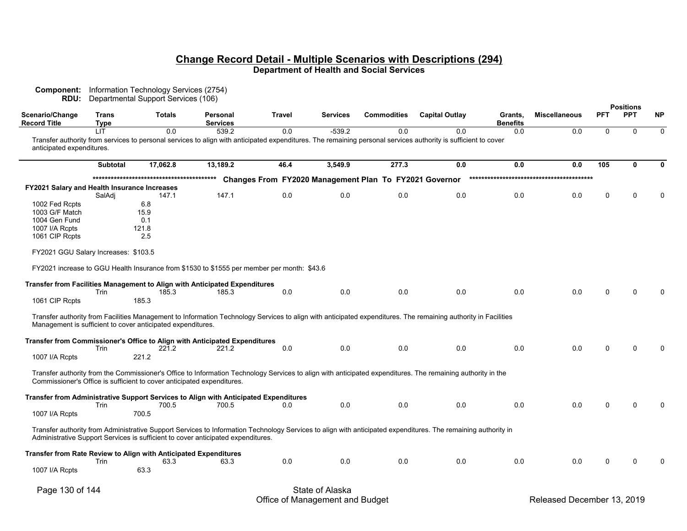**Component:** Information Technology Services (2754) **RDU:** Departmental Support Services (106)

|                                              |                             | <b>Populational Support Sorvices</b> (100)                             |                                                                                            |               |                 |                                                        |                                                                                                                                                                       |                            |                      |             | <b>Positions</b> |             |
|----------------------------------------------|-----------------------------|------------------------------------------------------------------------|--------------------------------------------------------------------------------------------|---------------|-----------------|--------------------------------------------------------|-----------------------------------------------------------------------------------------------------------------------------------------------------------------------|----------------------------|----------------------|-------------|------------------|-------------|
| Scenario/Change<br><b>Record Title</b>       | <b>Trans</b><br><b>Type</b> | <b>Totals</b>                                                          | Personal<br><b>Services</b>                                                                | <b>Travel</b> | <b>Services</b> | <b>Commodities</b>                                     | <b>Capital Outlay</b>                                                                                                                                                 | Grants,<br><b>Benefits</b> | <b>Miscellaneous</b> | <b>PFT</b>  | <b>PPT</b>       | <b>NP</b>   |
| anticipated expenditures.                    | HТ                          | 0.0                                                                    | 539.2                                                                                      | 0.0           | $-539.2$        | 0.0                                                    | 0.0<br>Transfer authority from services to personal services to align with anticipated expenditures. The remaining personal services authority is sufficient to cover | 0.0                        | 0.0                  | $\Omega$    | $\Omega$         | $\mathbf 0$ |
|                                              | Subtotal                    | 17,062.8                                                               | 13,189.2                                                                                   | 46.4          | 3,549.9         | 277.3                                                  | 0.0                                                                                                                                                                   | 0.0                        | 0.0                  | 105         | 0                | 0           |
|                                              |                             |                                                                        |                                                                                            |               |                 | Changes From FY2020 Management Plan To FY2021 Governor |                                                                                                                                                                       |                            |                      |             |                  |             |
| FY2021 Salary and Health Insurance Increases |                             |                                                                        |                                                                                            |               |                 |                                                        |                                                                                                                                                                       |                            |                      |             |                  |             |
|                                              | SalAdj                      | 147.1                                                                  | 147.1                                                                                      | 0.0           | 0.0             | 0.0                                                    | 0.0                                                                                                                                                                   | 0.0                        | 0.0                  | $\Omega$    | $\Omega$         | 0           |
| 1002 Fed Rcpts                               |                             | 6.8                                                                    |                                                                                            |               |                 |                                                        |                                                                                                                                                                       |                            |                      |             |                  |             |
| 1003 G/F Match                               |                             | 15.9                                                                   |                                                                                            |               |                 |                                                        |                                                                                                                                                                       |                            |                      |             |                  |             |
| 1004 Gen Fund                                |                             | 0.1                                                                    |                                                                                            |               |                 |                                                        |                                                                                                                                                                       |                            |                      |             |                  |             |
| 1007 I/A Rcpts                               |                             | 121.8                                                                  |                                                                                            |               |                 |                                                        |                                                                                                                                                                       |                            |                      |             |                  |             |
| 1061 CIP Rcpts                               |                             | 2.5                                                                    |                                                                                            |               |                 |                                                        |                                                                                                                                                                       |                            |                      |             |                  |             |
| FY2021 GGU Salary Increases: \$103.5         |                             |                                                                        |                                                                                            |               |                 |                                                        |                                                                                                                                                                       |                            |                      |             |                  |             |
|                                              |                             |                                                                        | FY2021 increase to GGU Health Insurance from \$1530 to \$1555 per member per month: \$43.6 |               |                 |                                                        |                                                                                                                                                                       |                            |                      |             |                  |             |
|                                              |                             |                                                                        | Transfer from Facilities Management to Align with Anticipated Expenditures                 |               |                 |                                                        |                                                                                                                                                                       |                            |                      |             |                  |             |
|                                              | Trin                        | 185.3                                                                  | 185.3                                                                                      | 0.0           | 0.0             | 0.0                                                    | 0.0                                                                                                                                                                   | 0.0                        | 0.0                  | $\Omega$    |                  | $\Omega$    |
| 1061 CIP Rcpts                               |                             | 185.3                                                                  |                                                                                            |               |                 |                                                        |                                                                                                                                                                       |                            |                      |             |                  |             |
|                                              |                             | Management is sufficient to cover anticipated expenditures.            |                                                                                            |               |                 |                                                        | Transfer authority from Facilities Management to Information Technology Services to align with anticipated expenditures. The remaining authority in Facilities        |                            |                      |             |                  |             |
|                                              |                             |                                                                        | Transfer from Commissioner's Office to Align with Anticipated Expenditures                 |               |                 |                                                        |                                                                                                                                                                       |                            |                      |             |                  |             |
|                                              | Trin                        | 221.2                                                                  | 221.2                                                                                      | 0.0           | 0.0             | 0.0                                                    | 0.0                                                                                                                                                                   | 0.0                        | 0.0                  | $\Omega$    | $\Omega$         | $\Omega$    |
| 1007 I/A Rcpts                               |                             | 221.2                                                                  |                                                                                            |               |                 |                                                        |                                                                                                                                                                       |                            |                      |             |                  |             |
|                                              |                             | Commissioner's Office is sufficient to cover anticipated expenditures. |                                                                                            |               |                 |                                                        | Transfer authority from the Commissioner's Office to Information Technology Services to align with anticipated expenditures. The remaining authority in the           |                            |                      |             |                  |             |
|                                              |                             |                                                                        | Transfer from Administrative Support Services to Align with Anticipated Expenditures       |               |                 |                                                        |                                                                                                                                                                       |                            |                      |             |                  |             |
|                                              | Trin                        | 700.5                                                                  | 700.5                                                                                      | 0.0           | 0.0             | 0.0                                                    | 0.0                                                                                                                                                                   | 0.0                        | 0.0                  | $\Omega$    |                  | 0           |
| 1007 I/A Rcpts                               |                             | 700.5                                                                  |                                                                                            |               |                 |                                                        |                                                                                                                                                                       |                            |                      |             |                  |             |
|                                              |                             |                                                                        | Administrative Support Services is sufficient to cover anticipated expenditures.           |               |                 |                                                        | Transfer authority from Administrative Support Services to Information Technology Services to align with anticipated expenditures. The remaining authority in         |                            |                      |             |                  |             |
|                                              |                             | Transfer from Rate Review to Align with Anticipated Expenditures       |                                                                                            | 0.0           | 0.0             | $0.0\,$                                                | 0.0                                                                                                                                                                   | 0.0                        | 0.0                  | $\mathbf 0$ |                  |             |
| 1007 I/A Rcpts                               | Trin                        | 63.3<br>63.3                                                           | 63.3                                                                                       |               |                 |                                                        |                                                                                                                                                                       |                            |                      |             |                  | 0           |
|                                              |                             |                                                                        |                                                                                            |               |                 |                                                        |                                                                                                                                                                       |                            |                      |             |                  |             |
| Page 130 of 144                              |                             |                                                                        |                                                                                            |               | State of Alaska |                                                        |                                                                                                                                                                       |                            |                      |             |                  |             |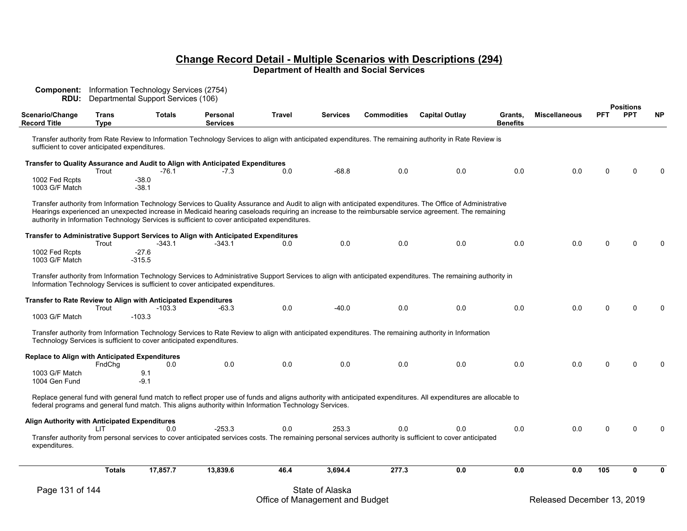| Scenario/Change                                       | <b>Trans</b>  | <b>Totals</b>                                                                                          | Personal        | <b>Travel</b> | Services        | <b>Commodities</b> | <b>Capital Outlay</b>                                                                                                                                                                                                                                                                                               | Grants,         | <b>Miscellaneous</b> | <b>PFT</b> | <b>Positions</b><br><b>PPT</b> | <b>NP</b> |
|-------------------------------------------------------|---------------|--------------------------------------------------------------------------------------------------------|-----------------|---------------|-----------------|--------------------|---------------------------------------------------------------------------------------------------------------------------------------------------------------------------------------------------------------------------------------------------------------------------------------------------------------------|-----------------|----------------------|------------|--------------------------------|-----------|
| <b>Record Title</b>                                   | <b>Type</b>   |                                                                                                        | <b>Services</b> |               |                 |                    |                                                                                                                                                                                                                                                                                                                     | <b>Benefits</b> |                      |            |                                |           |
| sufficient to cover anticipated expenditures.         |               |                                                                                                        |                 |               |                 |                    | Transfer authority from Rate Review to Information Technology Services to align with anticipated expenditures. The remaining authority in Rate Review is                                                                                                                                                            |                 |                      |            |                                |           |
|                                                       | Trout         | Transfer to Quality Assurance and Audit to Align with Anticipated Expenditures<br>$-76.1$              | -7.3            | 0.0           | $-68.8$         | 0.0                | 0.0                                                                                                                                                                                                                                                                                                                 | 0.0             | 0.0                  | U          | $\Omega$                       |           |
| 1002 Fed Rcpts<br>1003 G/F Match                      |               | -38.0<br>$-38.1$                                                                                       |                 |               |                 |                    |                                                                                                                                                                                                                                                                                                                     |                 |                      |            |                                |           |
|                                                       |               | authority in Information Technology Services is sufficient to cover anticipated expenditures.          |                 |               |                 |                    | Transfer authority from Information Technology Services to Quality Assurance and Audit to align with anticipated expenditures. The Office of Administrative<br>Hearings experienced an unexpected increase in Medicaid hearing caseloads requiring an increase to the reimbursable service agreement. The remaining |                 |                      |            |                                |           |
|                                                       | Trout         | Transfer to Administrative Support Services to Align with Anticipated Expenditures<br>-343.1           | -343.1          | 0.0           | 0.0             | 0.0                | 0.0                                                                                                                                                                                                                                                                                                                 | 0.0             | 0.0                  | 0          | $\Omega$                       |           |
| 1002 Fed Rcpts<br>1003 G/F Match                      |               | -27.6<br>$-315.5$                                                                                      |                 |               |                 |                    |                                                                                                                                                                                                                                                                                                                     |                 |                      |            |                                |           |
|                                                       |               | Information Technology Services is sufficient to cover anticipated expenditures.                       |                 |               |                 |                    | Transfer authority from Information Technology Services to Administrative Support Services to align with anticipated expenditures. The remaining authority in                                                                                                                                                       |                 |                      |            |                                |           |
|                                                       | Trout         | Transfer to Rate Review to Align with Anticipated Expenditures<br>-103.3                               | -63.3           | 0.0           | $-40.0$         | 0.0                | 0.0                                                                                                                                                                                                                                                                                                                 | 0.0             | 0.0                  | 0          | ∩                              |           |
| 1003 G/F Match                                        |               | $-103.3$                                                                                               |                 |               |                 |                    |                                                                                                                                                                                                                                                                                                                     |                 |                      |            |                                |           |
|                                                       |               | Technology Services is sufficient to cover anticipated expenditures.                                   |                 |               |                 |                    | Transfer authority from Information Technology Services to Rate Review to align with anticipated expenditures. The remaining authority in Information                                                                                                                                                               |                 |                      |            |                                |           |
| <b>Replace to Align with Anticipated Expenditures</b> | FndChq        | 0.0                                                                                                    | 0.0             | 0.0           | 0.0             | 0.0                | 0.0                                                                                                                                                                                                                                                                                                                 | 0.0             | 0.0                  | 0          | $\Omega$                       |           |
| 1003 G/F Match<br>1004 Gen Fund                       |               | 9.1<br>$-9.1$                                                                                          |                 |               |                 |                    |                                                                                                                                                                                                                                                                                                                     |                 |                      |            |                                |           |
|                                                       |               | federal programs and general fund match. This aligns authority within Information Technology Services. |                 |               |                 |                    | Replace general fund with general fund match to reflect proper use of funds and aligns authority with anticipated expenditures. All expenditures are allocable to                                                                                                                                                   |                 |                      |            |                                |           |
| Align Authority with Anticipated Expenditures         | LIT           | 0.0                                                                                                    | $-253.3$        | 0.0           | 253.3           | 0.0                | 0.0                                                                                                                                                                                                                                                                                                                 | 0.0             | 0.0                  | 0          | $\Omega$                       |           |
| expenditures.                                         |               |                                                                                                        |                 |               |                 |                    | Transfer authority from personal services to cover anticipated services costs. The remaining personal services authority is sufficient to cover anticipated                                                                                                                                                         |                 |                      |            |                                |           |
|                                                       | <b>Totals</b> | 17,857.7                                                                                               | 13,839.6        | 46.4          | 3,694.4         | 277.3              | 0.0                                                                                                                                                                                                                                                                                                                 | 0.0             | 0.0                  | 105        | 0                              | ŋ         |
| Page 131 of 144                                       |               |                                                                                                        |                 |               | State of Alaska |                    |                                                                                                                                                                                                                                                                                                                     |                 |                      |            |                                |           |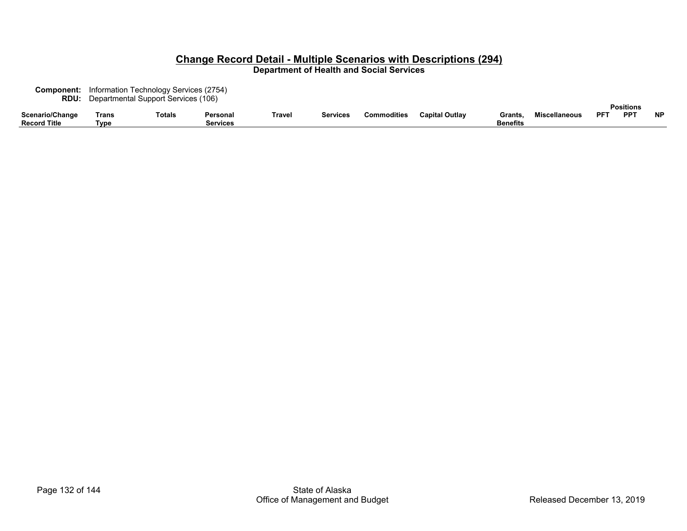| <b>Component:</b>   |       | Information Technology Services (2754) |          |        |                 |                    |                       |                 |                      |            |                 |           |  |  |  |
|---------------------|-------|----------------------------------------|----------|--------|-----------------|--------------------|-----------------------|-----------------|----------------------|------------|-----------------|-----------|--|--|--|
| RDU:                |       | Departmental Support Services (106)    |          |        |                 |                    |                       |                 |                      |            |                 |           |  |  |  |
|                     |       |                                        |          |        |                 | <b>Positions</b>   |                       |                 |                      |            |                 |           |  |  |  |
| Scenario/Change     | Trans | Totals                                 | Personal | Travel | <b>Services</b> | <b>Commodities</b> | <b>Capital Outlay</b> | Grants          | <b>Miscellaneous</b> | <b>DET</b> | PP <sup>-</sup> | <b>NP</b> |  |  |  |
| <b>Record Title</b> | Tvpe  |                                        | Services |        |                 |                    |                       | <b>Benefits</b> |                      |            |                 |           |  |  |  |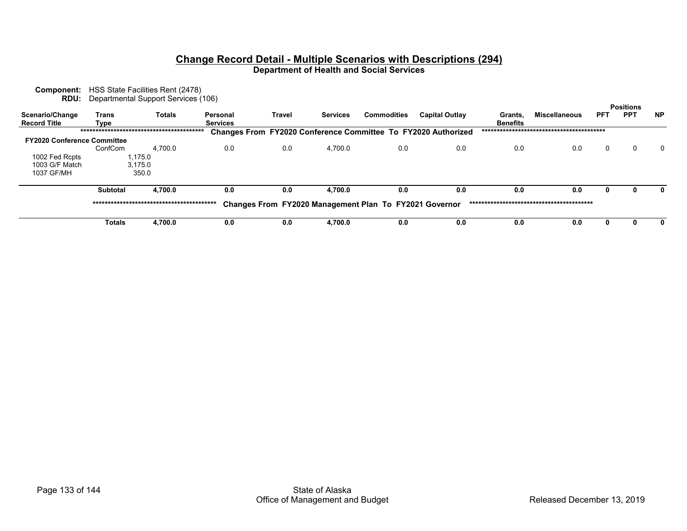| Component:                         |          | HSS State Facilities Rent (2478)<br><b>RDU:</b> Departmental Support Services (106) |                 |        |                 |                                                        |                                                                      |                 |                      |              |                                |           |
|------------------------------------|----------|-------------------------------------------------------------------------------------|-----------------|--------|-----------------|--------------------------------------------------------|----------------------------------------------------------------------|-----------------|----------------------|--------------|--------------------------------|-----------|
| Scenario/Change                    | Trans    | <b>Totals</b>                                                                       | Personal        | Travel | <b>Services</b> | <b>Commodities</b>                                     | <b>Capital Outlay</b>                                                | Grants.         | <b>Miscellaneous</b> | <b>PFT</b>   | <b>Positions</b><br><b>PPT</b> | <b>NP</b> |
| <b>Record Title</b>                | Type     |                                                                                     | <b>Services</b> |        |                 |                                                        |                                                                      | <b>Benefits</b> |                      |              |                                |           |
|                                    |          |                                                                                     |                 |        |                 |                                                        | <b>Changes From FY2020 Conference Committee To FY2020 Authorized</b> |                 |                      |              |                                |           |
| <b>FY2020 Conference Committee</b> |          |                                                                                     |                 |        |                 |                                                        |                                                                      |                 |                      |              |                                |           |
|                                    | ConfCom  | 4.700.0                                                                             | 0.0             | 0.0    | 4,700.0         | 0.0                                                    | 0.0                                                                  | 0.0             | 0.0                  | $\mathbf{0}$ | 0                              | $\Omega$  |
| 1002 Fed Rcpts                     |          | 1,175.0                                                                             |                 |        |                 |                                                        |                                                                      |                 |                      |              |                                |           |
| 1003 G/F Match                     |          | 3.175.0                                                                             |                 |        |                 |                                                        |                                                                      |                 |                      |              |                                |           |
| 1037 GF/MH                         |          | 350.0                                                                               |                 |        |                 |                                                        |                                                                      |                 |                      |              |                                |           |
|                                    | Subtotal | 4.700.0                                                                             | 0.0             | 0.0    | 4.700.0         | 0.0                                                    | 0.0                                                                  | 0.0             | 0.0                  | 0            |                                |           |
|                                    |          |                                                                                     |                 |        |                 | Changes From FY2020 Management Plan To FY2021 Governor |                                                                      |                 |                      |              |                                |           |
|                                    | Totals   | 4,700.0                                                                             | 0.0             | 0.0    | 4,700.0         | 0.0                                                    | 0.0                                                                  | 0.0             | 0.0                  |              |                                |           |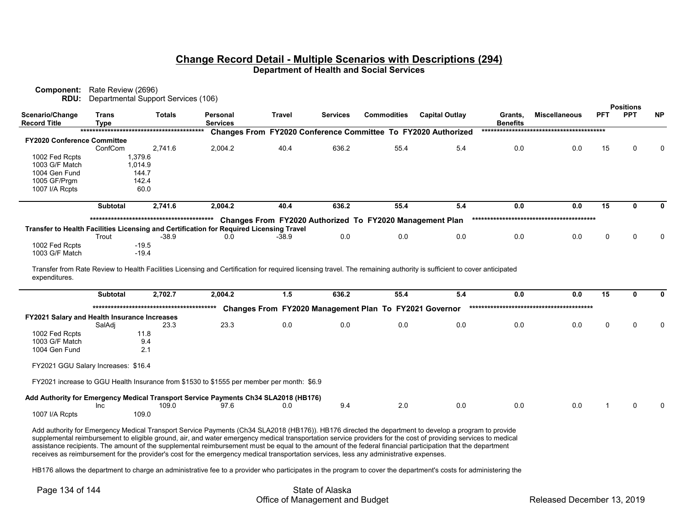|                                                | <b>Component:</b> Rate Review (2696) |                                               |                                                                                         |                                                                                                                                                                                                                                                                                                                                                                                                                                                                                                                                                                                                                                |                 |                    |                       |                            |                      |             |                                |              |
|------------------------------------------------|--------------------------------------|-----------------------------------------------|-----------------------------------------------------------------------------------------|--------------------------------------------------------------------------------------------------------------------------------------------------------------------------------------------------------------------------------------------------------------------------------------------------------------------------------------------------------------------------------------------------------------------------------------------------------------------------------------------------------------------------------------------------------------------------------------------------------------------------------|-----------------|--------------------|-----------------------|----------------------------|----------------------|-------------|--------------------------------|--------------|
| RDU:<br>Scenario/Change<br><b>Record Title</b> | Trans<br><b>Type</b>                 | Departmental Support Services (106)<br>Totals | Personal<br><b>Services</b>                                                             | Travel                                                                                                                                                                                                                                                                                                                                                                                                                                                                                                                                                                                                                         | <b>Services</b> | <b>Commodities</b> | <b>Capital Outlay</b> | Grants,<br><b>Benefits</b> | <b>Miscellaneous</b> | PFT         | <b>Positions</b><br><b>PPT</b> | <b>NP</b>    |
|                                                |                                      |                                               |                                                                                         | Changes From FY2020 Conference Committee To FY2020 Authorized                                                                                                                                                                                                                                                                                                                                                                                                                                                                                                                                                                  |                 |                    |                       |                            |                      |             |                                |              |
| <b>FY2020 Conference Committee</b>             |                                      |                                               |                                                                                         |                                                                                                                                                                                                                                                                                                                                                                                                                                                                                                                                                                                                                                |                 |                    |                       |                            |                      |             |                                |              |
|                                                | ConfCom                              | 2.741.6                                       | 2,004.2                                                                                 | 40.4                                                                                                                                                                                                                                                                                                                                                                                                                                                                                                                                                                                                                           | 636.2           | 55.4               | 5.4                   | 0.0                        | 0.0                  | 15          |                                |              |
| 1002 Fed Rcpts<br>1003 G/F Match               |                                      | 1,379.6                                       |                                                                                         |                                                                                                                                                                                                                                                                                                                                                                                                                                                                                                                                                                                                                                |                 |                    |                       |                            |                      |             |                                |              |
| 1004 Gen Fund                                  |                                      | 1,014.9<br>144.7                              |                                                                                         |                                                                                                                                                                                                                                                                                                                                                                                                                                                                                                                                                                                                                                |                 |                    |                       |                            |                      |             |                                |              |
| 1005 GF/Prgm                                   |                                      | 142.4                                         |                                                                                         |                                                                                                                                                                                                                                                                                                                                                                                                                                                                                                                                                                                                                                |                 |                    |                       |                            |                      |             |                                |              |
| 1007 I/A Rcpts                                 |                                      | 60.0                                          |                                                                                         |                                                                                                                                                                                                                                                                                                                                                                                                                                                                                                                                                                                                                                |                 |                    |                       |                            |                      |             |                                |              |
|                                                | <b>Subtotal</b>                      | 2,741.6                                       | 2,004.2                                                                                 | 40.4                                                                                                                                                                                                                                                                                                                                                                                                                                                                                                                                                                                                                           | 636.2           | 55.4               | 5.4                   | 0.0                        | 0.0                  | 15          | $\mathbf{0}$                   | 0            |
|                                                |                                      |                                               |                                                                                         | Changes From FY2020 Authorized To FY2020 Management Plan                                                                                                                                                                                                                                                                                                                                                                                                                                                                                                                                                                       |                 |                    |                       |                            |                      |             |                                |              |
|                                                |                                      |                                               | Transfer to Health Facilities Licensing and Certification for Required Licensing Travel |                                                                                                                                                                                                                                                                                                                                                                                                                                                                                                                                                                                                                                |                 |                    |                       |                            |                      |             |                                |              |
|                                                | Trout                                | $-38.9$                                       | 0.0                                                                                     | $-38.9$                                                                                                                                                                                                                                                                                                                                                                                                                                                                                                                                                                                                                        | 0.0             | 0.0                | 0.0                   | 0.0                        | 0.0                  | 0           |                                | 0            |
| 1002 Fed Rcpts                                 |                                      | $-19.5$                                       |                                                                                         |                                                                                                                                                                                                                                                                                                                                                                                                                                                                                                                                                                                                                                |                 |                    |                       |                            |                      |             |                                |              |
| 1003 G/F Match                                 |                                      | $-19.4$                                       |                                                                                         |                                                                                                                                                                                                                                                                                                                                                                                                                                                                                                                                                                                                                                |                 |                    |                       |                            |                      |             |                                |              |
| expenditures.                                  | <b>Subtotal</b>                      | 2,702.7                                       | 2,004.2                                                                                 | Transfer from Rate Review to Health Facilities Licensing and Certification for required licensing travel. The remaining authority is sufficient to cover anticipated<br>1.5                                                                                                                                                                                                                                                                                                                                                                                                                                                    | 636.2           | 55.4               | 5.4                   | 0.0                        | 0.0                  | 15          | $\mathbf{0}$                   | $\mathbf{0}$ |
|                                                |                                      |                                               |                                                                                         |                                                                                                                                                                                                                                                                                                                                                                                                                                                                                                                                                                                                                                |                 |                    |                       |                            |                      |             |                                |              |
| FY2021 Salary and Health Insurance Increases   |                                      |                                               |                                                                                         | Changes From FY2020 Management Plan To FY2021 Governor                                                                                                                                                                                                                                                                                                                                                                                                                                                                                                                                                                         |                 |                    |                       |                            |                      |             |                                |              |
|                                                | SalAdj                               | 23.3                                          | 23.3                                                                                    | 0.0                                                                                                                                                                                                                                                                                                                                                                                                                                                                                                                                                                                                                            | 0.0             | 0.0                | 0.0                   | 0.0                        | 0.0                  | $\mathbf 0$ | $\Omega$                       | U            |
| 1002 Fed Rcpts                                 |                                      | 11.8                                          |                                                                                         |                                                                                                                                                                                                                                                                                                                                                                                                                                                                                                                                                                                                                                |                 |                    |                       |                            |                      |             |                                |              |
| 1003 G/F Match                                 |                                      | 9.4                                           |                                                                                         |                                                                                                                                                                                                                                                                                                                                                                                                                                                                                                                                                                                                                                |                 |                    |                       |                            |                      |             |                                |              |
| 1004 Gen Fund                                  |                                      | 2.1                                           |                                                                                         |                                                                                                                                                                                                                                                                                                                                                                                                                                                                                                                                                                                                                                |                 |                    |                       |                            |                      |             |                                |              |
| FY2021 GGU Salary Increases: \$16.4            |                                      |                                               |                                                                                         |                                                                                                                                                                                                                                                                                                                                                                                                                                                                                                                                                                                                                                |                 |                    |                       |                            |                      |             |                                |              |
|                                                |                                      |                                               |                                                                                         | FY2021 increase to GGU Health Insurance from \$1530 to \$1555 per member per month: \$6.9                                                                                                                                                                                                                                                                                                                                                                                                                                                                                                                                      |                 |                    |                       |                            |                      |             |                                |              |
|                                                |                                      |                                               | 97.6                                                                                    | Add Authority for Emergency Medical Transport Service Payments Ch34 SLA2018 (HB176)                                                                                                                                                                                                                                                                                                                                                                                                                                                                                                                                            |                 | 2.0                | 0.0                   | 0.0                        | 0.0                  |             |                                |              |
| 1007 I/A Rcpts                                 | <b>Inc</b>                           | 109.0<br>109.0                                |                                                                                         | 0.0                                                                                                                                                                                                                                                                                                                                                                                                                                                                                                                                                                                                                            | 9.4             |                    |                       |                            |                      |             |                                |              |
|                                                |                                      |                                               |                                                                                         |                                                                                                                                                                                                                                                                                                                                                                                                                                                                                                                                                                                                                                |                 |                    |                       |                            |                      |             |                                |              |
|                                                |                                      |                                               |                                                                                         | Add authority for Emergency Medical Transport Service Payments (Ch34 SLA2018 (HB176)). HB176 directed the department to develop a program to provide<br>supplemental reimbursement to eligible ground, air, and water emergency medical transportation service providers for the cost of providing services to medical<br>assistance recipients. The amount of the supplemental reimbursement must be equal to the amount of the federal financial participation that the department<br>receives as reimbursement for the provider's cost for the emergency medical transportation services, less any administrative expenses. |                 |                    |                       |                            |                      |             |                                |              |
|                                                |                                      |                                               |                                                                                         | UD176 ellowe the department to charge an administrative fee to a provider who participates in the pregram to cover the department's coate for administering the                                                                                                                                                                                                                                                                                                                                                                                                                                                                |                 |                    |                       |                            |                      |             |                                |              |

HB176 allows the department to charge an administrative fee to a provider who participates in the program to cover the department's costs for administering the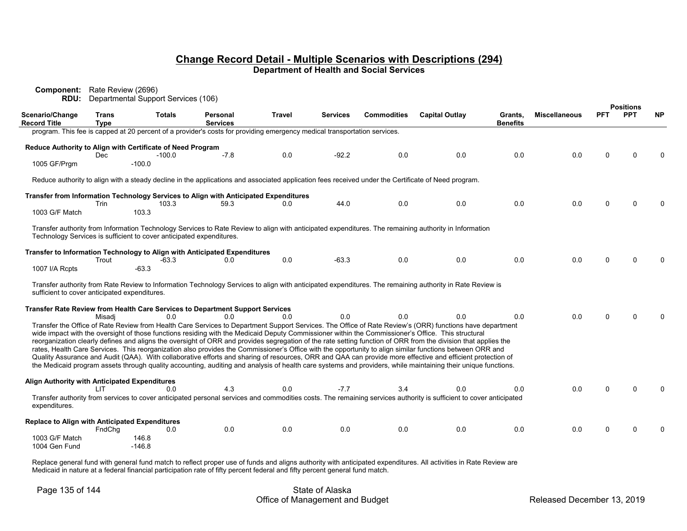| Component:<br>RDU:                                         | Rate Review (2696)   | Departmental Support Services (106)                                  |                                                                                                                          |               |                 |                    |                                                                                                                                                                                                                                                                                                                                                                                                                                                                                                                                                                                                                                                                                                                                                                                                                                                                                                                                                                             |                            |                      |            |                                |           |
|------------------------------------------------------------|----------------------|----------------------------------------------------------------------|--------------------------------------------------------------------------------------------------------------------------|---------------|-----------------|--------------------|-----------------------------------------------------------------------------------------------------------------------------------------------------------------------------------------------------------------------------------------------------------------------------------------------------------------------------------------------------------------------------------------------------------------------------------------------------------------------------------------------------------------------------------------------------------------------------------------------------------------------------------------------------------------------------------------------------------------------------------------------------------------------------------------------------------------------------------------------------------------------------------------------------------------------------------------------------------------------------|----------------------------|----------------------|------------|--------------------------------|-----------|
| Scenario/Change<br><b>Record Title</b>                     | Trans<br><b>Type</b> | <b>Totals</b>                                                        | Personal<br><b>Services</b>                                                                                              | <b>Travel</b> | <b>Services</b> | <b>Commodities</b> | <b>Capital Outlay</b>                                                                                                                                                                                                                                                                                                                                                                                                                                                                                                                                                                                                                                                                                                                                                                                                                                                                                                                                                       | Grants,<br><b>Benefits</b> | <b>Miscellaneous</b> | <b>PFT</b> | <b>Positions</b><br><b>PPT</b> | <b>NP</b> |
|                                                            |                      |                                                                      | program. This fee is capped at 20 percent of a provider's costs for providing emergency medical transportation services. |               |                 |                    |                                                                                                                                                                                                                                                                                                                                                                                                                                                                                                                                                                                                                                                                                                                                                                                                                                                                                                                                                                             |                            |                      |            |                                |           |
| Reduce Authority to Align with Certificate of Need Program |                      |                                                                      |                                                                                                                          |               |                 |                    |                                                                                                                                                                                                                                                                                                                                                                                                                                                                                                                                                                                                                                                                                                                                                                                                                                                                                                                                                                             |                            |                      |            |                                |           |
|                                                            | Dec                  | $-100.0$                                                             | $-7.8$                                                                                                                   | 0.0           | $-92.2$         | 0.0                | 0.0                                                                                                                                                                                                                                                                                                                                                                                                                                                                                                                                                                                                                                                                                                                                                                                                                                                                                                                                                                         | 0.0                        | 0.0                  | 0          |                                |           |
| 1005 GF/Prgm                                               |                      | $-100.0$                                                             |                                                                                                                          |               |                 |                    |                                                                                                                                                                                                                                                                                                                                                                                                                                                                                                                                                                                                                                                                                                                                                                                                                                                                                                                                                                             |                            |                      |            |                                |           |
|                                                            |                      |                                                                      |                                                                                                                          |               |                 |                    | Reduce authority to align with a steady decline in the applications and associated application fees received under the Certificate of Need program.                                                                                                                                                                                                                                                                                                                                                                                                                                                                                                                                                                                                                                                                                                                                                                                                                         |                            |                      |            |                                |           |
|                                                            |                      |                                                                      | Transfer from Information Technology Services to Align with Anticipated Expenditures                                     |               |                 |                    |                                                                                                                                                                                                                                                                                                                                                                                                                                                                                                                                                                                                                                                                                                                                                                                                                                                                                                                                                                             |                            |                      |            |                                |           |
|                                                            | Trin                 | 103.3                                                                | 59.3                                                                                                                     | 0.0           | 44.0            | 0.0                | 0.0                                                                                                                                                                                                                                                                                                                                                                                                                                                                                                                                                                                                                                                                                                                                                                                                                                                                                                                                                                         | 0.0                        | 0.0                  | 0          |                                |           |
| 1003 G/F Match                                             |                      | 103.3                                                                |                                                                                                                          |               |                 |                    |                                                                                                                                                                                                                                                                                                                                                                                                                                                                                                                                                                                                                                                                                                                                                                                                                                                                                                                                                                             |                            |                      |            |                                |           |
|                                                            |                      | Technology Services is sufficient to cover anticipated expenditures. |                                                                                                                          |               |                 |                    | Transfer authority from Information Technology Services to Rate Review to align with anticipated expenditures. The remaining authority in Information                                                                                                                                                                                                                                                                                                                                                                                                                                                                                                                                                                                                                                                                                                                                                                                                                       |                            |                      |            |                                |           |
|                                                            | Trout                | -63.3                                                                | Transfer to Information Technology to Align with Anticipated Expenditures<br>0.0                                         | 0.0           | $-63.3$         | 0.0                | 0.0                                                                                                                                                                                                                                                                                                                                                                                                                                                                                                                                                                                                                                                                                                                                                                                                                                                                                                                                                                         | 0.0                        | 0.0                  | n          |                                |           |
| 1007 I/A Rcpts                                             |                      | $-63.3$                                                              |                                                                                                                          |               |                 |                    |                                                                                                                                                                                                                                                                                                                                                                                                                                                                                                                                                                                                                                                                                                                                                                                                                                                                                                                                                                             |                            |                      |            |                                |           |
| sufficient to cover anticipated expenditures.              |                      |                                                                      |                                                                                                                          |               |                 |                    | Transfer authority from Rate Review to Information Technology Services to align with anticipated expenditures. The remaining authority in Rate Review is                                                                                                                                                                                                                                                                                                                                                                                                                                                                                                                                                                                                                                                                                                                                                                                                                    |                            |                      |            |                                |           |
|                                                            |                      |                                                                      | Transfer Rate Review from Health Care Services to Department Support Services                                            |               |                 |                    |                                                                                                                                                                                                                                                                                                                                                                                                                                                                                                                                                                                                                                                                                                                                                                                                                                                                                                                                                                             |                            |                      |            |                                |           |
|                                                            | Misadi               | 0.0                                                                  | 0 O                                                                                                                      | 0 O           | 0.0             | 0.0                | 0.0                                                                                                                                                                                                                                                                                                                                                                                                                                                                                                                                                                                                                                                                                                                                                                                                                                                                                                                                                                         | 0.0                        | 0.0                  | U          | ∩                              |           |
|                                                            |                      |                                                                      |                                                                                                                          |               |                 |                    | Transfer the Office of Rate Review from Health Care Services to Department Support Services. The Office of Rate Review's (ORR) functions have department<br>wide impact with the oversight of those functions residing with the Medicaid Deputy Commissioner within the Commissioner's Office. This structural<br>reorganization clearly defines and aligns the oversight of ORR and provides segregation of the rate setting function of ORR from the division that applies the<br>rates, Health Care Services. This reorganization also provides the Commissioner's Office with the opportunity to align similar functions between ORR and<br>Quality Assurance and Audit (QAA). With collaborative efforts and sharing of resources, ORR and QAA can provide more effective and efficient protection of<br>the Medicaid program assets through quality accounting, auditing and analysis of health care systems and providers, while maintaining their unique functions. |                            |                      |            |                                |           |
| Align Authority with Anticipated Expenditures              | LIT.                 | 0.0                                                                  | 4.3                                                                                                                      | 0.0           | $-7.7$          | 3.4                | 0.0                                                                                                                                                                                                                                                                                                                                                                                                                                                                                                                                                                                                                                                                                                                                                                                                                                                                                                                                                                         | 0.0                        | 0.0                  | U          |                                |           |
| expenditures.                                              |                      |                                                                      |                                                                                                                          |               |                 |                    | Transfer authority from services to cover anticipated personal services and commodities costs. The remaining services authority is sufficient to cover anticipated                                                                                                                                                                                                                                                                                                                                                                                                                                                                                                                                                                                                                                                                                                                                                                                                          |                            |                      |            |                                |           |
| <b>Replace to Align with Anticipated Expenditures</b>      |                      |                                                                      |                                                                                                                          |               |                 |                    |                                                                                                                                                                                                                                                                                                                                                                                                                                                                                                                                                                                                                                                                                                                                                                                                                                                                                                                                                                             |                            |                      |            |                                |           |
|                                                            | FndCha               | 0.0                                                                  | 0.0                                                                                                                      | 0.0           | 0.0             | 0.0                | 0.0                                                                                                                                                                                                                                                                                                                                                                                                                                                                                                                                                                                                                                                                                                                                                                                                                                                                                                                                                                         | 0.0                        | 0.0                  | 0          |                                |           |
| 1003 G/F Match<br>1004 Gen Fund                            |                      | 146.8<br>$-146.8$                                                    |                                                                                                                          |               |                 |                    |                                                                                                                                                                                                                                                                                                                                                                                                                                                                                                                                                                                                                                                                                                                                                                                                                                                                                                                                                                             |                            |                      |            |                                |           |

Replace general fund with general fund match to reflect proper use of funds and aligns authority with anticipated expenditures. All activities in Rate Review are Medicaid in nature at a federal financial participation rate of fifty percent federal and fifty percent general fund match.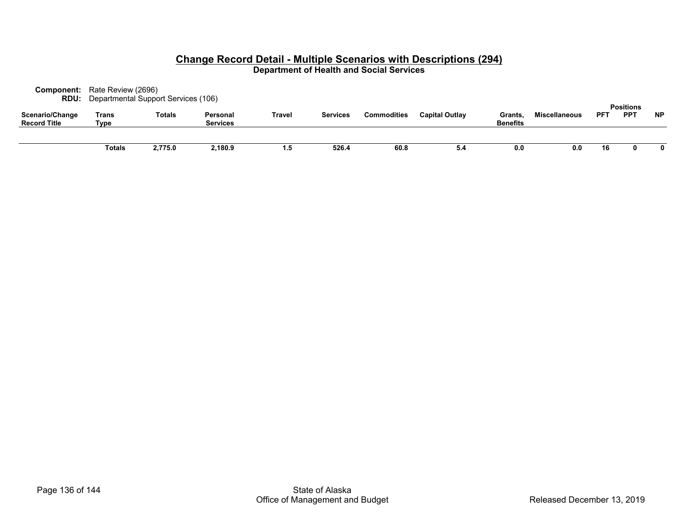| Component:<br><b>RDU:</b>              | Rate Review (2696)<br>Departmental Support Services (106) |         |                             |        |                 |                    |                       |                            |                      |            |                                |           |
|----------------------------------------|-----------------------------------------------------------|---------|-----------------------------|--------|-----------------|--------------------|-----------------------|----------------------------|----------------------|------------|--------------------------------|-----------|
| Scenario/Change<br><b>Record Title</b> | Trans<br>Type                                             | Totals  | Personal<br><b>Services</b> | Travel | <b>Services</b> | <b>Commodities</b> | <b>Capital Outlay</b> | Grants.<br><b>Benefits</b> | <b>Miscellaneous</b> | <b>PFT</b> | <b>Positions</b><br><b>PPT</b> | <b>NP</b> |
|                                        | Totals                                                    | 2,775.0 | 2,180.9                     | 1.5    | 526.4           | 60.8               | 5.4                   | 0.0                        | 0.0                  | 16         |                                | 0         |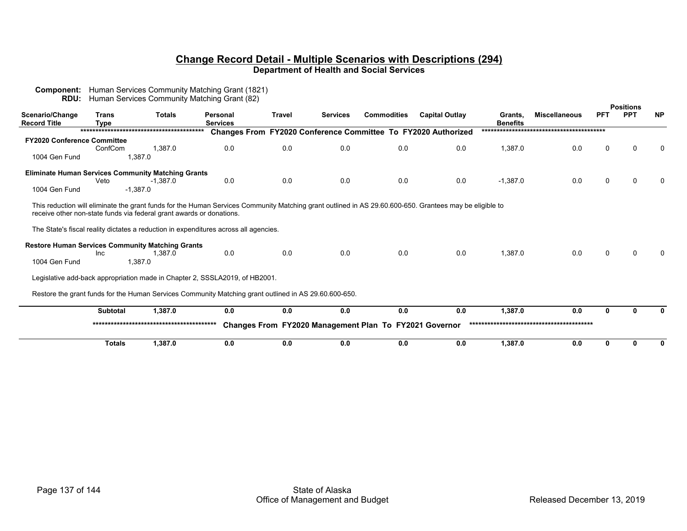| RDU:                                   |                      | Human Services Community Matching Grant (82)                                                                                                                                                                                                                                                                            |                             |               |                 |                                                        |                                                               |                            |                      |              |                                |           |
|----------------------------------------|----------------------|-------------------------------------------------------------------------------------------------------------------------------------------------------------------------------------------------------------------------------------------------------------------------------------------------------------------------|-----------------------------|---------------|-----------------|--------------------------------------------------------|---------------------------------------------------------------|----------------------------|----------------------|--------------|--------------------------------|-----------|
| Scenario/Change<br><b>Record Title</b> | <b>Trans</b><br>Type | <b>Totals</b>                                                                                                                                                                                                                                                                                                           | Personal<br><b>Services</b> | <b>Travel</b> | <b>Services</b> | <b>Commodities</b>                                     | <b>Capital Outlay</b>                                         | Grants,<br><b>Benefits</b> | <b>Miscellaneous</b> | <b>PFT</b>   | <b>Positions</b><br><b>PPT</b> | <b>NP</b> |
|                                        |                      |                                                                                                                                                                                                                                                                                                                         |                             |               |                 |                                                        | Changes From FY2020 Conference Committee To FY2020 Authorized |                            |                      |              |                                |           |
| <b>FY2020 Conference Committee</b>     |                      |                                                                                                                                                                                                                                                                                                                         |                             |               |                 |                                                        |                                                               |                            |                      |              |                                |           |
|                                        | ConfCom              | 1,387.0                                                                                                                                                                                                                                                                                                                 | 0.0                         | 0.0           | 0.0             | 0.0                                                    | 0.0                                                           | 1,387.0                    | 0.0                  | 0            |                                | 0         |
| 1004 Gen Fund                          |                      | 1,387.0                                                                                                                                                                                                                                                                                                                 |                             |               |                 |                                                        |                                                               |                            |                      |              |                                |           |
|                                        |                      | <b>Eliminate Human Services Community Matching Grants</b>                                                                                                                                                                                                                                                               |                             |               |                 |                                                        |                                                               |                            |                      |              |                                |           |
|                                        | Veto                 | $-1.387.0$                                                                                                                                                                                                                                                                                                              | 0.0                         | 0.0           | 0.0             | 0.0                                                    | 0.0                                                           | $-1,387.0$                 | 0.0                  | 0            |                                |           |
| 1004 Gen Fund                          |                      | $-1,387.0$                                                                                                                                                                                                                                                                                                              |                             |               |                 |                                                        |                                                               |                            |                      |              |                                |           |
|                                        |                      | This reduction will eliminate the grant funds for the Human Services Community Matching grant outlined in AS 29.60.600-650. Grantees may be eligible to<br>receive other non-state funds via federal grant awards or donations.<br>The State's fiscal reality dictates a reduction in expenditures across all agencies. |                             |               |                 |                                                        |                                                               |                            |                      |              |                                |           |
|                                        |                      |                                                                                                                                                                                                                                                                                                                         |                             |               |                 |                                                        |                                                               |                            |                      |              |                                |           |
|                                        |                      | <b>Restore Human Services Community Matching Grants</b>                                                                                                                                                                                                                                                                 |                             |               |                 |                                                        |                                                               |                            |                      |              |                                |           |
|                                        | Inc                  | 1,387.0                                                                                                                                                                                                                                                                                                                 | 0.0                         | 0.0           | 0.0             | 0.0                                                    | 0.0                                                           | 1,387.0                    | 0.0                  | $\mathbf{0}$ |                                |           |
| 1004 Gen Fund                          |                      | 1,387.0                                                                                                                                                                                                                                                                                                                 |                             |               |                 |                                                        |                                                               |                            |                      |              |                                |           |
|                                        |                      | Legislative add-back appropriation made in Chapter 2, SSSLA2019, of HB2001.                                                                                                                                                                                                                                             |                             |               |                 |                                                        |                                                               |                            |                      |              |                                |           |
|                                        |                      | Restore the grant funds for the Human Services Community Matching grant outlined in AS 29.60.600-650.                                                                                                                                                                                                                   |                             |               |                 |                                                        |                                                               |                            |                      |              |                                |           |
|                                        | Subtotal             | 1,387.0                                                                                                                                                                                                                                                                                                                 | 0.0                         | 0.0           | 0.0             | 0.0                                                    | 0.0                                                           | 1,387.0                    | 0.0                  | <sup>0</sup> |                                |           |
|                                        |                      |                                                                                                                                                                                                                                                                                                                         |                             |               |                 | Changes From FY2020 Management Plan To FY2021 Governor |                                                               |                            |                      |              |                                |           |
|                                        |                      |                                                                                                                                                                                                                                                                                                                         |                             |               |                 |                                                        |                                                               |                            |                      |              |                                |           |
|                                        | <b>Totals</b>        | 1.387.0                                                                                                                                                                                                                                                                                                                 | 0.0                         | 0.0           | 0.0             | 0.0                                                    | 0.0                                                           | 1.387.0                    | 0.0                  | 0            |                                | 0         |

**Component:** Human Services Community Matching Grant (1821)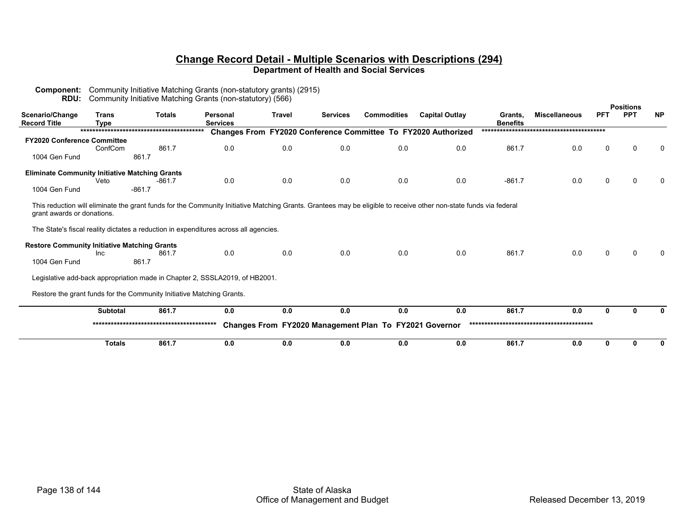**Component:** Community Initiative Matching Grants (non-statutory grants) (2915)

|                                                       |                             | <b>RDU:</b> Community Initiative Matching Grants (non-statutory) (566)               |                             |               |                 |                                                        |                                                                                                                                                                   |                            |                      |            | <b>Positions</b> |           |
|-------------------------------------------------------|-----------------------------|--------------------------------------------------------------------------------------|-----------------------------|---------------|-----------------|--------------------------------------------------------|-------------------------------------------------------------------------------------------------------------------------------------------------------------------|----------------------------|----------------------|------------|------------------|-----------|
| Scenario/Change<br>Record Title                       | <b>Trans</b><br><b>Type</b> | <b>Totals</b>                                                                        | Personal<br><b>Services</b> | <b>Travel</b> | <b>Services</b> | <b>Commodities</b>                                     | <b>Capital Outlay</b>                                                                                                                                             | Grants,<br><b>Benefits</b> | <b>Miscellaneous</b> | <b>PFT</b> | <b>PPT</b>       | <b>NP</b> |
|                                                       |                             |                                                                                      |                             |               |                 |                                                        | Changes From FY2020 Conference Committee To FY2020 Authorized                                                                                                     |                            |                      |            |                  |           |
| <b>FY2020 Conference Committee</b>                    |                             |                                                                                      |                             |               |                 |                                                        |                                                                                                                                                                   |                            |                      |            |                  |           |
|                                                       | ConfCom                     | 861.7                                                                                | 0.0                         | 0.0           | 0.0             | 0.0                                                    | 0.0                                                                                                                                                               | 861.7                      | 0.0                  | 0          | O                | 0         |
| 1004 Gen Fund                                         |                             | 861.7                                                                                |                             |               |                 |                                                        |                                                                                                                                                                   |                            |                      |            |                  |           |
| <b>Eliminate Community Initiative Matching Grants</b> |                             |                                                                                      |                             |               |                 |                                                        |                                                                                                                                                                   |                            |                      |            |                  |           |
|                                                       | Veto                        | -861.7                                                                               | 0.0                         | 0.0           | 0.0             | 0.0                                                    | 0.0                                                                                                                                                               | $-861.7$                   | 0.0                  | $\Omega$   |                  | $\Omega$  |
| 1004 Gen Fund                                         |                             | $-861.7$                                                                             |                             |               |                 |                                                        |                                                                                                                                                                   |                            |                      |            |                  |           |
| grant awards or donations.                            |                             |                                                                                      |                             |               |                 |                                                        | This reduction will eliminate the grant funds for the Community Initiative Matching Grants. Grantees may be eligible to receive other non-state funds via federal |                            |                      |            |                  |           |
|                                                       |                             | The State's fiscal reality dictates a reduction in expenditures across all agencies. |                             |               |                 |                                                        |                                                                                                                                                                   |                            |                      |            |                  |           |
| <b>Restore Community Initiative Matching Grants</b>   | <b>Inc</b>                  | 861.7                                                                                | 0.0                         | 0.0           | 0.0             | 0.0                                                    | 0.0                                                                                                                                                               | 861.7                      | 0.0                  | $\Omega$   | 0                | $\Omega$  |
| 1004 Gen Fund                                         |                             | 861.7                                                                                |                             |               |                 |                                                        |                                                                                                                                                                   |                            |                      |            |                  |           |
|                                                       |                             | Legislative add-back appropriation made in Chapter 2, SSSLA2019, of HB2001.          |                             |               |                 |                                                        |                                                                                                                                                                   |                            |                      |            |                  |           |
|                                                       |                             | Restore the grant funds for the Community Initiative Matching Grants.                |                             |               |                 |                                                        |                                                                                                                                                                   |                            |                      |            |                  |           |
|                                                       | Subtotal                    | 861.7                                                                                | 0.0                         | 0.0           | 0.0             | 0.0                                                    | 0.0                                                                                                                                                               | 861.7                      | 0.0                  | O.         |                  |           |
|                                                       |                             |                                                                                      |                             |               |                 | Changes From FY2020 Management Plan To FY2021 Governor |                                                                                                                                                                   |                            |                      |            |                  |           |
|                                                       | <b>Totals</b>               | 861.7                                                                                | 0.0                         | 0.0           | 0.0             | 0.0                                                    | 0.0                                                                                                                                                               | 861.7                      | 0.0                  | 0          |                  | 0         |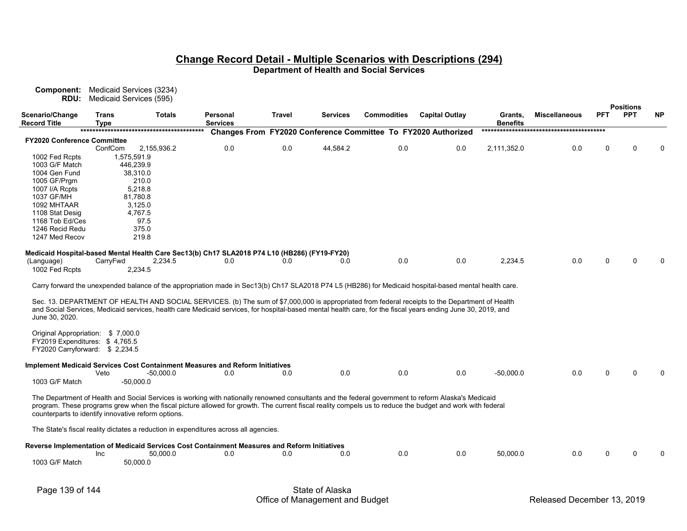**Component:** Medicaid Services (3234) **RDU:** Medicaid Services (595)

|                                                                                              |                             |                                                                                      |                             |               |                 |                    |                                                                                                                                                              |                            |                      |            | <b>Positions</b> |           |
|----------------------------------------------------------------------------------------------|-----------------------------|--------------------------------------------------------------------------------------|-----------------------------|---------------|-----------------|--------------------|--------------------------------------------------------------------------------------------------------------------------------------------------------------|----------------------------|----------------------|------------|------------------|-----------|
| Scenario/Change<br><b>Record Title</b>                                                       | <b>Trans</b><br><b>Type</b> | <b>Totals</b>                                                                        | Personal<br><b>Services</b> | <b>Travel</b> | <b>Services</b> | <b>Commodities</b> | <b>Capital Outlay</b>                                                                                                                                        | Grants,<br><b>Benefits</b> | <b>Miscellaneous</b> | <b>PFT</b> | <b>PPT</b>       | <b>NP</b> |
|                                                                                              |                             |                                                                                      |                             |               |                 |                    | Changes From FY2020 Conference Committee To FY2020 Authorized                                                                                                |                            |                      |            |                  |           |
| <b>FY2020 Conference Committee</b>                                                           |                             |                                                                                      |                             |               |                 |                    |                                                                                                                                                              |                            |                      |            |                  |           |
|                                                                                              | ConfCom                     | 2,155,936.2                                                                          | 0.0                         | 0.0           | 44,584.2        | 0.0                | 0.0                                                                                                                                                          | 2,111,352.0                | 0.0                  | 0          | ∩                |           |
| 1002 Fed Rcpts                                                                               | 1,575,591.9                 |                                                                                      |                             |               |                 |                    |                                                                                                                                                              |                            |                      |            |                  |           |
| 1003 G/F Match                                                                               | 446,239.9                   |                                                                                      |                             |               |                 |                    |                                                                                                                                                              |                            |                      |            |                  |           |
| 1004 Gen Fund                                                                                | 38,310.0                    |                                                                                      |                             |               |                 |                    |                                                                                                                                                              |                            |                      |            |                  |           |
| 1005 GF/Prgm                                                                                 | 210.0                       |                                                                                      |                             |               |                 |                    |                                                                                                                                                              |                            |                      |            |                  |           |
| 1007 I/A Rcpts                                                                               | 5.218.8                     |                                                                                      |                             |               |                 |                    |                                                                                                                                                              |                            |                      |            |                  |           |
| 1037 GF/MH                                                                                   | 81,780.8                    |                                                                                      |                             |               |                 |                    |                                                                                                                                                              |                            |                      |            |                  |           |
| 1092 MHTAAR                                                                                  | 3,125.0                     |                                                                                      |                             |               |                 |                    |                                                                                                                                                              |                            |                      |            |                  |           |
| 1108 Stat Desig                                                                              | 4,767.5                     |                                                                                      |                             |               |                 |                    |                                                                                                                                                              |                            |                      |            |                  |           |
| 1168 Tob Ed/Ces                                                                              |                             | 97.5                                                                                 |                             |               |                 |                    |                                                                                                                                                              |                            |                      |            |                  |           |
| 1246 Recid Redu                                                                              | 375.0                       |                                                                                      |                             |               |                 |                    |                                                                                                                                                              |                            |                      |            |                  |           |
| 1247 Med Recov                                                                               | 219.8                       |                                                                                      |                             |               |                 |                    |                                                                                                                                                              |                            |                      |            |                  |           |
| Medicaid Hospital-based Mental Health Care Sec13(b) Ch17 SLA2018 P74 L10 (HB286) (FY19-FY20) |                             |                                                                                      |                             |               |                 |                    |                                                                                                                                                              |                            |                      |            |                  |           |
| (Language)                                                                                   | CarryFwd                    | 2,234.5                                                                              | 0.0                         | 0.0           | 0.0             | 0.0                | 0.0                                                                                                                                                          | 2,234.5                    | 0.0                  | U          |                  |           |
| 1002 Fed Rcpts                                                                               | 2,234.5                     |                                                                                      |                             |               |                 |                    |                                                                                                                                                              |                            |                      |            |                  |           |
|                                                                                              |                             |                                                                                      |                             |               |                 |                    |                                                                                                                                                              |                            |                      |            |                  |           |
|                                                                                              |                             |                                                                                      |                             |               |                 |                    | Carry forward the unexpended balance of the appropriation made in Sec13(b) Ch17 SLA2018 P74 L5 (HB286) for Medicaid hospital-based mental health care.       |                            |                      |            |                  |           |
|                                                                                              |                             |                                                                                      |                             |               |                 |                    | Sec. 13. DEPARTMENT OF HEALTH AND SOCIAL SERVICES. (b) The sum of \$7,000,000 is appropriated from federal receipts to the Department of Health              |                            |                      |            |                  |           |
| June 30, 2020.                                                                               |                             |                                                                                      |                             |               |                 |                    | and Social Services, Medicaid services, health care Medicaid services, for hospital-based mental health care, for the fiscal years ending June 30, 2019, and |                            |                      |            |                  |           |
|                                                                                              |                             |                                                                                      |                             |               |                 |                    |                                                                                                                                                              |                            |                      |            |                  |           |
| Original Appropriation: \$7,000.0                                                            |                             |                                                                                      |                             |               |                 |                    |                                                                                                                                                              |                            |                      |            |                  |           |
| FY2019 Expenditures: \$4,765.5                                                               |                             |                                                                                      |                             |               |                 |                    |                                                                                                                                                              |                            |                      |            |                  |           |
| FY2020 Carryforward: \$2,234.5                                                               |                             |                                                                                      |                             |               |                 |                    |                                                                                                                                                              |                            |                      |            |                  |           |
| Implement Medicaid Services Cost Containment Measures and Reform Initiatives                 |                             |                                                                                      |                             |               |                 |                    |                                                                                                                                                              |                            |                      |            |                  |           |
|                                                                                              | Veto                        | -50,000.0                                                                            | 0.0                         | 0.0           | 0.0             | 0.0                | 0.0                                                                                                                                                          | $-50,000.0$                | 0.0                  | 0          |                  |           |
| 1003 G/F Match                                                                               | -50,000.0                   |                                                                                      |                             |               |                 |                    |                                                                                                                                                              |                            |                      |            |                  |           |
|                                                                                              |                             |                                                                                      |                             |               |                 |                    | The Department of Health and Social Services is working with nationally renowned consultants and the federal government to reform Alaska's Medicaid          |                            |                      |            |                  |           |
|                                                                                              |                             |                                                                                      |                             |               |                 |                    | program. These programs grew when the fiscal picture allowed for growth. The current fiscal reality compels us to reduce the budget and work with federal    |                            |                      |            |                  |           |
| counterparts to identify innovative reform options.                                          |                             |                                                                                      |                             |               |                 |                    |                                                                                                                                                              |                            |                      |            |                  |           |
|                                                                                              |                             |                                                                                      |                             |               |                 |                    |                                                                                                                                                              |                            |                      |            |                  |           |
|                                                                                              |                             | The State's fiscal reality dictates a reduction in expenditures across all agencies. |                             |               |                 |                    |                                                                                                                                                              |                            |                      |            |                  |           |
| Reverse Implementation of Medicaid Services Cost Containment Measures and Reform Initiatives |                             |                                                                                      |                             |               |                 |                    |                                                                                                                                                              |                            |                      |            |                  |           |
|                                                                                              | Inc                         | 50,000.0                                                                             | 0.0                         | 0.0           | 0.0             | 0.0                | 0.0                                                                                                                                                          | 50,000.0                   | 0.0                  | U          | ∩                |           |
| 1003 G/F Match                                                                               | 50,000.0                    |                                                                                      |                             |               |                 |                    |                                                                                                                                                              |                            |                      |            |                  |           |
|                                                                                              |                             |                                                                                      |                             |               |                 |                    |                                                                                                                                                              |                            |                      |            |                  |           |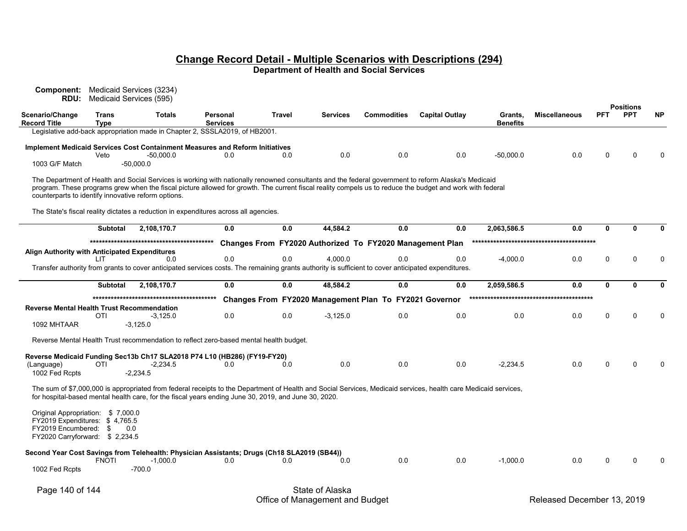| Component:<br>RDU:                                                                        |                      | Medicaid Services (3234)<br>Medicaid Services (595)                                                                                                                                                                                                                                                                                                                     |                             |        |                 |                                                          |                       |                            |                      |              |                                |           |
|-------------------------------------------------------------------------------------------|----------------------|-------------------------------------------------------------------------------------------------------------------------------------------------------------------------------------------------------------------------------------------------------------------------------------------------------------------------------------------------------------------------|-----------------------------|--------|-----------------|----------------------------------------------------------|-----------------------|----------------------------|----------------------|--------------|--------------------------------|-----------|
| Scenario/Change<br><b>Record Title</b>                                                    | Trans<br><b>Type</b> | <b>Totals</b>                                                                                                                                                                                                                                                                                                                                                           | Personal<br><b>Services</b> | Travel | <b>Services</b> | <b>Commodities</b>                                       | <b>Capital Outlay</b> | Grants,<br><b>Benefits</b> | <b>Miscellaneous</b> | <b>PFT</b>   | <b>Positions</b><br><b>PPT</b> | <b>NP</b> |
|                                                                                           |                      | Legislative add-back appropriation made in Chapter 2, SSSLA2019, of HB2001.                                                                                                                                                                                                                                                                                             |                             |        |                 |                                                          |                       |                            |                      |              |                                |           |
|                                                                                           |                      | <b>Implement Medicaid Services Cost Containment Measures and Reform Initiatives</b>                                                                                                                                                                                                                                                                                     |                             |        |                 |                                                          |                       |                            |                      |              |                                |           |
| 1003 G/F Match                                                                            | Veto                 | $-50,000.0$<br>$-50.000.0$                                                                                                                                                                                                                                                                                                                                              | 0.0                         | 0.0    | 0.0             | 0.0                                                      | 0.0                   | $-50,000.0$                | 0.0                  | $\Omega$     | $\Omega$                       |           |
|                                                                                           |                      | The Department of Health and Social Services is working with nationally renowned consultants and the federal government to reform Alaska's Medicaid<br>program. These programs grew when the fiscal picture allowed for growth. The current fiscal reality compels us to reduce the budget and work with federal<br>counterparts to identify innovative reform options. |                             |        |                 |                                                          |                       |                            |                      |              |                                |           |
|                                                                                           |                      | The State's fiscal reality dictates a reduction in expenditures across all agencies.                                                                                                                                                                                                                                                                                    |                             |        |                 |                                                          |                       |                            |                      |              |                                |           |
|                                                                                           | <b>Subtotal</b>      | 2,108,170.7                                                                                                                                                                                                                                                                                                                                                             | 0.0                         | 0.0    | 44,584.2        | 0.0                                                      | 0.0                   | 2,063,586.5                | 0.0                  | $\mathbf 0$  | $\mathbf{0}$                   |           |
|                                                                                           |                      |                                                                                                                                                                                                                                                                                                                                                                         |                             |        |                 | Changes From FY2020 Authorized To FY2020 Management Plan |                       |                            |                      |              |                                |           |
| Align Authority with Anticipated Expenditures                                             | LIT.                 | 0.0                                                                                                                                                                                                                                                                                                                                                                     | 0.0                         | 0.0    | 4.000.0         | 0.0                                                      | 0.0                   | $-4,000.0$                 | 0.0                  | $\mathbf 0$  | $\Omega$                       |           |
|                                                                                           |                      | Transfer authority from grants to cover anticipated services costs. The remaining grants authority is sufficient to cover anticipated expenditures.                                                                                                                                                                                                                     |                             |        |                 |                                                          |                       |                            |                      |              |                                |           |
|                                                                                           | <b>Subtotal</b>      | 2,108,170.7                                                                                                                                                                                                                                                                                                                                                             | 0.0                         | 0.0    | 48.584.2        | 0.0                                                      | 0.0                   | 2,059,586.5                | 0.0                  | $\mathbf{0}$ | $\mathbf{0}$                   |           |
|                                                                                           |                      |                                                                                                                                                                                                                                                                                                                                                                         |                             |        |                 |                                                          |                       |                            |                      |              |                                |           |
| <b>Reverse Mental Health Trust Recommendation</b>                                         |                      |                                                                                                                                                                                                                                                                                                                                                                         |                             |        |                 | Changes From FY2020 Management Plan To FY2021 Governor   |                       |                            |                      |              |                                |           |
| 1092 MHTAAR                                                                               | <b>OTI</b>           | $-3,125.0$<br>$-3,125.0$                                                                                                                                                                                                                                                                                                                                                | 0.0                         | 0.0    | $-3,125.0$      | 0.0                                                      | 0.0                   | 0.0                        | 0.0                  | $\Omega$     | 0                              |           |
|                                                                                           |                      | Reverse Mental Health Trust recommendation to reflect zero-based mental health budget.                                                                                                                                                                                                                                                                                  |                             |        |                 |                                                          |                       |                            |                      |              |                                |           |
|                                                                                           |                      | Reverse Medicaid Funding Sec13b Ch17 SLA2018 P74 L10 (HB286) (FY19-FY20)                                                                                                                                                                                                                                                                                                |                             |        |                 |                                                          |                       |                            |                      |              |                                |           |
| (Language)<br>1002 Fed Rcpts                                                              | OTI                  | -2,234.5<br>-2,234.5                                                                                                                                                                                                                                                                                                                                                    | 0.0                         | 0.0    | 0.0             | 0.0                                                      | 0.0                   | $-2,234.5$                 | 0.0                  | $\Omega$     | $\Omega$                       |           |
|                                                                                           |                      | The sum of \$7,000,000 is appropriated from federal receipts to the Department of Health and Social Services, Medicaid services, health care Medicaid services,<br>for hospital-based mental health care, for the fiscal years ending June 30, 2019, and June 30, 2020.                                                                                                 |                             |        |                 |                                                          |                       |                            |                      |              |                                |           |
| Original Appropriation: \$7,000.0                                                         |                      |                                                                                                                                                                                                                                                                                                                                                                         |                             |        |                 |                                                          |                       |                            |                      |              |                                |           |
| FY2019 Expenditures: \$4,765.5<br>FY2019 Encumbered: \$<br>FY2020 Carryforward: \$2,234.5 |                      | 0.0                                                                                                                                                                                                                                                                                                                                                                     |                             |        |                 |                                                          |                       |                            |                      |              |                                |           |
|                                                                                           | FNOTI                | Second Year Cost Savings from Telehealth: Physician Assistants; Drugs (Ch18 SLA2019 (SB44))<br>$-1,000.0$                                                                                                                                                                                                                                                               | 0.0                         | 0.0    | 0.0             | 0.0                                                      | 0.0                   | $-1,000.0$                 | 0.0                  | $\Omega$     | 0                              |           |
| 1002 Fed Rcpts                                                                            |                      | $-700.0$                                                                                                                                                                                                                                                                                                                                                                |                             |        |                 |                                                          |                       |                            |                      |              |                                |           |
| Page 140 of 144                                                                           |                      |                                                                                                                                                                                                                                                                                                                                                                         |                             |        | State of Alaska |                                                          |                       |                            |                      |              |                                |           |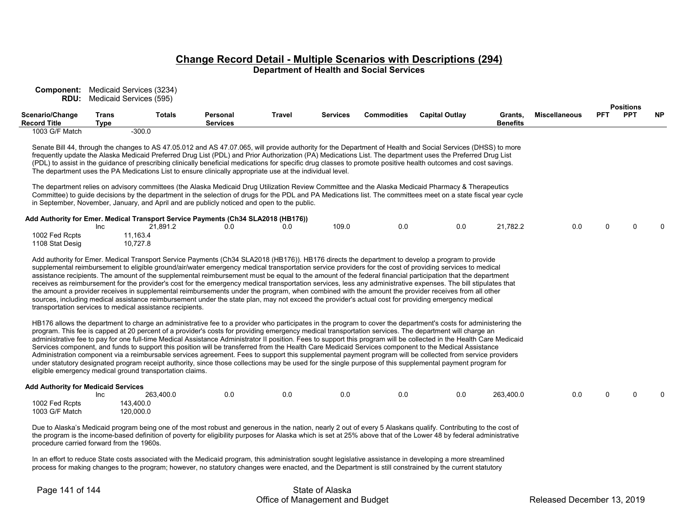| <b>Component:</b> Medicaid Services (3234)<br>RDU:                                                                          | Medicaid Services (595) |                                                                                   |                                                                                                                                                                                         |               |                 |                    |                                                                                                                                                                                                                                                                                                                                                                                                                                                                                                                                                                                                                                                                                                                                                                                                                                                                                                                                                                                       |                            |                      |            |                                |           |
|-----------------------------------------------------------------------------------------------------------------------------|-------------------------|-----------------------------------------------------------------------------------|-----------------------------------------------------------------------------------------------------------------------------------------------------------------------------------------|---------------|-----------------|--------------------|---------------------------------------------------------------------------------------------------------------------------------------------------------------------------------------------------------------------------------------------------------------------------------------------------------------------------------------------------------------------------------------------------------------------------------------------------------------------------------------------------------------------------------------------------------------------------------------------------------------------------------------------------------------------------------------------------------------------------------------------------------------------------------------------------------------------------------------------------------------------------------------------------------------------------------------------------------------------------------------|----------------------------|----------------------|------------|--------------------------------|-----------|
| Scenario/Change<br>Record Title                                                                                             | Trans<br><b>Type</b>    | <b>Totals</b>                                                                     | Personal<br><b>Services</b>                                                                                                                                                             | <b>Travel</b> | <b>Services</b> | <b>Commodities</b> | <b>Capital Outlay</b>                                                                                                                                                                                                                                                                                                                                                                                                                                                                                                                                                                                                                                                                                                                                                                                                                                                                                                                                                                 | Grants,<br><b>Benefits</b> | <b>Miscellaneous</b> | <b>PFT</b> | <b>Positions</b><br><b>PPT</b> | <b>NP</b> |
| 1003 G/F Match                                                                                                              |                         | $-300.0$                                                                          | The department uses the PA Medications List to ensure clinically appropriate use at the individual level.                                                                               |               |                 |                    | Senate Bill 44, through the changes to AS 47.05.012 and AS 47.07.065, will provide authority for the Department of Health and Social Services (DHSS) to more<br>frequently update the Alaska Medicaid Preferred Drug List (PDL) and Prior Authorization (PA) Medications List. The department uses the Preferred Drug List<br>(PDL) to assist in the guidance of prescribing clinically beneficial medications for specific drug classes to promote positive health outcomes and cost savings.<br>The department relies on advisory committees (the Alaska Medicaid Drug Utilization Review Committee and the Alaska Medicaid Pharmacy & Therapeutics                                                                                                                                                                                                                                                                                                                                 |                            |                      |            |                                |           |
|                                                                                                                             | Inc                     | 21,891.2                                                                          | in September, November, January, and April and are publicly noticed and open to the public.<br>Add Authority for Emer. Medical Transport Service Payments (Ch34 SLA2018 (HB176))<br>0.0 | 0.0           | 109.0           | 0.0                | Committee) to guide decisions by the department in the selection of drugs for the PDL and PA Medications list. The committees meet on a state fiscal year cycle<br>0.0                                                                                                                                                                                                                                                                                                                                                                                                                                                                                                                                                                                                                                                                                                                                                                                                                | 21,782.2                   | 0.0                  | $\Omega$   | $\Omega$                       |           |
| 1002 Fed Rcpts<br>1108 Stat Desig                                                                                           |                         | 11,163.4<br>10,727.8<br>transportation services to medical assistance recipients. |                                                                                                                                                                                         |               |                 |                    | Add authority for Emer. Medical Transport Service Payments (Ch34 SLA2018 (HB176)). HB176 directs the department to develop a program to provide<br>supplemental reimbursement to eligible ground/air/water emergency medical transportation service providers for the cost of providing services to medical<br>assistance recipients. The amount of the supplemental reimbursement must be equal to the amount of the federal financial participation that the department<br>receives as reimbursement for the provider's cost for the emergency medical transportation services, less any administrative expenses. The bill stipulates that<br>the amount a provider receives in supplemental reimbursements under the program, when combined with the amount the provider receives from all other<br>sources, including medical assistance reimbursement under the state plan, may not exceed the provider's actual cost for providing emergency medical                            |                            |                      |            |                                |           |
|                                                                                                                             |                         | eligible emergency medical ground transportation claims.                          |                                                                                                                                                                                         |               |                 |                    | HB176 allows the department to charge an administrative fee to a provider who participates in the program to cover the department's costs for administering the<br>program. This fee is capped at 20 percent of a provider's costs for providing emergency medical transportation services. The department will charge an<br>administrative fee to pay for one full-time Medical Assistance Administrator II position. Fees to support this program will be collected in the Health Care Medicaid<br>Services component, and funds to support this position will be transferred from the Health Care Medicaid Services component to the Medical Assistance<br>Administration component via a reimbursable services agreement. Fees to support this supplemental payment program will be collected from service providers<br>under statutory designated program receipt authority, since those collections may be used for the single purpose of this supplemental payment program for |                            |                      |            |                                |           |
| <b>Add Authority for Medicaid Services</b><br>1002 Fed Rcpts<br>1003 G/F Match<br>procedure carried forward from the 1960s. | Inc                     | 263,400.0<br>143,400.0<br>120,000.0                                               | 0.0                                                                                                                                                                                     | 0.0           | 0.0             | 0.0                | 0.0<br>Due to Alaska's Medicaid program being one of the most robust and generous in the nation, nearly 2 out of every 5 Alaskans qualify. Contributing to the cost of<br>the program is the income-based definition of poverty for eligibility purposes for Alaska which is set at 25% above that of the Lower 48 by federal administrative                                                                                                                                                                                                                                                                                                                                                                                                                                                                                                                                                                                                                                          | 263,400.0                  | 0.0                  | 0          | $\Omega$                       |           |

In an effort to reduce State costs associated with the Medicaid program, this administration sought legislative assistance in developing a more streamlined process for making changes to the program; however, no statutory changes were enacted, and the Department is still constrained by the current statutory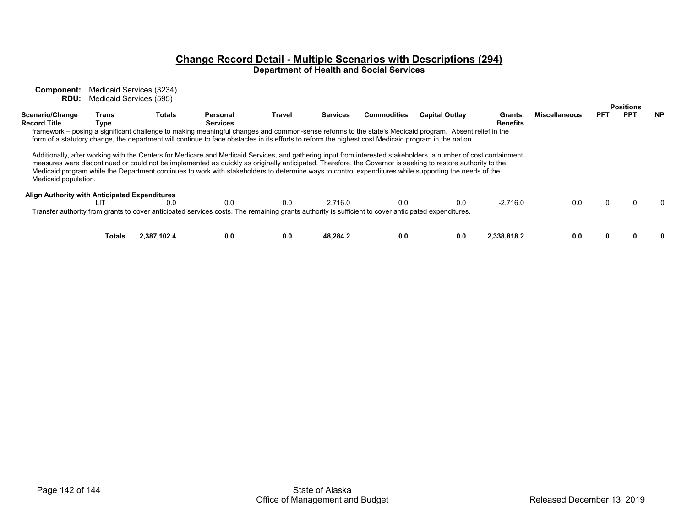**Component:** Medicaid Services (3234) **RDU:** Medicaid Services (595)

|                                               |        |               |                                                                                                                                                      |        |                 |                    |                                                                                                                                                                 |                 |                      | <b>Positions</b> |            |              |
|-----------------------------------------------|--------|---------------|------------------------------------------------------------------------------------------------------------------------------------------------------|--------|-----------------|--------------------|-----------------------------------------------------------------------------------------------------------------------------------------------------------------|-----------------|----------------------|------------------|------------|--------------|
| Scenario/Change<br><b>Record Title</b>        | Trans  | <b>Totals</b> | Personal<br><b>Services</b>                                                                                                                          | Travel | <b>Services</b> | <b>Commodities</b> | <b>Capital Outlay</b>                                                                                                                                           | Grants,         | <b>Miscellaneous</b> | PFT              | <b>PPT</b> | <b>NP</b>    |
|                                               | Type   |               |                                                                                                                                                      |        |                 |                    |                                                                                                                                                                 | <b>Benefits</b> |                      |                  |            |              |
|                                               |        |               |                                                                                                                                                      |        |                 |                    | framework – posing a significant challenge to making meaningful changes and common-sense reforms to the state's Medicaid program. Absent relief in the          |                 |                      |                  |            |              |
|                                               |        |               | form of a statutory change, the department will continue to face obstacles in its efforts to reform the highest cost Medicaid program in the nation. |        |                 |                    |                                                                                                                                                                 |                 |                      |                  |            |              |
|                                               |        |               |                                                                                                                                                      |        |                 |                    |                                                                                                                                                                 |                 |                      |                  |            |              |
|                                               |        |               |                                                                                                                                                      |        |                 |                    | Additionally, after working with the Centers for Medicare and Medicaid Services, and gathering input from interested stakeholders, a number of cost containment |                 |                      |                  |            |              |
|                                               |        |               |                                                                                                                                                      |        |                 |                    |                                                                                                                                                                 |                 |                      |                  |            |              |
|                                               |        |               |                                                                                                                                                      |        |                 |                    | measures were discontinued or could not be implemented as quickly as originally anticipated. Therefore, the Governor is seeking to restore authority to the     |                 |                      |                  |            |              |
|                                               |        |               |                                                                                                                                                      |        |                 |                    | Medicaid program while the Department continues to work with stakeholders to determine ways to control expenditures while supporting the needs of the           |                 |                      |                  |            |              |
| Medicaid population.                          |        |               |                                                                                                                                                      |        |                 |                    |                                                                                                                                                                 |                 |                      |                  |            |              |
|                                               |        |               |                                                                                                                                                      |        |                 |                    |                                                                                                                                                                 |                 |                      |                  |            |              |
| Align Authority with Anticipated Expenditures |        |               |                                                                                                                                                      |        |                 |                    |                                                                                                                                                                 |                 |                      |                  |            |              |
|                                               | LIТ    | 0.0           | 0.0                                                                                                                                                  | 0.0    | 2.716.0         | 0.0                | 0.0                                                                                                                                                             | $-2.716.0$      | 0.0                  | 0                |            | <sup>0</sup> |
|                                               |        |               | Transfer authority from grants to cover anticipated services costs. The remaining grants authority is sufficient to cover anticipated expenditures.  |        |                 |                    |                                                                                                                                                                 |                 |                      |                  |            |              |
|                                               |        |               |                                                                                                                                                      |        |                 |                    |                                                                                                                                                                 |                 |                      |                  |            |              |
|                                               |        |               |                                                                                                                                                      |        |                 |                    |                                                                                                                                                                 |                 |                      |                  |            |              |
|                                               |        |               |                                                                                                                                                      |        |                 |                    |                                                                                                                                                                 |                 |                      |                  |            |              |
|                                               | Totals | 2.387.102.4   | 0.0                                                                                                                                                  | 0.0    | 48.284.2        | 0.0                | 0.0                                                                                                                                                             | 2,338,818.2     | 0.0                  | 0                |            | 0            |
|                                               |        |               |                                                                                                                                                      |        |                 |                    |                                                                                                                                                                 |                 |                      |                  |            |              |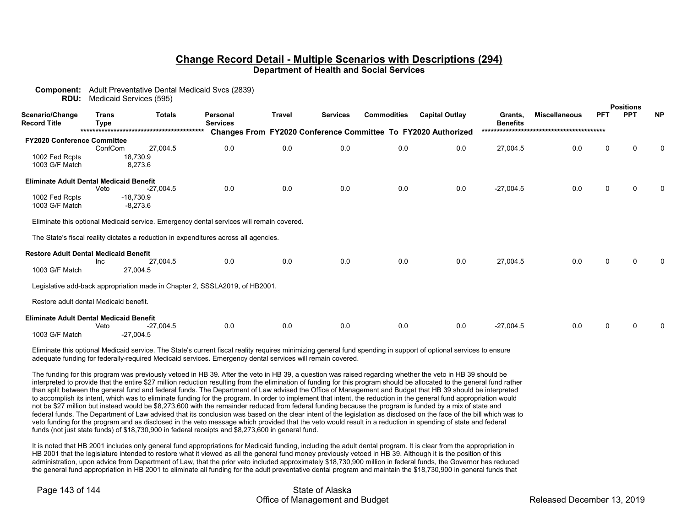**Component:** Adult Preventative Dental Medicaid Svcs (2839)

| <b>RDU:</b>                                    |         | Medicaid Services (595)                                                                  |                                                                                      |     |         |                      |                                                               |                                |           |             |   |  |
|------------------------------------------------|---------|------------------------------------------------------------------------------------------|--------------------------------------------------------------------------------------|-----|---------|----------------------|---------------------------------------------------------------|--------------------------------|-----------|-------------|---|--|
| Scenario/Change<br>Trans                       |         | <b>Totals</b>                                                                            | <b>Commodities</b><br><b>Capital Outlay</b><br>Travel<br><b>Services</b><br>Personal |     | Grants, | <b>Miscellaneous</b> | <b>PFT</b>                                                    | <b>Positions</b><br><b>PPT</b> | <b>NP</b> |             |   |  |
| <b>Record Title</b>                            | Type    |                                                                                          | <b>Services</b>                                                                      |     |         |                      |                                                               | <b>Benefits</b>                |           |             |   |  |
|                                                |         |                                                                                          |                                                                                      |     |         |                      | Changes From FY2020 Conference Committee To FY2020 Authorized |                                |           |             |   |  |
| <b>FY2020 Conference Committee</b>             |         |                                                                                          |                                                                                      |     |         |                      |                                                               |                                |           |             |   |  |
|                                                | ConfCom | 27,004.5                                                                                 | 0.0                                                                                  | 0.0 | 0.0     | 0.0                  | 0.0                                                           | 27,004.5                       | 0.0       | 0           | 0 |  |
| 1002 Fed Rcpts                                 |         | 18,730.9                                                                                 |                                                                                      |     |         |                      |                                                               |                                |           |             |   |  |
| 1003 G/F Match                                 | 8,273.6 |                                                                                          |                                                                                      |     |         |                      |                                                               |                                |           |             |   |  |
|                                                |         |                                                                                          |                                                                                      |     |         |                      |                                                               |                                |           |             |   |  |
| <b>Eliminate Adult Dental Medicaid Benefit</b> |         |                                                                                          |                                                                                      |     |         |                      |                                                               |                                |           |             |   |  |
|                                                | Veto    | $-27,004.5$                                                                              | 0.0                                                                                  | 0.0 | 0.0     | 0.0                  | 0.0                                                           | $-27,004.5$                    | 0.0       | 0           | 0 |  |
| 1002 Fed Rcpts                                 |         | $-18,730.9$                                                                              |                                                                                      |     |         |                      |                                                               |                                |           |             |   |  |
| 1003 G/F Match                                 |         | -8,273.6                                                                                 |                                                                                      |     |         |                      |                                                               |                                |           |             |   |  |
|                                                |         |                                                                                          |                                                                                      |     |         |                      |                                                               |                                |           |             |   |  |
|                                                |         | Eliminate this optional Medicaid service. Emergency dental services will remain covered. |                                                                                      |     |         |                      |                                                               |                                |           |             |   |  |
|                                                |         |                                                                                          |                                                                                      |     |         |                      |                                                               |                                |           |             |   |  |
|                                                |         | The State's fiscal reality dictates a reduction in expenditures across all agencies.     |                                                                                      |     |         |                      |                                                               |                                |           |             |   |  |
|                                                |         |                                                                                          |                                                                                      |     |         |                      |                                                               |                                |           |             |   |  |
| <b>Restore Adult Dental Medicaid Benefit</b>   |         |                                                                                          |                                                                                      |     |         |                      |                                                               |                                |           |             |   |  |
|                                                | Inc     | 27,004.5                                                                                 | 0.0                                                                                  | 0.0 | 0.0     | 0.0                  | 0.0                                                           | 27,004.5                       | 0.0       | $\mathbf 0$ | 0 |  |
| 1003 G/F Match                                 |         | 27,004.5                                                                                 |                                                                                      |     |         |                      |                                                               |                                |           |             |   |  |
|                                                |         |                                                                                          |                                                                                      |     |         |                      |                                                               |                                |           |             |   |  |
|                                                |         | Legislative add-back appropriation made in Chapter 2, SSSLA2019, of HB2001.              |                                                                                      |     |         |                      |                                                               |                                |           |             |   |  |
|                                                |         |                                                                                          |                                                                                      |     |         |                      |                                                               |                                |           |             |   |  |
| Restore adult dental Medicaid benefit.         |         |                                                                                          |                                                                                      |     |         |                      |                                                               |                                |           |             |   |  |
|                                                |         |                                                                                          |                                                                                      |     |         |                      |                                                               |                                |           |             |   |  |

| <b>Eliminate Adult Dental Medicaid Benefit</b> |          |                          |     |     |     |     |     |       |     |  |  |
|------------------------------------------------|----------|--------------------------|-----|-----|-----|-----|-----|-------|-----|--|--|
|                                                | Veto     | 07.001.I<br>. .UU4<br>-⊷ | 0.0 | 0.0 | 0.0 | 0.0 | 0.0 | 004.5 | 0.0 |  |  |
| 1003 G/F Match<br>maw                          | 27,004.5 |                          |     |     |     |     |     |       |     |  |  |

Eliminate this optional Medicaid service. The State's current fiscal reality requires minimizing general fund spending in support of optional services to ensure adequate funding for federally-required Medicaid services. Emergency dental services will remain covered.

The funding for this program was previously vetoed in HB 39. After the veto in HB 39, a question was raised regarding whether the veto in HB 39 should be interpreted to provide that the entire \$27 million reduction resulting from the elimination of funding for this program should be allocated to the general fund rather than split between the general fund and federal funds. The Department of Law advised the Office of Management and Budget that HB 39 should be interpreted to accomplish its intent, which was to eliminate funding for the program. In order to implement that intent, the reduction in the general fund appropriation would not be \$27 million but instead would be \$8,273,600 with the remainder reduced from federal funding because the program is funded by a mix of state and federal funds. The Department of Law advised that its conclusion was based on the clear intent of the legislation as disclosed on the face of the bill which was to veto funding for the program and as disclosed in the veto message which provided that the veto would result in a reduction in spending of state and federal funds (not just state funds) of \$18,730,900 in federal receipts and \$8,273,600 in general fund.

It is noted that HB 2001 includes only general fund appropriations for Medicaid funding, including the adult dental program. It is clear from the appropriation in HB 2001 that the legislature intended to restore what it viewed as all the general fund money previously vetoed in HB 39. Although it is the position of this administration, upon advice from Department of Law, that the prior veto included approximately \$18,730,900 million in federal funds, the Governor has reduced the general fund appropriation in HB 2001 to eliminate all funding for the adult preventative dental program and maintain the \$18,730,900 in general funds that